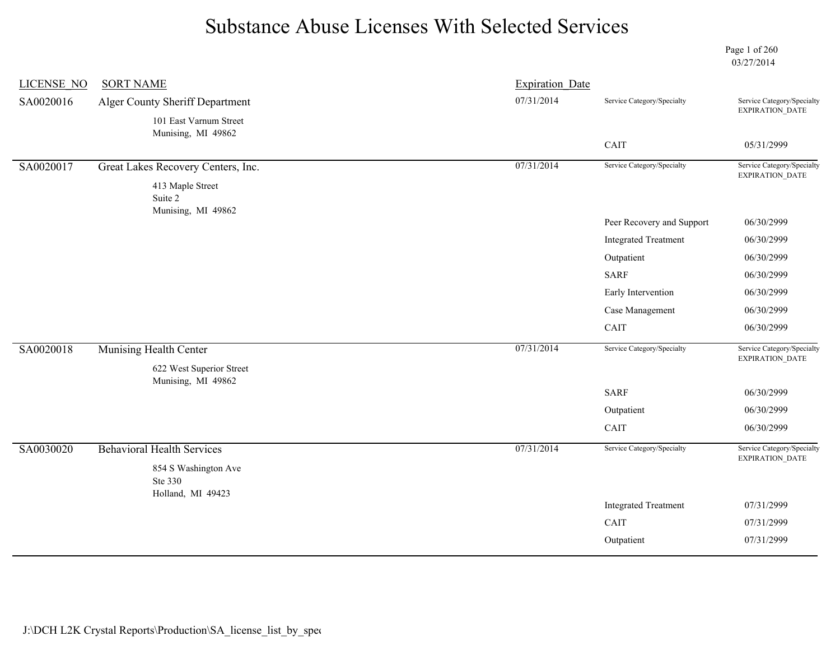Page 1 of 260 03/27/2014

| <b>LICENSE NO</b> | <b>SORT NAME</b>                   | <b>Expiration Date</b> |                              |                                               |
|-------------------|------------------------------------|------------------------|------------------------------|-----------------------------------------------|
| SA0020016         | Alger County Sheriff Department    | 07/31/2014             | Service Category/Specialty   | Service Category/Specialty<br>EXPIRATION_DATE |
|                   | 101 East Varnum Street             |                        |                              |                                               |
|                   | Munising, MI 49862                 |                        | CAIT                         | 05/31/2999                                    |
|                   |                                    |                        |                              |                                               |
| SA0020017         | Great Lakes Recovery Centers, Inc. | 07/31/2014             | Service Category/Specialty   | Service Category/Specialty<br>EXPIRATION_DATE |
|                   | 413 Maple Street<br>Suite 2        |                        |                              |                                               |
|                   | Munising, MI 49862                 |                        | Peer Recovery and Support    | 06/30/2999                                    |
|                   |                                    |                        | <b>Integrated Treatment</b>  | 06/30/2999                                    |
|                   |                                    |                        | Outpatient                   | 06/30/2999                                    |
|                   |                                    |                        | <b>SARF</b>                  | 06/30/2999                                    |
|                   |                                    |                        | Early Intervention           | 06/30/2999                                    |
|                   |                                    |                        | Case Management              | 06/30/2999                                    |
|                   |                                    |                        | $\mathop{\rm CAIT}\nolimits$ | 06/30/2999                                    |
| SA0020018         | Munising Health Center             | 07/31/2014             | Service Category/Specialty   | Service Category/Specialty<br>EXPIRATION_DATE |
|                   | 622 West Superior Street           |                        |                              |                                               |
|                   | Munising, MI 49862                 |                        | <b>SARF</b>                  | 06/30/2999                                    |
|                   |                                    |                        | Outpatient                   | 06/30/2999                                    |
|                   |                                    |                        | CAIT                         | 06/30/2999                                    |
| SA0030020         | <b>Behavioral Health Services</b>  | 07/31/2014             | Service Category/Specialty   | Service Category/Specialty                    |
|                   | 854 S Washington Ave               |                        |                              | EXPIRATION_DATE                               |
|                   | Ste 330                            |                        |                              |                                               |
|                   | Holland, MI 49423                  |                        | <b>Integrated Treatment</b>  | 07/31/2999                                    |
|                   |                                    |                        | CAIT                         | 07/31/2999                                    |
|                   |                                    |                        | Outpatient                   | 07/31/2999                                    |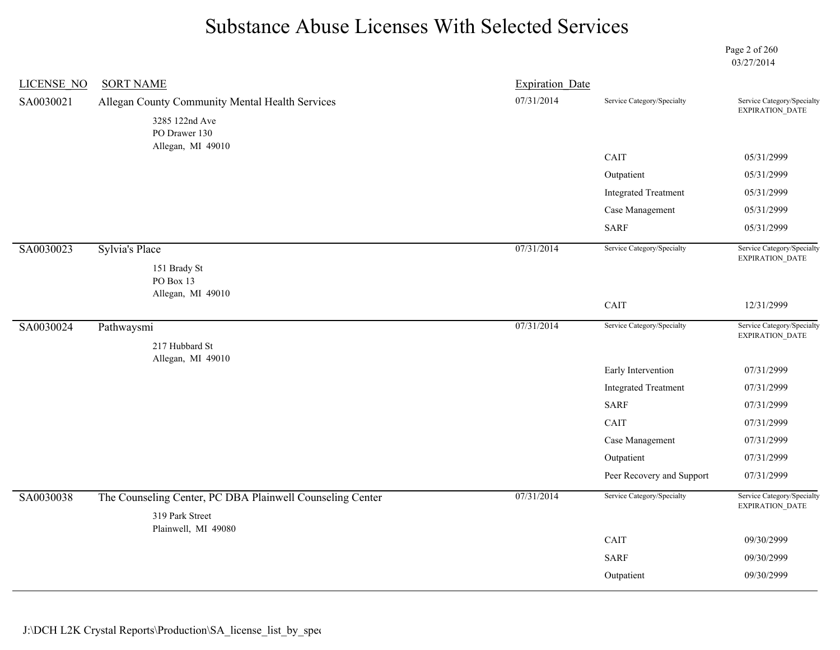Page 2 of 260 03/27/2014

| <b>LICENSE NO</b> | <b>SORT NAME</b>                                          | <b>Expiration Date</b> |                             |                                               |
|-------------------|-----------------------------------------------------------|------------------------|-----------------------------|-----------------------------------------------|
| SA0030021         | Allegan County Community Mental Health Services           | 07/31/2014             | Service Category/Specialty  | Service Category/Specialty<br>EXPIRATION_DATE |
|                   | 3285 122nd Ave<br>PO Drawer 130                           |                        |                             |                                               |
|                   | Allegan, MI 49010                                         |                        | CAIT                        | 05/31/2999                                    |
|                   |                                                           |                        | Outpatient                  | 05/31/2999                                    |
|                   |                                                           |                        | <b>Integrated Treatment</b> | 05/31/2999                                    |
|                   |                                                           |                        | Case Management             | 05/31/2999                                    |
|                   |                                                           |                        | <b>SARF</b>                 | 05/31/2999                                    |
| SA0030023         | <b>Sylvia's Place</b>                                     | 07/31/2014             | Service Category/Specialty  | Service Category/Specialty<br>EXPIRATION_DATE |
|                   | 151 Brady St                                              |                        |                             |                                               |
|                   | PO Box 13<br>Allegan, MI 49010                            |                        |                             |                                               |
|                   |                                                           |                        | CAIT                        | 12/31/2999                                    |
| SA0030024         | Pathwaysmi                                                | 07/31/2014             | Service Category/Specialty  | Service Category/Specialty<br>EXPIRATION_DATE |
|                   | 217 Hubbard St                                            |                        |                             |                                               |
|                   | Allegan, MI 49010                                         |                        | Early Intervention          | 07/31/2999                                    |
|                   |                                                           |                        | <b>Integrated Treatment</b> | 07/31/2999                                    |
|                   |                                                           |                        | <b>SARF</b>                 | 07/31/2999                                    |
|                   |                                                           |                        | CAIT                        | 07/31/2999                                    |
|                   |                                                           |                        | Case Management             | 07/31/2999                                    |
|                   |                                                           |                        | Outpatient                  | 07/31/2999                                    |
|                   |                                                           |                        | Peer Recovery and Support   | 07/31/2999                                    |
| SA0030038         | The Counseling Center, PC DBA Plainwell Counseling Center | 07/31/2014             | Service Category/Specialty  | Service Category/Specialty<br>EXPIRATION_DATE |
|                   | 319 Park Street<br>Plainwell, MI 49080                    |                        |                             |                                               |
|                   |                                                           |                        | CAIT                        | 09/30/2999                                    |
|                   |                                                           |                        | <b>SARF</b>                 | 09/30/2999                                    |
|                   |                                                           |                        | Outpatient                  | 09/30/2999                                    |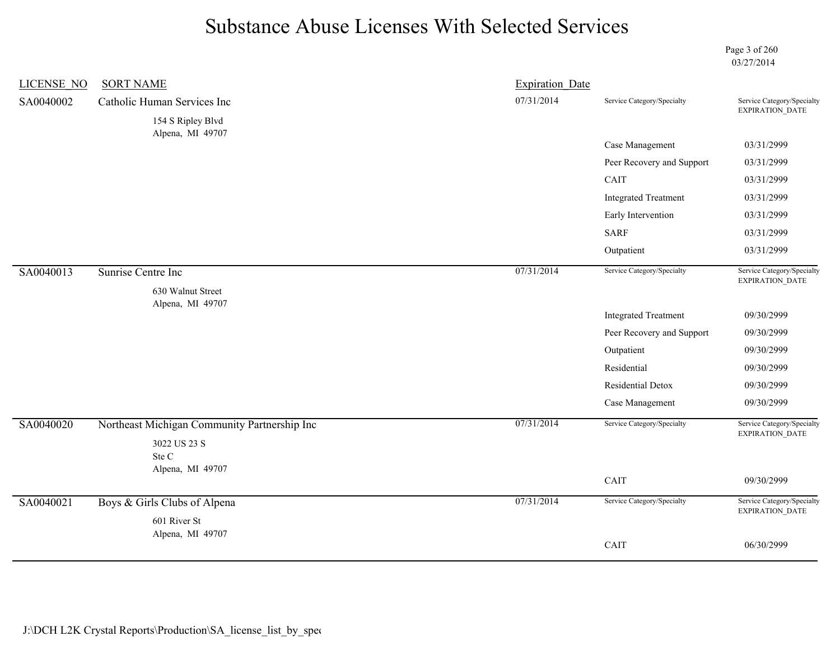Page 3 of 260 03/27/2014

| <b>LICENSE NO</b> | <b>SORT NAME</b>                                                      | <b>Expiration Date</b> |                             |                                                      |
|-------------------|-----------------------------------------------------------------------|------------------------|-----------------------------|------------------------------------------------------|
| SA0040002         | Catholic Human Services Inc                                           | 07/31/2014             | Service Category/Specialty  | Service Category/Specialty                           |
|                   | 154 S Ripley Blvd<br>Alpena, MI 49707                                 |                        |                             | EXPIRATION_DATE                                      |
|                   |                                                                       |                        | Case Management             | 03/31/2999                                           |
|                   |                                                                       |                        | Peer Recovery and Support   | 03/31/2999                                           |
|                   |                                                                       |                        | CAIT                        | 03/31/2999                                           |
|                   |                                                                       |                        | <b>Integrated Treatment</b> | 03/31/2999                                           |
|                   |                                                                       |                        | Early Intervention          | 03/31/2999                                           |
|                   |                                                                       |                        | <b>SARF</b>                 | 03/31/2999                                           |
|                   |                                                                       |                        | Outpatient                  | 03/31/2999                                           |
| SA0040013         | Sunrise Centre Inc                                                    | 07/31/2014             | Service Category/Specialty  | Service Category/Specialty                           |
|                   | 630 Walnut Street<br>Alpena, MI 49707                                 |                        |                             | EXPIRATION_DATE                                      |
|                   |                                                                       |                        | <b>Integrated Treatment</b> | 09/30/2999                                           |
|                   |                                                                       |                        | Peer Recovery and Support   | 09/30/2999                                           |
|                   |                                                                       |                        | Outpatient                  | 09/30/2999                                           |
|                   |                                                                       |                        | Residential                 | 09/30/2999                                           |
|                   |                                                                       |                        | Residential Detox           | 09/30/2999                                           |
|                   |                                                                       |                        | Case Management             | 09/30/2999                                           |
| SA0040020         | Northeast Michigan Community Partnership Inc<br>3022 US 23 S<br>Ste C | 07/31/2014             | Service Category/Specialty  | Service Category/Specialty<br>EXPIRATION_DATE        |
|                   | Alpena, MI 49707                                                      |                        | CAIT                        | 09/30/2999                                           |
| SA0040021         | Boys & Girls Clubs of Alpena<br>601 River St                          | 07/31/2014             | Service Category/Specialty  | Service Category/Specialty<br><b>EXPIRATION DATE</b> |
|                   | Alpena, MI 49707                                                      |                        |                             |                                                      |
|                   |                                                                       |                        | CAIT                        | 06/30/2999                                           |
|                   |                                                                       |                        |                             |                                                      |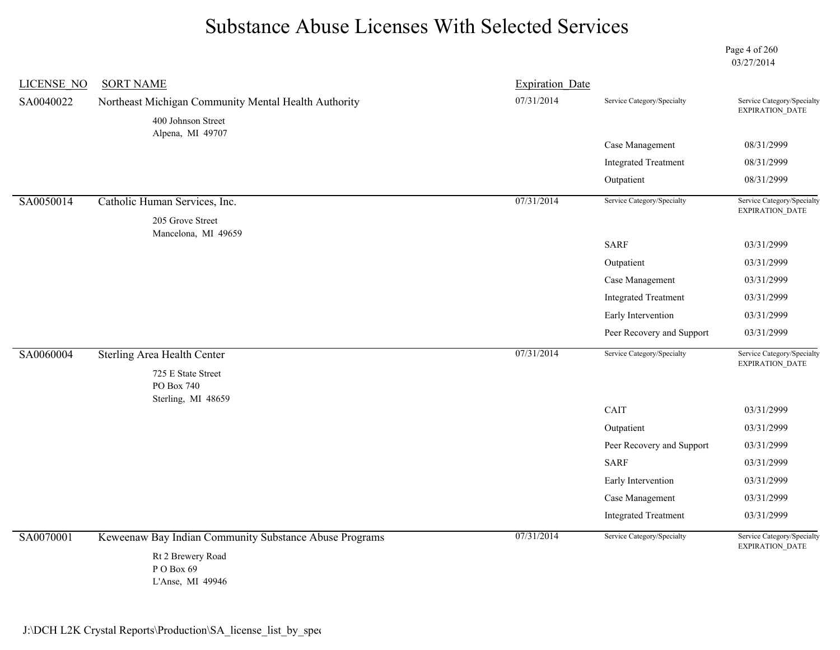Page 4 of 260 03/27/2014

| <b>LICENSE NO</b> | <b>SORT NAME</b>                                                           | <b>Expiration Date</b> |                             |                                                      |
|-------------------|----------------------------------------------------------------------------|------------------------|-----------------------------|------------------------------------------------------|
| SA0040022         | Northeast Michigan Community Mental Health Authority<br>400 Johnson Street | 07/31/2014             | Service Category/Specialty  | Service Category/Specialty<br>EXPIRATION_DATE        |
|                   | Alpena, MI 49707                                                           |                        |                             |                                                      |
|                   |                                                                            |                        | Case Management             | 08/31/2999                                           |
|                   |                                                                            |                        | <b>Integrated Treatment</b> | 08/31/2999                                           |
|                   |                                                                            |                        | Outpatient                  | 08/31/2999                                           |
| SA0050014         | Catholic Human Services, Inc.                                              | 07/31/2014             | Service Category/Specialty  | Service Category/Specialty<br>EXPIRATION_DATE        |
|                   | 205 Grove Street                                                           |                        |                             |                                                      |
|                   | Mancelona, MI 49659                                                        |                        | <b>SARF</b>                 | 03/31/2999                                           |
|                   |                                                                            |                        | Outpatient                  | 03/31/2999                                           |
|                   |                                                                            |                        | Case Management             | 03/31/2999                                           |
|                   |                                                                            |                        | <b>Integrated Treatment</b> | 03/31/2999                                           |
|                   |                                                                            |                        | Early Intervention          | 03/31/2999                                           |
|                   |                                                                            |                        | Peer Recovery and Support   | 03/31/2999                                           |
| SA0060004         | <b>Sterling Area Health Center</b>                                         | 07/31/2014             | Service Category/Specialty  | Service Category/Specialty<br><b>EXPIRATION DATE</b> |
|                   | 725 E State Street<br>PO Box 740                                           |                        |                             |                                                      |
|                   | Sterling, MI 48659                                                         |                        | CAIT                        | 03/31/2999                                           |
|                   |                                                                            |                        | Outpatient                  | 03/31/2999                                           |
|                   |                                                                            |                        | Peer Recovery and Support   | 03/31/2999                                           |
|                   |                                                                            |                        | <b>SARF</b>                 | 03/31/2999                                           |
|                   |                                                                            |                        | Early Intervention          | 03/31/2999                                           |
|                   |                                                                            |                        | Case Management             | 03/31/2999                                           |
|                   |                                                                            |                        | <b>Integrated Treatment</b> | 03/31/2999                                           |
| SA0070001         | Keweenaw Bay Indian Community Substance Abuse Programs                     | 07/31/2014             | Service Category/Specialty  | Service Category/Specialty<br>EXPIRATION_DATE        |
|                   | Rt 2 Brewery Road<br>P O Box 69<br>L'Anse, MI 49946                        |                        |                             |                                                      |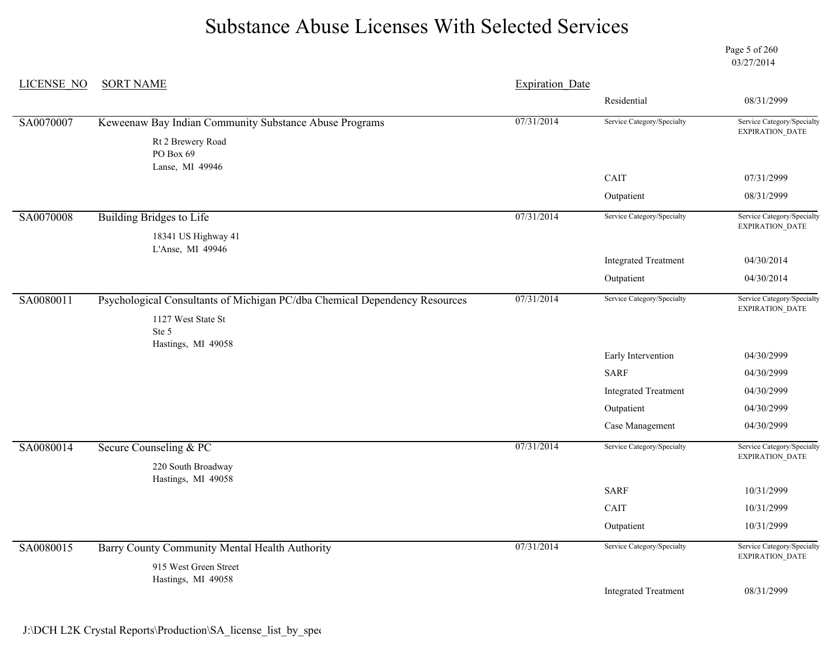Page 5 of 260 03/27/2014

| <b>LICENSE NO</b> | <b>SORT NAME</b>                                                           | <b>Expiration Date</b> |                             |                                                      |
|-------------------|----------------------------------------------------------------------------|------------------------|-----------------------------|------------------------------------------------------|
|                   |                                                                            |                        | Residential                 | 08/31/2999                                           |
| SA0070007         | Keweenaw Bay Indian Community Substance Abuse Programs                     | 07/31/2014             | Service Category/Specialty  | Service Category/Specialty                           |
|                   | Rt 2 Brewery Road                                                          |                        |                             | EXPIRATION_DATE                                      |
|                   | PO Box 69                                                                  |                        |                             |                                                      |
|                   | Lanse, MI 49946                                                            |                        | CAIT                        | 07/31/2999                                           |
|                   |                                                                            |                        | Outpatient                  | 08/31/2999                                           |
| SA0070008         | <b>Building Bridges to Life</b>                                            | 07/31/2014             | Service Category/Specialty  | Service Category/Specialty<br><b>EXPIRATION DATE</b> |
|                   | 18341 US Highway 41                                                        |                        |                             |                                                      |
|                   | L'Anse, MI 49946                                                           |                        | <b>Integrated Treatment</b> | 04/30/2014                                           |
|                   |                                                                            |                        | Outpatient                  | 04/30/2014                                           |
|                   |                                                                            |                        |                             |                                                      |
| SA0080011         | Psychological Consultants of Michigan PC/dba Chemical Dependency Resources | 07/31/2014             | Service Category/Specialty  | Service Category/Specialty<br>EXPIRATION_DATE        |
|                   | 1127 West State St<br>Ste 5                                                |                        |                             |                                                      |
|                   | Hastings, MI 49058                                                         |                        |                             |                                                      |
|                   |                                                                            |                        | Early Intervention          | 04/30/2999                                           |
|                   |                                                                            |                        | <b>SARF</b>                 | 04/30/2999                                           |
|                   |                                                                            |                        | <b>Integrated Treatment</b> | 04/30/2999                                           |
|                   |                                                                            |                        | Outpatient                  | 04/30/2999                                           |
|                   |                                                                            |                        | Case Management             | 04/30/2999                                           |
| SA0080014         | Secure Counseling & PC                                                     | 07/31/2014             | Service Category/Specialty  | Service Category/Specialty<br>EXPIRATION_DATE        |
|                   | 220 South Broadway                                                         |                        |                             |                                                      |
|                   | Hastings, MI 49058                                                         |                        | <b>SARF</b>                 | 10/31/2999                                           |
|                   |                                                                            |                        | CAIT                        | 10/31/2999                                           |
|                   |                                                                            |                        |                             |                                                      |
|                   |                                                                            |                        | Outpatient                  | 10/31/2999                                           |
| SA0080015         | Barry County Community Mental Health Authority                             | 07/31/2014             | Service Category/Specialty  | Service Category/Specialty<br><b>EXPIRATION DATE</b> |
|                   | 915 West Green Street                                                      |                        |                             |                                                      |
|                   | Hastings, MI 49058                                                         |                        | <b>Integrated Treatment</b> | 08/31/2999                                           |
|                   |                                                                            |                        |                             |                                                      |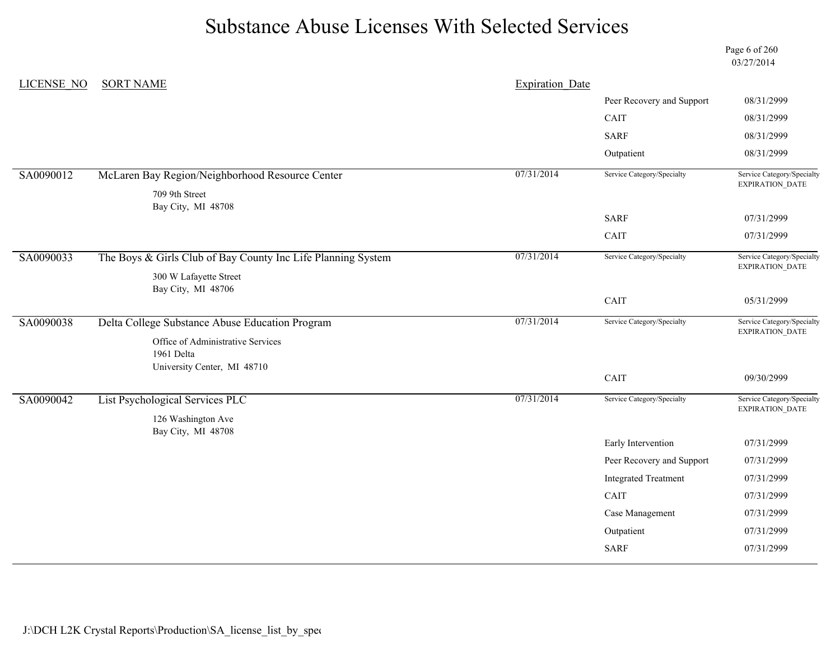Page 6 of 260 03/27/2014

| LICENSE NO | <b>SORT NAME</b>                                             | <b>Expiration Date</b> |                             |                                               |
|------------|--------------------------------------------------------------|------------------------|-----------------------------|-----------------------------------------------|
|            |                                                              |                        | Peer Recovery and Support   | 08/31/2999                                    |
|            |                                                              |                        | CAIT                        | 08/31/2999                                    |
|            |                                                              |                        | <b>SARF</b>                 | 08/31/2999                                    |
|            |                                                              |                        | Outpatient                  | 08/31/2999                                    |
| SA0090012  | McLaren Bay Region/Neighborhood Resource Center              | 07/31/2014             | Service Category/Specialty  | Service Category/Specialty<br>EXPIRATION_DATE |
|            | 709 9th Street                                               |                        |                             |                                               |
|            | Bay City, MI 48708                                           |                        | <b>SARF</b>                 | 07/31/2999                                    |
|            |                                                              |                        | CAIT                        | 07/31/2999                                    |
|            |                                                              |                        |                             |                                               |
| SA0090033  | The Boys & Girls Club of Bay County Inc Life Planning System | 07/31/2014             | Service Category/Specialty  | Service Category/Specialty<br>EXPIRATION_DATE |
|            | 300 W Lafayette Street                                       |                        |                             |                                               |
|            | Bay City, MI 48706                                           |                        | CAIT                        | 05/31/2999                                    |
| SA0090038  | Delta College Substance Abuse Education Program              | 07/31/2014             | Service Category/Specialty  | Service Category/Specialty                    |
|            |                                                              |                        |                             | EXPIRATION_DATE                               |
|            | Office of Administrative Services<br>1961 Delta              |                        |                             |                                               |
|            | University Center, MI 48710                                  |                        |                             |                                               |
|            |                                                              |                        | CAIT                        | 09/30/2999                                    |
| SA0090042  | List Psychological Services PLC                              | 07/31/2014             | Service Category/Specialty  | Service Category/Specialty                    |
|            | 126 Washington Ave                                           |                        |                             | <b>EXPIRATION DATE</b>                        |
|            | Bay City, MI 48708                                           |                        | Early Intervention          | 07/31/2999                                    |
|            |                                                              |                        |                             |                                               |
|            |                                                              |                        | Peer Recovery and Support   | 07/31/2999                                    |
|            |                                                              |                        | <b>Integrated Treatment</b> | 07/31/2999                                    |
|            |                                                              |                        | CAIT                        | 07/31/2999                                    |
|            |                                                              |                        | Case Management             | 07/31/2999                                    |
|            |                                                              |                        | Outpatient                  | 07/31/2999                                    |
|            |                                                              |                        | <b>SARF</b>                 | 07/31/2999                                    |
|            |                                                              |                        |                             |                                               |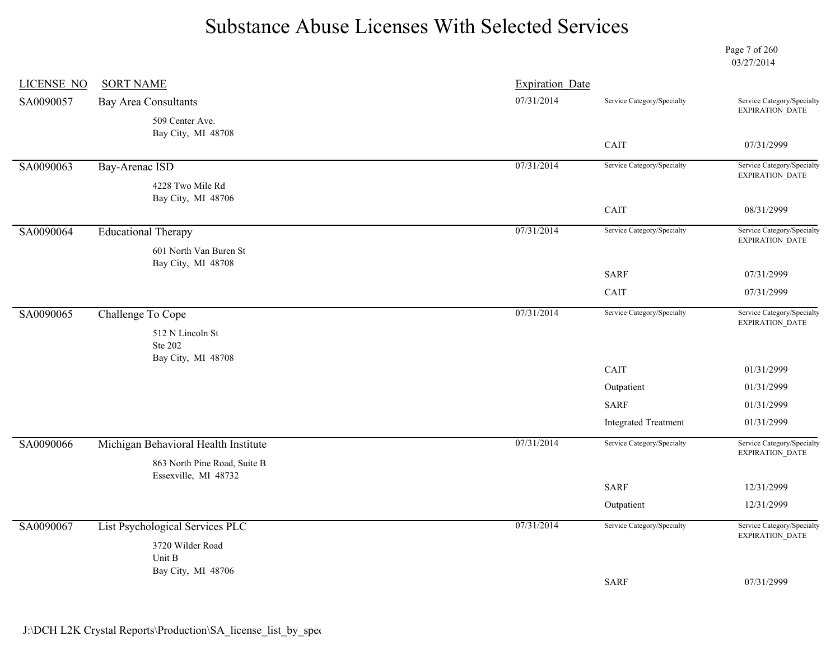Page 7 of 260 03/27/2014

| <b>LICENSE NO</b> | <b>SORT NAME</b>                     | <b>Expiration Date</b> |                              |                                               |
|-------------------|--------------------------------------|------------------------|------------------------------|-----------------------------------------------|
| SA0090057         | <b>Bay Area Consultants</b>          | 07/31/2014             | Service Category/Specialty   | Service Category/Specialty<br>EXPIRATION_DATE |
|                   | 509 Center Ave.                      |                        |                              |                                               |
|                   | Bay City, MI 48708                   |                        | CAIT                         | 07/31/2999                                    |
| SA0090063         | Bay-Arenac ISD                       | 07/31/2014             | Service Category/Specialty   | Service Category/Specialty                    |
|                   | 4228 Two Mile Rd                     |                        |                              | EXPIRATION_DATE                               |
|                   | Bay City, MI 48706                   |                        |                              |                                               |
|                   |                                      |                        | $\mathop{\rm CAIT}\nolimits$ | 08/31/2999                                    |
| SA0090064         | <b>Educational Therapy</b>           | 07/31/2014             | Service Category/Specialty   | Service Category/Specialty<br>EXPIRATION_DATE |
|                   | 601 North Van Buren St               |                        |                              |                                               |
|                   | Bay City, MI 48708                   |                        | <b>SARF</b>                  | 07/31/2999                                    |
|                   |                                      |                        | CAIT                         | 07/31/2999                                    |
| SA0090065         | Challenge To Cope                    | 07/31/2014             | Service Category/Specialty   | Service Category/Specialty                    |
|                   |                                      |                        |                              | EXPIRATION_DATE                               |
|                   | 512 N Lincoln St<br><b>Ste 202</b>   |                        |                              |                                               |
|                   | Bay City, MI 48708                   |                        |                              |                                               |
|                   |                                      |                        | CAIT                         | 01/31/2999                                    |
|                   |                                      |                        | Outpatient                   | 01/31/2999                                    |
|                   |                                      |                        | <b>SARF</b>                  | 01/31/2999                                    |
|                   |                                      |                        | <b>Integrated Treatment</b>  | 01/31/2999                                    |
| SA0090066         | Michigan Behavioral Health Institute | 07/31/2014             | Service Category/Specialty   | Service Category/Specialty<br>EXPIRATION_DATE |
|                   | 863 North Pine Road, Suite B         |                        |                              |                                               |
|                   | Essexville, MI 48732                 |                        | <b>SARF</b>                  | 12/31/2999                                    |
|                   |                                      |                        | Outpatient                   | 12/31/2999                                    |
| SA0090067         | List Psychological Services PLC      | 07/31/2014             | Service Category/Specialty   | Service Category/Specialty                    |
|                   | 3720 Wilder Road                     |                        |                              | EXPIRATION_DATE                               |
|                   | Unit B                               |                        |                              |                                               |
|                   | Bay City, MI 48706                   |                        | <b>SARF</b>                  | 07/31/2999                                    |
|                   |                                      |                        |                              |                                               |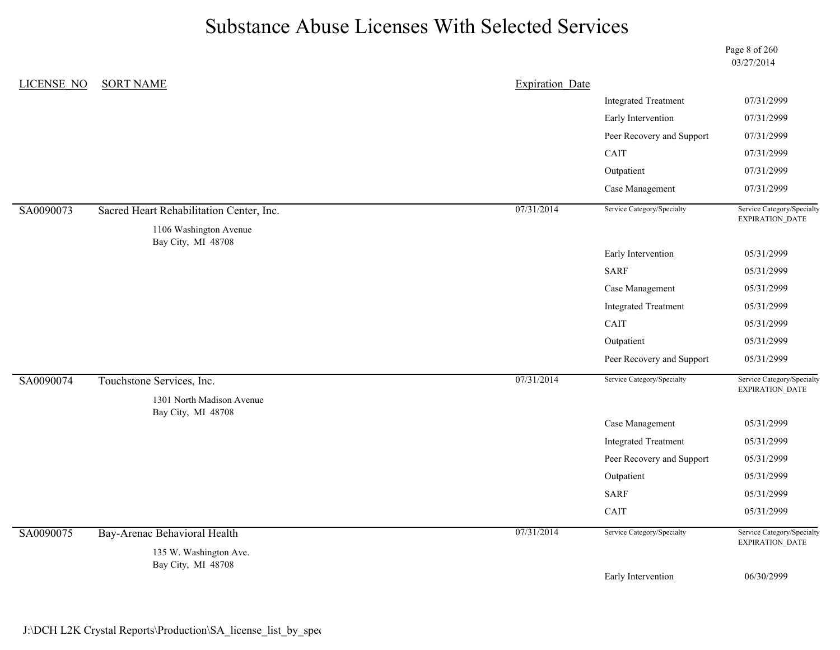Page 8 of 260 03/27/2014

| <b>LICENSE NO</b> | <b>SORT NAME</b>                             | <b>Expiration Date</b> |                             |                                               |
|-------------------|----------------------------------------------|------------------------|-----------------------------|-----------------------------------------------|
|                   |                                              |                        | <b>Integrated Treatment</b> | 07/31/2999                                    |
|                   |                                              |                        | Early Intervention          | 07/31/2999                                    |
|                   |                                              |                        | Peer Recovery and Support   | 07/31/2999                                    |
|                   |                                              |                        | CAIT                        | 07/31/2999                                    |
|                   |                                              |                        | Outpatient                  | 07/31/2999                                    |
|                   |                                              |                        | Case Management             | 07/31/2999                                    |
| SA0090073         | Sacred Heart Rehabilitation Center, Inc.     | 07/31/2014             | Service Category/Specialty  | Service Category/Specialty<br>EXPIRATION_DATE |
|                   | 1106 Washington Avenue<br>Bay City, MI 48708 |                        |                             |                                               |
|                   |                                              |                        | Early Intervention          | 05/31/2999                                    |
|                   |                                              |                        | <b>SARF</b>                 | 05/31/2999                                    |
|                   |                                              |                        | Case Management             | 05/31/2999                                    |
|                   |                                              |                        | <b>Integrated Treatment</b> | 05/31/2999                                    |
|                   |                                              |                        | CAIT                        | 05/31/2999                                    |
|                   |                                              |                        | Outpatient                  | 05/31/2999                                    |
|                   |                                              |                        | Peer Recovery and Support   | 05/31/2999                                    |
| SA0090074         | Touchstone Services, Inc.                    | 07/31/2014             | Service Category/Specialty  | Service Category/Specialty<br>EXPIRATION_DATE |
|                   | 1301 North Madison Avenue                    |                        |                             |                                               |
|                   | Bay City, MI 48708                           |                        | Case Management             | 05/31/2999                                    |
|                   |                                              |                        | <b>Integrated Treatment</b> | 05/31/2999                                    |
|                   |                                              |                        | Peer Recovery and Support   | 05/31/2999                                    |
|                   |                                              |                        | Outpatient                  | 05/31/2999                                    |
|                   |                                              |                        | <b>SARF</b>                 | 05/31/2999                                    |
|                   |                                              |                        | CAIT                        | 05/31/2999                                    |
| SA0090075         | Bay-Arenac Behavioral Health                 | 07/31/2014             | Service Category/Specialty  | Service Category/Specialty<br>EXPIRATION_DATE |
|                   |                                              |                        |                             |                                               |
|                   | 135 W. Washington Ave.<br>Bay City, MI 48708 |                        |                             |                                               |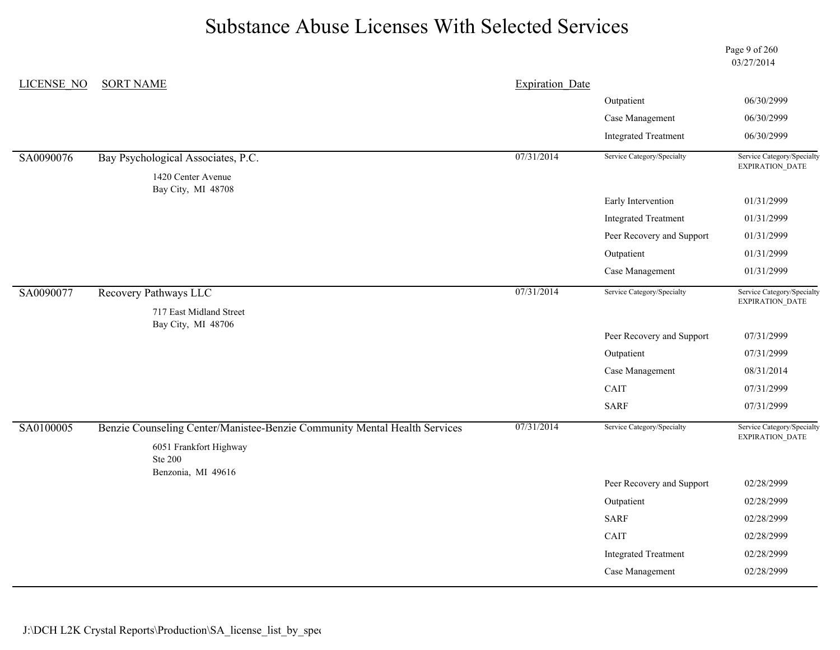Page 9 of 260 03/27/2014

| <b>LICENSE NO</b> | <b>SORT NAME</b>                                                          | <b>Expiration Date</b> |                             |                                               |
|-------------------|---------------------------------------------------------------------------|------------------------|-----------------------------|-----------------------------------------------|
|                   |                                                                           |                        | Outpatient                  | 06/30/2999                                    |
|                   |                                                                           |                        | Case Management             | 06/30/2999                                    |
|                   |                                                                           |                        | <b>Integrated Treatment</b> | 06/30/2999                                    |
| SA0090076         | Bay Psychological Associates, P.C.                                        | 07/31/2014             | Service Category/Specialty  | Service Category/Specialty<br>EXPIRATION_DATE |
|                   | 1420 Center Avenue<br>Bay City, MI 48708                                  |                        |                             |                                               |
|                   |                                                                           |                        | Early Intervention          | 01/31/2999                                    |
|                   |                                                                           |                        | <b>Integrated Treatment</b> | 01/31/2999                                    |
|                   |                                                                           |                        | Peer Recovery and Support   | 01/31/2999                                    |
|                   |                                                                           |                        | Outpatient                  | 01/31/2999                                    |
|                   |                                                                           |                        | Case Management             | 01/31/2999                                    |
| SA0090077         | Recovery Pathways LLC                                                     | 07/31/2014             | Service Category/Specialty  | Service Category/Specialty<br>EXPIRATION_DATE |
|                   | 717 East Midland Street<br>Bay City, MI 48706                             |                        |                             |                                               |
|                   |                                                                           |                        | Peer Recovery and Support   | 07/31/2999                                    |
|                   |                                                                           |                        | Outpatient                  | 07/31/2999                                    |
|                   |                                                                           |                        | Case Management             | 08/31/2014                                    |
|                   |                                                                           |                        | $\operatorname{CAIT}$       | 07/31/2999                                    |
|                   |                                                                           |                        | <b>SARF</b>                 | 07/31/2999                                    |
| SA0100005         | Benzie Counseling Center/Manistee-Benzie Community Mental Health Services | 07/31/2014             | Service Category/Specialty  | Service Category/Specialty<br>EXPIRATION_DATE |
|                   | 6051 Frankfort Highway                                                    |                        |                             |                                               |
|                   | <b>Ste 200</b><br>Benzonia, MI 49616                                      |                        |                             |                                               |
|                   |                                                                           |                        | Peer Recovery and Support   | 02/28/2999                                    |
|                   |                                                                           |                        | Outpatient                  | 02/28/2999                                    |
|                   |                                                                           |                        | <b>SARF</b>                 | 02/28/2999                                    |
|                   |                                                                           |                        | CAIT                        | 02/28/2999                                    |
|                   |                                                                           |                        | <b>Integrated Treatment</b> | 02/28/2999                                    |
|                   |                                                                           |                        | Case Management             | 02/28/2999                                    |
|                   |                                                                           |                        |                             |                                               |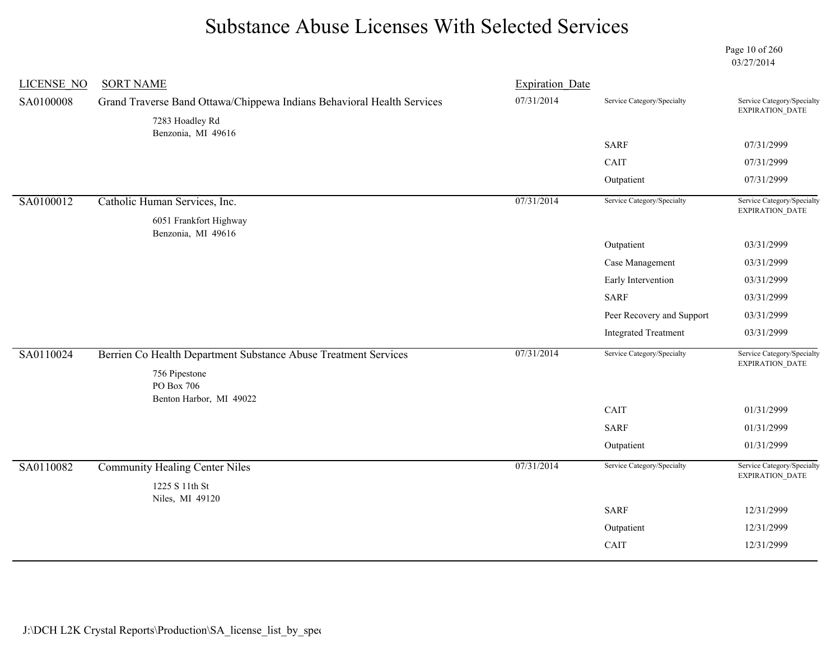Page 10 of 260 03/27/2014

| <b>LICENSE NO</b> | <b>SORT NAME</b>                                                       | <b>Expiration Date</b> |                             |                                               |
|-------------------|------------------------------------------------------------------------|------------------------|-----------------------------|-----------------------------------------------|
| SA0100008         | Grand Traverse Band Ottawa/Chippewa Indians Behavioral Health Services | 07/31/2014             | Service Category/Specialty  | Service Category/Specialty<br>EXPIRATION_DATE |
|                   | 7283 Hoadley Rd                                                        |                        |                             |                                               |
|                   | Benzonia, MI 49616                                                     |                        | <b>SARF</b>                 | 07/31/2999                                    |
|                   |                                                                        |                        | CAIT                        | 07/31/2999                                    |
|                   |                                                                        |                        | Outpatient                  | 07/31/2999                                    |
| SA0100012         | Catholic Human Services, Inc.                                          | 07/31/2014             | Service Category/Specialty  | Service Category/Specialty                    |
|                   | 6051 Frankfort Highway                                                 |                        |                             | EXPIRATION_DATE                               |
|                   | Benzonia, MI 49616                                                     |                        | Outpatient                  | 03/31/2999                                    |
|                   |                                                                        |                        | Case Management             | 03/31/2999                                    |
|                   |                                                                        |                        | Early Intervention          | 03/31/2999                                    |
|                   |                                                                        |                        | <b>SARF</b>                 | 03/31/2999                                    |
|                   |                                                                        |                        | Peer Recovery and Support   | 03/31/2999                                    |
|                   |                                                                        |                        | <b>Integrated Treatment</b> | 03/31/2999                                    |
|                   |                                                                        |                        |                             |                                               |
| SA0110024         | Berrien Co Health Department Substance Abuse Treatment Services        | 07/31/2014             | Service Category/Specialty  | Service Category/Specialty<br>EXPIRATION_DATE |
|                   | 756 Pipestone                                                          |                        |                             |                                               |
|                   | PO Box 706<br>Benton Harbor, MI 49022                                  |                        |                             |                                               |
|                   |                                                                        |                        | CAIT                        | 01/31/2999                                    |
|                   |                                                                        |                        | <b>SARF</b>                 | 01/31/2999                                    |
|                   |                                                                        |                        | Outpatient                  | 01/31/2999                                    |
| SA0110082         | <b>Community Healing Center Niles</b>                                  | 07/31/2014             | Service Category/Specialty  | Service Category/Specialty                    |
|                   | 1225 S 11th St                                                         |                        |                             | EXPIRATION_DATE                               |
|                   | Niles, MI 49120                                                        |                        | <b>SARF</b>                 |                                               |
|                   |                                                                        |                        |                             | 12/31/2999                                    |
|                   |                                                                        |                        | Outpatient                  | 12/31/2999                                    |
|                   |                                                                        |                        | CAIT                        | 12/31/2999                                    |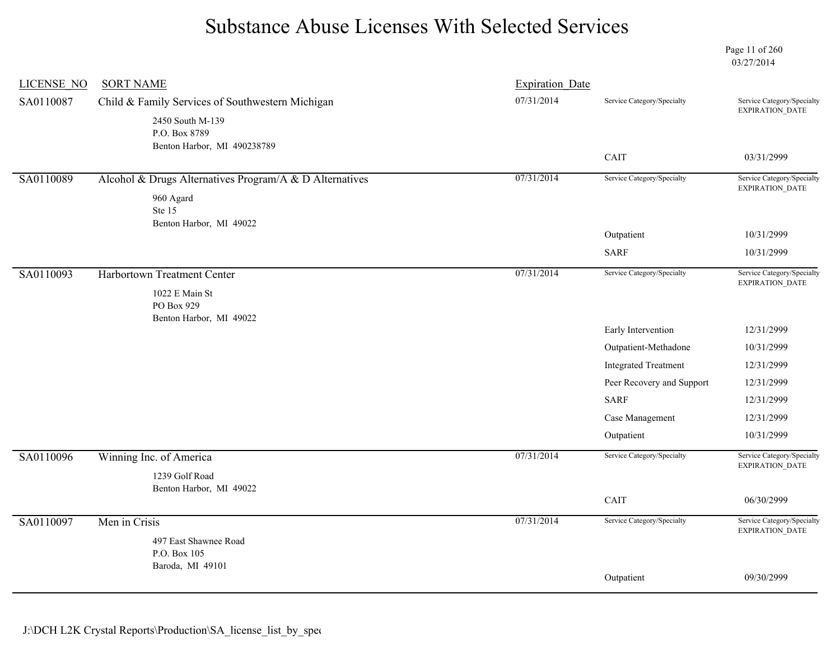Page 11 of 260 03/27/2014

| <b>LICENSE NO</b> | <b>SORT NAME</b>                                        | <b>Expiration Date</b> |                             |                                               |
|-------------------|---------------------------------------------------------|------------------------|-----------------------------|-----------------------------------------------|
| SA0110087         | Child & Family Services of Southwestern Michigan        | 07/31/2014             | Service Category/Specialty  | Service Category/Specialty<br>EXPIRATION_DATE |
|                   | 2450 South M-139                                        |                        |                             |                                               |
|                   | P.O. Box 8789<br>Benton Harbor, MI 490238789            |                        |                             |                                               |
|                   |                                                         |                        | CAIT                        | 03/31/2999                                    |
| SA0110089         | Alcohol & Drugs Alternatives Program/A & D Alternatives | 07/31/2014             | Service Category/Specialty  | Service Category/Specialty<br>EXPIRATION_DATE |
|                   | 960 Agard                                               |                        |                             |                                               |
|                   | Ste 15                                                  |                        |                             |                                               |
|                   | Benton Harbor, MI 49022                                 |                        | Outpatient                  | 10/31/2999                                    |
|                   |                                                         |                        | <b>SARF</b>                 | 10/31/2999                                    |
| SA0110093         | Harbortown Treatment Center                             | 07/31/2014             | Service Category/Specialty  | Service Category/Specialty<br>EXPIRATION_DATE |
|                   | 1022 E Main St                                          |                        |                             |                                               |
|                   | PO Box 929<br>Benton Harbor, MI 49022                   |                        |                             |                                               |
|                   |                                                         |                        | Early Intervention          | 12/31/2999                                    |
|                   |                                                         |                        | Outpatient-Methadone        | 10/31/2999                                    |
|                   |                                                         |                        | <b>Integrated Treatment</b> | 12/31/2999                                    |
|                   |                                                         |                        | Peer Recovery and Support   | 12/31/2999                                    |
|                   |                                                         |                        | <b>SARF</b>                 | 12/31/2999                                    |
|                   |                                                         |                        | Case Management             | 12/31/2999                                    |
|                   |                                                         |                        | Outpatient                  | 10/31/2999                                    |
| SA0110096         | Winning Inc. of America                                 | 07/31/2014             | Service Category/Specialty  | Service Category/Specialty<br>EXPIRATION_DATE |
|                   | 1239 Golf Road                                          |                        |                             |                                               |
|                   | Benton Harbor, MI 49022                                 |                        | CAIT                        | 06/30/2999                                    |
| SA0110097         | Men in Crisis                                           | 07/31/2014             | Service Category/Specialty  | Service Category/Specialty                    |
|                   | 497 East Shawnee Road                                   |                        |                             | $\ensuremath{\mathsf{EXPIRATION\_DATA}}$      |
|                   | P.O. Box 105                                            |                        |                             |                                               |
|                   | Baroda, MI 49101                                        |                        |                             |                                               |
|                   |                                                         |                        | Outpatient                  | 09/30/2999                                    |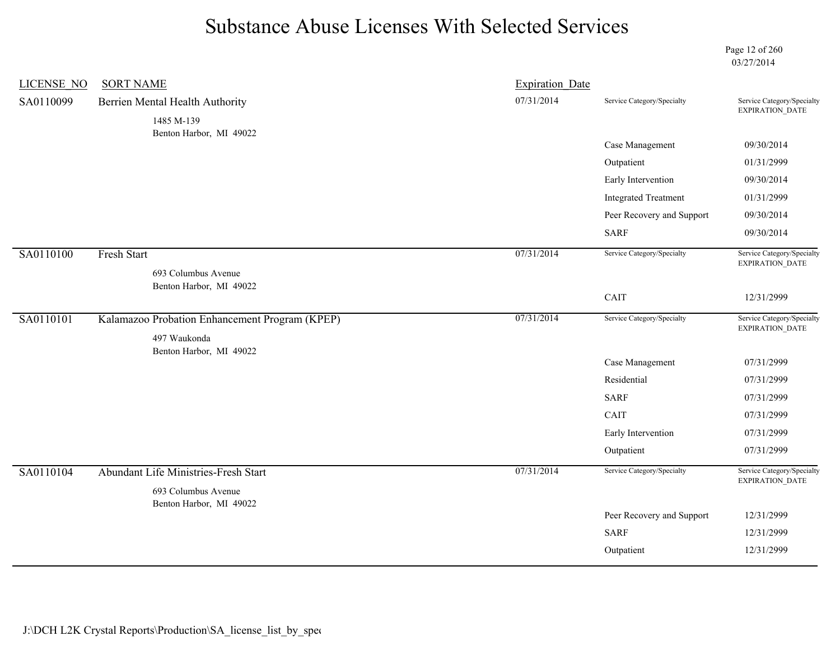Page 12 of 260 03/27/2014

| <b>LICENSE NO</b> | <b>SORT NAME</b>                                            | <b>Expiration Date</b> |                             |                                                      |
|-------------------|-------------------------------------------------------------|------------------------|-----------------------------|------------------------------------------------------|
| SA0110099         | Berrien Mental Health Authority                             | 07/31/2014             | Service Category/Specialty  | Service Category/Specialty<br>EXPIRATION_DATE        |
|                   | 1485 M-139                                                  |                        |                             |                                                      |
|                   | Benton Harbor, MI 49022                                     |                        | Case Management             | 09/30/2014                                           |
|                   |                                                             |                        | Outpatient                  | 01/31/2999                                           |
|                   |                                                             |                        | Early Intervention          | 09/30/2014                                           |
|                   |                                                             |                        | <b>Integrated Treatment</b> | 01/31/2999                                           |
|                   |                                                             |                        | Peer Recovery and Support   | 09/30/2014                                           |
|                   |                                                             |                        | <b>SARF</b>                 | 09/30/2014                                           |
| SA0110100         | <b>Fresh Start</b>                                          | 07/31/2014             | Service Category/Specialty  | Service Category/Specialty                           |
|                   | 693 Columbus Avenue                                         |                        |                             | EXPIRATION_DATE                                      |
|                   | Benton Harbor, MI 49022                                     |                        | CAIT                        | 12/31/2999                                           |
|                   |                                                             |                        |                             |                                                      |
| SA0110101         | Kalamazoo Probation Enhancement Program (KPEP)              | 07/31/2014             | Service Category/Specialty  | Service Category/Specialty<br>EXPIRATION_DATE        |
|                   | 497 Waukonda                                                |                        |                             |                                                      |
|                   | Benton Harbor, MI 49022                                     |                        | Case Management             | 07/31/2999                                           |
|                   |                                                             |                        | Residential                 | 07/31/2999                                           |
|                   |                                                             |                        | <b>SARF</b>                 | 07/31/2999                                           |
|                   |                                                             |                        | CAIT                        | 07/31/2999                                           |
|                   |                                                             |                        | Early Intervention          | 07/31/2999                                           |
|                   |                                                             |                        | Outpatient                  | 07/31/2999                                           |
| SA0110104         | Abundant Life Ministries-Fresh Start<br>693 Columbus Avenue | 07/31/2014             | Service Category/Specialty  | Service Category/Specialty<br><b>EXPIRATION DATE</b> |
|                   | Benton Harbor, MI 49022                                     |                        | Peer Recovery and Support   | 12/31/2999                                           |
|                   |                                                             |                        | <b>SARF</b>                 | 12/31/2999                                           |
|                   |                                                             |                        | Outpatient                  | 12/31/2999                                           |
|                   |                                                             |                        |                             |                                                      |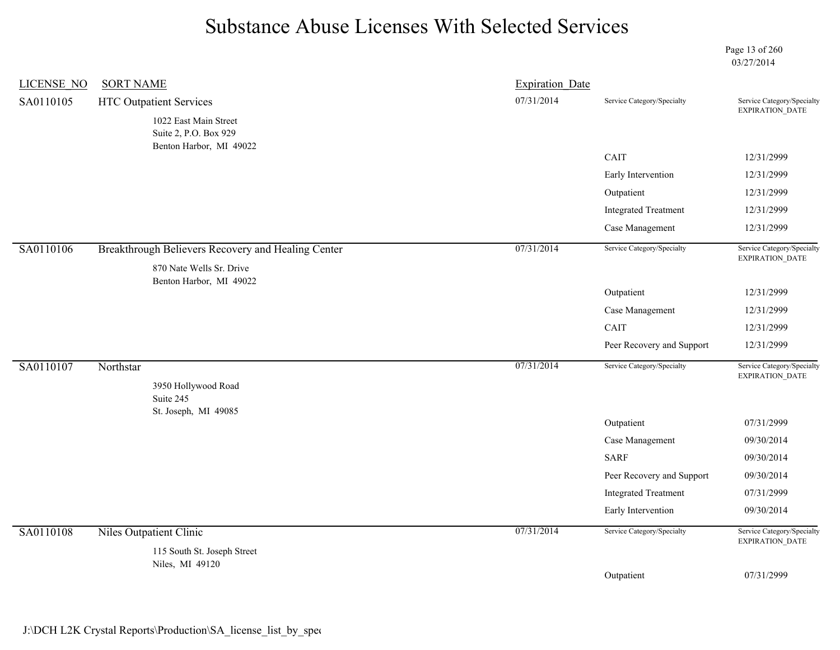Page 13 of 260 03/27/2014

| <b>LICENSE NO</b> | <b>SORT NAME</b>                                                               | <b>Expiration Date</b> |                             |                                               |
|-------------------|--------------------------------------------------------------------------------|------------------------|-----------------------------|-----------------------------------------------|
| SA0110105         | <b>HTC Outpatient Services</b>                                                 | 07/31/2014             | Service Category/Specialty  | Service Category/Specialty<br>EXPIRATION_DATE |
|                   | 1022 East Main Street<br>Suite 2, P.O. Box 929<br>Benton Harbor, MI 49022      |                        |                             |                                               |
|                   |                                                                                |                        | CAIT                        | 12/31/2999                                    |
|                   |                                                                                |                        | Early Intervention          | 12/31/2999                                    |
|                   |                                                                                |                        | Outpatient                  | 12/31/2999                                    |
|                   |                                                                                |                        | <b>Integrated Treatment</b> | 12/31/2999                                    |
|                   |                                                                                |                        | Case Management             | 12/31/2999                                    |
| SA0110106         | Breakthrough Believers Recovery and Healing Center<br>870 Nate Wells Sr. Drive | 07/31/2014             | Service Category/Specialty  | Service Category/Specialty<br>EXPIRATION_DATE |
|                   | Benton Harbor, MI 49022                                                        |                        | Outpatient                  | 12/31/2999                                    |
|                   |                                                                                |                        | Case Management             | 12/31/2999                                    |
|                   |                                                                                |                        | CAIT                        | 12/31/2999                                    |
|                   |                                                                                |                        | Peer Recovery and Support   | 12/31/2999                                    |
| SA0110107         | Northstar<br>3950 Hollywood Road<br>Suite 245                                  | 07/31/2014             | Service Category/Specialty  | Service Category/Specialty<br>EXPIRATION_DATE |
|                   | St. Joseph, MI 49085                                                           |                        | Outpatient                  | 07/31/2999                                    |
|                   |                                                                                |                        | Case Management             | 09/30/2014                                    |
|                   |                                                                                |                        | <b>SARF</b>                 | 09/30/2014                                    |
|                   |                                                                                |                        | Peer Recovery and Support   | 09/30/2014                                    |
|                   |                                                                                |                        | <b>Integrated Treatment</b> | 07/31/2999                                    |
|                   |                                                                                |                        | Early Intervention          | 09/30/2014                                    |
| SA0110108         | Niles Outpatient Clinic<br>115 South St. Joseph Street                         | 07/31/2014             | Service Category/Specialty  | Service Category/Specialty<br>EXPIRATION_DATE |
|                   | Niles, MI 49120                                                                |                        |                             |                                               |
|                   |                                                                                |                        | Outpatient                  | 07/31/2999                                    |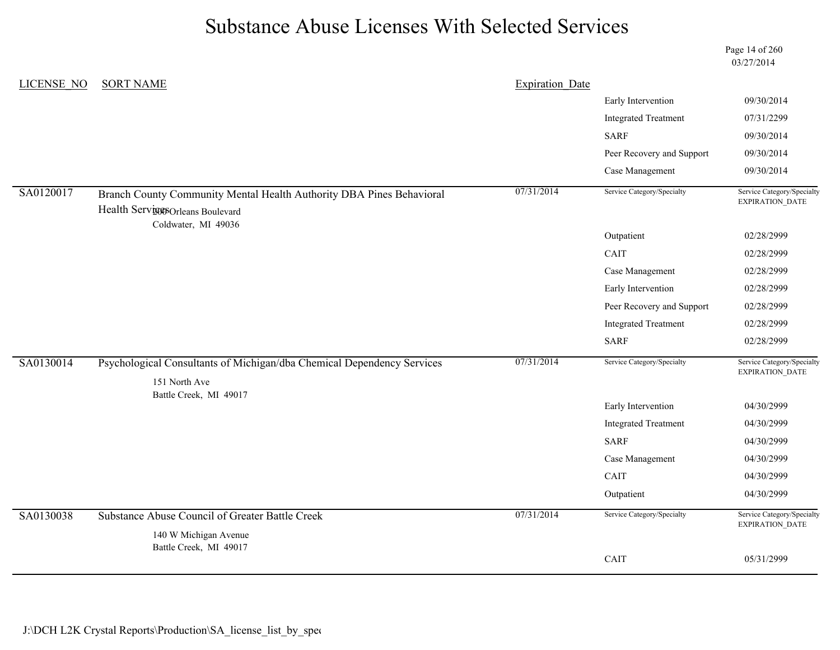Page 14 of 260 03/27/2014

| LICENSE NO | <b>SORT NAME</b>                                                                                                         | <b>Expiration Date</b> |                             |                                                      |
|------------|--------------------------------------------------------------------------------------------------------------------------|------------------------|-----------------------------|------------------------------------------------------|
|            |                                                                                                                          |                        | Early Intervention          | 09/30/2014                                           |
|            |                                                                                                                          |                        | <b>Integrated Treatment</b> | 07/31/2299                                           |
|            |                                                                                                                          |                        | <b>SARF</b>                 | 09/30/2014                                           |
|            |                                                                                                                          |                        | Peer Recovery and Support   | 09/30/2014                                           |
|            |                                                                                                                          |                        | Case Management             | 09/30/2014                                           |
| SA0120017  | Branch County Community Mental Health Authority DBA Pines Behavioral<br>Health Services Boulevard<br>Coldwater, MI 49036 | 07/31/2014             | Service Category/Specialty  | Service Category/Specialty<br>EXPIRATION_DATE        |
|            |                                                                                                                          |                        | Outpatient                  | 02/28/2999                                           |
|            |                                                                                                                          |                        | CAIT                        | 02/28/2999                                           |
|            |                                                                                                                          |                        | Case Management             | 02/28/2999                                           |
|            |                                                                                                                          |                        | Early Intervention          | 02/28/2999                                           |
|            |                                                                                                                          |                        | Peer Recovery and Support   | 02/28/2999                                           |
|            |                                                                                                                          |                        | <b>Integrated Treatment</b> | 02/28/2999                                           |
|            |                                                                                                                          |                        | <b>SARF</b>                 | 02/28/2999                                           |
| SA0130014  | Psychological Consultants of Michigan/dba Chemical Dependency Services                                                   | 07/31/2014             | Service Category/Specialty  | Service Category/Specialty<br>EXPIRATION_DATE        |
|            | 151 North Ave<br>Battle Creek, MI 49017                                                                                  |                        |                             |                                                      |
|            |                                                                                                                          |                        | Early Intervention          | 04/30/2999                                           |
|            |                                                                                                                          |                        | <b>Integrated Treatment</b> | 04/30/2999                                           |
|            |                                                                                                                          |                        | <b>SARF</b>                 | 04/30/2999                                           |
|            |                                                                                                                          |                        | Case Management             | 04/30/2999                                           |
|            |                                                                                                                          |                        | CAIT                        | 04/30/2999                                           |
|            |                                                                                                                          |                        | Outpatient                  | 04/30/2999                                           |
| SA0130038  | Substance Abuse Council of Greater Battle Creek<br>140 W Michigan Avenue                                                 | 07/31/2014             | Service Category/Specialty  | Service Category/Specialty<br><b>EXPIRATION DATE</b> |
|            | Battle Creek, MI 49017                                                                                                   |                        |                             |                                                      |
|            |                                                                                                                          |                        | CAIT                        | 05/31/2999                                           |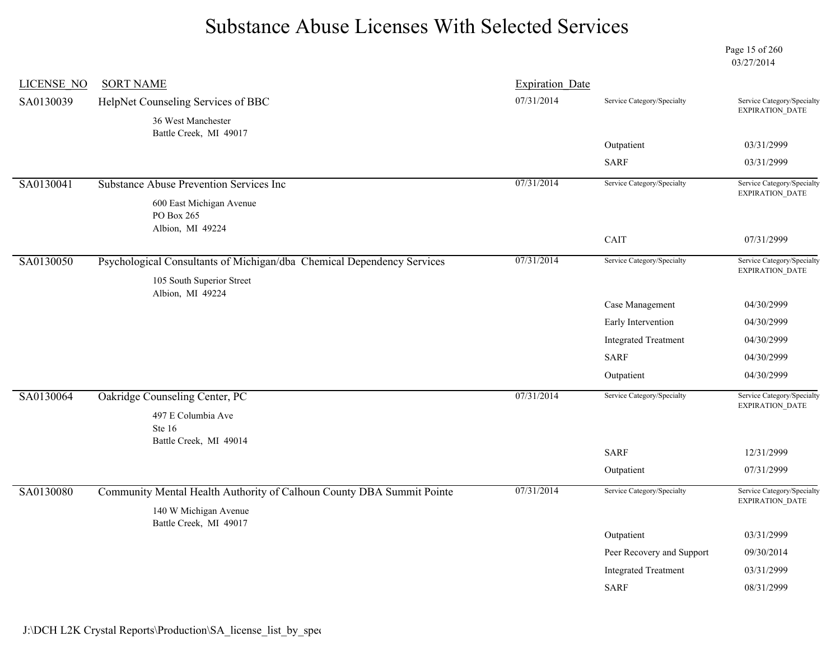Page 15 of 260 03/27/2014

| LICENSE NO | <b>SORT NAME</b>                                                                               | <b>Expiration Date</b> |                             |                                                      |
|------------|------------------------------------------------------------------------------------------------|------------------------|-----------------------------|------------------------------------------------------|
| SA0130039  | HelpNet Counseling Services of BBC                                                             | 07/31/2014             | Service Category/Specialty  | Service Category/Specialty<br><b>EXPIRATION DATE</b> |
|            | 36 West Manchester<br>Battle Creek, MI 49017                                                   |                        |                             |                                                      |
|            |                                                                                                |                        | Outpatient                  | 03/31/2999                                           |
|            |                                                                                                |                        | <b>SARF</b>                 | 03/31/2999                                           |
| SA0130041  | Substance Abuse Prevention Services Inc                                                        | 07/31/2014             | Service Category/Specialty  | Service Category/Specialty<br>EXPIRATION_DATE        |
|            | 600 East Michigan Avenue<br>PO Box 265<br>Albion, MI 49224                                     |                        |                             |                                                      |
|            |                                                                                                |                        | CAIT                        | 07/31/2999                                           |
| SA0130050  | Psychological Consultants of Michigan/dba Chemical Dependency Services                         | 07/31/2014             | Service Category/Specialty  | Service Category/Specialty<br><b>EXPIRATION DATE</b> |
|            | 105 South Superior Street<br>Albion, MI 49224                                                  |                        |                             |                                                      |
|            |                                                                                                |                        | Case Management             | 04/30/2999                                           |
|            |                                                                                                |                        | Early Intervention          | 04/30/2999                                           |
|            |                                                                                                |                        | <b>Integrated Treatment</b> | 04/30/2999                                           |
|            |                                                                                                |                        | <b>SARF</b>                 | 04/30/2999                                           |
|            |                                                                                                |                        | Outpatient                  | 04/30/2999                                           |
| SA0130064  | Oakridge Counseling Center, PC                                                                 | 07/31/2014             | Service Category/Specialty  | Service Category/Specialty<br><b>EXPIRATION DATE</b> |
|            | 497 E Columbia Ave                                                                             |                        |                             |                                                      |
|            | Ste 16<br>Battle Creek, MI 49014                                                               |                        |                             |                                                      |
|            |                                                                                                |                        | <b>SARF</b>                 | 12/31/2999                                           |
|            |                                                                                                |                        | Outpatient                  | 07/31/2999                                           |
| SA0130080  | Community Mental Health Authority of Calhoun County DBA Summit Pointe<br>140 W Michigan Avenue | 07/31/2014             | Service Category/Specialty  | Service Category/Specialty<br>EXPIRATION_DATE        |
|            | Battle Creek, MI 49017                                                                         |                        | Outpatient                  | 03/31/2999                                           |
|            |                                                                                                |                        | Peer Recovery and Support   | 09/30/2014                                           |
|            |                                                                                                |                        | <b>Integrated Treatment</b> | 03/31/2999                                           |
|            |                                                                                                |                        | <b>SARF</b>                 | 08/31/2999                                           |
|            |                                                                                                |                        |                             |                                                      |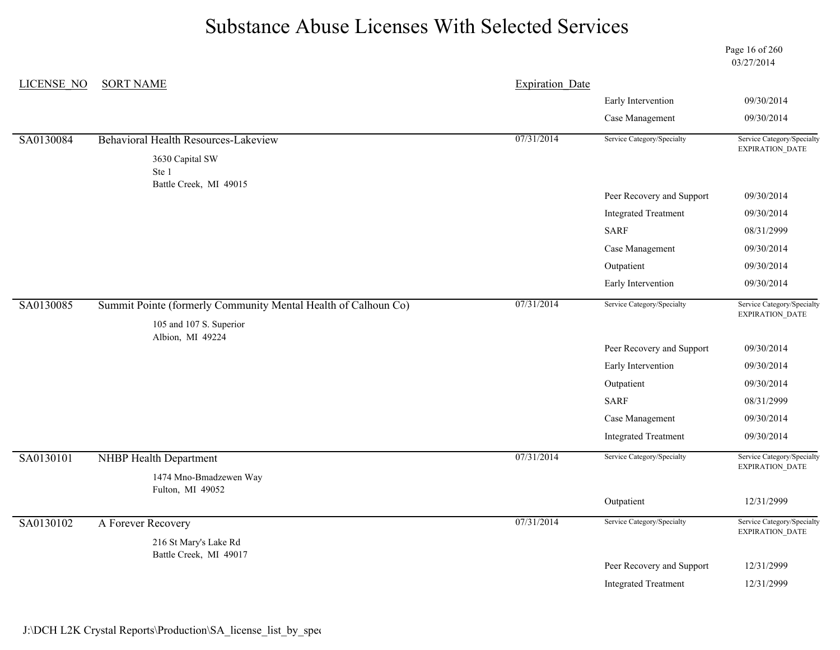Page 16 of 260 03/27/2014

| LICENSE NO | <b>SORT NAME</b>                                               | <b>Expiration Date</b> |                                                                                                                                                                                                                                                                                                                                                                                                                                                       |                                               |
|------------|----------------------------------------------------------------|------------------------|-------------------------------------------------------------------------------------------------------------------------------------------------------------------------------------------------------------------------------------------------------------------------------------------------------------------------------------------------------------------------------------------------------------------------------------------------------|-----------------------------------------------|
|            |                                                                |                        | Early Intervention<br>09/30/2014<br>Case Management<br>09/30/2014<br>Service Category/Specialty<br>Service Category/Specialty<br>EXPIRATION_DATE<br>Peer Recovery and Support<br>09/30/2014<br><b>Integrated Treatment</b><br>09/30/2014<br><b>SARF</b><br>08/31/2999<br>Case Management<br>09/30/2014<br>Outpatient<br>09/30/2014<br>Early Intervention<br>09/30/2014<br>Service Category/Specialty<br>Service Category/Specialty<br>EXPIRATION_DATE |                                               |
|            |                                                                |                        |                                                                                                                                                                                                                                                                                                                                                                                                                                                       |                                               |
| SA0130084  | Behavioral Health Resources-Lakeview                           | 07/31/2014             |                                                                                                                                                                                                                                                                                                                                                                                                                                                       |                                               |
|            | 3630 Capital SW<br>Ste 1                                       |                        |                                                                                                                                                                                                                                                                                                                                                                                                                                                       |                                               |
|            | Battle Creek, MI 49015                                         |                        |                                                                                                                                                                                                                                                                                                                                                                                                                                                       |                                               |
|            |                                                                |                        |                                                                                                                                                                                                                                                                                                                                                                                                                                                       |                                               |
|            |                                                                |                        |                                                                                                                                                                                                                                                                                                                                                                                                                                                       |                                               |
|            |                                                                |                        |                                                                                                                                                                                                                                                                                                                                                                                                                                                       |                                               |
|            |                                                                |                        |                                                                                                                                                                                                                                                                                                                                                                                                                                                       |                                               |
|            |                                                                |                        |                                                                                                                                                                                                                                                                                                                                                                                                                                                       |                                               |
| SA0130085  | Summit Pointe (formerly Community Mental Health of Calhoun Co) | 07/31/2014             |                                                                                                                                                                                                                                                                                                                                                                                                                                                       |                                               |
|            | 105 and 107 S. Superior                                        |                        |                                                                                                                                                                                                                                                                                                                                                                                                                                                       |                                               |
|            | Albion, MI 49224                                               |                        | Peer Recovery and Support                                                                                                                                                                                                                                                                                                                                                                                                                             | 09/30/2014                                    |
|            |                                                                |                        | Early Intervention                                                                                                                                                                                                                                                                                                                                                                                                                                    | 09/30/2014                                    |
|            |                                                                |                        | Outpatient                                                                                                                                                                                                                                                                                                                                                                                                                                            | 09/30/2014                                    |
|            |                                                                |                        | <b>SARF</b>                                                                                                                                                                                                                                                                                                                                                                                                                                           | 08/31/2999                                    |
|            |                                                                |                        | Case Management                                                                                                                                                                                                                                                                                                                                                                                                                                       | 09/30/2014                                    |
|            |                                                                |                        | <b>Integrated Treatment</b>                                                                                                                                                                                                                                                                                                                                                                                                                           | 09/30/2014                                    |
| SA0130101  | NHBP Health Department                                         | 07/31/2014             | Service Category/Specialty                                                                                                                                                                                                                                                                                                                                                                                                                            | Service Category/Specialty<br>EXPIRATION_DATE |
|            | 1474 Mno-Bmadzewen Way                                         |                        |                                                                                                                                                                                                                                                                                                                                                                                                                                                       |                                               |
|            | Fulton, MI 49052                                               |                        | Outpatient                                                                                                                                                                                                                                                                                                                                                                                                                                            | 12/31/2999                                    |
| SA0130102  | A Forever Recovery                                             | 07/31/2014             | Service Category/Specialty                                                                                                                                                                                                                                                                                                                                                                                                                            | Service Category/Specialty                    |
|            | 216 St Mary's Lake Rd                                          |                        |                                                                                                                                                                                                                                                                                                                                                                                                                                                       | EXPIRATION_DATE                               |
|            | Battle Creek, MI 49017                                         |                        | Peer Recovery and Support                                                                                                                                                                                                                                                                                                                                                                                                                             | 12/31/2999                                    |
|            |                                                                |                        |                                                                                                                                                                                                                                                                                                                                                                                                                                                       |                                               |
|            |                                                                |                        | <b>Integrated Treatment</b>                                                                                                                                                                                                                                                                                                                                                                                                                           | 12/31/2999                                    |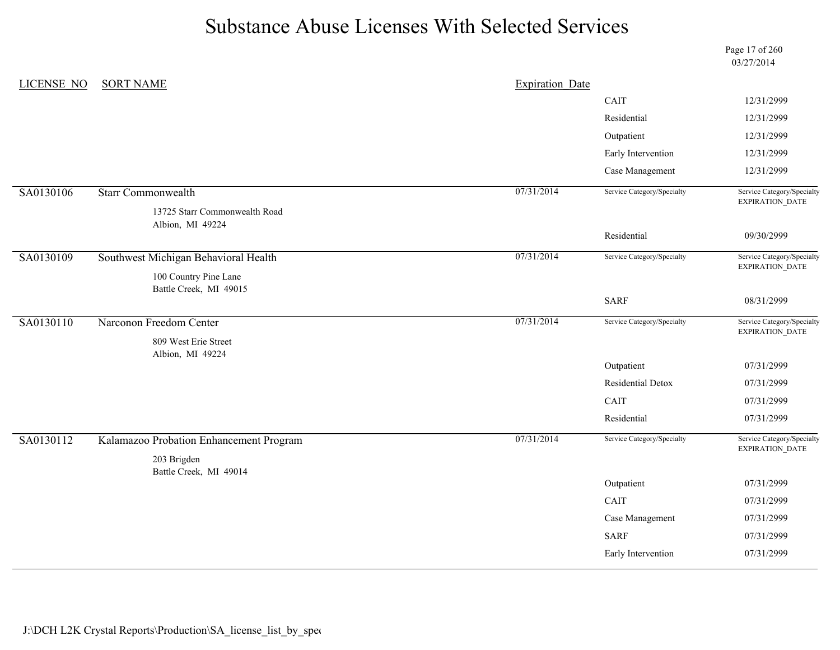Page 17 of 260 03/27/2014

| LICENSE NO | <b>SORT NAME</b>                                | <b>Expiration Date</b> |                            |                                               |
|------------|-------------------------------------------------|------------------------|----------------------------|-----------------------------------------------|
|            |                                                 |                        | CAIT                       | 12/31/2999                                    |
|            |                                                 |                        | Residential                | 12/31/2999                                    |
|            |                                                 |                        | Outpatient                 | 12/31/2999                                    |
|            |                                                 |                        | Early Intervention         | 12/31/2999                                    |
|            |                                                 |                        | Case Management            | 12/31/2999                                    |
| SA0130106  | <b>Starr Commonwealth</b>                       | 07/31/2014             | Service Category/Specialty | Service Category/Specialty<br>EXPIRATION_DATE |
|            | 13725 Starr Commonwealth Road                   |                        |                            |                                               |
|            | Albion, MI 49224                                |                        | Residential                | 09/30/2999                                    |
|            |                                                 |                        |                            |                                               |
| SA0130109  | Southwest Michigan Behavioral Health            | 07/31/2014             | Service Category/Specialty | Service Category/Specialty<br>EXPIRATION_DATE |
|            | 100 Country Pine Lane<br>Battle Creek, MI 49015 |                        |                            |                                               |
|            |                                                 |                        | <b>SARF</b>                | 08/31/2999                                    |
| SA0130110  | Narconon Freedom Center                         | 07/31/2014             | Service Category/Specialty | Service Category/Specialty                    |
|            | 809 West Erie Street<br>Albion, MI 49224        |                        |                            | EXPIRATION_DATE                               |
|            |                                                 |                        | Outpatient                 | 07/31/2999                                    |
|            |                                                 |                        | Residential Detox          | 07/31/2999                                    |
|            |                                                 |                        | CAIT                       | 07/31/2999                                    |
|            |                                                 |                        | Residential                | 07/31/2999                                    |
| SA0130112  | Kalamazoo Probation Enhancement Program         | 07/31/2014             | Service Category/Specialty | Service Category/Specialty<br>EXPIRATION_DATE |
|            | 203 Brigden                                     |                        |                            |                                               |
|            | Battle Creek, MI 49014                          |                        | Outpatient                 | 07/31/2999                                    |
|            |                                                 |                        |                            |                                               |
|            |                                                 |                        | CAIT                       | 07/31/2999                                    |
|            |                                                 |                        | Case Management            | 07/31/2999                                    |
|            |                                                 |                        | <b>SARF</b>                | 07/31/2999                                    |
|            |                                                 |                        | Early Intervention         | 07/31/2999                                    |
|            |                                                 |                        |                            |                                               |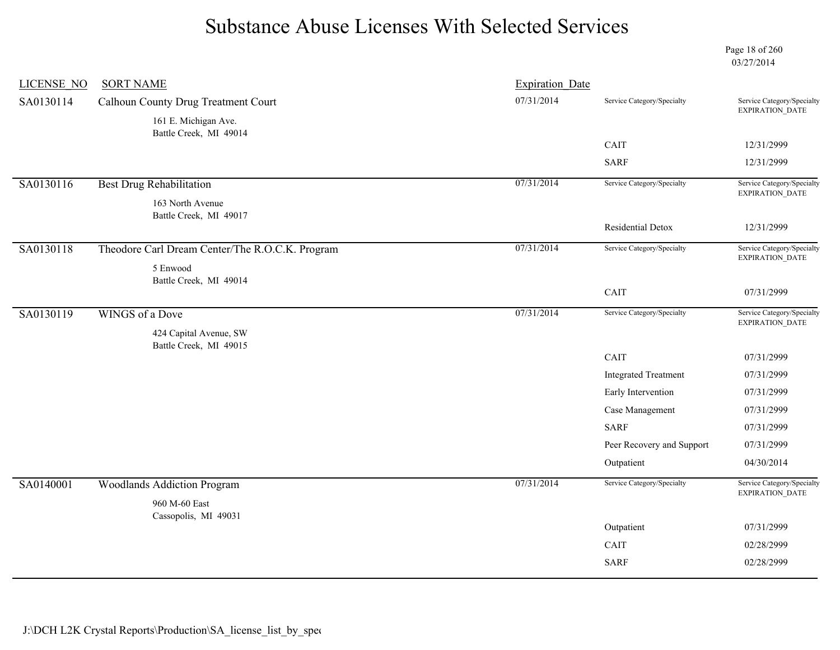Page 18 of 260 03/27/2014

| <b>LICENSE NO</b> | <b>SORT NAME</b>                                 | <b>Expiration Date</b> |                             |                                               |
|-------------------|--------------------------------------------------|------------------------|-----------------------------|-----------------------------------------------|
| SA0130114         | Calhoun County Drug Treatment Court              | 07/31/2014             | Service Category/Specialty  | Service Category/Specialty<br>EXPIRATION_DATE |
|                   | 161 E. Michigan Ave.                             |                        |                             |                                               |
|                   | Battle Creek, MI 49014                           |                        | CAIT                        | 12/31/2999                                    |
|                   |                                                  |                        |                             |                                               |
|                   |                                                  |                        | <b>SARF</b>                 | 12/31/2999                                    |
| SA0130116         | <b>Best Drug Rehabilitation</b>                  | 07/31/2014             | Service Category/Specialty  | Service Category/Specialty<br>EXPIRATION_DATE |
|                   | 163 North Avenue                                 |                        |                             |                                               |
|                   | Battle Creek, MI 49017                           |                        | Residential Detox           | 12/31/2999                                    |
|                   |                                                  |                        |                             |                                               |
| SA0130118         | Theodore Carl Dream Center/The R.O.C.K. Program  | 07/31/2014             | Service Category/Specialty  | Service Category/Specialty<br>EXPIRATION_DATE |
|                   | 5 Enwood<br>Battle Creek, MI 49014               |                        |                             |                                               |
|                   |                                                  |                        | CAIT                        | 07/31/2999                                    |
| SA0130119         | WINGS of a Dove                                  | 07/31/2014             | Service Category/Specialty  | Service Category/Specialty                    |
|                   |                                                  |                        |                             | EXPIRATION_DATE                               |
|                   | 424 Capital Avenue, SW<br>Battle Creek, MI 49015 |                        |                             |                                               |
|                   |                                                  |                        | CAIT                        | 07/31/2999                                    |
|                   |                                                  |                        | <b>Integrated Treatment</b> | 07/31/2999                                    |
|                   |                                                  |                        | Early Intervention          | 07/31/2999                                    |
|                   |                                                  |                        | Case Management             | 07/31/2999                                    |
|                   |                                                  |                        | <b>SARF</b>                 | 07/31/2999                                    |
|                   |                                                  |                        | Peer Recovery and Support   | 07/31/2999                                    |
|                   |                                                  |                        | Outpatient                  | 04/30/2014                                    |
| SA0140001         | <b>Woodlands Addiction Program</b>               | 07/31/2014             | Service Category/Specialty  | Service Category/Specialty<br>EXPIRATION_DATE |
|                   | 960 M-60 East<br>Cassopolis, MI 49031            |                        |                             |                                               |
|                   |                                                  |                        | Outpatient                  | 07/31/2999                                    |
|                   |                                                  |                        |                             |                                               |
|                   |                                                  |                        | CAIT                        | 02/28/2999                                    |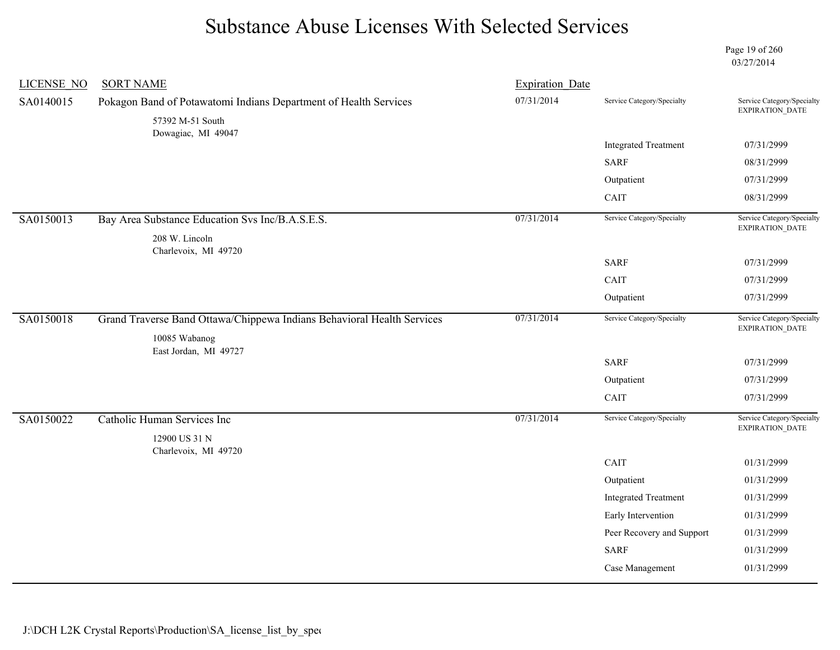Page 19 of 260 03/27/2014

| <b>LICENSE NO</b> | <b>SORT NAME</b>                                                                     | <b>Expiration Date</b> |                             |                                               |
|-------------------|--------------------------------------------------------------------------------------|------------------------|-----------------------------|-----------------------------------------------|
| SA0140015         | Pokagon Band of Potawatomi Indians Department of Health Services<br>57392 M-51 South | 07/31/2014             | Service Category/Specialty  | Service Category/Specialty<br>EXPIRATION_DATE |
|                   | Dowagiac, MI 49047                                                                   |                        |                             |                                               |
|                   |                                                                                      |                        | <b>Integrated Treatment</b> | 07/31/2999                                    |
|                   |                                                                                      |                        | <b>SARF</b>                 | 08/31/2999                                    |
|                   |                                                                                      |                        | Outpatient                  | 07/31/2999                                    |
|                   |                                                                                      |                        | CAIT                        | 08/31/2999                                    |
| SA0150013         | Bay Area Substance Education Svs Inc/B.A.S.E.S.                                      | 07/31/2014             | Service Category/Specialty  | Service Category/Specialty<br>EXPIRATION_DATE |
|                   | 208 W. Lincoln                                                                       |                        |                             |                                               |
|                   | Charlevoix, MI 49720                                                                 |                        | <b>SARF</b>                 | 07/31/2999                                    |
|                   |                                                                                      |                        | CAIT                        | 07/31/2999                                    |
|                   |                                                                                      |                        | Outpatient                  | 07/31/2999                                    |
| SA0150018         | Grand Traverse Band Ottawa/Chippewa Indians Behavioral Health Services               | 07/31/2014             | Service Category/Specialty  | Service Category/Specialty<br>EXPIRATION_DATE |
|                   | 10085 Wabanog<br>East Jordan, MI 49727                                               |                        |                             |                                               |
|                   |                                                                                      |                        | <b>SARF</b>                 | 07/31/2999                                    |
|                   |                                                                                      |                        | Outpatient                  | 07/31/2999                                    |
|                   |                                                                                      |                        | CAIT                        | 07/31/2999                                    |
| SA0150022         | Catholic Human Services Inc                                                          | 07/31/2014             | Service Category/Specialty  | Service Category/Specialty<br>EXPIRATION_DATE |
|                   | 12900 US 31 N                                                                        |                        |                             |                                               |
|                   | Charlevoix, MI 49720                                                                 |                        | CAIT                        | 01/31/2999                                    |
|                   |                                                                                      |                        | Outpatient                  | 01/31/2999                                    |
|                   |                                                                                      |                        | <b>Integrated Treatment</b> | 01/31/2999                                    |
|                   |                                                                                      |                        | Early Intervention          | 01/31/2999                                    |
|                   |                                                                                      |                        | Peer Recovery and Support   | 01/31/2999                                    |
|                   |                                                                                      |                        | <b>SARF</b>                 | 01/31/2999                                    |
|                   |                                                                                      |                        | Case Management             | 01/31/2999                                    |
|                   |                                                                                      |                        |                             |                                               |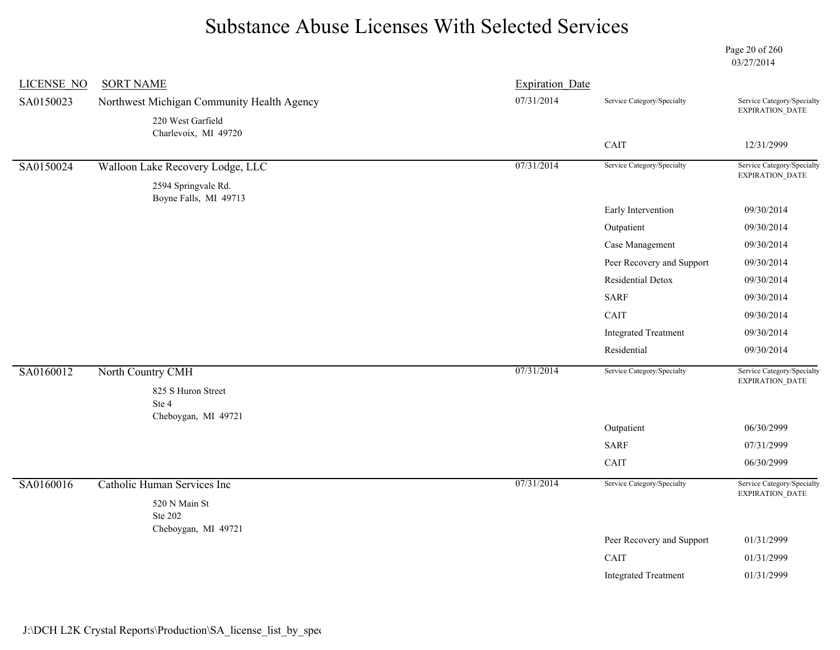Page 20 of 260 03/27/2014

| <b>LICENSE NO</b> | <b>SORT NAME</b>                             | <b>Expiration Date</b> |                             |                                                                                                                                                                                                                                                                                             |
|-------------------|----------------------------------------------|------------------------|-----------------------------|---------------------------------------------------------------------------------------------------------------------------------------------------------------------------------------------------------------------------------------------------------------------------------------------|
| SA0150023         | Northwest Michigan Community Health Agency   | 07/31/2014             | Service Category/Specialty  | Service Category/Specialty                                                                                                                                                                                                                                                                  |
|                   | 220 West Garfield<br>Charlevoix, MI 49720    |                        |                             |                                                                                                                                                                                                                                                                                             |
|                   |                                              |                        | CAIT                        | 12/31/2999                                                                                                                                                                                                                                                                                  |
| SA0150024         | Walloon Lake Recovery Lodge, LLC             | 07/31/2014             | Service Category/Specialty  | EXPIRATION_DATE                                                                                                                                                                                                                                                                             |
|                   | 2594 Springvale Rd.<br>Boyne Falls, MI 49713 |                        |                             |                                                                                                                                                                                                                                                                                             |
|                   |                                              |                        | Early Intervention          | 09/30/2014                                                                                                                                                                                                                                                                                  |
|                   |                                              |                        | Outpatient                  | 09/30/2014                                                                                                                                                                                                                                                                                  |
|                   |                                              |                        | Case Management             | 09/30/2014                                                                                                                                                                                                                                                                                  |
|                   |                                              |                        | Peer Recovery and Support   | EXPIRATION_DATE<br>Service Category/Specialty<br>09/30/2014<br>09/30/2014<br>09/30/2014<br>09/30/2014<br>09/30/2014<br>09/30/2014<br>Service Category/Specialty<br>EXPIRATION_DATE<br>06/30/2999<br>07/31/2999<br>06/30/2999<br>Service Category/Specialty<br>EXPIRATION_DATE<br>01/31/2999 |
|                   |                                              |                        | Residential Detox           |                                                                                                                                                                                                                                                                                             |
|                   |                                              |                        | <b>SARF</b>                 |                                                                                                                                                                                                                                                                                             |
|                   |                                              |                        | CAIT                        |                                                                                                                                                                                                                                                                                             |
|                   |                                              |                        | <b>Integrated Treatment</b> |                                                                                                                                                                                                                                                                                             |
|                   |                                              |                        | Residential                 |                                                                                                                                                                                                                                                                                             |
| SA0160012         | North Country CMH                            | 07/31/2014             | Service Category/Specialty  |                                                                                                                                                                                                                                                                                             |
|                   | 825 S Huron Street<br>Ste 4                  |                        |                             |                                                                                                                                                                                                                                                                                             |
|                   | Cheboygan, MI 49721                          |                        | Outpatient                  |                                                                                                                                                                                                                                                                                             |
|                   |                                              |                        | <b>SARF</b>                 |                                                                                                                                                                                                                                                                                             |
|                   |                                              |                        | CAIT                        |                                                                                                                                                                                                                                                                                             |
| SA0160016         | Catholic Human Services Inc                  | 07/31/2014             | Service Category/Specialty  |                                                                                                                                                                                                                                                                                             |
|                   | $520$ N Main St<br><b>Ste 202</b>            |                        |                             |                                                                                                                                                                                                                                                                                             |
|                   | Cheboygan, MI 49721                          |                        | Peer Recovery and Support   |                                                                                                                                                                                                                                                                                             |
|                   |                                              |                        | CAIT                        | 01/31/2999                                                                                                                                                                                                                                                                                  |
|                   |                                              |                        | <b>Integrated Treatment</b> | 01/31/2999                                                                                                                                                                                                                                                                                  |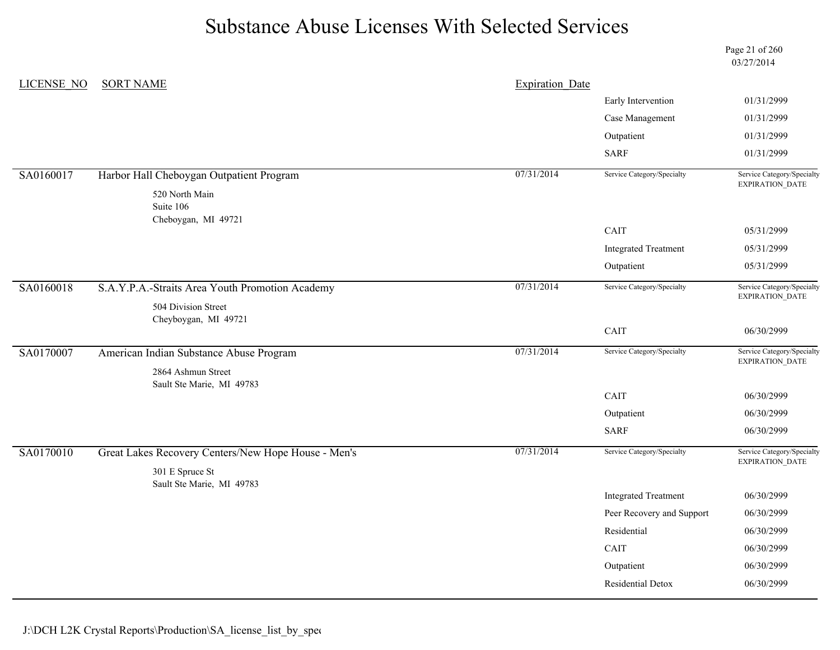Page 21 of 260 03/27/2014

| LICENSE NO | <b>SORT NAME</b>                                    | <b>Expiration Date</b> |                             |                                               |
|------------|-----------------------------------------------------|------------------------|-----------------------------|-----------------------------------------------|
|            |                                                     |                        | Early Intervention          | 01/31/2999                                    |
|            |                                                     |                        | Case Management             | 01/31/2999                                    |
|            |                                                     |                        | Outpatient                  | 01/31/2999                                    |
|            |                                                     |                        | <b>SARF</b>                 | 01/31/2999                                    |
| SA0160017  | Harbor Hall Cheboygan Outpatient Program            | 07/31/2014             | Service Category/Specialty  | Service Category/Specialty<br>EXPIRATION_DATE |
|            | 520 North Main                                      |                        |                             |                                               |
|            | Suite 106<br>Cheboygan, MI 49721                    |                        |                             |                                               |
|            |                                                     |                        | CAIT                        | 05/31/2999                                    |
|            |                                                     |                        | <b>Integrated Treatment</b> | 05/31/2999                                    |
|            |                                                     |                        | Outpatient                  | 05/31/2999                                    |
| SA0160018  | S.A.Y.P.A.-Straits Area Youth Promotion Academy     | 07/31/2014             | Service Category/Specialty  | Service Category/Specialty<br>EXPIRATION_DATE |
|            | 504 Division Street                                 |                        |                             |                                               |
|            | Cheyboygan, MI 49721                                |                        | CAIT                        | 06/30/2999                                    |
|            |                                                     |                        |                             |                                               |
| SA0170007  | American Indian Substance Abuse Program             | 07/31/2014             | Service Category/Specialty  | Service Category/Specialty<br>EXPIRATION_DATE |
|            | 2864 Ashmun Street                                  |                        |                             |                                               |
|            | Sault Ste Marie, MI 49783                           |                        | CAIT                        | 06/30/2999                                    |
|            |                                                     |                        | Outpatient                  | 06/30/2999                                    |
|            |                                                     |                        | <b>SARF</b>                 | 06/30/2999                                    |
| SA0170010  | Great Lakes Recovery Centers/New Hope House - Men's | 07/31/2014             | Service Category/Specialty  | Service Category/Specialty<br>EXPIRATION_DATE |
|            | 301 E Spruce St                                     |                        |                             |                                               |
|            | Sault Ste Marie, MI 49783                           |                        | <b>Integrated Treatment</b> | 06/30/2999                                    |
|            |                                                     |                        | Peer Recovery and Support   | 06/30/2999                                    |
|            |                                                     |                        | Residential                 | 06/30/2999                                    |
|            |                                                     |                        | CAIT                        | 06/30/2999                                    |
|            |                                                     |                        | Outpatient                  | 06/30/2999                                    |
|            |                                                     |                        | Residential Detox           | 06/30/2999                                    |
|            |                                                     |                        |                             |                                               |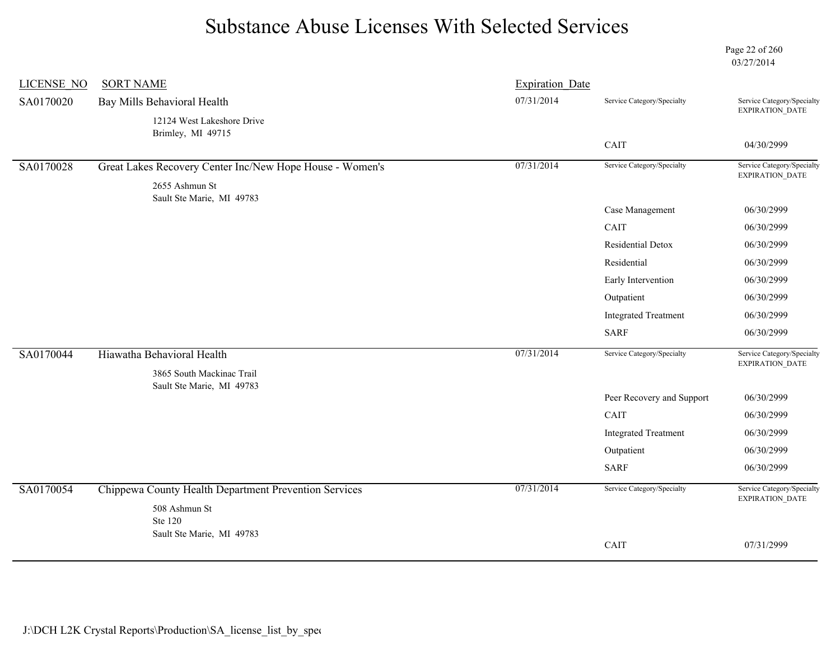Page 22 of 260 03/27/2014

| <b>LICENSE NO</b> | <b>SORT NAME</b>                                         | <b>Expiration Date</b> |                             |                                                      |
|-------------------|----------------------------------------------------------|------------------------|-----------------------------|------------------------------------------------------|
| SA0170020         | Bay Mills Behavioral Health                              | 07/31/2014             | Service Category/Specialty  | Service Category/Specialty<br>EXPIRATION_DATE        |
|                   | 12124 West Lakeshore Drive<br>Brimley, MI 49715          |                        |                             |                                                      |
|                   |                                                          |                        | CAIT                        | 04/30/2999                                           |
| SA0170028         | Great Lakes Recovery Center Inc/New Hope House - Women's | 07/31/2014             | Service Category/Specialty  | Service Category/Specialty<br>EXPIRATION_DATE        |
|                   | 2655 Ashmun St<br>Sault Ste Marie, MI 49783              |                        |                             |                                                      |
|                   |                                                          |                        | Case Management             | 06/30/2999                                           |
|                   |                                                          |                        | CAIT                        | 06/30/2999                                           |
|                   |                                                          |                        | Residential Detox           | 06/30/2999                                           |
|                   |                                                          |                        | Residential                 | 06/30/2999                                           |
|                   |                                                          |                        | Early Intervention          | 06/30/2999                                           |
|                   |                                                          |                        | Outpatient                  | 06/30/2999                                           |
|                   |                                                          |                        | <b>Integrated Treatment</b> | 06/30/2999                                           |
|                   |                                                          |                        | <b>SARF</b>                 | 06/30/2999                                           |
| SA0170044         | Hiawatha Behavioral Health                               | 07/31/2014             | Service Category/Specialty  | Service Category/Specialty<br>EXPIRATION_DATE        |
|                   | 3865 South Mackinac Trail<br>Sault Ste Marie, MI 49783   |                        |                             |                                                      |
|                   |                                                          |                        | Peer Recovery and Support   | 06/30/2999                                           |
|                   |                                                          |                        | CAIT                        | 06/30/2999                                           |
|                   |                                                          |                        | <b>Integrated Treatment</b> | 06/30/2999                                           |
|                   |                                                          |                        | Outpatient                  | 06/30/2999                                           |
|                   |                                                          |                        | <b>SARF</b>                 | 06/30/2999                                           |
| SA0170054         | Chippewa County Health Department Prevention Services    | 07/31/2014             | Service Category/Specialty  | Service Category/Specialty<br><b>EXPIRATION DATE</b> |
|                   | 508 Ashmun St<br>Ste 120                                 |                        |                             |                                                      |
|                   | Sault Ste Marie, MI 49783                                |                        |                             | 07/31/2999                                           |
|                   |                                                          |                        | CAIT                        |                                                      |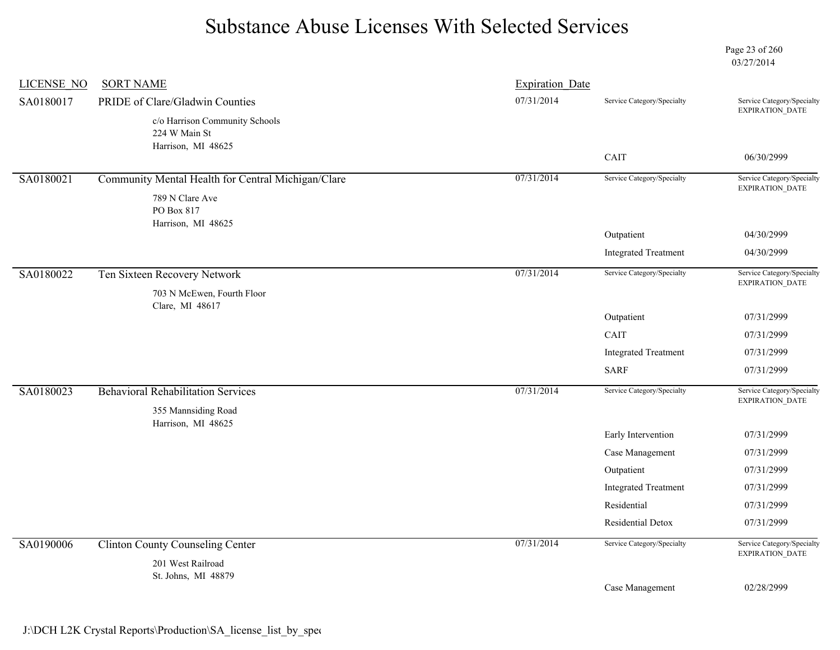Page 23 of 260 03/27/2014

| <b>LICENSE NO</b> | <b>SORT NAME</b>                                                      | <b>Expiration Date</b> |                             |                                               |
|-------------------|-----------------------------------------------------------------------|------------------------|-----------------------------|-----------------------------------------------|
| SA0180017         | PRIDE of Clare/Gladwin Counties                                       | 07/31/2014             | Service Category/Specialty  | Service Category/Specialty<br>EXPIRATION_DATE |
|                   | c/o Harrison Community Schools<br>224 W Main St<br>Harrison, MI 48625 |                        |                             |                                               |
|                   |                                                                       |                        | CAIT                        | 06/30/2999                                    |
| SA0180021         | Community Mental Health for Central Michigan/Clare                    | 07/31/2014             | Service Category/Specialty  | Service Category/Specialty<br>EXPIRATION_DATE |
|                   | 789 N Clare Ave<br>PO Box 817<br>Harrison, MI 48625                   |                        |                             |                                               |
|                   |                                                                       |                        | Outpatient                  | 04/30/2999                                    |
|                   |                                                                       |                        | <b>Integrated Treatment</b> | 04/30/2999                                    |
| SA0180022         | Ten Sixteen Recovery Network                                          | 07/31/2014             | Service Category/Specialty  | Service Category/Specialty<br>EXPIRATION_DATE |
|                   | 703 N McEwen, Fourth Floor<br>Clare, MI 48617                         |                        |                             |                                               |
|                   |                                                                       |                        | Outpatient                  | 07/31/2999                                    |
|                   |                                                                       |                        | CAIT                        | 07/31/2999                                    |
|                   |                                                                       |                        | <b>Integrated Treatment</b> | 07/31/2999                                    |
|                   |                                                                       |                        | <b>SARF</b>                 | 07/31/2999                                    |
| SA0180023         | <b>Behavioral Rehabilitation Services</b>                             | 07/31/2014             | Service Category/Specialty  | Service Category/Specialty<br>EXPIRATION_DATE |
|                   | 355 Mannsiding Road                                                   |                        |                             |                                               |
|                   | Harrison, MI 48625                                                    |                        | Early Intervention          | 07/31/2999                                    |
|                   |                                                                       |                        | Case Management             | 07/31/2999                                    |
|                   |                                                                       |                        | Outpatient                  | 07/31/2999                                    |
|                   |                                                                       |                        | <b>Integrated Treatment</b> | 07/31/2999                                    |
|                   |                                                                       |                        | Residential                 | 07/31/2999                                    |
|                   |                                                                       |                        | Residential Detox           | 07/31/2999                                    |
| SA0190006         | <b>Clinton County Counseling Center</b>                               | 07/31/2014             | Service Category/Specialty  | Service Category/Specialty<br>EXPIRATION_DATE |
|                   | 201 West Railroad<br>St. Johns, MI 48879                              |                        |                             |                                               |
|                   |                                                                       |                        | Case Management             | 02/28/2999                                    |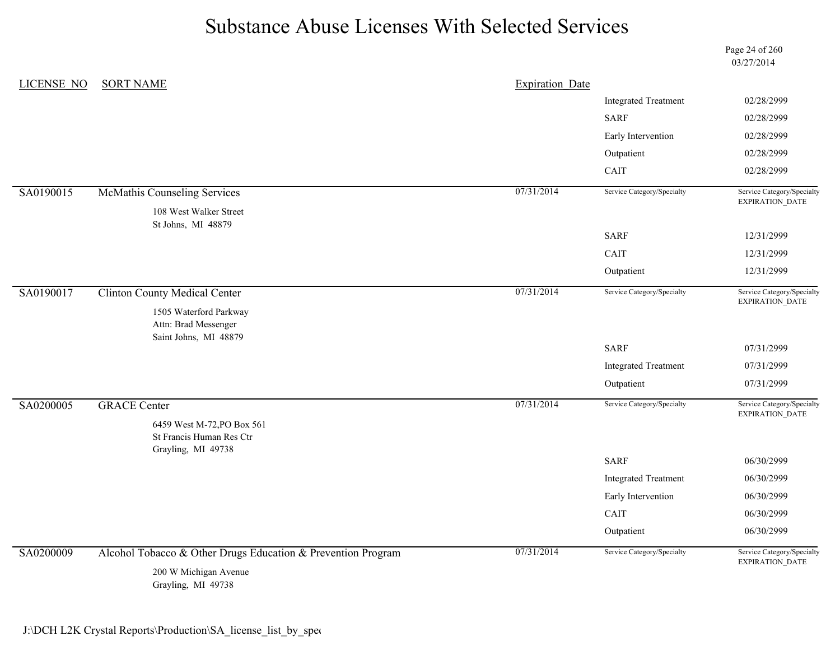Page 24 of 260 03/27/2014

| <b>LICENSE NO</b> | <b>SORT NAME</b>                                                             | <b>Expiration Date</b> |                             |                                                                                                                                                                                                                                                   |
|-------------------|------------------------------------------------------------------------------|------------------------|-----------------------------|---------------------------------------------------------------------------------------------------------------------------------------------------------------------------------------------------------------------------------------------------|
|                   |                                                                              |                        | <b>Integrated Treatment</b> | 02/28/2999                                                                                                                                                                                                                                        |
|                   |                                                                              |                        | <b>SARF</b>                 | 02/28/2999                                                                                                                                                                                                                                        |
|                   |                                                                              |                        | Early Intervention          | 02/28/2999                                                                                                                                                                                                                                        |
|                   |                                                                              |                        | Outpatient                  | 02/28/2999                                                                                                                                                                                                                                        |
|                   |                                                                              |                        | CAIT                        | 02/28/2999<br>Service Category/Specialty<br>EXPIRATION_DATE<br>12/31/2999<br>12/31/2999<br>12/31/2999<br>Service Category/Specialty<br>EXPIRATION_DATE<br>07/31/2999<br>07/31/2999<br>07/31/2999<br>Service Category/Specialty<br>EXPIRATION_DATE |
| SA0190015         | McMathis Counseling Services                                                 | 07/31/2014             | Service Category/Specialty  |                                                                                                                                                                                                                                                   |
|                   | 108 West Walker Street<br>St Johns, MI 48879                                 |                        |                             |                                                                                                                                                                                                                                                   |
|                   |                                                                              |                        | <b>SARF</b>                 |                                                                                                                                                                                                                                                   |
|                   |                                                                              |                        | CAIT                        |                                                                                                                                                                                                                                                   |
|                   |                                                                              |                        | Outpatient                  |                                                                                                                                                                                                                                                   |
| SA0190017         | <b>Clinton County Medical Center</b>                                         | 07/31/2014             | Service Category/Specialty  |                                                                                                                                                                                                                                                   |
|                   | 1505 Waterford Parkway<br>Attn: Brad Messenger<br>Saint Johns, MI 48879      |                        |                             |                                                                                                                                                                                                                                                   |
|                   |                                                                              |                        | <b>SARF</b>                 |                                                                                                                                                                                                                                                   |
|                   |                                                                              |                        | <b>Integrated Treatment</b> |                                                                                                                                                                                                                                                   |
|                   |                                                                              |                        | Outpatient                  |                                                                                                                                                                                                                                                   |
| SA0200005         | <b>GRACE Center</b>                                                          | 07/31/2014             | Service Category/Specialty  |                                                                                                                                                                                                                                                   |
|                   | 6459 West M-72, PO Box 561<br>St Francis Human Res Ctr<br>Grayling, MI 49738 |                        |                             |                                                                                                                                                                                                                                                   |
|                   |                                                                              |                        | <b>SARF</b>                 | 06/30/2999                                                                                                                                                                                                                                        |
|                   |                                                                              |                        | <b>Integrated Treatment</b> | 06/30/2999                                                                                                                                                                                                                                        |
|                   |                                                                              |                        | Early Intervention          | 06/30/2999                                                                                                                                                                                                                                        |
|                   |                                                                              |                        | CAIT                        | 06/30/2999                                                                                                                                                                                                                                        |
|                   |                                                                              |                        | Outpatient                  | 06/30/2999                                                                                                                                                                                                                                        |
| SA0200009         | Alcohol Tobacco & Other Drugs Education & Prevention Program                 | 07/31/2014             | Service Category/Specialty  | Service Category/Specialty<br>EXPIRATION_DATE                                                                                                                                                                                                     |
|                   | 200 W Michigan Avenue<br>Grayling, MI 49738                                  |                        |                             |                                                                                                                                                                                                                                                   |

J:\DCH L2K Crystal Reports\Production\SA\_license\_list\_by\_spec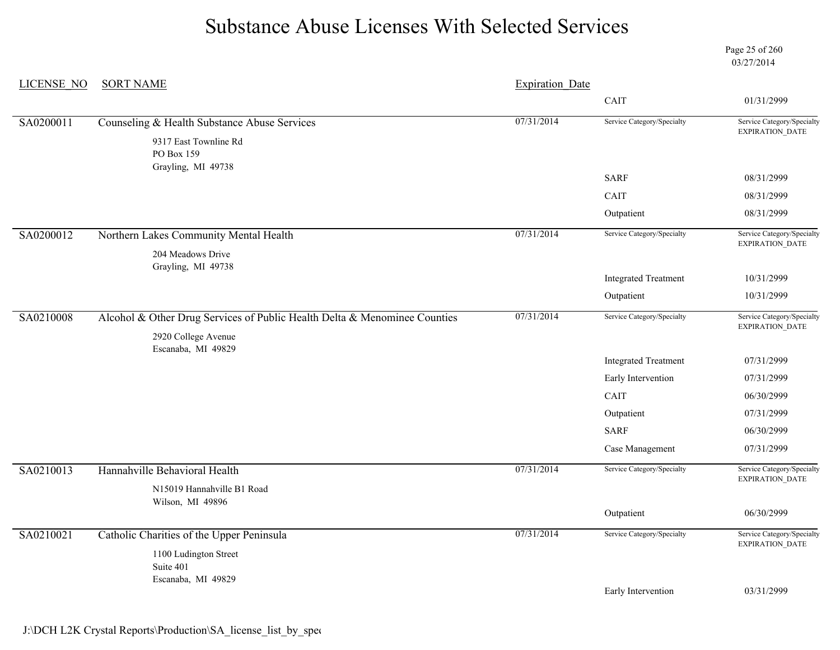Page 25 of 260 03/27/2014

| <b>LICENSE NO</b> | <b>SORT NAME</b>                                                          | <b>Expiration Date</b> |                             |                                                      |
|-------------------|---------------------------------------------------------------------------|------------------------|-----------------------------|------------------------------------------------------|
|                   |                                                                           |                        | CAIT                        | 01/31/2999                                           |
| SA0200011         | Counseling & Health Substance Abuse Services                              | 07/31/2014             | Service Category/Specialty  | Service Category/Specialty                           |
|                   | 9317 East Townline Rd<br>PO Box 159<br>Grayling, MI 49738                 |                        |                             | <b>EXPIRATION DATE</b>                               |
|                   |                                                                           |                        | <b>SARF</b>                 | 08/31/2999                                           |
|                   |                                                                           |                        | CAIT                        | 08/31/2999                                           |
|                   |                                                                           |                        | Outpatient                  | 08/31/2999                                           |
| SA0200012         | Northern Lakes Community Mental Health<br>204 Meadows Drive               | 07/31/2014             | Service Category/Specialty  | Service Category/Specialty<br>EXPIRATION_DATE        |
|                   | Grayling, MI 49738                                                        |                        | <b>Integrated Treatment</b> | 10/31/2999                                           |
|                   |                                                                           |                        | Outpatient                  | 10/31/2999                                           |
| SA0210008         | Alcohol & Other Drug Services of Public Health Delta & Menominee Counties | 07/31/2014             | Service Category/Specialty  | Service Category/Specialty<br>EXPIRATION_DATE        |
|                   | 2920 College Avenue<br>Escanaba, MI 49829                                 |                        |                             |                                                      |
|                   |                                                                           |                        | <b>Integrated Treatment</b> | 07/31/2999                                           |
|                   |                                                                           |                        | Early Intervention          | 07/31/2999                                           |
|                   |                                                                           |                        | CAIT                        | 06/30/2999                                           |
|                   |                                                                           |                        | Outpatient                  | 07/31/2999                                           |
|                   |                                                                           |                        | <b>SARF</b>                 | 06/30/2999                                           |
|                   |                                                                           |                        | Case Management             | 07/31/2999                                           |
| SA0210013         | Hannahville Behavioral Health                                             | 07/31/2014             | Service Category/Specialty  | Service Category/Specialty<br>EXPIRATION_DATE        |
|                   | N15019 Hannahville B1 Road<br>Wilson, MI 49896                            |                        |                             |                                                      |
|                   |                                                                           |                        | Outpatient                  | 06/30/2999                                           |
| SA0210021         | Catholic Charities of the Upper Peninsula                                 | 07/31/2014             | Service Category/Specialty  | Service Category/Specialty<br><b>EXPIRATION DATE</b> |
|                   | 1100 Ludington Street<br>Suite 401<br>Escanaba, MI 49829                  |                        |                             |                                                      |
|                   |                                                                           |                        | Early Intervention          | 03/31/2999                                           |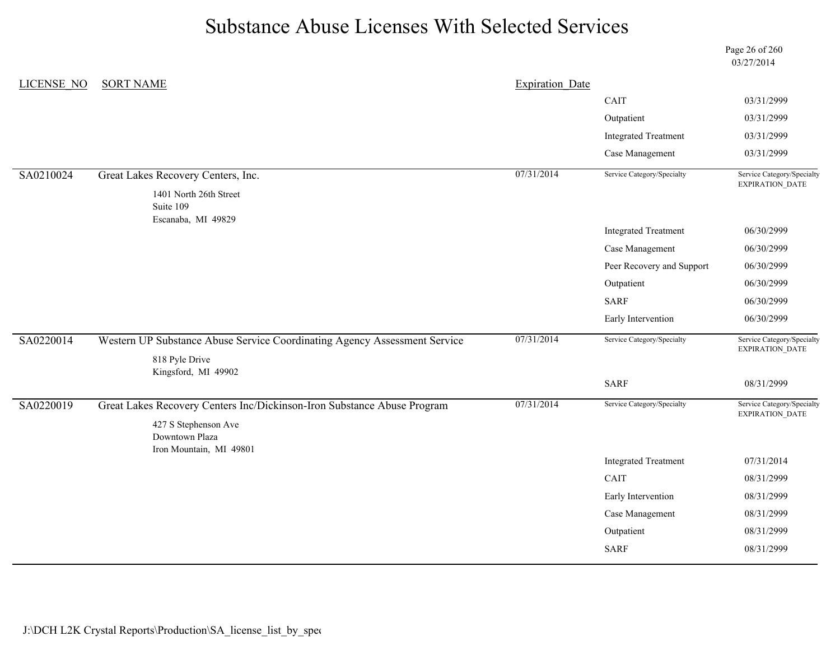Page 26 of 260 03/27/2014

| LICENSE NO | <b>SORT NAME</b>                                                          | <b>Expiration Date</b> |                             |                                                      |
|------------|---------------------------------------------------------------------------|------------------------|-----------------------------|------------------------------------------------------|
|            |                                                                           |                        | CAIT                        | 03/31/2999                                           |
|            |                                                                           |                        | Outpatient                  | 03/31/2999                                           |
|            |                                                                           |                        | <b>Integrated Treatment</b> | 03/31/2999                                           |
|            |                                                                           |                        | Case Management             | 03/31/2999                                           |
| SA0210024  | Great Lakes Recovery Centers, Inc.                                        | 07/31/2014             | Service Category/Specialty  | Service Category/Specialty<br>EXPIRATION_DATE        |
|            | 1401 North 26th Street<br>Suite 109<br>Escanaba, MI 49829                 |                        |                             |                                                      |
|            |                                                                           |                        | <b>Integrated Treatment</b> | 06/30/2999                                           |
|            |                                                                           |                        | Case Management             | 06/30/2999                                           |
|            |                                                                           |                        | Peer Recovery and Support   | 06/30/2999                                           |
|            |                                                                           |                        | Outpatient                  | 06/30/2999                                           |
|            |                                                                           |                        | <b>SARF</b>                 | 06/30/2999                                           |
|            |                                                                           |                        | Early Intervention          | 06/30/2999                                           |
| SA0220014  | Western UP Substance Abuse Service Coordinating Agency Assessment Service | 07/31/2014             | Service Category/Specialty  | Service Category/Specialty<br><b>EXPIRATION DATE</b> |
|            | 818 Pyle Drive<br>Kingsford, MI 49902                                     |                        |                             |                                                      |
|            |                                                                           |                        | <b>SARF</b>                 | 08/31/2999                                           |
| SA0220019  | Great Lakes Recovery Centers Inc/Dickinson-Iron Substance Abuse Program   | 07/31/2014             | Service Category/Specialty  | Service Category/Specialty<br>EXPIRATION_DATE        |
|            | 427 S Stephenson Ave<br>Downtown Plaza                                    |                        |                             |                                                      |
|            | Iron Mountain, MI 49801                                                   |                        | <b>Integrated Treatment</b> | 07/31/2014                                           |
|            |                                                                           |                        | <b>CAIT</b>                 | 08/31/2999                                           |
|            |                                                                           |                        | Early Intervention          | 08/31/2999                                           |
|            |                                                                           |                        | Case Management             | 08/31/2999                                           |
|            |                                                                           |                        | Outpatient                  | 08/31/2999                                           |
|            |                                                                           |                        | <b>SARF</b>                 | 08/31/2999                                           |
|            |                                                                           |                        |                             |                                                      |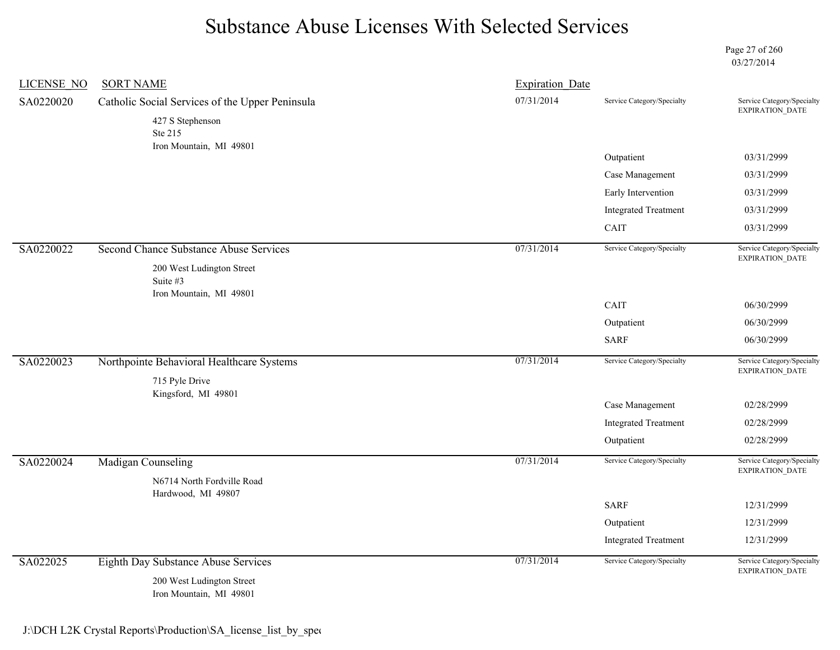Page 27 of 260 03/27/2014

| <b>LICENSE NO</b> | <b>SORT NAME</b>                                                 | <b>Expiration Date</b> |                             |                                                      |
|-------------------|------------------------------------------------------------------|------------------------|-----------------------------|------------------------------------------------------|
| SA0220020         | Catholic Social Services of the Upper Peninsula                  | 07/31/2014             | Service Category/Specialty  | Service Category/Specialty<br>EXPIRATION_DATE        |
|                   | 427 S Stephenson<br>Ste 215                                      |                        |                             |                                                      |
|                   | Iron Mountain, MI 49801                                          |                        | Outpatient                  | 03/31/2999                                           |
|                   |                                                                  |                        |                             |                                                      |
|                   |                                                                  |                        | Case Management             | 03/31/2999                                           |
|                   |                                                                  |                        | Early Intervention          | 03/31/2999                                           |
|                   |                                                                  |                        | <b>Integrated Treatment</b> | 03/31/2999                                           |
|                   |                                                                  |                        | CAIT                        | 03/31/2999                                           |
| SA0220022         | <b>Second Chance Substance Abuse Services</b>                    | 07/31/2014             | Service Category/Specialty  | Service Category/Specialty<br><b>EXPIRATION DATE</b> |
|                   | 200 West Ludington Street<br>Suite #3<br>Iron Mountain, MI 49801 |                        |                             |                                                      |
|                   |                                                                  |                        | CAIT                        | 06/30/2999                                           |
|                   |                                                                  |                        | Outpatient                  | 06/30/2999                                           |
|                   |                                                                  |                        | <b>SARF</b>                 | 06/30/2999                                           |
| SA0220023         | Northpointe Behavioral Healthcare Systems                        | 07/31/2014             | Service Category/Specialty  | Service Category/Specialty<br><b>EXPIRATION DATE</b> |
|                   | 715 Pyle Drive<br>Kingsford, MI 49801                            |                        |                             |                                                      |
|                   |                                                                  |                        | Case Management             | 02/28/2999                                           |
|                   |                                                                  |                        | <b>Integrated Treatment</b> | 02/28/2999                                           |
|                   |                                                                  |                        | Outpatient                  | 02/28/2999                                           |
| SA0220024         | <b>Madigan Counseling</b>                                        | 07/31/2014             | Service Category/Specialty  | Service Category/Specialty<br>EXPIRATION_DATE        |
|                   | N6714 North Fordville Road<br>Hardwood, MI 49807                 |                        |                             |                                                      |
|                   |                                                                  |                        | <b>SARF</b>                 | 12/31/2999                                           |
|                   |                                                                  |                        | Outpatient                  | 12/31/2999                                           |
|                   |                                                                  |                        | <b>Integrated Treatment</b> | 12/31/2999                                           |
| SA022025          | Eighth Day Substance Abuse Services                              | 07/31/2014             | Service Category/Specialty  | Service Category/Specialty<br>EXPIRATION_DATE        |
|                   | 200 West Ludington Street<br>Iron Mountain, MI 49801             |                        |                             |                                                      |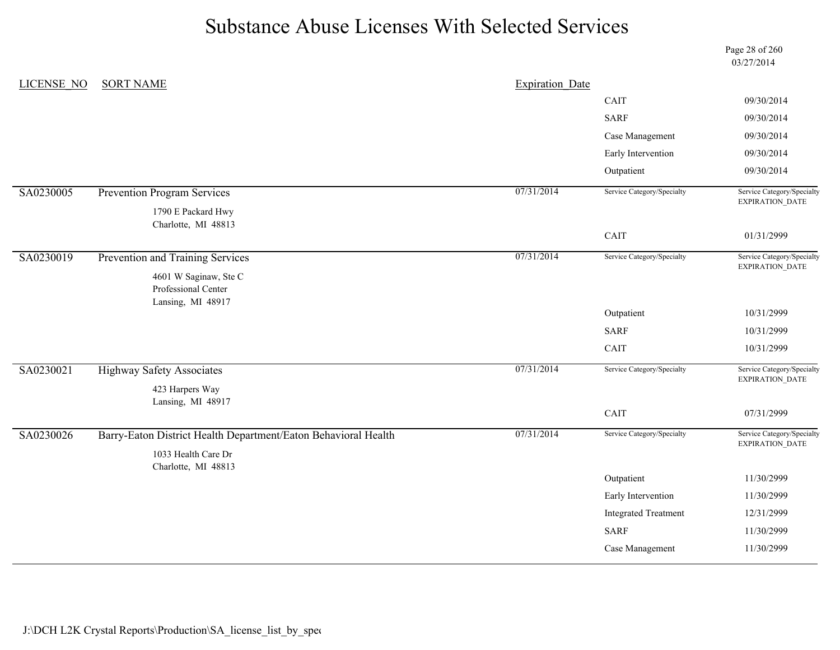Page 28 of 260 03/27/2014

| CAIT<br>09/30/2014<br><b>SARF</b><br>09/30/2014<br>Case Management<br>09/30/2014<br>Early Intervention<br>09/30/2014<br>Outpatient<br>09/30/2014<br>07/31/2014<br>Service Category/Specialty<br>Prevention Program Services<br>EXPIRATION_DATE<br>1790 E Packard Hwy<br>Charlotte, MI 48813<br>CAIT<br>01/31/2999<br>07/31/2014<br>Service Category/Specialty<br>SA0230019<br>Prevention and Training Services<br>Service Category/Specialty<br>EXPIRATION_DATE<br>4601 W Saginaw, Ste C<br>Professional Center<br>Lansing, MI 48917<br>Outpatient<br>10/31/2999<br><b>SARF</b><br>10/31/2999<br>CAIT<br>10/31/2999<br>07/31/2014<br>Service Category/Specialty<br><b>Highway Safety Associates</b><br>EXPIRATION_DATE<br>423 Harpers Way<br>Lansing, MI 48917<br>CAIT<br>07/31/2999<br>07/31/2014<br>Barry-Eaton District Health Department/Eaton Behavioral Health<br>Service Category/Specialty<br>EXPIRATION_DATE<br>1033 Health Care Dr<br>Charlotte, MI 48813<br>Outpatient<br>11/30/2999<br>Early Intervention<br>11/30/2999<br><b>Integrated Treatment</b><br>12/31/2999<br><b>SARF</b><br>11/30/2999 | LICENSE NO | <b>SORT NAME</b> | <b>Expiration Date</b> |                 |                            |
|---------------------------------------------------------------------------------------------------------------------------------------------------------------------------------------------------------------------------------------------------------------------------------------------------------------------------------------------------------------------------------------------------------------------------------------------------------------------------------------------------------------------------------------------------------------------------------------------------------------------------------------------------------------------------------------------------------------------------------------------------------------------------------------------------------------------------------------------------------------------------------------------------------------------------------------------------------------------------------------------------------------------------------------------------------------------------------------------------------------|------------|------------------|------------------------|-----------------|----------------------------|
|                                                                                                                                                                                                                                                                                                                                                                                                                                                                                                                                                                                                                                                                                                                                                                                                                                                                                                                                                                                                                                                                                                               |            |                  |                        |                 |                            |
|                                                                                                                                                                                                                                                                                                                                                                                                                                                                                                                                                                                                                                                                                                                                                                                                                                                                                                                                                                                                                                                                                                               |            |                  |                        |                 |                            |
|                                                                                                                                                                                                                                                                                                                                                                                                                                                                                                                                                                                                                                                                                                                                                                                                                                                                                                                                                                                                                                                                                                               |            |                  |                        |                 |                            |
|                                                                                                                                                                                                                                                                                                                                                                                                                                                                                                                                                                                                                                                                                                                                                                                                                                                                                                                                                                                                                                                                                                               |            |                  |                        |                 |                            |
|                                                                                                                                                                                                                                                                                                                                                                                                                                                                                                                                                                                                                                                                                                                                                                                                                                                                                                                                                                                                                                                                                                               |            |                  |                        |                 |                            |
|                                                                                                                                                                                                                                                                                                                                                                                                                                                                                                                                                                                                                                                                                                                                                                                                                                                                                                                                                                                                                                                                                                               | SA0230005  |                  |                        |                 | Service Category/Specialty |
|                                                                                                                                                                                                                                                                                                                                                                                                                                                                                                                                                                                                                                                                                                                                                                                                                                                                                                                                                                                                                                                                                                               |            |                  |                        |                 |                            |
|                                                                                                                                                                                                                                                                                                                                                                                                                                                                                                                                                                                                                                                                                                                                                                                                                                                                                                                                                                                                                                                                                                               |            |                  |                        |                 |                            |
|                                                                                                                                                                                                                                                                                                                                                                                                                                                                                                                                                                                                                                                                                                                                                                                                                                                                                                                                                                                                                                                                                                               |            |                  |                        |                 |                            |
|                                                                                                                                                                                                                                                                                                                                                                                                                                                                                                                                                                                                                                                                                                                                                                                                                                                                                                                                                                                                                                                                                                               |            |                  |                        |                 |                            |
|                                                                                                                                                                                                                                                                                                                                                                                                                                                                                                                                                                                                                                                                                                                                                                                                                                                                                                                                                                                                                                                                                                               |            |                  |                        |                 |                            |
|                                                                                                                                                                                                                                                                                                                                                                                                                                                                                                                                                                                                                                                                                                                                                                                                                                                                                                                                                                                                                                                                                                               |            |                  |                        |                 |                            |
|                                                                                                                                                                                                                                                                                                                                                                                                                                                                                                                                                                                                                                                                                                                                                                                                                                                                                                                                                                                                                                                                                                               |            |                  |                        |                 |                            |
|                                                                                                                                                                                                                                                                                                                                                                                                                                                                                                                                                                                                                                                                                                                                                                                                                                                                                                                                                                                                                                                                                                               |            |                  |                        |                 |                            |
|                                                                                                                                                                                                                                                                                                                                                                                                                                                                                                                                                                                                                                                                                                                                                                                                                                                                                                                                                                                                                                                                                                               | SA0230021  |                  |                        |                 | Service Category/Specialty |
|                                                                                                                                                                                                                                                                                                                                                                                                                                                                                                                                                                                                                                                                                                                                                                                                                                                                                                                                                                                                                                                                                                               |            |                  |                        |                 |                            |
|                                                                                                                                                                                                                                                                                                                                                                                                                                                                                                                                                                                                                                                                                                                                                                                                                                                                                                                                                                                                                                                                                                               |            |                  |                        |                 |                            |
|                                                                                                                                                                                                                                                                                                                                                                                                                                                                                                                                                                                                                                                                                                                                                                                                                                                                                                                                                                                                                                                                                                               | SA0230026  |                  |                        |                 | Service Category/Specialty |
|                                                                                                                                                                                                                                                                                                                                                                                                                                                                                                                                                                                                                                                                                                                                                                                                                                                                                                                                                                                                                                                                                                               |            |                  |                        |                 |                            |
|                                                                                                                                                                                                                                                                                                                                                                                                                                                                                                                                                                                                                                                                                                                                                                                                                                                                                                                                                                                                                                                                                                               |            |                  |                        |                 |                            |
|                                                                                                                                                                                                                                                                                                                                                                                                                                                                                                                                                                                                                                                                                                                                                                                                                                                                                                                                                                                                                                                                                                               |            |                  |                        |                 |                            |
|                                                                                                                                                                                                                                                                                                                                                                                                                                                                                                                                                                                                                                                                                                                                                                                                                                                                                                                                                                                                                                                                                                               |            |                  |                        |                 |                            |
|                                                                                                                                                                                                                                                                                                                                                                                                                                                                                                                                                                                                                                                                                                                                                                                                                                                                                                                                                                                                                                                                                                               |            |                  |                        |                 |                            |
|                                                                                                                                                                                                                                                                                                                                                                                                                                                                                                                                                                                                                                                                                                                                                                                                                                                                                                                                                                                                                                                                                                               |            |                  |                        |                 |                            |
|                                                                                                                                                                                                                                                                                                                                                                                                                                                                                                                                                                                                                                                                                                                                                                                                                                                                                                                                                                                                                                                                                                               |            |                  |                        | Case Management | 11/30/2999                 |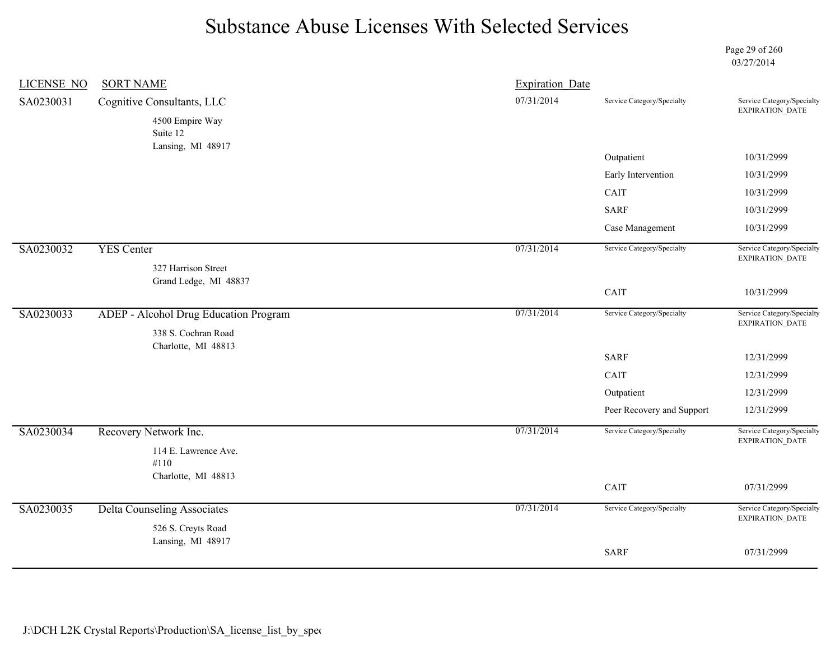Page 29 of 260 03/27/2014

| <b>LICENSE NO</b> | <b>SORT NAME</b>                                             | <b>Expiration Date</b> |                            |                                                      |
|-------------------|--------------------------------------------------------------|------------------------|----------------------------|------------------------------------------------------|
| SA0230031         | Cognitive Consultants, LLC                                   | 07/31/2014             | Service Category/Specialty | Service Category/Specialty                           |
|                   | 4500 Empire Way<br>Suite 12<br>Lansing, MI 48917             |                        |                            | EXPIRATION_DATE                                      |
|                   |                                                              |                        | Outpatient                 | 10/31/2999                                           |
|                   |                                                              |                        | Early Intervention         | 10/31/2999                                           |
|                   |                                                              |                        | CAIT                       | 10/31/2999                                           |
|                   |                                                              |                        | <b>SARF</b>                | 10/31/2999                                           |
|                   |                                                              |                        | Case Management            | 10/31/2999                                           |
| SA0230032         | <b>YES Center</b><br>327 Harrison Street                     | 07/31/2014             | Service Category/Specialty | Service Category/Specialty<br>EXPIRATION_DATE        |
|                   | Grand Ledge, MI 48837                                        |                        | CAIT                       | 10/31/2999                                           |
| SA0230033         | ADEP - Alcohol Drug Education Program<br>338 S. Cochran Road | 07/31/2014             | Service Category/Specialty | Service Category/Specialty<br>EXPIRATION_DATE        |
|                   | Charlotte, MI 48813                                          |                        | <b>SARF</b>                | 12/31/2999                                           |
|                   |                                                              |                        | CAIT                       | 12/31/2999                                           |
|                   |                                                              |                        | Outpatient                 | 12/31/2999                                           |
|                   |                                                              |                        | Peer Recovery and Support  | 12/31/2999                                           |
| SA0230034         | Recovery Network Inc.<br>114 E. Lawrence Ave.                | 07/31/2014             | Service Category/Specialty | Service Category/Specialty<br><b>EXPIRATION DATE</b> |
|                   | #110                                                         |                        |                            |                                                      |
|                   | Charlotte, MI 48813                                          |                        | CAIT                       | 07/31/2999                                           |
| SA0230035         | <b>Delta Counseling Associates</b>                           | 07/31/2014             | Service Category/Specialty | Service Category/Specialty<br><b>EXPIRATION DATE</b> |
|                   | 526 S. Creyts Road                                           |                        |                            |                                                      |
|                   | Lansing, MI 48917                                            |                        | <b>SARF</b>                | 07/31/2999                                           |
|                   |                                                              |                        |                            |                                                      |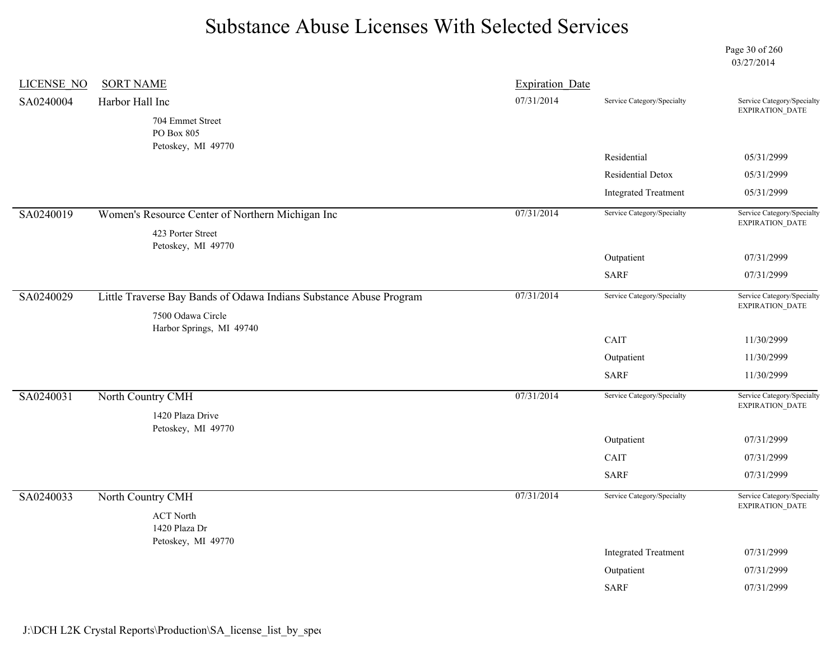Page 30 of 260 03/27/2014

| LICENSE NO | <b>SORT NAME</b>                                                   | <b>Expiration Date</b> |                             |                                                      |
|------------|--------------------------------------------------------------------|------------------------|-----------------------------|------------------------------------------------------|
| SA0240004  | Harbor Hall Inc                                                    | 07/31/2014             | Service Category/Specialty  | Service Category/Specialty<br><b>EXPIRATION DATE</b> |
|            | 704 Emmet Street<br>PO Box 805                                     |                        |                             |                                                      |
|            | Petoskey, MI 49770                                                 |                        | Residential                 | 05/31/2999                                           |
|            |                                                                    |                        | Residential Detox           | 05/31/2999                                           |
|            |                                                                    |                        | <b>Integrated Treatment</b> | 05/31/2999                                           |
| SA0240019  | Women's Resource Center of Northern Michigan Inc                   | 07/31/2014             | Service Category/Specialty  | Service Category/Specialty<br>EXPIRATION_DATE        |
|            | 423 Porter Street                                                  |                        |                             |                                                      |
|            | Petoskey, MI 49770                                                 |                        | Outpatient                  | 07/31/2999                                           |
|            |                                                                    |                        | <b>SARF</b>                 | 07/31/2999                                           |
| SA0240029  | Little Traverse Bay Bands of Odawa Indians Substance Abuse Program | 07/31/2014             | Service Category/Specialty  | Service Category/Specialty<br>EXPIRATION_DATE        |
|            | 7500 Odawa Circle<br>Harbor Springs, MI 49740                      |                        |                             |                                                      |
|            |                                                                    |                        | CAIT                        | 11/30/2999                                           |
|            |                                                                    |                        | Outpatient                  | 11/30/2999                                           |
|            |                                                                    |                        | <b>SARF</b>                 | 11/30/2999                                           |
| SA0240031  | North Country CMH                                                  | 07/31/2014             | Service Category/Specialty  | Service Category/Specialty<br><b>EXPIRATION DATE</b> |
|            | 1420 Plaza Drive<br>Petoskey, MI 49770                             |                        |                             |                                                      |
|            |                                                                    |                        | Outpatient                  | 07/31/2999                                           |
|            |                                                                    |                        | CAIT                        | 07/31/2999                                           |
|            |                                                                    |                        | <b>SARF</b>                 | 07/31/2999                                           |
| SA0240033  | North Country CMH                                                  | 07/31/2014             | Service Category/Specialty  | Service Category/Specialty<br>EXPIRATION_DATE        |
|            | <b>ACT North</b><br>1420 Plaza Dr                                  |                        |                             |                                                      |
|            | Petoskey, MI 49770                                                 |                        | <b>Integrated Treatment</b> | 07/31/2999                                           |
|            |                                                                    |                        | Outpatient                  | 07/31/2999                                           |
|            |                                                                    |                        | <b>SARF</b>                 | 07/31/2999                                           |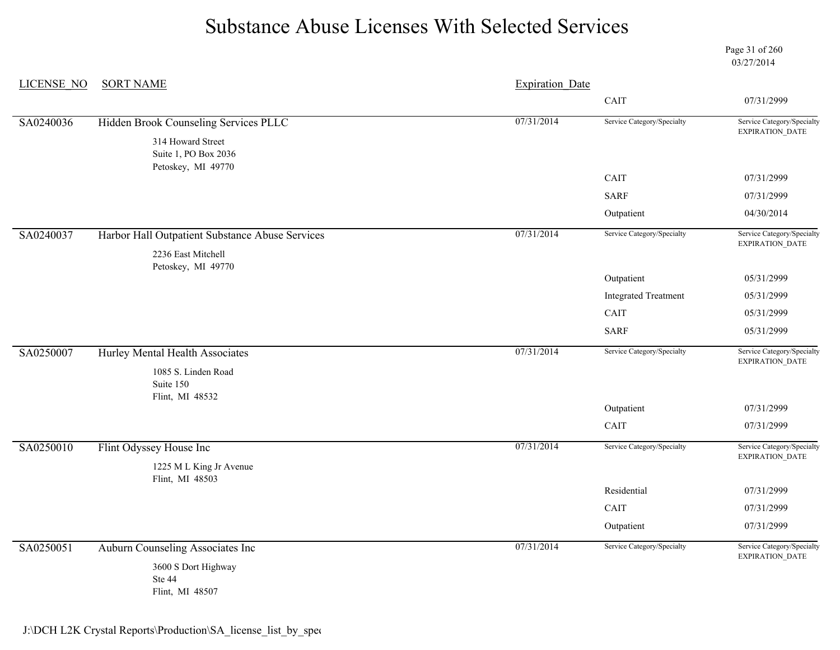Page 31 of 260 03/27/2014

| <b>LICENSE NO</b> | <b>SORT NAME</b>                                                      | <b>Expiration Date</b> |                             |                                               |
|-------------------|-----------------------------------------------------------------------|------------------------|-----------------------------|-----------------------------------------------|
|                   |                                                                       | CAIT                   | 07/31/2999                  |                                               |
| SA0240036         | Hidden Brook Counseling Services PLLC                                 | 07/31/2014             | Service Category/Specialty  | Service Category/Specialty<br>EXPIRATION_DATE |
|                   | 314 Howard Street<br>Suite 1, PO Box 2036<br>Petoskey, MI 49770       |                        |                             |                                               |
|                   |                                                                       |                        | CAIT                        | 07/31/2999                                    |
|                   |                                                                       |                        | <b>SARF</b>                 | 07/31/2999                                    |
|                   |                                                                       |                        | Outpatient                  | 04/30/2014                                    |
| SA0240037         | Harbor Hall Outpatient Substance Abuse Services<br>2236 East Mitchell | 07/31/2014             | Service Category/Specialty  | Service Category/Specialty<br>EXPIRATION_DATE |
|                   | Petoskey, MI 49770                                                    |                        | Outpatient                  | 05/31/2999                                    |
|                   |                                                                       |                        | <b>Integrated Treatment</b> | 05/31/2999                                    |
|                   |                                                                       |                        | CAIT                        | 05/31/2999                                    |
|                   |                                                                       |                        | <b>SARF</b>                 | 05/31/2999                                    |
| SA0250007         | Hurley Mental Health Associates<br>1085 S. Linden Road                | 07/31/2014             | Service Category/Specialty  | Service Category/Specialty<br>EXPIRATION_DATE |
|                   | Suite 150<br>Flint, MI 48532                                          |                        |                             |                                               |
|                   |                                                                       |                        | Outpatient                  | 07/31/2999                                    |
|                   |                                                                       |                        | CAIT                        | 07/31/2999                                    |
| SA0250010         | Flint Odyssey House Inc                                               | 07/31/2014             | Service Category/Specialty  | Service Category/Specialty<br>EXPIRATION_DATE |
|                   | 1225 ML King Jr Avenue<br>Flint, MI 48503                             |                        |                             |                                               |
|                   |                                                                       |                        | Residential                 | 07/31/2999                                    |
|                   |                                                                       |                        | CAIT                        | 07/31/2999                                    |
|                   |                                                                       |                        | Outpatient                  | 07/31/2999                                    |
| SA0250051         | Auburn Counseling Associates Inc                                      | 07/31/2014             | Service Category/Specialty  | Service Category/Specialty                    |
|                   | 3600 S Dort Highway<br>Ste 44<br>Flint, MI 48507                      |                        |                             | EXPIRATION_DATE                               |

J:\DCH L2K Crystal Reports\Production\SA\_license\_list\_by\_spec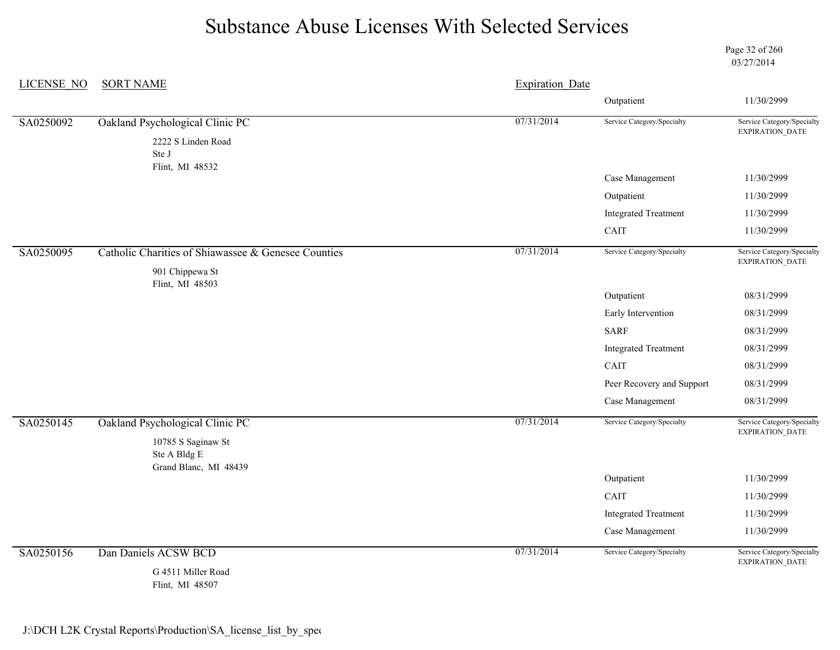Page 32 of 260 03/27/2014

| <b>LICENSE NO</b> | <b>SORT NAME</b>                                    | <b>Expiration Date</b> |                             |                                               |
|-------------------|-----------------------------------------------------|------------------------|-----------------------------|-----------------------------------------------|
|                   |                                                     |                        | Outpatient                  | 11/30/2999                                    |
| SA0250092         | Oakland Psychological Clinic PC                     | 07/31/2014             | Service Category/Specialty  | Service Category/Specialty<br>EXPIRATION_DATE |
|                   | 2222 S Linden Road<br>Ste J                         |                        |                             |                                               |
|                   | Flint, MI 48532                                     |                        | Case Management             | 11/30/2999                                    |
|                   |                                                     |                        | Outpatient                  | 11/30/2999                                    |
|                   |                                                     |                        | <b>Integrated Treatment</b> | 11/30/2999                                    |
|                   |                                                     |                        | CAIT                        | 11/30/2999                                    |
| SA0250095         | Catholic Charities of Shiawassee & Genesee Counties | 07/31/2014             | Service Category/Specialty  | Service Category/Specialty<br>EXPIRATION_DATE |
|                   | 901 Chippewa St<br>Flint, MI 48503                  |                        |                             |                                               |
|                   |                                                     |                        | Outpatient                  | 08/31/2999                                    |
|                   |                                                     |                        | Early Intervention          | 08/31/2999                                    |
|                   |                                                     |                        | <b>SARF</b>                 | 08/31/2999                                    |
|                   |                                                     |                        | <b>Integrated Treatment</b> | 08/31/2999                                    |
|                   |                                                     |                        | CAIT                        | 08/31/2999                                    |
|                   |                                                     |                        | Peer Recovery and Support   | 08/31/2999                                    |
|                   |                                                     |                        | Case Management             | 08/31/2999                                    |
| SA0250145         | Oakland Psychological Clinic PC                     | 07/31/2014             | Service Category/Specialty  | Service Category/Specialty<br>EXPIRATION_DATE |
|                   | 10785 S Saginaw St<br>Ste A Bldg E                  |                        |                             |                                               |
|                   | Grand Blanc, MI 48439                               |                        | Outpatient                  | 11/30/2999                                    |
|                   |                                                     |                        | CAIT                        | 11/30/2999                                    |
|                   |                                                     |                        | <b>Integrated Treatment</b> | 11/30/2999                                    |
|                   |                                                     |                        | Case Management             | 11/30/2999                                    |
| SA0250156         | Dan Daniels ACSW BCD                                | 07/31/2014             | Service Category/Specialty  | Service Category/Specialty<br>EXPIRATION_DATE |
|                   | G 4511 Miller Road<br>Flint, MI 48507               |                        |                             |                                               |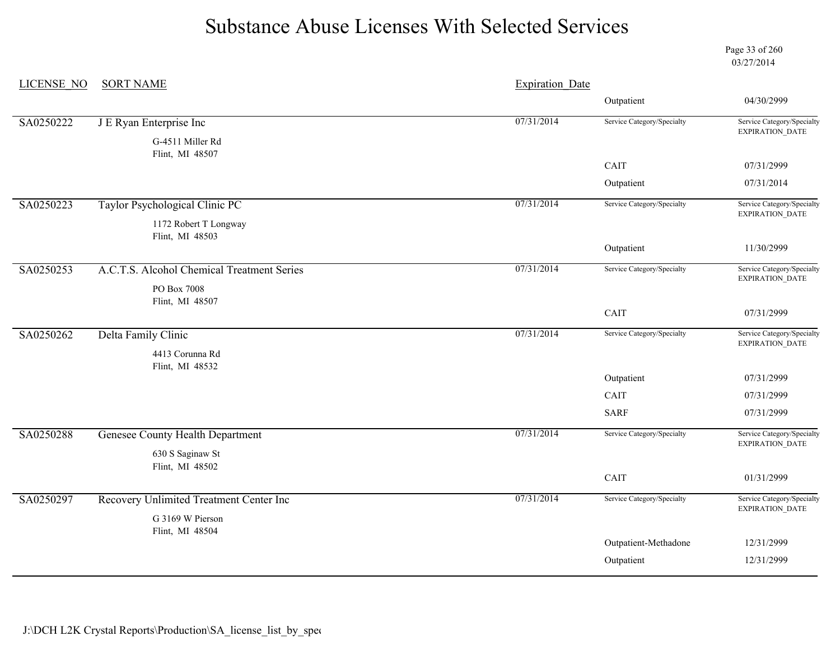Page 33 of 260 03/27/2014

| <b>LICENSE NO</b> | <b>SORT NAME</b>                           | <b>Expiration Date</b> |                            |                                                      |
|-------------------|--------------------------------------------|------------------------|----------------------------|------------------------------------------------------|
|                   |                                            |                        | Outpatient                 | 04/30/2999                                           |
| SA0250222         | J E Ryan Enterprise Inc                    | 07/31/2014             | Service Category/Specialty | Service Category/Specialty<br>EXPIRATION_DATE        |
|                   | G-4511 Miller Rd<br>Flint, MI 48507        |                        |                            |                                                      |
|                   |                                            |                        | CAIT                       | 07/31/2999                                           |
|                   |                                            |                        | Outpatient                 | 07/31/2014                                           |
| SA0250223         | Taylor Psychological Clinic PC             | 07/31/2014             | Service Category/Specialty | Service Category/Specialty<br><b>EXPIRATION DATE</b> |
|                   | 1172 Robert T Longway                      |                        |                            |                                                      |
|                   | Flint, MI 48503                            |                        | Outpatient                 | 11/30/2999                                           |
| SA0250253         | A.C.T.S. Alcohol Chemical Treatment Series | 07/31/2014             | Service Category/Specialty | Service Category/Specialty<br><b>EXPIRATION DATE</b> |
|                   | PO Box 7008                                |                        |                            |                                                      |
|                   | Flint, MI 48507                            |                        | CAIT                       | 07/31/2999                                           |
| SA0250262         | Delta Family Clinic                        | 07/31/2014             | Service Category/Specialty | Service Category/Specialty                           |
|                   | 4413 Corunna Rd<br>Flint, MI 48532         |                        |                            | <b>EXPIRATION DATE</b>                               |
|                   |                                            |                        | Outpatient                 | 07/31/2999                                           |
|                   |                                            |                        | <b>CAIT</b>                | 07/31/2999                                           |
|                   |                                            |                        | <b>SARF</b>                | 07/31/2999                                           |
| SA0250288         | <b>Genesee County Health Department</b>    | 07/31/2014             | Service Category/Specialty | Service Category/Specialty<br>EXPIRATION_DATE        |
|                   | 630 S Saginaw St                           |                        |                            |                                                      |
|                   | Flint, MI 48502                            |                        | CAIT                       | 01/31/2999                                           |
| SA0250297         | Recovery Unlimited Treatment Center Inc    | 07/31/2014             | Service Category/Specialty | Service Category/Specialty<br>EXPIRATION_DATE        |
|                   | G 3169 W Pierson                           |                        |                            |                                                      |
|                   | Flint, MI 48504                            |                        | Outpatient-Methadone       | 12/31/2999                                           |
|                   |                                            |                        | Outpatient                 | 12/31/2999                                           |
|                   |                                            |                        |                            |                                                      |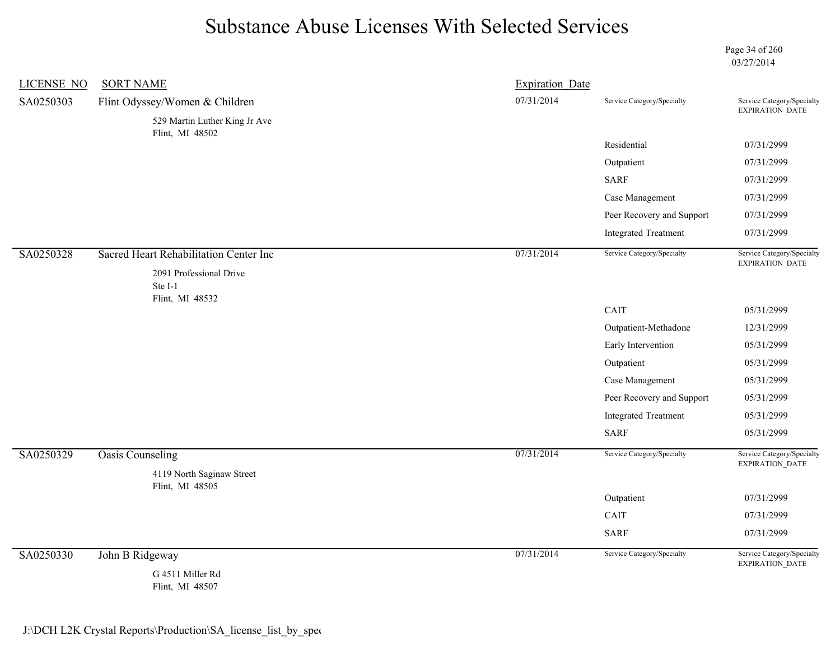Page 34 of 260 03/27/2014

| <b>LICENSE NO</b> | <b>SORT NAME</b>                                 | <b>Expiration Date</b> |                             |                                               |
|-------------------|--------------------------------------------------|------------------------|-----------------------------|-----------------------------------------------|
| SA0250303         | Flint Odyssey/Women & Children                   | 07/31/2014             | Service Category/Specialty  | Service Category/Specialty<br>EXPIRATION_DATE |
|                   | 529 Martin Luther King Jr Ave<br>Flint, MI 48502 |                        |                             |                                               |
|                   |                                                  |                        | Residential                 | 07/31/2999                                    |
|                   |                                                  |                        | Outpatient                  | 07/31/2999                                    |
|                   |                                                  |                        | <b>SARF</b>                 | 07/31/2999                                    |
|                   |                                                  |                        | Case Management             | 07/31/2999                                    |
|                   |                                                  |                        | Peer Recovery and Support   | 07/31/2999                                    |
|                   |                                                  |                        | <b>Integrated Treatment</b> | 07/31/2999                                    |
| SA0250328         | Sacred Heart Rehabilitation Center Inc           | 07/31/2014             | Service Category/Specialty  | Service Category/Specialty<br>EXPIRATION_DATE |
|                   | 2091 Professional Drive<br>Ste I-1               |                        |                             |                                               |
|                   | Flint, MI 48532                                  |                        |                             |                                               |
|                   |                                                  |                        | CAIT                        | 05/31/2999                                    |
|                   |                                                  |                        | Outpatient-Methadone        | 12/31/2999                                    |
|                   |                                                  |                        | Early Intervention          | 05/31/2999                                    |
|                   |                                                  |                        | Outpatient                  | 05/31/2999                                    |
|                   |                                                  |                        | Case Management             | 05/31/2999                                    |
|                   |                                                  |                        | Peer Recovery and Support   | 05/31/2999                                    |
|                   |                                                  |                        | <b>Integrated Treatment</b> | 05/31/2999                                    |
|                   |                                                  |                        | <b>SARF</b>                 | 05/31/2999                                    |
| SA0250329         | <b>Oasis Counseling</b>                          | 07/31/2014             | Service Category/Specialty  | Service Category/Specialty<br>EXPIRATION_DATE |
|                   | 4119 North Saginaw Street<br>Flint, MI 48505     |                        |                             |                                               |
|                   |                                                  |                        | Outpatient                  | 07/31/2999                                    |
|                   |                                                  |                        | CAIT                        | 07/31/2999                                    |
|                   |                                                  |                        | <b>SARF</b>                 | 07/31/2999                                    |
| SA0250330         | John B Ridgeway                                  | 07/31/2014             | Service Category/Specialty  | Service Category/Specialty<br>EXPIRATION_DATE |
|                   | G 4511 Miller Rd<br>Flint, MI 48507              |                        |                             |                                               |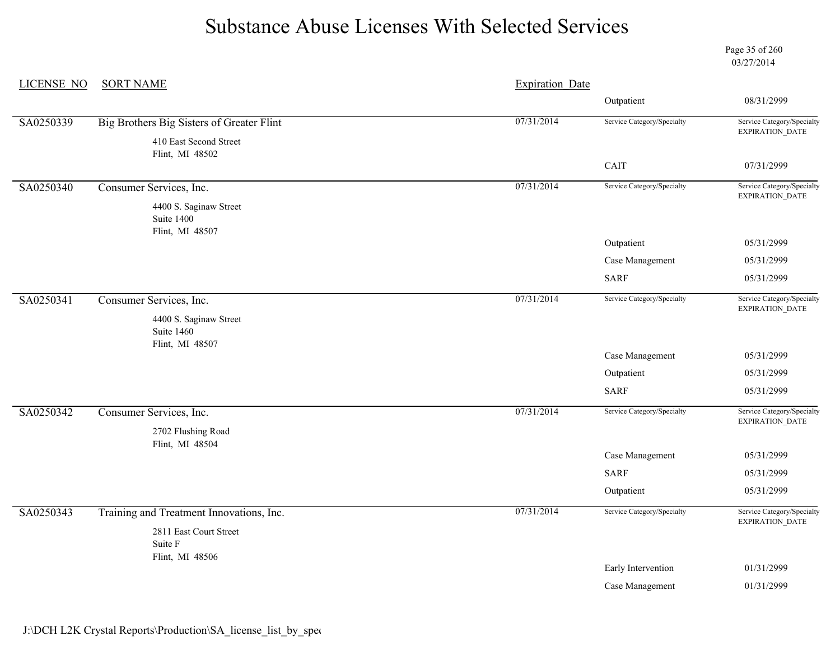Page 35 of 260 03/27/2014

| <b>LICENSE NO</b> | <b>SORT NAME</b>                                        | <b>Expiration Date</b> |                            |                                               |
|-------------------|---------------------------------------------------------|------------------------|----------------------------|-----------------------------------------------|
|                   |                                                         |                        | Outpatient                 | 08/31/2999                                    |
| SA0250339         | Big Brothers Big Sisters of Greater Flint               | 07/31/2014             | Service Category/Specialty | Service Category/Specialty<br>EXPIRATION_DATE |
|                   | 410 East Second Street<br>Flint, MI 48502               |                        |                            |                                               |
|                   |                                                         |                        | CAIT                       | 07/31/2999                                    |
| SA0250340         | Consumer Services, Inc.                                 | 07/31/2014             | Service Category/Specialty | Service Category/Specialty<br>EXPIRATION_DATE |
|                   | 4400 S. Saginaw Street<br>Suite 1400<br>Flint, MI 48507 |                        |                            |                                               |
|                   |                                                         |                        | Outpatient                 | 05/31/2999                                    |
|                   |                                                         |                        | Case Management            | 05/31/2999                                    |
|                   |                                                         |                        | SARF                       | 05/31/2999                                    |
| SA0250341         | Consumer Services, Inc.                                 | 07/31/2014             | Service Category/Specialty | Service Category/Specialty<br>EXPIRATION_DATE |
|                   | 4400 S. Saginaw Street<br>Suite 1460<br>Flint, MI 48507 |                        |                            |                                               |
|                   |                                                         |                        | Case Management            | 05/31/2999                                    |
|                   |                                                         |                        | Outpatient                 | 05/31/2999                                    |
|                   |                                                         |                        | <b>SARF</b>                | 05/31/2999                                    |
| SA0250342         | Consumer Services, Inc.                                 | 07/31/2014             | Service Category/Specialty | Service Category/Specialty<br>EXPIRATION_DATE |
|                   | 2702 Flushing Road<br>Flint, MI 48504                   |                        |                            |                                               |
|                   |                                                         |                        | Case Management            | 05/31/2999                                    |
|                   |                                                         |                        | <b>SARF</b>                | 05/31/2999                                    |
|                   |                                                         |                        | Outpatient                 | 05/31/2999                                    |
| SA0250343         | Training and Treatment Innovations, Inc.                | 07/31/2014             | Service Category/Specialty | Service Category/Specialty<br>EXPIRATION_DATE |
|                   | 2811 East Court Street<br>Suite F                       |                        |                            |                                               |
|                   | Flint, MI 48506                                         |                        | Early Intervention         | 01/31/2999                                    |
|                   |                                                         |                        | Case Management            | 01/31/2999                                    |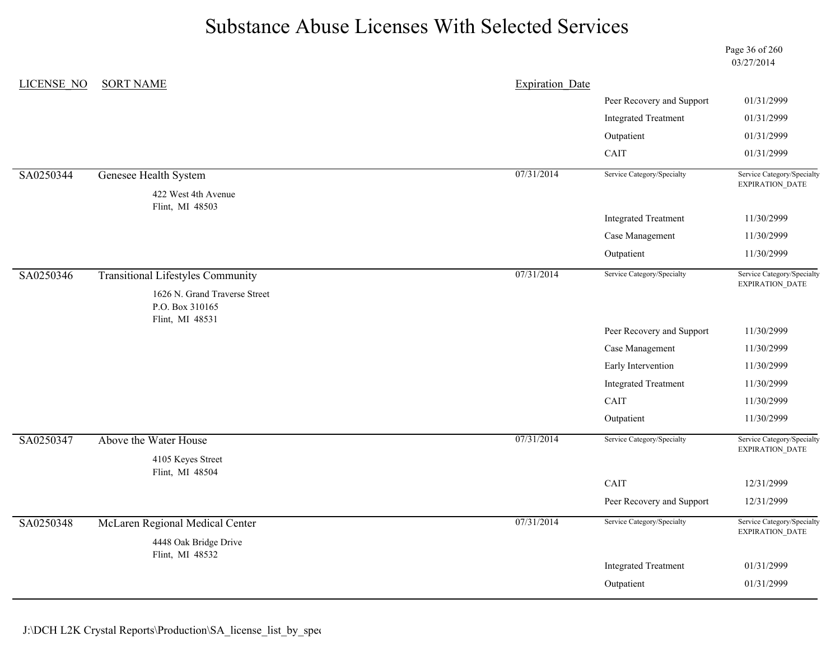Page 36 of 260 03/27/2014

| <b>LICENSE NO</b> | <b>SORT NAME</b>                         | <b>Expiration Date</b> |                             |                                               |
|-------------------|------------------------------------------|------------------------|-----------------------------|-----------------------------------------------|
|                   |                                          |                        | Peer Recovery and Support   | 01/31/2999                                    |
|                   |                                          |                        | <b>Integrated Treatment</b> | 01/31/2999                                    |
|                   |                                          |                        | Outpatient                  | 01/31/2999                                    |
|                   |                                          |                        | CAIT                        | 01/31/2999                                    |
| SA0250344         | Genesee Health System                    | 07/31/2014             | Service Category/Specialty  | Service Category/Specialty<br>EXPIRATION_DATE |
|                   | 422 West 4th Avenue<br>Flint, MI 48503   |                        |                             |                                               |
|                   |                                          |                        | <b>Integrated Treatment</b> | 11/30/2999                                    |
|                   |                                          |                        | Case Management             | 11/30/2999                                    |
|                   |                                          |                        | Outpatient                  | 11/30/2999                                    |
| SA0250346         | <b>Transitional Lifestyles Community</b> | 07/31/2014             | Service Category/Specialty  | Service Category/Specialty<br>EXPIRATION_DATE |
|                   | 1626 N. Grand Traverse Street            |                        |                             |                                               |
|                   | P.O. Box 310165<br>Flint, MI 48531       |                        |                             |                                               |
|                   |                                          |                        | Peer Recovery and Support   | 11/30/2999                                    |
|                   |                                          |                        | Case Management             | 11/30/2999                                    |
|                   |                                          |                        | Early Intervention          | 11/30/2999                                    |
|                   |                                          |                        | <b>Integrated Treatment</b> | 11/30/2999                                    |
|                   |                                          |                        | CAIT                        | 11/30/2999                                    |
|                   |                                          |                        | Outpatient                  | 11/30/2999                                    |
| SA0250347         | Above the Water House                    | 07/31/2014             | Service Category/Specialty  | Service Category/Specialty<br>EXPIRATION_DATE |
|                   | 4105 Keyes Street                        |                        |                             |                                               |
|                   | Flint, MI 48504                          |                        | CAIT                        | 12/31/2999                                    |
|                   |                                          |                        | Peer Recovery and Support   | 12/31/2999                                    |
|                   |                                          |                        |                             |                                               |
|                   |                                          | 07/31/2014             | Service Category/Specialty  |                                               |
| SA0250348         | McLaren Regional Medical Center          |                        |                             | EXPIRATION_DATE                               |
|                   | 4448 Oak Bridge Drive<br>Flint, MI 48532 |                        |                             |                                               |
|                   |                                          |                        | <b>Integrated Treatment</b> | Service Category/Specialty<br>01/31/2999      |

J:\DCH L2K Crystal Reports\Production\SA\_license\_list\_by\_spec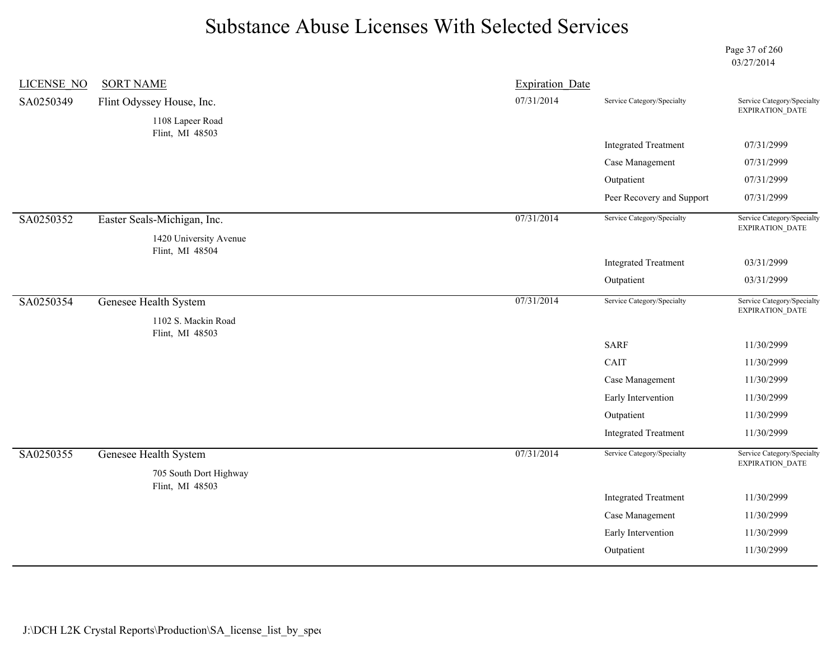Page 37 of 260 03/27/2014

| <b>LICENSE NO</b> | <b>SORT NAME</b>                          | <b>Expiration Date</b> |                             |                                               |
|-------------------|-------------------------------------------|------------------------|-----------------------------|-----------------------------------------------|
| SA0250349         | Flint Odyssey House, Inc.                 | 07/31/2014             | Service Category/Specialty  | Service Category/Specialty<br>EXPIRATION_DATE |
|                   | 1108 Lapeer Road                          |                        |                             |                                               |
|                   | Flint, MI 48503                           |                        | <b>Integrated Treatment</b> | 07/31/2999                                    |
|                   |                                           |                        | Case Management             | 07/31/2999                                    |
|                   |                                           |                        | Outpatient                  | 07/31/2999                                    |
|                   |                                           |                        | Peer Recovery and Support   | 07/31/2999                                    |
| SA0250352         | Easter Seals-Michigan, Inc.               | 07/31/2014             | Service Category/Specialty  | Service Category/Specialty<br>EXPIRATION_DATE |
|                   | 1420 University Avenue<br>Flint, MI 48504 |                        |                             |                                               |
|                   |                                           |                        | <b>Integrated Treatment</b> | 03/31/2999                                    |
|                   |                                           |                        | Outpatient                  | 03/31/2999                                    |
| SA0250354         | Genesee Health System                     | 07/31/2014             | Service Category/Specialty  | Service Category/Specialty<br>EXPIRATION_DATE |
|                   | 1102 S. Mackin Road<br>Flint, MI 48503    |                        |                             |                                               |
|                   |                                           |                        | <b>SARF</b>                 | 11/30/2999                                    |
|                   |                                           |                        | CAIT                        | 11/30/2999                                    |
|                   |                                           |                        | Case Management             | 11/30/2999                                    |
|                   |                                           |                        | Early Intervention          | 11/30/2999                                    |
|                   |                                           |                        | Outpatient                  | 11/30/2999                                    |
|                   |                                           |                        | <b>Integrated Treatment</b> | 11/30/2999                                    |
| SA0250355         | Genesee Health System                     | 07/31/2014             | Service Category/Specialty  | Service Category/Specialty<br>EXPIRATION_DATE |
|                   | 705 South Dort Highway<br>Flint, MI 48503 |                        |                             |                                               |
|                   |                                           |                        | <b>Integrated Treatment</b> | 11/30/2999                                    |
|                   |                                           |                        | Case Management             | 11/30/2999                                    |
|                   |                                           |                        | Early Intervention          | 11/30/2999                                    |
|                   |                                           |                        | Outpatient                  | 11/30/2999                                    |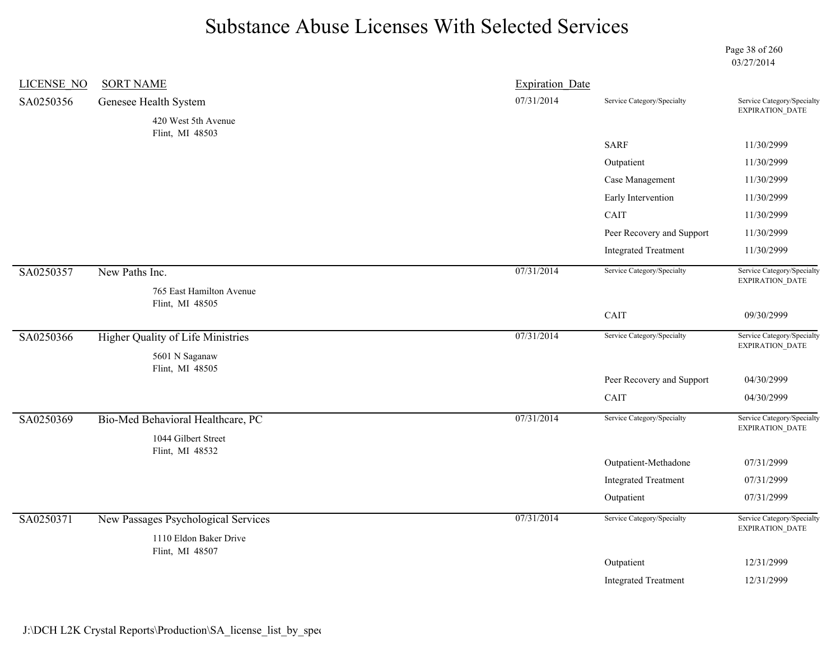Page 38 of 260 03/27/2014

| LICENSE NO | <b>SORT NAME</b>                           | <b>Expiration Date</b> |                             |                                               |
|------------|--------------------------------------------|------------------------|-----------------------------|-----------------------------------------------|
| SA0250356  | Genesee Health System                      | 07/31/2014             | Service Category/Specialty  | Service Category/Specialty<br>EXPIRATION_DATE |
|            | 420 West 5th Avenue                        |                        |                             |                                               |
|            | Flint, MI 48503                            |                        | <b>SARF</b>                 | 11/30/2999                                    |
|            |                                            |                        | Outpatient                  | 11/30/2999                                    |
|            |                                            |                        | Case Management             | 11/30/2999                                    |
|            |                                            |                        | Early Intervention          | 11/30/2999                                    |
|            |                                            |                        | CAIT                        | 11/30/2999                                    |
|            |                                            |                        | Peer Recovery and Support   | 11/30/2999                                    |
|            |                                            |                        | <b>Integrated Treatment</b> | 11/30/2999                                    |
| SA0250357  | New Paths Inc.<br>765 East Hamilton Avenue | 07/31/2014             | Service Category/Specialty  | Service Category/Specialty<br>EXPIRATION_DATE |
|            | Flint, MI 48505                            |                        |                             |                                               |
|            |                                            |                        | CAIT                        | 09/30/2999                                    |
| SA0250366  | Higher Quality of Life Ministries          | 07/31/2014             | Service Category/Specialty  | Service Category/Specialty<br>EXPIRATION_DATE |
|            | 5601 N Saganaw<br>Flint, MI 48505          |                        |                             |                                               |
|            |                                            |                        | Peer Recovery and Support   | 04/30/2999                                    |
|            |                                            |                        | CAIT                        | 04/30/2999                                    |
| SA0250369  | Bio-Med Behavioral Healthcare, PC          | 07/31/2014             | Service Category/Specialty  | Service Category/Specialty<br>EXPIRATION_DATE |
|            | 1044 Gilbert Street                        |                        |                             |                                               |
|            | Flint, MI 48532                            |                        | Outpatient-Methadone        | 07/31/2999                                    |
|            |                                            |                        | <b>Integrated Treatment</b> | 07/31/2999                                    |
|            |                                            |                        | Outpatient                  | 07/31/2999                                    |
| SA0250371  | New Passages Psychological Services        | 07/31/2014             | Service Category/Specialty  | Service Category/Specialty<br>EXPIRATION_DATE |
|            | 1110 Eldon Baker Drive                     |                        |                             |                                               |
|            |                                            |                        |                             |                                               |
|            | Flint, MI 48507                            |                        | Outpatient                  | 12/31/2999                                    |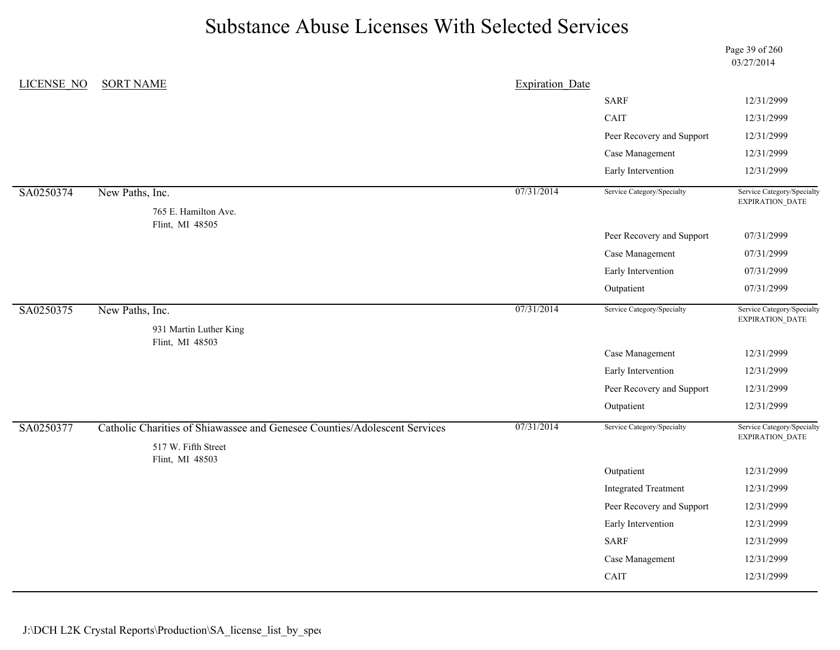Page 39 of 260 03/27/2014

| <b>LICENSE NO</b> | <b>SORT NAME</b>                                                                                 | <b>Expiration Date</b> |                             |                                               |
|-------------------|--------------------------------------------------------------------------------------------------|------------------------|-----------------------------|-----------------------------------------------|
|                   |                                                                                                  |                        | <b>SARF</b>                 | 12/31/2999                                    |
|                   |                                                                                                  |                        | CAIT                        | 12/31/2999                                    |
|                   |                                                                                                  |                        | Peer Recovery and Support   | 12/31/2999                                    |
|                   |                                                                                                  |                        | Case Management             | 12/31/2999                                    |
|                   |                                                                                                  |                        | Early Intervention          | 12/31/2999                                    |
| SA0250374         | New Paths, Inc.                                                                                  | 07/31/2014             | Service Category/Specialty  | Service Category/Specialty<br>EXPIRATION_DATE |
|                   | 765 E. Hamilton Ave.<br>Flint, MI 48505                                                          |                        |                             |                                               |
|                   |                                                                                                  |                        | Peer Recovery and Support   | 07/31/2999                                    |
|                   |                                                                                                  |                        | Case Management             | 07/31/2999                                    |
|                   |                                                                                                  |                        | Early Intervention          | 07/31/2999                                    |
|                   |                                                                                                  |                        | Outpatient                  | 07/31/2999                                    |
| SA0250375         | New Paths, Inc.                                                                                  | 07/31/2014             | Service Category/Specialty  | Service Category/Specialty<br>EXPIRATION_DATE |
|                   | 931 Martin Luther King<br>Flint, MI 48503                                                        |                        |                             |                                               |
|                   |                                                                                                  |                        | Case Management             | 12/31/2999                                    |
|                   |                                                                                                  |                        | Early Intervention          | 12/31/2999                                    |
|                   |                                                                                                  |                        | Peer Recovery and Support   | 12/31/2999                                    |
|                   |                                                                                                  |                        | Outpatient                  | 12/31/2999                                    |
| SA0250377         | Catholic Charities of Shiawassee and Genesee Counties/Adolescent Services<br>517 W. Fifth Street | 07/31/2014             | Service Category/Specialty  | Service Category/Specialty<br>EXPIRATION_DATE |
|                   | Flint, MI 48503                                                                                  |                        |                             |                                               |
|                   |                                                                                                  |                        | Outpatient                  | 12/31/2999                                    |
|                   |                                                                                                  |                        | <b>Integrated Treatment</b> | 12/31/2999                                    |
|                   |                                                                                                  |                        | Peer Recovery and Support   | 12/31/2999                                    |
|                   |                                                                                                  |                        | Early Intervention          | 12/31/2999                                    |
|                   |                                                                                                  |                        | <b>SARF</b>                 | 12/31/2999                                    |
|                   |                                                                                                  |                        | Case Management             | 12/31/2999                                    |
|                   |                                                                                                  |                        | CAIT                        | 12/31/2999                                    |
|                   |                                                                                                  |                        |                             |                                               |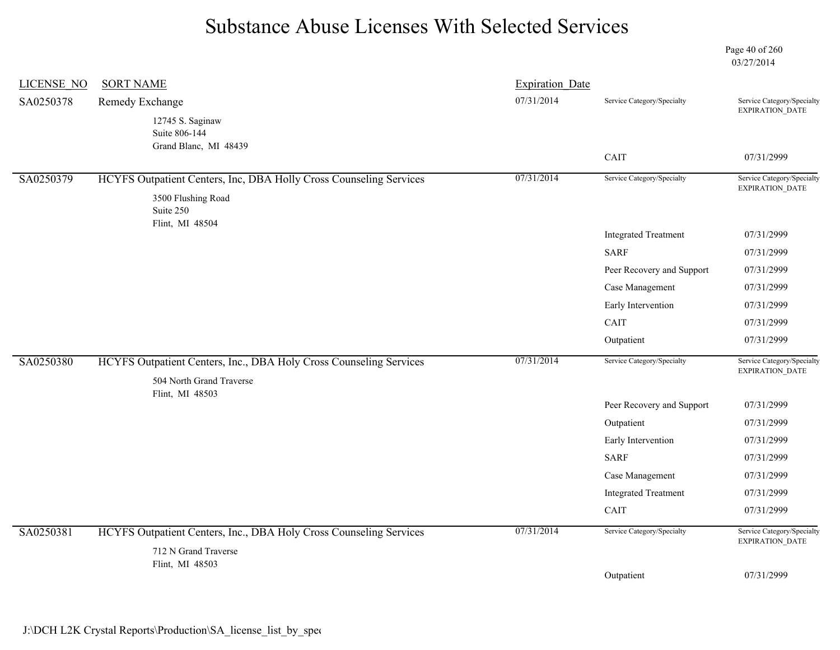Page 40 of 260 03/27/2014

| <b>LICENSE NO</b> | <b>SORT NAME</b>                                                                           | <b>Expiration Date</b> |                             |                                               |
|-------------------|--------------------------------------------------------------------------------------------|------------------------|-----------------------------|-----------------------------------------------|
| SA0250378         | Remedy Exchange                                                                            | 07/31/2014             | Service Category/Specialty  | Service Category/Specialty<br>EXPIRATION_DATE |
|                   | 12745 S. Saginaw<br>Suite 806-144<br>Grand Blanc, MI 48439                                 |                        |                             |                                               |
|                   |                                                                                            |                        | CAIT                        | 07/31/2999                                    |
| SA0250379         | HCYFS Outpatient Centers, Inc, DBA Holly Cross Counseling Services                         | 07/31/2014             | Service Category/Specialty  | Service Category/Specialty<br>EXPIRATION_DATE |
|                   | 3500 Flushing Road<br>Suite 250<br>Flint, MI 48504                                         |                        |                             |                                               |
|                   |                                                                                            |                        | <b>Integrated Treatment</b> | 07/31/2999                                    |
|                   |                                                                                            |                        | <b>SARF</b>                 | 07/31/2999                                    |
|                   |                                                                                            |                        | Peer Recovery and Support   | 07/31/2999                                    |
|                   |                                                                                            |                        | Case Management             | 07/31/2999                                    |
|                   |                                                                                            |                        | Early Intervention          | 07/31/2999                                    |
|                   |                                                                                            |                        | CAIT                        | 07/31/2999                                    |
|                   |                                                                                            |                        | Outpatient                  | 07/31/2999                                    |
| SA0250380         | HCYFS Outpatient Centers, Inc., DBA Holy Cross Counseling Services                         | 07/31/2014             | Service Category/Specialty  | Service Category/Specialty<br>EXPIRATION_DATE |
|                   | 504 North Grand Traverse<br>Flint, MI 48503                                                |                        |                             |                                               |
|                   |                                                                                            |                        | Peer Recovery and Support   | 07/31/2999                                    |
|                   |                                                                                            |                        | Outpatient                  | 07/31/2999                                    |
|                   |                                                                                            |                        | Early Intervention          | 07/31/2999                                    |
|                   |                                                                                            |                        | <b>SARF</b>                 | 07/31/2999                                    |
|                   |                                                                                            |                        | Case Management             | 07/31/2999                                    |
|                   |                                                                                            |                        | <b>Integrated Treatment</b> | 07/31/2999                                    |
|                   |                                                                                            |                        | CAIT                        | 07/31/2999                                    |
| SA0250381         | HCYFS Outpatient Centers, Inc., DBA Holy Cross Counseling Services<br>712 N Grand Traverse | 07/31/2014             | Service Category/Specialty  | Service Category/Specialty<br>EXPIRATION_DATE |
|                   | Flint, MI 48503                                                                            |                        |                             |                                               |
|                   |                                                                                            |                        | Outpatient                  | 07/31/2999                                    |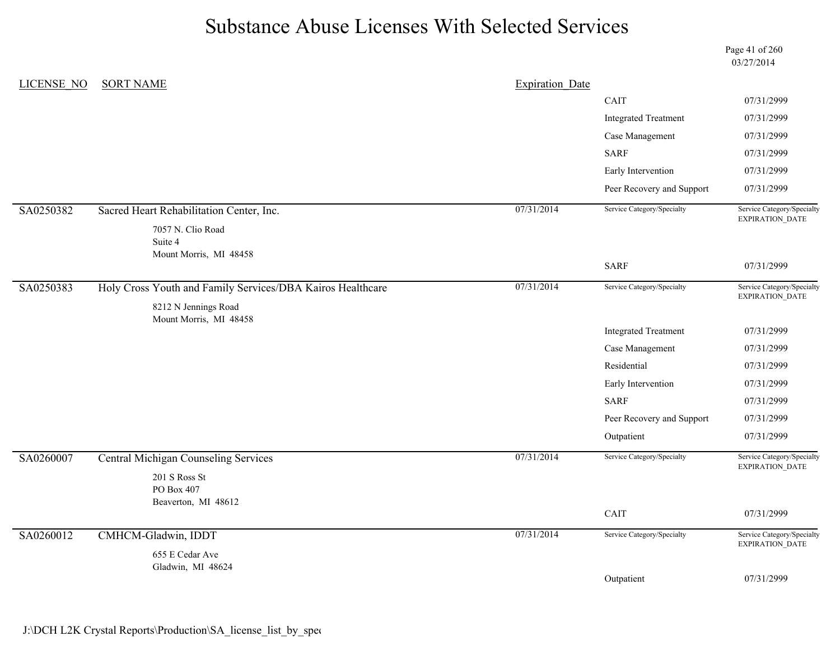Page 41 of 260 03/27/2014

| LICENSE NO | <b>SORT NAME</b>                                           | <b>Expiration Date</b> |                                                                                                                                                                                                                                                                                                                                                                                   |                                               |
|------------|------------------------------------------------------------|------------------------|-----------------------------------------------------------------------------------------------------------------------------------------------------------------------------------------------------------------------------------------------------------------------------------------------------------------------------------------------------------------------------------|-----------------------------------------------|
|            |                                                            |                        | CAIT                                                                                                                                                                                                                                                                                                                                                                              | 07/31/2999                                    |
|            |                                                            |                        | <b>Integrated Treatment</b>                                                                                                                                                                                                                                                                                                                                                       | 07/31/2999                                    |
|            |                                                            |                        | Case Management                                                                                                                                                                                                                                                                                                                                                                   | 07/31/2999                                    |
|            |                                                            |                        | <b>SARF</b>                                                                                                                                                                                                                                                                                                                                                                       | 07/31/2999                                    |
|            |                                                            |                        | Early Intervention                                                                                                                                                                                                                                                                                                                                                                | 07/31/2999                                    |
|            |                                                            |                        | Peer Recovery and Support<br>07/31/2999<br>Service Category/Specialty<br>Service Category/Specialty<br>EXPIRATION_DATE<br><b>SARF</b><br>07/31/2999<br>Service Category/Specialty<br>Service Category/Specialty<br>EXPIRATION_DATE<br><b>Integrated Treatment</b><br>07/31/2999<br>Case Management<br>07/31/2999<br>Residential<br>07/31/2999<br>Early Intervention<br>07/31/2999 |                                               |
| SA0250382  | Sacred Heart Rehabilitation Center, Inc.                   | 07/31/2014             |                                                                                                                                                                                                                                                                                                                                                                                   |                                               |
|            | 7057 N. Clio Road<br>Suite 4<br>Mount Morris, MI 48458     |                        |                                                                                                                                                                                                                                                                                                                                                                                   |                                               |
|            |                                                            |                        |                                                                                                                                                                                                                                                                                                                                                                                   |                                               |
| SA0250383  | Holy Cross Youth and Family Services/DBA Kairos Healthcare | 07/31/2014             |                                                                                                                                                                                                                                                                                                                                                                                   |                                               |
|            | 8212 N Jennings Road<br>Mount Morris, MI 48458             |                        |                                                                                                                                                                                                                                                                                                                                                                                   |                                               |
|            |                                                            |                        |                                                                                                                                                                                                                                                                                                                                                                                   |                                               |
|            |                                                            |                        |                                                                                                                                                                                                                                                                                                                                                                                   |                                               |
|            |                                                            |                        |                                                                                                                                                                                                                                                                                                                                                                                   |                                               |
|            |                                                            |                        |                                                                                                                                                                                                                                                                                                                                                                                   |                                               |
|            |                                                            |                        | <b>SARF</b>                                                                                                                                                                                                                                                                                                                                                                       | 07/31/2999                                    |
|            |                                                            |                        | Peer Recovery and Support                                                                                                                                                                                                                                                                                                                                                         | 07/31/2999                                    |
|            |                                                            |                        | Outpatient                                                                                                                                                                                                                                                                                                                                                                        | 07/31/2999                                    |
| SA0260007  | <b>Central Michigan Counseling Services</b>                | 07/31/2014             | Service Category/Specialty                                                                                                                                                                                                                                                                                                                                                        | Service Category/Specialty<br>EXPIRATION_DATE |
|            | 201 S Ross St<br>PO Box 407<br>Beaverton, MI 48612         |                        |                                                                                                                                                                                                                                                                                                                                                                                   |                                               |
|            |                                                            |                        | CAIT                                                                                                                                                                                                                                                                                                                                                                              | 07/31/2999                                    |
| SA0260012  | CMHCM-Gladwin, IDDT                                        | 07/31/2014             | Service Category/Specialty                                                                                                                                                                                                                                                                                                                                                        | Service Category/Specialty<br>EXPIRATION_DATE |
|            | 655 E Cedar Ave<br>Gladwin, MI 48624                       |                        |                                                                                                                                                                                                                                                                                                                                                                                   |                                               |
|            |                                                            |                        | Outpatient                                                                                                                                                                                                                                                                                                                                                                        | 07/31/2999                                    |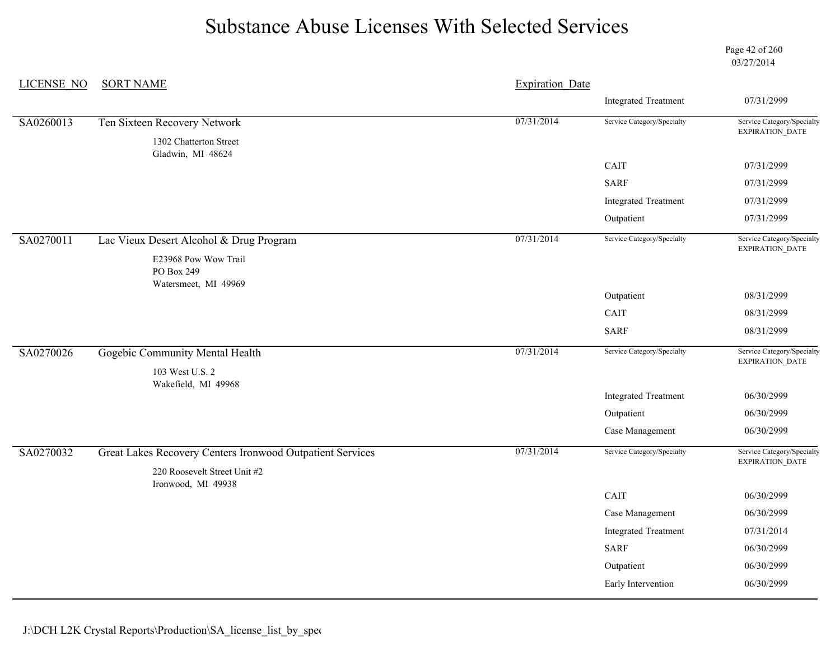Page 42 of 260 03/27/2014

| <b>LICENSE NO</b> | <b>SORT NAME</b>                                           | <b>Expiration Date</b> |                             |                                                      |
|-------------------|------------------------------------------------------------|------------------------|-----------------------------|------------------------------------------------------|
|                   |                                                            |                        | <b>Integrated Treatment</b> | 07/31/2999                                           |
| SA0260013         | Ten Sixteen Recovery Network                               | 07/31/2014             | Service Category/Specialty  | Service Category/Specialty                           |
|                   | 1302 Chatterton Street<br>Gladwin, MI 48624                |                        |                             | EXPIRATION_DATE                                      |
|                   |                                                            |                        | CAIT                        | 07/31/2999                                           |
|                   |                                                            |                        | <b>SARF</b>                 | 07/31/2999                                           |
|                   |                                                            |                        | <b>Integrated Treatment</b> | 07/31/2999                                           |
|                   |                                                            |                        | Outpatient                  | 07/31/2999                                           |
| SA0270011         | Lac Vieux Desert Alcohol & Drug Program                    | 07/31/2014             | Service Category/Specialty  | Service Category/Specialty<br>EXPIRATION_DATE        |
|                   | E23968 Pow Wow Trail<br>PO Box 249<br>Watersmeet, MI 49969 |                        |                             |                                                      |
|                   |                                                            |                        | Outpatient                  | 08/31/2999                                           |
|                   |                                                            |                        | CAIT                        | 08/31/2999                                           |
|                   |                                                            |                        | <b>SARF</b>                 | 08/31/2999                                           |
| SA0270026         | Gogebic Community Mental Health<br>103 West U.S. 2         | 07/31/2014             | Service Category/Specialty  | Service Category/Specialty<br>EXPIRATION_DATE        |
|                   | Wakefield, MI 49968                                        |                        |                             |                                                      |
|                   |                                                            |                        | <b>Integrated Treatment</b> | 06/30/2999                                           |
|                   |                                                            |                        | Outpatient                  | 06/30/2999                                           |
|                   |                                                            |                        | Case Management             | 06/30/2999                                           |
| SA0270032         | Great Lakes Recovery Centers Ironwood Outpatient Services  | 07/31/2014             | Service Category/Specialty  | Service Category/Specialty<br><b>EXPIRATION DATE</b> |
|                   | 220 Roosevelt Street Unit #2<br>Ironwood, MI 49938         |                        |                             |                                                      |
|                   |                                                            |                        | CAIT                        | 06/30/2999                                           |
|                   |                                                            |                        | Case Management             | 06/30/2999                                           |
|                   |                                                            |                        | <b>Integrated Treatment</b> | 07/31/2014                                           |
|                   |                                                            |                        | <b>SARF</b>                 | 06/30/2999                                           |
|                   |                                                            |                        | Outpatient                  | 06/30/2999                                           |
|                   |                                                            |                        | Early Intervention          | 06/30/2999                                           |
|                   |                                                            |                        |                             |                                                      |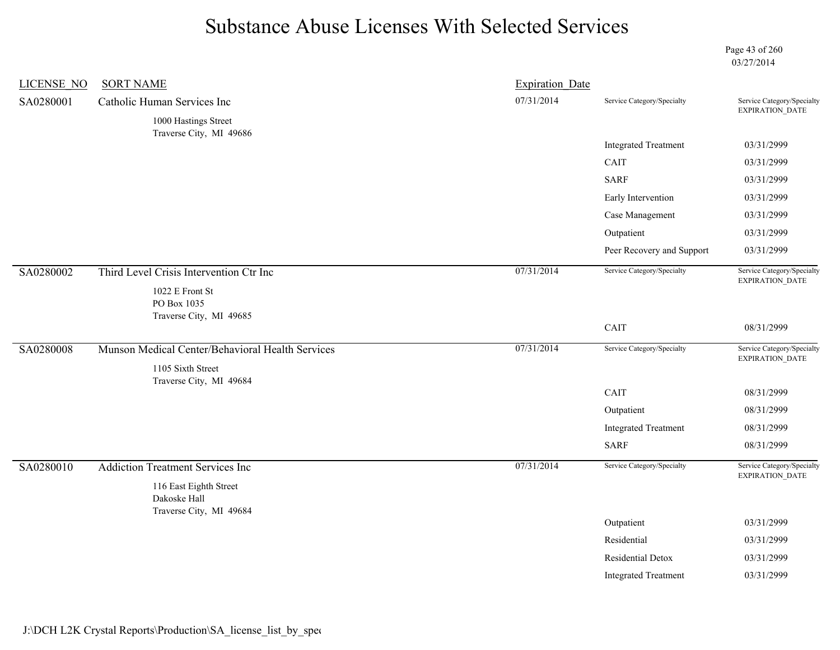Page 43 of 260 03/27/2014

| LICENSE NO | <b>SORT NAME</b>                                 | <b>Expiration Date</b> |                             |                                               |
|------------|--------------------------------------------------|------------------------|-----------------------------|-----------------------------------------------|
| SA0280001  | Catholic Human Services Inc                      | 07/31/2014             | Service Category/Specialty  | Service Category/Specialty<br>EXPIRATION_DATE |
|            | 1000 Hastings Street                             |                        |                             |                                               |
|            | Traverse City, MI 49686                          |                        | <b>Integrated Treatment</b> | 03/31/2999                                    |
|            |                                                  |                        | CAIT                        | 03/31/2999                                    |
|            |                                                  |                        | <b>SARF</b>                 | 03/31/2999                                    |
|            |                                                  |                        | Early Intervention          | 03/31/2999                                    |
|            |                                                  |                        | Case Management             | 03/31/2999                                    |
|            |                                                  |                        | Outpatient                  | 03/31/2999                                    |
|            |                                                  |                        | Peer Recovery and Support   | 03/31/2999                                    |
| SA0280002  | Third Level Crisis Intervention Ctr Inc          | 07/31/2014             | Service Category/Specialty  | Service Category/Specialty<br>EXPIRATION_DATE |
|            | 1022 E Front St<br>PO Box 1035                   |                        |                             |                                               |
|            | Traverse City, MI 49685                          |                        | CAIT                        | 08/31/2999                                    |
| SA0280008  | Munson Medical Center/Behavioral Health Services | 07/31/2014             | Service Category/Specialty  | Service Category/Specialty<br>EXPIRATION_DATE |
|            | 1105 Sixth Street                                |                        |                             |                                               |
|            | Traverse City, MI 49684                          |                        | CAIT                        | 08/31/2999                                    |
|            |                                                  |                        | Outpatient                  | 08/31/2999                                    |
|            |                                                  |                        | <b>Integrated Treatment</b> | 08/31/2999                                    |
|            |                                                  |                        | <b>SARF</b>                 | 08/31/2999                                    |
| SA0280010  | <b>Addiction Treatment Services Inc</b>          | 07/31/2014             | Service Category/Specialty  | Service Category/Specialty                    |
|            | 116 East Eighth Street<br>Dakoske Hall           |                        |                             | EXPIRATION_DATE                               |
|            | Traverse City, MI 49684                          |                        | Outpatient                  | 03/31/2999                                    |
|            |                                                  |                        | Residential                 | 03/31/2999                                    |
|            |                                                  |                        |                             |                                               |
|            |                                                  |                        | Residential Detox           | 03/31/2999                                    |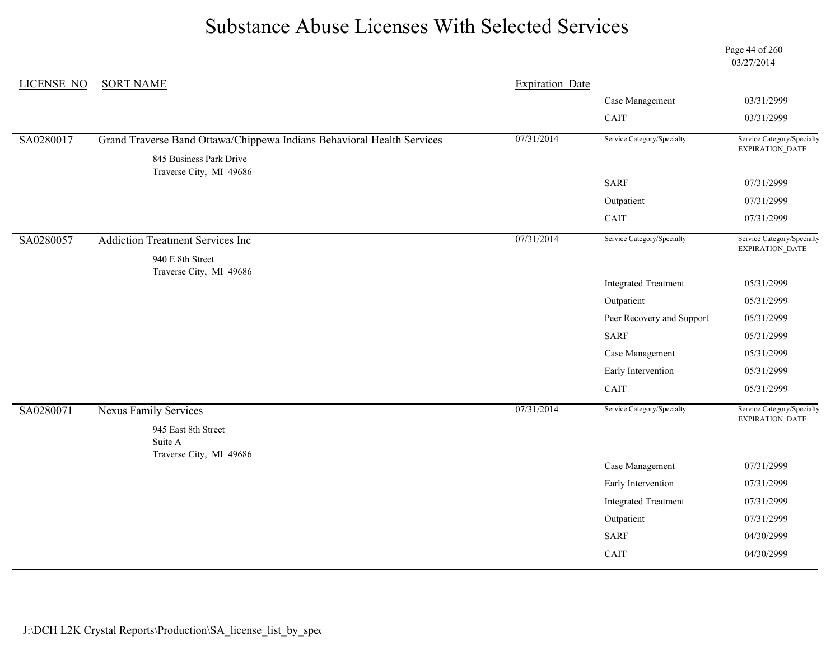Page 44 of 260 03/27/2014

| <b>LICENSE NO</b> | <b>SORT NAME</b>                                                       | <b>Expiration Date</b> |                             |                                               |
|-------------------|------------------------------------------------------------------------|------------------------|-----------------------------|-----------------------------------------------|
|                   |                                                                        |                        | Case Management             | 03/31/2999                                    |
|                   |                                                                        |                        | CAIT                        | 03/31/2999                                    |
| SA0280017         | Grand Traverse Band Ottawa/Chippewa Indians Behavioral Health Services | 07/31/2014             | Service Category/Specialty  | Service Category/Specialty<br>EXPIRATION_DATE |
|                   | 845 Business Park Drive<br>Traverse City, MI 49686                     |                        |                             |                                               |
|                   |                                                                        |                        | <b>SARF</b>                 | 07/31/2999                                    |
|                   |                                                                        |                        | Outpatient                  | 07/31/2999                                    |
|                   |                                                                        |                        | CAIT                        | 07/31/2999                                    |
| SA0280057         | <b>Addiction Treatment Services Inc</b>                                | 07/31/2014             | Service Category/Specialty  | Service Category/Specialty<br>EXPIRATION_DATE |
|                   | 940 E 8th Street                                                       |                        |                             |                                               |
|                   | Traverse City, MI 49686                                                |                        | <b>Integrated Treatment</b> | 05/31/2999                                    |
|                   |                                                                        |                        | Outpatient                  | 05/31/2999                                    |
|                   |                                                                        |                        | Peer Recovery and Support   | 05/31/2999                                    |
|                   |                                                                        |                        | <b>SARF</b>                 | 05/31/2999                                    |
|                   |                                                                        |                        | Case Management             | 05/31/2999                                    |
|                   |                                                                        |                        | Early Intervention          | 05/31/2999                                    |
|                   |                                                                        |                        | CAIT                        | 05/31/2999                                    |
| SA0280071         | <b>Nexus Family Services</b>                                           | 07/31/2014             | Service Category/Specialty  | Service Category/Specialty<br>EXPIRATION_DATE |
|                   | 945 East 8th Street                                                    |                        |                             |                                               |
|                   | Suite A<br>Traverse City, MI 49686                                     |                        |                             |                                               |
|                   |                                                                        |                        | Case Management             | 07/31/2999                                    |
|                   |                                                                        |                        | Early Intervention          | 07/31/2999                                    |
|                   |                                                                        |                        | <b>Integrated Treatment</b> | 07/31/2999                                    |
|                   |                                                                        |                        | Outpatient                  | 07/31/2999                                    |
|                   |                                                                        |                        | <b>SARF</b>                 | 04/30/2999                                    |
|                   |                                                                        |                        | CAIT                        | 04/30/2999                                    |
|                   |                                                                        |                        |                             |                                               |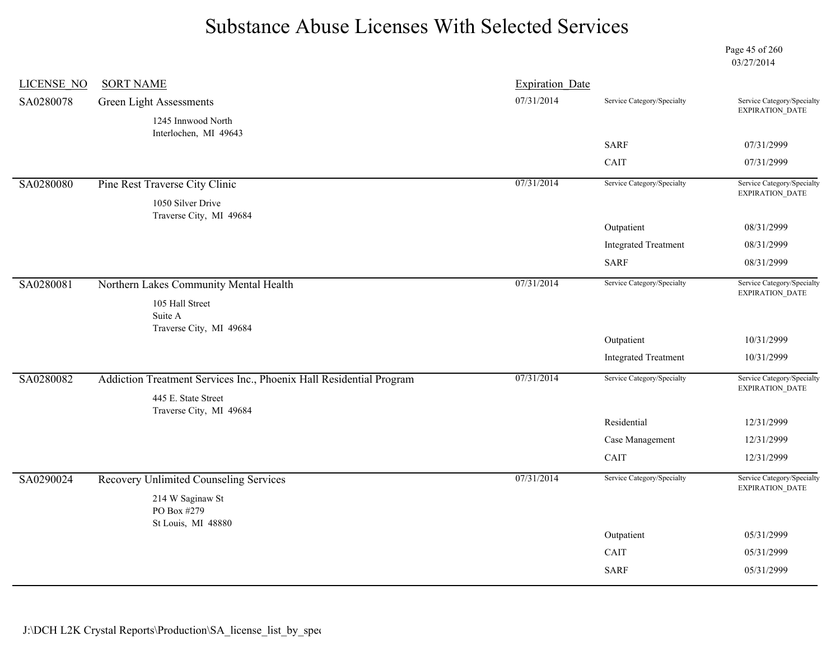Page 45 of 260 03/27/2014

| <b>LICENSE NO</b> | <b>SORT NAME</b>                                                                           | <b>Expiration Date</b> |                             |                                               |
|-------------------|--------------------------------------------------------------------------------------------|------------------------|-----------------------------|-----------------------------------------------|
| SA0280078         | Green Light Assessments                                                                    | 07/31/2014             | Service Category/Specialty  | Service Category/Specialty<br>EXPIRATION_DATE |
|                   | 1245 Innwood North                                                                         |                        |                             |                                               |
|                   | Interlochen, MI 49643                                                                      |                        | <b>SARF</b>                 | 07/31/2999                                    |
|                   |                                                                                            |                        | CAIT                        | 07/31/2999                                    |
| SA0280080         | Pine Rest Traverse City Clinic                                                             | 07/31/2014             | Service Category/Specialty  | Service Category/Specialty                    |
|                   | 1050 Silver Drive<br>Traverse City, MI 49684                                               |                        |                             | EXPIRATION_DATE                               |
|                   |                                                                                            |                        | Outpatient                  | 08/31/2999                                    |
|                   |                                                                                            |                        | <b>Integrated Treatment</b> | 08/31/2999                                    |
|                   |                                                                                            |                        | <b>SARF</b>                 | 08/31/2999                                    |
| SA0280081         | Northern Lakes Community Mental Health                                                     | 07/31/2014             | Service Category/Specialty  | Service Category/Specialty<br>EXPIRATION_DATE |
|                   | 105 Hall Street<br>Suite A                                                                 |                        |                             |                                               |
|                   | Traverse City, MI 49684                                                                    |                        | Outpatient                  | 10/31/2999                                    |
|                   |                                                                                            |                        | <b>Integrated Treatment</b> | 10/31/2999                                    |
| SA0280082         | Addiction Treatment Services Inc., Phoenix Hall Residential Program<br>445 E. State Street | 07/31/2014             | Service Category/Specialty  | Service Category/Specialty<br>EXPIRATION_DATE |
|                   | Traverse City, MI 49684                                                                    |                        |                             |                                               |
|                   |                                                                                            |                        | Residential                 | 12/31/2999                                    |
|                   |                                                                                            |                        | Case Management             | 12/31/2999                                    |
|                   |                                                                                            |                        | CAIT                        | 12/31/2999                                    |
| SA0290024         | Recovery Unlimited Counseling Services                                                     | 07/31/2014             | Service Category/Specialty  | Service Category/Specialty<br>EXPIRATION_DATE |
|                   | 214 W Saginaw St<br>PO Box #279<br>St Louis, MI 48880                                      |                        |                             |                                               |
|                   |                                                                                            |                        | Outpatient                  | 05/31/2999                                    |
|                   |                                                                                            |                        | CAIT                        | 05/31/2999                                    |
|                   |                                                                                            |                        | <b>SARF</b>                 | 05/31/2999                                    |
|                   |                                                                                            |                        |                             |                                               |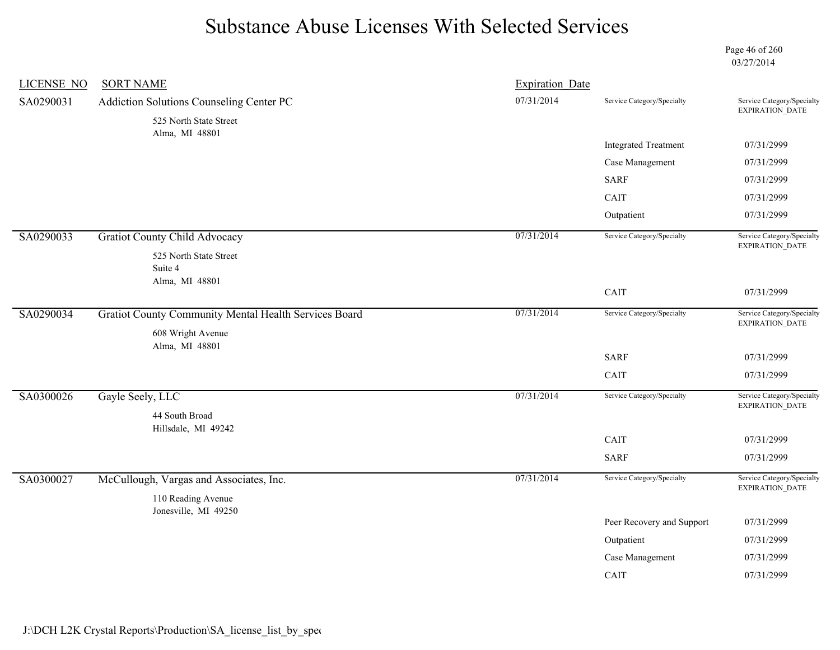Page 46 of 260 03/27/2014

| <b>LICENSE NO</b> | <b>SORT NAME</b>                                             | <b>Expiration Date</b> |                             |                                               |
|-------------------|--------------------------------------------------------------|------------------------|-----------------------------|-----------------------------------------------|
| SA0290031         | Addiction Solutions Counseling Center PC                     | 07/31/2014             | Service Category/Specialty  | Service Category/Specialty<br>EXPIRATION_DATE |
|                   | 525 North State Street<br>Alma, MI 48801                     |                        |                             |                                               |
|                   |                                                              |                        | <b>Integrated Treatment</b> | 07/31/2999                                    |
|                   |                                                              |                        | Case Management             | 07/31/2999                                    |
|                   |                                                              |                        | <b>SARF</b>                 | 07/31/2999                                    |
|                   |                                                              |                        | CAIT                        | 07/31/2999                                    |
|                   |                                                              |                        | Outpatient                  | 07/31/2999                                    |
| SA0290033         | <b>Gratiot County Child Advocacy</b>                         | 07/31/2014             | Service Category/Specialty  | Service Category/Specialty<br>EXPIRATION_DATE |
|                   | 525 North State Street<br>Suite 4<br>Alma, MI 48801          |                        |                             |                                               |
|                   |                                                              |                        | CAIT                        | 07/31/2999                                    |
| SA0290034         | <b>Gratiot County Community Mental Health Services Board</b> | 07/31/2014             | Service Category/Specialty  | Service Category/Specialty<br>EXPIRATION_DATE |
|                   | 608 Wright Avenue<br>Alma, MI 48801                          |                        |                             |                                               |
|                   |                                                              |                        | <b>SARF</b>                 | 07/31/2999                                    |
|                   |                                                              |                        | CAIT                        | 07/31/2999                                    |
| SA0300026         | Gayle Seely, LLC                                             | 07/31/2014             | Service Category/Specialty  | Service Category/Specialty<br>EXPIRATION_DATE |
|                   | 44 South Broad                                               |                        |                             |                                               |
|                   | Hillsdale, MI 49242                                          |                        | CAIT                        | 07/31/2999                                    |
|                   |                                                              |                        | <b>SARF</b>                 | 07/31/2999                                    |
| SA0300027         | McCullough, Vargas and Associates, Inc.                      | 07/31/2014             | Service Category/Specialty  | Service Category/Specialty                    |
|                   | 110 Reading Avenue                                           |                        |                             | EXPIRATION_DATE                               |
|                   | Jonesville, MI 49250                                         |                        |                             |                                               |
|                   |                                                              |                        | Peer Recovery and Support   | 07/31/2999                                    |
|                   |                                                              |                        | Outpatient                  | 07/31/2999                                    |
|                   |                                                              |                        | Case Management             | 07/31/2999                                    |
|                   |                                                              |                        | CAIT                        | 07/31/2999                                    |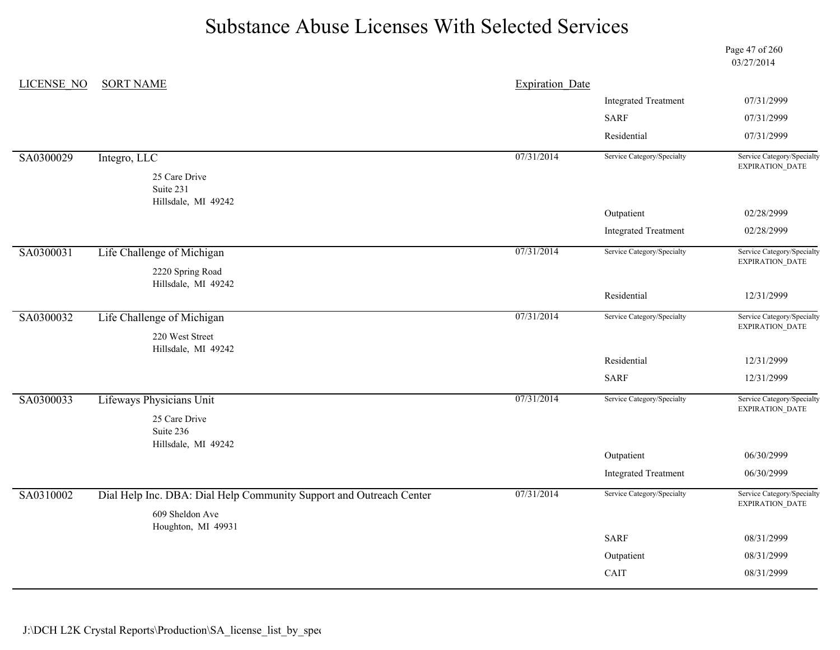Page 47 of 260 03/27/2014

| LICENSE NO | <b>SORT NAME</b>                                                    | <b>Expiration Date</b> |                             |                                               |
|------------|---------------------------------------------------------------------|------------------------|-----------------------------|-----------------------------------------------|
|            |                                                                     |                        | <b>Integrated Treatment</b> | 07/31/2999                                    |
|            |                                                                     |                        | <b>SARF</b>                 | 07/31/2999                                    |
|            |                                                                     |                        | Residential                 | 07/31/2999                                    |
| SA0300029  | Integro, LLC                                                        | 07/31/2014             | Service Category/Specialty  | Service Category/Specialty<br>EXPIRATION_DATE |
|            | 25 Care Drive<br>Suite 231                                          |                        |                             |                                               |
|            | Hillsdale, MI 49242                                                 |                        | Outpatient                  | 02/28/2999                                    |
|            |                                                                     |                        | <b>Integrated Treatment</b> | 02/28/2999                                    |
| SA0300031  | Life Challenge of Michigan                                          | 07/31/2014             | Service Category/Specialty  | Service Category/Specialty<br>EXPIRATION_DATE |
|            | 2220 Spring Road                                                    |                        |                             |                                               |
|            | Hillsdale, MI 49242                                                 |                        | Residential                 | 12/31/2999                                    |
| SA0300032  | Life Challenge of Michigan                                          | 07/31/2014             | Service Category/Specialty  | Service Category/Specialty<br>EXPIRATION_DATE |
|            | 220 West Street                                                     |                        |                             |                                               |
|            | Hillsdale, MI 49242                                                 |                        | Residential                 | 12/31/2999                                    |
|            |                                                                     |                        | <b>SARF</b>                 | 12/31/2999                                    |
| SA0300033  | Lifeways Physicians Unit                                            | 07/31/2014             | Service Category/Specialty  | Service Category/Specialty<br>EXPIRATION_DATE |
|            | 25 Care Drive                                                       |                        |                             |                                               |
|            | Suite 236<br>Hillsdale, MI 49242                                    |                        |                             |                                               |
|            |                                                                     |                        | Outpatient                  | 06/30/2999                                    |
|            |                                                                     |                        | <b>Integrated Treatment</b> | 06/30/2999                                    |
| SA0310002  | Dial Help Inc. DBA: Dial Help Community Support and Outreach Center | 07/31/2014             | Service Category/Specialty  | Service Category/Specialty<br>EXPIRATION_DATE |
|            | 609 Sheldon Ave<br>Houghton, MI 49931                               |                        |                             |                                               |
|            |                                                                     |                        | <b>SARF</b>                 | 08/31/2999                                    |
|            |                                                                     |                        | Outpatient                  | 08/31/2999                                    |
|            |                                                                     |                        | CAIT                        | 08/31/2999                                    |
|            |                                                                     |                        |                             |                                               |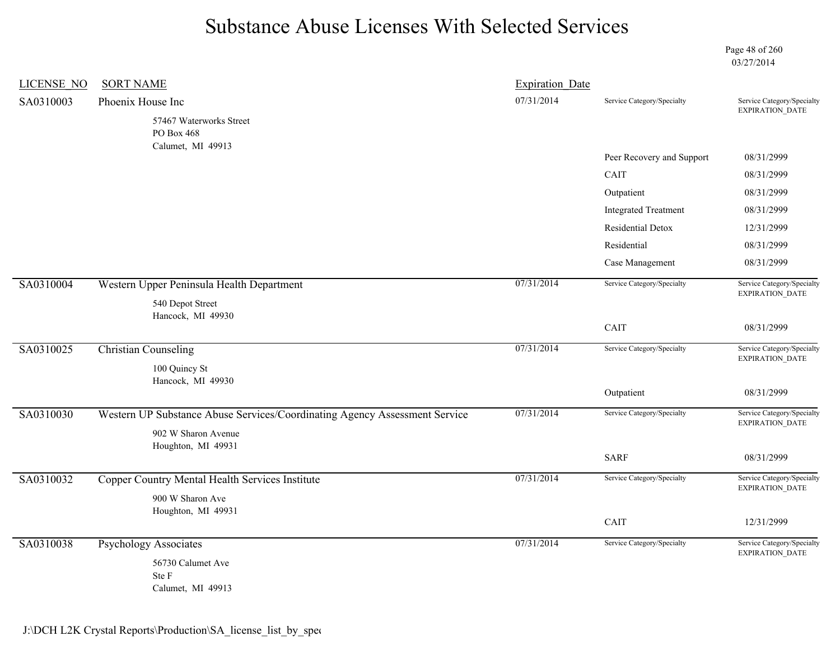Page 48 of 260 03/27/2014

| <b>LICENSE NO</b> | <b>SORT NAME</b>                                                           | <b>Expiration Date</b> |                             |                                                                        |
|-------------------|----------------------------------------------------------------------------|------------------------|-----------------------------|------------------------------------------------------------------------|
| SA0310003         | Phoenix House Inc                                                          | 07/31/2014             | Service Category/Specialty  | Service Category/Specialty                                             |
|                   | 57467 Waterworks Street<br>PO Box 468<br>Calumet, MI 49913                 |                        |                             | EXPIRATION_DATE                                                        |
|                   |                                                                            |                        | Peer Recovery and Support   | 08/31/2999                                                             |
|                   |                                                                            |                        | CAIT                        | 08/31/2999                                                             |
|                   |                                                                            |                        | Outpatient                  | 08/31/2999                                                             |
|                   |                                                                            |                        | <b>Integrated Treatment</b> | 08/31/2999                                                             |
|                   |                                                                            |                        | Residential Detox           | 12/31/2999                                                             |
|                   |                                                                            |                        | Residential                 | 08/31/2999                                                             |
|                   |                                                                            |                        | Case Management             | 08/31/2999                                                             |
| SA0310004         | Western Upper Peninsula Health Department                                  | 07/31/2014             | Service Category/Specialty  | Service Category/Specialty<br><b>EXPIRATION DATE</b>                   |
|                   | 540 Depot Street<br>Hancock, MI 49930                                      |                        |                             |                                                                        |
|                   |                                                                            |                        | CAIT                        | 08/31/2999                                                             |
| SA0310025         | <b>Christian Counseling</b>                                                | 07/31/2014             | Service Category/Specialty  | Service Category/Specialty<br>$\ensuremath{\mathsf{EXPIRATION\_DATA}}$ |
|                   | 100 Quincy St<br>Hancock, MI 49930                                         |                        |                             |                                                                        |
|                   |                                                                            |                        | Outpatient                  | 08/31/2999                                                             |
| SA0310030         | Western UP Substance Abuse Services/Coordinating Agency Assessment Service | 07/31/2014             | Service Category/Specialty  | Service Category/Specialty<br>EXPIRATION_DATE                          |
|                   | 902 W Sharon Avenue                                                        |                        |                             |                                                                        |
|                   | Houghton, MI 49931                                                         |                        | <b>SARF</b>                 | 08/31/2999                                                             |
| SA0310032         | Copper Country Mental Health Services Institute                            | 07/31/2014             | Service Category/Specialty  | Service Category/Specialty                                             |
|                   | 900 W Sharon Ave                                                           |                        |                             | EXPIRATION_DATE                                                        |
|                   | Houghton, MI 49931                                                         |                        |                             |                                                                        |
|                   |                                                                            |                        | CAIT                        | 12/31/2999                                                             |
| SA0310038         | <b>Psychology Associates</b>                                               | 07/31/2014             | Service Category/Specialty  | Service Category/Specialty<br><b>EXPIRATION DATE</b>                   |
|                   | 56730 Calumet Ave                                                          |                        |                             |                                                                        |
|                   | Ste F<br>Calumet, MI 49913                                                 |                        |                             |                                                                        |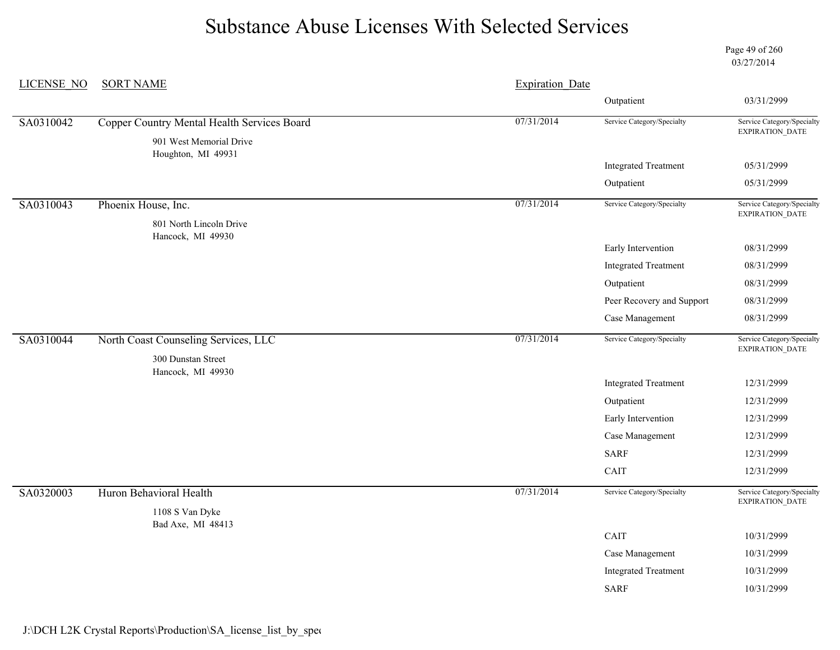Page 49 of 260 03/27/2014

| <b>LICENSE NO</b> | <b>SORT NAME</b>                              | <b>Expiration Date</b> |                             |                                                      |
|-------------------|-----------------------------------------------|------------------------|-----------------------------|------------------------------------------------------|
|                   |                                               |                        | Outpatient                  | 03/31/2999                                           |
| SA0310042         | Copper Country Mental Health Services Board   | 07/31/2014             | Service Category/Specialty  | Service Category/Specialty                           |
|                   | 901 West Memorial Drive<br>Houghton, MI 49931 |                        |                             | EXPIRATION_DATE                                      |
|                   |                                               |                        | <b>Integrated Treatment</b> | 05/31/2999                                           |
|                   |                                               |                        | Outpatient                  | 05/31/2999                                           |
| SA0310043         | Phoenix House, Inc.                           | 07/31/2014             | Service Category/Specialty  | Service Category/Specialty<br>EXPIRATION_DATE        |
|                   | 801 North Lincoln Drive                       |                        |                             |                                                      |
|                   | Hancock, MI 49930                             |                        | Early Intervention          | 08/31/2999                                           |
|                   |                                               |                        | <b>Integrated Treatment</b> | 08/31/2999                                           |
|                   |                                               |                        | Outpatient                  | 08/31/2999                                           |
|                   |                                               |                        | Peer Recovery and Support   | 08/31/2999                                           |
|                   |                                               |                        | Case Management             | 08/31/2999                                           |
| SA0310044         | North Coast Counseling Services, LLC          | 07/31/2014             | Service Category/Specialty  | Service Category/Specialty<br>EXPIRATION_DATE        |
|                   | 300 Dunstan Street                            |                        |                             |                                                      |
|                   | Hancock, MI 49930                             |                        | <b>Integrated Treatment</b> | 12/31/2999                                           |
|                   |                                               |                        | Outpatient                  | 12/31/2999                                           |
|                   |                                               |                        | Early Intervention          | 12/31/2999                                           |
|                   |                                               |                        | Case Management             | 12/31/2999                                           |
|                   |                                               |                        | <b>SARF</b>                 | 12/31/2999                                           |
|                   |                                               |                        | CAIT                        | 12/31/2999                                           |
| SA0320003         | Huron Behavioral Health                       | 07/31/2014             | Service Category/Specialty  | Service Category/Specialty<br><b>EXPIRATION DATE</b> |
|                   | 1108 S Van Dyke                               |                        |                             |                                                      |
|                   | Bad Axe, MI 48413                             |                        | CAIT                        | 10/31/2999                                           |
|                   |                                               |                        | Case Management             | 10/31/2999                                           |
|                   |                                               |                        | <b>Integrated Treatment</b> | 10/31/2999                                           |
|                   |                                               |                        | <b>SARF</b>                 | 10/31/2999                                           |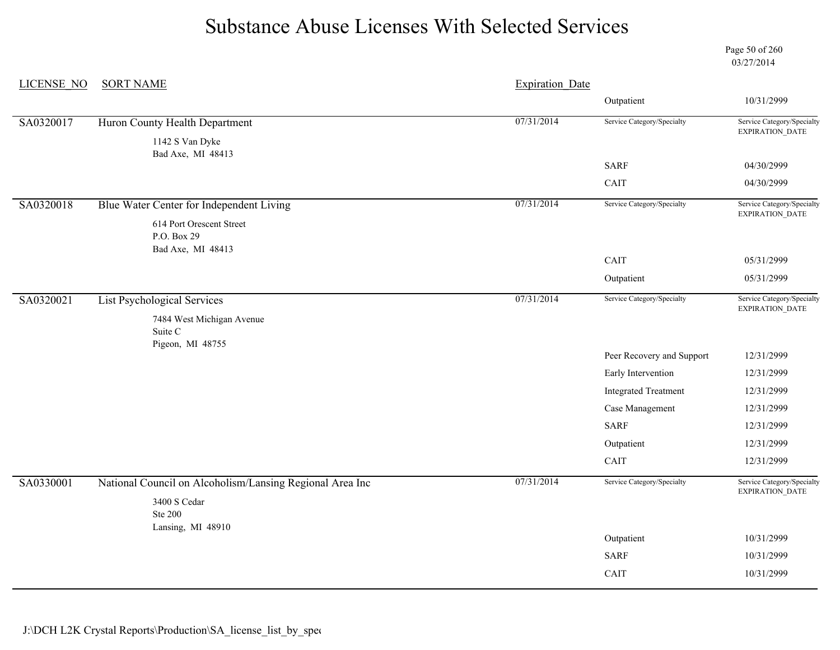Page 50 of 260 03/27/2014

| <b>LICENSE NO</b> | <b>SORT NAME</b>                                         | <b>Expiration Date</b> |                             |                                               |
|-------------------|----------------------------------------------------------|------------------------|-----------------------------|-----------------------------------------------|
|                   |                                                          |                        | Outpatient                  | 10/31/2999                                    |
| SA0320017         | Huron County Health Department                           | 07/31/2014             | Service Category/Specialty  | Service Category/Specialty<br>EXPIRATION_DATE |
|                   | 1142 S Van Dyke<br>Bad Axe, MI 48413                     |                        |                             |                                               |
|                   |                                                          |                        | <b>SARF</b>                 | 04/30/2999                                    |
|                   |                                                          |                        | CAIT                        | 04/30/2999                                    |
| SA0320018         | Blue Water Center for Independent Living                 | 07/31/2014             | Service Category/Specialty  | Service Category/Specialty<br>EXPIRATION_DATE |
|                   | 614 Port Orescent Street<br>P.O. Box 29                  |                        |                             |                                               |
|                   | Bad Axe, MI 48413                                        |                        | CAIT                        | 05/31/2999                                    |
|                   |                                                          |                        | Outpatient                  | 05/31/2999                                    |
| SA0320021         | <b>List Psychological Services</b>                       | 07/31/2014             | Service Category/Specialty  | Service Category/Specialty                    |
|                   | 7484 West Michigan Avenue<br>Suite C<br>Pigeon, MI 48755 |                        |                             | EXPIRATION_DATE                               |
|                   |                                                          |                        | Peer Recovery and Support   | 12/31/2999                                    |
|                   |                                                          |                        | Early Intervention          | 12/31/2999                                    |
|                   |                                                          |                        | <b>Integrated Treatment</b> | 12/31/2999                                    |
|                   |                                                          |                        | Case Management             | 12/31/2999                                    |
|                   |                                                          |                        | <b>SARF</b>                 | 12/31/2999                                    |
|                   |                                                          |                        | Outpatient                  | 12/31/2999                                    |
|                   |                                                          |                        | CAIT                        | 12/31/2999                                    |
| SA0330001         | National Council on Alcoholism/Lansing Regional Area Inc | 07/31/2014             | Service Category/Specialty  | Service Category/Specialty<br>EXPIRATION_DATE |
|                   | 3400 S Cedar<br><b>Ste 200</b>                           |                        |                             |                                               |
|                   | Lansing, MI 48910                                        |                        | Outpatient                  | 10/31/2999                                    |
|                   |                                                          |                        | <b>SARF</b>                 | 10/31/2999                                    |
|                   |                                                          |                        | CAIT                        | 10/31/2999                                    |
|                   |                                                          |                        |                             |                                               |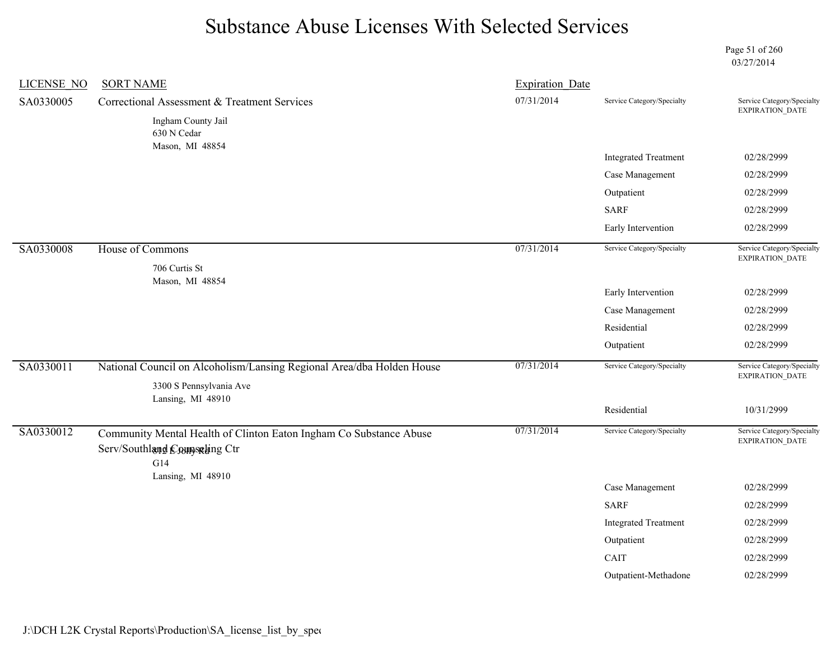Page 51 of 260 03/27/2014

| <b>LICENSE NO</b> | <b>SORT NAME</b>                                                      | <b>Expiration Date</b> |                             |                                                      |
|-------------------|-----------------------------------------------------------------------|------------------------|-----------------------------|------------------------------------------------------|
| SA0330005         | Correctional Assessment & Treatment Services                          | 07/31/2014             | Service Category/Specialty  | Service Category/Specialty<br>EXPIRATION_DATE        |
|                   | Ingham County Jail<br>630 N Cedar                                     |                        |                             |                                                      |
|                   | Mason, MI 48854                                                       |                        | <b>Integrated Treatment</b> | 02/28/2999                                           |
|                   |                                                                       |                        | Case Management             | 02/28/2999                                           |
|                   |                                                                       |                        | Outpatient                  | 02/28/2999                                           |
|                   |                                                                       |                        | <b>SARF</b>                 | 02/28/2999                                           |
|                   |                                                                       |                        | Early Intervention          | 02/28/2999                                           |
| SA0330008         | House of Commons                                                      | 07/31/2014             | Service Category/Specialty  | Service Category/Specialty<br>EXPIRATION_DATE        |
|                   | 706 Curtis St                                                         |                        |                             |                                                      |
|                   | Mason, MI 48854                                                       |                        | Early Intervention          | 02/28/2999                                           |
|                   |                                                                       |                        | Case Management             | 02/28/2999                                           |
|                   |                                                                       |                        | Residential                 | 02/28/2999                                           |
|                   |                                                                       |                        | Outpatient                  | 02/28/2999                                           |
| SA0330011         | National Council on Alcoholism/Lansing Regional Area/dba Holden House | 07/31/2014             | Service Category/Specialty  | Service Category/Specialty<br><b>EXPIRATION DATE</b> |
|                   | 3300 S Pennsylvania Ave                                               |                        |                             |                                                      |
|                   | Lansing, MI 48910                                                     |                        | Residential                 | 10/31/2999                                           |
| SA0330012         | Community Mental Health of Clinton Eaton Ingham Co Substance Abuse    | 07/31/2014             | Service Category/Specialty  | Service Category/Specialty                           |
|                   | Serv/Southland Counseling Ctr                                         |                        |                             | EXPIRATION_DATE                                      |
|                   | G14                                                                   |                        |                             |                                                      |
|                   | Lansing, MI 48910                                                     |                        | Case Management             | 02/28/2999                                           |
|                   |                                                                       |                        | <b>SARF</b>                 | 02/28/2999                                           |
|                   |                                                                       |                        | <b>Integrated Treatment</b> | 02/28/2999                                           |
|                   |                                                                       |                        | Outpatient                  | 02/28/2999                                           |
|                   |                                                                       |                        | CAIT                        | 02/28/2999                                           |
|                   |                                                                       |                        | Outpatient-Methadone        | 02/28/2999                                           |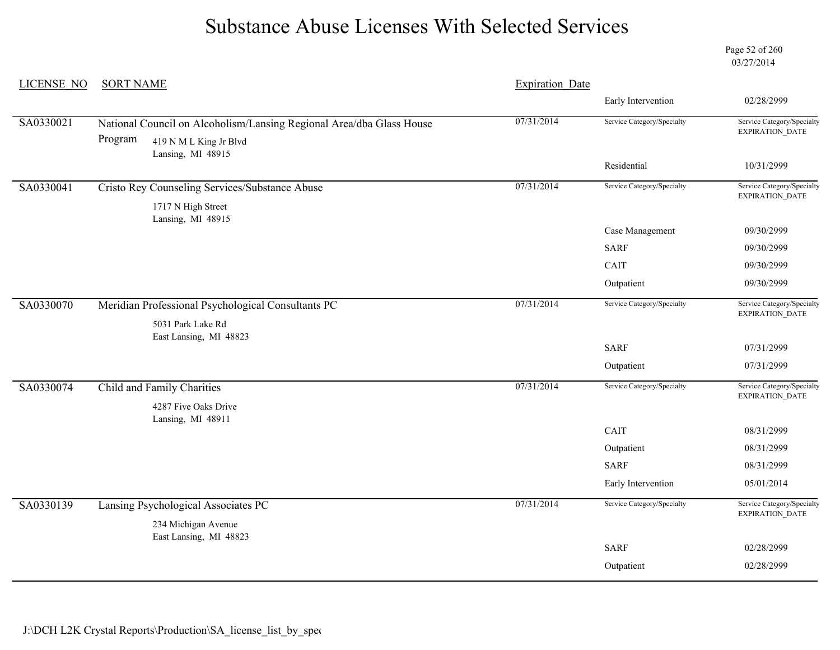Page 52 of 260 03/27/2014

| <b>LICENSE NO</b> | <b>SORT NAME</b>                                                                                          | <b>Expiration Date</b> |                            |                                                      |
|-------------------|-----------------------------------------------------------------------------------------------------------|------------------------|----------------------------|------------------------------------------------------|
|                   |                                                                                                           |                        | Early Intervention         | 02/28/2999                                           |
| SA0330021         | National Council on Alcoholism/Lansing Regional Area/dba Glass House<br>Program<br>419 N M L King Jr Blvd | 07/31/2014             | Service Category/Specialty | Service Category/Specialty<br>EXPIRATION_DATE        |
|                   | Lansing, MI 48915                                                                                         |                        | Residential                | 10/31/2999                                           |
| SA0330041         | <b>Cristo Rey Counseling Services/Substance Abuse</b><br>1717 N High Street<br>Lansing, MI 48915          | 07/31/2014             | Service Category/Specialty | Service Category/Specialty<br>EXPIRATION_DATE        |
|                   |                                                                                                           |                        | Case Management            | 09/30/2999                                           |
|                   |                                                                                                           |                        | <b>SARF</b>                | 09/30/2999                                           |
|                   |                                                                                                           |                        | CAIT                       | 09/30/2999                                           |
|                   |                                                                                                           |                        | Outpatient                 | 09/30/2999                                           |
| SA0330070         | Meridian Professional Psychological Consultants PC                                                        | 07/31/2014             | Service Category/Specialty | Service Category/Specialty<br>EXPIRATION_DATE        |
|                   | 5031 Park Lake Rd<br>East Lansing, MI 48823                                                               |                        |                            |                                                      |
|                   |                                                                                                           |                        | <b>SARF</b>                | 07/31/2999                                           |
|                   |                                                                                                           |                        | Outpatient                 | 07/31/2999                                           |
| SA0330074         | Child and Family Charities                                                                                | 07/31/2014             | Service Category/Specialty | Service Category/Specialty<br><b>EXPIRATION DATE</b> |
|                   | 4287 Five Oaks Drive                                                                                      |                        |                            |                                                      |
|                   | Lansing, MI 48911                                                                                         |                        | CAIT                       | 08/31/2999                                           |
|                   |                                                                                                           |                        | Outpatient                 | 08/31/2999                                           |
|                   |                                                                                                           |                        | <b>SARF</b>                | 08/31/2999                                           |
|                   |                                                                                                           |                        | Early Intervention         | 05/01/2014                                           |
| SA0330139         | Lansing Psychological Associates PC                                                                       | 07/31/2014             | Service Category/Specialty | Service Category/Specialty<br>EXPIRATION_DATE        |
|                   | 234 Michigan Avenue<br>East Lansing, MI 48823                                                             |                        |                            |                                                      |
|                   |                                                                                                           |                        | <b>SARF</b>                | 02/28/2999                                           |
|                   |                                                                                                           |                        | Outpatient                 | 02/28/2999                                           |
|                   |                                                                                                           |                        |                            |                                                      |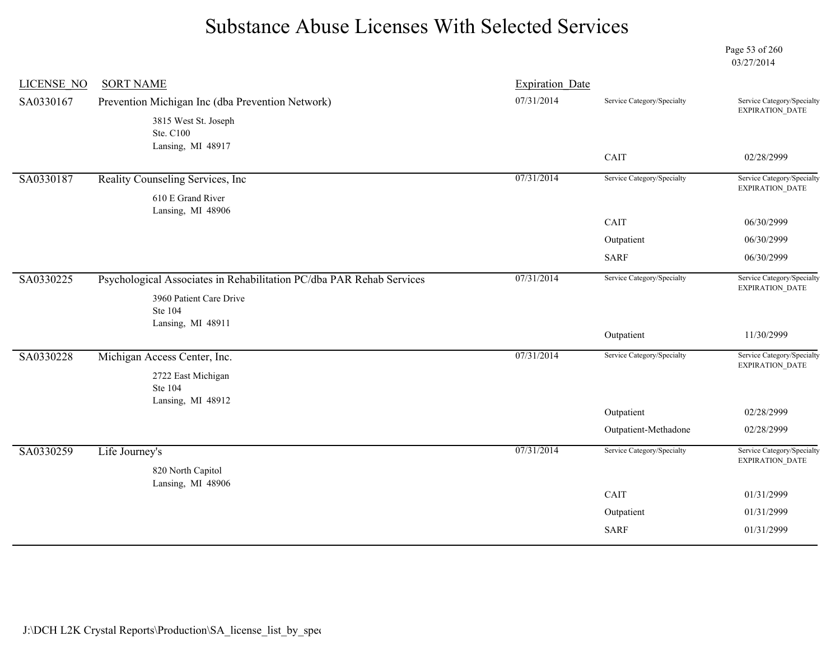Page 53 of 260 03/27/2014

| <b>LICENSE NO</b> | <b>SORT NAME</b>                                                     | <b>Expiration Date</b> |                            |                                                      |
|-------------------|----------------------------------------------------------------------|------------------------|----------------------------|------------------------------------------------------|
| SA0330167         | Prevention Michigan Inc (dba Prevention Network)                     | 07/31/2014             | Service Category/Specialty | Service Category/Specialty<br><b>EXPIRATION DATE</b> |
|                   | 3815 West St. Joseph                                                 |                        |                            |                                                      |
|                   | Ste. C100                                                            |                        |                            |                                                      |
|                   | Lansing, MI 48917                                                    |                        | CAIT                       | 02/28/2999                                           |
| SA0330187         | Reality Counseling Services, Inc.                                    | 07/31/2014             | Service Category/Specialty | Service Category/Specialty                           |
|                   | 610 E Grand River                                                    |                        |                            | EXPIRATION_DATE                                      |
|                   | Lansing, MI 48906                                                    |                        |                            |                                                      |
|                   |                                                                      |                        | CAIT                       | 06/30/2999                                           |
|                   |                                                                      |                        | Outpatient                 | 06/30/2999                                           |
|                   |                                                                      |                        | <b>SARF</b>                | 06/30/2999                                           |
| SA0330225         | Psychological Associates in Rehabilitation PC/dba PAR Rehab Services | 07/31/2014             | Service Category/Specialty | Service Category/Specialty<br>EXPIRATION_DATE        |
|                   | 3960 Patient Care Drive<br>Ste 104                                   |                        |                            |                                                      |
|                   | Lansing, MI 48911                                                    |                        |                            |                                                      |
|                   |                                                                      |                        | Outpatient                 | 11/30/2999                                           |
| SA0330228         | Michigan Access Center, Inc.                                         | 07/31/2014             | Service Category/Specialty | Service Category/Specialty<br><b>EXPIRATION DATE</b> |
|                   | 2722 East Michigan                                                   |                        |                            |                                                      |
|                   | Ste 104                                                              |                        |                            |                                                      |
|                   | Lansing, MI 48912                                                    |                        | Outpatient                 | 02/28/2999                                           |
|                   |                                                                      |                        | Outpatient-Methadone       | 02/28/2999                                           |
| SA0330259         | Life Journey's                                                       | 07/31/2014             | Service Category/Specialty | Service Category/Specialty                           |
|                   | 820 North Capitol                                                    |                        |                            | <b>EXPIRATION DATE</b>                               |
|                   | Lansing, MI 48906                                                    |                        |                            |                                                      |
|                   |                                                                      |                        | CAIT                       | 01/31/2999                                           |
|                   |                                                                      |                        |                            |                                                      |
|                   |                                                                      |                        | Outpatient                 | 01/31/2999                                           |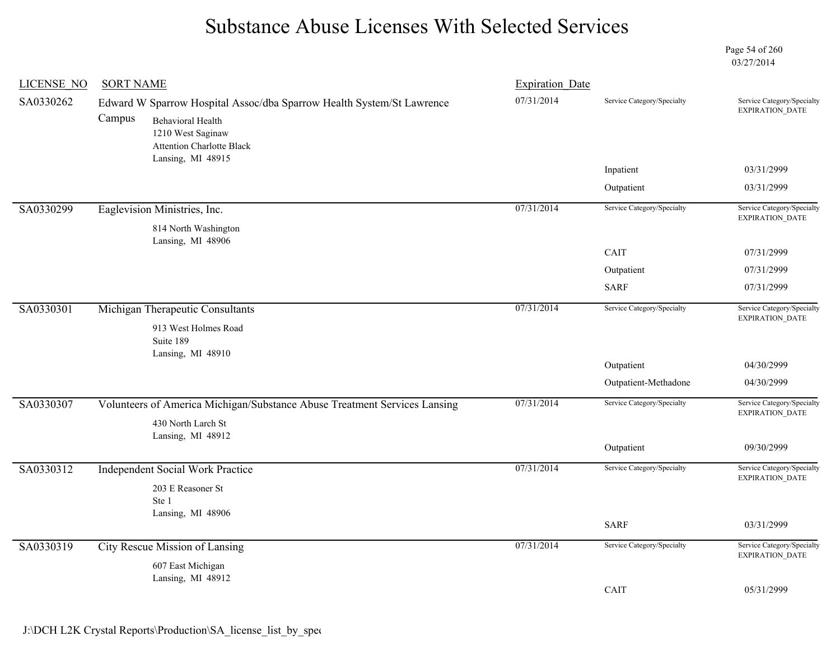Page 54 of 260 03/27/2014

| <b>LICENSE NO</b> | <b>SORT NAME</b>                                                                                                                                                     | <b>Expiration Date</b> |                            |                                                      |
|-------------------|----------------------------------------------------------------------------------------------------------------------------------------------------------------------|------------------------|----------------------------|------------------------------------------------------|
| SA0330262         | Edward W Sparrow Hospital Assoc/dba Sparrow Health System/St Lawrence<br>Campus<br><b>Behavioral Health</b><br>1210 West Saginaw<br><b>Attention Charlotte Black</b> | 07/31/2014             | Service Category/Specialty | Service Category/Specialty<br>EXPIRATION_DATE        |
|                   | Lansing, MI 48915                                                                                                                                                    |                        | Inpatient                  | 03/31/2999                                           |
|                   |                                                                                                                                                                      |                        | Outpatient                 | 03/31/2999                                           |
| SA0330299         | Eaglevision Ministries, Inc.<br>814 North Washington                                                                                                                 | 07/31/2014             | Service Category/Specialty | Service Category/Specialty<br><b>EXPIRATION DATE</b> |
|                   | Lansing, MI 48906                                                                                                                                                    |                        | CAIT                       | 07/31/2999                                           |
|                   |                                                                                                                                                                      |                        | Outpatient                 | 07/31/2999                                           |
|                   |                                                                                                                                                                      |                        | <b>SARF</b>                | 07/31/2999                                           |
| SA0330301         | Michigan Therapeutic Consultants<br>913 West Holmes Road                                                                                                             | 07/31/2014             | Service Category/Specialty | Service Category/Specialty<br><b>EXPIRATION DATE</b> |
|                   | Suite 189<br>Lansing, MI 48910                                                                                                                                       |                        | Outpatient                 | 04/30/2999                                           |
|                   |                                                                                                                                                                      |                        | Outpatient-Methadone       | 04/30/2999                                           |
| SA0330307         | Volunteers of America Michigan/Substance Abuse Treatment Services Lansing<br>430 North Larch St                                                                      | 07/31/2014             | Service Category/Specialty | Service Category/Specialty<br><b>EXPIRATION DATE</b> |
|                   | Lansing, MI 48912                                                                                                                                                    |                        | Outpatient                 | 09/30/2999                                           |
| SA0330312         | <b>Independent Social Work Practice</b><br>203 E Reasoner St                                                                                                         | 07/31/2014             | Service Category/Specialty | Service Category/Specialty<br><b>EXPIRATION DATE</b> |
|                   | Ste 1<br>Lansing, MI 48906                                                                                                                                           |                        |                            |                                                      |
|                   |                                                                                                                                                                      |                        | <b>SARF</b>                | 03/31/2999                                           |
| SA0330319         | City Rescue Mission of Lansing                                                                                                                                       | 07/31/2014             | Service Category/Specialty | Service Category/Specialty<br><b>EXPIRATION DATE</b> |
|                   | 607 East Michigan<br>Lansing, MI 48912                                                                                                                               |                        |                            |                                                      |
|                   |                                                                                                                                                                      |                        | CAIT                       | 05/31/2999                                           |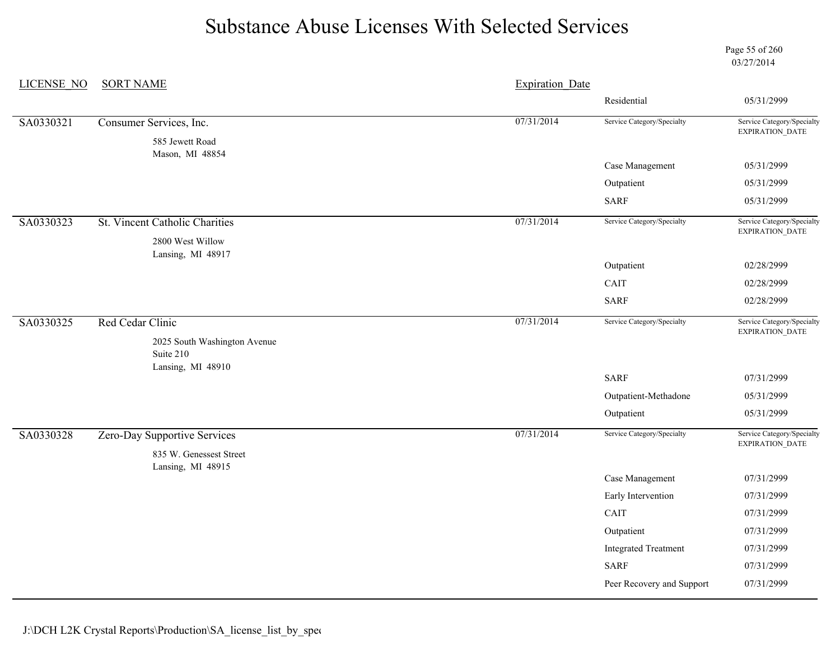Page 55 of 260 03/27/2014

| <b>LICENSE NO</b> | <b>SORT NAME</b>                                               | <b>Expiration Date</b> |                             |                                               |
|-------------------|----------------------------------------------------------------|------------------------|-----------------------------|-----------------------------------------------|
|                   |                                                                |                        | Residential                 | 05/31/2999                                    |
| SA0330321         | Consumer Services, Inc.                                        | 07/31/2014             | Service Category/Specialty  | Service Category/Specialty<br>EXPIRATION_DATE |
|                   | 585 Jewett Road<br>Mason, MI 48854                             |                        |                             |                                               |
|                   |                                                                |                        | Case Management             | 05/31/2999                                    |
|                   |                                                                |                        | Outpatient                  | 05/31/2999                                    |
|                   |                                                                |                        | <b>SARF</b>                 | 05/31/2999                                    |
| SA0330323         | St. Vincent Catholic Charities                                 | 07/31/2014             | Service Category/Specialty  | Service Category/Specialty<br>EXPIRATION_DATE |
|                   | 2800 West Willow                                               |                        |                             |                                               |
|                   | Lansing, MI 48917                                              |                        | Outpatient                  | 02/28/2999                                    |
|                   |                                                                |                        | CAIT                        | 02/28/2999                                    |
|                   |                                                                |                        | <b>SARF</b>                 | 02/28/2999                                    |
| SA0330325         | Red Cedar Clinic                                               | 07/31/2014             | Service Category/Specialty  | Service Category/Specialty<br>EXPIRATION_DATE |
|                   | 2025 South Washington Avenue<br>Suite 210<br>Lansing, MI 48910 |                        |                             |                                               |
|                   |                                                                |                        | <b>SARF</b>                 | 07/31/2999                                    |
|                   |                                                                |                        | Outpatient-Methadone        | 05/31/2999                                    |
|                   |                                                                |                        | Outpatient                  | 05/31/2999                                    |
| SA0330328         | Zero-Day Supportive Services                                   | 07/31/2014             | Service Category/Specialty  | Service Category/Specialty<br>EXPIRATION_DATE |
|                   | 835 W. Genessest Street                                        |                        |                             |                                               |
|                   | Lansing, MI 48915                                              |                        | Case Management             | 07/31/2999                                    |
|                   |                                                                |                        | Early Intervention          | 07/31/2999                                    |
|                   |                                                                |                        | CAIT                        | 07/31/2999                                    |
|                   |                                                                |                        | Outpatient                  | 07/31/2999                                    |
|                   |                                                                |                        | <b>Integrated Treatment</b> | 07/31/2999                                    |
|                   |                                                                |                        | <b>SARF</b>                 | 07/31/2999                                    |
|                   |                                                                |                        | Peer Recovery and Support   | 07/31/2999                                    |
|                   |                                                                |                        |                             |                                               |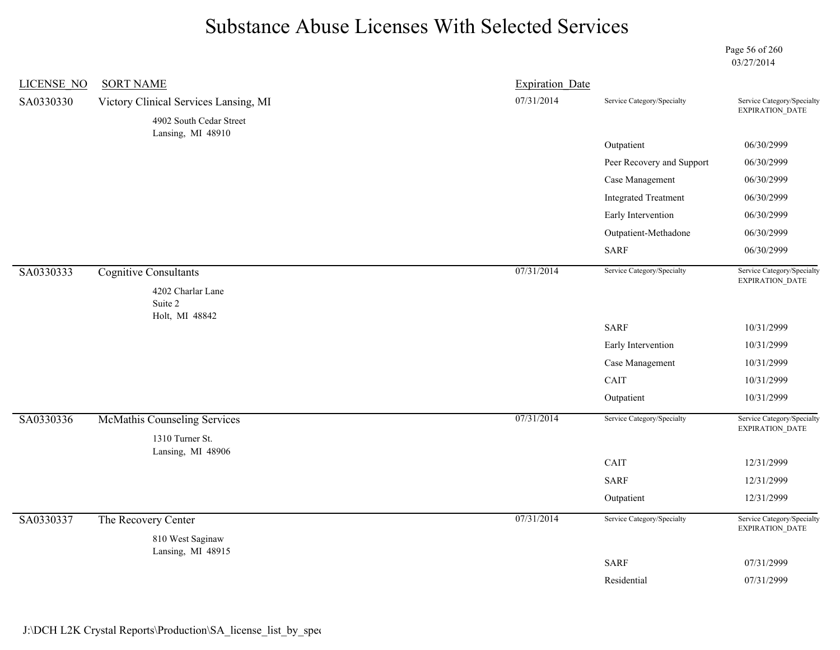Page 56 of 260 03/27/2014

| <b>LICENSE NO</b> | <b>SORT NAME</b>                             | <b>Expiration Date</b> |                             |                                               |
|-------------------|----------------------------------------------|------------------------|-----------------------------|-----------------------------------------------|
| SA0330330         | Victory Clinical Services Lansing, MI        | 07/31/2014             | Service Category/Specialty  | Service Category/Specialty<br>EXPIRATION_DATE |
|                   | 4902 South Cedar Street<br>Lansing, MI 48910 |                        |                             |                                               |
|                   |                                              |                        | Outpatient                  | 06/30/2999                                    |
|                   |                                              |                        | Peer Recovery and Support   | 06/30/2999                                    |
|                   |                                              |                        | Case Management             | 06/30/2999                                    |
|                   |                                              |                        | <b>Integrated Treatment</b> | 06/30/2999                                    |
|                   |                                              |                        | Early Intervention          | 06/30/2999                                    |
|                   |                                              |                        | Outpatient-Methadone        | 06/30/2999                                    |
|                   |                                              |                        | <b>SARF</b>                 | 06/30/2999                                    |
| SA0330333         | <b>Cognitive Consultants</b>                 | 07/31/2014             | Service Category/Specialty  | Service Category/Specialty<br>EXPIRATION_DATE |
|                   | 4202 Charlar Lane                            |                        |                             |                                               |
|                   | Suite 2                                      |                        |                             |                                               |
|                   | Holt, MI 48842                               |                        | <b>SARF</b>                 | 10/31/2999                                    |
|                   |                                              |                        | Early Intervention          | 10/31/2999                                    |
|                   |                                              |                        | Case Management             | 10/31/2999                                    |
|                   |                                              |                        | CAIT                        | 10/31/2999                                    |
|                   |                                              |                        | Outpatient                  | 10/31/2999                                    |
| SA0330336         | <b>McMathis Counseling Services</b>          | 07/31/2014             | Service Category/Specialty  | Service Category/Specialty<br>EXPIRATION_DATE |
|                   | 1310 Turner St.                              |                        |                             |                                               |
|                   | Lansing, MI 48906                            |                        | CAIT                        | 12/31/2999                                    |
|                   |                                              |                        | <b>SARF</b>                 | 12/31/2999                                    |
|                   |                                              |                        | Outpatient                  | 12/31/2999                                    |
| SA0330337         |                                              | 07/31/2014             | Service Category/Specialty  | Service Category/Specialty                    |
|                   | The Recovery Center                          |                        |                             | EXPIRATION_DATE                               |
|                   | 810 West Saginaw<br>Lansing, MI 48915        |                        |                             |                                               |
|                   |                                              |                        | <b>SARF</b>                 | 07/31/2999                                    |
|                   |                                              |                        | Residential                 | 07/31/2999                                    |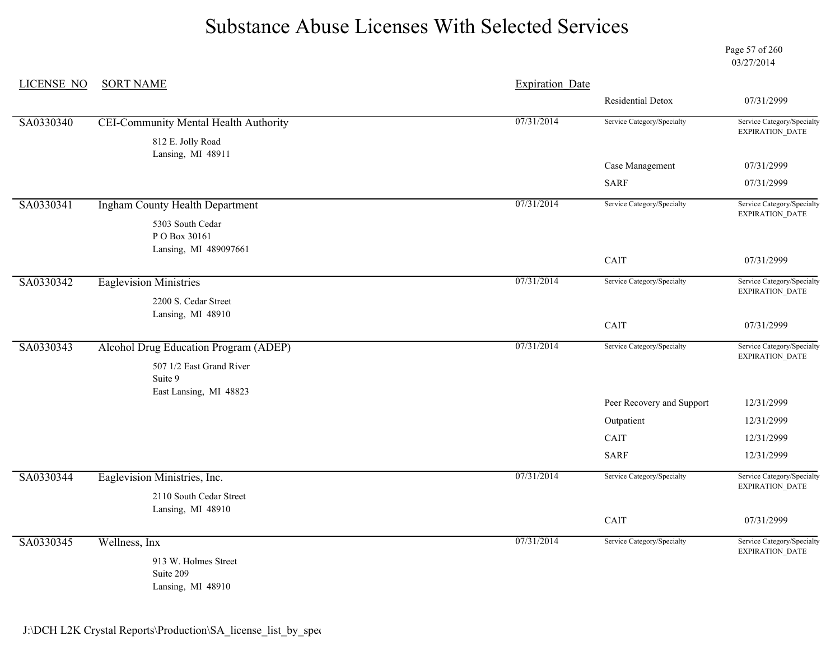Page 57 of 260 03/27/2014

| <b>LICENSE NO</b> | <b>SORT NAME</b>                             | <b>Expiration Date</b> |                            |                                               |
|-------------------|----------------------------------------------|------------------------|----------------------------|-----------------------------------------------|
|                   |                                              |                        | Residential Detox          | 07/31/2999                                    |
| SA0330340         | <b>CEI-Community Mental Health Authority</b> | 07/31/2014             | Service Category/Specialty | Service Category/Specialty<br>EXPIRATION_DATE |
|                   | 812 E. Jolly Road<br>Lansing, MI 48911       |                        |                            |                                               |
|                   |                                              |                        | Case Management            | 07/31/2999                                    |
|                   |                                              |                        | <b>SARF</b>                | 07/31/2999                                    |
| SA0330341         | Ingham County Health Department              | 07/31/2014             | Service Category/Specialty | Service Category/Specialty<br>EXPIRATION_DATE |
|                   | 5303 South Cedar<br>PO Box 30161             |                        |                            |                                               |
|                   | Lansing, MI 489097661                        |                        | CAIT                       | 07/31/2999                                    |
| SA0330342         | <b>Eaglevision Ministries</b>                | 07/31/2014             | Service Category/Specialty | Service Category/Specialty<br>EXPIRATION_DATE |
|                   | 2200 S. Cedar Street                         |                        |                            |                                               |
|                   | Lansing, MI 48910                            |                        | CAIT                       | 07/31/2999                                    |
| SA0330343         | Alcohol Drug Education Program (ADEP)        | 07/31/2014             | Service Category/Specialty | Service Category/Specialty<br>EXPIRATION_DATE |
|                   | 507 1/2 East Grand River<br>Suite 9          |                        |                            |                                               |
|                   | East Lansing, MI 48823                       |                        | Peer Recovery and Support  | 12/31/2999                                    |
|                   |                                              |                        | Outpatient                 | 12/31/2999                                    |
|                   |                                              |                        | CAIT                       | 12/31/2999                                    |
|                   |                                              |                        | <b>SARF</b>                | 12/31/2999                                    |
| SA0330344         | Eaglevision Ministries, Inc.                 | 07/31/2014             | Service Category/Specialty | Service Category/Specialty<br>EXPIRATION_DATE |
|                   | 2110 South Cedar Street<br>Lansing, MI 48910 |                        |                            |                                               |
|                   |                                              |                        | CAIT                       | 07/31/2999                                    |
| SA0330345         | Wellness, Inx                                | 07/31/2014             | Service Category/Specialty | Service Category/Specialty<br>EXPIRATION_DATE |
|                   | 913 W. Holmes Street<br>Suite 209            |                        |                            |                                               |

Lansing, MI 48910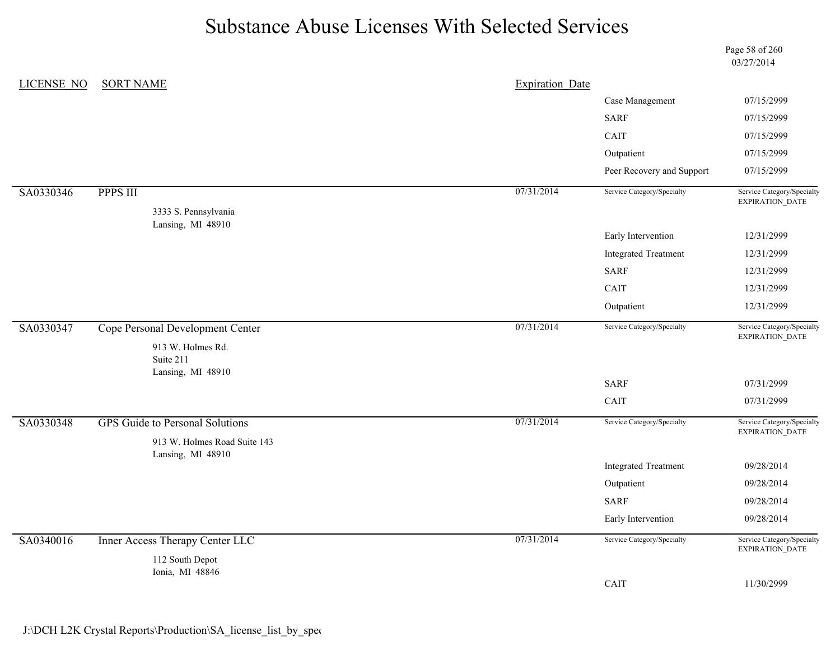Page 58 of 260 03/27/2014

| <b>LICENSE NO</b> | <b>SORT NAME</b>                          | <b>Expiration Date</b> |                             |                                               |
|-------------------|-------------------------------------------|------------------------|-----------------------------|-----------------------------------------------|
|                   |                                           |                        | Case Management             | 07/15/2999                                    |
|                   |                                           |                        | <b>SARF</b>                 | 07/15/2999                                    |
|                   |                                           |                        | CAIT                        | 07/15/2999                                    |
|                   |                                           |                        | Outpatient                  | 07/15/2999                                    |
|                   |                                           |                        | Peer Recovery and Support   | 07/15/2999                                    |
| SA0330346         | <b>PPPS III</b>                           | 07/31/2014             | Service Category/Specialty  | Service Category/Specialty<br>EXPIRATION_DATE |
|                   | 3333 S. Pennsylvania<br>Lansing, MI 48910 |                        |                             |                                               |
|                   |                                           |                        | Early Intervention          | 12/31/2999                                    |
|                   |                                           |                        | <b>Integrated Treatment</b> | 12/31/2999                                    |
|                   |                                           |                        | <b>SARF</b>                 | 12/31/2999                                    |
|                   |                                           |                        | CAIT                        | 12/31/2999                                    |
|                   |                                           |                        | Outpatient                  | 12/31/2999                                    |
| SA0330347         | Cope Personal Development Center          | 07/31/2014             | Service Category/Specialty  | Service Category/Specialty<br>EXPIRATION_DATE |
|                   | 913 W. Holmes Rd.<br>Suite 211            |                        |                             |                                               |
|                   | Lansing, MI 48910                         |                        | <b>SARF</b>                 | 07/31/2999                                    |
|                   |                                           |                        | CAIT                        | 07/31/2999                                    |
| SA0330348         | <b>GPS</b> Guide to Personal Solutions    | 07/31/2014             | Service Category/Specialty  | Service Category/Specialty<br>EXPIRATION_DATE |
|                   | 913 W. Holmes Road Suite 143              |                        |                             |                                               |
|                   | Lansing, MI 48910                         |                        | <b>Integrated Treatment</b> | 09/28/2014                                    |
|                   |                                           |                        | Outpatient                  | 09/28/2014                                    |
|                   |                                           |                        | <b>SARF</b>                 | 09/28/2014                                    |
|                   |                                           |                        | Early Intervention          | 09/28/2014                                    |
| SA0340016         | Inner Access Therapy Center LLC           | 07/31/2014             | Service Category/Specialty  | Service Category/Specialty                    |
|                   |                                           |                        |                             | EXPIRATION_DATE                               |
|                   | 112 South Depot<br>Ionia, MI 48846        |                        |                             |                                               |
|                   |                                           |                        | CAIT                        | 11/30/2999                                    |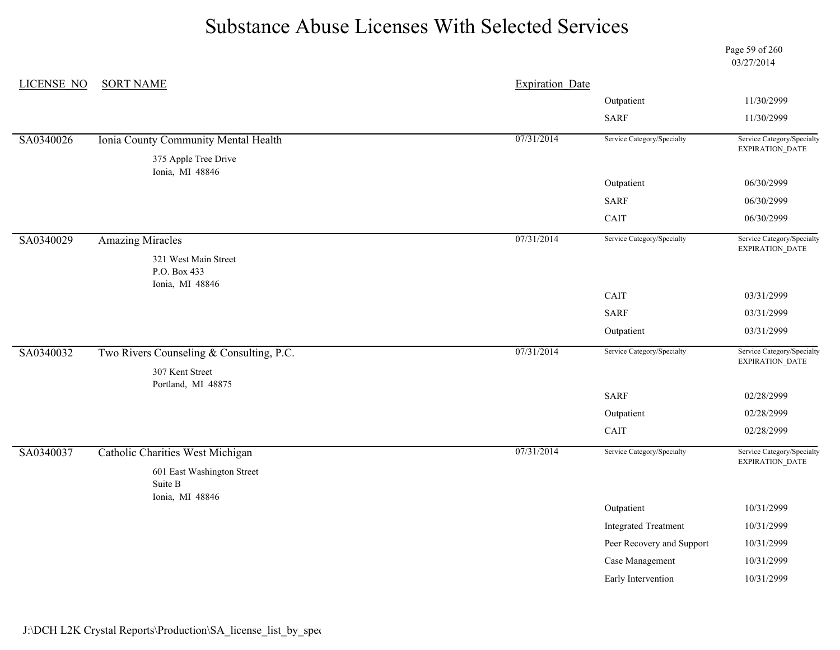Page 59 of 260 03/27/2014

| <b>LICENSE NO</b> | <b>SORT NAME</b>                                         | <b>Expiration Date</b> |                             |                                               |
|-------------------|----------------------------------------------------------|------------------------|-----------------------------|-----------------------------------------------|
|                   |                                                          |                        | Outpatient                  | 11/30/2999                                    |
|                   |                                                          |                        | <b>SARF</b>                 | 11/30/2999                                    |
| SA0340026         | Ionia County Community Mental Health                     | 07/31/2014             | Service Category/Specialty  | Service Category/Specialty<br>EXPIRATION_DATE |
|                   | 375 Apple Tree Drive<br>Ionia, MI 48846                  |                        |                             |                                               |
|                   |                                                          |                        | Outpatient                  | 06/30/2999                                    |
|                   |                                                          |                        | <b>SARF</b>                 | 06/30/2999                                    |
|                   |                                                          |                        | CAIT                        | 06/30/2999                                    |
| SA0340029         | <b>Amazing Miracles</b>                                  | 07/31/2014             | Service Category/Specialty  | Service Category/Specialty<br>EXPIRATION_DATE |
|                   | 321 West Main Street<br>P.O. Box 433<br>Ionia, MI 48846  |                        |                             |                                               |
|                   |                                                          |                        | CAIT                        | 03/31/2999                                    |
|                   |                                                          |                        | <b>SARF</b>                 | 03/31/2999                                    |
|                   |                                                          |                        | Outpatient                  | 03/31/2999                                    |
| SA0340032         | Two Rivers Counseling & Consulting, P.C.                 | 07/31/2014             | Service Category/Specialty  | Service Category/Specialty<br>EXPIRATION_DATE |
|                   | 307 Kent Street<br>Portland, MI 48875                    |                        |                             |                                               |
|                   |                                                          |                        | <b>SARF</b>                 | 02/28/2999                                    |
|                   |                                                          |                        | Outpatient                  | 02/28/2999                                    |
|                   |                                                          |                        | CAIT                        | 02/28/2999                                    |
| SA0340037         | Catholic Charities West Michigan                         | 07/31/2014             | Service Category/Specialty  | Service Category/Specialty<br>EXPIRATION_DATE |
|                   | 601 East Washington Street<br>Suite B<br>Ionia, MI 48846 |                        |                             |                                               |
|                   |                                                          |                        | Outpatient                  | 10/31/2999                                    |
|                   |                                                          |                        | <b>Integrated Treatment</b> | 10/31/2999                                    |
|                   |                                                          |                        | Peer Recovery and Support   | 10/31/2999                                    |
|                   |                                                          |                        | Case Management             | 10/31/2999                                    |
|                   |                                                          |                        | Early Intervention          | 10/31/2999                                    |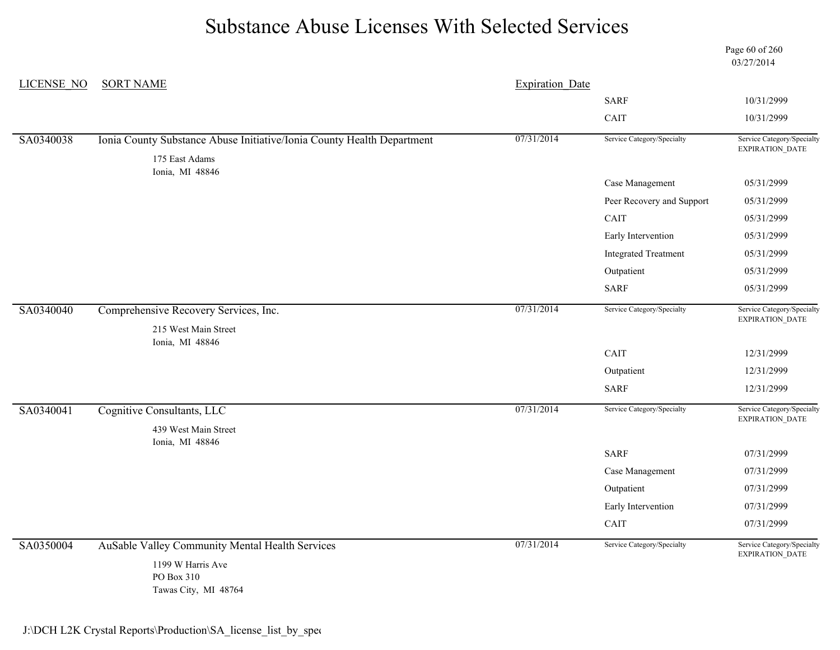LICENSE\_NO SORT NAME Page 60 of 260 03/27/2014 Expiration Date SARF 10/31/2999 CAIT 10/31/2999 SA0340038 Ionia County Substance Abuse Initiative/Ionia County Health Department 07/31/2014 Service Category/Specialty Service Category/Specialty EXPIRATION\_DATE 175 East Adams Ionia, MI 48846 Case Management 05/31/2999 Peer Recovery and Support 05/31/2999 CAIT 05/31/2999 Early Intervention 05/31/2999 Integrated Treatment 05/31/2999 Outpatient 05/31/2999 SARF 05/31/2999 SA0340040 Comprehensive Recovery Services, Inc. 07/31/2014 Service Category/Specialty Service Category/Specialty EXPIRATION\_DATE 215 West Main Street Ionia, MI 48846 CAIT 12/31/2999 Outpatient 12/31/2999 SARF 12/31/2999 SA0340041 Cognitive Consultants, LLC 07/31/2014 Service Category/Specialty Service Category/Specialty EXPIRATION\_DATE 439 West Main Street Ionia, MI 48846 SARF 07/31/2999 Case Management 07/31/2999 Outpatient 07/31/2999 Early Intervention 07/31/2999 CAIT 07/31/2999 SA0350004 AuSable Valley Community Mental Health Services 07/31/2014 Service Category/Specialty Service Category/Specialty EXPIRATION\_DATE 1199 W Harris Ave PO Box 310

Tawas City, MI 48764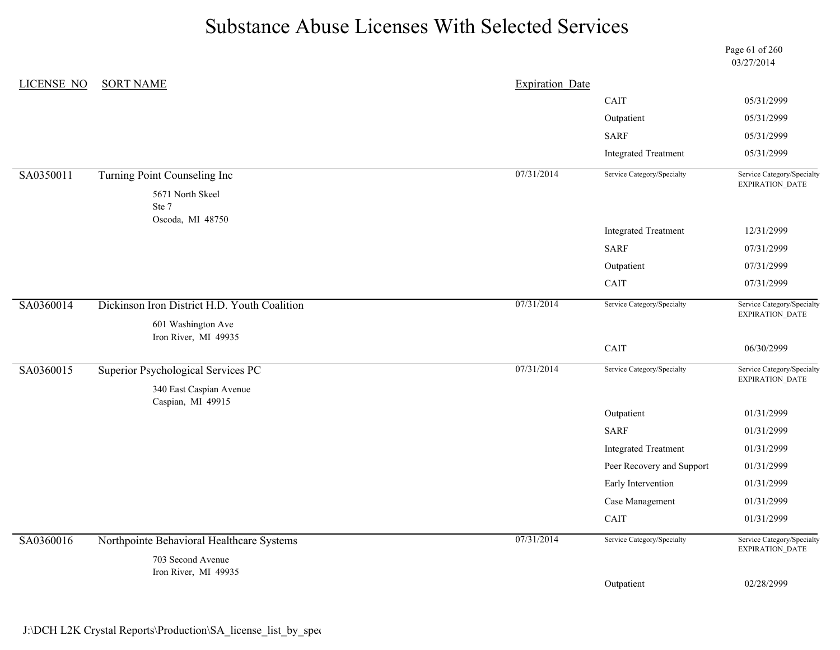|                   |                                              |                        |                             | Page 61 of 260<br>03/27/2014                         |
|-------------------|----------------------------------------------|------------------------|-----------------------------|------------------------------------------------------|
| <b>LICENSE NO</b> | <b>SORT NAME</b>                             | <b>Expiration Date</b> |                             |                                                      |
|                   |                                              |                        | CAIT                        | 05/31/2999                                           |
|                   |                                              |                        | Outpatient                  | 05/31/2999                                           |
|                   |                                              |                        | <b>SARF</b>                 | 05/31/2999                                           |
|                   |                                              |                        | <b>Integrated Treatment</b> | 05/31/2999                                           |
| SA0350011         | Turning Point Counseling Inc                 | 07/31/2014             | Service Category/Specialty  | Service Category/Specialty<br><b>EXPIRATION DATE</b> |
|                   | 5671 North Skeel                             |                        |                             |                                                      |
|                   | Ste 7<br>Oscoda, MI 48750                    |                        |                             |                                                      |
|                   |                                              |                        | <b>Integrated Treatment</b> | 12/31/2999                                           |
|                   |                                              |                        | <b>SARF</b>                 | 07/31/2999                                           |
|                   |                                              |                        | Outpatient                  | 07/31/2999                                           |
|                   |                                              |                        | CAIT                        | 07/31/2999                                           |
| SA0360014         | Dickinson Iron District H.D. Youth Coalition | 07/31/2014             | Service Category/Specialty  | Service Category/Specialty<br>EXPIRATION_DATE        |
|                   | 601 Washington Ave<br>Iron River, MI 49935   |                        |                             |                                                      |
|                   |                                              |                        | $\operatorname{CAIT}$       | 06/30/2999                                           |
| SA0360015         | Superior Psychological Services PC           | 07/31/2014             | Service Category/Specialty  | Service Category/Specialty<br><b>EXPIRATION DATE</b> |
|                   | 340 East Caspian Avenue                      |                        |                             |                                                      |
|                   | Caspian, MI 49915                            |                        | Outpatient                  | 01/31/2999                                           |
|                   |                                              |                        | <b>SARF</b>                 | 01/31/2999                                           |
|                   |                                              |                        | <b>Integrated Treatment</b> | 01/31/2999                                           |
|                   |                                              |                        | Peer Recovery and Support   | 01/31/2999                                           |
|                   |                                              |                        | Early Intervention          | 01/31/2999                                           |
|                   |                                              |                        | Case Management             | 01/31/2999                                           |
|                   |                                              |                        | CAIT                        | 01/31/2999                                           |
| SA0360016         | Northpointe Behavioral Healthcare Systems    | 07/31/2014             | Service Category/Specialty  | Service Category/Specialty<br>EXPIRATION_DATE        |
|                   | 703 Second Avenue                            |                        |                             |                                                      |
|                   | Iron River, MI 49935                         |                        | Outpatient                  | 02/28/2999                                           |
|                   |                                              |                        |                             |                                                      |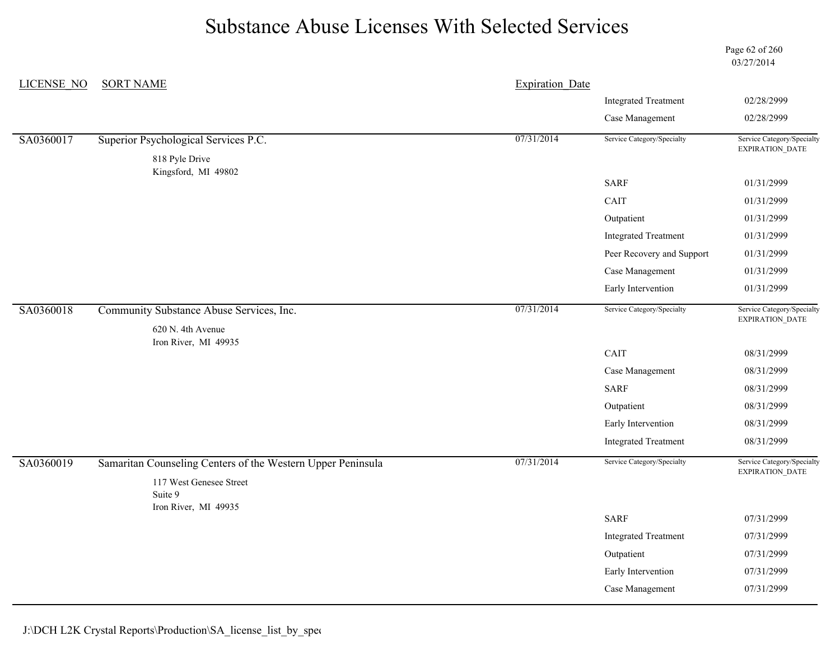Page 62 of 260 03/27/2014

| <b>LICENSE NO</b> | <b>SORT NAME</b>                                            | <b>Expiration Date</b> |                             |                                               |
|-------------------|-------------------------------------------------------------|------------------------|-----------------------------|-----------------------------------------------|
|                   |                                                             |                        | <b>Integrated Treatment</b> | 02/28/2999                                    |
|                   |                                                             |                        | Case Management             | 02/28/2999                                    |
| SA0360017         | Superior Psychological Services P.C.                        | 07/31/2014             | Service Category/Specialty  | Service Category/Specialty<br>EXPIRATION_DATE |
|                   | 818 Pyle Drive                                              |                        |                             |                                               |
|                   | Kingsford, MI 49802                                         |                        | SARF                        | 01/31/2999                                    |
|                   |                                                             |                        | CAIT                        | 01/31/2999                                    |
|                   |                                                             |                        | Outpatient                  | 01/31/2999                                    |
|                   |                                                             |                        | <b>Integrated Treatment</b> | 01/31/2999                                    |
|                   |                                                             |                        | Peer Recovery and Support   | 01/31/2999                                    |
|                   |                                                             |                        | Case Management             | 01/31/2999                                    |
|                   |                                                             |                        | Early Intervention          | 01/31/2999                                    |
| SA0360018         | Community Substance Abuse Services, Inc.                    | 07/31/2014             | Service Category/Specialty  | Service Category/Specialty                    |
|                   | 620 N. 4th Avenue                                           |                        |                             | EXPIRATION_DATE                               |
|                   | Iron River, MI 49935                                        |                        | CAIT                        | 08/31/2999                                    |
|                   |                                                             |                        | Case Management             | 08/31/2999                                    |
|                   |                                                             |                        | <b>SARF</b>                 | 08/31/2999                                    |
|                   |                                                             |                        | Outpatient                  | 08/31/2999                                    |
|                   |                                                             |                        | Early Intervention          | 08/31/2999                                    |
|                   |                                                             |                        | <b>Integrated Treatment</b> | 08/31/2999                                    |
| SA0360019         | Samaritan Counseling Centers of the Western Upper Peninsula | 07/31/2014             | Service Category/Specialty  | Service Category/Specialty<br>EXPIRATION_DATE |
|                   | 117 West Genesee Street<br>Suite 9                          |                        |                             |                                               |
|                   | Iron River, MI 49935                                        |                        | <b>SARF</b>                 | 07/31/2999                                    |
|                   |                                                             |                        | <b>Integrated Treatment</b> | 07/31/2999                                    |
|                   |                                                             |                        | Outpatient                  | 07/31/2999                                    |
|                   |                                                             |                        | Early Intervention          | 07/31/2999                                    |
|                   |                                                             |                        | Case Management             | 07/31/2999                                    |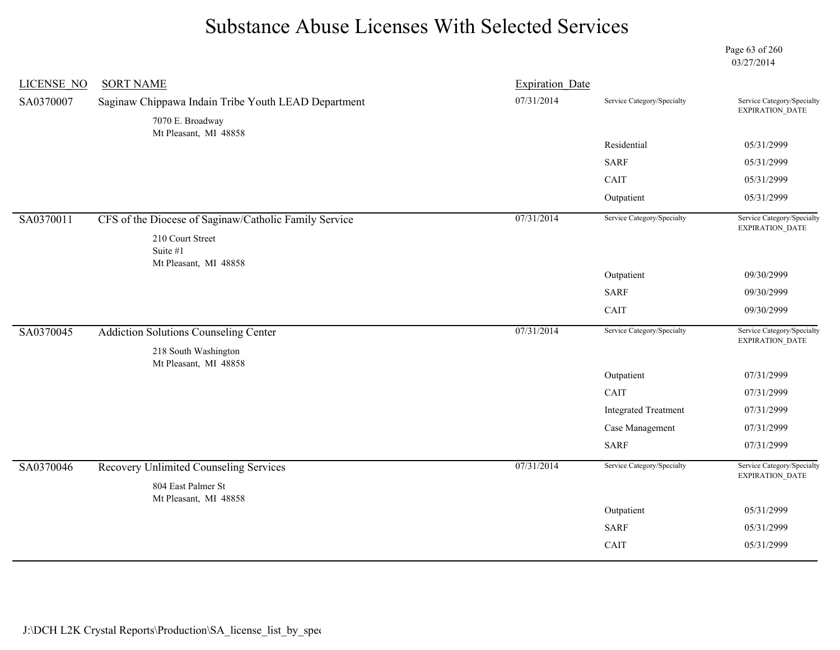Page 63 of 260 03/27/2014

| <b>LICENSE NO</b> | <b>SORT NAME</b>                                                        | <b>Expiration Date</b> |                             |                                               |
|-------------------|-------------------------------------------------------------------------|------------------------|-----------------------------|-----------------------------------------------|
| SA0370007         | Saginaw Chippawa Indain Tribe Youth LEAD Department<br>7070 E. Broadway | 07/31/2014             | Service Category/Specialty  | Service Category/Specialty<br>EXPIRATION_DATE |
|                   | Mt Pleasant, MI 48858                                                   |                        | Residential                 | 05/31/2999                                    |
|                   |                                                                         |                        | <b>SARF</b>                 | 05/31/2999                                    |
|                   |                                                                         |                        | CAIT                        | 05/31/2999                                    |
|                   |                                                                         |                        | Outpatient                  | 05/31/2999                                    |
| SA0370011         | CFS of the Diocese of Saginaw/Catholic Family Service                   | 07/31/2014             | Service Category/Specialty  | Service Category/Specialty<br>EXPIRATION_DATE |
|                   | 210 Court Street<br>Suite #1<br>Mt Pleasant, MI 48858                   |                        |                             |                                               |
|                   |                                                                         |                        | Outpatient                  | 09/30/2999                                    |
|                   |                                                                         |                        | <b>SARF</b>                 | 09/30/2999                                    |
|                   |                                                                         |                        | CAIT                        | 09/30/2999                                    |
| SA0370045         | <b>Addiction Solutions Counseling Center</b><br>218 South Washington    | 07/31/2014             | Service Category/Specialty  | Service Category/Specialty<br>EXPIRATION_DATE |
|                   | Mt Pleasant, MI 48858                                                   |                        | Outpatient                  | 07/31/2999                                    |
|                   |                                                                         |                        | CAIT                        | 07/31/2999                                    |
|                   |                                                                         |                        | <b>Integrated Treatment</b> | 07/31/2999                                    |
|                   |                                                                         |                        | Case Management             | 07/31/2999                                    |
|                   |                                                                         |                        | <b>SARF</b>                 | 07/31/2999                                    |
| SA0370046         | Recovery Unlimited Counseling Services                                  | 07/31/2014             | Service Category/Specialty  | Service Category/Specialty<br>EXPIRATION_DATE |
|                   | 804 East Palmer St<br>Mt Pleasant, MI 48858                             |                        |                             |                                               |
|                   |                                                                         |                        | Outpatient                  | 05/31/2999                                    |
|                   |                                                                         |                        | <b>SARF</b>                 | 05/31/2999                                    |
|                   |                                                                         |                        | CAIT                        | 05/31/2999                                    |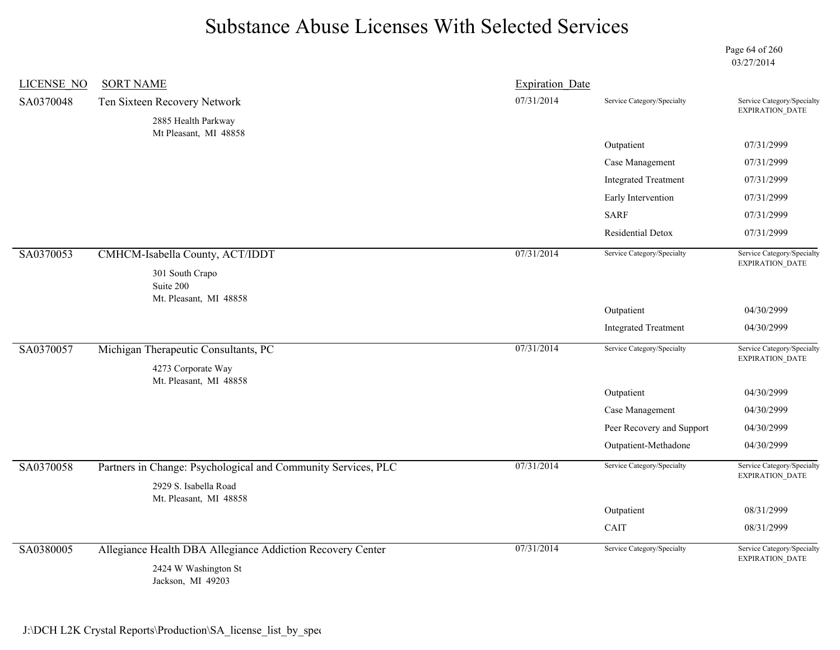Page 64 of 260 03/27/2014

| LICENSE NO | <b>SORT NAME</b>                                              | <b>Expiration Date</b> |                             |                                                      |
|------------|---------------------------------------------------------------|------------------------|-----------------------------|------------------------------------------------------|
| SA0370048  | Ten Sixteen Recovery Network                                  | 07/31/2014             | Service Category/Specialty  | Service Category/Specialty<br><b>EXPIRATION DATE</b> |
|            | 2885 Health Parkway                                           |                        |                             |                                                      |
|            | Mt Pleasant, MI 48858                                         |                        | Outpatient                  | 07/31/2999                                           |
|            |                                                               |                        | Case Management             | 07/31/2999                                           |
|            |                                                               |                        | <b>Integrated Treatment</b> | 07/31/2999                                           |
|            |                                                               |                        | Early Intervention          | 07/31/2999                                           |
|            |                                                               |                        | <b>SARF</b>                 | 07/31/2999                                           |
|            |                                                               |                        | Residential Detox           | 07/31/2999                                           |
| SA0370053  | CMHCM-Isabella County, ACT/IDDT                               | 07/31/2014             | Service Category/Specialty  | Service Category/Specialty<br><b>EXPIRATION DATE</b> |
|            | 301 South Crapo<br>Suite 200<br>Mt. Pleasant, MI 48858        |                        |                             |                                                      |
|            |                                                               |                        | Outpatient                  | 04/30/2999                                           |
|            |                                                               |                        | <b>Integrated Treatment</b> | 04/30/2999                                           |
| SA0370057  | Michigan Therapeutic Consultants, PC                          | 07/31/2014             | Service Category/Specialty  | Service Category/Specialty                           |
|            | 4273 Corporate Way                                            |                        |                             | <b>EXPIRATION DATE</b>                               |
|            | Mt. Pleasant, MI 48858                                        |                        | Outpatient                  | 04/30/2999                                           |
|            |                                                               |                        | Case Management             | 04/30/2999                                           |
|            |                                                               |                        | Peer Recovery and Support   | 04/30/2999                                           |
|            |                                                               |                        | Outpatient-Methadone        | 04/30/2999                                           |
| SA0370058  | Partners in Change: Psychological and Community Services, PLC | 07/31/2014             | Service Category/Specialty  | Service Category/Specialty<br><b>EXPIRATION DATE</b> |
|            | 2929 S. Isabella Road<br>Mt. Pleasant, MI 48858               |                        |                             |                                                      |
|            |                                                               |                        | Outpatient                  | 08/31/2999                                           |
|            |                                                               |                        | CAIT                        | 08/31/2999                                           |
| SA0380005  | Allegiance Health DBA Allegiance Addiction Recovery Center    | 07/31/2014             | Service Category/Specialty  | Service Category/Specialty<br>EXPIRATION_DATE        |
|            | 2424 W Washington St<br>Jackson, MI 49203                     |                        |                             |                                                      |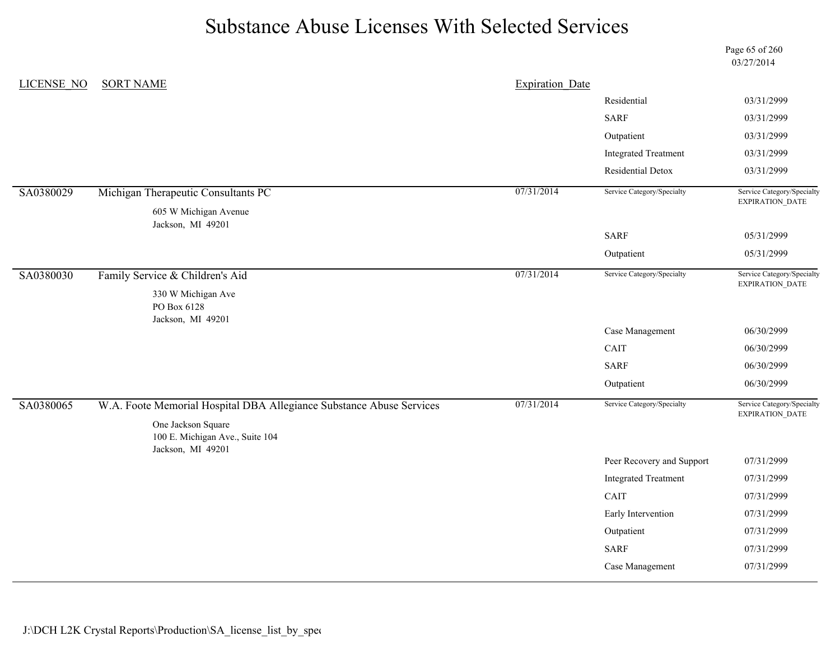Page 65 of 260 03/27/2014

| LICENSE NO | <b>SORT NAME</b>                                                           | <b>Expiration Date</b> |                             |                                               |
|------------|----------------------------------------------------------------------------|------------------------|-----------------------------|-----------------------------------------------|
|            |                                                                            |                        | Residential                 | 03/31/2999                                    |
|            |                                                                            |                        | <b>SARF</b>                 | 03/31/2999                                    |
|            |                                                                            |                        | Outpatient                  | 03/31/2999                                    |
|            |                                                                            |                        | <b>Integrated Treatment</b> | 03/31/2999                                    |
|            |                                                                            |                        | Residential Detox           | 03/31/2999                                    |
| SA0380029  | Michigan Therapeutic Consultants PC                                        | 07/31/2014             | Service Category/Specialty  | Service Category/Specialty<br>EXPIRATION_DATE |
|            | 605 W Michigan Avenue<br>Jackson, MI 49201                                 |                        |                             |                                               |
|            |                                                                            |                        | <b>SARF</b>                 | 05/31/2999                                    |
|            |                                                                            |                        | Outpatient                  | 05/31/2999                                    |
| SA0380030  | Family Service & Children's Aid                                            | 07/31/2014             | Service Category/Specialty  | Service Category/Specialty<br>EXPIRATION_DATE |
|            | 330 W Michigan Ave<br>PO Box 6128<br>Jackson, MI 49201                     |                        |                             |                                               |
|            |                                                                            |                        | Case Management             | 06/30/2999                                    |
|            |                                                                            |                        | CAIT                        | 06/30/2999                                    |
|            |                                                                            |                        | <b>SARF</b>                 | 06/30/2999                                    |
|            |                                                                            |                        | Outpatient                  | 06/30/2999                                    |
| SA0380065  | W.A. Foote Memorial Hospital DBA Allegiance Substance Abuse Services       | 07/31/2014             | Service Category/Specialty  | Service Category/Specialty<br>EXPIRATION_DATE |
|            | One Jackson Square<br>100 E. Michigan Ave., Suite 104<br>Jackson, MI 49201 |                        |                             |                                               |
|            |                                                                            |                        | Peer Recovery and Support   | 07/31/2999                                    |
|            |                                                                            |                        | <b>Integrated Treatment</b> | 07/31/2999                                    |
|            |                                                                            |                        | CAIT                        | 07/31/2999                                    |
|            |                                                                            |                        | Early Intervention          | 07/31/2999                                    |
|            |                                                                            |                        | Outpatient                  | 07/31/2999                                    |
|            |                                                                            |                        | <b>SARF</b>                 | 07/31/2999                                    |
|            |                                                                            |                        | Case Management             | 07/31/2999                                    |
|            |                                                                            |                        |                             |                                               |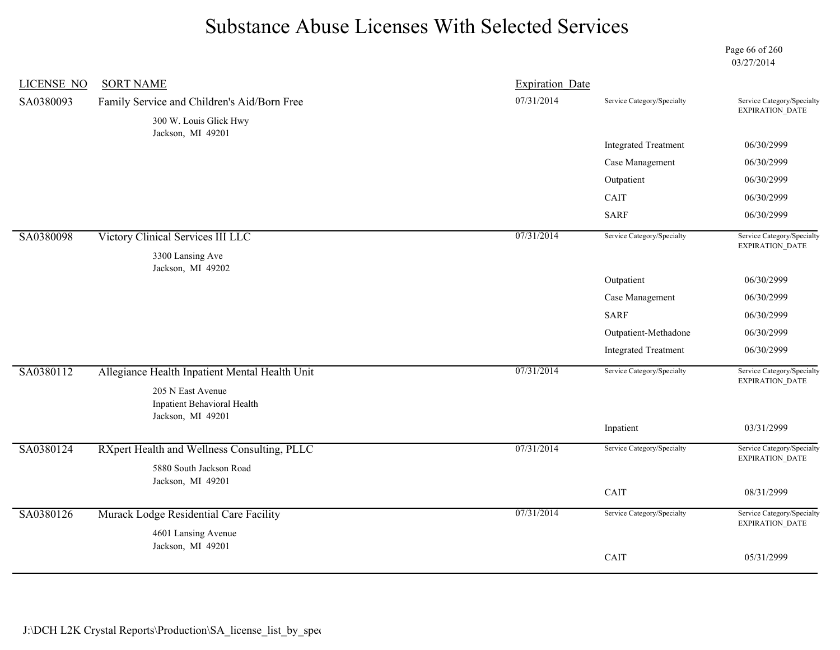Page 66 of 260 03/27/2014

| <b>LICENSE NO</b> | <b>SORT NAME</b>                                                      | <b>Expiration Date</b> |                             |                                                      |
|-------------------|-----------------------------------------------------------------------|------------------------|-----------------------------|------------------------------------------------------|
| SA0380093         | Family Service and Children's Aid/Born Free<br>300 W. Louis Glick Hwy | 07/31/2014             | Service Category/Specialty  | Service Category/Specialty<br>EXPIRATION_DATE        |
|                   | Jackson, MI 49201                                                     |                        |                             |                                                      |
|                   |                                                                       |                        | <b>Integrated Treatment</b> | 06/30/2999                                           |
|                   |                                                                       |                        | Case Management             | 06/30/2999                                           |
|                   |                                                                       |                        | Outpatient                  | 06/30/2999                                           |
|                   |                                                                       |                        | CAIT                        | 06/30/2999                                           |
|                   |                                                                       |                        | <b>SARF</b>                 | 06/30/2999                                           |
| SA0380098         | Victory Clinical Services III LLC                                     | 07/31/2014             | Service Category/Specialty  | Service Category/Specialty<br>EXPIRATION_DATE        |
|                   | 3300 Lansing Ave                                                      |                        |                             |                                                      |
|                   | Jackson, MI 49202                                                     |                        | Outpatient                  | 06/30/2999                                           |
|                   |                                                                       |                        | Case Management             | 06/30/2999                                           |
|                   |                                                                       |                        | <b>SARF</b>                 | 06/30/2999                                           |
|                   |                                                                       |                        | Outpatient-Methadone        | 06/30/2999                                           |
|                   |                                                                       |                        | <b>Integrated Treatment</b> | 06/30/2999                                           |
| SA0380112         | Allegiance Health Inpatient Mental Health Unit                        | 07/31/2014             | Service Category/Specialty  | Service Category/Specialty<br>EXPIRATION_DATE        |
|                   | 205 N East Avenue<br>Inpatient Behavioral Health<br>Jackson, MI 49201 |                        |                             |                                                      |
|                   |                                                                       |                        | Inpatient                   | 03/31/2999                                           |
| SA0380124         | RXpert Health and Wellness Consulting, PLLC                           | 07/31/2014             | Service Category/Specialty  | Service Category/Specialty<br><b>EXPIRATION DATE</b> |
|                   | 5880 South Jackson Road<br>Jackson, MI 49201                          |                        |                             |                                                      |
|                   |                                                                       |                        | CAIT                        | 08/31/2999                                           |
| SA0380126         | Murack Lodge Residential Care Facility                                | 07/31/2014             | Service Category/Specialty  | Service Category/Specialty<br>EXPIRATION_DATE        |
|                   | 4601 Lansing Avenue                                                   |                        |                             |                                                      |
|                   | Jackson, MI 49201                                                     |                        | CAIT                        | 05/31/2999                                           |
|                   |                                                                       |                        |                             |                                                      |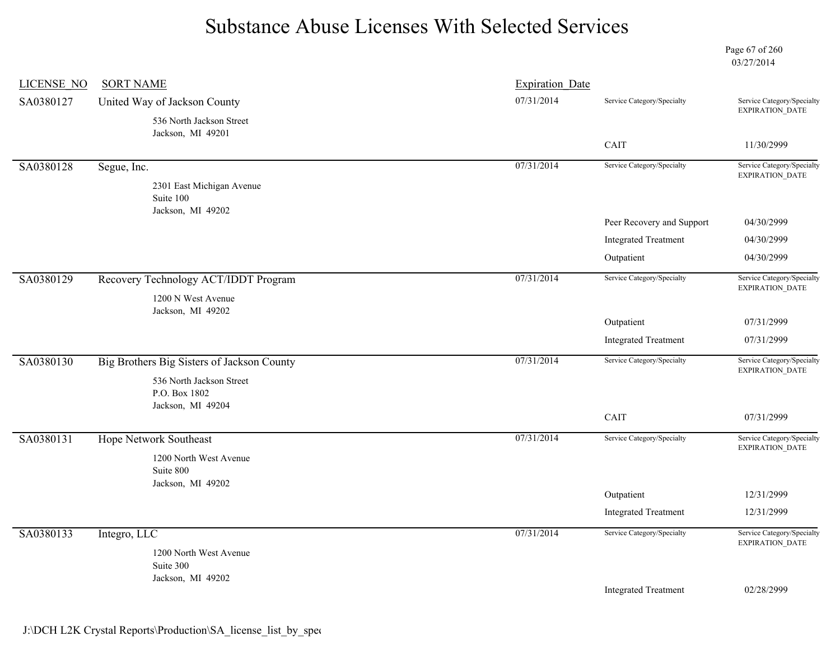Page 67 of 260 03/27/2014

| LICENSE NO | <b>SORT NAME</b>                           | <b>Expiration Date</b> |                             |                                                      |
|------------|--------------------------------------------|------------------------|-----------------------------|------------------------------------------------------|
| SA0380127  | United Way of Jackson County               | 07/31/2014             | Service Category/Specialty  | Service Category/Specialty<br>EXPIRATION_DATE        |
|            | 536 North Jackson Street                   |                        |                             |                                                      |
|            | Jackson, MI 49201                          |                        | CAIT                        | 11/30/2999                                           |
| SA0380128  | Segue, Inc.                                | 07/31/2014             | Service Category/Specialty  | Service Category/Specialty<br><b>EXPIRATION DATE</b> |
|            | 2301 East Michigan Avenue                  |                        |                             |                                                      |
|            | Suite 100<br>Jackson, MI 49202             |                        |                             |                                                      |
|            |                                            |                        | Peer Recovery and Support   | 04/30/2999                                           |
|            |                                            |                        | <b>Integrated Treatment</b> | 04/30/2999                                           |
|            |                                            |                        | Outpatient                  | 04/30/2999                                           |
| SA0380129  | Recovery Technology ACT/IDDT Program       | 07/31/2014             | Service Category/Specialty  | Service Category/Specialty                           |
|            | 1200 N West Avenue                         |                        |                             | EXPIRATION_DATE                                      |
|            | Jackson, MI 49202                          |                        | Outpatient                  | 07/31/2999                                           |
|            |                                            |                        | <b>Integrated Treatment</b> | 07/31/2999                                           |
|            |                                            |                        |                             |                                                      |
| SA0380130  | Big Brothers Big Sisters of Jackson County | 07/31/2014             | Service Category/Specialty  | Service Category/Specialty<br>EXPIRATION_DATE        |
|            | 536 North Jackson Street<br>P.O. Box 1802  |                        |                             |                                                      |
|            | Jackson, MI 49204                          |                        |                             |                                                      |
|            |                                            |                        | CAIT                        | 07/31/2999                                           |
| SA0380131  | <b>Hope Network Southeast</b>              | 07/31/2014             | Service Category/Specialty  | Service Category/Specialty<br>EXPIRATION_DATE        |
|            | 1200 North West Avenue                     |                        |                             |                                                      |
|            | Suite 800<br>Jackson, MI 49202             |                        |                             |                                                      |
|            |                                            |                        | Outpatient                  | 12/31/2999                                           |
|            |                                            |                        | <b>Integrated Treatment</b> | 12/31/2999                                           |
| SA0380133  | Integro, LLC                               | 07/31/2014             | Service Category/Specialty  | Service Category/Specialty<br>EXPIRATION_DATE        |
|            | 1200 North West Avenue                     |                        |                             |                                                      |
|            | Suite 300<br>Jackson, MI 49202             |                        |                             |                                                      |
|            |                                            |                        | <b>Integrated Treatment</b> | 02/28/2999                                           |
|            |                                            |                        |                             |                                                      |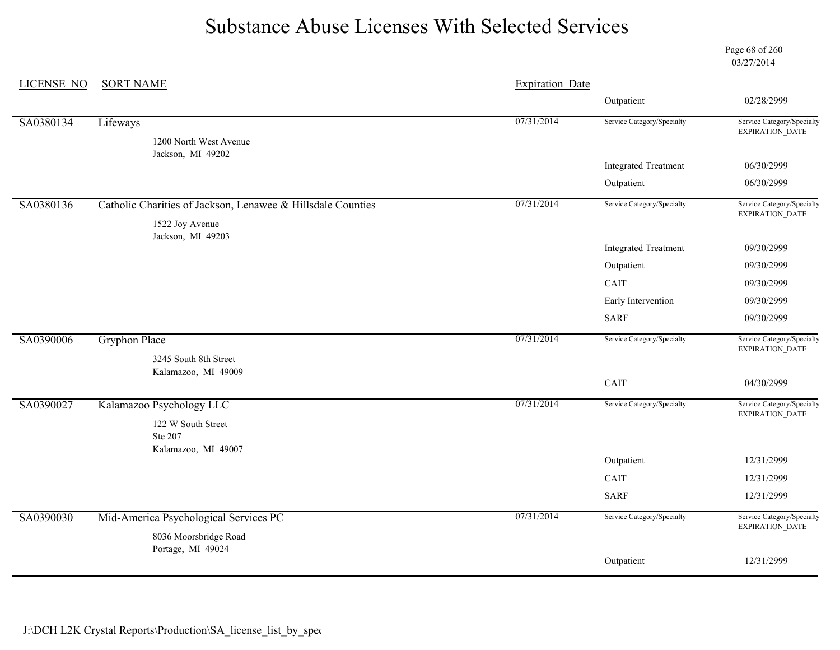Page 68 of 260 03/27/2014

| <b>LICENSE NO</b> | <b>SORT NAME</b>                                                               | <b>Expiration Date</b> |                             |                                                      |
|-------------------|--------------------------------------------------------------------------------|------------------------|-----------------------------|------------------------------------------------------|
|                   |                                                                                |                        | Outpatient                  | 02/28/2999                                           |
| SA0380134         | Lifeways                                                                       | 07/31/2014             | Service Category/Specialty  | Service Category/Specialty<br><b>EXPIRATION DATE</b> |
|                   | 1200 North West Avenue<br>Jackson, MI 49202                                    |                        |                             |                                                      |
|                   |                                                                                |                        | <b>Integrated Treatment</b> | 06/30/2999                                           |
|                   |                                                                                |                        | Outpatient                  | 06/30/2999                                           |
| SA0380136         | Catholic Charities of Jackson, Lenawee & Hillsdale Counties<br>1522 Joy Avenue | 07/31/2014             | Service Category/Specialty  | Service Category/Specialty<br>EXPIRATION_DATE        |
|                   | Jackson, MI 49203                                                              |                        |                             |                                                      |
|                   |                                                                                |                        | <b>Integrated Treatment</b> | 09/30/2999                                           |
|                   |                                                                                |                        | Outpatient                  | 09/30/2999                                           |
|                   |                                                                                |                        | CAIT                        | 09/30/2999                                           |
|                   |                                                                                |                        | Early Intervention          | 09/30/2999                                           |
|                   |                                                                                |                        | <b>SARF</b>                 | 09/30/2999                                           |
| SA0390006         | <b>Gryphon Place</b>                                                           | 07/31/2014             | Service Category/Specialty  | Service Category/Specialty<br>EXPIRATION_DATE        |
|                   | 3245 South 8th Street<br>Kalamazoo, MI 49009                                   |                        |                             |                                                      |
|                   |                                                                                |                        | CAIT                        | 04/30/2999                                           |
| SA0390027         | Kalamazoo Psychology LLC                                                       | 07/31/2014             | Service Category/Specialty  | Service Category/Specialty<br>EXPIRATION_DATE        |
|                   | 122 W South Street<br>Ste 207                                                  |                        |                             |                                                      |
|                   | Kalamazoo, MI 49007                                                            |                        | Outpatient                  | 12/31/2999                                           |
|                   |                                                                                |                        | <b>CAIT</b>                 | 12/31/2999                                           |
|                   |                                                                                |                        | <b>SARF</b>                 | 12/31/2999                                           |
|                   |                                                                                |                        |                             |                                                      |
| SA0390030         | Mid-America Psychological Services PC                                          | 07/31/2014             | Service Category/Specialty  | Service Category/Specialty<br><b>EXPIRATION DATE</b> |
|                   | 8036 Moorsbridge Road                                                          |                        |                             |                                                      |
|                   | Portage, MI 49024                                                              |                        | Outpatient                  | 12/31/2999                                           |
|                   |                                                                                |                        |                             |                                                      |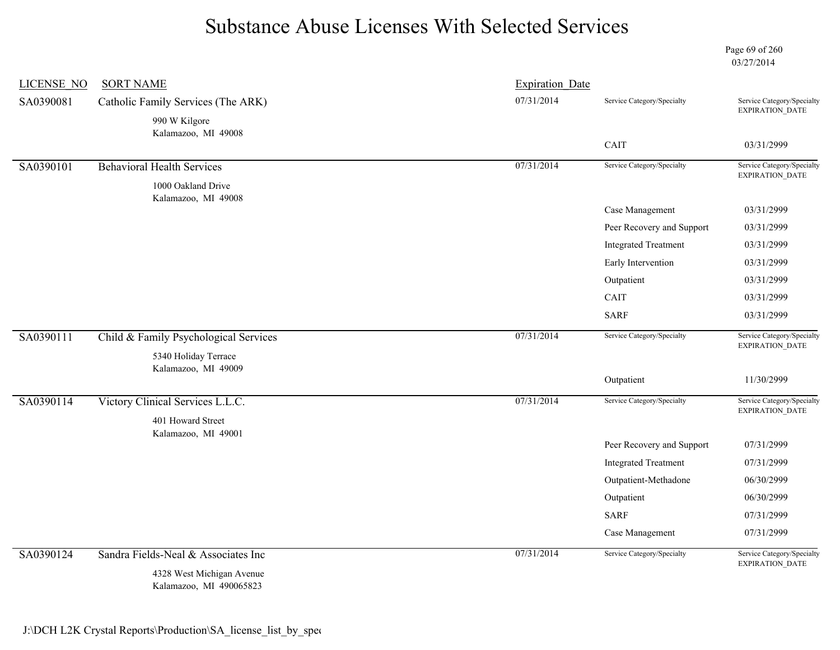Page 69 of 260 03/27/2014

|                                                    | <b>Expiration Date</b> |                                    |                                                      |
|----------------------------------------------------|------------------------|------------------------------------|------------------------------------------------------|
| SA0390081<br>Catholic Family Services (The ARK)    | 07/31/2014             | Service Category/Specialty         | Service Category/Specialty<br>EXPIRATION_DATE        |
| 990 W Kilgore                                      |                        |                                    |                                                      |
| Kalamazoo, MI 49008                                |                        | CAIT                               | 03/31/2999                                           |
|                                                    | 07/31/2014             |                                    |                                                      |
| <b>Behavioral Health Services</b><br>SA0390101     |                        | Service Category/Specialty         | Service Category/Specialty<br><b>EXPIRATION DATE</b> |
| 1000 Oakland Drive<br>Kalamazoo, MI 49008          |                        |                                    |                                                      |
|                                                    |                        | Case Management                    | 03/31/2999                                           |
|                                                    |                        | Peer Recovery and Support          | 03/31/2999                                           |
|                                                    |                        | <b>Integrated Treatment</b>        | 03/31/2999                                           |
|                                                    |                        | Early Intervention                 | 03/31/2999                                           |
|                                                    |                        | Outpatient                         | 03/31/2999                                           |
|                                                    |                        | CAIT                               | 03/31/2999                                           |
|                                                    |                        | <b>SARF</b>                        | 03/31/2999                                           |
| SA0390111<br>Child & Family Psychological Services | 07/31/2014             | Service Category/Specialty         | Service Category/Specialty<br>EXPIRATION_DATE        |
| 5340 Holiday Terrace<br>Kalamazoo, MI 49009        |                        |                                    |                                                      |
|                                                    |                        | Outpatient                         | 11/30/2999                                           |
|                                                    |                        |                                    |                                                      |
| Victory Clinical Services L.L.C.                   | 07/31/2014             | Service Category/Specialty         |                                                      |
| 401 Howard Street                                  |                        |                                    | <b>EXPIRATION DATE</b>                               |
| Kalamazoo, MI 49001                                |                        |                                    |                                                      |
|                                                    |                        | Peer Recovery and Support          | 07/31/2999<br>07/31/2999                             |
|                                                    |                        | <b>Integrated Treatment</b>        | 06/30/2999                                           |
|                                                    |                        | Outpatient-Methadone<br>Outpatient | 06/30/2999                                           |
| SA0390114                                          |                        | <b>SARF</b>                        | Service Category/Specialty<br>07/31/2999             |
|                                                    |                        | Case Management                    | 07/31/2999                                           |
| SA0390124<br>Sandra Fields-Neal & Associates Inc   | 07/31/2014             | Service Category/Specialty         | Service Category/Specialty<br>EXPIRATION_DATE        |

Kalamazoo, MI 490065823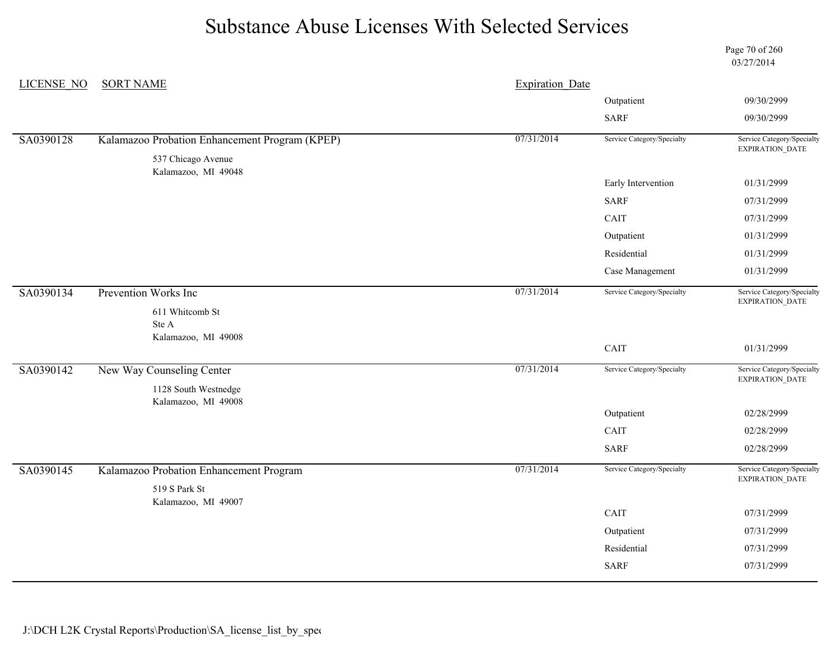Page 70 of 260 03/27/2014

| LICENSE NO | <b>SORT NAME</b>                               | <b>Expiration Date</b> |                            |                                               |
|------------|------------------------------------------------|------------------------|----------------------------|-----------------------------------------------|
|            |                                                |                        | Outpatient                 | 09/30/2999                                    |
|            |                                                |                        | <b>SARF</b>                | 09/30/2999                                    |
| SA0390128  | Kalamazoo Probation Enhancement Program (KPEP) | 07/31/2014             | Service Category/Specialty | Service Category/Specialty<br>EXPIRATION_DATE |
|            | 537 Chicago Avenue<br>Kalamazoo, MI 49048      |                        |                            |                                               |
|            |                                                |                        | Early Intervention         | 01/31/2999                                    |
|            |                                                |                        | <b>SARF</b>                | 07/31/2999                                    |
|            |                                                |                        | CAIT                       | 07/31/2999                                    |
|            |                                                |                        | Outpatient                 | 01/31/2999                                    |
|            |                                                |                        | Residential                | 01/31/2999                                    |
|            |                                                |                        | Case Management            | 01/31/2999                                    |
| SA0390134  | <b>Prevention Works Inc</b>                    | 07/31/2014             | Service Category/Specialty | Service Category/Specialty<br>EXPIRATION_DATE |
|            | 611 Whitcomb St                                |                        |                            |                                               |
|            | Ste A<br>Kalamazoo, MI 49008                   |                        |                            |                                               |
|            |                                                |                        | CAIT                       | 01/31/2999                                    |
| SA0390142  | New Way Counseling Center                      | 07/31/2014             | Service Category/Specialty | Service Category/Specialty<br>EXPIRATION_DATE |
|            | 1128 South Westnedge<br>Kalamazoo, MI 49008    |                        |                            |                                               |
|            |                                                |                        | Outpatient                 | 02/28/2999                                    |
|            |                                                |                        | CAIT                       | 02/28/2999                                    |
|            |                                                |                        | <b>SARF</b>                | 02/28/2999                                    |
| SA0390145  | Kalamazoo Probation Enhancement Program        | 07/31/2014             | Service Category/Specialty | Service Category/Specialty<br>EXPIRATION_DATE |
|            | 519 S Park St                                  |                        |                            |                                               |
|            | Kalamazoo, MI 49007                            |                        | CAIT                       | 07/31/2999                                    |
|            |                                                |                        |                            | 07/31/2999                                    |
|            |                                                |                        | Outpatient                 |                                               |
|            |                                                |                        | Residential                | 07/31/2999                                    |
|            |                                                |                        | <b>SARF</b>                | 07/31/2999                                    |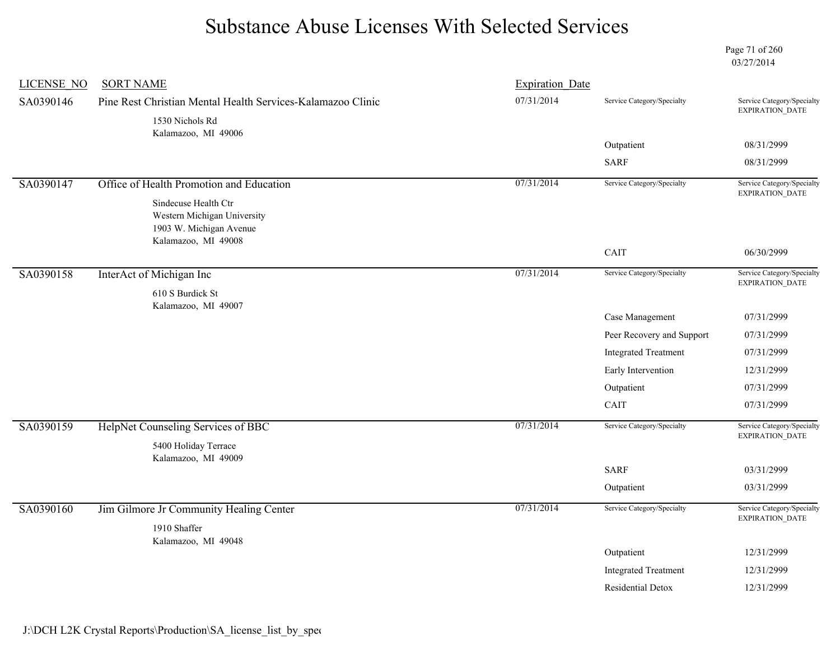Page 71 of 260 03/27/2014

| LICENSE NO | <b>SORT NAME</b>                                                                                      | <b>Expiration Date</b> |                             |                                                      |
|------------|-------------------------------------------------------------------------------------------------------|------------------------|-----------------------------|------------------------------------------------------|
| SA0390146  | Pine Rest Christian Mental Health Services-Kalamazoo Clinic                                           | 07/31/2014             | Service Category/Specialty  | Service Category/Specialty<br>EXPIRATION_DATE        |
|            | 1530 Nichols Rd<br>Kalamazoo, MI 49006                                                                |                        |                             |                                                      |
|            |                                                                                                       |                        | Outpatient                  | 08/31/2999                                           |
|            |                                                                                                       |                        | <b>SARF</b>                 | 08/31/2999                                           |
| SA0390147  | Office of Health Promotion and Education                                                              | 07/31/2014             | Service Category/Specialty  | Service Category/Specialty<br>EXPIRATION_DATE        |
|            | Sindecuse Health Ctr<br>Western Michigan University<br>1903 W. Michigan Avenue<br>Kalamazoo, MI 49008 |                        |                             |                                                      |
|            |                                                                                                       |                        | CAIT                        | 06/30/2999                                           |
| SA0390158  | InterAct of Michigan Inc                                                                              | 07/31/2014             | Service Category/Specialty  | Service Category/Specialty<br><b>EXPIRATION DATE</b> |
|            | 610 S Burdick St<br>Kalamazoo, MI 49007                                                               |                        |                             |                                                      |
|            |                                                                                                       |                        | Case Management             | 07/31/2999                                           |
|            |                                                                                                       |                        | Peer Recovery and Support   | 07/31/2999                                           |
|            |                                                                                                       |                        | <b>Integrated Treatment</b> | 07/31/2999                                           |
|            |                                                                                                       |                        | Early Intervention          | 12/31/2999                                           |
|            |                                                                                                       |                        | Outpatient                  | 07/31/2999                                           |
|            |                                                                                                       |                        | CAIT                        | 07/31/2999                                           |
| SA0390159  | HelpNet Counseling Services of BBC<br>5400 Holiday Terrace                                            | 07/31/2014             | Service Category/Specialty  | Service Category/Specialty<br>EXPIRATION_DATE        |
|            | Kalamazoo, MI 49009                                                                                   |                        | <b>SARF</b>                 | 03/31/2999                                           |
|            |                                                                                                       |                        | Outpatient                  | 03/31/2999                                           |
|            |                                                                                                       |                        |                             |                                                      |
| SA0390160  | Jim Gilmore Jr Community Healing Center<br>1910 Shaffer                                               | 07/31/2014             | Service Category/Specialty  | Service Category/Specialty<br><b>EXPIRATION DATE</b> |
|            | Kalamazoo, MI 49048                                                                                   |                        | Outpatient                  | 12/31/2999                                           |
|            |                                                                                                       |                        | <b>Integrated Treatment</b> | 12/31/2999                                           |
|            |                                                                                                       |                        | <b>Residential Detox</b>    | 12/31/2999                                           |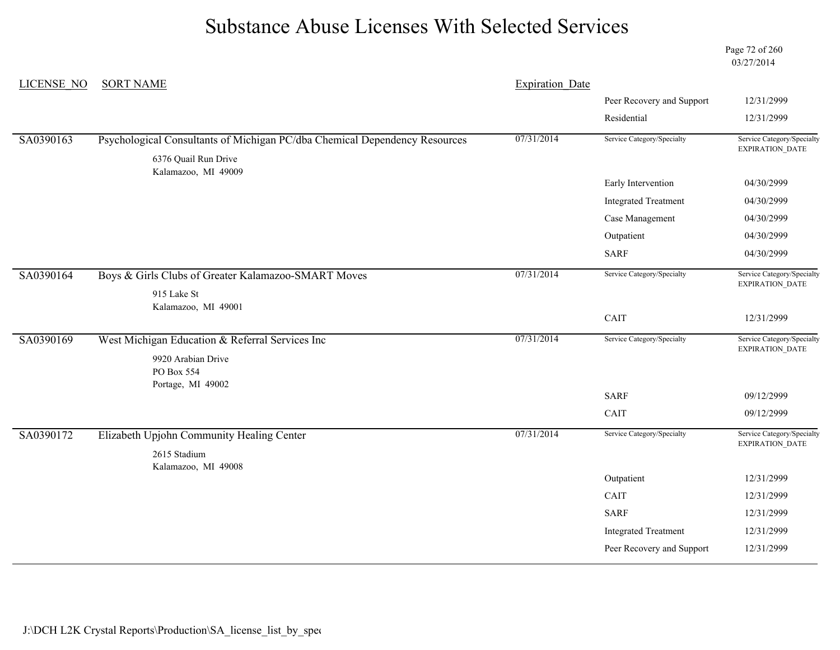Page 72 of 260 03/27/2014

| <b>LICENSE NO</b> | <b>SORT NAME</b>                                                                                   | <b>Expiration Date</b> |                             |                                                      |
|-------------------|----------------------------------------------------------------------------------------------------|------------------------|-----------------------------|------------------------------------------------------|
|                   |                                                                                                    |                        | Peer Recovery and Support   | 12/31/2999                                           |
|                   |                                                                                                    |                        | Residential                 | 12/31/2999                                           |
| SA0390163         | Psychological Consultants of Michigan PC/dba Chemical Dependency Resources<br>6376 Quail Run Drive | 07/31/2014             | Service Category/Specialty  | Service Category/Specialty<br>EXPIRATION_DATE        |
|                   | Kalamazoo, MI 49009                                                                                |                        | Early Intervention          | 04/30/2999                                           |
|                   |                                                                                                    |                        |                             |                                                      |
|                   |                                                                                                    |                        | <b>Integrated Treatment</b> | 04/30/2999                                           |
|                   |                                                                                                    |                        | Case Management             | 04/30/2999                                           |
|                   |                                                                                                    |                        | Outpatient                  | 04/30/2999                                           |
|                   |                                                                                                    |                        | <b>SARF</b>                 | 04/30/2999                                           |
| SA0390164         | Boys & Girls Clubs of Greater Kalamazoo-SMART Moves                                                | 07/31/2014             | Service Category/Specialty  | Service Category/Specialty<br>EXPIRATION_DATE        |
|                   | 915 Lake St                                                                                        |                        |                             |                                                      |
|                   | Kalamazoo, MI 49001                                                                                |                        | CAIT                        | 12/31/2999                                           |
| SA0390169         | West Michigan Education & Referral Services Inc                                                    | 07/31/2014             | Service Category/Specialty  | Service Category/Specialty<br><b>EXPIRATION DATE</b> |
|                   | 9920 Arabian Drive<br>PO Box 554                                                                   |                        |                             |                                                      |
|                   | Portage, MI 49002                                                                                  |                        | <b>SARF</b>                 | 09/12/2999                                           |
|                   |                                                                                                    |                        | CAIT                        | 09/12/2999                                           |
| SA0390172         | Elizabeth Upjohn Community Healing Center                                                          | 07/31/2014             | Service Category/Specialty  | Service Category/Specialty<br>EXPIRATION_DATE        |
|                   | 2615 Stadium<br>Kalamazoo, MI 49008                                                                |                        |                             |                                                      |
|                   |                                                                                                    |                        | Outpatient                  | 12/31/2999                                           |
|                   |                                                                                                    |                        | CAIT                        | 12/31/2999                                           |
|                   |                                                                                                    |                        | <b>SARF</b>                 | 12/31/2999                                           |
|                   |                                                                                                    |                        | <b>Integrated Treatment</b> | 12/31/2999                                           |
|                   |                                                                                                    |                        |                             |                                                      |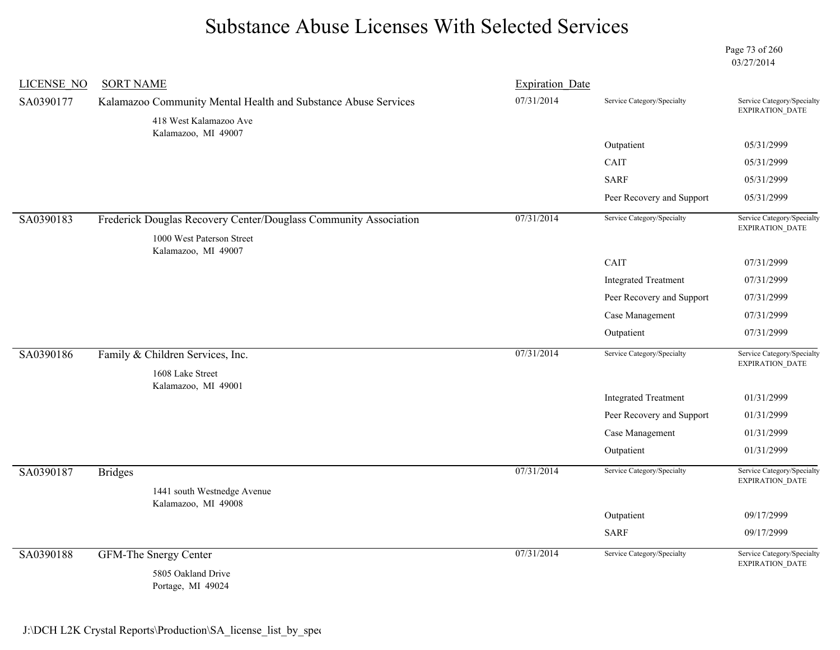Page 73 of 260 03/27/2014

| <b>LICENSE NO</b> | <b>SORT NAME</b>                                                 | <b>Expiration Date</b> |                             |                                                                        |
|-------------------|------------------------------------------------------------------|------------------------|-----------------------------|------------------------------------------------------------------------|
| SA0390177         | Kalamazoo Community Mental Health and Substance Abuse Services   | 07/31/2014             | Service Category/Specialty  | Service Category/Specialty<br>EXPIRATION_DATE                          |
|                   | 418 West Kalamazoo Ave<br>Kalamazoo, MI 49007                    |                        |                             |                                                                        |
|                   |                                                                  |                        | Outpatient                  | 05/31/2999                                                             |
|                   |                                                                  |                        | CAIT                        | 05/31/2999                                                             |
|                   |                                                                  |                        | <b>SARF</b>                 | 05/31/2999                                                             |
|                   |                                                                  |                        | Peer Recovery and Support   | 05/31/2999                                                             |
| SA0390183         | Frederick Douglas Recovery Center/Douglass Community Association | 07/31/2014             | Service Category/Specialty  | Service Category/Specialty<br>$\ensuremath{\mathsf{EXPIRATION\_DATE}}$ |
|                   | 1000 West Paterson Street                                        |                        |                             |                                                                        |
|                   | Kalamazoo, MI 49007                                              |                        | CAIT                        | 07/31/2999                                                             |
|                   |                                                                  |                        | <b>Integrated Treatment</b> | 07/31/2999                                                             |
|                   |                                                                  |                        | Peer Recovery and Support   | 07/31/2999                                                             |
|                   |                                                                  |                        | Case Management             | 07/31/2999                                                             |
|                   |                                                                  |                        | Outpatient                  | 07/31/2999                                                             |
| SA0390186         | Family & Children Services, Inc.                                 | 07/31/2014             | Service Category/Specialty  | Service Category/Specialty<br><b>EXPIRATION DATE</b>                   |
|                   | 1608 Lake Street                                                 |                        |                             |                                                                        |
|                   | Kalamazoo, MI 49001                                              |                        | <b>Integrated Treatment</b> | 01/31/2999                                                             |
|                   |                                                                  |                        | Peer Recovery and Support   | 01/31/2999                                                             |
|                   |                                                                  |                        | Case Management             | 01/31/2999                                                             |
|                   |                                                                  |                        | Outpatient                  | 01/31/2999                                                             |
| SA0390187         | <b>Bridges</b>                                                   | 07/31/2014             | Service Category/Specialty  | Service Category/Specialty<br>EXPIRATION_DATE                          |
|                   | 1441 south Westnedge Avenue                                      |                        |                             |                                                                        |
|                   | Kalamazoo, MI 49008                                              |                        | Outpatient                  | 09/17/2999                                                             |
|                   |                                                                  |                        | <b>SARF</b>                 | 09/17/2999                                                             |
|                   |                                                                  |                        |                             |                                                                        |
| SA0390188         | <b>GFM-The Snergy Center</b>                                     | 07/31/2014             | Service Category/Specialty  | Service Category/Specialty<br>EXPIRATION_DATE                          |
|                   | 5805 Oakland Drive<br>Portage, MI 49024                          |                        |                             |                                                                        |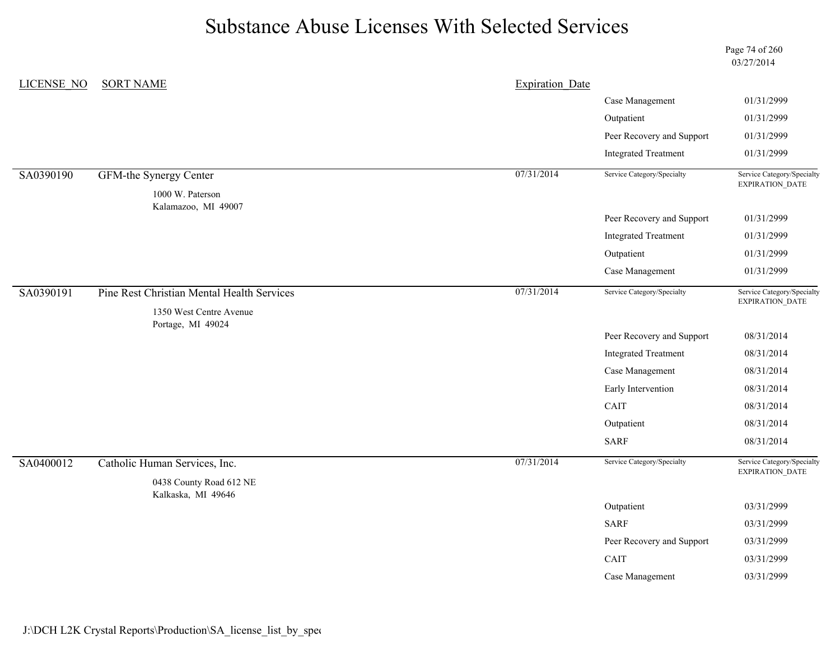Page 74 of 260 03/27/2014

| <b>LICENSE NO</b> | <b>SORT NAME</b>                           | <b>Expiration Date</b> |                             |                                               |
|-------------------|--------------------------------------------|------------------------|-----------------------------|-----------------------------------------------|
|                   |                                            |                        | Case Management             | 01/31/2999                                    |
|                   |                                            |                        | Outpatient                  | 01/31/2999                                    |
|                   |                                            |                        | Peer Recovery and Support   | 01/31/2999                                    |
|                   |                                            |                        | <b>Integrated Treatment</b> | 01/31/2999                                    |
| SA0390190         | GFM-the Synergy Center                     | 07/31/2014             | Service Category/Specialty  | Service Category/Specialty<br>EXPIRATION_DATE |
|                   | 1000 W. Paterson                           |                        |                             |                                               |
|                   | Kalamazoo, MI 49007                        |                        | Peer Recovery and Support   | 01/31/2999                                    |
|                   |                                            |                        | <b>Integrated Treatment</b> | 01/31/2999                                    |
|                   |                                            |                        | Outpatient                  | 01/31/2999                                    |
|                   |                                            |                        | Case Management             | 01/31/2999                                    |
| SA0390191         | Pine Rest Christian Mental Health Services | 07/31/2014             | Service Category/Specialty  | Service Category/Specialty<br>EXPIRATION_DATE |
|                   | 1350 West Centre Avenue                    |                        |                             |                                               |
|                   | Portage, MI 49024                          |                        | Peer Recovery and Support   | 08/31/2014                                    |
|                   |                                            |                        | <b>Integrated Treatment</b> | 08/31/2014                                    |
|                   |                                            |                        | Case Management             | 08/31/2014                                    |
|                   |                                            |                        | Early Intervention          | 08/31/2014                                    |
|                   |                                            |                        | CAIT                        | 08/31/2014                                    |
|                   |                                            |                        | Outpatient                  | 08/31/2014                                    |
|                   |                                            |                        | <b>SARF</b>                 | 08/31/2014                                    |
| SA0400012         | Catholic Human Services, Inc.              | 07/31/2014             | Service Category/Specialty  | Service Category/Specialty<br>EXPIRATION_DATE |
|                   | 0438 County Road 612 NE                    |                        |                             |                                               |
|                   | Kalkaska, MI 49646                         |                        | Outpatient                  | 03/31/2999                                    |
|                   |                                            |                        | <b>SARF</b>                 | 03/31/2999                                    |
|                   |                                            |                        | Peer Recovery and Support   | 03/31/2999                                    |
|                   |                                            |                        | CAIT                        | 03/31/2999                                    |
|                   |                                            |                        | Case Management             | 03/31/2999                                    |
|                   |                                            |                        |                             |                                               |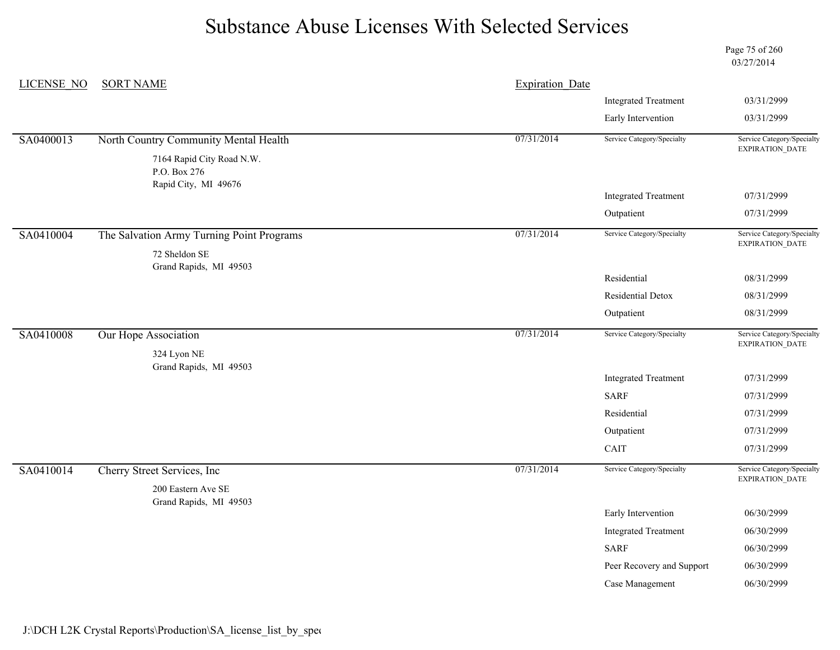Page 75 of 260 03/27/2014

| LICENSE NO | <b>SORT NAME</b>                                                  | <b>Expiration Date</b> |                             |                                                      |
|------------|-------------------------------------------------------------------|------------------------|-----------------------------|------------------------------------------------------|
|            |                                                                   |                        | <b>Integrated Treatment</b> | 03/31/2999                                           |
|            |                                                                   |                        | Early Intervention          | 03/31/2999                                           |
| SA0400013  | North Country Community Mental Health                             | 07/31/2014             | Service Category/Specialty  | Service Category/Specialty                           |
|            | 7164 Rapid City Road N.W.<br>P.O. Box 276<br>Rapid City, MI 49676 |                        |                             | <b>EXPIRATION DATE</b>                               |
|            |                                                                   |                        | <b>Integrated Treatment</b> | 07/31/2999                                           |
|            |                                                                   |                        | Outpatient                  | 07/31/2999                                           |
| SA0410004  | The Salvation Army Turning Point Programs                         | 07/31/2014             | Service Category/Specialty  | Service Category/Specialty<br><b>EXPIRATION DATE</b> |
|            | 72 Sheldon SE<br>Grand Rapids, MI 49503                           |                        |                             |                                                      |
|            |                                                                   |                        | Residential                 | 08/31/2999                                           |
|            |                                                                   |                        | Residential Detox           | 08/31/2999                                           |
|            |                                                                   |                        | Outpatient                  | 08/31/2999                                           |
| SA0410008  | Our Hope Association                                              | 07/31/2014             | Service Category/Specialty  | Service Category/Specialty<br>EXPIRATION_DATE        |
|            | 324 Lyon NE<br>Grand Rapids, MI 49503                             |                        |                             |                                                      |
|            |                                                                   |                        | <b>Integrated Treatment</b> | 07/31/2999                                           |
|            |                                                                   |                        | <b>SARF</b>                 | 07/31/2999                                           |
|            |                                                                   |                        | Residential                 | 07/31/2999                                           |
|            |                                                                   |                        | Outpatient                  | 07/31/2999                                           |
|            |                                                                   |                        | CAIT                        | 07/31/2999                                           |
| SA0410014  | Cherry Street Services, Inc.                                      | 07/31/2014             | Service Category/Specialty  | Service Category/Specialty                           |
|            | 200 Eastern Ave SE<br>Grand Rapids, MI 49503                      |                        |                             | EXPIRATION_DATE                                      |
|            |                                                                   |                        | Early Intervention          | 06/30/2999                                           |
|            |                                                                   |                        | <b>Integrated Treatment</b> | 06/30/2999                                           |
|            |                                                                   |                        | <b>SARF</b>                 | 06/30/2999                                           |
|            |                                                                   |                        | Peer Recovery and Support   | 06/30/2999                                           |
|            |                                                                   |                        | Case Management             | 06/30/2999                                           |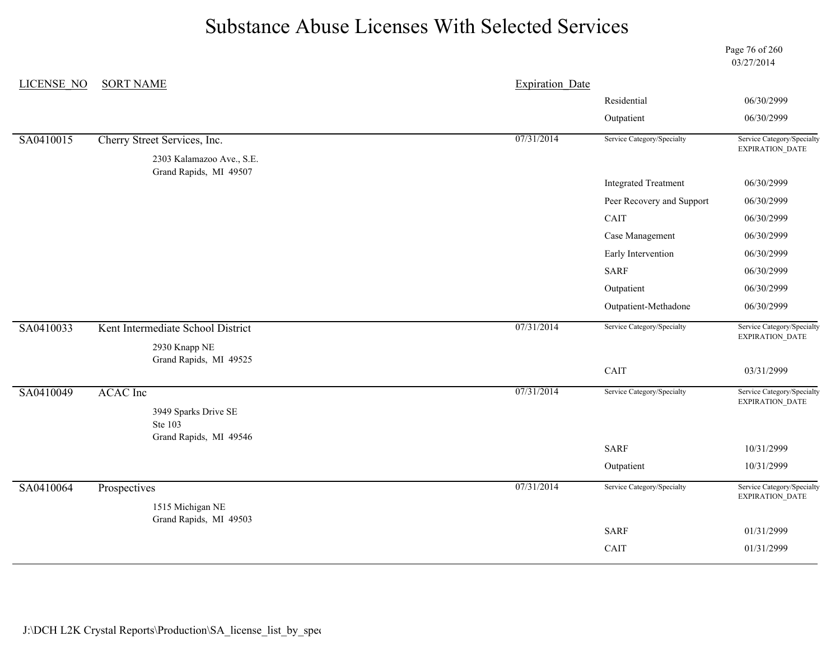Page 76 of 260 03/27/2014

| <b>LICENSE NO</b> | <b>SORT NAME</b>                        | <b>Expiration Date</b> |                             |                                                      |
|-------------------|-----------------------------------------|------------------------|-----------------------------|------------------------------------------------------|
|                   |                                         |                        | Residential                 | 06/30/2999                                           |
|                   |                                         |                        | Outpatient                  | 06/30/2999                                           |
| SA0410015         | Cherry Street Services, Inc.            | 07/31/2014             | Service Category/Specialty  | Service Category/Specialty<br>EXPIRATION_DATE        |
|                   | 2303 Kalamazoo Ave., S.E.               |                        |                             |                                                      |
|                   | Grand Rapids, MI 49507                  |                        | <b>Integrated Treatment</b> | 06/30/2999                                           |
|                   |                                         |                        | Peer Recovery and Support   | 06/30/2999                                           |
|                   |                                         |                        | CAIT                        | 06/30/2999                                           |
|                   |                                         |                        | Case Management             | 06/30/2999                                           |
|                   |                                         |                        | Early Intervention          | 06/30/2999                                           |
|                   |                                         |                        | SARF                        | 06/30/2999                                           |
|                   |                                         |                        | Outpatient                  | 06/30/2999                                           |
|                   |                                         |                        | Outpatient-Methadone        | 06/30/2999                                           |
| SA0410033         | Kent Intermediate School District       | 07/31/2014             | Service Category/Specialty  | Service Category/Specialty<br><b>EXPIRATION DATE</b> |
|                   | 2930 Knapp NE<br>Grand Rapids, MI 49525 |                        |                             |                                                      |
|                   |                                         |                        | CAIT                        | 03/31/2999                                           |
| SA0410049         | <b>ACAC</b> Inc                         | 07/31/2014             | Service Category/Specialty  | Service Category/Specialty<br><b>EXPIRATION DATE</b> |
|                   | 3949 Sparks Drive SE                    |                        |                             |                                                      |
|                   | Ste 103<br>Grand Rapids, MI 49546       |                        |                             |                                                      |
|                   |                                         |                        | <b>SARF</b>                 | 10/31/2999                                           |
|                   |                                         |                        | Outpatient                  | 10/31/2999                                           |
| SA0410064         | Prospectives                            | 07/31/2014             | Service Category/Specialty  | Service Category/Specialty<br>EXPIRATION_DATE        |
|                   | 1515 Michigan NE                        |                        |                             |                                                      |
|                   | Grand Rapids, MI 49503                  |                        | <b>SARF</b>                 | 01/31/2999                                           |
|                   |                                         |                        | CAIT                        | 01/31/2999                                           |
|                   |                                         |                        |                             |                                                      |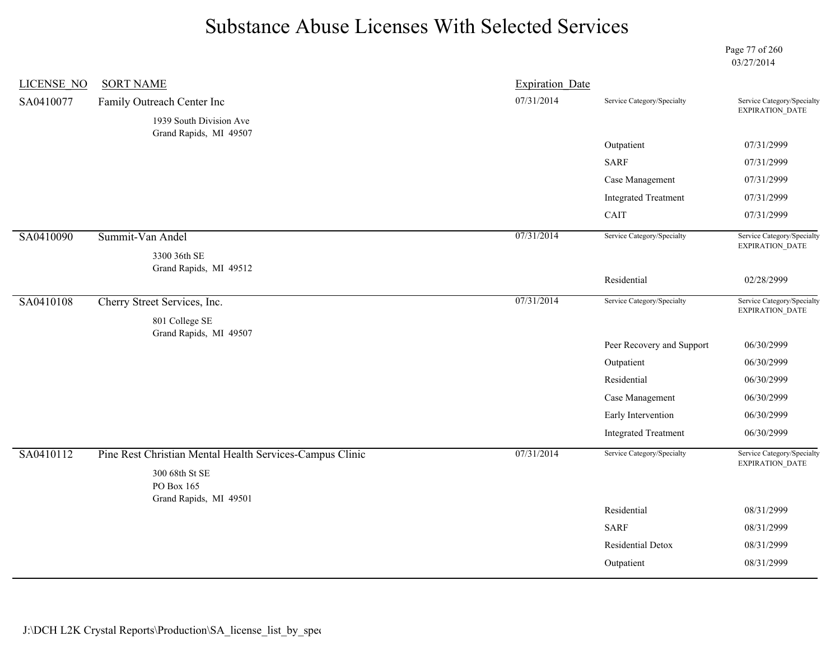Page 77 of 260 03/27/2014

| <b>LICENSE NO</b> | <b>SORT NAME</b>                                                           | <b>Expiration Date</b> |                             |                                               |
|-------------------|----------------------------------------------------------------------------|------------------------|-----------------------------|-----------------------------------------------|
| SA0410077         | Family Outreach Center Inc                                                 | 07/31/2014             | Service Category/Specialty  | Service Category/Specialty<br>EXPIRATION_DATE |
|                   | 1939 South Division Ave                                                    |                        |                             |                                               |
|                   | Grand Rapids, MI 49507                                                     |                        | Outpatient                  | 07/31/2999                                    |
|                   |                                                                            |                        | <b>SARF</b>                 | 07/31/2999                                    |
|                   |                                                                            |                        | Case Management             | 07/31/2999                                    |
|                   |                                                                            |                        | <b>Integrated Treatment</b> | 07/31/2999                                    |
|                   |                                                                            |                        | CAIT                        | 07/31/2999                                    |
| SA0410090         | Summit-Van Andel                                                           | 07/31/2014             | Service Category/Specialty  | Service Category/Specialty<br>EXPIRATION_DATE |
|                   | 3300 36th SE                                                               |                        |                             |                                               |
|                   | Grand Rapids, MI 49512                                                     |                        | Residential                 | 02/28/2999                                    |
| SA0410108         | Cherry Street Services, Inc.                                               | 07/31/2014             | Service Category/Specialty  | Service Category/Specialty                    |
|                   | 801 College SE                                                             |                        |                             | EXPIRATION_DATE                               |
|                   | Grand Rapids, MI 49507                                                     |                        |                             |                                               |
|                   |                                                                            |                        | Peer Recovery and Support   | 06/30/2999                                    |
|                   |                                                                            |                        | Outpatient                  | 06/30/2999                                    |
|                   |                                                                            |                        | Residential                 | 06/30/2999                                    |
|                   |                                                                            |                        | Case Management             | 06/30/2999                                    |
|                   |                                                                            |                        | Early Intervention          | 06/30/2999                                    |
|                   |                                                                            |                        | <b>Integrated Treatment</b> | 06/30/2999                                    |
| SA0410112         | Pine Rest Christian Mental Health Services-Campus Clinic<br>300 68th St SE | 07/31/2014             | Service Category/Specialty  | Service Category/Specialty<br>EXPIRATION_DATE |
|                   | PO Box 165                                                                 |                        |                             |                                               |
|                   | Grand Rapids, MI 49501                                                     |                        | Residential                 | 08/31/2999                                    |
|                   |                                                                            |                        | <b>SARF</b>                 | 08/31/2999                                    |
|                   |                                                                            |                        |                             |                                               |
|                   |                                                                            |                        | <b>Residential Detox</b>    | 08/31/2999                                    |
|                   |                                                                            |                        | Outpatient                  | 08/31/2999                                    |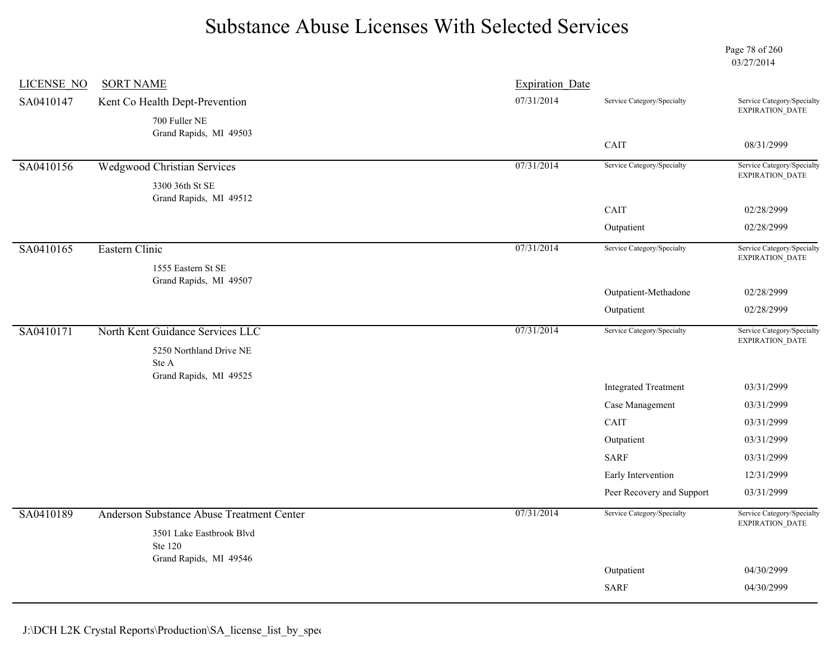Page 78 of 260 03/27/2014

| LICENSE NO | <b>SORT NAME</b>                                              | <b>Expiration Date</b> |                             |                                                      |
|------------|---------------------------------------------------------------|------------------------|-----------------------------|------------------------------------------------------|
| SA0410147  | Kent Co Health Dept-Prevention                                | 07/31/2014             | Service Category/Specialty  | Service Category/Specialty<br>EXPIRATION_DATE        |
|            | 700 Fuller NE<br>Grand Rapids, MI 49503                       |                        |                             |                                                      |
|            |                                                               |                        | CAIT                        | 08/31/2999                                           |
| SA0410156  | <b>Wedgwood Christian Services</b>                            | 07/31/2014             | Service Category/Specialty  | Service Category/Specialty<br>EXPIRATION_DATE        |
|            | 3300 36th St SE<br>Grand Rapids, MI 49512                     |                        |                             |                                                      |
|            |                                                               |                        | CAIT                        | 02/28/2999                                           |
|            |                                                               |                        | Outpatient                  | 02/28/2999                                           |
| SA0410165  | Eastern Clinic                                                | 07/31/2014             | Service Category/Specialty  | Service Category/Specialty<br>EXPIRATION_DATE        |
|            | 1555 Eastern St SE                                            |                        |                             |                                                      |
|            | Grand Rapids, MI 49507                                        |                        | Outpatient-Methadone        | 02/28/2999                                           |
|            |                                                               |                        | Outpatient                  | 02/28/2999                                           |
| SA0410171  | North Kent Guidance Services LLC                              | 07/31/2014             | Service Category/Specialty  | Service Category/Specialty<br><b>EXPIRATION DATE</b> |
|            | 5250 Northland Drive NE                                       |                        |                             |                                                      |
|            | Ste A<br>Grand Rapids, MI 49525                               |                        |                             |                                                      |
|            |                                                               |                        | <b>Integrated Treatment</b> | 03/31/2999                                           |
|            |                                                               |                        | Case Management             | 03/31/2999                                           |
|            |                                                               |                        | CAIT                        | 03/31/2999                                           |
|            |                                                               |                        | Outpatient                  | 03/31/2999                                           |
|            |                                                               |                        | <b>SARF</b>                 | 03/31/2999                                           |
|            |                                                               |                        | Early Intervention          | 12/31/2999                                           |
|            |                                                               |                        | Peer Recovery and Support   | 03/31/2999                                           |
| SA0410189  | Anderson Substance Abuse Treatment Center                     | 07/31/2014             | Service Category/Specialty  | Service Category/Specialty<br>EXPIRATION_DATE        |
|            | 3501 Lake Eastbrook Blvd<br>Ste 120<br>Grand Rapids, MI 49546 |                        |                             |                                                      |
|            |                                                               |                        | Outpatient                  | 04/30/2999                                           |
|            |                                                               |                        | <b>SARF</b>                 | 04/30/2999                                           |
|            |                                                               |                        |                             |                                                      |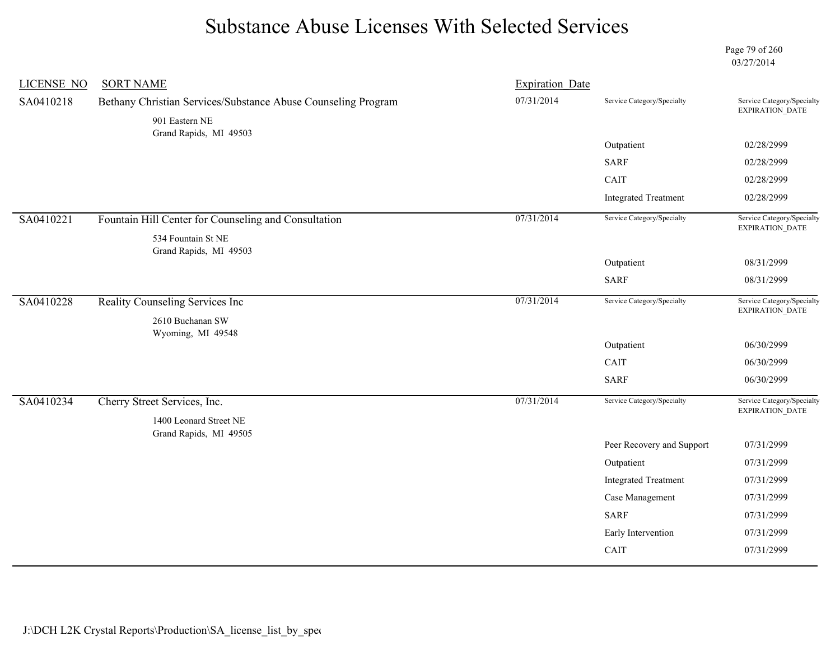Page 79 of 260 03/27/2014

| <b>LICENSE NO</b> | <b>SORT NAME</b>                                                                | <b>Expiration Date</b> |                             |                                               |
|-------------------|---------------------------------------------------------------------------------|------------------------|-----------------------------|-----------------------------------------------|
| SA0410218         | Bethany Christian Services/Substance Abuse Counseling Program<br>901 Eastern NE | 07/31/2014             | Service Category/Specialty  | Service Category/Specialty<br>EXPIRATION_DATE |
|                   | Grand Rapids, MI 49503                                                          |                        | Outpatient                  | 02/28/2999                                    |
|                   |                                                                                 |                        | <b>SARF</b>                 | 02/28/2999                                    |
|                   |                                                                                 |                        | CAIT                        | 02/28/2999                                    |
|                   |                                                                                 |                        | <b>Integrated Treatment</b> | 02/28/2999                                    |
| SA0410221         | Fountain Hill Center for Counseling and Consultation                            | 07/31/2014             | Service Category/Specialty  | Service Category/Specialty<br>EXPIRATION_DATE |
|                   | 534 Fountain St NE<br>Grand Rapids, MI 49503                                    |                        |                             |                                               |
|                   |                                                                                 |                        | Outpatient                  | 08/31/2999                                    |
|                   |                                                                                 |                        | <b>SARF</b>                 | 08/31/2999                                    |
| SA0410228         | Reality Counseling Services Inc                                                 | 07/31/2014             | Service Category/Specialty  | Service Category/Specialty<br>EXPIRATION_DATE |
|                   | 2610 Buchanan SW<br>Wyoming, MI 49548                                           |                        |                             |                                               |
|                   |                                                                                 |                        | Outpatient                  | 06/30/2999                                    |
|                   |                                                                                 |                        | CAIT                        | 06/30/2999                                    |
|                   |                                                                                 |                        | <b>SARF</b>                 | 06/30/2999                                    |
| SA0410234         | Cherry Street Services, Inc.                                                    | 07/31/2014             | Service Category/Specialty  | Service Category/Specialty<br>EXPIRATION_DATE |
|                   | 1400 Leonard Street NE<br>Grand Rapids, MI 49505                                |                        |                             |                                               |
|                   |                                                                                 |                        | Peer Recovery and Support   | 07/31/2999                                    |
|                   |                                                                                 |                        | Outpatient                  | 07/31/2999                                    |
|                   |                                                                                 |                        | <b>Integrated Treatment</b> | 07/31/2999                                    |
|                   |                                                                                 |                        | Case Management             | 07/31/2999                                    |
|                   |                                                                                 |                        | <b>SARF</b>                 | 07/31/2999                                    |
|                   |                                                                                 |                        | Early Intervention          | 07/31/2999                                    |
|                   |                                                                                 |                        | CAIT                        | 07/31/2999                                    |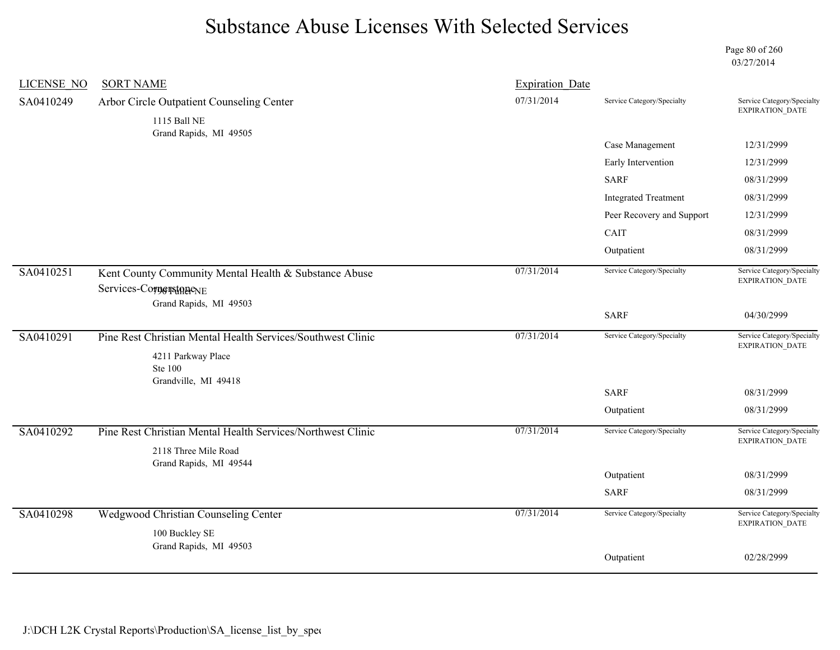Page 80 of 260 03/27/2014

| <b>LICENSE NO</b> | <b>SORT NAME</b>                                                                                              | <b>Expiration Date</b> |                             |                                                      |
|-------------------|---------------------------------------------------------------------------------------------------------------|------------------------|-----------------------------|------------------------------------------------------|
| SA0410249         | Arbor Circle Outpatient Counseling Center<br>1115 Ball NE                                                     | 07/31/2014             | Service Category/Specialty  | Service Category/Specialty<br>EXPIRATION_DATE        |
|                   | Grand Rapids, MI 49505                                                                                        |                        |                             |                                                      |
|                   |                                                                                                               |                        | Case Management             | 12/31/2999                                           |
|                   |                                                                                                               |                        | Early Intervention          | 12/31/2999                                           |
|                   |                                                                                                               |                        | <b>SARF</b>                 | 08/31/2999                                           |
|                   |                                                                                                               |                        | <b>Integrated Treatment</b> | 08/31/2999                                           |
|                   |                                                                                                               |                        | Peer Recovery and Support   | 12/31/2999                                           |
|                   |                                                                                                               |                        | CAIT                        | 08/31/2999                                           |
|                   |                                                                                                               |                        | Outpatient                  | 08/31/2999                                           |
| SA0410251         | Kent County Community Mental Health & Substance Abuse<br>Services-CornerstonenE                               | 07/31/2014             | Service Category/Specialty  | Service Category/Specialty<br><b>EXPIRATION DATE</b> |
|                   | Grand Rapids, MI 49503                                                                                        |                        | <b>SARF</b>                 | 04/30/2999                                           |
| SA0410291         | Pine Rest Christian Mental Health Services/Southwest Clinic<br>4211 Parkway Place<br><b>Ste 100</b>           | 07/31/2014             | Service Category/Specialty  | Service Category/Specialty<br>EXPIRATION_DATE        |
|                   | Grandville, MI 49418                                                                                          |                        | <b>SARF</b>                 | 08/31/2999                                           |
|                   |                                                                                                               |                        | Outpatient                  | 08/31/2999                                           |
| SA0410292         | Pine Rest Christian Mental Health Services/Northwest Clinic<br>2118 Three Mile Road<br>Grand Rapids, MI 49544 | 07/31/2014             | Service Category/Specialty  | Service Category/Specialty<br>EXPIRATION_DATE        |
|                   |                                                                                                               |                        | Outpatient                  | 08/31/2999                                           |
|                   |                                                                                                               |                        | <b>SARF</b>                 | 08/31/2999                                           |
| SA0410298         | Wedgwood Christian Counseling Center<br>100 Buckley SE                                                        | 07/31/2014             | Service Category/Specialty  | Service Category/Specialty<br>EXPIRATION_DATE        |
|                   | Grand Rapids, MI 49503                                                                                        |                        | Outpatient                  | 02/28/2999                                           |
|                   |                                                                                                               |                        |                             |                                                      |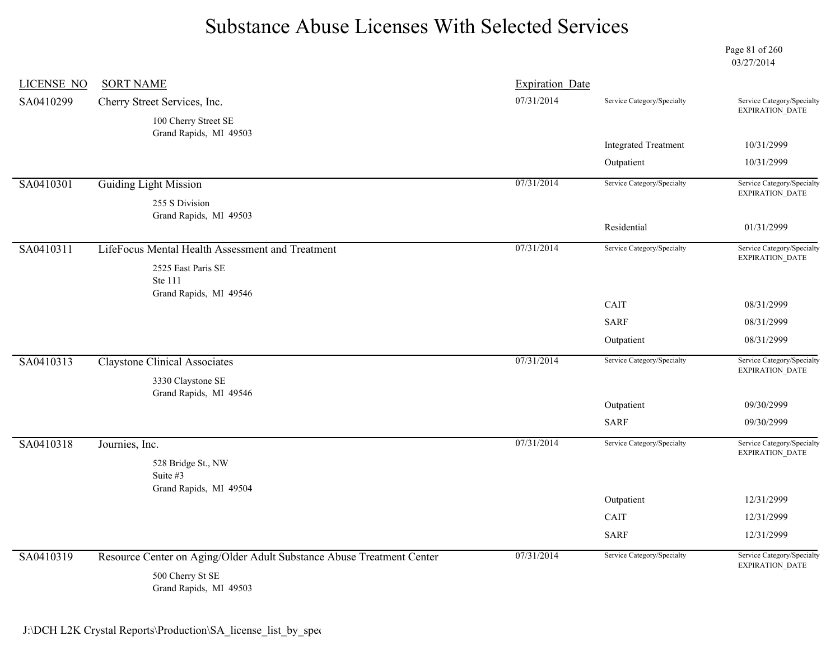Page 81 of 260 03/27/2014

| <b>LICENSE NO</b> | <b>SORT NAME</b>                                                      | <b>Expiration Date</b> |                             |                                                      |
|-------------------|-----------------------------------------------------------------------|------------------------|-----------------------------|------------------------------------------------------|
| SA0410299         | Cherry Street Services, Inc.                                          | 07/31/2014             | Service Category/Specialty  | Service Category/Specialty<br>EXPIRATION_DATE        |
|                   | 100 Cherry Street SE<br>Grand Rapids, MI 49503                        |                        |                             |                                                      |
|                   |                                                                       |                        | <b>Integrated Treatment</b> | 10/31/2999                                           |
|                   |                                                                       |                        | Outpatient                  | 10/31/2999                                           |
| SA0410301         | <b>Guiding Light Mission</b>                                          | 07/31/2014             | Service Category/Specialty  | Service Category/Specialty<br>EXPIRATION_DATE        |
|                   | 255 S Division<br>Grand Rapids, MI 49503                              |                        |                             |                                                      |
|                   |                                                                       |                        | Residential                 | 01/31/2999                                           |
| SA0410311         | LifeFocus Mental Health Assessment and Treatment                      | 07/31/2014             | Service Category/Specialty  | Service Category/Specialty<br><b>EXPIRATION DATE</b> |
|                   | 2525 East Paris SE<br>Ste 111<br>Grand Rapids, MI 49546               |                        |                             |                                                      |
|                   |                                                                       |                        | CAIT                        | 08/31/2999                                           |
|                   |                                                                       |                        | <b>SARF</b>                 | 08/31/2999                                           |
|                   |                                                                       |                        | Outpatient                  | 08/31/2999                                           |
| SA0410313         | <b>Claystone Clinical Associates</b>                                  | 07/31/2014             | Service Category/Specialty  | Service Category/Specialty<br><b>EXPIRATION DATE</b> |
|                   | 3330 Claystone SE<br>Grand Rapids, MI 49546                           |                        |                             |                                                      |
|                   |                                                                       |                        | Outpatient                  | 09/30/2999                                           |
|                   |                                                                       |                        | <b>SARF</b>                 | 09/30/2999                                           |
| SA0410318         | Journies, Inc.                                                        | 07/31/2014             | Service Category/Specialty  | Service Category/Specialty<br><b>EXPIRATION DATE</b> |
|                   | 528 Bridge St., NW<br>Suite $#3$                                      |                        |                             |                                                      |
|                   | Grand Rapids, MI 49504                                                |                        | Outpatient                  | 12/31/2999                                           |
|                   |                                                                       |                        | CAIT                        | 12/31/2999                                           |
|                   |                                                                       |                        | <b>SARF</b>                 | 12/31/2999                                           |
|                   |                                                                       |                        |                             |                                                      |
| SA0410319         | Resource Center on Aging/Older Adult Substance Abuse Treatment Center | 07/31/2014             | Service Category/Specialty  | Service Category/Specialty<br>EXPIRATION_DATE        |
|                   | 500 Cherry St SE<br>Grand Rapids, MI 49503                            |                        |                             |                                                      |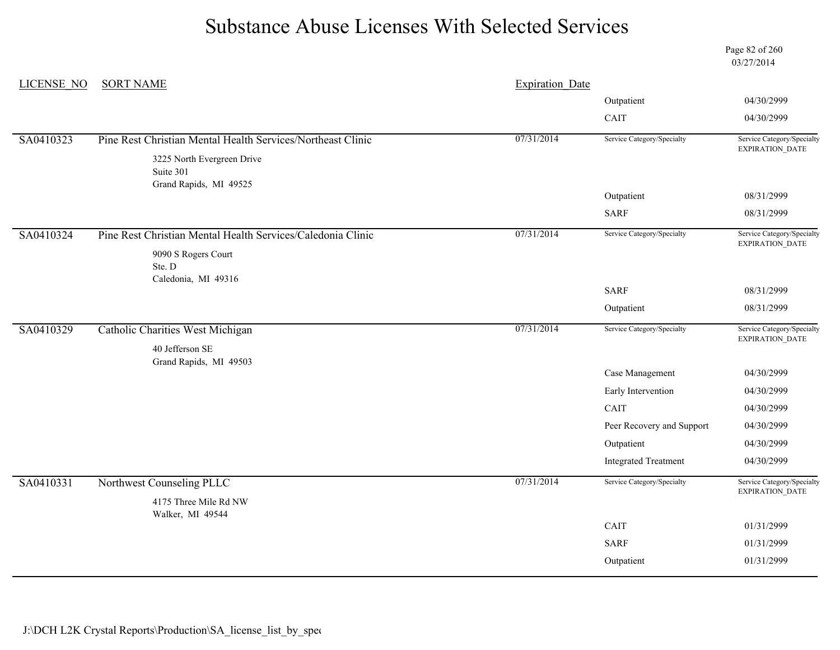Page 82 of 260 03/27/2014

| LICENSE NO | <b>SORT NAME</b>                                                  | <b>Expiration Date</b> |                             |                                               |
|------------|-------------------------------------------------------------------|------------------------|-----------------------------|-----------------------------------------------|
|            |                                                                   |                        | Outpatient                  | 04/30/2999                                    |
|            |                                                                   |                        | CAIT                        | 04/30/2999                                    |
| SA0410323  | Pine Rest Christian Mental Health Services/Northeast Clinic       | 07/31/2014             | Service Category/Specialty  | Service Category/Specialty<br>EXPIRATION_DATE |
|            | 3225 North Evergreen Drive<br>Suite 301<br>Grand Rapids, MI 49525 |                        |                             |                                               |
|            |                                                                   |                        | Outpatient                  | 08/31/2999                                    |
|            |                                                                   |                        | <b>SARF</b>                 | 08/31/2999                                    |
| SA0410324  | Pine Rest Christian Mental Health Services/Caledonia Clinic       | 07/31/2014             | Service Category/Specialty  | Service Category/Specialty<br>EXPIRATION_DATE |
|            | 9090 S Rogers Court<br>Ste. D<br>Caledonia, MI 49316              |                        |                             |                                               |
|            |                                                                   |                        | <b>SARF</b>                 | 08/31/2999                                    |
|            |                                                                   |                        | Outpatient                  | 08/31/2999                                    |
| SA0410329  | Catholic Charities West Michigan                                  | 07/31/2014             | Service Category/Specialty  | Service Category/Specialty<br>EXPIRATION_DATE |
|            | 40 Jefferson SE<br>Grand Rapids, MI 49503                         |                        |                             |                                               |
|            |                                                                   |                        | Case Management             | 04/30/2999                                    |
|            |                                                                   |                        | Early Intervention          | 04/30/2999                                    |
|            |                                                                   |                        | CAIT                        | 04/30/2999                                    |
|            |                                                                   |                        | Peer Recovery and Support   | 04/30/2999                                    |
|            |                                                                   |                        | Outpatient                  | 04/30/2999                                    |
|            |                                                                   |                        | <b>Integrated Treatment</b> | 04/30/2999                                    |
| SA0410331  | Northwest Counseling PLLC<br>4175 Three Mile Rd NW                | 07/31/2014             | Service Category/Specialty  | Service Category/Specialty<br>EXPIRATION_DATE |
|            | Walker, MI 49544                                                  |                        |                             |                                               |
|            |                                                                   |                        | CAIT                        | 01/31/2999                                    |
|            |                                                                   |                        | <b>SARF</b>                 | 01/31/2999                                    |
|            |                                                                   |                        | Outpatient                  | 01/31/2999                                    |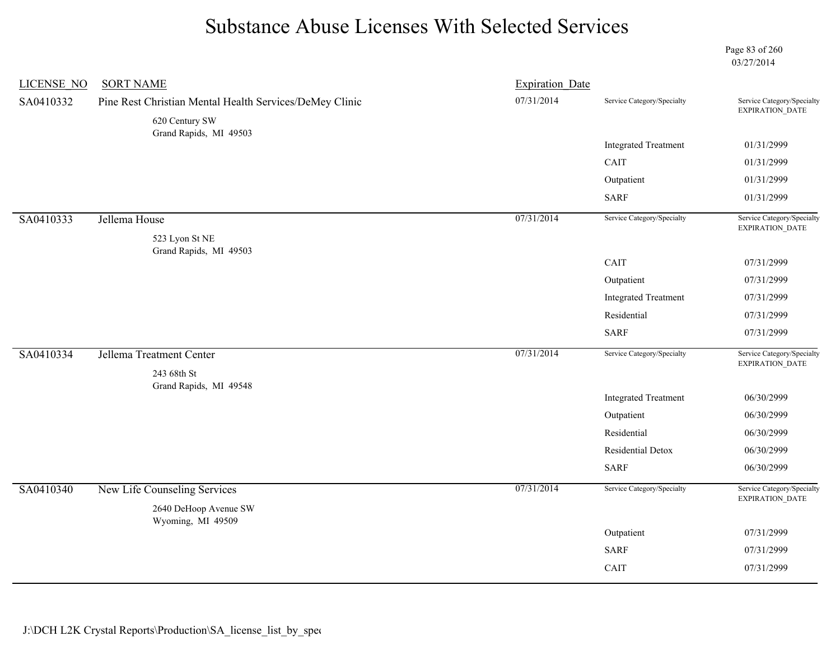Page 83 of 260 03/27/2014

| <b>LICENSE NO</b> | <b>SORT NAME</b>                                        | <b>Expiration Date</b> |                             |                                               |
|-------------------|---------------------------------------------------------|------------------------|-----------------------------|-----------------------------------------------|
| SA0410332         | Pine Rest Christian Mental Health Services/DeMey Clinic | 07/31/2014             | Service Category/Specialty  | Service Category/Specialty<br>EXPIRATION_DATE |
|                   | 620 Century SW<br>Grand Rapids, MI 49503                |                        |                             |                                               |
|                   |                                                         |                        | <b>Integrated Treatment</b> | 01/31/2999                                    |
|                   |                                                         |                        | CAIT                        | 01/31/2999                                    |
|                   |                                                         |                        | Outpatient                  | 01/31/2999                                    |
|                   |                                                         |                        | <b>SARF</b>                 | 01/31/2999                                    |
| SA0410333         | Jellema House                                           | 07/31/2014             | Service Category/Specialty  | Service Category/Specialty                    |
|                   | 523 Lyon St NE                                          |                        |                             | EXPIRATION_DATE                               |
|                   | Grand Rapids, MI 49503                                  |                        | CAIT                        | 07/31/2999                                    |
|                   |                                                         |                        |                             |                                               |
|                   |                                                         |                        | Outpatient                  | 07/31/2999                                    |
|                   |                                                         |                        | <b>Integrated Treatment</b> | 07/31/2999                                    |
|                   |                                                         |                        | Residential                 | 07/31/2999                                    |
|                   |                                                         |                        | <b>SARF</b>                 | 07/31/2999                                    |
| SA0410334         | Jellema Treatment Center                                | 07/31/2014             | Service Category/Specialty  | Service Category/Specialty<br>EXPIRATION_DATE |
|                   | 243 68th St                                             |                        |                             |                                               |
|                   | Grand Rapids, MI 49548                                  |                        | <b>Integrated Treatment</b> | 06/30/2999                                    |
|                   |                                                         |                        | Outpatient                  | 06/30/2999                                    |
|                   |                                                         |                        | Residential                 | 06/30/2999                                    |
|                   |                                                         |                        | Residential Detox           | 06/30/2999                                    |
|                   |                                                         |                        | <b>SARF</b>                 | 06/30/2999                                    |
| SA0410340         | New Life Counseling Services                            | 07/31/2014             | Service Category/Specialty  | Service Category/Specialty<br>EXPIRATION_DATE |
|                   | 2640 DeHoop Avenue SW<br>Wyoming, MI 49509              |                        |                             |                                               |
|                   |                                                         |                        | Outpatient                  | 07/31/2999                                    |
|                   |                                                         |                        | <b>SARF</b>                 | 07/31/2999                                    |
|                   |                                                         |                        |                             |                                               |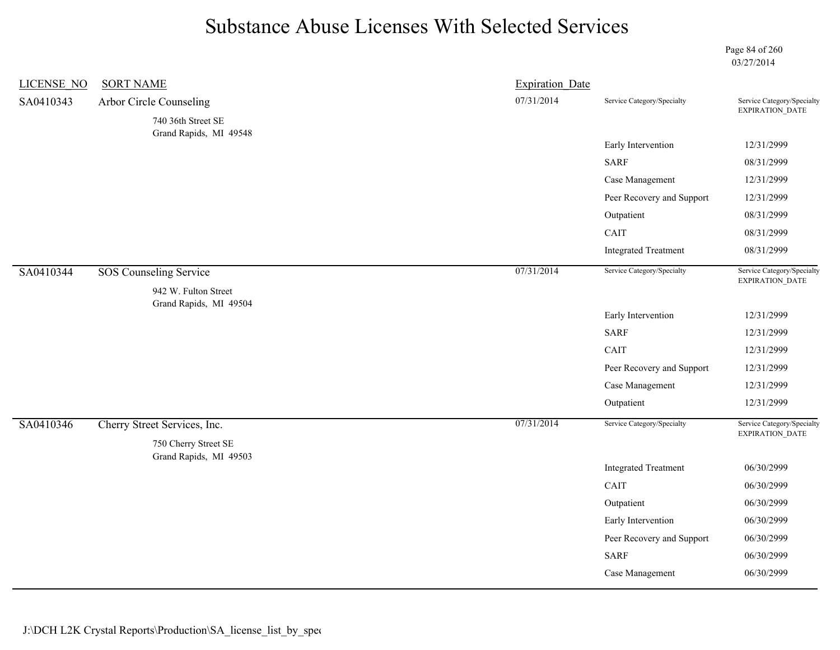Page 84 of 260 03/27/2014

| <b>LICENSE NO</b> | <b>SORT NAME</b>                                      | <b>Expiration Date</b> |                             |                                               |
|-------------------|-------------------------------------------------------|------------------------|-----------------------------|-----------------------------------------------|
| SA0410343         | Arbor Circle Counseling                               | 07/31/2014             | Service Category/Specialty  | Service Category/Specialty<br>EXPIRATION_DATE |
|                   | 740 36th Street SE                                    |                        |                             |                                               |
|                   | Grand Rapids, MI 49548                                |                        | Early Intervention          | 12/31/2999                                    |
|                   |                                                       |                        | <b>SARF</b>                 | 08/31/2999                                    |
|                   |                                                       |                        | Case Management             | 12/31/2999                                    |
|                   |                                                       |                        | Peer Recovery and Support   | 12/31/2999                                    |
|                   |                                                       |                        | Outpatient                  | 08/31/2999                                    |
|                   |                                                       |                        | CAIT                        | 08/31/2999                                    |
|                   |                                                       |                        | <b>Integrated Treatment</b> | 08/31/2999                                    |
| SA0410344         | <b>SOS Counseling Service</b><br>942 W. Fulton Street | 07/31/2014             | Service Category/Specialty  | Service Category/Specialty<br>EXPIRATION_DATE |
|                   | Grand Rapids, MI 49504                                |                        | Early Intervention          | 12/31/2999                                    |
|                   |                                                       |                        | <b>SARF</b>                 | 12/31/2999                                    |
|                   |                                                       |                        | CAIT                        | 12/31/2999                                    |
|                   |                                                       |                        | Peer Recovery and Support   | 12/31/2999                                    |
|                   |                                                       |                        | Case Management             | 12/31/2999                                    |
|                   |                                                       |                        | Outpatient                  | 12/31/2999                                    |
| SA0410346         | Cherry Street Services, Inc.                          | 07/31/2014             | Service Category/Specialty  | Service Category/Specialty<br>EXPIRATION_DATE |
|                   | 750 Cherry Street SE<br>Grand Rapids, MI 49503        |                        |                             |                                               |
|                   |                                                       |                        | <b>Integrated Treatment</b> | 06/30/2999                                    |
|                   |                                                       |                        | CAIT                        | 06/30/2999                                    |
|                   |                                                       |                        | Outpatient                  | 06/30/2999                                    |
|                   |                                                       |                        | Early Intervention          | 06/30/2999                                    |
|                   |                                                       |                        | Peer Recovery and Support   | 06/30/2999                                    |
|                   |                                                       |                        | <b>SARF</b>                 | 06/30/2999                                    |
|                   |                                                       |                        | Case Management             | 06/30/2999                                    |
|                   |                                                       |                        |                             |                                               |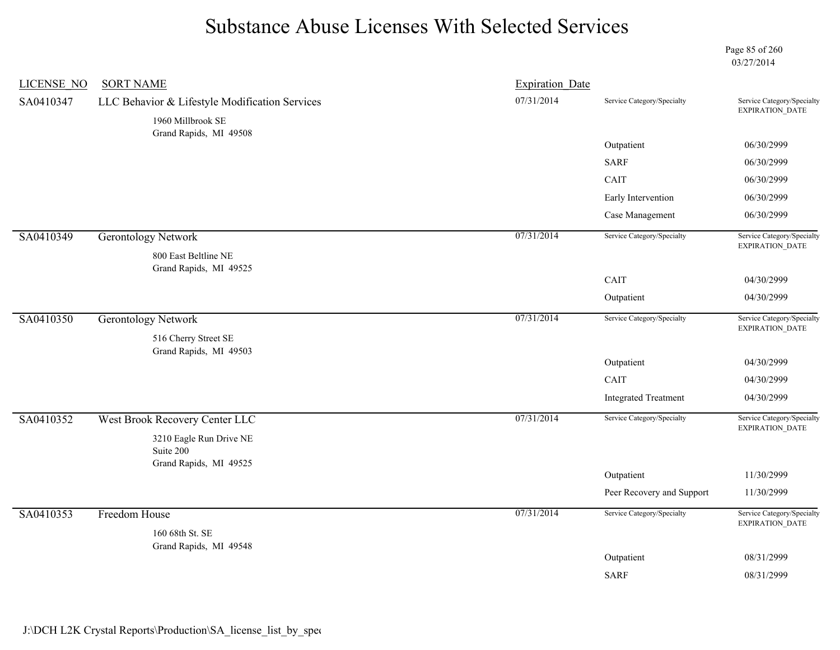Page 85 of 260 03/27/2014

| <b>LICENSE NO</b> | <b>SORT NAME</b>                                                    | <b>Expiration Date</b> |                             |                                               |
|-------------------|---------------------------------------------------------------------|------------------------|-----------------------------|-----------------------------------------------|
| SA0410347         | LLC Behavior & Lifestyle Modification Services<br>1960 Millbrook SE | 07/31/2014             | Service Category/Specialty  | Service Category/Specialty<br>EXPIRATION_DATE |
|                   | Grand Rapids, MI 49508                                              |                        | Outpatient                  | 06/30/2999                                    |
|                   |                                                                     |                        | <b>SARF</b>                 | 06/30/2999                                    |
|                   |                                                                     |                        | CAIT                        | 06/30/2999                                    |
|                   |                                                                     |                        | Early Intervention          | 06/30/2999                                    |
|                   |                                                                     |                        | Case Management             | 06/30/2999                                    |
| SA0410349         | <b>Gerontology Network</b>                                          | 07/31/2014             | Service Category/Specialty  | Service Category/Specialty<br>EXPIRATION_DATE |
|                   | 800 East Beltline NE                                                |                        |                             |                                               |
|                   | Grand Rapids, MI 49525                                              |                        | CAIT                        | 04/30/2999                                    |
|                   |                                                                     |                        | Outpatient                  | 04/30/2999                                    |
| SA0410350         | <b>Gerontology Network</b>                                          | 07/31/2014             | Service Category/Specialty  | Service Category/Specialty                    |
|                   |                                                                     |                        |                             | EXPIRATION_DATE                               |
|                   | 516 Cherry Street SE<br>Grand Rapids, MI 49503                      |                        |                             |                                               |
|                   |                                                                     |                        | Outpatient                  | 04/30/2999                                    |
|                   |                                                                     |                        | CAIT                        | 04/30/2999                                    |
|                   |                                                                     |                        | <b>Integrated Treatment</b> | 04/30/2999                                    |
| SA0410352         | West Brook Recovery Center LLC                                      | 07/31/2014             | Service Category/Specialty  | Service Category/Specialty                    |
|                   | 3210 Eagle Run Drive NE                                             |                        |                             | EXPIRATION_DATE                               |
|                   | Suite 200                                                           |                        |                             |                                               |
|                   | Grand Rapids, MI 49525                                              |                        | Outpatient                  | 11/30/2999                                    |
|                   |                                                                     |                        | Peer Recovery and Support   | 11/30/2999                                    |
| SA0410353         | Freedom House                                                       | 07/31/2014             | Service Category/Specialty  | Service Category/Specialty                    |
|                   | 160 68th St. SE                                                     |                        |                             | EXPIRATION_DATE                               |
|                   | Grand Rapids, MI 49548                                              |                        | Outpatient                  | 08/31/2999                                    |
|                   |                                                                     |                        | <b>SARF</b>                 | 08/31/2999                                    |
|                   |                                                                     |                        |                             |                                               |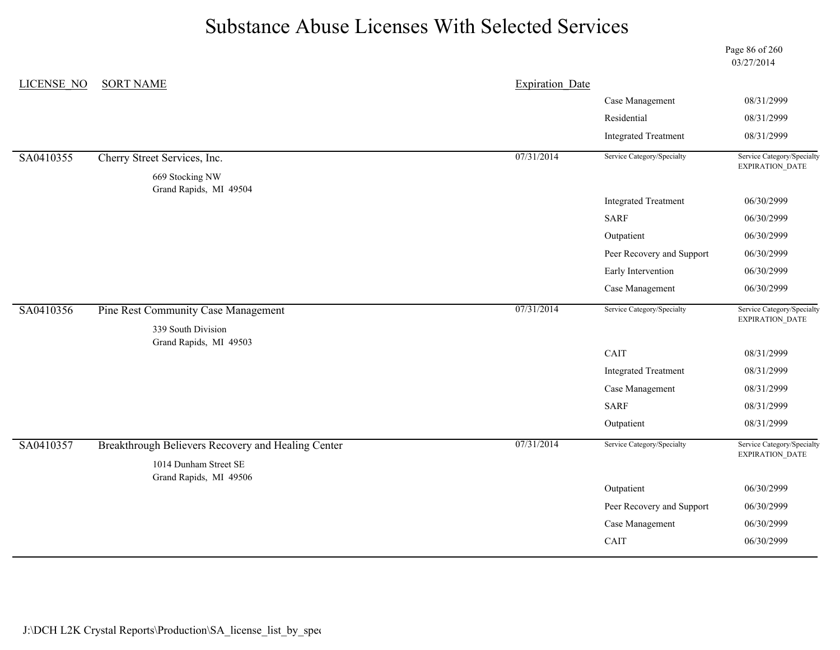Page 86 of 260 03/27/2014

| <b>LICENSE NO</b> | <b>SORT NAME</b>                                   | <b>Expiration</b> Date |                             |                                               |
|-------------------|----------------------------------------------------|------------------------|-----------------------------|-----------------------------------------------|
|                   |                                                    |                        | Case Management             | 08/31/2999                                    |
|                   |                                                    |                        | Residential                 | 08/31/2999                                    |
|                   |                                                    |                        | <b>Integrated Treatment</b> | 08/31/2999                                    |
| SA0410355         | Cherry Street Services, Inc.                       | 07/31/2014             | Service Category/Specialty  | Service Category/Specialty<br>EXPIRATION_DATE |
|                   | 669 Stocking NW                                    |                        |                             |                                               |
|                   | Grand Rapids, MI 49504                             |                        | <b>Integrated Treatment</b> | 06/30/2999                                    |
|                   |                                                    |                        | <b>SARF</b>                 | 06/30/2999                                    |
|                   |                                                    |                        | Outpatient                  | 06/30/2999                                    |
|                   |                                                    |                        | Peer Recovery and Support   | 06/30/2999                                    |
|                   |                                                    |                        | Early Intervention          | 06/30/2999                                    |
|                   |                                                    |                        | Case Management             | 06/30/2999                                    |
| SA0410356         | Pine Rest Community Case Management                | 07/31/2014             | Service Category/Specialty  | Service Category/Specialty                    |
|                   | 339 South Division                                 |                        |                             | EXPIRATION_DATE                               |
|                   | Grand Rapids, MI 49503                             |                        | CAIT                        | 08/31/2999                                    |
|                   |                                                    |                        | <b>Integrated Treatment</b> | 08/31/2999                                    |
|                   |                                                    |                        | Case Management             | 08/31/2999                                    |
|                   |                                                    |                        | <b>SARF</b>                 | 08/31/2999                                    |
|                   |                                                    |                        | Outpatient                  | 08/31/2999                                    |
| SA0410357         | Breakthrough Believers Recovery and Healing Center | 07/31/2014             | Service Category/Specialty  | Service Category/Specialty<br>EXPIRATION_DATE |
|                   | 1014 Dunham Street SE<br>Grand Rapids, MI 49506    |                        |                             |                                               |
|                   |                                                    |                        | Outpatient                  | 06/30/2999                                    |
|                   |                                                    |                        | Peer Recovery and Support   | 06/30/2999                                    |
|                   |                                                    |                        | Case Management             | 06/30/2999                                    |
|                   |                                                    |                        | CAIT                        | 06/30/2999                                    |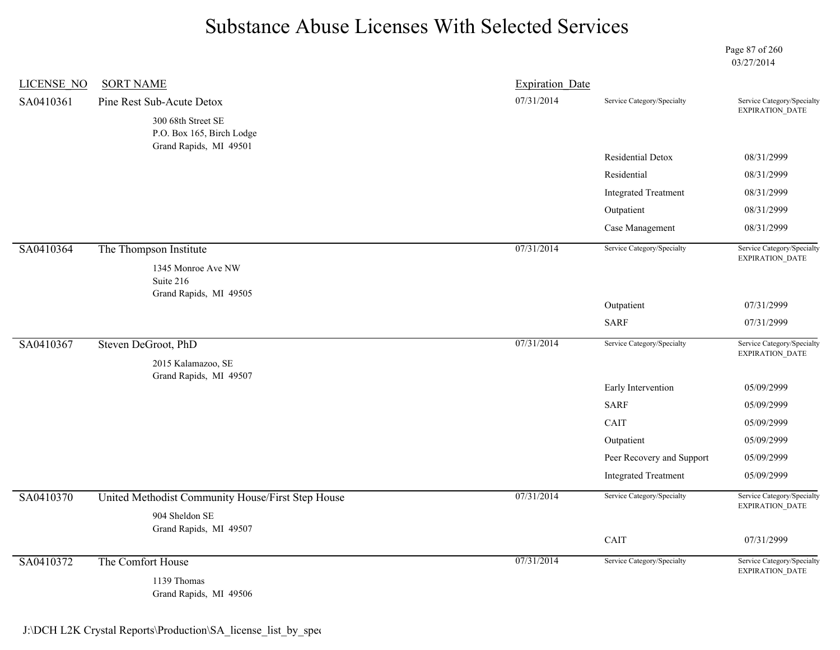Page 87 of 260 03/27/2014

| <b>LICENSE NO</b> | <b>SORT NAME</b>                                                    | <b>Expiration Date</b> |                             |                                                      |
|-------------------|---------------------------------------------------------------------|------------------------|-----------------------------|------------------------------------------------------|
| SA0410361         | Pine Rest Sub-Acute Detox                                           | 07/31/2014             | Service Category/Specialty  | Service Category/Specialty<br>EXPIRATION_DATE        |
|                   | 300 68th Street SE<br>P.O. Box 165, Birch Lodge                     |                        |                             |                                                      |
|                   | Grand Rapids, MI 49501                                              |                        | Residential Detox           | 08/31/2999                                           |
|                   |                                                                     |                        | Residential                 | 08/31/2999                                           |
|                   |                                                                     |                        | <b>Integrated Treatment</b> | 08/31/2999                                           |
|                   |                                                                     |                        | Outpatient                  | 08/31/2999                                           |
|                   |                                                                     |                        | Case Management             | 08/31/2999                                           |
| SA0410364         | The Thompson Institute                                              | 07/31/2014             | Service Category/Specialty  | Service Category/Specialty<br>EXPIRATION_DATE        |
|                   | 1345 Monroe Ave NW<br>Suite 216<br>Grand Rapids, MI 49505           |                        |                             |                                                      |
|                   |                                                                     |                        | Outpatient                  | 07/31/2999                                           |
|                   |                                                                     |                        | <b>SARF</b>                 | 07/31/2999                                           |
| SA0410367         | Steven DeGroot, PhD                                                 | 07/31/2014             | Service Category/Specialty  | Service Category/Specialty<br>EXPIRATION_DATE        |
|                   | 2015 Kalamazoo, SE<br>Grand Rapids, MI 49507                        |                        |                             |                                                      |
|                   |                                                                     |                        | Early Intervention          | 05/09/2999                                           |
|                   |                                                                     |                        | <b>SARF</b>                 | 05/09/2999                                           |
|                   |                                                                     |                        | CAIT                        | 05/09/2999                                           |
|                   |                                                                     |                        | Outpatient                  | 05/09/2999                                           |
|                   |                                                                     |                        | Peer Recovery and Support   | 05/09/2999                                           |
|                   |                                                                     |                        | <b>Integrated Treatment</b> | 05/09/2999                                           |
| SA0410370         | United Methodist Community House/First Step House<br>904 Sheldon SE | 07/31/2014             | Service Category/Specialty  | Service Category/Specialty<br>EXPIRATION_DATE        |
|                   | Grand Rapids, MI 49507                                              |                        |                             |                                                      |
|                   |                                                                     |                        | CAIT                        | 07/31/2999                                           |
| SA0410372         | The Comfort House                                                   | 07/31/2014             | Service Category/Specialty  | Service Category/Specialty<br><b>EXPIRATION DATE</b> |
|                   | 1139 Thomas<br>Grand Rapids, MI 49506                               |                        |                             |                                                      |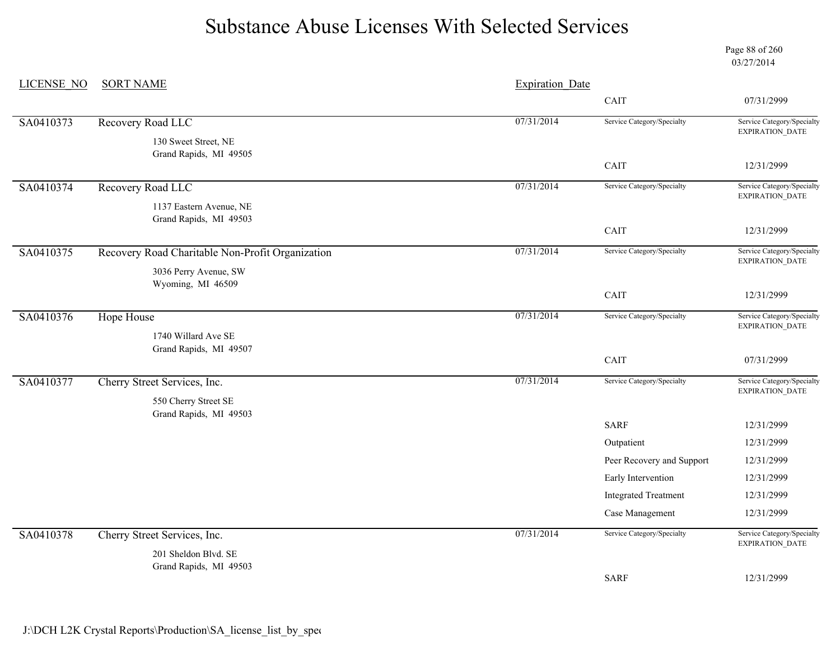Page 88 of 260 03/27/2014

| CAIT<br>07/31/2999<br>07/31/2014<br>Recovery Road LLC<br>Service Category/Specialty<br>EXPIRATION_DATE<br>130 Sweet Street, NE<br>Grand Rapids, MI 49505<br>CAIT<br>12/31/2999<br>07/31/2014<br>Recovery Road LLC<br>Service Category/Specialty<br>EXPIRATION_DATE<br>1137 Eastern Avenue, NE<br>Grand Rapids, MI 49503<br>CAIT<br>12/31/2999<br>07/31/2014<br>Service Category/Specialty<br>Recovery Road Charitable Non-Profit Organization<br>EXPIRATION_DATE<br>3036 Perry Avenue, SW<br>Wyoming, MI 46509<br>CAIT<br>12/31/2999<br>07/31/2014<br>Service Category/Specialty<br><b>Hope House</b><br>EXPIRATION_DATE<br>1740 Willard Ave SE<br>Grand Rapids, MI 49507<br>CAIT<br>07/31/2999<br>07/31/2014<br>Service Category/Specialty<br>Cherry Street Services, Inc.<br>EXPIRATION_DATE<br>550 Cherry Street SE<br>Grand Rapids, MI 49503<br><b>SARF</b><br>12/31/2999<br>12/31/2999<br>Outpatient<br>Peer Recovery and Support<br>12/31/2999<br>Early Intervention<br>12/31/2999<br><b>Integrated Treatment</b><br>12/31/2999<br>Case Management<br>12/31/2999<br>07/31/2014<br>Service Category/Specialty<br>Cherry Street Services, Inc.<br>EXPIRATION_DATE<br>201 Sheldon Blvd. SE<br>Grand Rapids, MI 49503<br><b>SARF</b><br>12/31/2999 | <b>LICENSE NO</b> | <b>SORT NAME</b> | <b>Expiration Date</b> |                            |
|------------------------------------------------------------------------------------------------------------------------------------------------------------------------------------------------------------------------------------------------------------------------------------------------------------------------------------------------------------------------------------------------------------------------------------------------------------------------------------------------------------------------------------------------------------------------------------------------------------------------------------------------------------------------------------------------------------------------------------------------------------------------------------------------------------------------------------------------------------------------------------------------------------------------------------------------------------------------------------------------------------------------------------------------------------------------------------------------------------------------------------------------------------------------------------------------------------------------------------------------------|-------------------|------------------|------------------------|----------------------------|
|                                                                                                                                                                                                                                                                                                                                                                                                                                                                                                                                                                                                                                                                                                                                                                                                                                                                                                                                                                                                                                                                                                                                                                                                                                                      |                   |                  |                        |                            |
|                                                                                                                                                                                                                                                                                                                                                                                                                                                                                                                                                                                                                                                                                                                                                                                                                                                                                                                                                                                                                                                                                                                                                                                                                                                      | SA0410373         |                  |                        | Service Category/Specialty |
|                                                                                                                                                                                                                                                                                                                                                                                                                                                                                                                                                                                                                                                                                                                                                                                                                                                                                                                                                                                                                                                                                                                                                                                                                                                      |                   |                  |                        |                            |
|                                                                                                                                                                                                                                                                                                                                                                                                                                                                                                                                                                                                                                                                                                                                                                                                                                                                                                                                                                                                                                                                                                                                                                                                                                                      |                   |                  |                        |                            |
|                                                                                                                                                                                                                                                                                                                                                                                                                                                                                                                                                                                                                                                                                                                                                                                                                                                                                                                                                                                                                                                                                                                                                                                                                                                      | SA0410374         |                  |                        | Service Category/Specialty |
|                                                                                                                                                                                                                                                                                                                                                                                                                                                                                                                                                                                                                                                                                                                                                                                                                                                                                                                                                                                                                                                                                                                                                                                                                                                      |                   |                  |                        |                            |
|                                                                                                                                                                                                                                                                                                                                                                                                                                                                                                                                                                                                                                                                                                                                                                                                                                                                                                                                                                                                                                                                                                                                                                                                                                                      |                   |                  |                        |                            |
|                                                                                                                                                                                                                                                                                                                                                                                                                                                                                                                                                                                                                                                                                                                                                                                                                                                                                                                                                                                                                                                                                                                                                                                                                                                      | SA0410375         |                  |                        | Service Category/Specialty |
|                                                                                                                                                                                                                                                                                                                                                                                                                                                                                                                                                                                                                                                                                                                                                                                                                                                                                                                                                                                                                                                                                                                                                                                                                                                      |                   |                  |                        |                            |
|                                                                                                                                                                                                                                                                                                                                                                                                                                                                                                                                                                                                                                                                                                                                                                                                                                                                                                                                                                                                                                                                                                                                                                                                                                                      |                   |                  |                        |                            |
|                                                                                                                                                                                                                                                                                                                                                                                                                                                                                                                                                                                                                                                                                                                                                                                                                                                                                                                                                                                                                                                                                                                                                                                                                                                      | SA0410376         |                  |                        | Service Category/Specialty |
|                                                                                                                                                                                                                                                                                                                                                                                                                                                                                                                                                                                                                                                                                                                                                                                                                                                                                                                                                                                                                                                                                                                                                                                                                                                      |                   |                  |                        |                            |
|                                                                                                                                                                                                                                                                                                                                                                                                                                                                                                                                                                                                                                                                                                                                                                                                                                                                                                                                                                                                                                                                                                                                                                                                                                                      |                   |                  |                        |                            |
|                                                                                                                                                                                                                                                                                                                                                                                                                                                                                                                                                                                                                                                                                                                                                                                                                                                                                                                                                                                                                                                                                                                                                                                                                                                      | SA0410377         |                  |                        | Service Category/Specialty |
|                                                                                                                                                                                                                                                                                                                                                                                                                                                                                                                                                                                                                                                                                                                                                                                                                                                                                                                                                                                                                                                                                                                                                                                                                                                      |                   |                  |                        |                            |
|                                                                                                                                                                                                                                                                                                                                                                                                                                                                                                                                                                                                                                                                                                                                                                                                                                                                                                                                                                                                                                                                                                                                                                                                                                                      |                   |                  |                        |                            |
|                                                                                                                                                                                                                                                                                                                                                                                                                                                                                                                                                                                                                                                                                                                                                                                                                                                                                                                                                                                                                                                                                                                                                                                                                                                      |                   |                  |                        |                            |
|                                                                                                                                                                                                                                                                                                                                                                                                                                                                                                                                                                                                                                                                                                                                                                                                                                                                                                                                                                                                                                                                                                                                                                                                                                                      |                   |                  |                        |                            |
|                                                                                                                                                                                                                                                                                                                                                                                                                                                                                                                                                                                                                                                                                                                                                                                                                                                                                                                                                                                                                                                                                                                                                                                                                                                      |                   |                  |                        |                            |
|                                                                                                                                                                                                                                                                                                                                                                                                                                                                                                                                                                                                                                                                                                                                                                                                                                                                                                                                                                                                                                                                                                                                                                                                                                                      |                   |                  |                        |                            |
|                                                                                                                                                                                                                                                                                                                                                                                                                                                                                                                                                                                                                                                                                                                                                                                                                                                                                                                                                                                                                                                                                                                                                                                                                                                      |                   |                  |                        |                            |
|                                                                                                                                                                                                                                                                                                                                                                                                                                                                                                                                                                                                                                                                                                                                                                                                                                                                                                                                                                                                                                                                                                                                                                                                                                                      | SA0410378         |                  |                        | Service Category/Specialty |
|                                                                                                                                                                                                                                                                                                                                                                                                                                                                                                                                                                                                                                                                                                                                                                                                                                                                                                                                                                                                                                                                                                                                                                                                                                                      |                   |                  |                        |                            |
|                                                                                                                                                                                                                                                                                                                                                                                                                                                                                                                                                                                                                                                                                                                                                                                                                                                                                                                                                                                                                                                                                                                                                                                                                                                      |                   |                  |                        |                            |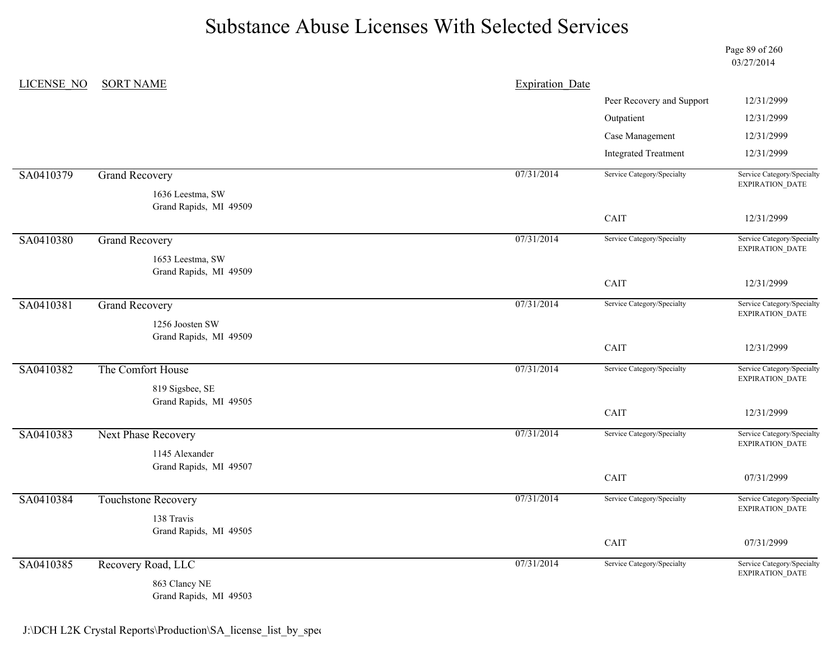Page 89 of 260 03/27/2014

| <b>LICENSE NO</b> | <b>SORT NAME</b>                           | <b>Expiration Date</b> |                             |                                                      |
|-------------------|--------------------------------------------|------------------------|-----------------------------|------------------------------------------------------|
|                   |                                            |                        | Peer Recovery and Support   | 12/31/2999                                           |
|                   |                                            |                        | Outpatient                  | 12/31/2999                                           |
|                   |                                            |                        | Case Management             | 12/31/2999                                           |
|                   |                                            |                        | <b>Integrated Treatment</b> | 12/31/2999                                           |
| SA0410379         | <b>Grand Recovery</b>                      | 07/31/2014             | Service Category/Specialty  | Service Category/Specialty<br>EXPIRATION_DATE        |
|                   | 1636 Leestma, SW<br>Grand Rapids, MI 49509 |                        |                             |                                                      |
|                   |                                            |                        | CAIT                        | 12/31/2999                                           |
| SA0410380         | <b>Grand Recovery</b>                      | 07/31/2014             | Service Category/Specialty  | Service Category/Specialty<br>EXPIRATION_DATE        |
|                   | 1653 Leestma, SW                           |                        |                             |                                                      |
|                   | Grand Rapids, MI 49509                     |                        | CAIT                        | 12/31/2999                                           |
| SA0410381         | <b>Grand Recovery</b>                      | 07/31/2014             | Service Category/Specialty  | Service Category/Specialty                           |
|                   | 1256 Joosten SW                            |                        |                             | EXPIRATION_DATE                                      |
|                   | Grand Rapids, MI 49509                     |                        | CAIT                        | 12/31/2999                                           |
| SA0410382         | The Comfort House                          | 07/31/2014             | Service Category/Specialty  | Service Category/Specialty<br><b>EXPIRATION DATE</b> |
|                   | 819 Sigsbee, SE                            |                        |                             |                                                      |
|                   | Grand Rapids, MI 49505                     |                        | CAIT                        | 12/31/2999                                           |
| SA0410383         | Next Phase Recovery                        | 07/31/2014             | Service Category/Specialty  | Service Category/Specialty                           |
|                   | 1145 Alexander                             |                        |                             | EXPIRATION_DATE                                      |
|                   | Grand Rapids, MI 49507                     |                        |                             |                                                      |
|                   |                                            |                        | CAIT                        | 07/31/2999                                           |
| SA0410384         | Touchstone Recovery                        | 07/31/2014             | Service Category/Specialty  | Service Category/Specialty<br>EXPIRATION_DATE        |
|                   | 138 Travis                                 |                        |                             |                                                      |
|                   | Grand Rapids, MI 49505                     |                        | CAIT                        | 07/31/2999                                           |
| SA0410385         | Recovery Road, LLC                         | 07/31/2014             | Service Category/Specialty  | Service Category/Specialty<br>EXPIRATION_DATE        |
|                   | 863 Clancy NE<br>Grand Rapids, MI 49503    |                        |                             |                                                      |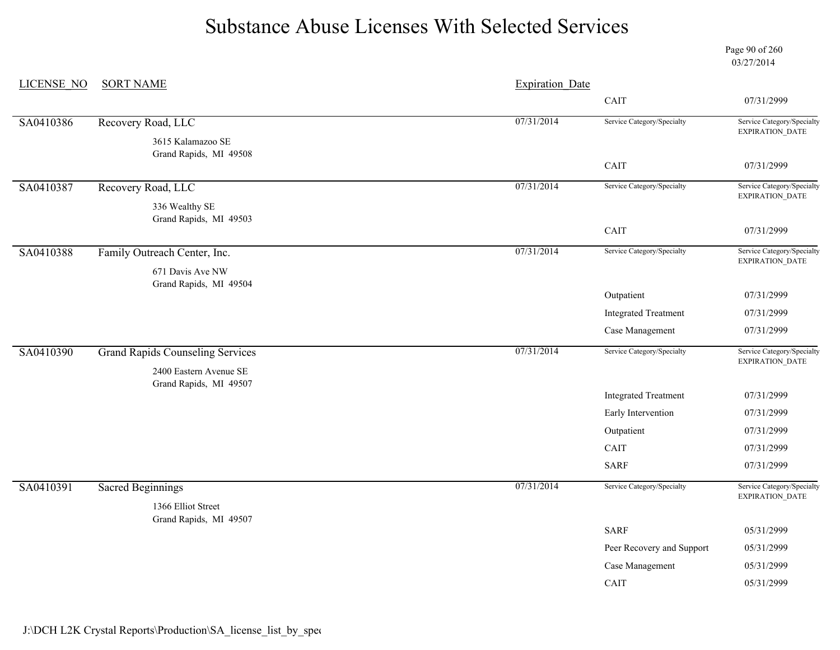Page 90 of 260 03/27/2014

| <b>LICENSE NO</b><br><b>SORT NAME</b><br><b>Expiration Date</b>                                  |                                               |
|--------------------------------------------------------------------------------------------------|-----------------------------------------------|
| CAIT                                                                                             | 07/31/2999                                    |
| 07/31/2014<br>Service Category/Specialty<br>SA0410386<br>Recovery Road, LLC                      | Service Category/Specialty<br>EXPIRATION_DATE |
| 3615 Kalamazoo SE<br>Grand Rapids, MI 49508                                                      |                                               |
| CAIT                                                                                             | 07/31/2999                                    |
| 07/31/2014<br>Service Category/Specialty<br>SA0410387<br>Recovery Road, LLC                      | Service Category/Specialty<br>EXPIRATION_DATE |
| 336 Wealthy SE<br>Grand Rapids, MI 49503                                                         |                                               |
| CAIT                                                                                             | 07/31/2999                                    |
| 07/31/2014<br>Service Category/Specialty<br>SA0410388<br>Family Outreach Center, Inc.            | Service Category/Specialty<br>EXPIRATION_DATE |
| 671 Davis Ave NW<br>Grand Rapids, MI 49504                                                       |                                               |
| Outpatient                                                                                       | 07/31/2999                                    |
| <b>Integrated Treatment</b>                                                                      | 07/31/2999                                    |
| Case Management                                                                                  | 07/31/2999                                    |
| 07/31/2014<br>SA0410390<br>Service Category/Specialty<br><b>Grand Rapids Counseling Services</b> | Service Category/Specialty<br>EXPIRATION_DATE |
| 2400 Eastern Avenue SE                                                                           |                                               |
| Grand Rapids, MI 49507<br><b>Integrated Treatment</b>                                            | 07/31/2999                                    |
| Early Intervention                                                                               | 07/31/2999                                    |
| Outpatient                                                                                       | 07/31/2999                                    |
| CAIT                                                                                             | 07/31/2999                                    |
| <b>SARF</b>                                                                                      | 07/31/2999                                    |
| 07/31/2014<br>Service Category/Specialty<br>SA0410391<br><b>Sacred Beginnings</b>                | Service Category/Specialty                    |
| 1366 Elliot Street                                                                               | EXPIRATION_DATE                               |
| Grand Rapids, MI 49507<br><b>SARF</b>                                                            | 05/31/2999                                    |
| Peer Recovery and Support                                                                        |                                               |
|                                                                                                  |                                               |
| Case Management                                                                                  | 05/31/2999<br>05/31/2999                      |

J:\DCH L2K Crystal Reports\Production\SA\_license\_list\_by\_spec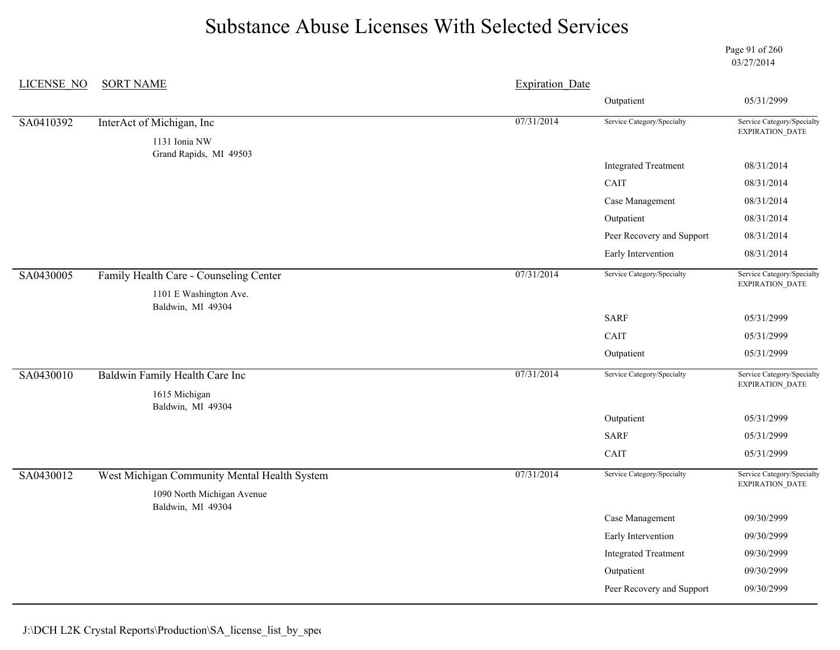Page 91 of 260 03/27/2014

| <b>LICENSE NO</b> | <b>SORT NAME</b>                                                           | <b>Expiration Date</b> |                             |                                                      |
|-------------------|----------------------------------------------------------------------------|------------------------|-----------------------------|------------------------------------------------------|
|                   |                                                                            |                        | Outpatient                  | 05/31/2999                                           |
| SA0410392         | InterAct of Michigan, Inc                                                  | 07/31/2014             | Service Category/Specialty  | Service Category/Specialty<br>EXPIRATION_DATE        |
|                   | 1131 Ionia NW<br>Grand Rapids, MI 49503                                    |                        |                             |                                                      |
|                   |                                                                            |                        | <b>Integrated Treatment</b> | 08/31/2014                                           |
|                   |                                                                            |                        | CAIT                        | 08/31/2014                                           |
|                   |                                                                            |                        | Case Management             | 08/31/2014                                           |
|                   |                                                                            |                        | Outpatient                  | 08/31/2014                                           |
|                   |                                                                            |                        | Peer Recovery and Support   | 08/31/2014                                           |
|                   |                                                                            |                        | Early Intervention          | 08/31/2014                                           |
| SA0430005         | Family Health Care - Counseling Center                                     | 07/31/2014             | Service Category/Specialty  | Service Category/Specialty<br><b>EXPIRATION DATE</b> |
|                   | 1101 E Washington Ave.<br>Baldwin, MI 49304                                |                        |                             |                                                      |
|                   |                                                                            |                        | <b>SARF</b>                 | 05/31/2999                                           |
|                   |                                                                            |                        | CAIT                        | 05/31/2999                                           |
|                   |                                                                            |                        | Outpatient                  | 05/31/2999                                           |
| SA0430010         | Baldwin Family Health Care Inc                                             | 07/31/2014             | Service Category/Specialty  | Service Category/Specialty<br>EXPIRATION_DATE        |
|                   | 1615 Michigan<br>Baldwin, MI 49304                                         |                        |                             |                                                      |
|                   |                                                                            |                        | Outpatient                  | 05/31/2999                                           |
|                   |                                                                            |                        | <b>SARF</b>                 | 05/31/2999                                           |
|                   |                                                                            |                        | CAIT                        | 05/31/2999                                           |
| SA0430012         | West Michigan Community Mental Health System<br>1090 North Michigan Avenue | 07/31/2014             | Service Category/Specialty  | Service Category/Specialty<br>EXPIRATION_DATE        |
|                   | Baldwin, MI 49304                                                          |                        |                             |                                                      |
|                   |                                                                            |                        | Case Management             | 09/30/2999                                           |
|                   |                                                                            |                        | Early Intervention          | 09/30/2999                                           |
|                   |                                                                            |                        | <b>Integrated Treatment</b> | 09/30/2999                                           |
|                   |                                                                            |                        | Outpatient                  | 09/30/2999                                           |
|                   |                                                                            |                        | Peer Recovery and Support   | 09/30/2999                                           |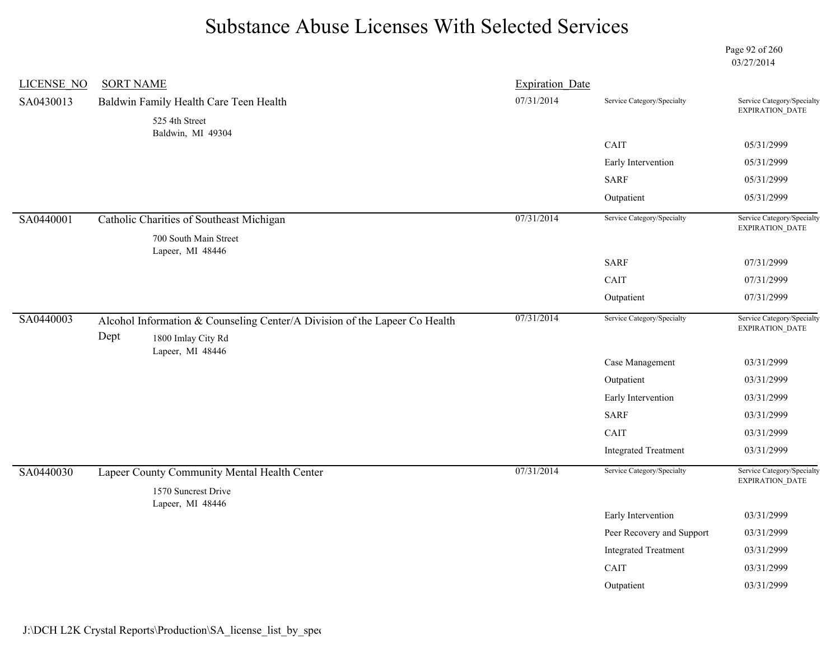Page 92 of 260 03/27/2014

| <b>LICENSE NO</b> | <b>SORT NAME</b> |                                                                                                  | <b>Expiration Date</b> |                             |                                               |
|-------------------|------------------|--------------------------------------------------------------------------------------------------|------------------------|-----------------------------|-----------------------------------------------|
| SA0430013         |                  | Baldwin Family Health Care Teen Health                                                           | 07/31/2014             | Service Category/Specialty  | Service Category/Specialty<br>EXPIRATION_DATE |
|                   |                  | 525 4th Street<br>Baldwin, MI 49304                                                              |                        |                             |                                               |
|                   |                  |                                                                                                  |                        | CAIT                        | 05/31/2999                                    |
|                   |                  |                                                                                                  |                        | Early Intervention          | 05/31/2999                                    |
|                   |                  |                                                                                                  |                        | <b>SARF</b>                 | 05/31/2999                                    |
|                   |                  |                                                                                                  |                        | Outpatient                  | 05/31/2999                                    |
| SA0440001         |                  | Catholic Charities of Southeast Michigan                                                         | 07/31/2014             | Service Category/Specialty  | Service Category/Specialty<br>EXPIRATION_DATE |
|                   |                  | 700 South Main Street<br>Lapeer, MI 48446                                                        |                        |                             |                                               |
|                   |                  |                                                                                                  |                        | <b>SARF</b>                 | 07/31/2999                                    |
|                   |                  |                                                                                                  |                        | CAIT                        | 07/31/2999                                    |
|                   |                  |                                                                                                  |                        | Outpatient                  | 07/31/2999                                    |
| SA0440003         | Dept             | Alcohol Information & Counseling Center/A Division of the Lapeer Co Health<br>1800 Imlay City Rd | 07/31/2014             | Service Category/Specialty  | Service Category/Specialty<br>EXPIRATION_DATE |
|                   |                  | Lapeer, MI 48446                                                                                 |                        | Case Management             | 03/31/2999                                    |
|                   |                  |                                                                                                  |                        | Outpatient                  | 03/31/2999                                    |
|                   |                  |                                                                                                  |                        | Early Intervention          | 03/31/2999                                    |
|                   |                  |                                                                                                  |                        | <b>SARF</b>                 | 03/31/2999                                    |
|                   |                  |                                                                                                  |                        | CAIT                        | 03/31/2999                                    |
|                   |                  |                                                                                                  |                        | <b>Integrated Treatment</b> | 03/31/2999                                    |
| SA0440030         |                  | Lapeer County Community Mental Health Center                                                     | 07/31/2014             | Service Category/Specialty  | Service Category/Specialty<br>EXPIRATION_DATE |
|                   |                  | 1570 Suncrest Drive<br>Lapeer, MI 48446                                                          |                        |                             |                                               |
|                   |                  |                                                                                                  |                        | Early Intervention          | 03/31/2999                                    |
|                   |                  |                                                                                                  |                        | Peer Recovery and Support   | 03/31/2999                                    |
|                   |                  |                                                                                                  |                        | <b>Integrated Treatment</b> | 03/31/2999                                    |
|                   |                  |                                                                                                  |                        | CAIT                        | 03/31/2999                                    |
|                   |                  |                                                                                                  |                        | Outpatient                  | 03/31/2999                                    |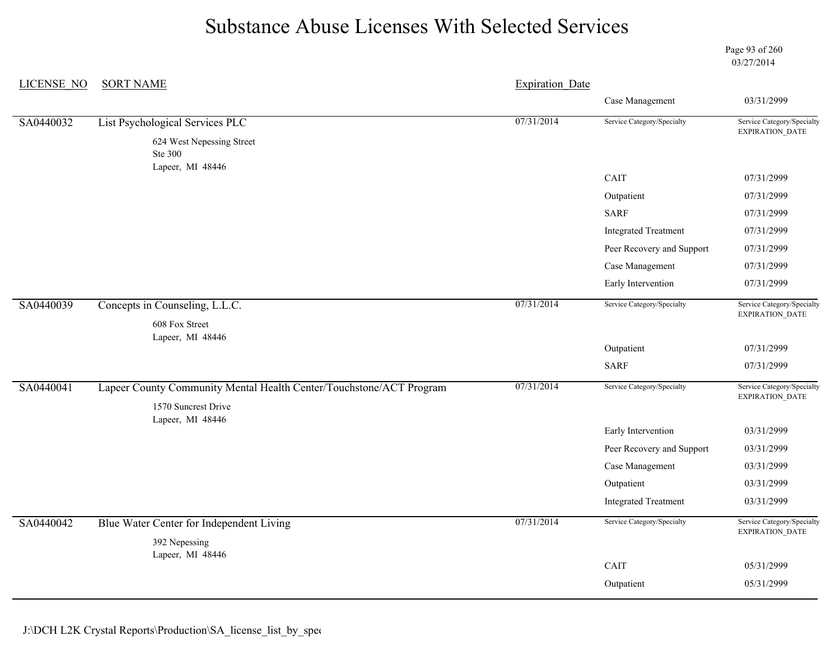Page 93 of 260 03/27/2014

| <b>LICENSE NO</b> | <b>SORT NAME</b>                                                                           | <b>Expiration Date</b> |                             |                                               |
|-------------------|--------------------------------------------------------------------------------------------|------------------------|-----------------------------|-----------------------------------------------|
|                   |                                                                                            |                        | Case Management             | 03/31/2999                                    |
| SA0440032         | List Psychological Services PLC                                                            | 07/31/2014             | Service Category/Specialty  | Service Category/Specialty                    |
|                   | 624 West Nepessing Street<br>Ste 300                                                       |                        |                             | EXPIRATION_DATE                               |
|                   | Lapeer, MI 48446                                                                           |                        | CAIT                        | 07/31/2999                                    |
|                   |                                                                                            |                        | Outpatient                  | 07/31/2999                                    |
|                   |                                                                                            |                        | <b>SARF</b>                 | 07/31/2999                                    |
|                   |                                                                                            |                        | <b>Integrated Treatment</b> | 07/31/2999                                    |
|                   |                                                                                            |                        | Peer Recovery and Support   | 07/31/2999                                    |
|                   |                                                                                            |                        | Case Management             | 07/31/2999                                    |
|                   |                                                                                            |                        | Early Intervention          | 07/31/2999                                    |
| SA0440039         | Concepts in Counseling, L.L.C.                                                             | 07/31/2014             | Service Category/Specialty  | Service Category/Specialty<br>EXPIRATION_DATE |
|                   | 608 Fox Street<br>Lapeer, MI 48446                                                         |                        |                             |                                               |
|                   |                                                                                            |                        | Outpatient                  | 07/31/2999                                    |
|                   |                                                                                            |                        | <b>SARF</b>                 | 07/31/2999                                    |
| SA0440041         | Lapeer County Community Mental Health Center/Touchstone/ACT Program<br>1570 Suncrest Drive | 07/31/2014             | Service Category/Specialty  | Service Category/Specialty<br>EXPIRATION_DATE |
|                   | Lapeer, MI 48446                                                                           |                        |                             |                                               |
|                   |                                                                                            |                        | Early Intervention          | 03/31/2999                                    |
|                   |                                                                                            |                        | Peer Recovery and Support   | 03/31/2999                                    |
|                   |                                                                                            |                        | Case Management             | 03/31/2999                                    |
|                   |                                                                                            |                        | Outpatient                  | 03/31/2999                                    |
|                   |                                                                                            |                        | <b>Integrated Treatment</b> | 03/31/2999                                    |
| SA0440042         | Blue Water Center for Independent Living                                                   | 07/31/2014             | Service Category/Specialty  | Service Category/Specialty<br>EXPIRATION_DATE |
|                   | 392 Nepessing<br>Lapeer, MI 48446                                                          |                        |                             |                                               |
|                   |                                                                                            |                        | CAIT                        | 05/31/2999                                    |
|                   |                                                                                            |                        | Outpatient                  | 05/31/2999                                    |
|                   |                                                                                            |                        |                             |                                               |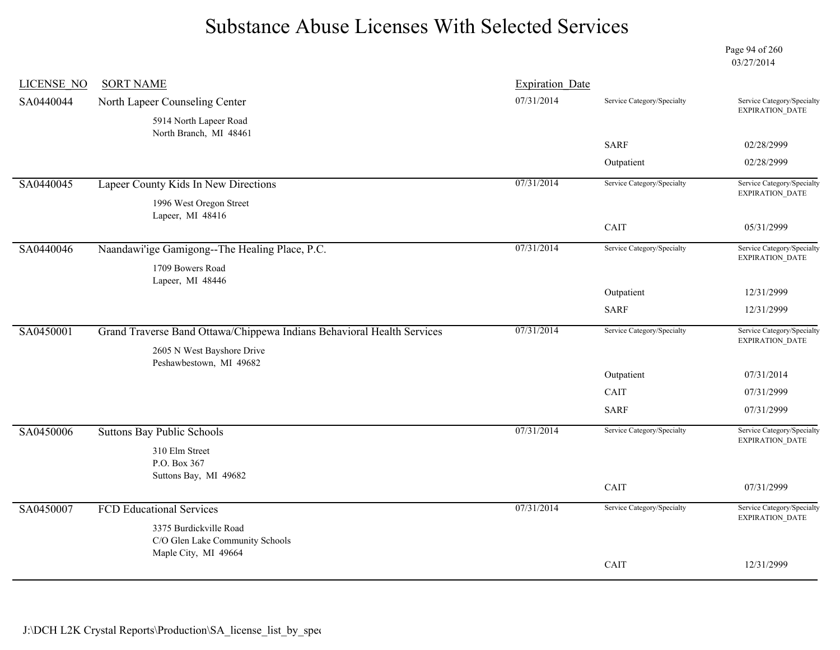Page 94 of 260 03/27/2014

| <b>LICENSE NO</b> | <b>SORT NAME</b>                                                       | <b>Expiration Date</b> |                            |                                                      |
|-------------------|------------------------------------------------------------------------|------------------------|----------------------------|------------------------------------------------------|
| SA0440044         | North Lapeer Counseling Center                                         | 07/31/2014             | Service Category/Specialty | Service Category/Specialty<br><b>EXPIRATION DATE</b> |
|                   | 5914 North Lapeer Road<br>North Branch, MI 48461                       |                        |                            |                                                      |
|                   |                                                                        |                        | <b>SARF</b>                | 02/28/2999                                           |
|                   |                                                                        |                        | Outpatient                 | 02/28/2999                                           |
| SA0440045         | Lapeer County Kids In New Directions                                   | 07/31/2014             | Service Category/Specialty | Service Category/Specialty<br>EXPIRATION_DATE        |
|                   | 1996 West Oregon Street                                                |                        |                            |                                                      |
|                   | Lapeer, MI 48416                                                       |                        | CAIT                       | 05/31/2999                                           |
|                   |                                                                        |                        |                            |                                                      |
| SA0440046         | Naandawi'ige Gamigong--The Healing Place, P.C.                         | 07/31/2014             | Service Category/Specialty | Service Category/Specialty<br><b>EXPIRATION DATE</b> |
|                   | 1709 Bowers Road<br>Lapeer, MI 48446                                   |                        |                            |                                                      |
|                   |                                                                        |                        | Outpatient                 | 12/31/2999                                           |
|                   |                                                                        |                        | <b>SARF</b>                | 12/31/2999                                           |
| SA0450001         | Grand Traverse Band Ottawa/Chippewa Indians Behavioral Health Services | 07/31/2014             | Service Category/Specialty | Service Category/Specialty<br>EXPIRATION_DATE        |
|                   | 2605 N West Bayshore Drive<br>Peshawbestown, MI 49682                  |                        |                            |                                                      |
|                   |                                                                        |                        | Outpatient                 | 07/31/2014                                           |
|                   |                                                                        |                        | CAIT                       | 07/31/2999                                           |
|                   |                                                                        |                        | <b>SARF</b>                | 07/31/2999                                           |
| SA0450006         | <b>Suttons Bay Public Schools</b>                                      | 07/31/2014             | Service Category/Specialty | Service Category/Specialty<br>EXPIRATION_DATE        |
|                   | 310 Elm Street                                                         |                        |                            |                                                      |
|                   | P.O. Box 367<br>Suttons Bay, MI 49682                                  |                        |                            |                                                      |
|                   |                                                                        |                        | CAIT                       | 07/31/2999                                           |
| SA0450007         | <b>FCD Educational Services</b>                                        | 07/31/2014             | Service Category/Specialty | Service Category/Specialty                           |
|                   | 3375 Burdickville Road                                                 |                        |                            | EXPIRATION_DATE                                      |
|                   | C/O Glen Lake Community Schools                                        |                        |                            |                                                      |
|                   | Maple City, MI 49664                                                   |                        | CAIT                       | 12/31/2999                                           |
|                   |                                                                        |                        |                            |                                                      |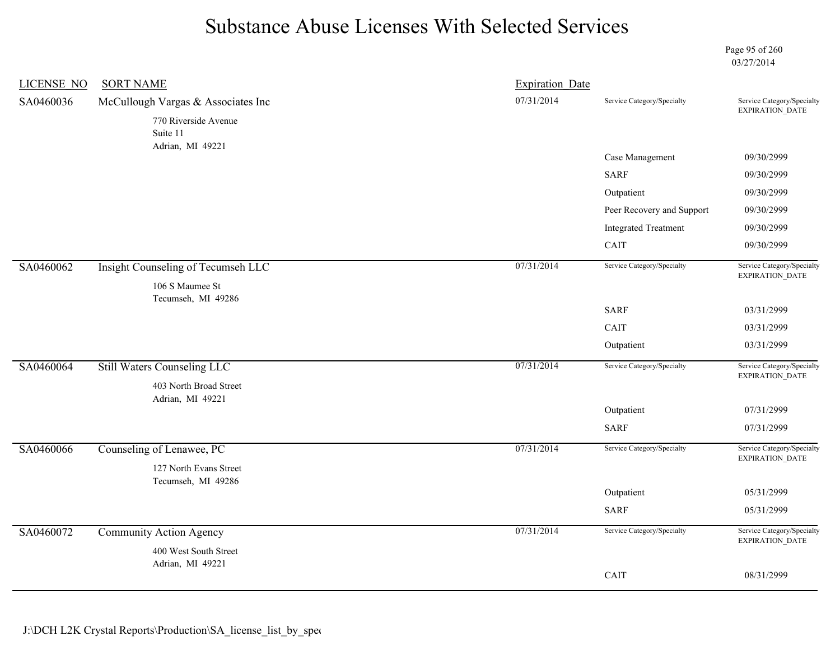Page 95 of 260 03/27/2014

| <b>LICENSE NO</b> | <b>SORT NAME</b>                             | <b>Expiration Date</b> |                             |                                               |
|-------------------|----------------------------------------------|------------------------|-----------------------------|-----------------------------------------------|
| SA0460036         | McCullough Vargas & Associates Inc           | 07/31/2014             | Service Category/Specialty  | Service Category/Specialty                    |
|                   | 770 Riverside Avenue<br>Suite 11             |                        |                             | EXPIRATION_DATE                               |
|                   | Adrian, MI 49221                             |                        | Case Management             | 09/30/2999                                    |
|                   |                                              |                        | <b>SARF</b>                 | 09/30/2999                                    |
|                   |                                              |                        | Outpatient                  | 09/30/2999                                    |
|                   |                                              |                        | Peer Recovery and Support   | 09/30/2999                                    |
|                   |                                              |                        | <b>Integrated Treatment</b> | 09/30/2999                                    |
|                   |                                              |                        | CAIT                        | 09/30/2999                                    |
| SA0460062         | Insight Counseling of Tecumseh LLC           | 07/31/2014             | Service Category/Specialty  | Service Category/Specialty                    |
|                   | 106 S Maumee St                              |                        |                             | EXPIRATION_DATE                               |
|                   | Tecumseh, MI 49286                           |                        | <b>SARF</b>                 | 03/31/2999                                    |
|                   |                                              |                        | CAIT                        | 03/31/2999                                    |
|                   |                                              |                        | Outpatient                  | 03/31/2999                                    |
|                   |                                              |                        |                             |                                               |
| SA0460064         | <b>Still Waters Counseling LLC</b>           | 07/31/2014             | Service Category/Specialty  | Service Category/Specialty<br>EXPIRATION_DATE |
|                   | 403 North Broad Street<br>Adrian, MI 49221   |                        |                             |                                               |
|                   |                                              |                        | Outpatient                  | 07/31/2999                                    |
|                   |                                              |                        | <b>SARF</b>                 | 07/31/2999                                    |
| SA0460066         | Counseling of Lenawee, PC                    | 07/31/2014             | Service Category/Specialty  | Service Category/Specialty                    |
|                   | 127 North Evans Street<br>Tecumseh, MI 49286 |                        |                             | <b>EXPIRATION DATE</b>                        |
|                   |                                              |                        | Outpatient                  | 05/31/2999                                    |
|                   |                                              |                        | <b>SARF</b>                 | 05/31/2999                                    |
| SA0460072         | Community Action Agency                      | 07/31/2014             | Service Category/Specialty  | Service Category/Specialty<br>EXPIRATION_DATE |
|                   | 400 West South Street                        |                        |                             |                                               |
|                   | Adrian, MI 49221                             |                        | CAIT                        | 08/31/2999                                    |
|                   |                                              |                        |                             |                                               |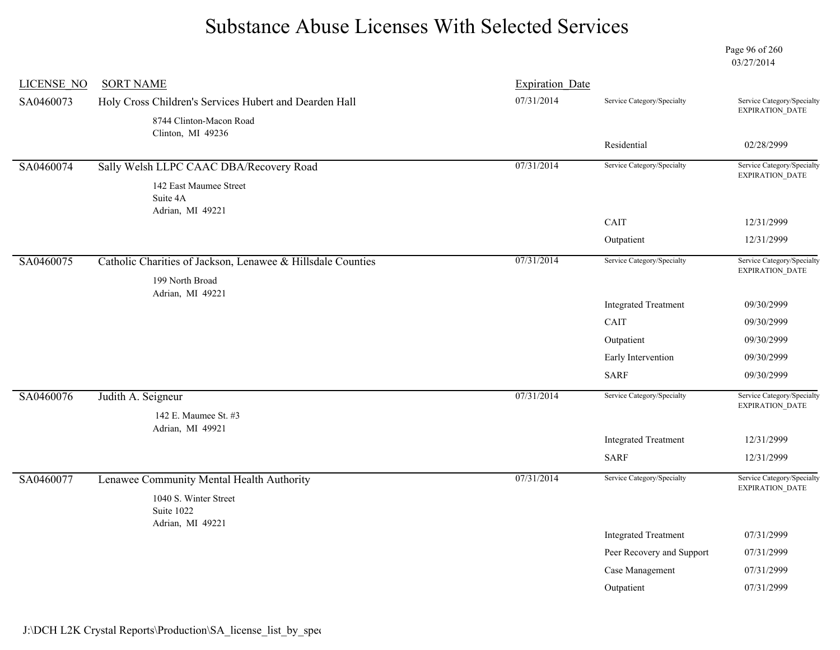Page 96 of 260 03/27/2014

| <b>LICENSE NO</b> | <b>SORT NAME</b>                                            | <b>Expiration Date</b> |                             |                                                      |
|-------------------|-------------------------------------------------------------|------------------------|-----------------------------|------------------------------------------------------|
| SA0460073         | Holy Cross Children's Services Hubert and Dearden Hall      | 07/31/2014             | Service Category/Specialty  | Service Category/Specialty<br><b>EXPIRATION DATE</b> |
|                   | 8744 Clinton-Macon Road                                     |                        |                             |                                                      |
|                   | Clinton, MI 49236                                           |                        | Residential                 | 02/28/2999                                           |
| SA0460074         | Sally Welsh LLPC CAAC DBA/Recovery Road                     | 07/31/2014             | Service Category/Specialty  | Service Category/Specialty                           |
|                   | 142 East Maumee Street                                      |                        |                             | EXPIRATION_DATE                                      |
|                   | Suite 4A<br>Adrian, MI 49221                                |                        |                             |                                                      |
|                   |                                                             |                        | CAIT                        | 12/31/2999                                           |
|                   |                                                             |                        | Outpatient                  | 12/31/2999                                           |
| SA0460075         | Catholic Charities of Jackson, Lenawee & Hillsdale Counties | 07/31/2014             | Service Category/Specialty  | Service Category/Specialty<br><b>EXPIRATION DATE</b> |
|                   | 199 North Broad<br>Adrian, MI 49221                         |                        |                             |                                                      |
|                   |                                                             |                        | <b>Integrated Treatment</b> | 09/30/2999                                           |
|                   |                                                             |                        | CAIT                        | 09/30/2999                                           |
|                   |                                                             |                        | Outpatient                  | 09/30/2999                                           |
|                   |                                                             |                        | Early Intervention          | 09/30/2999                                           |
|                   |                                                             |                        | <b>SARF</b>                 | 09/30/2999                                           |
| SA0460076         | Judith A. Seigneur                                          | 07/31/2014             | Service Category/Specialty  | Service Category/Specialty                           |
|                   | 142 E. Maumee St. #3                                        |                        |                             | EXPIRATION_DATE                                      |
|                   | Adrian, MI 49921                                            |                        | <b>Integrated Treatment</b> | 12/31/2999                                           |
|                   |                                                             |                        | <b>SARF</b>                 | 12/31/2999                                           |
| SA0460077         | Lenawee Community Mental Health Authority                   | 07/31/2014             | Service Category/Specialty  | Service Category/Specialty                           |
|                   |                                                             |                        |                             | <b>EXPIRATION DATE</b>                               |
|                   | 1040 S. Winter Street<br>Suite 1022<br>Adrian, MI 49221     |                        |                             |                                                      |
|                   |                                                             |                        | <b>Integrated Treatment</b> | 07/31/2999                                           |
|                   |                                                             |                        | Peer Recovery and Support   | 07/31/2999                                           |
|                   |                                                             |                        |                             |                                                      |
|                   |                                                             |                        | Case Management             | 07/31/2999                                           |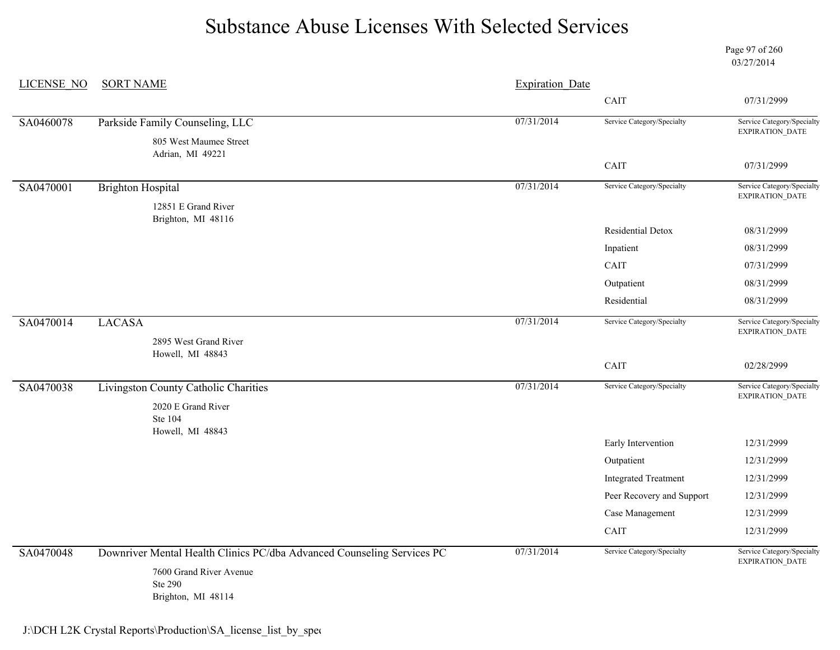Page 97 of 260 03/27/2014

| <b>LICENSE NO</b> | <b>SORT NAME</b>                                                       | <b>Expiration Date</b> |                             |                                               |
|-------------------|------------------------------------------------------------------------|------------------------|-----------------------------|-----------------------------------------------|
|                   |                                                                        |                        | CAIT                        | 07/31/2999                                    |
| SA0460078         | Parkside Family Counseling, LLC                                        | 07/31/2014             | Service Category/Specialty  | Service Category/Specialty                    |
|                   | 805 West Maumee Street<br>Adrian, MI 49221                             |                        |                             | EXPIRATION_DATE                               |
|                   |                                                                        |                        | CAIT                        | 07/31/2999                                    |
| SA0470001         | <b>Brighton Hospital</b>                                               | 07/31/2014             | Service Category/Specialty  | Service Category/Specialty                    |
|                   | 12851 E Grand River                                                    |                        |                             | EXPIRATION_DATE                               |
|                   | Brighton, MI 48116                                                     |                        | Residential Detox           | 08/31/2999                                    |
|                   |                                                                        |                        | Inpatient                   | 08/31/2999                                    |
|                   |                                                                        |                        | CAIT                        | 07/31/2999                                    |
|                   |                                                                        |                        | Outpatient                  | 08/31/2999                                    |
|                   |                                                                        |                        | Residential                 | 08/31/2999                                    |
|                   |                                                                        | 07/31/2014             | Service Category/Specialty  | Service Category/Specialty                    |
| SA0470014         | <b>LACASA</b>                                                          |                        |                             | EXPIRATION_DATE                               |
|                   | 2895 West Grand River<br>Howell, MI 48843                              |                        |                             |                                               |
|                   |                                                                        |                        | CAIT                        | 02/28/2999                                    |
| SA0470038         | Livingston County Catholic Charities                                   | 07/31/2014             | Service Category/Specialty  | Service Category/Specialty<br>EXPIRATION_DATE |
|                   | 2020 E Grand River<br>Ste 104                                          |                        |                             |                                               |
|                   | Howell, MI 48843                                                       |                        | Early Intervention          | 12/31/2999                                    |
|                   |                                                                        |                        | Outpatient                  | 12/31/2999                                    |
|                   |                                                                        |                        | <b>Integrated Treatment</b> | 12/31/2999                                    |
|                   |                                                                        |                        | Peer Recovery and Support   | 12/31/2999                                    |
|                   |                                                                        |                        | Case Management             | 12/31/2999                                    |
|                   |                                                                        |                        | CAIT                        | 12/31/2999                                    |
| SA0470048         | Downriver Mental Health Clinics PC/dba Advanced Counseling Services PC | 07/31/2014             | Service Category/Specialty  | Service Category/Specialty<br>EXPIRATION_DATE |
|                   | 7600 Grand River Avenue<br><b>Ste 290</b><br>Brighton, MI 48114        |                        |                             |                                               |

J:\DCH L2K Crystal Reports\Production\SA\_license\_list\_by\_spec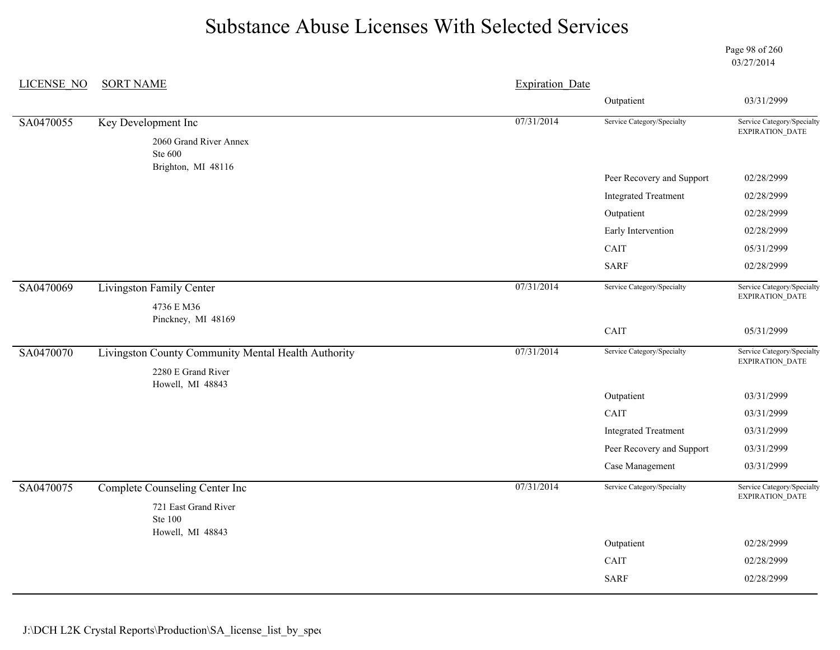Page 98 of 260 03/27/2014

| <b>LICENSE NO</b> | <b>SORT NAME</b>                                    | <b>Expiration Date</b> |                             |                                               |
|-------------------|-----------------------------------------------------|------------------------|-----------------------------|-----------------------------------------------|
|                   |                                                     |                        | Outpatient                  | 03/31/2999                                    |
| SA0470055         | Key Development Inc                                 | 07/31/2014             | Service Category/Specialty  | Service Category/Specialty<br>EXPIRATION_DATE |
|                   | 2060 Grand River Annex<br>Ste 600                   |                        |                             |                                               |
|                   | Brighton, MI 48116                                  |                        | Peer Recovery and Support   | 02/28/2999                                    |
|                   |                                                     |                        | <b>Integrated Treatment</b> | 02/28/2999                                    |
|                   |                                                     |                        | Outpatient                  | 02/28/2999                                    |
|                   |                                                     |                        | Early Intervention          | 02/28/2999                                    |
|                   |                                                     |                        | CAIT                        | 05/31/2999                                    |
|                   |                                                     |                        | <b>SARF</b>                 | 02/28/2999                                    |
|                   |                                                     |                        |                             |                                               |
| SA0470069         | Livingston Family Center                            | 07/31/2014             | Service Category/Specialty  | Service Category/Specialty<br>EXPIRATION_DATE |
|                   | 4736 E M36                                          |                        |                             |                                               |
|                   | Pinckney, MI 48169                                  |                        | CAIT                        | 05/31/2999                                    |
| SA0470070         | Livingston County Community Mental Health Authority | 07/31/2014             | Service Category/Specialty  | Service Category/Specialty                    |
|                   | 2280 E Grand River                                  |                        |                             | EXPIRATION_DATE                               |
|                   | Howell, MI 48843                                    |                        |                             |                                               |
|                   |                                                     |                        | Outpatient                  | 03/31/2999                                    |
|                   |                                                     |                        | CAIT                        | 03/31/2999                                    |
|                   |                                                     |                        | <b>Integrated Treatment</b> | 03/31/2999                                    |
|                   |                                                     |                        | Peer Recovery and Support   | 03/31/2999                                    |
|                   |                                                     |                        | Case Management             | 03/31/2999                                    |
| SA0470075         | <b>Complete Counseling Center Inc</b>               | 07/31/2014             | Service Category/Specialty  | Service Category/Specialty<br>EXPIRATION_DATE |
|                   | 721 East Grand River<br><b>Ste 100</b>              |                        |                             |                                               |
|                   | Howell, MI 48843                                    |                        | Outpatient                  | 02/28/2999                                    |
|                   |                                                     |                        | CAIT                        | 02/28/2999                                    |
|                   |                                                     |                        | <b>SARF</b>                 | 02/28/2999                                    |
|                   |                                                     |                        |                             |                                               |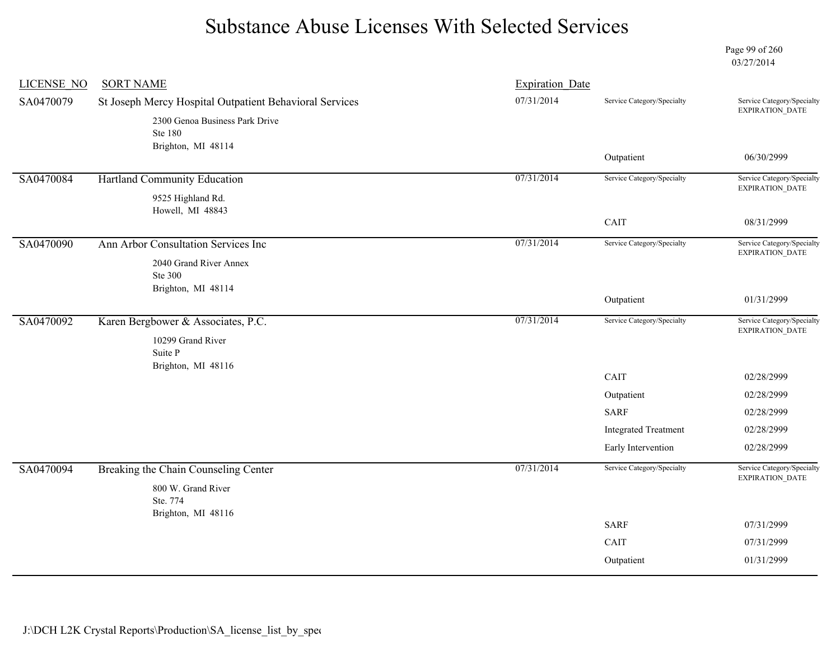Page 99 of 260 03/27/2014

| <b>LICENSE NO</b> | <b>SORT NAME</b>                                        | <b>Expiration Date</b> |                             |                                               |
|-------------------|---------------------------------------------------------|------------------------|-----------------------------|-----------------------------------------------|
| SA0470079         | St Joseph Mercy Hospital Outpatient Behavioral Services | 07/31/2014             | Service Category/Specialty  | Service Category/Specialty<br>EXPIRATION_DATE |
|                   | 2300 Genoa Business Park Drive                          |                        |                             |                                               |
|                   | <b>Ste 180</b>                                          |                        |                             |                                               |
|                   | Brighton, MI 48114                                      |                        | Outpatient                  | 06/30/2999                                    |
| SA0470084         | Hartland Community Education                            | 07/31/2014             | Service Category/Specialty  | Service Category/Specialty                    |
|                   | 9525 Highland Rd.<br>Howell, MI 48843                   |                        |                             | EXPIRATION_DATE                               |
|                   |                                                         |                        | CAIT                        | 08/31/2999                                    |
| SA0470090         | Ann Arbor Consultation Services Inc                     | 07/31/2014             | Service Category/Specialty  | Service Category/Specialty<br>EXPIRATION_DATE |
|                   | 2040 Grand River Annex<br>Ste 300                       |                        |                             |                                               |
|                   | Brighton, MI 48114                                      |                        | Outpatient                  | 01/31/2999                                    |
| SA0470092         | Karen Bergbower & Associates, P.C.                      | 07/31/2014             | Service Category/Specialty  | Service Category/Specialty<br>EXPIRATION_DATE |
|                   | 10299 Grand River                                       |                        |                             |                                               |
|                   | Suite P<br>Brighton, MI 48116                           |                        |                             |                                               |
|                   |                                                         |                        | CAIT                        | 02/28/2999                                    |
|                   |                                                         |                        | Outpatient                  | 02/28/2999                                    |
|                   |                                                         |                        | <b>SARF</b>                 | 02/28/2999                                    |
|                   |                                                         |                        | <b>Integrated Treatment</b> | 02/28/2999                                    |
|                   |                                                         |                        | Early Intervention          | 02/28/2999                                    |
| SA0470094         | Breaking the Chain Counseling Center                    | 07/31/2014             | Service Category/Specialty  | Service Category/Specialty<br>EXPIRATION_DATE |
|                   | 800 W. Grand River<br>Ste. 774                          |                        |                             |                                               |
|                   | Brighton, MI 48116                                      |                        | <b>SARF</b>                 | 07/31/2999                                    |
|                   |                                                         |                        | CAIT                        | 07/31/2999                                    |
|                   |                                                         |                        | Outpatient                  | 01/31/2999                                    |
|                   |                                                         |                        |                             |                                               |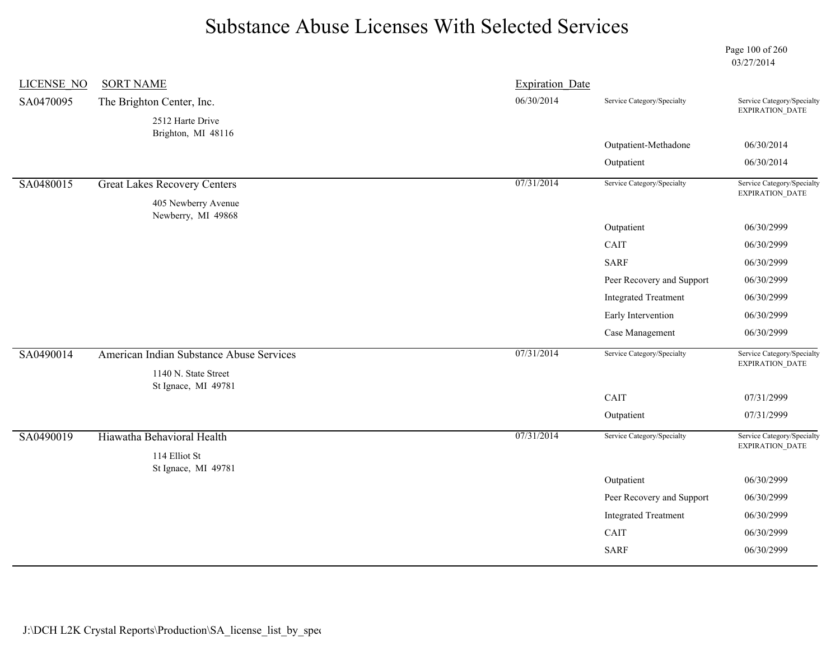Page 100 of 260 03/27/2014

| <b>LICENSE NO</b> | <b>SORT NAME</b>                            | <b>Expiration Date</b> |                             |                                                      |
|-------------------|---------------------------------------------|------------------------|-----------------------------|------------------------------------------------------|
| SA0470095         | The Brighton Center, Inc.                   | 06/30/2014             | Service Category/Specialty  | Service Category/Specialty                           |
|                   | 2512 Harte Drive                            |                        |                             | EXPIRATION_DATE                                      |
|                   | Brighton, MI 48116                          |                        | Outpatient-Methadone        | 06/30/2014                                           |
|                   |                                             |                        | Outpatient                  | 06/30/2014                                           |
| SA0480015         | <b>Great Lakes Recovery Centers</b>         | 07/31/2014             | Service Category/Specialty  | Service Category/Specialty<br><b>EXPIRATION DATE</b> |
|                   | 405 Newberry Avenue<br>Newberry, MI 49868   |                        |                             |                                                      |
|                   |                                             |                        | Outpatient                  | 06/30/2999                                           |
|                   |                                             |                        | CAIT                        | 06/30/2999                                           |
|                   |                                             |                        | <b>SARF</b>                 | 06/30/2999                                           |
|                   |                                             |                        | Peer Recovery and Support   | 06/30/2999                                           |
|                   |                                             |                        | <b>Integrated Treatment</b> | 06/30/2999                                           |
|                   |                                             |                        | Early Intervention          | 06/30/2999                                           |
|                   |                                             |                        | Case Management             | 06/30/2999                                           |
| SA0490014         | American Indian Substance Abuse Services    | 07/31/2014             | Service Category/Specialty  | Service Category/Specialty<br>EXPIRATION_DATE        |
|                   | 1140 N. State Street<br>St Ignace, MI 49781 |                        |                             |                                                      |
|                   |                                             |                        | CAIT                        | 07/31/2999                                           |
|                   |                                             |                        | Outpatient                  | 07/31/2999                                           |
| SA0490019         | Hiawatha Behavioral Health                  | 07/31/2014             | Service Category/Specialty  | Service Category/Specialty<br>EXPIRATION_DATE        |
|                   | 114 Elliot St                               |                        |                             |                                                      |
|                   | St Ignace, MI 49781                         |                        | Outpatient                  | 06/30/2999                                           |
|                   |                                             |                        | Peer Recovery and Support   | 06/30/2999                                           |
|                   |                                             |                        | <b>Integrated Treatment</b> | 06/30/2999                                           |
|                   |                                             |                        | CAIT                        | 06/30/2999                                           |
|                   |                                             |                        | <b>SARF</b>                 | 06/30/2999                                           |
|                   |                                             |                        |                             |                                                      |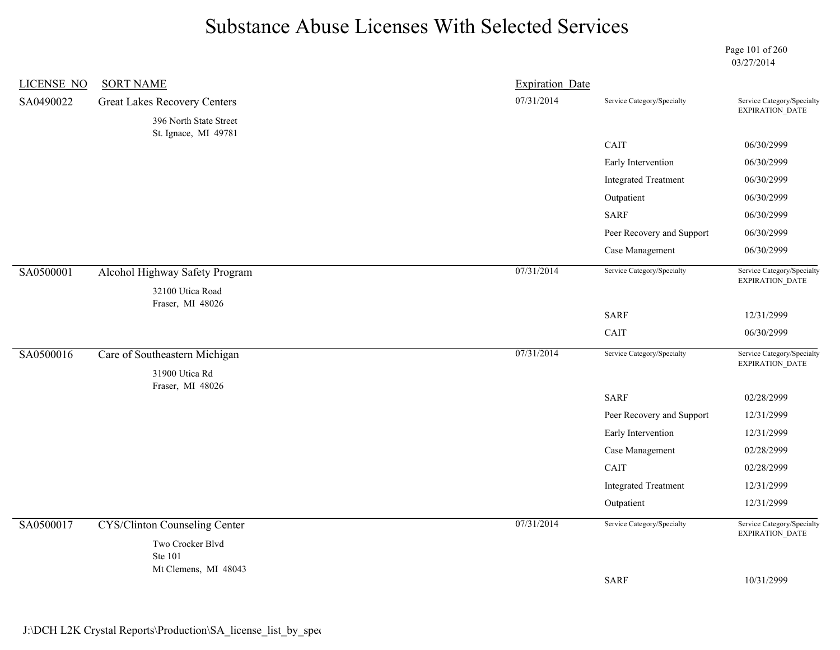Page 101 of 260 03/27/2014

| <b>LICENSE NO</b> | <b>SORT NAME</b>                                   | <b>Expiration Date</b> |                             |                                                                        |
|-------------------|----------------------------------------------------|------------------------|-----------------------------|------------------------------------------------------------------------|
| SA0490022         | <b>Great Lakes Recovery Centers</b>                | 07/31/2014             | Service Category/Specialty  | Service Category/Specialty<br>EXPIRATION_DATE                          |
|                   | 396 North State Street                             |                        |                             |                                                                        |
|                   | St. Ignace, MI 49781                               |                        | CAIT                        | 06/30/2999                                                             |
|                   |                                                    |                        | Early Intervention          | 06/30/2999                                                             |
|                   |                                                    |                        | <b>Integrated Treatment</b> | 06/30/2999                                                             |
|                   |                                                    |                        | Outpatient                  | 06/30/2999                                                             |
|                   |                                                    |                        | <b>SARF</b>                 | 06/30/2999                                                             |
|                   |                                                    |                        | Peer Recovery and Support   | 06/30/2999                                                             |
|                   |                                                    |                        | Case Management             | 06/30/2999                                                             |
| SA0500001         | Alcohol Highway Safety Program<br>32100 Utica Road | 07/31/2014             | Service Category/Specialty  | Service Category/Specialty<br>$\ensuremath{\mathsf{EXPIRATION\_DATA}}$ |
|                   | Fraser, MI 48026                                   |                        |                             |                                                                        |
|                   |                                                    |                        | <b>SARF</b>                 | 12/31/2999                                                             |
|                   |                                                    |                        | CAIT                        | 06/30/2999                                                             |
| SA0500016         | Care of Southeastern Michigan                      | 07/31/2014             | Service Category/Specialty  | Service Category/Specialty<br>EXPIRATION_DATE                          |
|                   | 31900 Utica Rd<br>Fraser, MI 48026                 |                        |                             |                                                                        |
|                   |                                                    |                        | <b>SARF</b>                 | 02/28/2999                                                             |
|                   |                                                    |                        | Peer Recovery and Support   | 12/31/2999                                                             |
|                   |                                                    |                        | Early Intervention          | 12/31/2999                                                             |
|                   |                                                    |                        | Case Management             | 02/28/2999                                                             |
|                   |                                                    |                        | CAIT                        | 02/28/2999                                                             |
|                   |                                                    |                        | <b>Integrated Treatment</b> | 12/31/2999                                                             |
|                   |                                                    |                        | Outpatient                  | 12/31/2999                                                             |
| SA0500017         | <b>CYS/Clinton Counseling Center</b>               | 07/31/2014             | Service Category/Specialty  | Service Category/Specialty<br>EXPIRATION_DATE                          |
|                   | Two Crocker Blvd<br><b>Ste 101</b>                 |                        |                             |                                                                        |
|                   | Mt Clemens, MI 48043                               |                        | <b>SARF</b>                 | 10/31/2999                                                             |
|                   |                                                    |                        |                             |                                                                        |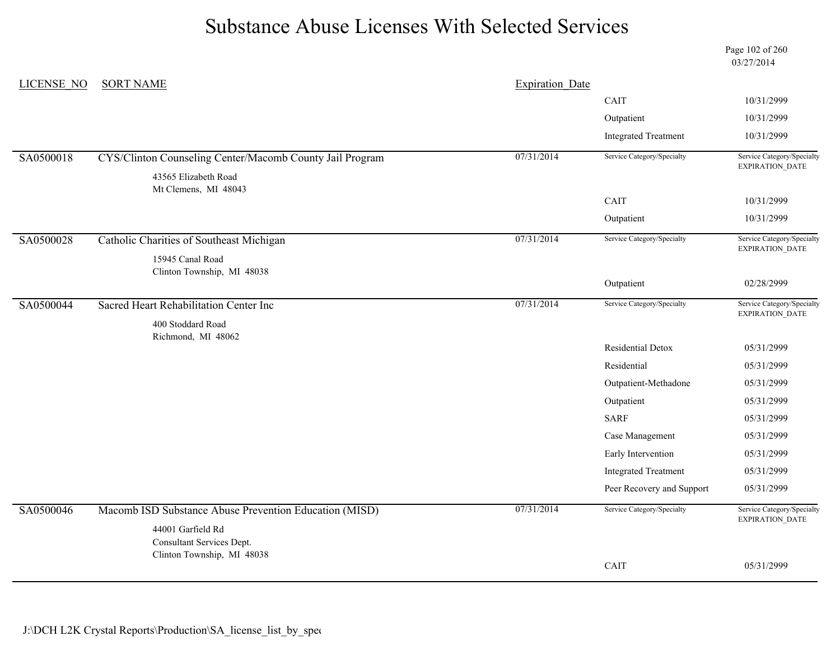Page 102 of 260 03/27/2014

| LICENSE NO | <b>SORT NAME</b>                                         | <b>Expiration Date</b> |                             |                                               |
|------------|----------------------------------------------------------|------------------------|-----------------------------|-----------------------------------------------|
|            |                                                          |                        | CAIT                        | 10/31/2999                                    |
|            |                                                          |                        | Outpatient                  | 10/31/2999                                    |
|            |                                                          |                        | <b>Integrated Treatment</b> | 10/31/2999                                    |
| SA0500018  | CYS/Clinton Counseling Center/Macomb County Jail Program | 07/31/2014             | Service Category/Specialty  | Service Category/Specialty<br>EXPIRATION_DATE |
|            | 43565 Elizabeth Road                                     |                        |                             |                                               |
|            | Mt Clemens, MI 48043                                     |                        | CAIT                        | 10/31/2999                                    |
|            |                                                          |                        | Outpatient                  | 10/31/2999                                    |
| SA0500028  | Catholic Charities of Southeast Michigan                 | 07/31/2014             | Service Category/Specialty  | Service Category/Specialty<br>EXPIRATION_DATE |
|            | 15945 Canal Road                                         |                        |                             |                                               |
|            | Clinton Township, MI 48038                               |                        | Outpatient                  | 02/28/2999                                    |
| SA0500044  | Sacred Heart Rehabilitation Center Inc                   | 07/31/2014             | Service Category/Specialty  | Service Category/Specialty                    |
|            |                                                          |                        |                             | EXPIRATION_DATE                               |
|            | 400 Stoddard Road<br>Richmond, MI 48062                  |                        |                             |                                               |
|            |                                                          |                        | Residential Detox           | 05/31/2999                                    |
|            |                                                          |                        | Residential                 | 05/31/2999                                    |
|            |                                                          |                        | Outpatient-Methadone        | 05/31/2999                                    |
|            |                                                          |                        | Outpatient                  | 05/31/2999                                    |
|            |                                                          |                        | <b>SARF</b>                 | 05/31/2999                                    |
|            |                                                          |                        | Case Management             | 05/31/2999                                    |
|            |                                                          |                        | Early Intervention          | 05/31/2999                                    |
|            |                                                          |                        | <b>Integrated Treatment</b> | 05/31/2999                                    |
|            |                                                          |                        | Peer Recovery and Support   | 05/31/2999                                    |
| SA0500046  | Macomb ISD Substance Abuse Prevention Education (MISD)   | 07/31/2014             | Service Category/Specialty  | Service Category/Specialty<br>EXPIRATION_DATE |
|            | 44001 Garfield Rd<br>Consultant Services Dept.           |                        |                             |                                               |
|            | Clinton Township, MI 48038                               |                        |                             |                                               |
|            |                                                          |                        | CAIT                        | 05/31/2999                                    |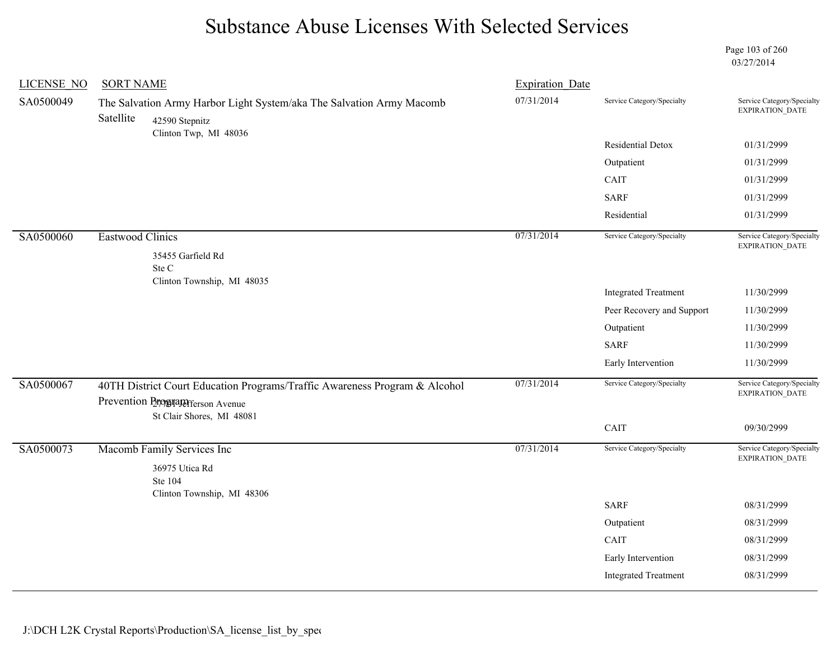Page 103 of 260 03/27/2014

| <b>LICENSE NO</b> | <b>SORT NAME</b> |                                                                                                                                      | <b>Expiration Date</b> |                             |                                               |
|-------------------|------------------|--------------------------------------------------------------------------------------------------------------------------------------|------------------------|-----------------------------|-----------------------------------------------|
| SA0500049         | Satellite        | The Salvation Army Harbor Light System/aka The Salvation Army Macomb<br>42590 Stepnitz<br>Clinton Twp, MI 48036                      | 07/31/2014             | Service Category/Specialty  | Service Category/Specialty<br>EXPIRATION_DATE |
|                   |                  |                                                                                                                                      |                        | Residential Detox           | 01/31/2999                                    |
|                   |                  |                                                                                                                                      |                        | Outpatient                  | 01/31/2999                                    |
|                   |                  |                                                                                                                                      |                        | CAIT                        | 01/31/2999                                    |
|                   |                  |                                                                                                                                      |                        | <b>SARF</b>                 | 01/31/2999                                    |
|                   |                  |                                                                                                                                      |                        | Residential                 | 01/31/2999                                    |
| SA0500060         | Eastwood Clinics | 35455 Garfield Rd                                                                                                                    | 07/31/2014             | Service Category/Specialty  | Service Category/Specialty<br>EXPIRATION_DATE |
|                   |                  | Ste C<br>Clinton Township, MI 48035                                                                                                  |                        |                             |                                               |
|                   |                  |                                                                                                                                      |                        | <b>Integrated Treatment</b> | 11/30/2999                                    |
|                   |                  |                                                                                                                                      |                        | Peer Recovery and Support   | 11/30/2999                                    |
|                   |                  |                                                                                                                                      |                        | Outpatient                  | 11/30/2999                                    |
|                   |                  |                                                                                                                                      |                        | <b>SARF</b>                 | 11/30/2999                                    |
|                   |                  |                                                                                                                                      |                        | Early Intervention          | 11/30/2999                                    |
| SA0500067         |                  | 40TH District Court Education Programs/Traffic Awareness Program & Alcohol<br>Prevention Program Avenue<br>St Clair Shores, MI 48081 | 07/31/2014             | Service Category/Specialty  | Service Category/Specialty<br>EXPIRATION_DATE |
|                   |                  |                                                                                                                                      |                        | CAIT                        | 09/30/2999                                    |
| SA0500073         |                  | Macomb Family Services Inc                                                                                                           | 07/31/2014             | Service Category/Specialty  | Service Category/Specialty<br>EXPIRATION_DATE |
|                   |                  | 36975 Utica Rd<br>Ste 104<br>Clinton Township, MI 48306                                                                              |                        |                             |                                               |
|                   |                  |                                                                                                                                      |                        | <b>SARF</b>                 | 08/31/2999                                    |
|                   |                  |                                                                                                                                      |                        | Outpatient                  | 08/31/2999                                    |
|                   |                  |                                                                                                                                      |                        | CAIT                        | 08/31/2999                                    |
|                   |                  |                                                                                                                                      |                        | Early Intervention          | 08/31/2999                                    |
|                   |                  |                                                                                                                                      |                        | <b>Integrated Treatment</b> | 08/31/2999                                    |
|                   |                  |                                                                                                                                      |                        |                             |                                               |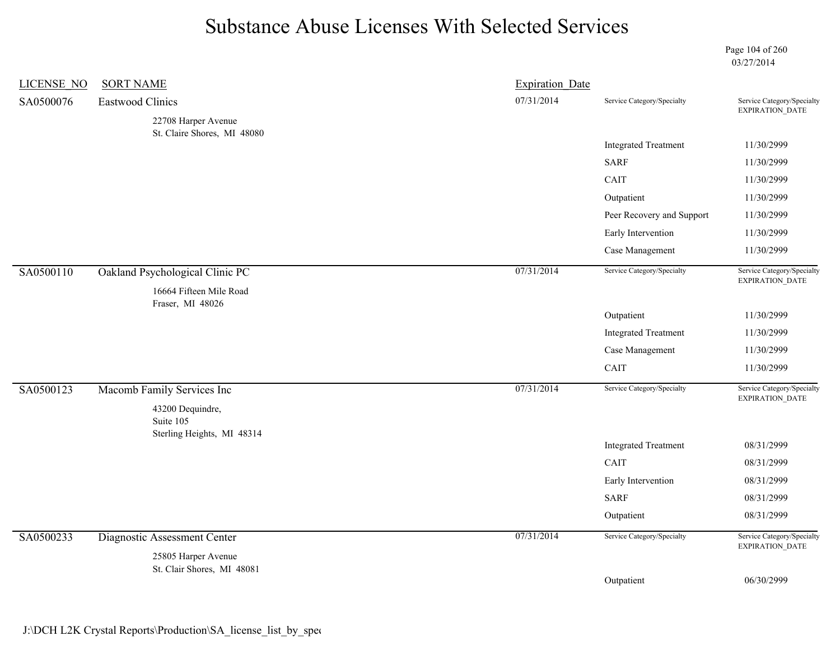Page 104 of 260 03/27/2014

| LICENSE NO | <b>SORT NAME</b>                                            | <b>Expiration Date</b> |                             |                                               |
|------------|-------------------------------------------------------------|------------------------|-----------------------------|-----------------------------------------------|
| SA0500076  | <b>Eastwood Clinics</b>                                     | 07/31/2014             | Service Category/Specialty  | Service Category/Specialty<br>EXPIRATION_DATE |
|            | 22708 Harper Avenue                                         |                        |                             |                                               |
|            | St. Claire Shores, MI 48080                                 |                        | <b>Integrated Treatment</b> | 11/30/2999                                    |
|            |                                                             |                        | <b>SARF</b>                 | 11/30/2999                                    |
|            |                                                             |                        | CAIT                        | 11/30/2999                                    |
|            |                                                             |                        | Outpatient                  | 11/30/2999                                    |
|            |                                                             |                        | Peer Recovery and Support   | 11/30/2999                                    |
|            |                                                             |                        | Early Intervention          | 11/30/2999                                    |
|            |                                                             |                        | Case Management             | 11/30/2999                                    |
| SA0500110  | Oakland Psychological Clinic PC<br>16664 Fifteen Mile Road  | 07/31/2014             | Service Category/Specialty  | Service Category/Specialty<br>EXPIRATION_DATE |
|            | Fraser, MI 48026                                            |                        | Outpatient                  | 11/30/2999                                    |
|            |                                                             |                        | <b>Integrated Treatment</b> | 11/30/2999                                    |
|            |                                                             |                        | Case Management             | 11/30/2999                                    |
|            |                                                             |                        | CAIT                        | 11/30/2999                                    |
| SA0500123  | Macomb Family Services Inc<br>43200 Dequindre,<br>Suite 105 | 07/31/2014             | Service Category/Specialty  | Service Category/Specialty<br>EXPIRATION_DATE |
|            | Sterling Heights, MI 48314                                  |                        | <b>Integrated Treatment</b> | 08/31/2999                                    |
|            |                                                             |                        | CAIT                        | 08/31/2999                                    |
|            |                                                             |                        | Early Intervention          | 08/31/2999                                    |
|            |                                                             |                        | <b>SARF</b>                 | 08/31/2999                                    |
|            |                                                             |                        | Outpatient                  | 08/31/2999                                    |
| SA0500233  | Diagnostic Assessment Center                                | 07/31/2014             | Service Category/Specialty  | Service Category/Specialty<br>EXPIRATION_DATE |
|            | 25805 Harper Avenue<br>St. Clair Shores, MI 48081           |                        |                             |                                               |
|            |                                                             |                        | Outpatient                  | 06/30/2999                                    |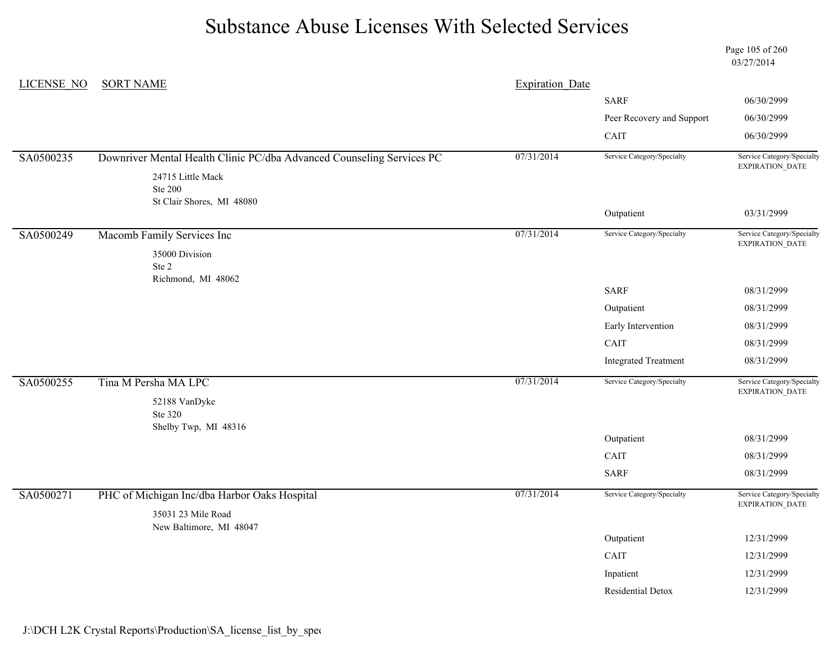Page 105 of 260 03/27/2014

| <b>LICENSE NO</b> | <b>SORT NAME</b>                                                      | <b>Expiration Date</b> |                             |                                               |
|-------------------|-----------------------------------------------------------------------|------------------------|-----------------------------|-----------------------------------------------|
|                   |                                                                       |                        | <b>SARF</b>                 | 06/30/2999                                    |
|                   |                                                                       |                        | Peer Recovery and Support   | 06/30/2999                                    |
|                   |                                                                       |                        | CAIT                        | 06/30/2999                                    |
| SA0500235         | Downriver Mental Health Clinic PC/dba Advanced Counseling Services PC | 07/31/2014             | Service Category/Specialty  | Service Category/Specialty<br>EXPIRATION_DATE |
|                   | 24715 Little Mack                                                     |                        |                             |                                               |
|                   | <b>Ste 200</b>                                                        |                        |                             |                                               |
|                   | St Clair Shores, MI 48080                                             |                        | Outpatient                  | 03/31/2999                                    |
| SA0500249         | Macomb Family Services Inc                                            | 07/31/2014             | Service Category/Specialty  | Service Category/Specialty<br>EXPIRATION_DATE |
|                   | 35000 Division                                                        |                        |                             |                                               |
|                   | Ste 2                                                                 |                        |                             |                                               |
|                   | Richmond, MI 48062                                                    |                        | <b>SARF</b>                 | 08/31/2999                                    |
|                   |                                                                       |                        | Outpatient                  | 08/31/2999                                    |
|                   |                                                                       |                        | Early Intervention          | 08/31/2999                                    |
|                   |                                                                       |                        | CAIT                        | 08/31/2999                                    |
|                   |                                                                       |                        | <b>Integrated Treatment</b> | 08/31/2999                                    |
| SA0500255         | Tina M Persha MA LPC                                                  | 07/31/2014             | Service Category/Specialty  | Service Category/Specialty<br>EXPIRATION_DATE |
|                   | 52188 VanDyke<br>Ste 320                                              |                        |                             |                                               |
|                   | Shelby Twp, MI 48316                                                  |                        | Outpatient                  | 08/31/2999                                    |
|                   |                                                                       |                        | CAIT                        | 08/31/2999                                    |
|                   |                                                                       |                        | <b>SARF</b>                 | 08/31/2999                                    |
| SA0500271         | PHC of Michigan Inc/dba Harbor Oaks Hospital                          | 07/31/2014             | Service Category/Specialty  | Service Category/Specialty                    |
|                   | 35031 23 Mile Road                                                    |                        |                             | EXPIRATION_DATE                               |
|                   | New Baltimore, MI 48047                                               |                        | Outpatient                  | 12/31/2999                                    |
|                   |                                                                       |                        | CAIT                        |                                               |
|                   |                                                                       |                        |                             | 12/31/2999                                    |
|                   |                                                                       |                        | Inpatient                   | 12/31/2999                                    |
|                   |                                                                       |                        | Residential Detox           | 12/31/2999                                    |

#### J:\DCH L2K Crystal Reports\Production\SA\_license\_list\_by\_spec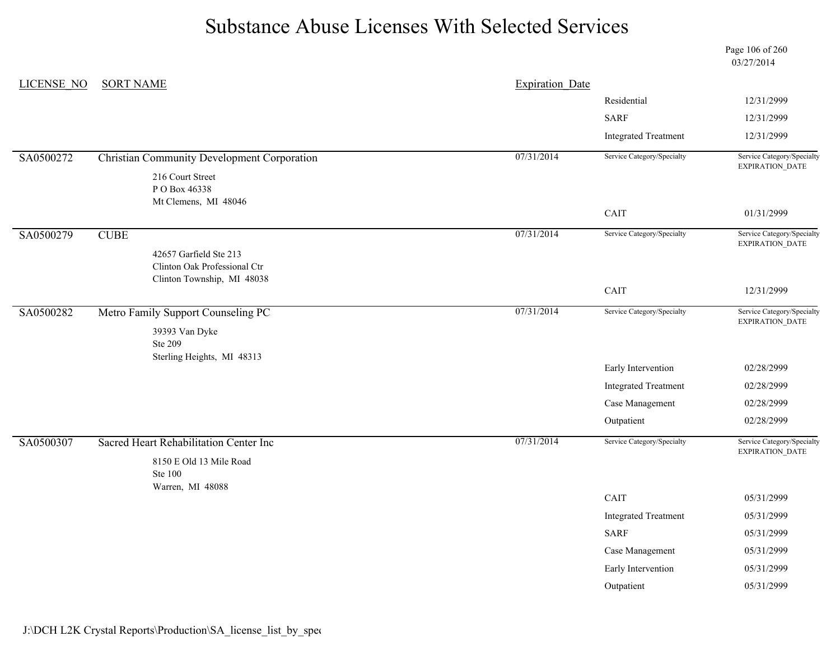LICENSE\_NO SORT NAME Page 106 of 260 03/27/2014 Expiration Date Residential 12/31/2999 SARF 12/31/2999 Integrated Treatment 12/31/2999 SA0500272 Christian Community Development Corporation 07/31/2014 Service Category/Specialty Service Category/Specialty EXPIRATION\_DATE 216 Court Street P O Box 46338 Mt Clemens, MI 48046 CAIT 01/31/2999 SA0500279 CUBE CUBE CHERA CUBE CHERA CUBE Service Category/Specialty Service Category/Specialty Service Category/Specialty EXPIRATION\_DATE 42657 Garfield Ste 213 Clinton Oak Professional Ctr Clinton Township, MI 48038 CAIT 12/31/2999 SA0500282 Metro Family Support Counseling PC 07/31/2014 Service Category/Specialty Service Category/Specialty EXPIRATION\_DATE 39393 Van Dyke Ste 209 Sterling Heights, MI 48313 Early Intervention 02/28/2999 Integrated Treatment 02/28/2999 Case Management 02/28/2999 Outpatient 02/28/2999 SA0500307 Sacred Heart Rehabilitation Center Inc 07/31/2014 Service Category/Specialty Service Category/Specialty EXPIRATION\_DATE 8150 E Old 13 Mile Road Ste 100 Warren, MI 48088 CAIT 05/31/2999 Integrated Treatment 05/31/2999 SARF 05/31/2999 Case Management 05/31/2999 Early Intervention 05/31/2999

Outpatient 05/31/2999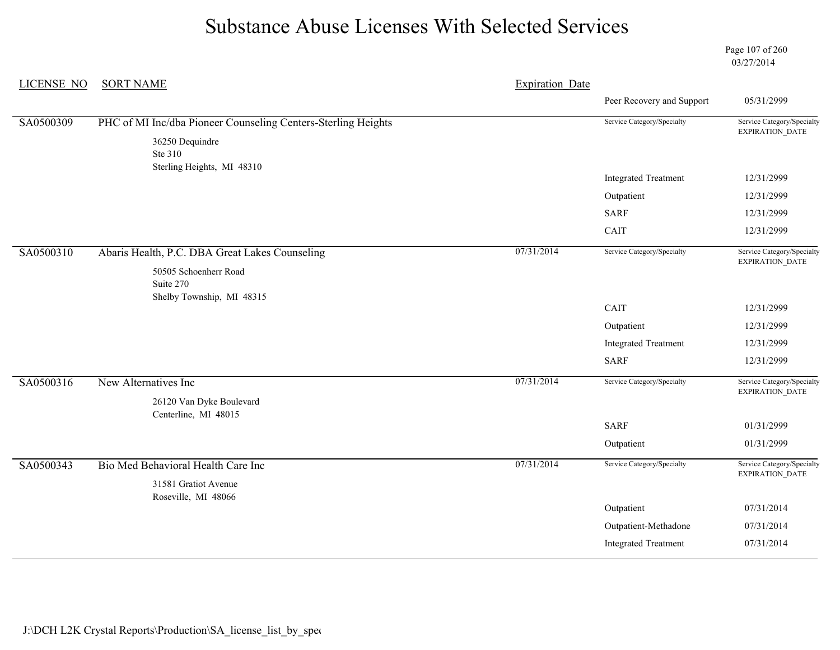Page 107 of 260 03/27/2014

| <b>LICENSE NO</b> | <b>SORT NAME</b>                                                                 | <b>Expiration Date</b> |                             |                                               |
|-------------------|----------------------------------------------------------------------------------|------------------------|-----------------------------|-----------------------------------------------|
|                   |                                                                                  |                        | Peer Recovery and Support   | 05/31/2999                                    |
| SA0500309         | PHC of MI Inc/dba Pioneer Counseling Centers-Sterling Heights<br>36250 Dequindre |                        | Service Category/Specialty  | Service Category/Specialty<br>EXPIRATION_DATE |
|                   | Ste 310                                                                          |                        |                             |                                               |
|                   | Sterling Heights, MI 48310                                                       |                        | <b>Integrated Treatment</b> | 12/31/2999                                    |
|                   |                                                                                  |                        | Outpatient                  | 12/31/2999                                    |
|                   |                                                                                  |                        | <b>SARF</b>                 | 12/31/2999                                    |
|                   |                                                                                  |                        | CAIT                        | 12/31/2999                                    |
| SA0500310         | Abaris Health, P.C. DBA Great Lakes Counseling                                   | 07/31/2014             | Service Category/Specialty  | Service Category/Specialty<br>EXPIRATION_DATE |
|                   | 50505 Schoenherr Road<br>Suite 270                                               |                        |                             |                                               |
|                   | Shelby Township, MI 48315                                                        |                        | CAIT                        | 12/31/2999                                    |
|                   |                                                                                  |                        | Outpatient                  | 12/31/2999                                    |
|                   |                                                                                  |                        | <b>Integrated Treatment</b> | 12/31/2999                                    |
|                   |                                                                                  |                        | <b>SARF</b>                 | 12/31/2999                                    |
| SA0500316         | New Alternatives Inc                                                             | 07/31/2014             | Service Category/Specialty  | Service Category/Specialty<br>EXPIRATION_DATE |
|                   | 26120 Van Dyke Boulevard<br>Centerline, MI 48015                                 |                        |                             |                                               |
|                   |                                                                                  |                        | <b>SARF</b>                 | 01/31/2999                                    |
|                   |                                                                                  |                        | Outpatient                  | 01/31/2999                                    |
| SA0500343         | Bio Med Behavioral Health Care Inc                                               | 07/31/2014             | Service Category/Specialty  | Service Category/Specialty<br>EXPIRATION_DATE |
|                   | 31581 Gratiot Avenue<br>Roseville, MI 48066                                      |                        |                             |                                               |
|                   |                                                                                  |                        | Outpatient                  | 07/31/2014                                    |
|                   |                                                                                  |                        | Outpatient-Methadone        | 07/31/2014                                    |
|                   |                                                                                  |                        | <b>Integrated Treatment</b> | 07/31/2014                                    |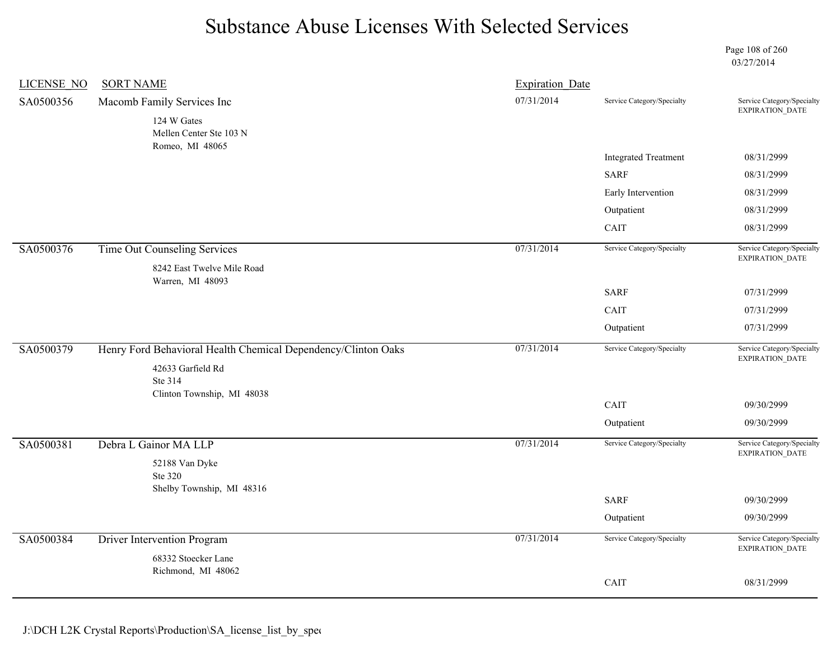Page 108 of 260 03/27/2014

| <b>LICENSE NO</b> | <b>SORT NAME</b>                                                                   | <b>Expiration Date</b> |                             |                                               |
|-------------------|------------------------------------------------------------------------------------|------------------------|-----------------------------|-----------------------------------------------|
| SA0500356         | Macomb Family Services Inc<br>124 W Gates<br>Mellen Center Ste 103 N               | 07/31/2014             | Service Category/Specialty  | Service Category/Specialty<br>EXPIRATION_DATE |
|                   | Romeo, MI 48065                                                                    |                        |                             |                                               |
|                   |                                                                                    |                        | <b>Integrated Treatment</b> | 08/31/2999                                    |
|                   |                                                                                    |                        | <b>SARF</b>                 | 08/31/2999                                    |
|                   |                                                                                    |                        | Early Intervention          | 08/31/2999                                    |
|                   |                                                                                    |                        | Outpatient                  | 08/31/2999                                    |
|                   |                                                                                    |                        | CAIT                        | 08/31/2999                                    |
| SA0500376         | <b>Time Out Counseling Services</b><br>8242 East Twelve Mile Road                  | 07/31/2014             | Service Category/Specialty  | Service Category/Specialty<br>EXPIRATION_DATE |
|                   | Warren, MI 48093                                                                   |                        |                             |                                               |
|                   |                                                                                    |                        | <b>SARF</b>                 | 07/31/2999                                    |
|                   |                                                                                    |                        | CAIT                        | 07/31/2999                                    |
|                   |                                                                                    |                        | Outpatient                  | 07/31/2999                                    |
| SA0500379         | Henry Ford Behavioral Health Chemical Dependency/Clinton Oaks<br>42633 Garfield Rd | 07/31/2014             | Service Category/Specialty  | Service Category/Specialty<br>EXPIRATION_DATE |
|                   | Ste 314                                                                            |                        |                             |                                               |
|                   | Clinton Township, MI 48038                                                         |                        | CAIT                        | 09/30/2999                                    |
|                   |                                                                                    |                        | Outpatient                  | 09/30/2999                                    |
| SA0500381         | Debra L Gainor MA LLP                                                              | 07/31/2014             | Service Category/Specialty  | Service Category/Specialty<br>EXPIRATION_DATE |
|                   | 52188 Van Dyke<br>Ste 320                                                          |                        |                             |                                               |
|                   | Shelby Township, MI 48316                                                          |                        | <b>SARF</b>                 | 09/30/2999                                    |
|                   |                                                                                    |                        | Outpatient                  | 09/30/2999                                    |
| SA0500384         | Driver Intervention Program                                                        | 07/31/2014             | Service Category/Specialty  | Service Category/Specialty<br>EXPIRATION_DATE |
|                   | 68332 Stoecker Lane<br>Richmond, MI 48062                                          |                        |                             |                                               |
|                   |                                                                                    |                        | CAIT                        | 08/31/2999                                    |
|                   |                                                                                    |                        |                             |                                               |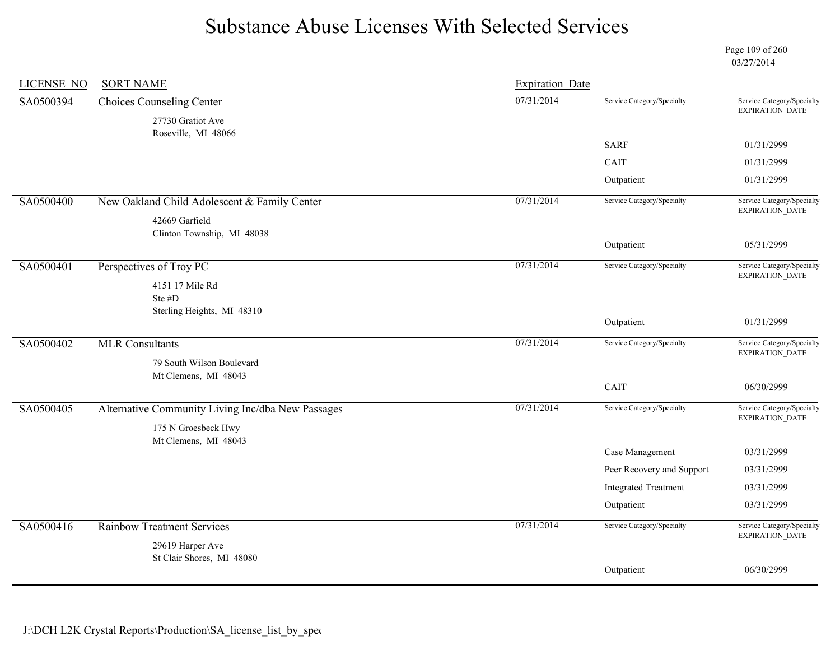Page 109 of 260 03/27/2014

| <b>LICENSE NO</b> | <b>SORT NAME</b>                                  | <b>Expiration Date</b> |                             |                                                      |
|-------------------|---------------------------------------------------|------------------------|-----------------------------|------------------------------------------------------|
| SA0500394         | Choices Counseling Center                         | 07/31/2014             | Service Category/Specialty  | Service Category/Specialty<br><b>EXPIRATION DATE</b> |
|                   | 27730 Gratiot Ave                                 |                        |                             |                                                      |
|                   | Roseville, MI 48066                               |                        | <b>SARF</b>                 | 01/31/2999                                           |
|                   |                                                   |                        | CAIT                        | 01/31/2999                                           |
|                   |                                                   |                        |                             | 01/31/2999                                           |
|                   |                                                   |                        | Outpatient                  |                                                      |
| SA0500400         | New Oakland Child Adolescent & Family Center      | 07/31/2014             | Service Category/Specialty  | Service Category/Specialty<br>EXPIRATION_DATE        |
|                   | 42669 Garfield                                    |                        |                             |                                                      |
|                   | Clinton Township, MI 48038                        |                        | Outpatient                  | 05/31/2999                                           |
|                   |                                                   |                        |                             |                                                      |
| SA0500401         | Perspectives of Troy PC                           | 07/31/2014             | Service Category/Specialty  | Service Category/Specialty<br><b>EXPIRATION DATE</b> |
|                   | 4151 17 Mile Rd<br>Ste #D                         |                        |                             |                                                      |
|                   | Sterling Heights, MI 48310                        |                        |                             |                                                      |
|                   |                                                   |                        | Outpatient                  | 01/31/2999                                           |
| SA0500402         | <b>MLR Consultants</b>                            | 07/31/2014             | Service Category/Specialty  | Service Category/Specialty                           |
|                   | 79 South Wilson Boulevard                         |                        |                             | <b>EXPIRATION DATE</b>                               |
|                   | Mt Clemens, MI 48043                              |                        |                             |                                                      |
|                   |                                                   |                        | CAIT                        | 06/30/2999                                           |
| SA0500405         | Alternative Community Living Inc/dba New Passages | 07/31/2014             | Service Category/Specialty  | Service Category/Specialty<br>EXPIRATION_DATE        |
|                   | 175 N Groesbeck Hwy                               |                        |                             |                                                      |
|                   | Mt Clemens, MI 48043                              |                        | Case Management             | 03/31/2999                                           |
|                   |                                                   |                        | Peer Recovery and Support   | 03/31/2999                                           |
|                   |                                                   |                        | <b>Integrated Treatment</b> | 03/31/2999                                           |
|                   |                                                   |                        | Outpatient                  | 03/31/2999                                           |
|                   |                                                   |                        |                             |                                                      |
| SA0500416         | <b>Rainbow Treatment Services</b>                 | 07/31/2014             | Service Category/Specialty  | Service Category/Specialty<br><b>EXPIRATION DATE</b> |
|                   | 29619 Harper Ave<br>St Clair Shores, MI 48080     |                        |                             |                                                      |
|                   |                                                   |                        | Outpatient                  | 06/30/2999                                           |
|                   |                                                   |                        |                             |                                                      |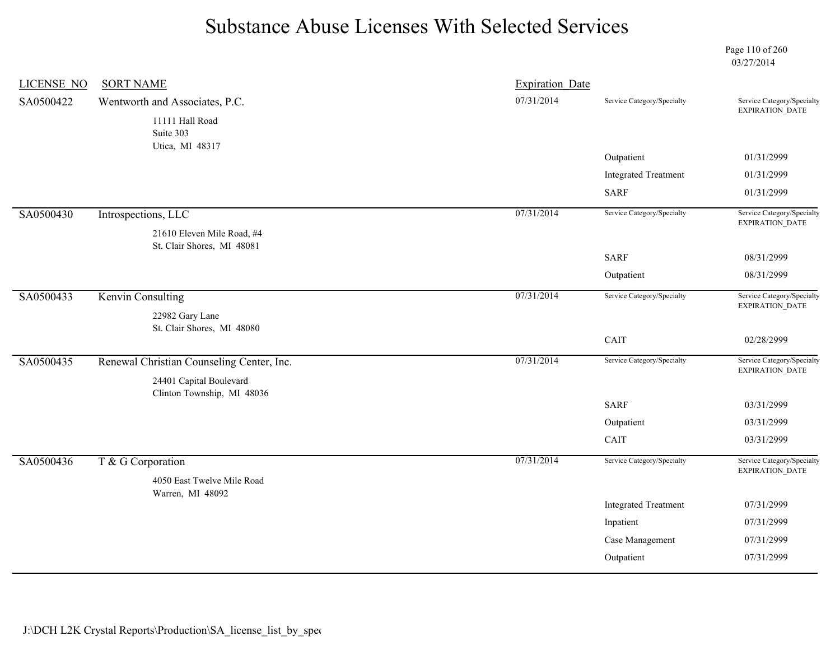Page 110 of 260 03/27/2014

| <b>LICENSE NO</b> | <b>SORT NAME</b>                          | <b>Expiration Date</b> |                             |                                                      |
|-------------------|-------------------------------------------|------------------------|-----------------------------|------------------------------------------------------|
| SA0500422         | Wentworth and Associates, P.C.            | 07/31/2014             | Service Category/Specialty  | Service Category/Specialty<br>EXPIRATION_DATE        |
|                   | 11111 Hall Road                           |                        |                             |                                                      |
|                   | Suite 303<br>Utica, MI 48317              |                        |                             |                                                      |
|                   |                                           |                        | Outpatient                  | 01/31/2999                                           |
|                   |                                           |                        | <b>Integrated Treatment</b> | 01/31/2999                                           |
|                   |                                           |                        | <b>SARF</b>                 | 01/31/2999                                           |
| SA0500430         | Introspections, LLC                       | 07/31/2014             | Service Category/Specialty  | Service Category/Specialty<br>EXPIRATION_DATE        |
|                   | 21610 Eleven Mile Road, #4                |                        |                             |                                                      |
|                   | St. Clair Shores, MI 48081                |                        | <b>SARF</b>                 | 08/31/2999                                           |
|                   |                                           |                        | Outpatient                  | 08/31/2999                                           |
| SA0500433         | <b>Kenvin Consulting</b>                  | 07/31/2014             | Service Category/Specialty  | Service Category/Specialty<br><b>EXPIRATION DATE</b> |
|                   | 22982 Gary Lane                           |                        |                             |                                                      |
|                   | St. Clair Shores, MI 48080                |                        | CAIT                        | 02/28/2999                                           |
| SA0500435         | Renewal Christian Counseling Center, Inc. | 07/31/2014             | Service Category/Specialty  | Service Category/Specialty                           |
|                   | 24401 Capital Boulevard                   |                        |                             | EXPIRATION_DATE                                      |
|                   | Clinton Township, MI 48036                |                        |                             |                                                      |
|                   |                                           |                        | <b>SARF</b>                 | 03/31/2999                                           |
|                   |                                           |                        | Outpatient                  | 03/31/2999                                           |
|                   |                                           |                        | CAIT                        | 03/31/2999                                           |
| SA0500436         | T & G Corporation                         | 07/31/2014             | Service Category/Specialty  | Service Category/Specialty<br>EXPIRATION_DATE        |
|                   | 4050 East Twelve Mile Road                |                        |                             |                                                      |
|                   | Warren, MI 48092                          |                        | <b>Integrated Treatment</b> | 07/31/2999                                           |
|                   |                                           |                        | Inpatient                   | 07/31/2999                                           |
|                   |                                           |                        | Case Management             | 07/31/2999                                           |
|                   |                                           |                        |                             |                                                      |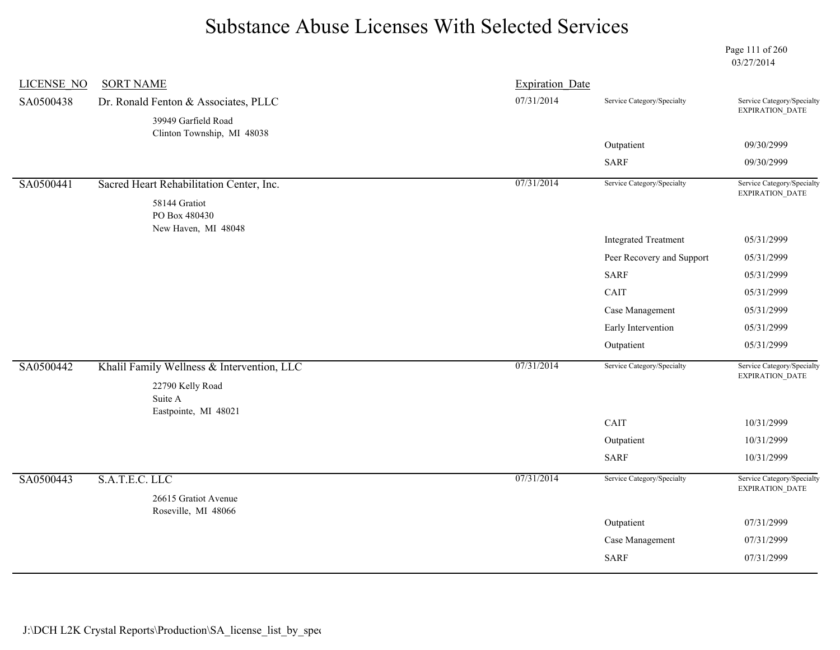Page 111 of 260 03/27/2014

| 07/31/2014<br>Dr. Ronald Fenton & Associates, PLLC<br>Service Category/Specialty<br>EXPIRATION_DATE<br>39949 Garfield Road<br>Clinton Township, MI 48038<br>Outpatient<br>09/30/2999<br><b>SARF</b><br>09/30/2999<br>07/31/2014<br>Service Category/Specialty<br>Service Category/Specialty<br>SA0500441<br>Sacred Heart Rehabilitation Center, Inc.<br>EXPIRATION_DATE<br>58144 Gratiot<br>PO Box 480430<br>New Haven, MI 48048<br><b>Integrated Treatment</b><br>05/31/2999<br>05/31/2999<br>Peer Recovery and Support<br><b>SARF</b><br>05/31/2999<br>CAIT<br>05/31/2999<br>Case Management<br>05/31/2999<br>Early Intervention<br>05/31/2999<br>Outpatient<br>05/31/2999<br>07/31/2014<br>Khalil Family Wellness & Intervention, LLC<br>Service Category/Specialty<br>EXPIRATION_DATE<br>22790 Kelly Road<br>Suite A<br>Eastpointe, MI 48021<br>CAIT<br>10/31/2999<br>10/31/2999<br>Outpatient<br>SARF<br>10/31/2999<br>S.A.T.E.C. LLC<br>07/31/2014<br>Service Category/Specialty<br>Service Category/Specialty<br>EXPIRATION_DATE<br>26615 Gratiot Avenue<br>Roseville, MI 48066<br>Outpatient<br>07/31/2999<br>Case Management<br>07/31/2999<br><b>SARF</b><br>07/31/2999 | <b>LICENSE NO</b> | <b>SORT NAME</b> | <b>Expiration Date</b> |                            |
|----------------------------------------------------------------------------------------------------------------------------------------------------------------------------------------------------------------------------------------------------------------------------------------------------------------------------------------------------------------------------------------------------------------------------------------------------------------------------------------------------------------------------------------------------------------------------------------------------------------------------------------------------------------------------------------------------------------------------------------------------------------------------------------------------------------------------------------------------------------------------------------------------------------------------------------------------------------------------------------------------------------------------------------------------------------------------------------------------------------------------------------------------------------------------------|-------------------|------------------|------------------------|----------------------------|
|                                                                                                                                                                                                                                                                                                                                                                                                                                                                                                                                                                                                                                                                                                                                                                                                                                                                                                                                                                                                                                                                                                                                                                                  | SA0500438         |                  |                        | Service Category/Specialty |
|                                                                                                                                                                                                                                                                                                                                                                                                                                                                                                                                                                                                                                                                                                                                                                                                                                                                                                                                                                                                                                                                                                                                                                                  |                   |                  |                        |                            |
|                                                                                                                                                                                                                                                                                                                                                                                                                                                                                                                                                                                                                                                                                                                                                                                                                                                                                                                                                                                                                                                                                                                                                                                  |                   |                  |                        |                            |
|                                                                                                                                                                                                                                                                                                                                                                                                                                                                                                                                                                                                                                                                                                                                                                                                                                                                                                                                                                                                                                                                                                                                                                                  |                   |                  |                        |                            |
|                                                                                                                                                                                                                                                                                                                                                                                                                                                                                                                                                                                                                                                                                                                                                                                                                                                                                                                                                                                                                                                                                                                                                                                  |                   |                  |                        |                            |
|                                                                                                                                                                                                                                                                                                                                                                                                                                                                                                                                                                                                                                                                                                                                                                                                                                                                                                                                                                                                                                                                                                                                                                                  |                   |                  |                        |                            |
|                                                                                                                                                                                                                                                                                                                                                                                                                                                                                                                                                                                                                                                                                                                                                                                                                                                                                                                                                                                                                                                                                                                                                                                  |                   |                  |                        |                            |
|                                                                                                                                                                                                                                                                                                                                                                                                                                                                                                                                                                                                                                                                                                                                                                                                                                                                                                                                                                                                                                                                                                                                                                                  |                   |                  |                        |                            |
|                                                                                                                                                                                                                                                                                                                                                                                                                                                                                                                                                                                                                                                                                                                                                                                                                                                                                                                                                                                                                                                                                                                                                                                  |                   |                  |                        |                            |
|                                                                                                                                                                                                                                                                                                                                                                                                                                                                                                                                                                                                                                                                                                                                                                                                                                                                                                                                                                                                                                                                                                                                                                                  |                   |                  |                        |                            |
|                                                                                                                                                                                                                                                                                                                                                                                                                                                                                                                                                                                                                                                                                                                                                                                                                                                                                                                                                                                                                                                                                                                                                                                  |                   |                  |                        |                            |
|                                                                                                                                                                                                                                                                                                                                                                                                                                                                                                                                                                                                                                                                                                                                                                                                                                                                                                                                                                                                                                                                                                                                                                                  |                   |                  |                        |                            |
|                                                                                                                                                                                                                                                                                                                                                                                                                                                                                                                                                                                                                                                                                                                                                                                                                                                                                                                                                                                                                                                                                                                                                                                  |                   |                  |                        |                            |
|                                                                                                                                                                                                                                                                                                                                                                                                                                                                                                                                                                                                                                                                                                                                                                                                                                                                                                                                                                                                                                                                                                                                                                                  |                   |                  |                        |                            |
|                                                                                                                                                                                                                                                                                                                                                                                                                                                                                                                                                                                                                                                                                                                                                                                                                                                                                                                                                                                                                                                                                                                                                                                  | SA0500442         |                  |                        | Service Category/Specialty |
|                                                                                                                                                                                                                                                                                                                                                                                                                                                                                                                                                                                                                                                                                                                                                                                                                                                                                                                                                                                                                                                                                                                                                                                  |                   |                  |                        |                            |
|                                                                                                                                                                                                                                                                                                                                                                                                                                                                                                                                                                                                                                                                                                                                                                                                                                                                                                                                                                                                                                                                                                                                                                                  |                   |                  |                        |                            |
|                                                                                                                                                                                                                                                                                                                                                                                                                                                                                                                                                                                                                                                                                                                                                                                                                                                                                                                                                                                                                                                                                                                                                                                  |                   |                  |                        |                            |
|                                                                                                                                                                                                                                                                                                                                                                                                                                                                                                                                                                                                                                                                                                                                                                                                                                                                                                                                                                                                                                                                                                                                                                                  |                   |                  |                        |                            |
|                                                                                                                                                                                                                                                                                                                                                                                                                                                                                                                                                                                                                                                                                                                                                                                                                                                                                                                                                                                                                                                                                                                                                                                  | SA0500443         |                  |                        |                            |
|                                                                                                                                                                                                                                                                                                                                                                                                                                                                                                                                                                                                                                                                                                                                                                                                                                                                                                                                                                                                                                                                                                                                                                                  |                   |                  |                        |                            |
|                                                                                                                                                                                                                                                                                                                                                                                                                                                                                                                                                                                                                                                                                                                                                                                                                                                                                                                                                                                                                                                                                                                                                                                  |                   |                  |                        |                            |
|                                                                                                                                                                                                                                                                                                                                                                                                                                                                                                                                                                                                                                                                                                                                                                                                                                                                                                                                                                                                                                                                                                                                                                                  |                   |                  |                        |                            |
|                                                                                                                                                                                                                                                                                                                                                                                                                                                                                                                                                                                                                                                                                                                                                                                                                                                                                                                                                                                                                                                                                                                                                                                  |                   |                  |                        |                            |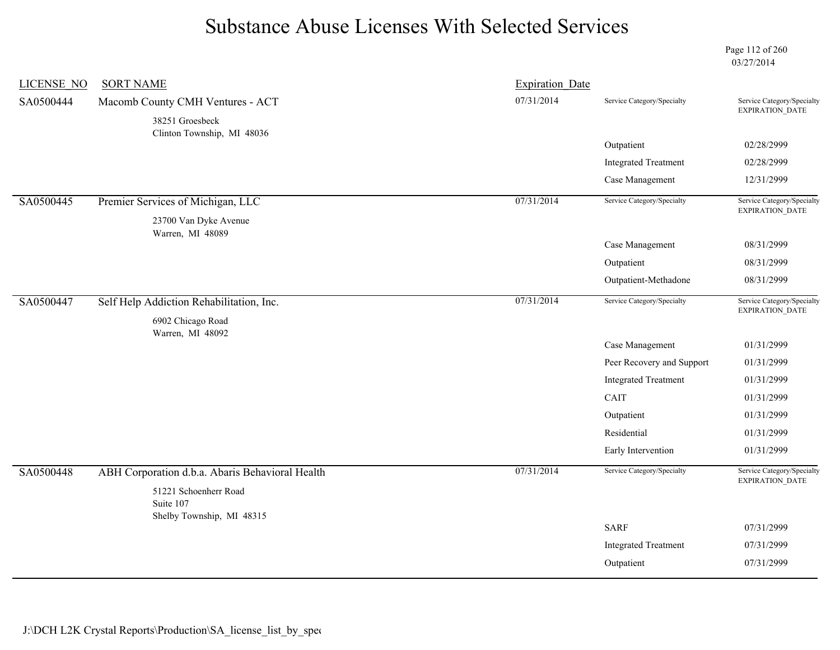Page 112 of 260 03/27/2014

| <b>LICENSE NO</b> | <b>SORT NAME</b>                                                | <b>Expiration Date</b> |                             |                                               |
|-------------------|-----------------------------------------------------------------|------------------------|-----------------------------|-----------------------------------------------|
| SA0500444         | Macomb County CMH Ventures - ACT                                | 07/31/2014             | Service Category/Specialty  | Service Category/Specialty<br>EXPIRATION_DATE |
|                   | 38251 Groesbeck                                                 |                        |                             |                                               |
|                   | Clinton Township, MI 48036                                      |                        | Outpatient                  | 02/28/2999                                    |
|                   |                                                                 |                        | <b>Integrated Treatment</b> | 02/28/2999                                    |
|                   |                                                                 |                        | Case Management             | 12/31/2999                                    |
|                   |                                                                 |                        |                             |                                               |
| SA0500445         | Premier Services of Michigan, LLC                               | 07/31/2014             | Service Category/Specialty  | Service Category/Specialty<br>EXPIRATION_DATE |
|                   | 23700 Van Dyke Avenue<br>Warren, MI 48089                       |                        |                             |                                               |
|                   |                                                                 |                        | Case Management             | 08/31/2999                                    |
|                   |                                                                 |                        | Outpatient                  | 08/31/2999                                    |
|                   |                                                                 |                        | Outpatient-Methadone        | 08/31/2999                                    |
| SA0500447         | Self Help Addiction Rehabilitation, Inc.                        | 07/31/2014             | Service Category/Specialty  | Service Category/Specialty                    |
|                   | 6902 Chicago Road                                               |                        |                             | EXPIRATION_DATE                               |
|                   | Warren, MI 48092                                                |                        |                             |                                               |
|                   |                                                                 |                        | Case Management             | 01/31/2999                                    |
|                   |                                                                 |                        | Peer Recovery and Support   | 01/31/2999                                    |
|                   |                                                                 |                        | <b>Integrated Treatment</b> | 01/31/2999                                    |
|                   |                                                                 |                        | CAIT                        | 01/31/2999                                    |
|                   |                                                                 |                        | Outpatient                  | 01/31/2999                                    |
|                   |                                                                 |                        | Residential                 | 01/31/2999                                    |
|                   |                                                                 |                        | Early Intervention          | 01/31/2999                                    |
| SA0500448         | ABH Corporation d.b.a. Abaris Behavioral Health                 | 07/31/2014             | Service Category/Specialty  | Service Category/Specialty                    |
|                   | 51221 Schoenherr Road<br>Suite 107<br>Shelby Township, MI 48315 |                        |                             | EXPIRATION_DATE                               |
|                   |                                                                 |                        | <b>SARF</b>                 | 07/31/2999                                    |
|                   |                                                                 |                        | <b>Integrated Treatment</b> | 07/31/2999                                    |
|                   |                                                                 |                        | Outpatient                  | 07/31/2999                                    |
|                   |                                                                 |                        |                             |                                               |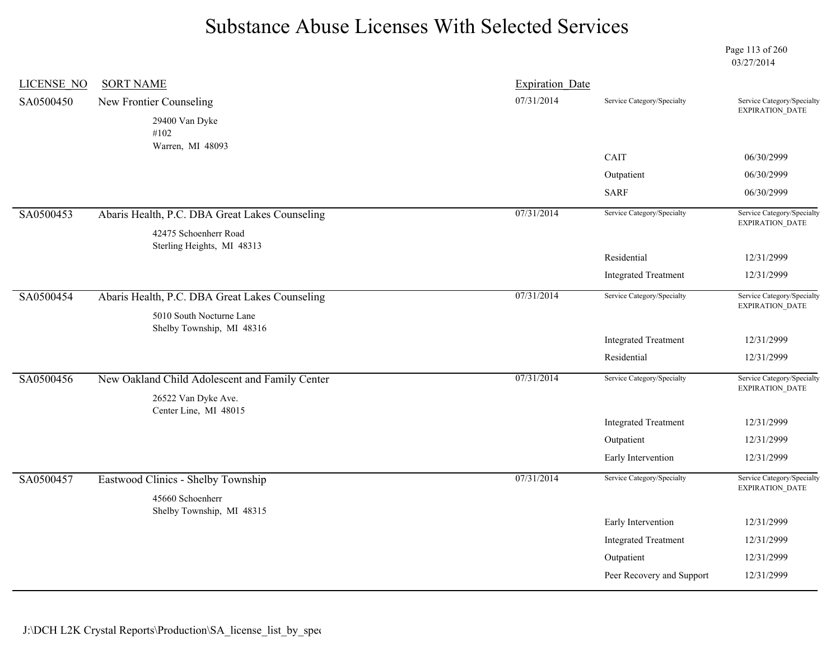Page 113 of 260 03/27/2014

| <b>LICENSE NO</b> | <b>SORT NAME</b>                                      | <b>Expiration Date</b> |                                         |                                                      |
|-------------------|-------------------------------------------------------|------------------------|-----------------------------------------|------------------------------------------------------|
| SA0500450         | New Frontier Counseling                               | 07/31/2014             | Service Category/Specialty              | Service Category/Specialty<br><b>EXPIRATION DATE</b> |
|                   | 29400 Van Dyke                                        |                        |                                         |                                                      |
|                   | #102<br>Warren, MI 48093                              |                        |                                         |                                                      |
|                   |                                                       |                        | CAIT                                    | 06/30/2999                                           |
|                   |                                                       |                        | Outpatient                              | 06/30/2999                                           |
|                   |                                                       |                        | <b>SARF</b>                             | 06/30/2999                                           |
| SA0500453         | Abaris Health, P.C. DBA Great Lakes Counseling        | 07/31/2014             | Service Category/Specialty              | Service Category/Specialty<br><b>EXPIRATION DATE</b> |
|                   | 42475 Schoenherr Road<br>Sterling Heights, MI 48313   |                        |                                         |                                                      |
|                   |                                                       |                        | Residential                             | 12/31/2999                                           |
|                   |                                                       |                        | <b>Integrated Treatment</b>             | 12/31/2999                                           |
| SA0500454         | Abaris Health, P.C. DBA Great Lakes Counseling        | 07/31/2014             | Service Category/Specialty              | Service Category/Specialty<br>EXPIRATION_DATE        |
|                   | 5010 South Nocturne Lane<br>Shelby Township, MI 48316 |                        |                                         |                                                      |
|                   |                                                       |                        | <b>Integrated Treatment</b>             | 12/31/2999                                           |
|                   |                                                       |                        | Residential                             | 12/31/2999                                           |
| SA0500456         | New Oakland Child Adolescent and Family Center        | 07/31/2014             | Service Category/Specialty              | Service Category/Specialty<br>EXPIRATION_DATE        |
|                   | 26522 Van Dyke Ave.                                   |                        |                                         |                                                      |
|                   | Center Line, MI 48015                                 |                        | <b>Integrated Treatment</b>             | 12/31/2999                                           |
|                   |                                                       |                        |                                         |                                                      |
|                   |                                                       |                        | Outpatient                              | 12/31/2999                                           |
|                   |                                                       |                        | Early Intervention                      | 12/31/2999                                           |
| SA0500457         | Eastwood Clinics - Shelby Township                    | 07/31/2014             | Service Category/Specialty              | Service Category/Specialty                           |
|                   | 45660 Schoenherr                                      |                        |                                         | <b>EXPIRATION DATE</b>                               |
|                   | Shelby Township, MI 48315                             |                        |                                         |                                                      |
|                   |                                                       |                        | Early Intervention                      | 12/31/2999                                           |
|                   |                                                       |                        | <b>Integrated Treatment</b>             | 12/31/2999                                           |
|                   |                                                       |                        | Outpatient<br>Peer Recovery and Support | 12/31/2999<br>12/31/2999                             |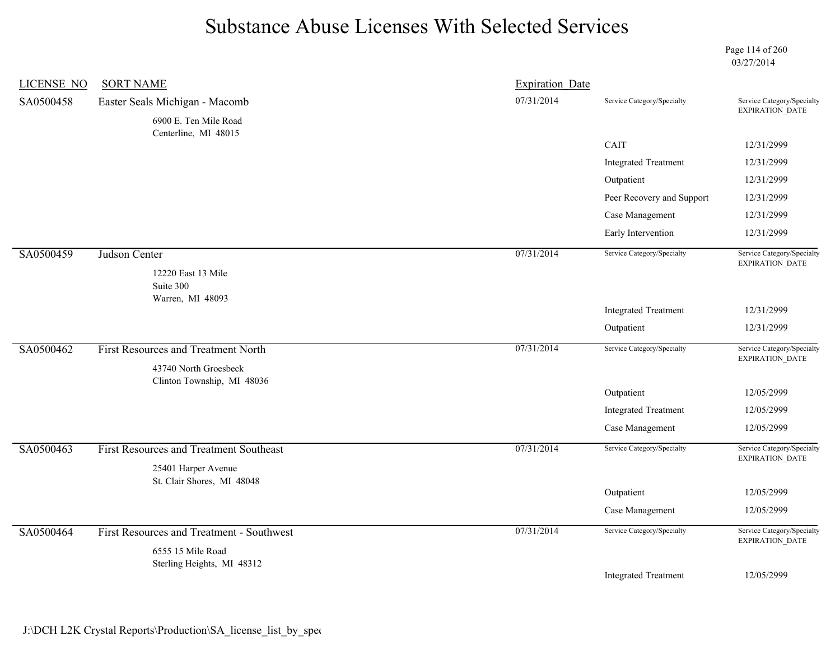Page 114 of 260 03/27/2014

| LICENSE NO | <b>SORT NAME</b>                                  | <b>Expiration Date</b> |                             |                                                      |
|------------|---------------------------------------------------|------------------------|-----------------------------|------------------------------------------------------|
| SA0500458  | Easter Seals Michigan - Macomb                    | 07/31/2014             | Service Category/Specialty  | Service Category/Specialty<br>EXPIRATION_DATE        |
|            | 6900 E. Ten Mile Road<br>Centerline, MI 48015     |                        |                             |                                                      |
|            |                                                   |                        | CAIT                        | 12/31/2999                                           |
|            |                                                   |                        | <b>Integrated Treatment</b> | 12/31/2999                                           |
|            |                                                   |                        | Outpatient                  | 12/31/2999                                           |
|            |                                                   |                        | Peer Recovery and Support   | 12/31/2999                                           |
|            |                                                   |                        | Case Management             | 12/31/2999                                           |
|            |                                                   |                        | Early Intervention          | 12/31/2999                                           |
| SA0500459  | Judson Center<br>12220 East 13 Mile               | 07/31/2014             | Service Category/Specialty  | Service Category/Specialty<br>EXPIRATION_DATE        |
|            | Suite 300                                         |                        |                             |                                                      |
|            | Warren, MI 48093                                  |                        |                             |                                                      |
|            |                                                   |                        | <b>Integrated Treatment</b> | 12/31/2999                                           |
|            |                                                   |                        | Outpatient                  | 12/31/2999                                           |
| SA0500462  | <b>First Resources and Treatment North</b>        | 07/31/2014             | Service Category/Specialty  | Service Category/Specialty<br><b>EXPIRATION DATE</b> |
|            | 43740 North Groesbeck                             |                        |                             |                                                      |
|            | Clinton Township, MI 48036                        |                        | Outpatient                  | 12/05/2999                                           |
|            |                                                   |                        | <b>Integrated Treatment</b> | 12/05/2999                                           |
|            |                                                   |                        | Case Management             | 12/05/2999                                           |
| SA0500463  | First Resources and Treatment Southeast           | 07/31/2014             | Service Category/Specialty  | Service Category/Specialty                           |
|            | 25401 Harper Avenue<br>St. Clair Shores, MI 48048 |                        |                             | <b>EXPIRATION DATE</b>                               |
|            |                                                   |                        | Outpatient                  | 12/05/2999                                           |
|            |                                                   |                        | Case Management             | 12/05/2999                                           |
| SA0500464  | First Resources and Treatment - Southwest         | 07/31/2014             | Service Category/Specialty  | Service Category/Specialty<br><b>EXPIRATION DATE</b> |
|            | 6555 15 Mile Road                                 |                        |                             |                                                      |
|            | Sterling Heights, MI 48312                        |                        | <b>Integrated Treatment</b> | 12/05/2999                                           |
|            |                                                   |                        |                             |                                                      |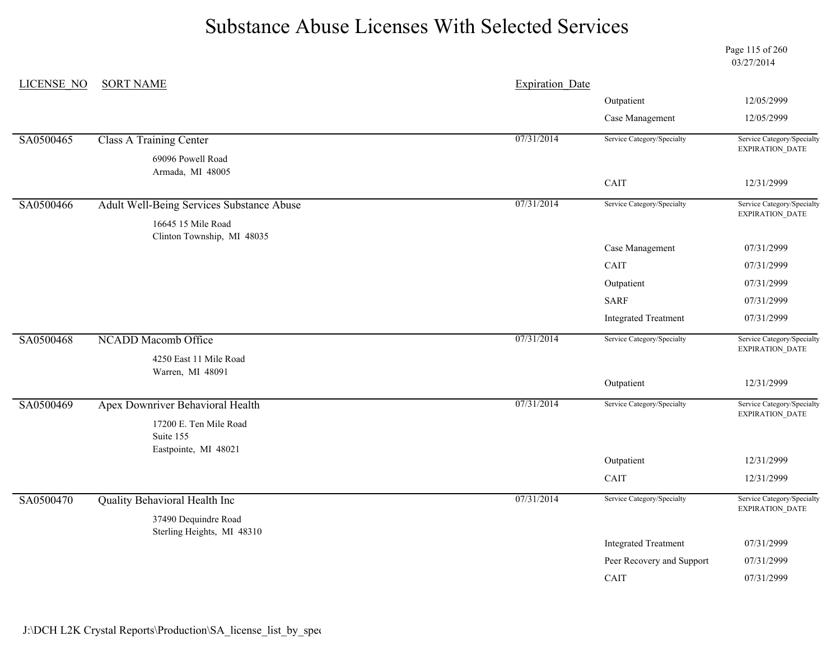Page 115 of 260 03/27/2014

| <b>LICENSE NO</b> | <b>SORT NAME</b>                                   |            | <b>Expiration Date</b>      |                                                      |  |
|-------------------|----------------------------------------------------|------------|-----------------------------|------------------------------------------------------|--|
|                   |                                                    |            | Outpatient                  | 12/05/2999                                           |  |
|                   |                                                    |            | Case Management             | 12/05/2999                                           |  |
| SA0500465         | <b>Class A Training Center</b>                     | 07/31/2014 | Service Category/Specialty  | Service Category/Specialty<br>EXPIRATION_DATE        |  |
|                   | 69096 Powell Road<br>Armada, MI 48005              |            |                             |                                                      |  |
|                   |                                                    |            | CAIT                        | 12/31/2999                                           |  |
| SA0500466         | Adult Well-Being Services Substance Abuse          | 07/31/2014 | Service Category/Specialty  | Service Category/Specialty<br><b>EXPIRATION DATE</b> |  |
|                   | 16645 15 Mile Road                                 |            |                             |                                                      |  |
|                   | Clinton Township, MI 48035                         |            | Case Management             | 07/31/2999                                           |  |
|                   |                                                    |            | CAIT                        | 07/31/2999                                           |  |
|                   |                                                    |            | Outpatient                  | 07/31/2999                                           |  |
|                   |                                                    |            | <b>SARF</b>                 | 07/31/2999                                           |  |
|                   |                                                    |            | <b>Integrated Treatment</b> | 07/31/2999                                           |  |
| SA0500468         | <b>NCADD Macomb Office</b>                         | 07/31/2014 | Service Category/Specialty  | Service Category/Specialty<br>EXPIRATION_DATE        |  |
|                   | 4250 East 11 Mile Road<br>Warren, MI 48091         |            |                             |                                                      |  |
|                   |                                                    |            | Outpatient                  | 12/31/2999                                           |  |
| SA0500469         | Apex Downriver Behavioral Health                   | 07/31/2014 | Service Category/Specialty  | Service Category/Specialty<br><b>EXPIRATION DATE</b> |  |
|                   | 17200 E. Ten Mile Road                             |            |                             |                                                      |  |
|                   | Suite 155<br>Eastpointe, MI 48021                  |            |                             |                                                      |  |
|                   |                                                    |            | Outpatient                  | 12/31/2999                                           |  |
|                   |                                                    |            | CAIT                        | 12/31/2999                                           |  |
| SA0500470         | Quality Behavioral Health Inc                      | 07/31/2014 | Service Category/Specialty  | Service Category/Specialty<br>EXPIRATION_DATE        |  |
|                   | 37490 Dequindre Road<br>Sterling Heights, MI 48310 |            |                             |                                                      |  |
|                   |                                                    |            | <b>Integrated Treatment</b> | 07/31/2999                                           |  |
|                   |                                                    |            | Peer Recovery and Support   | 07/31/2999                                           |  |
|                   |                                                    |            | CAIT                        | 07/31/2999                                           |  |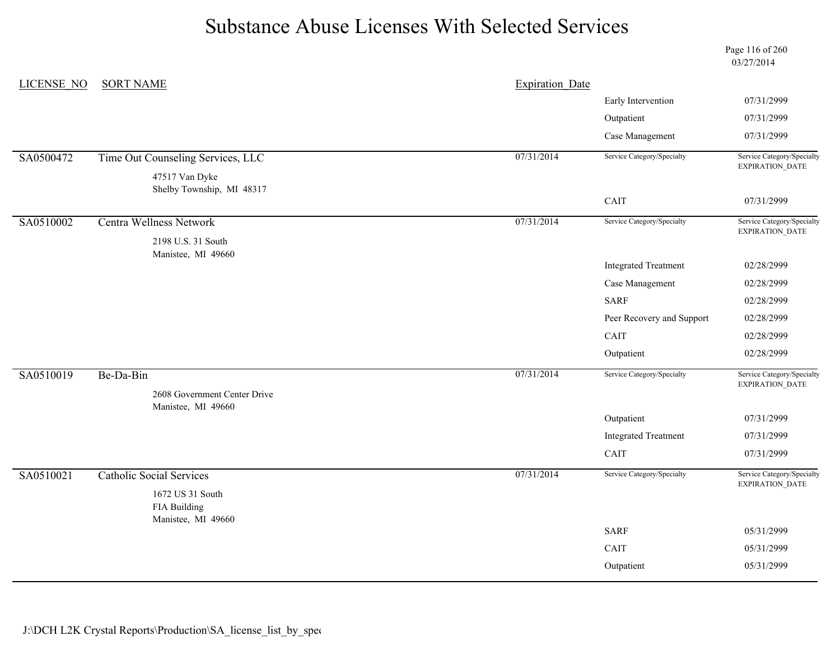Page 116 of 260 03/27/2014

| 07/31/2999<br>Early Intervention<br>Outpatient<br>07/31/2999<br>Case Management<br>07/31/2999<br>07/31/2014<br>Time Out Counseling Services, LLC<br>Service Category/Specialty<br>SA0500472<br>EXPIRATION_DATE<br>47517 Van Dyke<br>Shelby Township, MI 48317<br>CAIT<br>07/31/2999<br>07/31/2014<br>SA0510002<br><b>Centra Wellness Network</b><br>Service Category/Specialty<br>EXPIRATION_DATE<br>2198 U.S. 31 South<br>Manistee, MI 49660<br><b>Integrated Treatment</b><br>02/28/2999<br>Case Management<br>02/28/2999<br><b>SARF</b><br>02/28/2999<br>Peer Recovery and Support<br>02/28/2999<br>CAIT<br>02/28/2999<br>02/28/2999<br>Outpatient<br>07/31/2014<br>Service Category/Specialty<br>Service Category/Specialty<br>SA0510019<br>Be-Da-Bin<br>EXPIRATION_DATE<br>2608 Government Center Drive<br>Manistee, MI 49660<br>Outpatient<br>07/31/2999<br><b>Integrated Treatment</b><br>07/31/2999<br>CAIT<br>07/31/2999<br>07/31/2014<br>Service Category/Specialty<br>SA0510021<br><b>Catholic Social Services</b><br>Service Category/Specialty<br>EXPIRATION_DATE<br>1672 US 31 South<br>FIA Building<br>Manistee, MI 49660<br><b>SARF</b><br>05/31/2999<br>CAIT<br>05/31/2999<br>Outpatient<br>05/31/2999 | <b>LICENSE NO</b> | <b>SORT NAME</b> | <b>Expiration Date</b> |                            |
|-------------------------------------------------------------------------------------------------------------------------------------------------------------------------------------------------------------------------------------------------------------------------------------------------------------------------------------------------------------------------------------------------------------------------------------------------------------------------------------------------------------------------------------------------------------------------------------------------------------------------------------------------------------------------------------------------------------------------------------------------------------------------------------------------------------------------------------------------------------------------------------------------------------------------------------------------------------------------------------------------------------------------------------------------------------------------------------------------------------------------------------------------------------------------------------------------------------------------|-------------------|------------------|------------------------|----------------------------|
|                                                                                                                                                                                                                                                                                                                                                                                                                                                                                                                                                                                                                                                                                                                                                                                                                                                                                                                                                                                                                                                                                                                                                                                                                         |                   |                  |                        |                            |
|                                                                                                                                                                                                                                                                                                                                                                                                                                                                                                                                                                                                                                                                                                                                                                                                                                                                                                                                                                                                                                                                                                                                                                                                                         |                   |                  |                        |                            |
|                                                                                                                                                                                                                                                                                                                                                                                                                                                                                                                                                                                                                                                                                                                                                                                                                                                                                                                                                                                                                                                                                                                                                                                                                         |                   |                  |                        |                            |
|                                                                                                                                                                                                                                                                                                                                                                                                                                                                                                                                                                                                                                                                                                                                                                                                                                                                                                                                                                                                                                                                                                                                                                                                                         |                   |                  |                        | Service Category/Specialty |
|                                                                                                                                                                                                                                                                                                                                                                                                                                                                                                                                                                                                                                                                                                                                                                                                                                                                                                                                                                                                                                                                                                                                                                                                                         |                   |                  |                        |                            |
|                                                                                                                                                                                                                                                                                                                                                                                                                                                                                                                                                                                                                                                                                                                                                                                                                                                                                                                                                                                                                                                                                                                                                                                                                         |                   |                  |                        |                            |
|                                                                                                                                                                                                                                                                                                                                                                                                                                                                                                                                                                                                                                                                                                                                                                                                                                                                                                                                                                                                                                                                                                                                                                                                                         |                   |                  |                        | Service Category/Specialty |
|                                                                                                                                                                                                                                                                                                                                                                                                                                                                                                                                                                                                                                                                                                                                                                                                                                                                                                                                                                                                                                                                                                                                                                                                                         |                   |                  |                        |                            |
|                                                                                                                                                                                                                                                                                                                                                                                                                                                                                                                                                                                                                                                                                                                                                                                                                                                                                                                                                                                                                                                                                                                                                                                                                         |                   |                  |                        |                            |
|                                                                                                                                                                                                                                                                                                                                                                                                                                                                                                                                                                                                                                                                                                                                                                                                                                                                                                                                                                                                                                                                                                                                                                                                                         |                   |                  |                        |                            |
|                                                                                                                                                                                                                                                                                                                                                                                                                                                                                                                                                                                                                                                                                                                                                                                                                                                                                                                                                                                                                                                                                                                                                                                                                         |                   |                  |                        |                            |
|                                                                                                                                                                                                                                                                                                                                                                                                                                                                                                                                                                                                                                                                                                                                                                                                                                                                                                                                                                                                                                                                                                                                                                                                                         |                   |                  |                        |                            |
|                                                                                                                                                                                                                                                                                                                                                                                                                                                                                                                                                                                                                                                                                                                                                                                                                                                                                                                                                                                                                                                                                                                                                                                                                         |                   |                  |                        |                            |
|                                                                                                                                                                                                                                                                                                                                                                                                                                                                                                                                                                                                                                                                                                                                                                                                                                                                                                                                                                                                                                                                                                                                                                                                                         |                   |                  |                        |                            |
|                                                                                                                                                                                                                                                                                                                                                                                                                                                                                                                                                                                                                                                                                                                                                                                                                                                                                                                                                                                                                                                                                                                                                                                                                         |                   |                  |                        |                            |
|                                                                                                                                                                                                                                                                                                                                                                                                                                                                                                                                                                                                                                                                                                                                                                                                                                                                                                                                                                                                                                                                                                                                                                                                                         |                   |                  |                        |                            |
|                                                                                                                                                                                                                                                                                                                                                                                                                                                                                                                                                                                                                                                                                                                                                                                                                                                                                                                                                                                                                                                                                                                                                                                                                         |                   |                  |                        |                            |
|                                                                                                                                                                                                                                                                                                                                                                                                                                                                                                                                                                                                                                                                                                                                                                                                                                                                                                                                                                                                                                                                                                                                                                                                                         |                   |                  |                        |                            |
|                                                                                                                                                                                                                                                                                                                                                                                                                                                                                                                                                                                                                                                                                                                                                                                                                                                                                                                                                                                                                                                                                                                                                                                                                         |                   |                  |                        |                            |
|                                                                                                                                                                                                                                                                                                                                                                                                                                                                                                                                                                                                                                                                                                                                                                                                                                                                                                                                                                                                                                                                                                                                                                                                                         |                   |                  |                        |                            |
|                                                                                                                                                                                                                                                                                                                                                                                                                                                                                                                                                                                                                                                                                                                                                                                                                                                                                                                                                                                                                                                                                                                                                                                                                         |                   |                  |                        |                            |
|                                                                                                                                                                                                                                                                                                                                                                                                                                                                                                                                                                                                                                                                                                                                                                                                                                                                                                                                                                                                                                                                                                                                                                                                                         |                   |                  |                        |                            |
|                                                                                                                                                                                                                                                                                                                                                                                                                                                                                                                                                                                                                                                                                                                                                                                                                                                                                                                                                                                                                                                                                                                                                                                                                         |                   |                  |                        |                            |
|                                                                                                                                                                                                                                                                                                                                                                                                                                                                                                                                                                                                                                                                                                                                                                                                                                                                                                                                                                                                                                                                                                                                                                                                                         |                   |                  |                        |                            |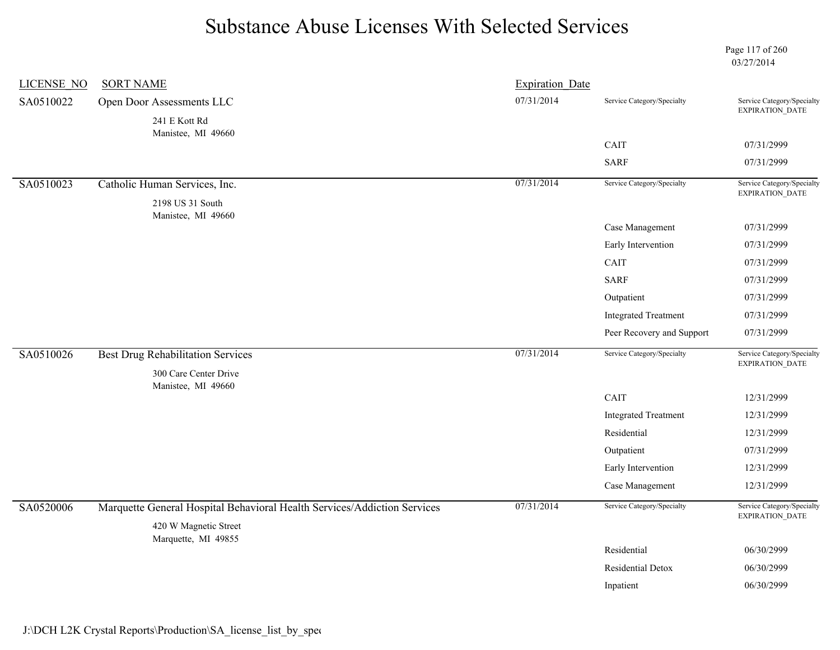Page 117 of 260 03/27/2014

| <b>LICENSE NO</b> | <b>SORT NAME</b>                                                         | <b>Expiration Date</b> |                             |                                                      |
|-------------------|--------------------------------------------------------------------------|------------------------|-----------------------------|------------------------------------------------------|
| SA0510022         | Open Door Assessments LLC                                                | 07/31/2014             | Service Category/Specialty  | Service Category/Specialty<br>EXPIRATION_DATE        |
|                   | 241 E Kott Rd<br>Manistee, MI 49660                                      |                        |                             |                                                      |
|                   |                                                                          |                        | CAIT                        | 07/31/2999                                           |
|                   |                                                                          |                        | <b>SARF</b>                 | 07/31/2999                                           |
| SA0510023         | Catholic Human Services, Inc.                                            | 07/31/2014             | Service Category/Specialty  | Service Category/Specialty<br>EXPIRATION_DATE        |
|                   | 2198 US 31 South<br>Manistee, MI 49660                                   |                        |                             |                                                      |
|                   |                                                                          |                        | Case Management             | 07/31/2999                                           |
|                   |                                                                          |                        | Early Intervention          | 07/31/2999                                           |
|                   |                                                                          |                        | CAIT                        | 07/31/2999                                           |
|                   |                                                                          |                        | <b>SARF</b>                 | 07/31/2999                                           |
|                   |                                                                          |                        | Outpatient                  | 07/31/2999                                           |
|                   |                                                                          |                        | <b>Integrated Treatment</b> | 07/31/2999                                           |
|                   |                                                                          |                        | Peer Recovery and Support   | 07/31/2999                                           |
| SA0510026         | <b>Best Drug Rehabilitation Services</b>                                 | 07/31/2014             | Service Category/Specialty  | Service Category/Specialty<br>EXPIRATION_DATE        |
|                   | 300 Care Center Drive<br>Manistee, MI 49660                              |                        |                             |                                                      |
|                   |                                                                          |                        | CAIT                        | 12/31/2999                                           |
|                   |                                                                          |                        | <b>Integrated Treatment</b> | 12/31/2999                                           |
|                   |                                                                          |                        | Residential                 | 12/31/2999                                           |
|                   |                                                                          |                        | Outpatient                  | 07/31/2999                                           |
|                   |                                                                          |                        | Early Intervention          | 12/31/2999                                           |
|                   |                                                                          |                        | Case Management             | 12/31/2999                                           |
| SA0520006         | Marquette General Hospital Behavioral Health Services/Addiction Services | 07/31/2014             | Service Category/Specialty  | Service Category/Specialty<br><b>EXPIRATION DATE</b> |
|                   | 420 W Magnetic Street                                                    |                        |                             |                                                      |
|                   | Marquette, MI 49855                                                      |                        | Residential                 | 06/30/2999                                           |
|                   |                                                                          |                        | Residential Detox           | 06/30/2999                                           |
|                   |                                                                          |                        | Inpatient                   | 06/30/2999                                           |
|                   |                                                                          |                        |                             |                                                      |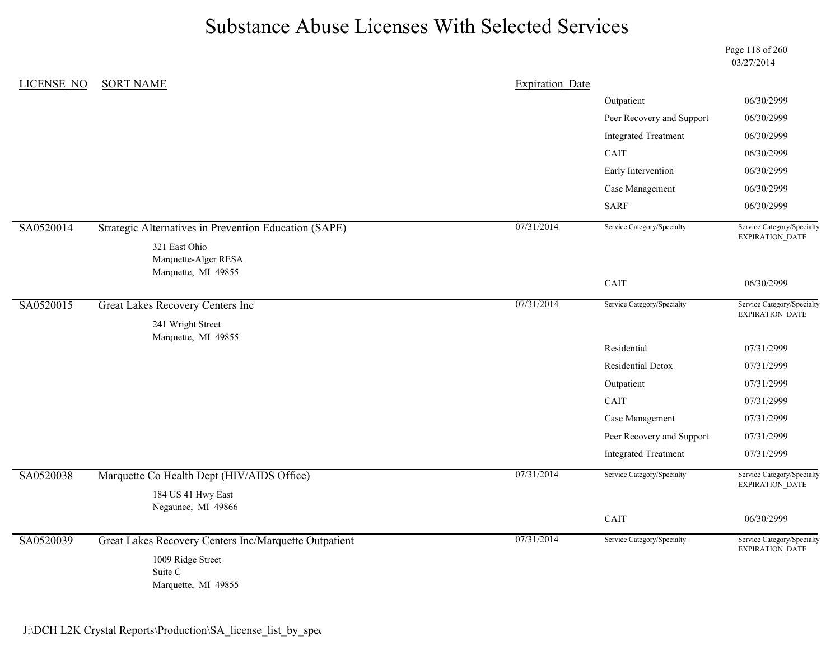Page 118 of 260 03/27/2014

| LICENSE NO | <b>SORT NAME</b>                                      | <b>Expiration Date</b> |                             |                                               |
|------------|-------------------------------------------------------|------------------------|-----------------------------|-----------------------------------------------|
|            |                                                       |                        | Outpatient                  | 06/30/2999                                    |
|            |                                                       |                        | Peer Recovery and Support   | 06/30/2999                                    |
|            |                                                       |                        | <b>Integrated Treatment</b> | 06/30/2999                                    |
|            |                                                       |                        | CAIT                        | 06/30/2999                                    |
|            |                                                       |                        | Early Intervention          | 06/30/2999                                    |
|            |                                                       |                        | Case Management             | 06/30/2999                                    |
|            |                                                       |                        | <b>SARF</b>                 | 06/30/2999                                    |
| SA0520014  | Strategic Alternatives in Prevention Education (SAPE) | 07/31/2014             | Service Category/Specialty  | Service Category/Specialty                    |
|            | 321 East Ohio                                         |                        |                             | <b>EXPIRATION DATE</b>                        |
|            | Marquette-Alger RESA<br>Marquette, MI 49855           |                        |                             |                                               |
|            |                                                       |                        | CAIT                        | 06/30/2999                                    |
| SA0520015  | Great Lakes Recovery Centers Inc                      | 07/31/2014             | Service Category/Specialty  | Service Category/Specialty                    |
|            | 241 Wright Street                                     |                        |                             | EXPIRATION_DATE                               |
|            | Marquette, MI 49855                                   |                        |                             |                                               |
|            |                                                       |                        | Residential                 | 07/31/2999                                    |
|            |                                                       |                        | Residential Detox           | 07/31/2999                                    |
|            |                                                       |                        | Outpatient                  | 07/31/2999                                    |
|            |                                                       |                        | CAIT                        | 07/31/2999                                    |
|            |                                                       |                        | Case Management             | 07/31/2999                                    |
|            |                                                       |                        | Peer Recovery and Support   | 07/31/2999                                    |
|            |                                                       |                        | <b>Integrated Treatment</b> | 07/31/2999                                    |
| SA0520038  | Marquette Co Health Dept (HIV/AIDS Office)            | 07/31/2014             | Service Category/Specialty  | Service Category/Specialty<br>EXPIRATION_DATE |
|            | 184 US 41 Hwy East                                    |                        |                             |                                               |
|            | Negaunee, MI 49866                                    |                        | CAIT                        | 06/30/2999                                    |
| SA0520039  | Great Lakes Recovery Centers Inc/Marquette Outpatient | 07/31/2014             | Service Category/Specialty  | Service Category/Specialty                    |
|            |                                                       |                        |                             | EXPIRATION_DATE                               |
|            | 1009 Ridge Street<br>Suite C                          |                        |                             |                                               |
|            | Marquette, MI 49855                                   |                        |                             |                                               |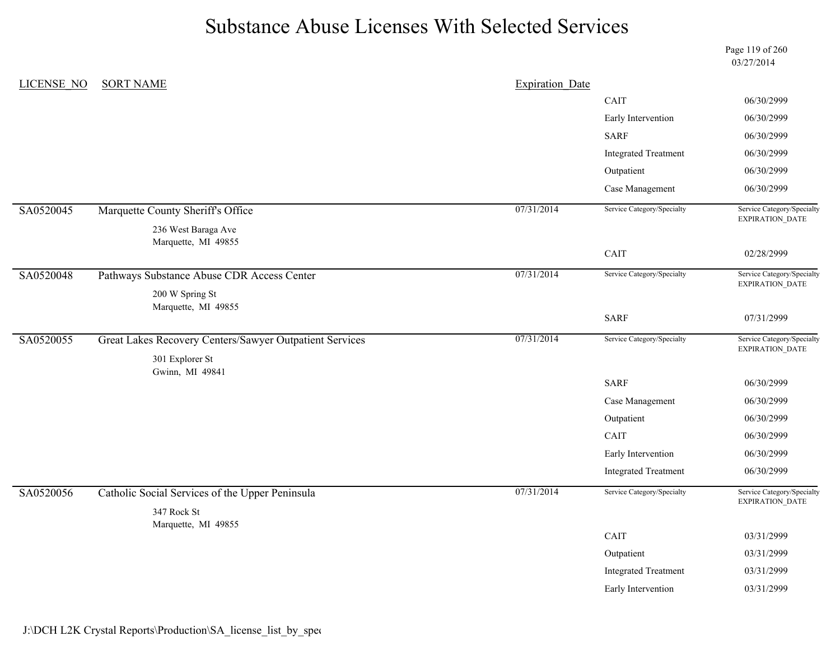Page 119 of 260 03/27/2014

| <b>LICENSE NO</b> | <b>SORT NAME</b>                                               | <b>Expiration Date</b> |                             |                                                      |
|-------------------|----------------------------------------------------------------|------------------------|-----------------------------|------------------------------------------------------|
|                   |                                                                |                        | CAIT                        | 06/30/2999                                           |
|                   |                                                                |                        | Early Intervention          | 06/30/2999                                           |
|                   |                                                                |                        | <b>SARF</b>                 | 06/30/2999                                           |
|                   |                                                                |                        | <b>Integrated Treatment</b> | 06/30/2999                                           |
|                   |                                                                |                        | Outpatient                  | 06/30/2999                                           |
|                   |                                                                |                        | Case Management             | 06/30/2999                                           |
| SA0520045         | Marquette County Sheriff's Office                              | 07/31/2014             | Service Category/Specialty  | Service Category/Specialty<br>EXPIRATION_DATE        |
|                   | 236 West Baraga Ave                                            |                        |                             |                                                      |
|                   | Marquette, MI 49855                                            |                        | CAIT                        | 02/28/2999                                           |
| SA0520048         | Pathways Substance Abuse CDR Access Center                     | 07/31/2014             | Service Category/Specialty  | Service Category/Specialty<br><b>EXPIRATION DATE</b> |
|                   | 200 W Spring St<br>Marquette, MI 49855                         |                        |                             |                                                      |
|                   |                                                                |                        | <b>SARF</b>                 | 07/31/2999                                           |
| SA0520055         | Great Lakes Recovery Centers/Sawyer Outpatient Services        | 07/31/2014             | Service Category/Specialty  | Service Category/Specialty<br>EXPIRATION_DATE        |
|                   | 301 Explorer St<br>Gwinn, MI 49841                             |                        |                             |                                                      |
|                   |                                                                |                        | <b>SARF</b>                 | 06/30/2999                                           |
|                   |                                                                |                        | Case Management             | 06/30/2999                                           |
|                   |                                                                |                        | Outpatient                  | 06/30/2999                                           |
|                   |                                                                |                        | CAIT                        | 06/30/2999                                           |
|                   |                                                                |                        | Early Intervention          | 06/30/2999                                           |
|                   |                                                                |                        | <b>Integrated Treatment</b> | 06/30/2999                                           |
| SA0520056         | Catholic Social Services of the Upper Peninsula<br>347 Rock St | 07/31/2014             | Service Category/Specialty  | Service Category/Specialty<br>EXPIRATION_DATE        |
|                   | Marquette, MI 49855                                            |                        |                             |                                                      |
|                   |                                                                |                        | CAIT                        | 03/31/2999                                           |
|                   |                                                                |                        | Outpatient                  | 03/31/2999                                           |
|                   |                                                                |                        | <b>Integrated Treatment</b> | 03/31/2999                                           |
|                   |                                                                |                        | Early Intervention          | 03/31/2999                                           |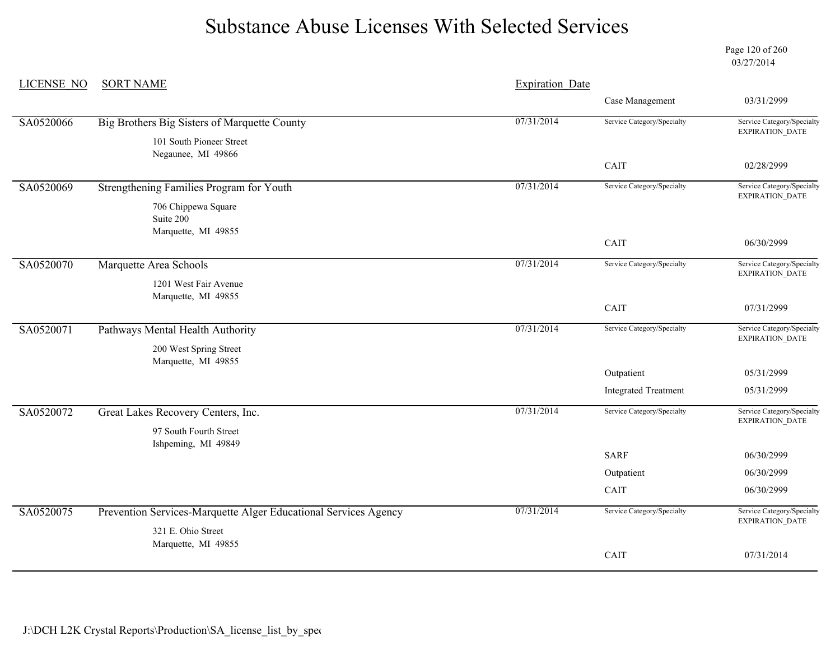Page 120 of 260 03/27/2014

| <b>LICENSE NO</b> | <b>SORT NAME</b>                                                | <b>Expiration Date</b> |                             |                                                      |
|-------------------|-----------------------------------------------------------------|------------------------|-----------------------------|------------------------------------------------------|
|                   |                                                                 |                        | Case Management             | 03/31/2999                                           |
| SA0520066         | Big Brothers Big Sisters of Marquette County                    | 07/31/2014             | Service Category/Specialty  | Service Category/Specialty<br>EXPIRATION_DATE        |
|                   | 101 South Pioneer Street                                        |                        |                             |                                                      |
|                   | Negaunee, MI 49866                                              |                        | CAIT                        | 02/28/2999                                           |
| SA0520069         | Strengthening Families Program for Youth                        | 07/31/2014             | Service Category/Specialty  | Service Category/Specialty                           |
|                   | 706 Chippewa Square                                             |                        |                             | EXPIRATION_DATE                                      |
|                   | Suite 200<br>Marquette, MI 49855                                |                        |                             |                                                      |
|                   |                                                                 |                        | CAIT                        | 06/30/2999                                           |
| SA0520070         | Marquette Area Schools                                          | 07/31/2014             | Service Category/Specialty  | Service Category/Specialty<br><b>EXPIRATION DATE</b> |
|                   | 1201 West Fair Avenue                                           |                        |                             |                                                      |
|                   | Marquette, MI 49855                                             |                        | CAIT                        | 07/31/2999                                           |
| SA0520071         | Pathways Mental Health Authority                                | 07/31/2014             | Service Category/Specialty  | Service Category/Specialty<br>EXPIRATION_DATE        |
|                   | 200 West Spring Street<br>Marquette, MI 49855                   |                        |                             |                                                      |
|                   |                                                                 |                        | Outpatient                  | 05/31/2999                                           |
|                   |                                                                 |                        | <b>Integrated Treatment</b> | 05/31/2999                                           |
| SA0520072         | Great Lakes Recovery Centers, Inc.                              | 07/31/2014             | Service Category/Specialty  | Service Category/Specialty<br><b>EXPIRATION DATE</b> |
|                   | 97 South Fourth Street                                          |                        |                             |                                                      |
|                   | Ishpeming, MI 49849                                             |                        | <b>SARF</b>                 | 06/30/2999                                           |
|                   |                                                                 |                        | Outpatient                  | 06/30/2999                                           |
|                   |                                                                 |                        | CAIT                        | 06/30/2999                                           |
| SA0520075         | Prevention Services-Marquette Alger Educational Services Agency | 07/31/2014             | Service Category/Specialty  | Service Category/Specialty<br><b>EXPIRATION DATE</b> |
|                   | 321 E. Ohio Street                                              |                        |                             |                                                      |
|                   | Marquette, MI 49855                                             |                        | CAIT                        | 07/31/2014                                           |
|                   |                                                                 |                        |                             |                                                      |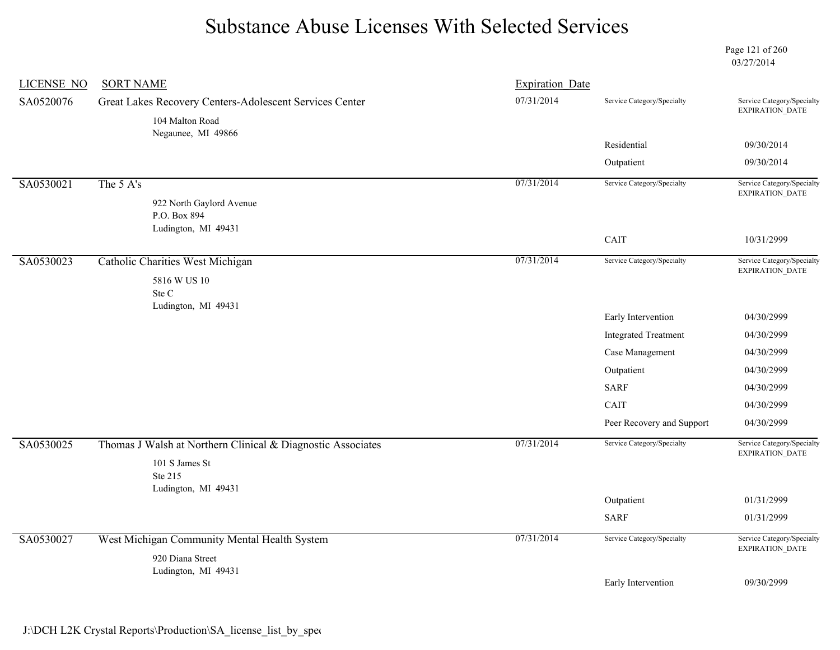Page 121 of 260 03/27/2014

| <b>LICENSE NO</b> | <b>SORT NAME</b>                                            | <b>Expiration Date</b> |                             |                                               |
|-------------------|-------------------------------------------------------------|------------------------|-----------------------------|-----------------------------------------------|
| SA0520076         | Great Lakes Recovery Centers-Adolescent Services Center     | 07/31/2014             | Service Category/Specialty  | Service Category/Specialty<br>EXPIRATION_DATE |
|                   | 104 Malton Road<br>Negaunee, MI 49866                       |                        |                             |                                               |
|                   |                                                             |                        | Residential                 | 09/30/2014                                    |
|                   |                                                             |                        | Outpatient                  | 09/30/2014                                    |
| SA0530021         | The 5 A's                                                   | 07/31/2014             | Service Category/Specialty  | Service Category/Specialty                    |
|                   | 922 North Gaylord Avenue                                    |                        |                             | EXPIRATION_DATE                               |
|                   | P.O. Box 894                                                |                        |                             |                                               |
|                   | Ludington, MI 49431                                         |                        | CAIT                        | 10/31/2999                                    |
| SA0530023         | Catholic Charities West Michigan                            | 07/31/2014             | Service Category/Specialty  | Service Category/Specialty<br>EXPIRATION_DATE |
|                   | 5816 W US 10                                                |                        |                             |                                               |
|                   | Ste C<br>Ludington, MI 49431                                |                        |                             |                                               |
|                   |                                                             |                        | Early Intervention          | 04/30/2999                                    |
|                   |                                                             |                        | <b>Integrated Treatment</b> | 04/30/2999                                    |
|                   |                                                             |                        | Case Management             | 04/30/2999                                    |
|                   |                                                             |                        | Outpatient                  | 04/30/2999                                    |
|                   |                                                             |                        | <b>SARF</b>                 | 04/30/2999                                    |
|                   |                                                             |                        | CAIT                        | 04/30/2999                                    |
|                   |                                                             |                        | Peer Recovery and Support   | 04/30/2999                                    |
| SA0530025         | Thomas J Walsh at Northern Clinical & Diagnostic Associates | 07/31/2014             | Service Category/Specialty  | Service Category/Specialty<br>EXPIRATION_DATE |
|                   | 101 S James St                                              |                        |                             |                                               |
|                   | Ste 215<br>Ludington, MI 49431                              |                        |                             |                                               |
|                   |                                                             |                        | Outpatient                  | 01/31/2999                                    |
|                   |                                                             |                        | <b>SARF</b>                 | 01/31/2999                                    |
| SA0530027         | West Michigan Community Mental Health System                | 07/31/2014             | Service Category/Specialty  | Service Category/Specialty<br>EXPIRATION_DATE |
|                   | 920 Diana Street                                            |                        |                             |                                               |
|                   | Ludington, MI 49431                                         |                        | Early Intervention          | 09/30/2999                                    |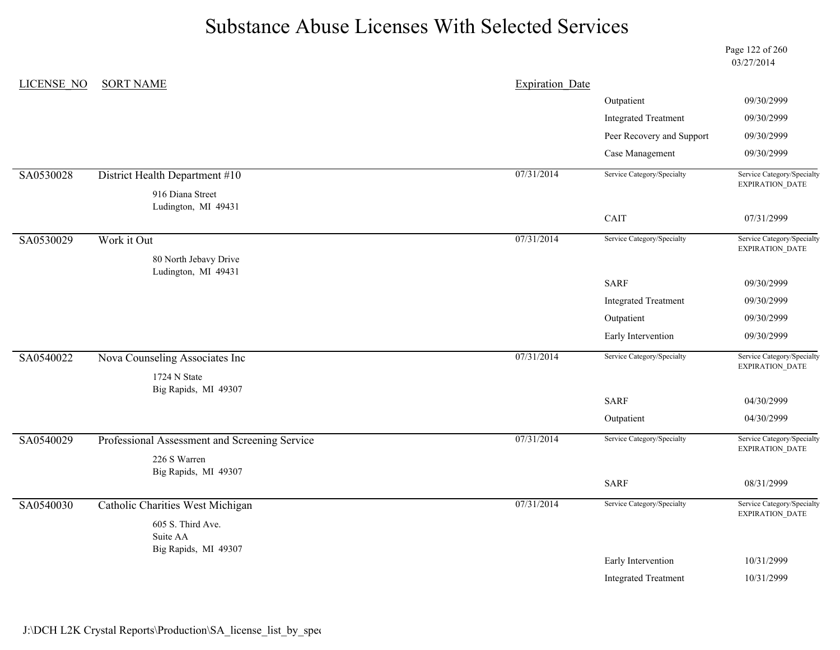Page 122 of 260 03/27/2014

| <b>LICENSE NO</b> | <b>SORT NAME</b>                              | <b>Expiration Date</b> |                             |                                               |
|-------------------|-----------------------------------------------|------------------------|-----------------------------|-----------------------------------------------|
|                   |                                               |                        | Outpatient                  | 09/30/2999                                    |
|                   |                                               |                        | <b>Integrated Treatment</b> | 09/30/2999                                    |
|                   |                                               |                        | Peer Recovery and Support   | 09/30/2999                                    |
|                   |                                               |                        | Case Management             | 09/30/2999                                    |
| SA0530028         | District Health Department #10                | 07/31/2014             | Service Category/Specialty  | Service Category/Specialty<br>EXPIRATION_DATE |
|                   | 916 Diana Street                              |                        |                             |                                               |
|                   | Ludington, MI 49431                           |                        | CAIT                        | 07/31/2999                                    |
|                   |                                               |                        |                             | Service Category/Specialty                    |
| SA0530029         | Work it Out                                   | 07/31/2014             | Service Category/Specialty  | EXPIRATION_DATE                               |
|                   | 80 North Jebavy Drive<br>Ludington, MI 49431  |                        |                             |                                               |
|                   |                                               |                        | <b>SARF</b>                 | 09/30/2999                                    |
|                   |                                               |                        | <b>Integrated Treatment</b> | 09/30/2999                                    |
|                   |                                               |                        | Outpatient                  | 09/30/2999                                    |
|                   |                                               |                        | Early Intervention          | 09/30/2999                                    |
| SA0540022         | Nova Counseling Associates Inc                | 07/31/2014             | Service Category/Specialty  | Service Category/Specialty<br>EXPIRATION_DATE |
|                   | 1724 N State                                  |                        |                             |                                               |
|                   | Big Rapids, MI 49307                          |                        | <b>SARF</b>                 | 04/30/2999                                    |
|                   |                                               |                        | Outpatient                  | 04/30/2999                                    |
| SA0540029         | Professional Assessment and Screening Service | 07/31/2014             | Service Category/Specialty  | Service Category/Specialty                    |
|                   | 226 S Warren                                  |                        |                             | EXPIRATION_DATE                               |
|                   | Big Rapids, MI 49307                          |                        |                             |                                               |
|                   |                                               |                        | <b>SARF</b>                 | 08/31/2999                                    |
| SA0540030         | <b>Catholic Charities West Michigan</b>       | 07/31/2014             | Service Category/Specialty  | Service Category/Specialty<br>EXPIRATION_DATE |
|                   | 605 S. Third Ave.<br>Suite AA                 |                        |                             |                                               |
|                   | Big Rapids, MI 49307                          |                        |                             |                                               |
|                   |                                               |                        | Early Intervention          | 10/31/2999                                    |
|                   |                                               |                        | <b>Integrated Treatment</b> | 10/31/2999                                    |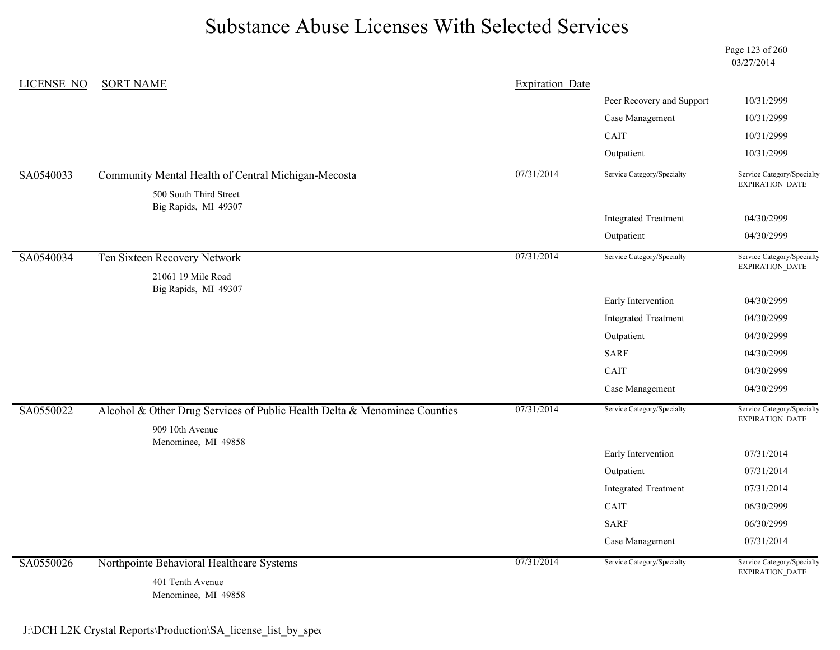Page 123 of 260 03/27/2014

| <b>LICENSE NO</b> | <b>SORT NAME</b>                                                                             | <b>Expiration Date</b> |                             |                                                      |
|-------------------|----------------------------------------------------------------------------------------------|------------------------|-----------------------------|------------------------------------------------------|
|                   |                                                                                              |                        | Peer Recovery and Support   | 10/31/2999                                           |
|                   |                                                                                              |                        | Case Management             | 10/31/2999                                           |
|                   |                                                                                              |                        | CAIT                        | 10/31/2999                                           |
|                   |                                                                                              |                        | Outpatient                  | 10/31/2999                                           |
| SA0540033         | Community Mental Health of Central Michigan-Mecosta                                          | 07/31/2014             | Service Category/Specialty  | Service Category/Specialty<br><b>EXPIRATION DATE</b> |
|                   | 500 South Third Street<br>Big Rapids, MI 49307                                               |                        |                             |                                                      |
|                   |                                                                                              |                        | <b>Integrated Treatment</b> | 04/30/2999                                           |
|                   |                                                                                              |                        | Outpatient                  | 04/30/2999                                           |
| SA0540034         | Ten Sixteen Recovery Network                                                                 | 07/31/2014             | Service Category/Specialty  | Service Category/Specialty<br>EXPIRATION_DATE        |
|                   | 21061 19 Mile Road                                                                           |                        |                             |                                                      |
|                   | Big Rapids, MI 49307                                                                         |                        | Early Intervention          | 04/30/2999                                           |
|                   |                                                                                              |                        | <b>Integrated Treatment</b> | 04/30/2999                                           |
|                   |                                                                                              |                        | Outpatient                  | 04/30/2999                                           |
|                   |                                                                                              |                        | <b>SARF</b>                 | 04/30/2999                                           |
|                   |                                                                                              |                        | CAIT                        | 04/30/2999                                           |
|                   |                                                                                              |                        | Case Management             | 04/30/2999                                           |
| SA0550022         | Alcohol & Other Drug Services of Public Health Delta & Menominee Counties<br>909 10th Avenue | 07/31/2014             | Service Category/Specialty  | Service Category/Specialty<br>EXPIRATION_DATE        |
|                   | Menominee, MI 49858                                                                          |                        | Early Intervention          | 07/31/2014                                           |
|                   |                                                                                              |                        | Outpatient                  | 07/31/2014                                           |
|                   |                                                                                              |                        | <b>Integrated Treatment</b> | 07/31/2014                                           |
|                   |                                                                                              |                        | CAIT                        | 06/30/2999                                           |
|                   |                                                                                              |                        | <b>SARF</b>                 | 06/30/2999                                           |
|                   |                                                                                              |                        | Case Management             | 07/31/2014                                           |
| SA0550026         | Northpointe Behavioral Healthcare Systems                                                    | 07/31/2014             | Service Category/Specialty  | Service Category/Specialty<br>EXPIRATION_DATE        |
|                   | 401 Tenth Avenue<br>Menominee, MI 49858                                                      |                        |                             |                                                      |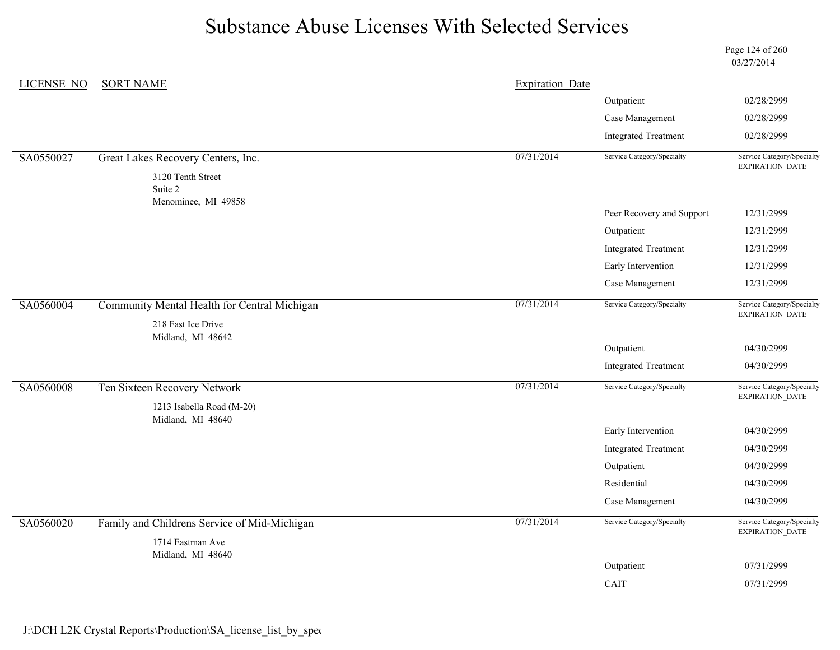Page 124 of 260 03/27/2014

| LICENSE NO | <b>SORT NAME</b>                               | <b>Expiration Date</b> |                             |                                                      |
|------------|------------------------------------------------|------------------------|-----------------------------|------------------------------------------------------|
|            |                                                |                        | Outpatient                  | 02/28/2999                                           |
|            |                                                |                        | Case Management             | 02/28/2999                                           |
|            |                                                |                        | <b>Integrated Treatment</b> | 02/28/2999                                           |
| SA0550027  | Great Lakes Recovery Centers, Inc.             | 07/31/2014             | Service Category/Specialty  | Service Category/Specialty<br>EXPIRATION_DATE        |
|            | 3120 Tenth Street                              |                        |                             |                                                      |
|            | Suite 2<br>Menominee, MI 49858                 |                        |                             |                                                      |
|            |                                                |                        | Peer Recovery and Support   | 12/31/2999                                           |
|            |                                                |                        | Outpatient                  | 12/31/2999                                           |
|            |                                                |                        | <b>Integrated Treatment</b> | 12/31/2999                                           |
|            |                                                |                        | Early Intervention          | 12/31/2999                                           |
|            |                                                |                        | Case Management             | 12/31/2999                                           |
| SA0560004  | Community Mental Health for Central Michigan   | 07/31/2014             | Service Category/Specialty  | Service Category/Specialty                           |
|            | 218 Fast Ice Drive                             |                        |                             | EXPIRATION_DATE                                      |
|            | Midland, MI 48642                              |                        | Outpatient                  | 04/30/2999                                           |
|            |                                                |                        | <b>Integrated Treatment</b> | 04/30/2999                                           |
|            |                                                |                        |                             |                                                      |
| SA0560008  | Ten Sixteen Recovery Network                   | 07/31/2014             | Service Category/Specialty  | Service Category/Specialty<br>EXPIRATION_DATE        |
|            | 1213 Isabella Road (M-20)<br>Midland, MI 48640 |                        |                             |                                                      |
|            |                                                |                        | Early Intervention          | 04/30/2999                                           |
|            |                                                |                        | <b>Integrated Treatment</b> | 04/30/2999                                           |
|            |                                                |                        | Outpatient                  | 04/30/2999                                           |
|            |                                                |                        | Residential                 | 04/30/2999                                           |
|            |                                                |                        | Case Management             | 04/30/2999                                           |
| SA0560020  | Family and Childrens Service of Mid-Michigan   | 07/31/2014             | Service Category/Specialty  | Service Category/Specialty<br><b>EXPIRATION DATE</b> |
|            | 1714 Eastman Ave                               |                        |                             |                                                      |
|            | Midland, MI 48640                              |                        | Outpatient                  | 07/31/2999                                           |
|            |                                                |                        | CAIT                        | 07/31/2999                                           |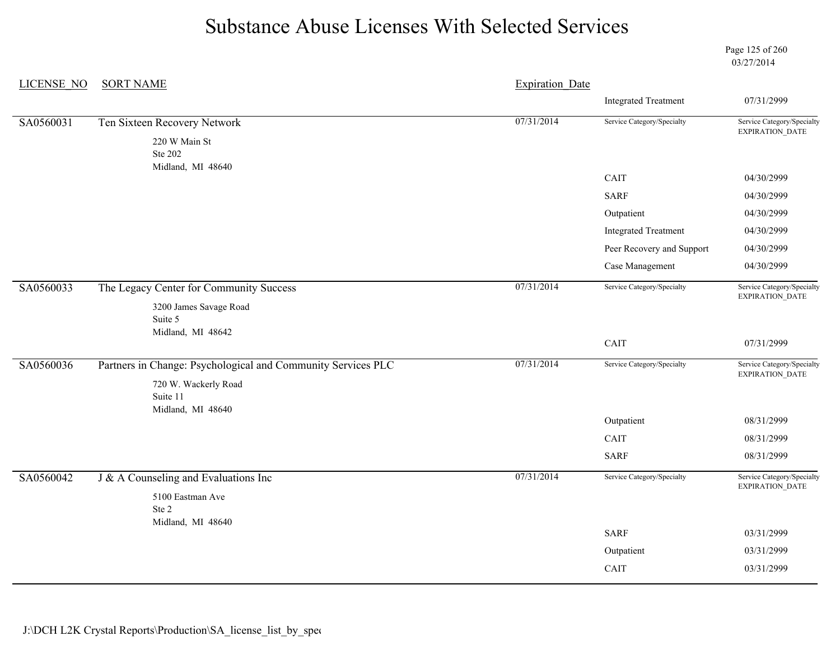Page 125 of 260 03/27/2014

| <b>LICENSE NO</b> | <b>SORT NAME</b>                                             | <b>Expiration Date</b> |                             |                                               |
|-------------------|--------------------------------------------------------------|------------------------|-----------------------------|-----------------------------------------------|
|                   |                                                              |                        | <b>Integrated Treatment</b> | 07/31/2999                                    |
| SA0560031         | Ten Sixteen Recovery Network                                 | 07/31/2014             | Service Category/Specialty  | Service Category/Specialty<br>EXPIRATION_DATE |
|                   | 220 W Main St<br>Ste 202                                     |                        |                             |                                               |
|                   | Midland, MI 48640                                            |                        | CAIT                        | 04/30/2999                                    |
|                   |                                                              |                        | <b>SARF</b>                 | 04/30/2999                                    |
|                   |                                                              |                        | Outpatient                  | 04/30/2999                                    |
|                   |                                                              |                        | <b>Integrated Treatment</b> | 04/30/2999                                    |
|                   |                                                              |                        | Peer Recovery and Support   | 04/30/2999                                    |
|                   |                                                              |                        | Case Management             | 04/30/2999                                    |
| SA0560033         | The Legacy Center for Community Success                      | 07/31/2014             | Service Category/Specialty  | Service Category/Specialty                    |
|                   | 3200 James Savage Road<br>Suite 5                            |                        |                             | EXPIRATION_DATE                               |
|                   | Midland, MI 48642                                            |                        | CAIT                        | 07/31/2999                                    |
| SA0560036         | Partners in Change: Psychological and Community Services PLC | 07/31/2014             | Service Category/Specialty  | Service Category/Specialty<br>EXPIRATION_DATE |
|                   | 720 W. Wackerly Road<br>Suite 11                             |                        |                             |                                               |
|                   | Midland, MI 48640                                            |                        | Outpatient                  | 08/31/2999                                    |
|                   |                                                              |                        | CAIT                        | 08/31/2999                                    |
|                   |                                                              |                        | <b>SARF</b>                 | 08/31/2999                                    |
| SA0560042         | $J & A$ Counseling and Evaluations Inc                       | 07/31/2014             | Service Category/Specialty  | Service Category/Specialty<br>EXPIRATION_DATE |
|                   | 5100 Eastman Ave<br>Ste 2<br>Midland, MI 48640               |                        |                             |                                               |
|                   |                                                              |                        | <b>SARF</b>                 | 03/31/2999                                    |
|                   |                                                              |                        | Outpatient                  | 03/31/2999                                    |
|                   |                                                              |                        | CAIT                        | 03/31/2999                                    |
|                   |                                                              |                        |                             |                                               |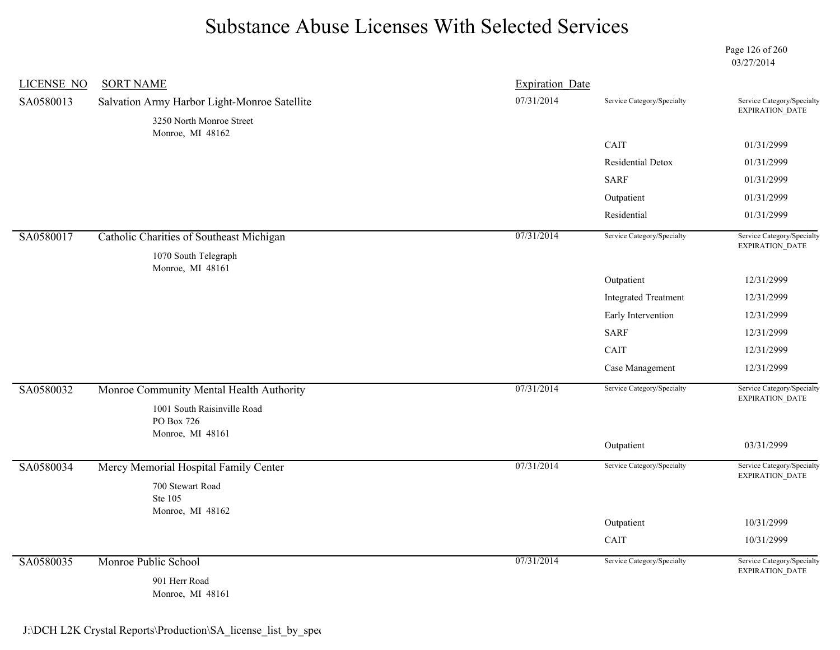Page 126 of 260 03/27/2014

| <b>LICENSE NO</b> | <b>SORT NAME</b>                                              | <b>Expiration Date</b> |                             |                                                      |
|-------------------|---------------------------------------------------------------|------------------------|-----------------------------|------------------------------------------------------|
| SA0580013         | Salvation Army Harbor Light-Monroe Satellite                  | 07/31/2014             | Service Category/Specialty  | Service Category/Specialty<br>EXPIRATION_DATE        |
|                   | 3250 North Monroe Street<br>Monroe, MI 48162                  |                        |                             |                                                      |
|                   |                                                               |                        | CAIT                        | 01/31/2999                                           |
|                   |                                                               |                        | Residential Detox           | 01/31/2999                                           |
|                   |                                                               |                        | <b>SARF</b>                 | 01/31/2999                                           |
|                   |                                                               |                        | Outpatient                  | 01/31/2999                                           |
|                   |                                                               |                        | Residential                 | 01/31/2999                                           |
| SA0580017         | Catholic Charities of Southeast Michigan                      | 07/31/2014             | Service Category/Specialty  | Service Category/Specialty<br>EXPIRATION_DATE        |
|                   | 1070 South Telegraph                                          |                        |                             |                                                      |
|                   | Monroe, MI 48161                                              |                        | Outpatient                  | 12/31/2999                                           |
|                   |                                                               |                        | <b>Integrated Treatment</b> | 12/31/2999                                           |
|                   |                                                               |                        | Early Intervention          | 12/31/2999                                           |
|                   |                                                               |                        | <b>SARF</b>                 | 12/31/2999                                           |
|                   |                                                               |                        | CAIT                        | 12/31/2999                                           |
|                   |                                                               |                        | Case Management             | 12/31/2999                                           |
| SA0580032         | Monroe Community Mental Health Authority                      | 07/31/2014             | Service Category/Specialty  | Service Category/Specialty<br><b>EXPIRATION DATE</b> |
|                   | 1001 South Raisinville Road<br>PO Box 726<br>Monroe, MI 48161 |                        |                             |                                                      |
|                   |                                                               |                        | Outpatient                  | 03/31/2999                                           |
| SA0580034         | Mercy Memorial Hospital Family Center                         | 07/31/2014             | Service Category/Specialty  | Service Category/Specialty<br>EXPIRATION_DATE        |
|                   | 700 Stewart Road<br>Ste 105                                   |                        |                             |                                                      |
|                   | Monroe, MI 48162                                              |                        | Outpatient                  | 10/31/2999                                           |
|                   |                                                               |                        | CAIT                        | 10/31/2999                                           |
| SA0580035         | Monroe Public School                                          | 07/31/2014             | Service Category/Specialty  | Service Category/Specialty                           |
|                   | 901 Herr Road<br>Monroe, MI 48161                             |                        |                             | EXPIRATION_DATE                                      |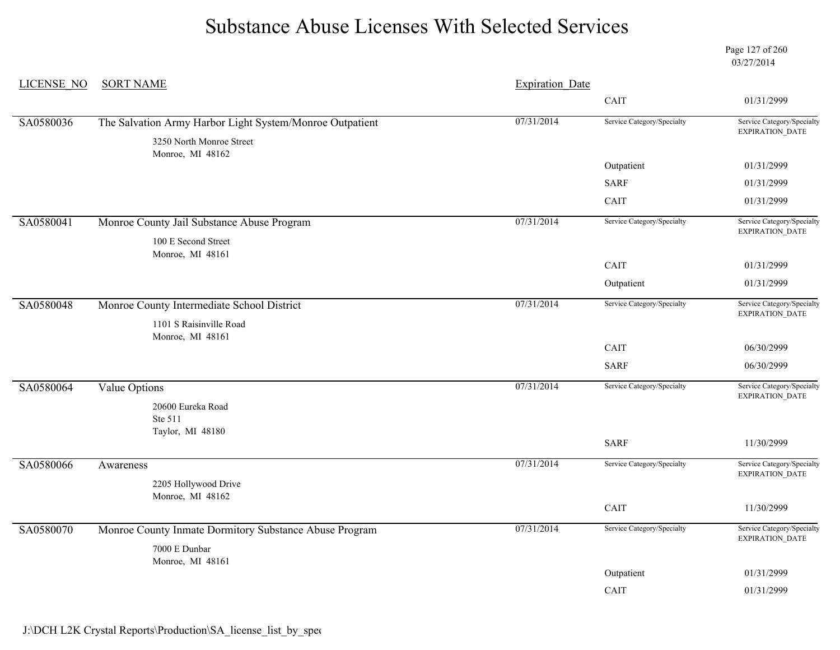Page 127 of 260 03/27/2014

| <b>LICENSE NO</b> | <b>SORT NAME</b>                                         | <b>Expiration Date</b> |                            |                                                      |  |
|-------------------|----------------------------------------------------------|------------------------|----------------------------|------------------------------------------------------|--|
|                   |                                                          |                        | CAIT                       | 01/31/2999                                           |  |
| SA0580036         | The Salvation Army Harbor Light System/Monroe Outpatient | 07/31/2014             | Service Category/Specialty | Service Category/Specialty                           |  |
|                   | 3250 North Monroe Street<br>Monroe, MI 48162             |                        |                            | <b>EXPIRATION DATE</b>                               |  |
|                   |                                                          |                        | Outpatient                 | 01/31/2999                                           |  |
|                   |                                                          |                        | <b>SARF</b>                | 01/31/2999                                           |  |
|                   |                                                          |                        | CAIT                       | 01/31/2999                                           |  |
| SA0580041         | Monroe County Jail Substance Abuse Program               | 07/31/2014             | Service Category/Specialty | Service Category/Specialty<br><b>EXPIRATION DATE</b> |  |
|                   | 100 E Second Street<br>Monroe, MI 48161                  |                        |                            |                                                      |  |
|                   |                                                          |                        | CAIT                       | 01/31/2999                                           |  |
|                   |                                                          |                        | Outpatient                 | 01/31/2999                                           |  |
| SA0580048         | Monroe County Intermediate School District               | 07/31/2014             | Service Category/Specialty | Service Category/Specialty<br>EXPIRATION_DATE        |  |
|                   | 1101 S Raisinville Road<br>Monroe, MI 48161              |                        |                            |                                                      |  |
|                   |                                                          |                        | CAIT                       | 06/30/2999                                           |  |
|                   |                                                          |                        | <b>SARF</b>                | 06/30/2999                                           |  |
| SA0580064         | <b>Value Options</b>                                     | 07/31/2014             | Service Category/Specialty | Service Category/Specialty<br><b>EXPIRATION DATE</b> |  |
|                   | 20600 Eureka Road<br>Ste 511                             |                        |                            |                                                      |  |
|                   | Taylor, MI 48180                                         |                        | <b>SARF</b>                | 11/30/2999                                           |  |
|                   |                                                          |                        |                            |                                                      |  |
| SA0580066         | Awareness                                                | 07/31/2014             | Service Category/Specialty | Service Category/Specialty<br>EXPIRATION_DATE        |  |
|                   | 2205 Hollywood Drive                                     |                        |                            |                                                      |  |
|                   | Monroe, MI 48162                                         |                        | CAIT                       | 11/30/2999                                           |  |
| SA0580070         | Monroe County Inmate Dormitory Substance Abuse Program   | 07/31/2014             | Service Category/Specialty | Service Category/Specialty                           |  |
|                   | 7000 E Dunbar                                            |                        |                            | EXPIRATION_DATE                                      |  |
|                   | Monroe, MI 48161                                         |                        |                            |                                                      |  |
|                   |                                                          |                        | Outpatient                 | 01/31/2999                                           |  |
|                   |                                                          |                        | CAIT                       | 01/31/2999                                           |  |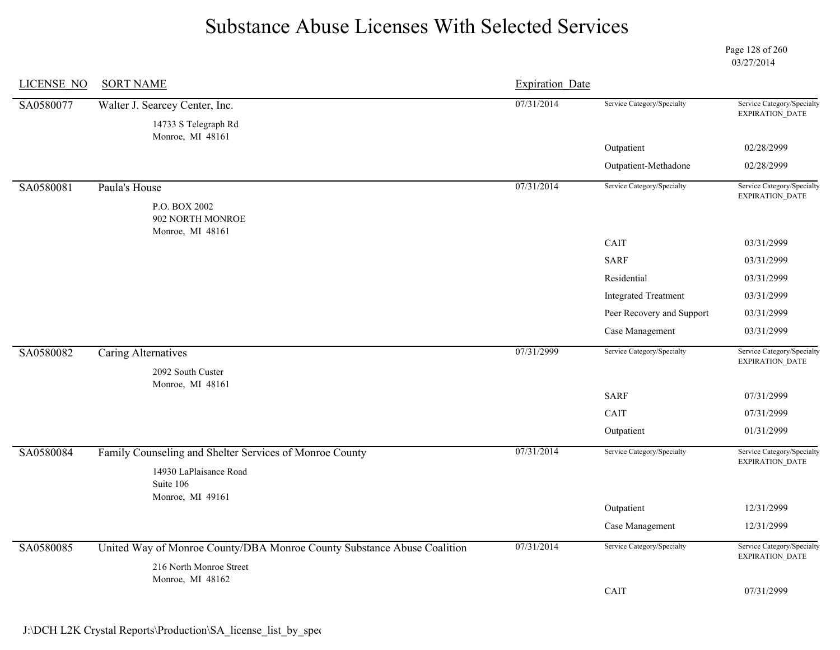Page 128 of 260 03/27/2014

| <b>LICENSE NO</b> | <b>SORT NAME</b>                                                        | <b>Expiration Date</b> |                             |                                               |
|-------------------|-------------------------------------------------------------------------|------------------------|-----------------------------|-----------------------------------------------|
| SA0580077         | Walter J. Searcey Center, Inc.                                          | 07/31/2014             | Service Category/Specialty  | Service Category/Specialty<br>EXPIRATION_DATE |
|                   | 14733 S Telegraph Rd<br>Monroe, MI 48161                                |                        |                             |                                               |
|                   |                                                                         |                        | Outpatient                  | 02/28/2999                                    |
|                   |                                                                         |                        | Outpatient-Methadone        | 02/28/2999                                    |
| SA0580081         | Paula's House                                                           | 07/31/2014             | Service Category/Specialty  | Service Category/Specialty<br>EXPIRATION_DATE |
|                   | P.O. BOX 2002<br>902 NORTH MONROE<br>Monroe, MI 48161                   |                        |                             |                                               |
|                   |                                                                         |                        | CAIT                        | 03/31/2999                                    |
|                   |                                                                         |                        | <b>SARF</b>                 | 03/31/2999                                    |
|                   |                                                                         |                        | Residential                 | 03/31/2999                                    |
|                   |                                                                         |                        | <b>Integrated Treatment</b> | 03/31/2999                                    |
|                   |                                                                         |                        | Peer Recovery and Support   | 03/31/2999                                    |
|                   |                                                                         |                        | Case Management             | 03/31/2999                                    |
| SA0580082         | Caring Alternatives<br>2092 South Custer                                | 07/31/2999             | Service Category/Specialty  | Service Category/Specialty<br>EXPIRATION_DATE |
|                   | Monroe, MI 48161                                                        |                        |                             |                                               |
|                   |                                                                         |                        | <b>SARF</b>                 | 07/31/2999                                    |
|                   |                                                                         |                        | CAIT                        | 07/31/2999                                    |
|                   |                                                                         |                        | Outpatient                  | 01/31/2999                                    |
| SA0580084         | Family Counseling and Shelter Services of Monroe County                 | 07/31/2014             | Service Category/Specialty  | Service Category/Specialty<br>EXPIRATION_DATE |
|                   | 14930 LaPlaisance Road<br>Suite 106<br>Monroe, MI 49161                 |                        |                             |                                               |
|                   |                                                                         |                        | Outpatient                  | 12/31/2999                                    |
|                   |                                                                         |                        | Case Management             | 12/31/2999                                    |
| SA0580085         | United Way of Monroe County/DBA Monroe County Substance Abuse Coalition | 07/31/2014             | Service Category/Specialty  | Service Category/Specialty<br>EXPIRATION_DATE |
|                   | 216 North Monroe Street                                                 |                        |                             |                                               |
|                   | Monroe, MI 48162                                                        |                        | CAIT                        | 07/31/2999                                    |
|                   |                                                                         |                        |                             |                                               |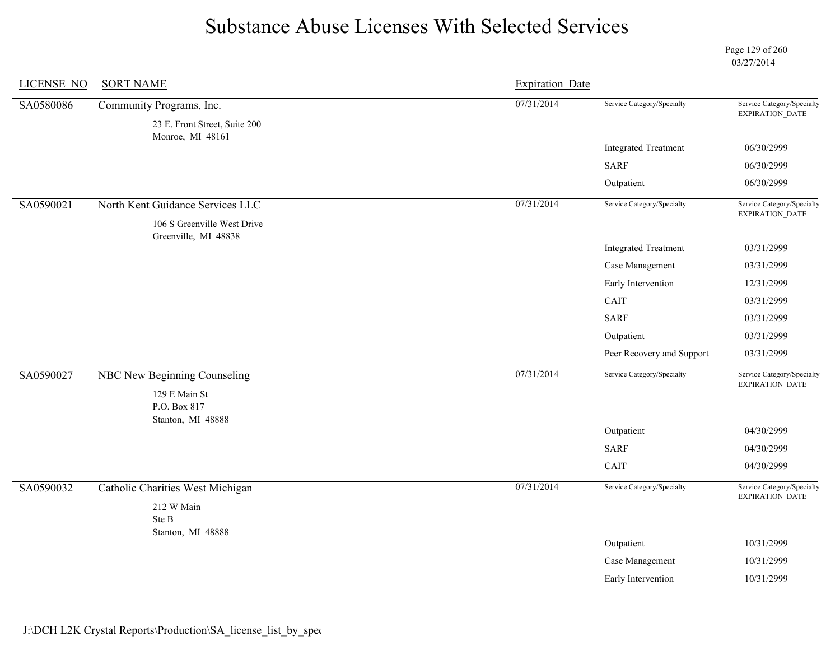Page 129 of 260 03/27/2014

| LICENSE NO | <b>SORT NAME</b>                                          | <b>Expiration Date</b> |                             |                                               |
|------------|-----------------------------------------------------------|------------------------|-----------------------------|-----------------------------------------------|
| SA0580086  | Community Programs, Inc.<br>23 E. Front Street, Suite 200 | 07/31/2014             | Service Category/Specialty  | Service Category/Specialty<br>EXPIRATION_DATE |
|            | Monroe, MI 48161                                          |                        | <b>Integrated Treatment</b> | 06/30/2999                                    |
|            |                                                           |                        | <b>SARF</b>                 | 06/30/2999                                    |
|            |                                                           |                        | Outpatient                  | 06/30/2999                                    |
|            |                                                           |                        |                             |                                               |
| SA0590021  | North Kent Guidance Services LLC                          | 07/31/2014             | Service Category/Specialty  | Service Category/Specialty<br>EXPIRATION_DATE |
|            | 106 S Greenville West Drive                               |                        |                             |                                               |
|            | Greenville, MI 48838                                      |                        | <b>Integrated Treatment</b> | 03/31/2999                                    |
|            |                                                           |                        | Case Management             | 03/31/2999                                    |
|            |                                                           |                        | Early Intervention          | 12/31/2999                                    |
|            |                                                           |                        | CAIT                        | 03/31/2999                                    |
|            |                                                           |                        | <b>SARF</b>                 | 03/31/2999                                    |
|            |                                                           |                        | Outpatient                  | 03/31/2999                                    |
|            |                                                           |                        | Peer Recovery and Support   | 03/31/2999                                    |
| SA0590027  | NBC New Beginning Counseling                              | 07/31/2014             | Service Category/Specialty  | Service Category/Specialty<br>EXPIRATION_DATE |
|            | 129 E Main St<br>P.O. Box 817                             |                        |                             |                                               |
|            | Stanton, MI 48888                                         |                        | Outpatient                  | 04/30/2999                                    |
|            |                                                           |                        | <b>SARF</b>                 | 04/30/2999                                    |
|            |                                                           |                        | CAIT                        | 04/30/2999                                    |
| SA0590032  | <b>Catholic Charities West Michigan</b>                   | 07/31/2014             | Service Category/Specialty  | Service Category/Specialty<br>EXPIRATION_DATE |
|            | 212 W Main<br>Ste B                                       |                        |                             |                                               |
|            | Stanton, MI 48888                                         |                        |                             |                                               |
|            |                                                           |                        | Outpatient                  | 10/31/2999                                    |
|            |                                                           |                        | Case Management             | 10/31/2999                                    |
|            |                                                           |                        | Early Intervention          | 10/31/2999                                    |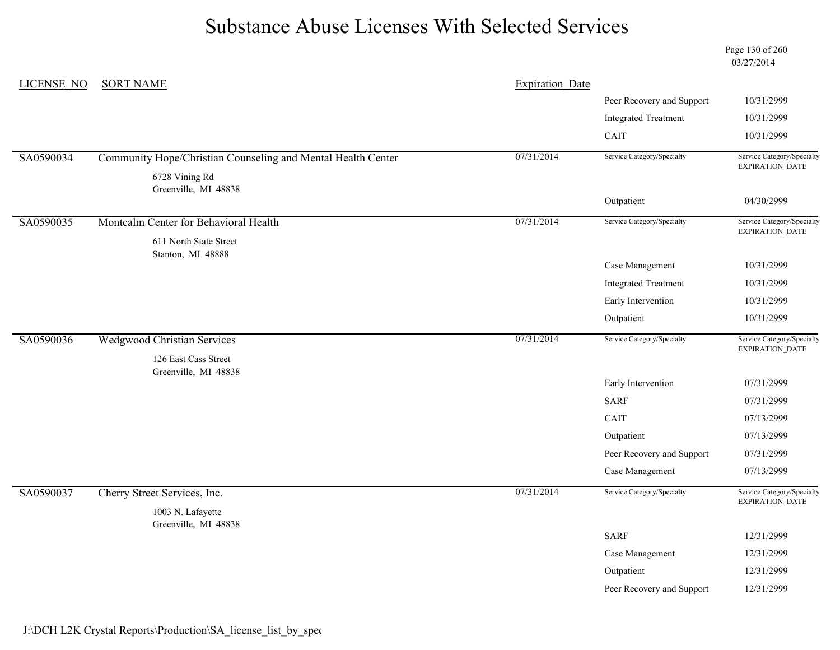Page 130 of 260 03/27/2014

| LICENSE NO | <b>SORT NAME</b>                                             | <b>Expiration Date</b> |                             |                                               |
|------------|--------------------------------------------------------------|------------------------|-----------------------------|-----------------------------------------------|
|            |                                                              |                        | Peer Recovery and Support   | 10/31/2999                                    |
|            |                                                              |                        | <b>Integrated Treatment</b> | 10/31/2999                                    |
|            |                                                              |                        | CAIT                        | 10/31/2999                                    |
| SA0590034  | Community Hope/Christian Counseling and Mental Health Center | 07/31/2014             | Service Category/Specialty  | Service Category/Specialty<br>EXPIRATION_DATE |
|            | 6728 Vining Rd                                               |                        |                             |                                               |
|            | Greenville, MI 48838                                         |                        | Outpatient                  | 04/30/2999                                    |
|            |                                                              |                        |                             |                                               |
| SA0590035  | Montcalm Center for Behavioral Health                        | 07/31/2014             | Service Category/Specialty  | Service Category/Specialty<br>EXPIRATION_DATE |
|            | 611 North State Street                                       |                        |                             |                                               |
|            | Stanton, MI 48888                                            |                        | Case Management             | 10/31/2999                                    |
|            |                                                              |                        | <b>Integrated Treatment</b> | 10/31/2999                                    |
|            |                                                              |                        | Early Intervention          | 10/31/2999                                    |
|            |                                                              |                        | Outpatient                  | 10/31/2999                                    |
| SA0590036  | <b>Wedgwood Christian Services</b>                           | 07/31/2014             | Service Category/Specialty  | Service Category/Specialty<br>EXPIRATION_DATE |
|            | 126 East Cass Street                                         |                        |                             |                                               |
|            | Greenville, MI 48838                                         |                        |                             |                                               |
|            |                                                              |                        | Early Intervention          | 07/31/2999                                    |
|            |                                                              |                        | <b>SARF</b>                 | 07/31/2999                                    |
|            |                                                              |                        | CAIT                        | 07/13/2999                                    |
|            |                                                              |                        | Outpatient                  | 07/13/2999                                    |
|            |                                                              |                        | Peer Recovery and Support   | 07/31/2999                                    |
|            |                                                              |                        | Case Management             | 07/13/2999                                    |
| SA0590037  | Cherry Street Services, Inc.                                 | 07/31/2014             | Service Category/Specialty  | Service Category/Specialty<br>EXPIRATION_DATE |
|            | 1003 N. Lafayette                                            |                        |                             |                                               |
|            | Greenville, MI 48838                                         |                        | <b>SARF</b>                 | 12/31/2999                                    |
|            |                                                              |                        |                             | 12/31/2999                                    |
|            |                                                              |                        | Case Management             |                                               |
|            |                                                              |                        | Outpatient                  | 12/31/2999                                    |
|            |                                                              |                        | Peer Recovery and Support   | 12/31/2999                                    |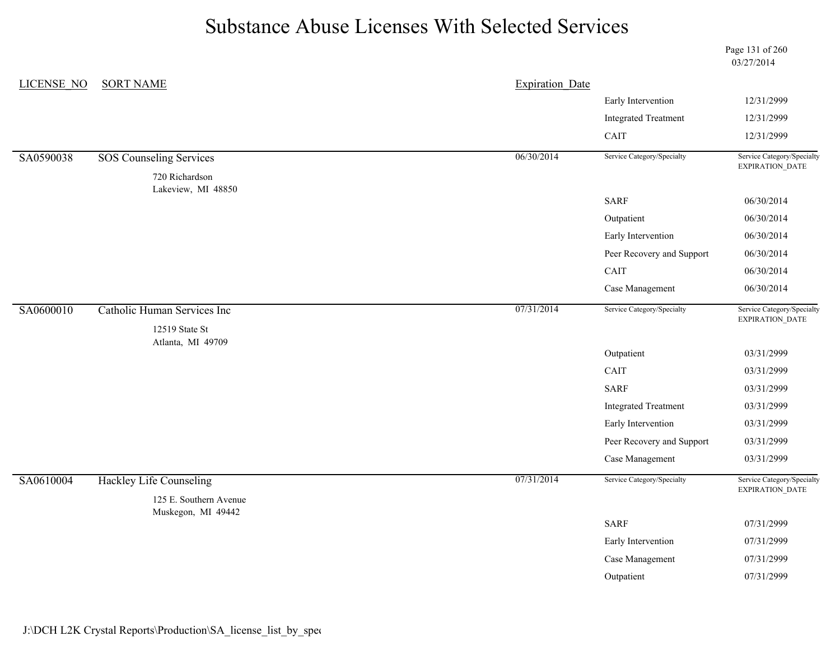Page 131 of 260 03/27/2014

| <b>LICENSE NO</b> | <b>SORT NAME</b>                     |            | <b>Expiration Date</b>       |                                                                                                                                                                                                                                                                                                                                                                                               |  |
|-------------------|--------------------------------------|------------|------------------------------|-----------------------------------------------------------------------------------------------------------------------------------------------------------------------------------------------------------------------------------------------------------------------------------------------------------------------------------------------------------------------------------------------|--|
|                   |                                      |            | Early Intervention           | 12/31/2999                                                                                                                                                                                                                                                                                                                                                                                    |  |
|                   |                                      |            | <b>Integrated Treatment</b>  | 12/31/2999<br>12/31/2999<br>Service Category/Specialty<br>EXPIRATION_DATE<br>06/30/2014<br>06/30/2014<br>06/30/2014<br>06/30/2014<br>06/30/2014<br>06/30/2014<br>Service Category/Specialty<br>EXPIRATION_DATE<br>03/31/2999<br>03/31/2999<br>03/31/2999<br>03/31/2999<br>03/31/2999<br>03/31/2999<br>03/31/2999<br>Service Category/Specialty<br>EXPIRATION_DATE<br>07/31/2999<br>07/31/2999 |  |
|                   |                                      |            | $\mathop{\rm CAIT}\nolimits$ |                                                                                                                                                                                                                                                                                                                                                                                               |  |
| SA0590038         | <b>SOS Counseling Services</b>       | 06/30/2014 | Service Category/Specialty   |                                                                                                                                                                                                                                                                                                                                                                                               |  |
|                   | 720 Richardson<br>Lakeview, MI 48850 |            |                              |                                                                                                                                                                                                                                                                                                                                                                                               |  |
|                   |                                      |            | <b>SARF</b>                  |                                                                                                                                                                                                                                                                                                                                                                                               |  |
|                   |                                      |            | Outpatient                   |                                                                                                                                                                                                                                                                                                                                                                                               |  |
|                   |                                      |            | Early Intervention           |                                                                                                                                                                                                                                                                                                                                                                                               |  |
|                   |                                      |            | Peer Recovery and Support    |                                                                                                                                                                                                                                                                                                                                                                                               |  |
|                   |                                      |            | CAIT                         |                                                                                                                                                                                                                                                                                                                                                                                               |  |
|                   |                                      |            | Case Management              |                                                                                                                                                                                                                                                                                                                                                                                               |  |
| SA0600010         | Catholic Human Services Inc          | 07/31/2014 | Service Category/Specialty   |                                                                                                                                                                                                                                                                                                                                                                                               |  |
|                   | 12519 State St<br>Atlanta, MI 49709  |            |                              |                                                                                                                                                                                                                                                                                                                                                                                               |  |
|                   |                                      |            | Outpatient                   |                                                                                                                                                                                                                                                                                                                                                                                               |  |
|                   |                                      |            | CAIT                         |                                                                                                                                                                                                                                                                                                                                                                                               |  |
|                   |                                      |            | <b>SARF</b>                  |                                                                                                                                                                                                                                                                                                                                                                                               |  |
|                   |                                      |            | <b>Integrated Treatment</b>  |                                                                                                                                                                                                                                                                                                                                                                                               |  |
|                   |                                      |            | Early Intervention           |                                                                                                                                                                                                                                                                                                                                                                                               |  |
|                   |                                      |            | Peer Recovery and Support    |                                                                                                                                                                                                                                                                                                                                                                                               |  |
|                   |                                      |            | Case Management              |                                                                                                                                                                                                                                                                                                                                                                                               |  |
| SA0610004         | <b>Hackley Life Counseling</b>       | 07/31/2014 | Service Category/Specialty   |                                                                                                                                                                                                                                                                                                                                                                                               |  |
|                   | 125 E. Southern Avenue               |            |                              |                                                                                                                                                                                                                                                                                                                                                                                               |  |
|                   | Muskegon, MI 49442                   |            | <b>SARF</b>                  |                                                                                                                                                                                                                                                                                                                                                                                               |  |
|                   |                                      |            | Early Intervention           |                                                                                                                                                                                                                                                                                                                                                                                               |  |
|                   |                                      |            | Case Management              | 07/31/2999                                                                                                                                                                                                                                                                                                                                                                                    |  |
|                   |                                      |            | Outpatient                   | 07/31/2999                                                                                                                                                                                                                                                                                                                                                                                    |  |
|                   |                                      |            |                              |                                                                                                                                                                                                                                                                                                                                                                                               |  |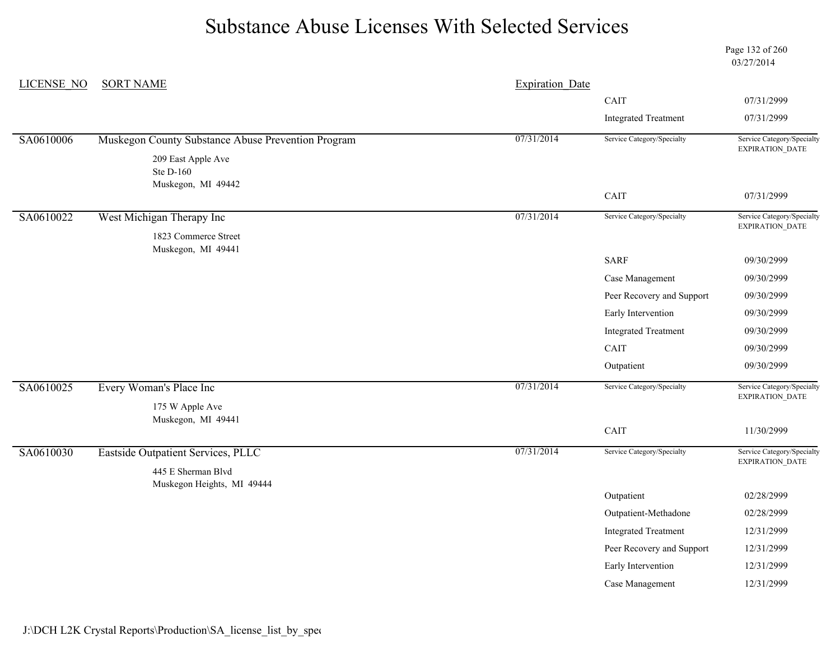Page 132 of 260 03/27/2014

| <b>LICENSE NO</b> | <b>SORT NAME</b>                                   | <b>Expiration Date</b> |                             |                                                      |
|-------------------|----------------------------------------------------|------------------------|-----------------------------|------------------------------------------------------|
|                   |                                                    |                        | CAIT                        | 07/31/2999                                           |
|                   |                                                    |                        | <b>Integrated Treatment</b> | 07/31/2999                                           |
| SA0610006         | Muskegon County Substance Abuse Prevention Program | 07/31/2014             | Service Category/Specialty  | Service Category/Specialty<br>EXPIRATION_DATE        |
|                   | 209 East Apple Ave<br>Ste D-160                    |                        |                             |                                                      |
|                   | Muskegon, MI 49442                                 |                        | CAIT                        | 07/31/2999                                           |
| SA0610022         | West Michigan Therapy Inc                          | 07/31/2014             | Service Category/Specialty  | Service Category/Specialty<br>EXPIRATION_DATE        |
|                   | 1823 Commerce Street<br>Muskegon, MI 49441         |                        |                             |                                                      |
|                   |                                                    |                        | <b>SARF</b>                 | 09/30/2999                                           |
|                   |                                                    |                        | Case Management             | 09/30/2999                                           |
|                   |                                                    |                        | Peer Recovery and Support   | 09/30/2999                                           |
|                   |                                                    |                        | Early Intervention          | 09/30/2999                                           |
|                   |                                                    |                        | <b>Integrated Treatment</b> | 09/30/2999                                           |
|                   |                                                    |                        | CAIT                        | 09/30/2999                                           |
|                   |                                                    |                        | Outpatient                  | 09/30/2999                                           |
| SA0610025         | Every Woman's Place Inc                            | 07/31/2014             | Service Category/Specialty  | Service Category/Specialty<br><b>EXPIRATION DATE</b> |
|                   | 175 W Apple Ave                                    |                        |                             |                                                      |
|                   | Muskegon, MI 49441                                 |                        | CAIT                        | 11/30/2999                                           |
| SA0610030         | Eastside Outpatient Services, PLLC                 | 07/31/2014             | Service Category/Specialty  | Service Category/Specialty<br>EXPIRATION_DATE        |
|                   | 445 E Sherman Blvd<br>Muskegon Heights, MI 49444   |                        |                             |                                                      |
|                   |                                                    |                        | Outpatient                  | 02/28/2999                                           |
|                   |                                                    |                        | Outpatient-Methadone        | 02/28/2999                                           |
|                   |                                                    |                        | <b>Integrated Treatment</b> | 12/31/2999                                           |
|                   |                                                    |                        | Peer Recovery and Support   | 12/31/2999                                           |
|                   |                                                    |                        | Early Intervention          | 12/31/2999                                           |
|                   |                                                    |                        | Case Management             | 12/31/2999                                           |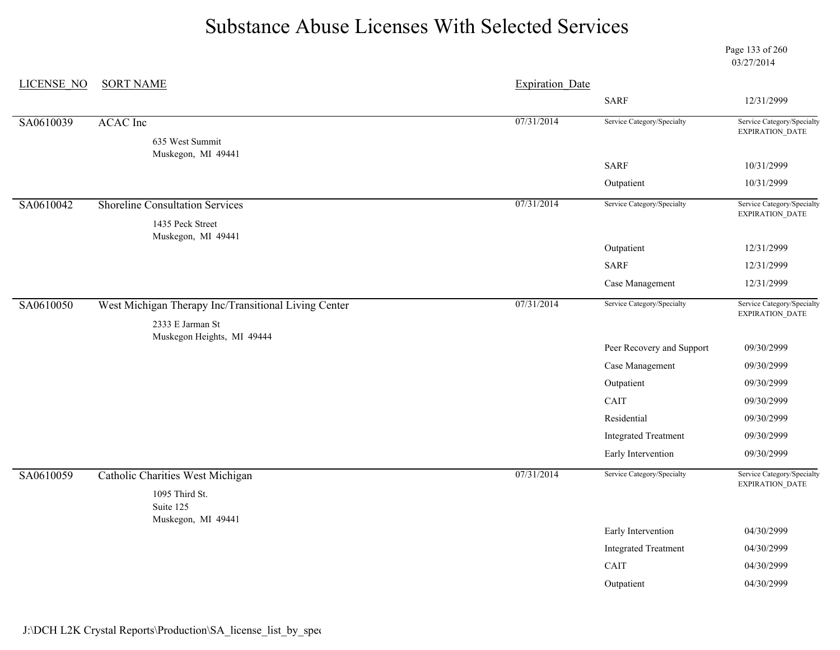Page 133 of 260 03/27/2014

| <b>LICENSE NO</b> | <b>SORT NAME</b>                                     | <b>Expiration Date</b> |                             |                                                      |  |
|-------------------|------------------------------------------------------|------------------------|-----------------------------|------------------------------------------------------|--|
|                   |                                                      |                        | <b>SARF</b>                 | 12/31/2999                                           |  |
| SA0610039         | <b>ACAC</b> Inc                                      | 07/31/2014             | Service Category/Specialty  | Service Category/Specialty<br>EXPIRATION_DATE        |  |
|                   | 635 West Summit                                      |                        |                             |                                                      |  |
|                   | Muskegon, MI 49441                                   |                        | <b>SARF</b>                 | 10/31/2999                                           |  |
|                   |                                                      |                        | Outpatient                  | 10/31/2999                                           |  |
| SA0610042         | <b>Shoreline Consultation Services</b>               | 07/31/2014             | Service Category/Specialty  | Service Category/Specialty                           |  |
|                   | 1435 Peck Street                                     |                        |                             | EXPIRATION_DATE                                      |  |
|                   | Muskegon, MI 49441                                   |                        | Outpatient                  | 12/31/2999                                           |  |
|                   |                                                      |                        | <b>SARF</b>                 | 12/31/2999                                           |  |
|                   |                                                      |                        | Case Management             | 12/31/2999                                           |  |
| SA0610050         | West Michigan Therapy Inc/Transitional Living Center | 07/31/2014             | Service Category/Specialty  | Service Category/Specialty                           |  |
|                   | 2333 E Jarman St                                     |                        |                             | EXPIRATION_DATE                                      |  |
|                   | Muskegon Heights, MI 49444                           |                        |                             |                                                      |  |
|                   |                                                      |                        | Peer Recovery and Support   | 09/30/2999                                           |  |
|                   |                                                      |                        | Case Management             | 09/30/2999                                           |  |
|                   |                                                      |                        | Outpatient                  | 09/30/2999                                           |  |
|                   |                                                      |                        | CAIT                        | 09/30/2999                                           |  |
|                   |                                                      |                        | Residential                 | 09/30/2999                                           |  |
|                   |                                                      |                        | <b>Integrated Treatment</b> | 09/30/2999                                           |  |
|                   |                                                      |                        | Early Intervention          | 09/30/2999                                           |  |
| SA0610059         | <b>Catholic Charities West Michigan</b>              | 07/31/2014             | Service Category/Specialty  | Service Category/Specialty<br><b>EXPIRATION DATE</b> |  |
|                   | 1095 Third St.<br>Suite 125                          |                        |                             |                                                      |  |
|                   | Muskegon, MI 49441                                   |                        |                             |                                                      |  |
|                   |                                                      |                        | Early Intervention          | 04/30/2999                                           |  |
|                   |                                                      |                        | <b>Integrated Treatment</b> | 04/30/2999                                           |  |
|                   |                                                      |                        | CAIT                        | 04/30/2999                                           |  |
|                   |                                                      |                        | Outpatient                  | 04/30/2999                                           |  |
|                   |                                                      |                        |                             |                                                      |  |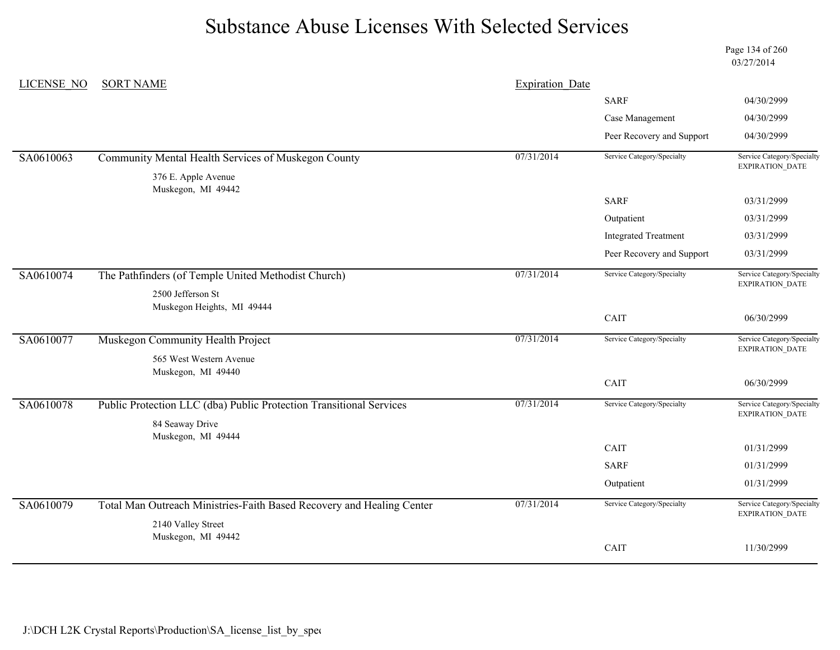Page 134 of 260 03/27/2014

| LICENSE NO | <b>SORT NAME</b>                                                                            | <b>Expiration Date</b> |                             |                                                      |
|------------|---------------------------------------------------------------------------------------------|------------------------|-----------------------------|------------------------------------------------------|
|            |                                                                                             |                        | <b>SARF</b>                 | 04/30/2999                                           |
|            |                                                                                             |                        | Case Management             | 04/30/2999                                           |
|            |                                                                                             |                        | Peer Recovery and Support   | 04/30/2999                                           |
| SA0610063  | Community Mental Health Services of Muskegon County                                         | 07/31/2014             | Service Category/Specialty  | Service Category/Specialty<br><b>EXPIRATION DATE</b> |
|            | 376 E. Apple Avenue<br>Muskegon, MI 49442                                                   |                        |                             |                                                      |
|            |                                                                                             |                        | <b>SARF</b>                 | 03/31/2999                                           |
|            |                                                                                             |                        | Outpatient                  | 03/31/2999                                           |
|            |                                                                                             |                        | <b>Integrated Treatment</b> | 03/31/2999                                           |
|            |                                                                                             |                        | Peer Recovery and Support   | 03/31/2999                                           |
| SA0610074  | The Pathfinders (of Temple United Methodist Church)                                         | 07/31/2014             | Service Category/Specialty  | Service Category/Specialty<br><b>EXPIRATION DATE</b> |
|            | 2500 Jefferson St                                                                           |                        |                             |                                                      |
|            | Muskegon Heights, MI 49444                                                                  |                        | CAIT                        | 06/30/2999                                           |
|            |                                                                                             |                        |                             |                                                      |
| SA0610077  | Muskegon Community Health Project                                                           | 07/31/2014             | Service Category/Specialty  | Service Category/Specialty<br><b>EXPIRATION DATE</b> |
|            | 565 West Western Avenue<br>Muskegon, MI 49440                                               |                        |                             |                                                      |
|            |                                                                                             |                        | CAIT                        | 06/30/2999                                           |
| SA0610078  | Public Protection LLC (dba) Public Protection Transitional Services                         | 07/31/2014             | Service Category/Specialty  | Service Category/Specialty<br>EXPIRATION_DATE        |
|            | 84 Seaway Drive                                                                             |                        |                             |                                                      |
|            | Muskegon, MI 49444                                                                          |                        | CAIT                        | 01/31/2999                                           |
|            |                                                                                             |                        | <b>SARF</b>                 | 01/31/2999                                           |
|            |                                                                                             |                        |                             |                                                      |
|            |                                                                                             |                        | Outpatient                  | 01/31/2999                                           |
| SA0610079  | Total Man Outreach Ministries-Faith Based Recovery and Healing Center<br>2140 Valley Street | 07/31/2014             | Service Category/Specialty  | Service Category/Specialty<br><b>EXPIRATION DATE</b> |
|            | Muskegon, MI 49442                                                                          |                        |                             |                                                      |
|            |                                                                                             |                        | CAIT                        | 11/30/2999                                           |
|            |                                                                                             |                        |                             |                                                      |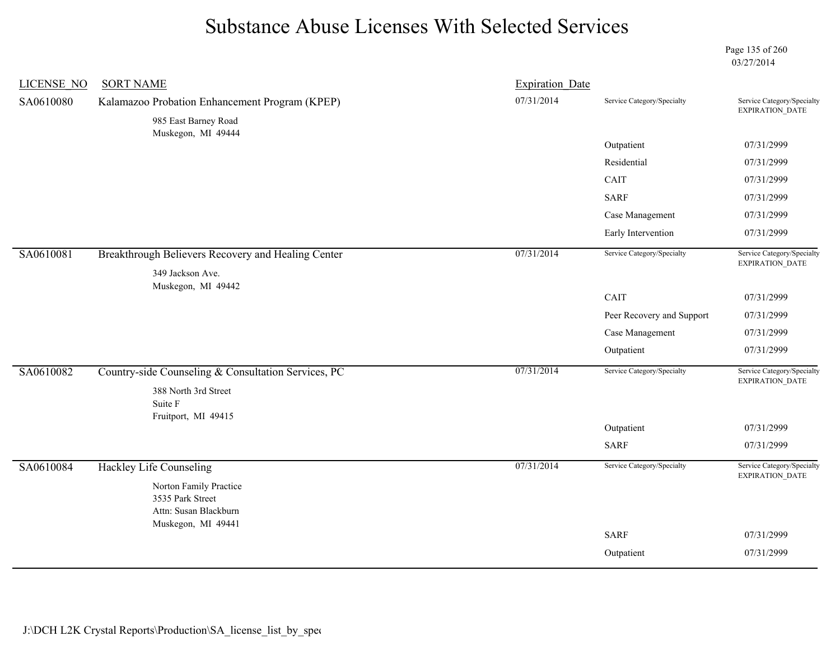Page 135 of 260 03/27/2014

| <b>LICENSE NO</b> | <b>SORT NAME</b>                                    | <b>Expiration Date</b> |                            |                                               |
|-------------------|-----------------------------------------------------|------------------------|----------------------------|-----------------------------------------------|
| SA0610080         | Kalamazoo Probation Enhancement Program (KPEP)      | 07/31/2014             | Service Category/Specialty | Service Category/Specialty<br>EXPIRATION_DATE |
|                   | 985 East Barney Road<br>Muskegon, MI 49444          |                        |                            |                                               |
|                   |                                                     |                        | Outpatient                 | 07/31/2999                                    |
|                   |                                                     |                        | Residential                | 07/31/2999                                    |
|                   |                                                     |                        | CAIT                       | 07/31/2999                                    |
|                   |                                                     |                        | <b>SARF</b>                | 07/31/2999                                    |
|                   |                                                     |                        | Case Management            | 07/31/2999                                    |
|                   |                                                     |                        | Early Intervention         | 07/31/2999                                    |
| SA0610081         | Breakthrough Believers Recovery and Healing Center  | 07/31/2014             | Service Category/Specialty | Service Category/Specialty<br>EXPIRATION_DATE |
|                   | 349 Jackson Ave.                                    |                        |                            |                                               |
|                   | Muskegon, MI 49442                                  |                        | CAIT                       | 07/31/2999                                    |
|                   |                                                     |                        | Peer Recovery and Support  | 07/31/2999                                    |
|                   |                                                     |                        | Case Management            | 07/31/2999                                    |
|                   |                                                     |                        | Outpatient                 | 07/31/2999                                    |
| SA0610082         | Country-side Counseling & Consultation Services, PC | 07/31/2014             | Service Category/Specialty | Service Category/Specialty                    |
|                   | 388 North 3rd Street                                |                        |                            | EXPIRATION_DATE                               |
|                   | Suite F                                             |                        |                            |                                               |
|                   | Fruitport, MI 49415                                 |                        |                            |                                               |
|                   |                                                     |                        | Outpatient                 | 07/31/2999                                    |
|                   |                                                     |                        | <b>SARF</b>                | 07/31/2999                                    |
| SA0610084         | <b>Hackley Life Counseling</b>                      | 07/31/2014             | Service Category/Specialty | Service Category/Specialty<br>EXPIRATION_DATE |
|                   | Norton Family Practice<br>3535 Park Street          |                        |                            |                                               |
|                   | Attn: Susan Blackburn<br>Muskegon, MI 49441         |                        |                            |                                               |
|                   |                                                     |                        | <b>SARF</b>                | 07/31/2999                                    |
|                   |                                                     |                        | Outpatient                 | 07/31/2999                                    |
|                   |                                                     |                        |                            |                                               |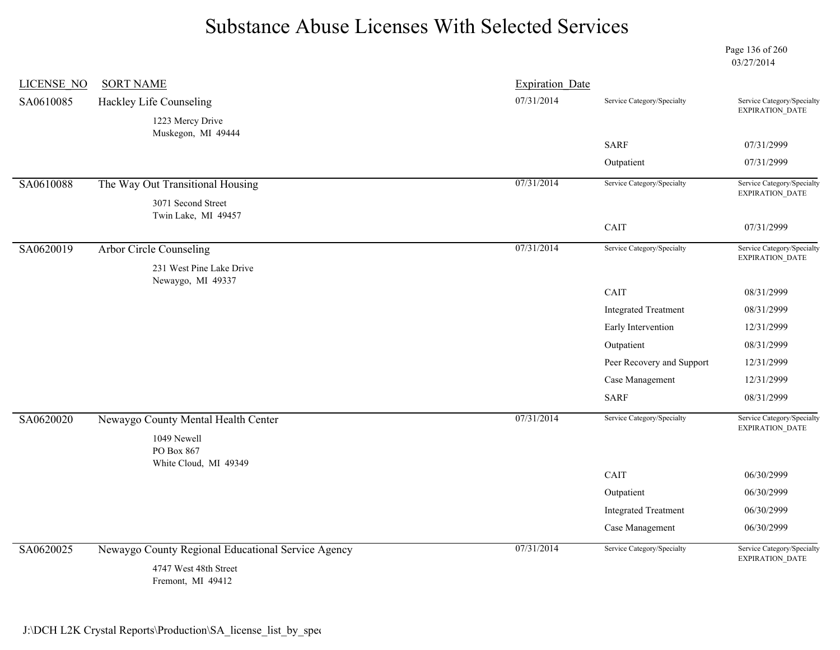Page 136 of 260 03/27/2014

| LICENSE NO | <b>SORT NAME</b>                                   | <b>Expiration Date</b> |                             |                                               |
|------------|----------------------------------------------------|------------------------|-----------------------------|-----------------------------------------------|
| SA0610085  | Hackley Life Counseling                            | 07/31/2014             | Service Category/Specialty  | Service Category/Specialty<br>EXPIRATION_DATE |
|            | 1223 Mercy Drive                                   |                        |                             |                                               |
|            | Muskegon, MI 49444                                 |                        | <b>SARF</b>                 | 07/31/2999                                    |
|            |                                                    |                        | Outpatient                  | 07/31/2999                                    |
| SA0610088  | The Way Out Transitional Housing                   | 07/31/2014             | Service Category/Specialty  | Service Category/Specialty                    |
|            | 3071 Second Street<br>Twin Lake, MI 49457          |                        |                             | EXPIRATION_DATE                               |
|            |                                                    |                        | CAIT                        | 07/31/2999                                    |
| SA0620019  | <b>Arbor Circle Counseling</b>                     | 07/31/2014             | Service Category/Specialty  | Service Category/Specialty<br>EXPIRATION_DATE |
|            | 231 West Pine Lake Drive                           |                        |                             |                                               |
|            | Newaygo, MI 49337                                  |                        | CAIT                        | 08/31/2999                                    |
|            |                                                    |                        | <b>Integrated Treatment</b> | 08/31/2999                                    |
|            |                                                    |                        | Early Intervention          | 12/31/2999                                    |
|            |                                                    |                        | Outpatient                  | 08/31/2999                                    |
|            |                                                    |                        | Peer Recovery and Support   | 12/31/2999                                    |
|            |                                                    |                        | Case Management             | 12/31/2999                                    |
|            |                                                    |                        | <b>SARF</b>                 | 08/31/2999                                    |
| SA0620020  | Newaygo County Mental Health Center                | 07/31/2014             | Service Category/Specialty  | Service Category/Specialty<br>EXPIRATION_DATE |
|            | 1049 Newell<br>PO Box 867                          |                        |                             |                                               |
|            | White Cloud, MI 49349                              |                        | CAIT                        | 06/30/2999                                    |
|            |                                                    |                        | Outpatient                  | 06/30/2999                                    |
|            |                                                    |                        | <b>Integrated Treatment</b> | 06/30/2999                                    |
|            |                                                    |                        | Case Management             | 06/30/2999                                    |
| SA0620025  | Newaygo County Regional Educational Service Agency | 07/31/2014             | Service Category/Specialty  | Service Category/Specialty<br>EXPIRATION_DATE |
|            | 4747 West 48th Street<br>Fremont, MI 49412         |                        |                             |                                               |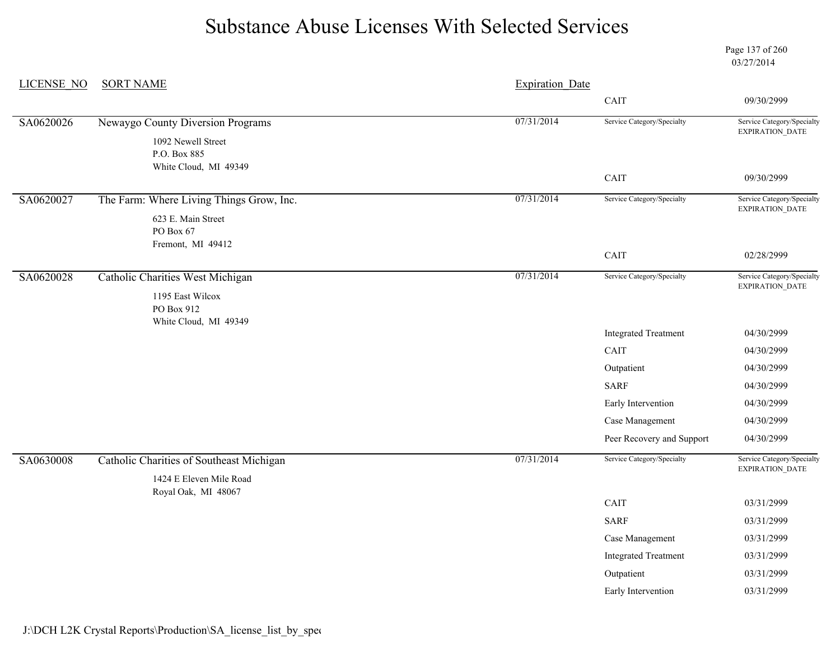Page 137 of 260 03/27/2014

| <b>LICENSE NO</b> | <b>SORT NAME</b>                                     | <b>Expiration Date</b> |                             |                                                      |
|-------------------|------------------------------------------------------|------------------------|-----------------------------|------------------------------------------------------|
|                   |                                                      |                        | CAIT                        | 09/30/2999                                           |
| SA0620026         | Newaygo County Diversion Programs                    | 07/31/2014             | Service Category/Specialty  | Service Category/Specialty                           |
|                   | 1092 Newell Street<br>P.O. Box 885                   |                        |                             | EXPIRATION_DATE                                      |
|                   | White Cloud, MI 49349                                |                        | CAIT                        | 09/30/2999                                           |
| SA0620027         | The Farm: Where Living Things Grow, Inc.             | 07/31/2014             | Service Category/Specialty  | Service Category/Specialty<br>EXPIRATION_DATE        |
|                   | 623 E. Main Street<br>PO Box 67<br>Fremont, MI 49412 |                        |                             |                                                      |
|                   |                                                      |                        | CAIT                        | 02/28/2999                                           |
| SA0620028         | Catholic Charities West Michigan<br>1195 East Wilcox | 07/31/2014             | Service Category/Specialty  | Service Category/Specialty<br><b>EXPIRATION DATE</b> |
|                   | PO Box 912<br>White Cloud, MI 49349                  |                        |                             |                                                      |
|                   |                                                      |                        | <b>Integrated Treatment</b> | 04/30/2999                                           |
|                   |                                                      |                        | CAIT                        | 04/30/2999                                           |
|                   |                                                      |                        | Outpatient                  | 04/30/2999                                           |
|                   |                                                      |                        | <b>SARF</b>                 | 04/30/2999                                           |
|                   |                                                      |                        | Early Intervention          | 04/30/2999                                           |
|                   |                                                      |                        | Case Management             | 04/30/2999                                           |
|                   |                                                      |                        | Peer Recovery and Support   | 04/30/2999                                           |
| SA0630008         | Catholic Charities of Southeast Michigan             | 07/31/2014             | Service Category/Specialty  | Service Category/Specialty<br>EXPIRATION_DATE        |
|                   | 1424 E Eleven Mile Road<br>Royal Oak, MI 48067       |                        |                             |                                                      |
|                   |                                                      |                        | CAIT                        | 03/31/2999                                           |
|                   |                                                      |                        | <b>SARF</b>                 | 03/31/2999                                           |
|                   |                                                      |                        | Case Management             | 03/31/2999                                           |
|                   |                                                      |                        | <b>Integrated Treatment</b> | 03/31/2999                                           |
|                   |                                                      |                        | Outpatient                  | 03/31/2999                                           |
|                   |                                                      |                        | Early Intervention          | 03/31/2999                                           |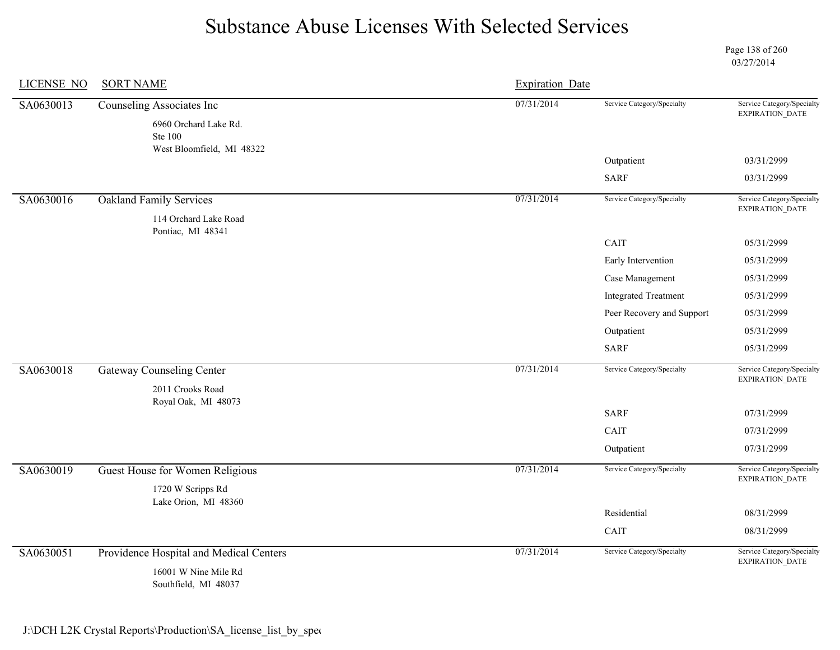Page 138 of 260 03/27/2014

| <b>LICENSE NO</b> | <b>SORT NAME</b>                                                                           | <b>Expiration Date</b> |                             |                                                      |
|-------------------|--------------------------------------------------------------------------------------------|------------------------|-----------------------------|------------------------------------------------------|
| SA0630013         | Counseling Associates Inc<br>6960 Orchard Lake Rd.<br>Ste 100<br>West Bloomfield, MI 48322 | 07/31/2014             | Service Category/Specialty  | Service Category/Specialty<br>EXPIRATION_DATE        |
|                   |                                                                                            |                        | Outpatient                  | 03/31/2999                                           |
|                   |                                                                                            |                        | <b>SARF</b>                 | 03/31/2999                                           |
| SA0630016         | <b>Oakland Family Services</b><br>114 Orchard Lake Road<br>Pontiac, MI 48341               | 07/31/2014             | Service Category/Specialty  | Service Category/Specialty<br>EXPIRATION_DATE        |
|                   |                                                                                            |                        | CAIT                        | 05/31/2999                                           |
|                   |                                                                                            |                        | Early Intervention          | 05/31/2999                                           |
|                   |                                                                                            |                        | Case Management             | 05/31/2999                                           |
|                   |                                                                                            |                        | <b>Integrated Treatment</b> | 05/31/2999                                           |
|                   |                                                                                            |                        | Peer Recovery and Support   | 05/31/2999                                           |
|                   |                                                                                            |                        | Outpatient                  | 05/31/2999                                           |
|                   |                                                                                            |                        | <b>SARF</b>                 | 05/31/2999                                           |
| SA0630018         | <b>Gateway Counseling Center</b><br>2011 Crooks Road<br>Royal Oak, MI 48073                | 07/31/2014             | Service Category/Specialty  | Service Category/Specialty<br>EXPIRATION_DATE        |
|                   |                                                                                            |                        | <b>SARF</b>                 | 07/31/2999                                           |
|                   |                                                                                            |                        | CAIT                        | 07/31/2999                                           |
|                   |                                                                                            |                        | Outpatient                  | 07/31/2999                                           |
| SA0630019         | Guest House for Women Religious<br>1720 W Scripps Rd                                       | 07/31/2014             | Service Category/Specialty  | Service Category/Specialty<br><b>EXPIRATION DATE</b> |
|                   | Lake Orion, MI 48360                                                                       |                        |                             |                                                      |
|                   |                                                                                            |                        | Residential                 | 08/31/2999                                           |
|                   |                                                                                            |                        | CAIT                        | 08/31/2999                                           |
| SA0630051         | Providence Hospital and Medical Centers<br>16001 W Nine Mile Rd<br>Southfield, MI 48037    | 07/31/2014             | Service Category/Specialty  | Service Category/Specialty<br>EXPIRATION_DATE        |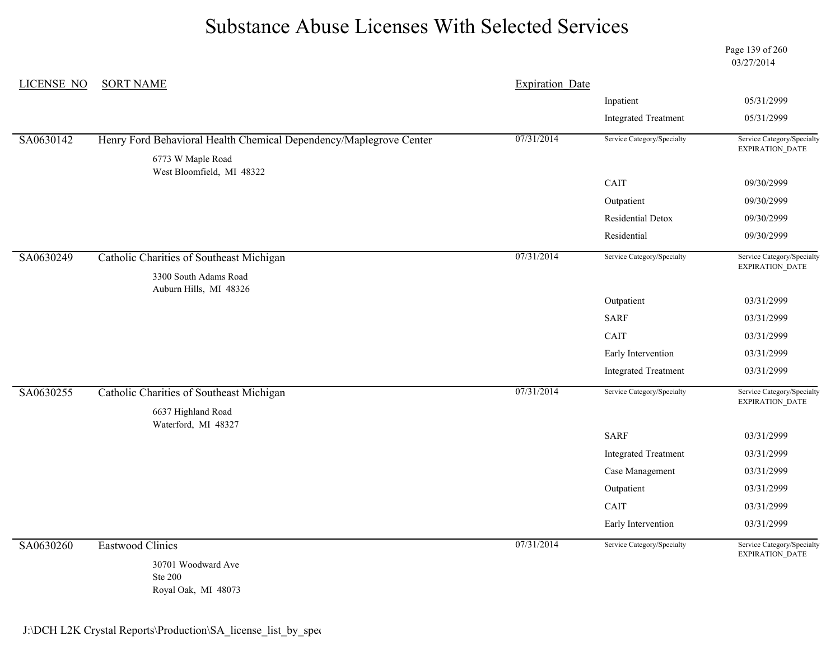Page 139 of 260 03/27/2014

| LICENSE NO | <b>SORT NAME</b>                                                   | <b>Expiration Date</b> |                             |                                                      |
|------------|--------------------------------------------------------------------|------------------------|-----------------------------|------------------------------------------------------|
|            |                                                                    |                        | Inpatient                   | 05/31/2999                                           |
|            |                                                                    |                        | <b>Integrated Treatment</b> | 05/31/2999                                           |
| SA0630142  | Henry Ford Behavioral Health Chemical Dependency/Maplegrove Center | 07/31/2014             | Service Category/Specialty  | Service Category/Specialty<br><b>EXPIRATION DATE</b> |
|            | 6773 W Maple Road<br>West Bloomfield, MI 48322                     |                        |                             |                                                      |
|            |                                                                    |                        | CAIT                        | 09/30/2999                                           |
|            |                                                                    |                        | Outpatient                  | 09/30/2999                                           |
|            |                                                                    |                        | Residential Detox           | 09/30/2999                                           |
|            |                                                                    |                        | Residential                 | 09/30/2999                                           |
| SA0630249  | Catholic Charities of Southeast Michigan                           | 07/31/2014             | Service Category/Specialty  | Service Category/Specialty<br><b>EXPIRATION DATE</b> |
|            | 3300 South Adams Road<br>Auburn Hills, MI 48326                    |                        |                             |                                                      |
|            |                                                                    |                        | Outpatient                  | 03/31/2999                                           |
|            |                                                                    |                        | <b>SARF</b>                 | 03/31/2999                                           |
|            |                                                                    |                        | CAIT                        | 03/31/2999                                           |
|            |                                                                    |                        | Early Intervention          | 03/31/2999                                           |
|            |                                                                    |                        | <b>Integrated Treatment</b> | 03/31/2999                                           |
| SA0630255  | Catholic Charities of Southeast Michigan                           | 07/31/2014             | Service Category/Specialty  | Service Category/Specialty<br>EXPIRATION_DATE        |
|            | 6637 Highland Road                                                 |                        |                             |                                                      |
|            | Waterford, MI 48327                                                |                        | <b>SARF</b>                 | 03/31/2999                                           |
|            |                                                                    |                        | <b>Integrated Treatment</b> | 03/31/2999                                           |
|            |                                                                    |                        | Case Management             | 03/31/2999                                           |
|            |                                                                    |                        | Outpatient                  | 03/31/2999                                           |
|            |                                                                    |                        | CAIT                        | 03/31/2999                                           |
|            |                                                                    |                        | Early Intervention          | 03/31/2999                                           |
| SA0630260  | <b>Eastwood Clinics</b>                                            | 07/31/2014             | Service Category/Specialty  | Service Category/Specialty<br>EXPIRATION_DATE        |
|            | 30701 Woodward Ave<br><b>Ste 200</b><br>Royal Oak, MI 48073        |                        |                             |                                                      |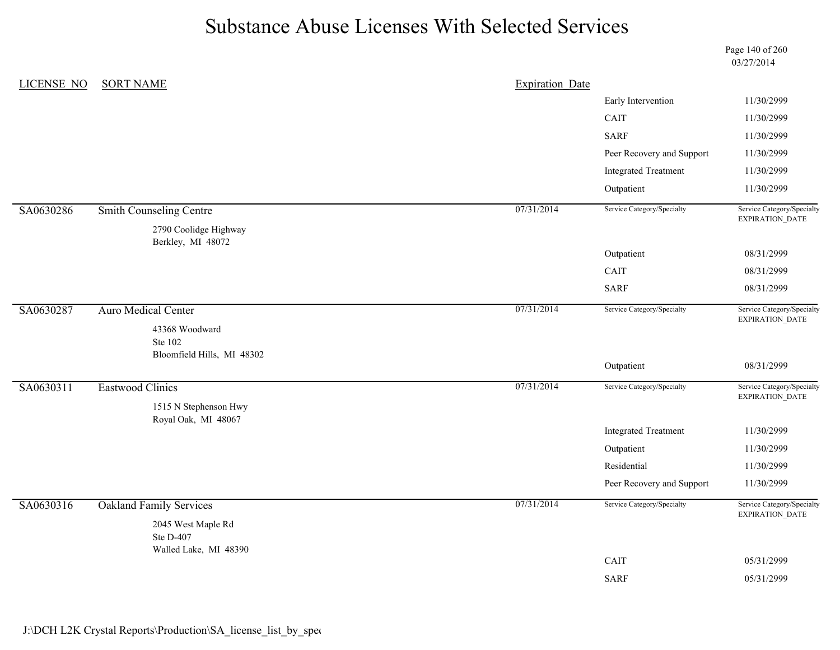Page 140 of 260 03/27/2014

| LICENSE NO | <b>SORT NAME</b>                           | <b>Expiration Date</b> |                             |                                               |
|------------|--------------------------------------------|------------------------|-----------------------------|-----------------------------------------------|
|            |                                            |                        | Early Intervention          | 11/30/2999                                    |
|            |                                            |                        | CAIT                        | 11/30/2999                                    |
|            |                                            |                        | <b>SARF</b>                 | 11/30/2999                                    |
|            |                                            |                        | Peer Recovery and Support   | 11/30/2999                                    |
|            |                                            |                        | <b>Integrated Treatment</b> | 11/30/2999                                    |
|            |                                            |                        | Outpatient                  | 11/30/2999                                    |
| SA0630286  | <b>Smith Counseling Centre</b>             | 07/31/2014             | Service Category/Specialty  | Service Category/Specialty<br>EXPIRATION_DATE |
|            | 2790 Coolidge Highway<br>Berkley, MI 48072 |                        |                             |                                               |
|            |                                            |                        | Outpatient                  | 08/31/2999                                    |
|            |                                            |                        | CAIT                        | 08/31/2999                                    |
|            |                                            |                        | <b>SARF</b>                 | 08/31/2999                                    |
| SA0630287  | <b>Auro Medical Center</b>                 | 07/31/2014             | Service Category/Specialty  | Service Category/Specialty<br>EXPIRATION_DATE |
|            | 43368 Woodward<br>Ste 102                  |                        |                             |                                               |
|            | Bloomfield Hills, MI 48302                 |                        | Outpatient                  | 08/31/2999                                    |
| SA0630311  | <b>Eastwood Clinics</b>                    | 07/31/2014             | Service Category/Specialty  | Service Category/Specialty<br>EXPIRATION_DATE |
|            | 1515 N Stephenson Hwy                      |                        |                             |                                               |
|            | Royal Oak, MI 48067                        |                        | <b>Integrated Treatment</b> | 11/30/2999                                    |
|            |                                            |                        | Outpatient                  | 11/30/2999                                    |
|            |                                            |                        | Residential                 | 11/30/2999                                    |
|            |                                            |                        | Peer Recovery and Support   | 11/30/2999                                    |
| SA0630316  | <b>Oakland Family Services</b>             | 07/31/2014             | Service Category/Specialty  | Service Category/Specialty<br>EXPIRATION_DATE |
|            | 2045 West Maple Rd                         |                        |                             |                                               |
|            | Ste D-407<br>Walled Lake, MI 48390         |                        |                             |                                               |
|            |                                            |                        | CAIT                        | 05/31/2999                                    |
|            |                                            |                        | <b>SARF</b>                 | 05/31/2999                                    |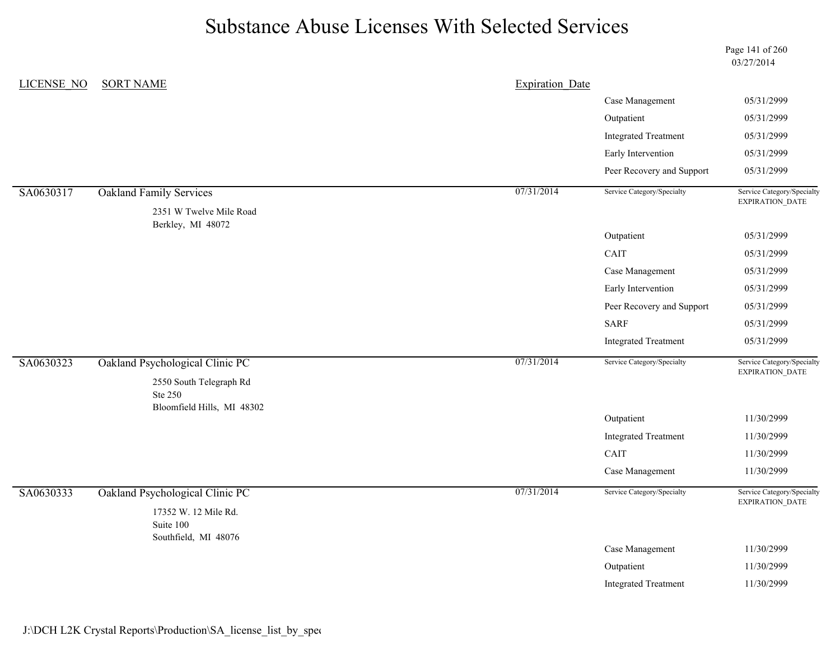Page 141 of 260 03/27/2014

| LICENSE NO | <b>SORT NAME</b>                                           | <b>Expiration Date</b> |                             |                                               |
|------------|------------------------------------------------------------|------------------------|-----------------------------|-----------------------------------------------|
|            |                                                            |                        | Case Management             | 05/31/2999                                    |
|            |                                                            |                        | Outpatient                  | 05/31/2999                                    |
|            |                                                            |                        | <b>Integrated Treatment</b> | 05/31/2999                                    |
|            |                                                            |                        | Early Intervention          | 05/31/2999                                    |
|            |                                                            |                        | Peer Recovery and Support   | 05/31/2999                                    |
| SA0630317  | <b>Oakland Family Services</b>                             | 07/31/2014             | Service Category/Specialty  | Service Category/Specialty<br>EXPIRATION_DATE |
|            | 2351 W Twelve Mile Road<br>Berkley, MI 48072               |                        |                             |                                               |
|            |                                                            |                        | Outpatient                  | 05/31/2999                                    |
|            |                                                            |                        | CAIT                        | 05/31/2999                                    |
|            |                                                            |                        | Case Management             | 05/31/2999                                    |
|            |                                                            |                        | Early Intervention          | 05/31/2999                                    |
|            |                                                            |                        | Peer Recovery and Support   | 05/31/2999                                    |
|            |                                                            |                        | <b>SARF</b>                 | 05/31/2999                                    |
|            |                                                            |                        | <b>Integrated Treatment</b> | 05/31/2999                                    |
| SA0630323  | Oakland Psychological Clinic PC<br>2550 South Telegraph Rd | 07/31/2014             | Service Category/Specialty  | Service Category/Specialty<br>EXPIRATION_DATE |
|            | Ste 250<br>Bloomfield Hills, MI 48302                      |                        |                             |                                               |
|            |                                                            |                        | Outpatient                  | 11/30/2999                                    |
|            |                                                            |                        | <b>Integrated Treatment</b> | 11/30/2999                                    |
|            |                                                            |                        | CAIT                        | 11/30/2999                                    |
|            |                                                            |                        | Case Management             | 11/30/2999                                    |
| SA0630333  | Oakland Psychological Clinic PC<br>17352 W. 12 Mile Rd.    | 07/31/2014             | Service Category/Specialty  | Service Category/Specialty<br>EXPIRATION_DATE |
|            | Suite 100<br>Southfield, MI 48076                          |                        |                             |                                               |
|            |                                                            |                        | Case Management             | 11/30/2999                                    |
|            |                                                            |                        | Outpatient                  | 11/30/2999                                    |
|            |                                                            |                        | <b>Integrated Treatment</b> | 11/30/2999                                    |
|            |                                                            |                        |                             |                                               |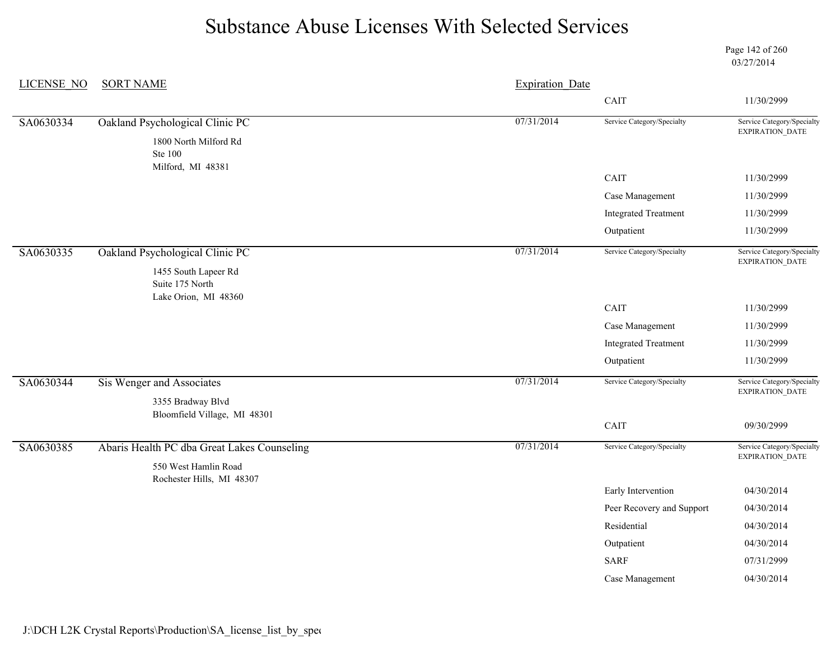Page 142 of 260 03/27/2014

| <b>LICENSE NO</b> | <b>SORT NAME</b>                                  | <b>Expiration Date</b> |                             |                                                      |
|-------------------|---------------------------------------------------|------------------------|-----------------------------|------------------------------------------------------|
|                   |                                                   |                        | CAIT                        | 11/30/2999                                           |
| SA0630334         | Oakland Psychological Clinic PC                   | 07/31/2014             | Service Category/Specialty  | Service Category/Specialty                           |
|                   | 1800 North Milford Rd<br><b>Ste 100</b>           |                        |                             | <b>EXPIRATION DATE</b>                               |
|                   | Milford, MI 48381                                 |                        | CAIT                        | 11/30/2999                                           |
|                   |                                                   |                        | Case Management             | 11/30/2999                                           |
|                   |                                                   |                        | <b>Integrated Treatment</b> | 11/30/2999                                           |
|                   |                                                   |                        | Outpatient                  | 11/30/2999                                           |
| SA0630335         | Oakland Psychological Clinic PC                   | 07/31/2014             | Service Category/Specialty  | Service Category/Specialty<br>EXPIRATION_DATE        |
|                   | 1455 South Lapeer Rd<br>Suite 175 North           |                        |                             |                                                      |
|                   | Lake Orion, MI 48360                              |                        | CAIT                        | 11/30/2999                                           |
|                   |                                                   |                        | Case Management             | 11/30/2999                                           |
|                   |                                                   |                        | <b>Integrated Treatment</b> | 11/30/2999                                           |
|                   |                                                   |                        | Outpatient                  | 11/30/2999                                           |
| SA0630344         | Sis Wenger and Associates                         | 07/31/2014             | Service Category/Specialty  | Service Category/Specialty<br><b>EXPIRATION DATE</b> |
|                   | 3355 Bradway Blvd<br>Bloomfield Village, MI 48301 |                        |                             |                                                      |
|                   |                                                   |                        | CAIT                        | 09/30/2999                                           |
| SA0630385         | Abaris Health PC dba Great Lakes Counseling       | 07/31/2014             | Service Category/Specialty  | Service Category/Specialty<br>EXPIRATION_DATE        |
|                   | 550 West Hamlin Road<br>Rochester Hills, MI 48307 |                        |                             |                                                      |
|                   |                                                   |                        | Early Intervention          | 04/30/2014                                           |
|                   |                                                   |                        | Peer Recovery and Support   | 04/30/2014                                           |
|                   |                                                   |                        | Residential                 | 04/30/2014                                           |
|                   |                                                   |                        | Outpatient                  | 04/30/2014                                           |
|                   |                                                   |                        | <b>SARF</b>                 | 07/31/2999                                           |
|                   |                                                   |                        | Case Management             | 04/30/2014                                           |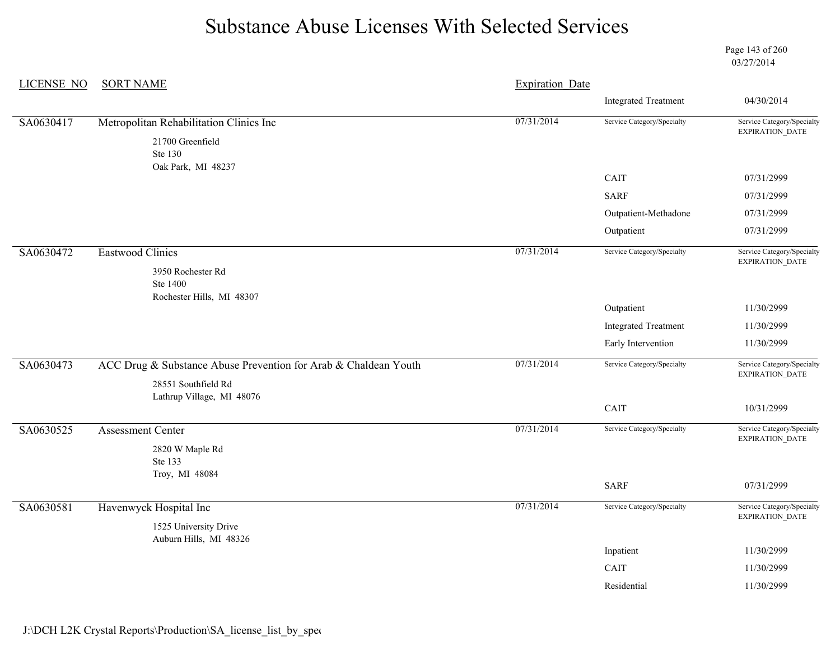Page 143 of 260 03/27/2014

| <b>LICENSE NO</b> | <b>SORT NAME</b>                                                | <b>Expiration Date</b> |                             |                                                      |
|-------------------|-----------------------------------------------------------------|------------------------|-----------------------------|------------------------------------------------------|
|                   |                                                                 |                        | <b>Integrated Treatment</b> | 04/30/2014                                           |
| SA0630417         | Metropolitan Rehabilitation Clinics Inc                         | 07/31/2014             | Service Category/Specialty  | Service Category/Specialty                           |
|                   | 21700 Greenfield<br>Ste 130                                     |                        |                             | EXPIRATION_DATE                                      |
|                   | Oak Park, MI 48237                                              |                        | CAIT                        | 07/31/2999                                           |
|                   |                                                                 |                        | <b>SARF</b>                 | 07/31/2999                                           |
|                   |                                                                 |                        | Outpatient-Methadone        | 07/31/2999                                           |
|                   |                                                                 |                        | Outpatient                  | 07/31/2999                                           |
| SA0630472         | Eastwood Clinics                                                | 07/31/2014             | Service Category/Specialty  | Service Category/Specialty<br>EXPIRATION_DATE        |
|                   | 3950 Rochester Rd<br>Ste 1400                                   |                        |                             |                                                      |
|                   | Rochester Hills, MI 48307                                       |                        | Outpatient                  | 11/30/2999                                           |
|                   |                                                                 |                        | <b>Integrated Treatment</b> | 11/30/2999                                           |
|                   |                                                                 |                        | Early Intervention          | 11/30/2999                                           |
| SA0630473         | ACC Drug & Substance Abuse Prevention for Arab & Chaldean Youth | 07/31/2014             | Service Category/Specialty  | Service Category/Specialty<br>EXPIRATION_DATE        |
|                   | 28551 Southfield Rd<br>Lathrup Village, MI 48076                |                        |                             |                                                      |
|                   |                                                                 |                        | CAIT                        | 10/31/2999                                           |
| SA0630525         | <b>Assessment Center</b>                                        | 07/31/2014             | Service Category/Specialty  | Service Category/Specialty<br>EXPIRATION_DATE        |
|                   | 2820 W Maple Rd<br>Ste 133                                      |                        |                             |                                                      |
|                   | Troy, MI 48084                                                  |                        | <b>SARF</b>                 | 07/31/2999                                           |
| SA0630581         | Havenwyck Hospital Inc                                          | 07/31/2014             | Service Category/Specialty  | Service Category/Specialty<br><b>EXPIRATION DATE</b> |
|                   | 1525 University Drive<br>Auburn Hills, MI 48326                 |                        |                             |                                                      |
|                   |                                                                 |                        | Inpatient                   | 11/30/2999                                           |
|                   |                                                                 |                        | CAIT                        | 11/30/2999                                           |
|                   |                                                                 |                        | Residential                 | 11/30/2999                                           |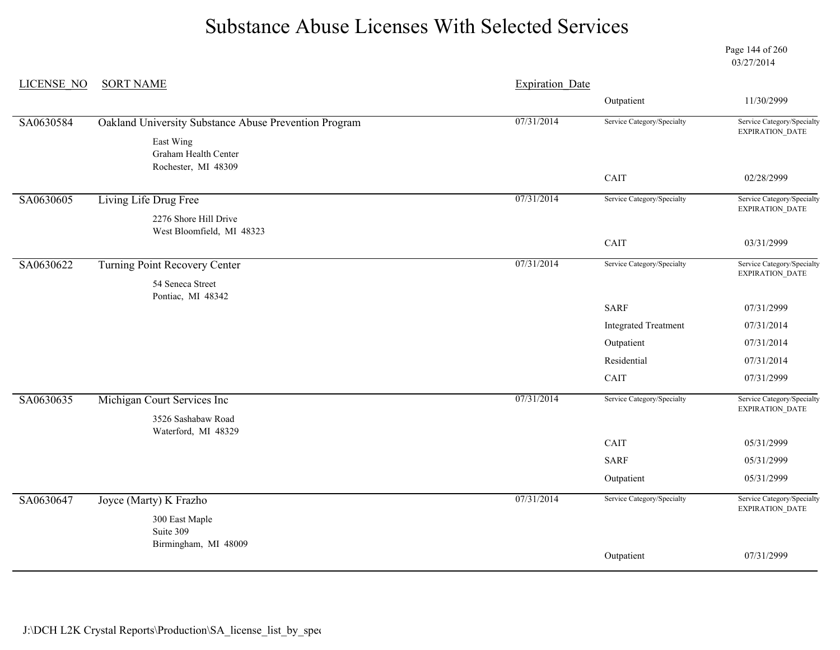Page 144 of 260 03/27/2014

| <b>LICENSE NO</b> | <b>SORT NAME</b>                                      | <b>Expiration Date</b> |                             |                                               |
|-------------------|-------------------------------------------------------|------------------------|-----------------------------|-----------------------------------------------|
|                   |                                                       |                        | Outpatient                  | 11/30/2999                                    |
| SA0630584         | Oakland University Substance Abuse Prevention Program | 07/31/2014             | Service Category/Specialty  | Service Category/Specialty<br>EXPIRATION_DATE |
|                   | East Wing<br>Graham Health Center                     |                        |                             |                                               |
|                   | Rochester, MI 48309                                   |                        | CAIT                        | 02/28/2999                                    |
|                   |                                                       |                        |                             |                                               |
| SA0630605         | Living Life Drug Free                                 | 07/31/2014             | Service Category/Specialty  | Service Category/Specialty<br>EXPIRATION_DATE |
|                   | 2276 Shore Hill Drive<br>West Bloomfield, MI 48323    |                        |                             |                                               |
|                   |                                                       |                        | CAIT                        | 03/31/2999                                    |
| SA0630622         | Turning Point Recovery Center                         | 07/31/2014             | Service Category/Specialty  | Service Category/Specialty<br>EXPIRATION_DATE |
|                   | 54 Seneca Street<br>Pontiac, MI 48342                 |                        |                             |                                               |
|                   |                                                       |                        | <b>SARF</b>                 | 07/31/2999                                    |
|                   |                                                       |                        | <b>Integrated Treatment</b> | 07/31/2014                                    |
|                   |                                                       |                        | Outpatient                  | 07/31/2014                                    |
|                   |                                                       |                        | Residential                 | 07/31/2014                                    |
|                   |                                                       |                        | CAIT                        | 07/31/2999                                    |
| SA0630635         | Michigan Court Services Inc                           | 07/31/2014             | Service Category/Specialty  | Service Category/Specialty                    |
|                   | 3526 Sashabaw Road                                    |                        |                             | EXPIRATION_DATE                               |
|                   | Waterford, MI 48329                                   |                        | CAIT                        | 05/31/2999                                    |
|                   |                                                       |                        | <b>SARF</b>                 | 05/31/2999                                    |
|                   |                                                       |                        |                             |                                               |
|                   |                                                       |                        | Outpatient                  | 05/31/2999                                    |
| SA0630647         | Joyce (Marty) K Frazho                                | 07/31/2014             | Service Category/Specialty  | Service Category/Specialty<br>EXPIRATION_DATE |
|                   | 300 East Maple<br>Suite 309                           |                        |                             |                                               |
|                   | Birmingham, MI 48009                                  |                        | Outpatient                  | 07/31/2999                                    |
|                   |                                                       |                        |                             |                                               |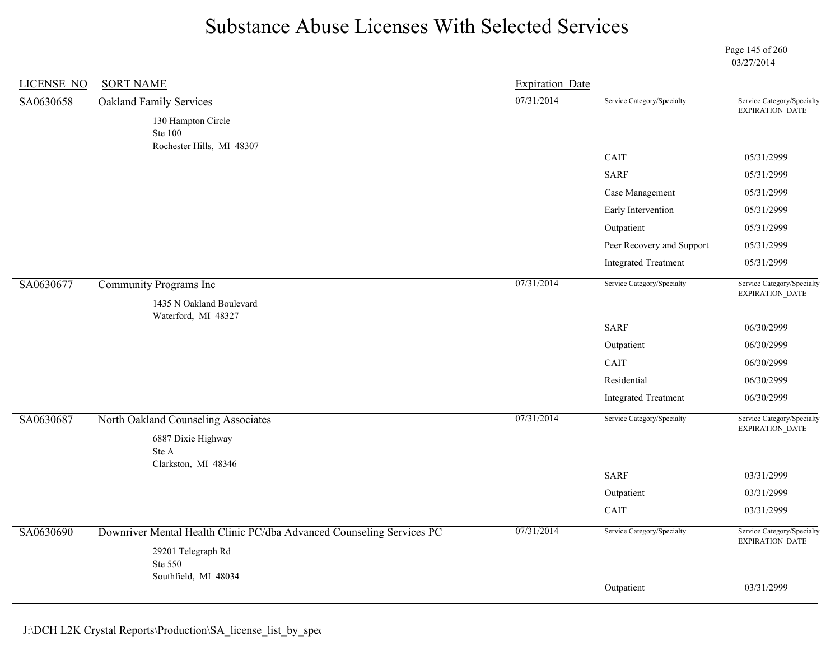Page 145 of 260 03/27/2014

| <b>LICENSE NO</b> | <b>SORT NAME</b>                                                      | <b>Expiration Date</b> |                             |                                               |
|-------------------|-----------------------------------------------------------------------|------------------------|-----------------------------|-----------------------------------------------|
| SA0630658         | <b>Oakland Family Services</b>                                        | 07/31/2014             | Service Category/Specialty  | Service Category/Specialty<br>EXPIRATION_DATE |
|                   | 130 Hampton Circle<br><b>Ste 100</b><br>Rochester Hills, MI 48307     |                        |                             |                                               |
|                   |                                                                       |                        | CAIT                        | 05/31/2999                                    |
|                   |                                                                       |                        | <b>SARF</b>                 | 05/31/2999                                    |
|                   |                                                                       |                        | Case Management             | 05/31/2999                                    |
|                   |                                                                       |                        | Early Intervention          | 05/31/2999                                    |
|                   |                                                                       |                        | Outpatient                  | 05/31/2999                                    |
|                   |                                                                       |                        | Peer Recovery and Support   | 05/31/2999                                    |
|                   |                                                                       |                        | <b>Integrated Treatment</b> | 05/31/2999                                    |
| SA0630677         | Community Programs Inc                                                | 07/31/2014             | Service Category/Specialty  | Service Category/Specialty<br>EXPIRATION_DATE |
|                   | 1435 N Oakland Boulevard<br>Waterford, MI 48327                       |                        |                             |                                               |
|                   |                                                                       |                        | <b>SARF</b>                 | 06/30/2999                                    |
|                   |                                                                       |                        | Outpatient                  | 06/30/2999                                    |
|                   |                                                                       |                        | CAIT                        | 06/30/2999                                    |
|                   |                                                                       |                        | Residential                 | 06/30/2999                                    |
|                   |                                                                       |                        | <b>Integrated Treatment</b> | 06/30/2999                                    |
| SA0630687         | North Oakland Counseling Associates                                   | 07/31/2014             | Service Category/Specialty  | Service Category/Specialty<br>EXPIRATION_DATE |
|                   | 6887 Dixie Highway<br>Ste A<br>Clarkston, MI 48346                    |                        |                             |                                               |
|                   |                                                                       |                        | <b>SARF</b>                 | 03/31/2999                                    |
|                   |                                                                       |                        | Outpatient                  | 03/31/2999                                    |
|                   |                                                                       |                        | CAIT                        | 03/31/2999                                    |
| SA0630690         | Downriver Mental Health Clinic PC/dba Advanced Counseling Services PC | 07/31/2014             | Service Category/Specialty  | Service Category/Specialty<br>EXPIRATION_DATE |
|                   | 29201 Telegraph Rd<br>Ste 550                                         |                        |                             |                                               |
|                   | Southfield, MI 48034                                                  |                        |                             |                                               |
|                   |                                                                       |                        | Outpatient                  | 03/31/2999                                    |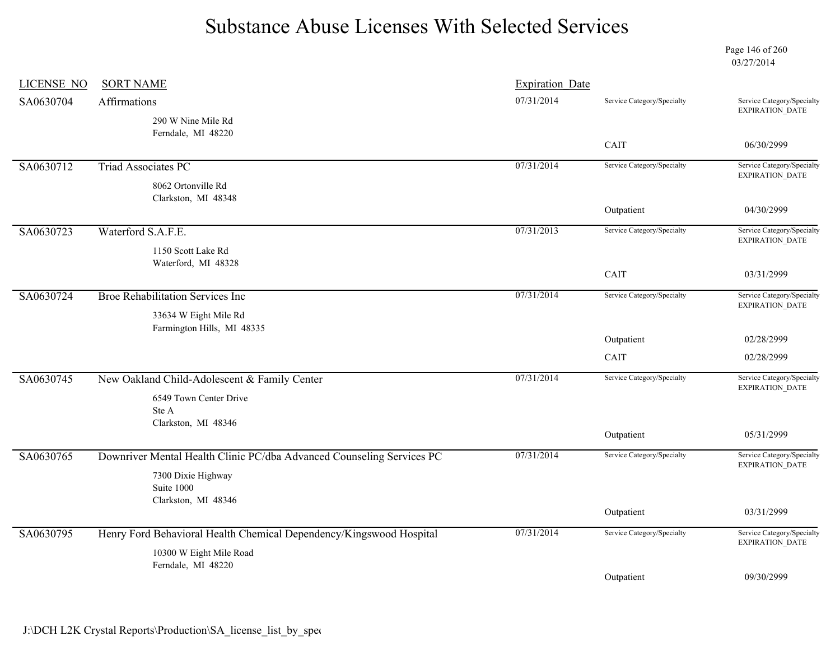Page 146 of 260 03/27/2014

| <b>LICENSE NO</b> | <b>SORT NAME</b>                                                      | <b>Expiration Date</b> |                            |                                                      |
|-------------------|-----------------------------------------------------------------------|------------------------|----------------------------|------------------------------------------------------|
| SA0630704         | Affirmations                                                          | 07/31/2014             | Service Category/Specialty | Service Category/Specialty<br><b>EXPIRATION DATE</b> |
|                   | 290 W Nine Mile Rd                                                    |                        |                            |                                                      |
|                   | Ferndale, MI 48220                                                    |                        | CAIT                       | 06/30/2999                                           |
| SA0630712         | <b>Triad Associates PC</b>                                            | 07/31/2014             | Service Category/Specialty | Service Category/Specialty<br>EXPIRATION_DATE        |
|                   | 8062 Ortonville Rd<br>Clarkston, MI 48348                             |                        |                            |                                                      |
|                   |                                                                       |                        | Outpatient                 | 04/30/2999                                           |
| SA0630723         | Waterford S.A.F.E.                                                    | 07/31/2013             | Service Category/Specialty | Service Category/Specialty<br><b>EXPIRATION DATE</b> |
|                   | 1150 Scott Lake Rd                                                    |                        |                            |                                                      |
|                   | Waterford, MI 48328                                                   |                        | CAIT                       | 03/31/2999                                           |
| SA0630724         | Broe Rehabilitation Services Inc                                      | 07/31/2014             | Service Category/Specialty | Service Category/Specialty<br><b>EXPIRATION DATE</b> |
|                   | 33634 W Eight Mile Rd<br>Farmington Hills, MI 48335                   |                        |                            |                                                      |
|                   |                                                                       |                        | Outpatient                 | 02/28/2999                                           |
|                   |                                                                       |                        | CAIT                       | 02/28/2999                                           |
| SA0630745         | New Oakland Child-Adolescent & Family Center                          | 07/31/2014             | Service Category/Specialty | Service Category/Specialty<br><b>EXPIRATION DATE</b> |
|                   | 6549 Town Center Drive                                                |                        |                            |                                                      |
|                   | Ste A<br>Clarkston, MI 48346                                          |                        |                            |                                                      |
|                   |                                                                       |                        | Outpatient                 | 05/31/2999                                           |
| SA0630765         | Downriver Mental Health Clinic PC/dba Advanced Counseling Services PC | 07/31/2014             | Service Category/Specialty | Service Category/Specialty<br>EXPIRATION_DATE        |
|                   | 7300 Dixie Highway<br>Suite 1000                                      |                        |                            |                                                      |
|                   | Clarkston, MI 48346                                                   |                        |                            |                                                      |
|                   |                                                                       |                        | Outpatient                 | 03/31/2999                                           |
| SA0630795         | Henry Ford Behavioral Health Chemical Dependency/Kingswood Hospital   | 07/31/2014             | Service Category/Specialty | Service Category/Specialty<br><b>EXPIRATION DATE</b> |
|                   | 10300 W Eight Mile Road<br>Ferndale, MI 48220                         |                        |                            |                                                      |
|                   |                                                                       |                        | Outpatient                 | 09/30/2999                                           |
|                   |                                                                       |                        |                            |                                                      |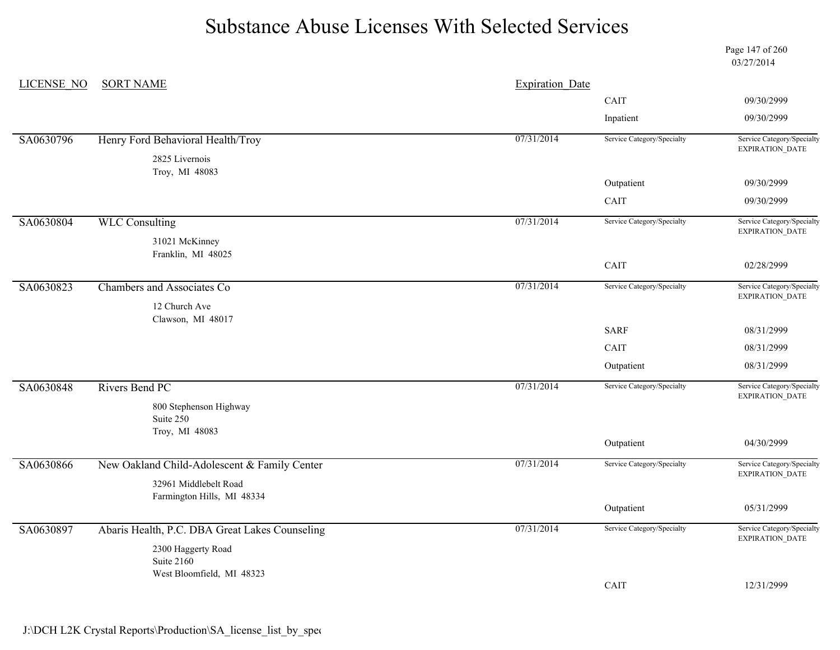Page 147 of 260 03/27/2014

| LICENSE NO | <b>SORT NAME</b>                               | <b>Expiration Date</b> |                            | 09/30/2999<br>09/30/2999<br>Service Category/Specialty<br><b>EXPIRATION DATE</b>                                                                                                                                                                                                                                                                                         |
|------------|------------------------------------------------|------------------------|----------------------------|--------------------------------------------------------------------------------------------------------------------------------------------------------------------------------------------------------------------------------------------------------------------------------------------------------------------------------------------------------------------------|
|            |                                                |                        | CAIT                       |                                                                                                                                                                                                                                                                                                                                                                          |
|            |                                                |                        | Inpatient                  | 09/30/2999<br>09/30/2999<br>Service Category/Specialty<br>EXPIRATION_DATE<br>02/28/2999<br>Service Category/Specialty<br>EXPIRATION_DATE<br>08/31/2999<br>08/31/2999<br>08/31/2999<br>Service Category/Specialty<br>EXPIRATION_DATE<br>04/30/2999<br>Service Category/Specialty<br><b>EXPIRATION DATE</b><br>05/31/2999<br>Service Category/Specialty<br>EXPIRATION_DATE |
| SA0630796  | Henry Ford Behavioral Health/Troy              | 07/31/2014             | Service Category/Specialty |                                                                                                                                                                                                                                                                                                                                                                          |
|            | 2825 Livernois<br>Troy, MI 48083               |                        |                            |                                                                                                                                                                                                                                                                                                                                                                          |
|            |                                                |                        | Outpatient                 |                                                                                                                                                                                                                                                                                                                                                                          |
|            |                                                |                        | CAIT                       |                                                                                                                                                                                                                                                                                                                                                                          |
| SA0630804  | <b>WLC Consulting</b>                          | 07/31/2014             | Service Category/Specialty |                                                                                                                                                                                                                                                                                                                                                                          |
|            | 31021 McKinney                                 |                        |                            |                                                                                                                                                                                                                                                                                                                                                                          |
|            | Franklin, MI 48025                             |                        | CAIT                       |                                                                                                                                                                                                                                                                                                                                                                          |
| SA0630823  | Chambers and Associates Co                     | 07/31/2014             | Service Category/Specialty |                                                                                                                                                                                                                                                                                                                                                                          |
|            | 12 Church Ave                                  |                        |                            |                                                                                                                                                                                                                                                                                                                                                                          |
|            | Clawson, MI 48017                              |                        | <b>SARF</b>                |                                                                                                                                                                                                                                                                                                                                                                          |
|            |                                                |                        | CAIT                       |                                                                                                                                                                                                                                                                                                                                                                          |
|            |                                                |                        | Outpatient                 |                                                                                                                                                                                                                                                                                                                                                                          |
| SA0630848  | Rivers Bend PC                                 | 07/31/2014             | Service Category/Specialty |                                                                                                                                                                                                                                                                                                                                                                          |
|            | 800 Stephenson Highway<br>Suite 250            |                        |                            |                                                                                                                                                                                                                                                                                                                                                                          |
|            | Troy, MI 48083                                 |                        |                            |                                                                                                                                                                                                                                                                                                                                                                          |
|            |                                                |                        | Outpatient                 |                                                                                                                                                                                                                                                                                                                                                                          |
| SA0630866  | New Oakland Child-Adolescent & Family Center   | 07/31/2014             | Service Category/Specialty |                                                                                                                                                                                                                                                                                                                                                                          |
|            | 32961 Middlebelt Road                          |                        |                            |                                                                                                                                                                                                                                                                                                                                                                          |
|            | Farmington Hills, MI 48334                     |                        | Outpatient                 |                                                                                                                                                                                                                                                                                                                                                                          |
| SA0630897  | Abaris Health, P.C. DBA Great Lakes Counseling | 07/31/2014             | Service Category/Specialty |                                                                                                                                                                                                                                                                                                                                                                          |
|            | 2300 Haggerty Road                             |                        |                            |                                                                                                                                                                                                                                                                                                                                                                          |
|            | Suite 2160<br>West Bloomfield, MI 48323        |                        |                            |                                                                                                                                                                                                                                                                                                                                                                          |
|            |                                                |                        | CAIT                       | 12/31/2999                                                                                                                                                                                                                                                                                                                                                               |
|            |                                                |                        |                            |                                                                                                                                                                                                                                                                                                                                                                          |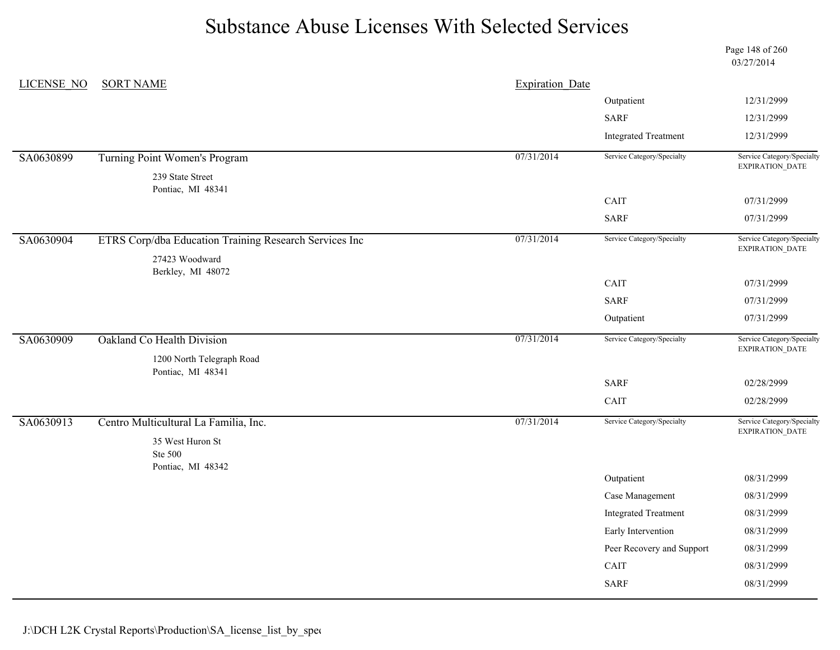Page 148 of 260 03/27/2014

| LICENSE NO | <b>SORT NAME</b>                                       | <b>Expiration Date</b> |                             |                                                                                                                                                                                                                                                                                                                                                                                               |
|------------|--------------------------------------------------------|------------------------|-----------------------------|-----------------------------------------------------------------------------------------------------------------------------------------------------------------------------------------------------------------------------------------------------------------------------------------------------------------------------------------------------------------------------------------------|
|            |                                                        |                        | Outpatient                  | 12/31/2999                                                                                                                                                                                                                                                                                                                                                                                    |
|            |                                                        |                        | <b>SARF</b>                 | 12/31/2999<br>12/31/2999<br>Service Category/Specialty<br>EXPIRATION_DATE<br>07/31/2999<br>07/31/2999<br>Service Category/Specialty<br>EXPIRATION_DATE<br>07/31/2999<br>07/31/2999<br>07/31/2999<br>Service Category/Specialty<br>EXPIRATION_DATE<br>02/28/2999<br>02/28/2999<br>Service Category/Specialty<br><b>EXPIRATION DATE</b><br>08/31/2999<br>08/31/2999<br>08/31/2999<br>08/31/2999 |
|            |                                                        |                        | <b>Integrated Treatment</b> |                                                                                                                                                                                                                                                                                                                                                                                               |
| SA0630899  | Turning Point Women's Program                          | 07/31/2014             | Service Category/Specialty  |                                                                                                                                                                                                                                                                                                                                                                                               |
|            | 239 State Street<br>Pontiac, MI 48341                  |                        |                             |                                                                                                                                                                                                                                                                                                                                                                                               |
|            |                                                        |                        | CAIT                        |                                                                                                                                                                                                                                                                                                                                                                                               |
|            |                                                        |                        | <b>SARF</b>                 |                                                                                                                                                                                                                                                                                                                                                                                               |
| SA0630904  | ETRS Corp/dba Education Training Research Services Inc | 07/31/2014             | Service Category/Specialty  |                                                                                                                                                                                                                                                                                                                                                                                               |
|            | 27423 Woodward                                         |                        |                             |                                                                                                                                                                                                                                                                                                                                                                                               |
|            | Berkley, MI 48072                                      |                        | CAIT                        |                                                                                                                                                                                                                                                                                                                                                                                               |
|            |                                                        |                        | <b>SARF</b>                 |                                                                                                                                                                                                                                                                                                                                                                                               |
|            |                                                        |                        | Outpatient                  |                                                                                                                                                                                                                                                                                                                                                                                               |
| SA0630909  | Oakland Co Health Division                             | 07/31/2014             | Service Category/Specialty  |                                                                                                                                                                                                                                                                                                                                                                                               |
|            | 1200 North Telegraph Road<br>Pontiac, MI 48341         |                        |                             |                                                                                                                                                                                                                                                                                                                                                                                               |
|            |                                                        |                        | <b>SARF</b>                 |                                                                                                                                                                                                                                                                                                                                                                                               |
|            |                                                        |                        | CAIT                        |                                                                                                                                                                                                                                                                                                                                                                                               |
| SA0630913  | Centro Multicultural La Familia, Inc.                  | 07/31/2014             | Service Category/Specialty  |                                                                                                                                                                                                                                                                                                                                                                                               |
|            | 35 West Huron St<br>Ste 500                            |                        |                             |                                                                                                                                                                                                                                                                                                                                                                                               |
|            | Pontiac, MI 48342                                      |                        | Outpatient                  |                                                                                                                                                                                                                                                                                                                                                                                               |
|            |                                                        |                        | Case Management             |                                                                                                                                                                                                                                                                                                                                                                                               |
|            |                                                        |                        | <b>Integrated Treatment</b> |                                                                                                                                                                                                                                                                                                                                                                                               |
|            |                                                        |                        | Early Intervention          |                                                                                                                                                                                                                                                                                                                                                                                               |
|            |                                                        |                        | Peer Recovery and Support   | 08/31/2999                                                                                                                                                                                                                                                                                                                                                                                    |
|            |                                                        |                        | CAIT                        | 08/31/2999                                                                                                                                                                                                                                                                                                                                                                                    |
|            |                                                        |                        | <b>SARF</b>                 | 08/31/2999                                                                                                                                                                                                                                                                                                                                                                                    |
|            |                                                        |                        |                             |                                                                                                                                                                                                                                                                                                                                                                                               |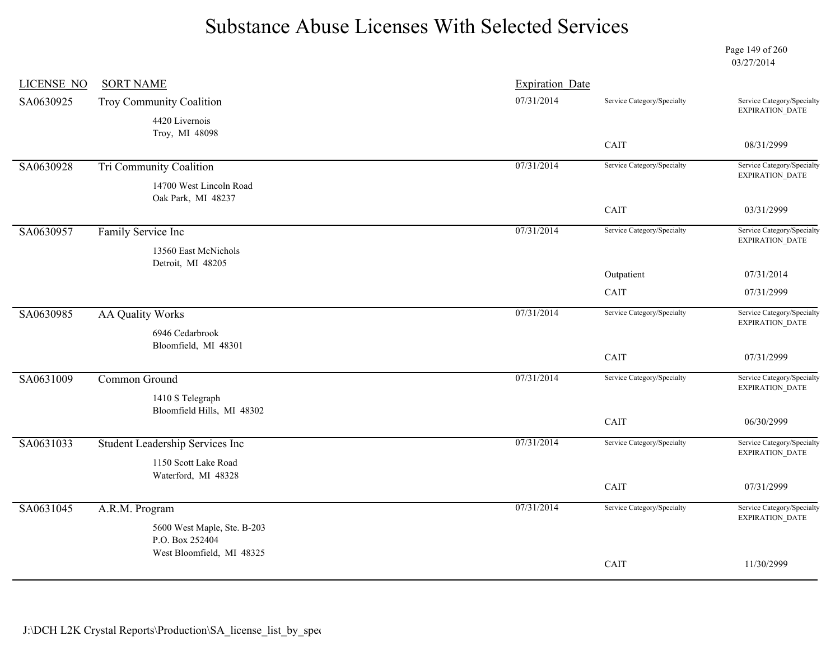Page 149 of 260 03/27/2014

| LICENSE NO | <b>SORT NAME</b>                              | <b>Expiration Date</b> |                            |                                                      |
|------------|-----------------------------------------------|------------------------|----------------------------|------------------------------------------------------|
| SA0630925  | Troy Community Coalition                      | 07/31/2014             | Service Category/Specialty | Service Category/Specialty<br>EXPIRATION_DATE        |
|            | 4420 Livernois<br>Troy, MI 48098              |                        |                            |                                                      |
|            |                                               |                        | CAIT                       | 08/31/2999                                           |
| SA0630928  | <b>Tri Community Coalition</b>                | 07/31/2014             | Service Category/Specialty | Service Category/Specialty<br>EXPIRATION_DATE        |
|            | 14700 West Lincoln Road<br>Oak Park, MI 48237 |                        |                            |                                                      |
|            |                                               |                        | CAIT                       | 03/31/2999                                           |
| SA0630957  | Family Service Inc                            | 07/31/2014             | Service Category/Specialty | Service Category/Specialty<br>EXPIRATION_DATE        |
|            | 13560 East McNichols<br>Detroit, MI 48205     |                        |                            |                                                      |
|            |                                               |                        | Outpatient                 | 07/31/2014                                           |
|            |                                               |                        | CAIT                       | 07/31/2999                                           |
| SA0630985  | <b>AA Quality Works</b>                       | 07/31/2014             | Service Category/Specialty | Service Category/Specialty<br>EXPIRATION_DATE        |
|            | 6946 Cedarbrook<br>Bloomfield, MI 48301       |                        |                            |                                                      |
|            |                                               |                        | CAIT                       | 07/31/2999                                           |
| SA0631009  | Common Ground                                 | 07/31/2014             | Service Category/Specialty | Service Category/Specialty<br>EXPIRATION_DATE        |
|            | 1410 S Telegraph                              |                        |                            |                                                      |
|            | Bloomfield Hills, MI 48302                    |                        | CAIT                       | 06/30/2999                                           |
| SA0631033  | Student Leadership Services Inc               | 07/31/2014             | Service Category/Specialty | Service Category/Specialty<br>EXPIRATION_DATE        |
|            | 1150 Scott Lake Road                          |                        |                            |                                                      |
|            | Waterford, MI 48328                           |                        | CAIT                       | 07/31/2999                                           |
| SA0631045  | A.R.M. Program                                | 07/31/2014             | Service Category/Specialty | Service Category/Specialty<br><b>EXPIRATION DATE</b> |
|            | 5600 West Maple, Ste. B-203                   |                        |                            |                                                      |
|            | P.O. Box 252404<br>West Bloomfield, MI 48325  |                        |                            |                                                      |
|            |                                               |                        | CAIT                       | 11/30/2999                                           |
|            |                                               |                        |                            |                                                      |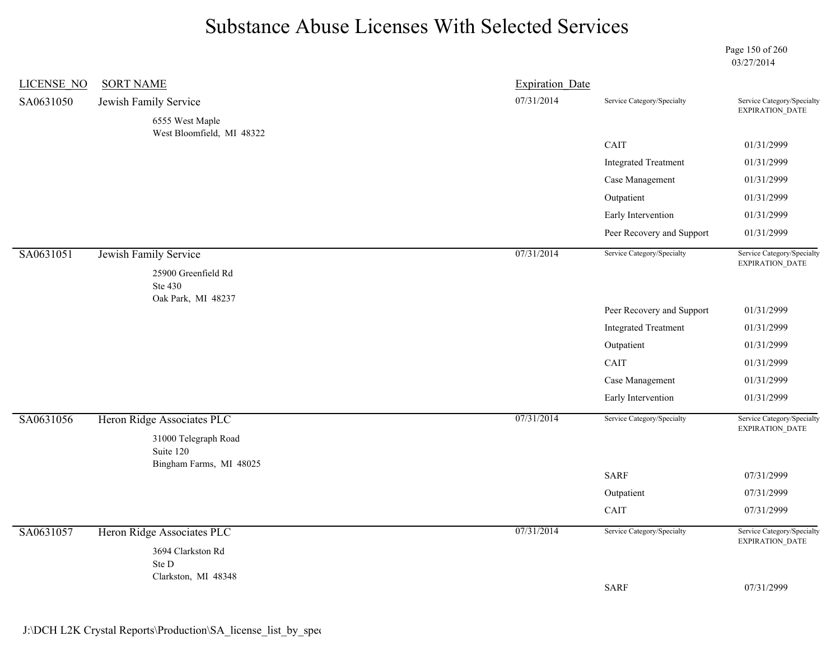Page 150 of 260 03/27/2014

| LICENSE NO | <b>SORT NAME</b>                             | <b>Expiration Date</b> |                                                                                                                                                                                                                                                    |                                                                                                                                                                                             |            |
|------------|----------------------------------------------|------------------------|----------------------------------------------------------------------------------------------------------------------------------------------------------------------------------------------------------------------------------------------------|---------------------------------------------------------------------------------------------------------------------------------------------------------------------------------------------|------------|
| SA0631050  | Jewish Family Service                        | 07/31/2014             | Service Category/Specialty                                                                                                                                                                                                                         | Service Category/Specialty<br>EXPIRATION_DATE                                                                                                                                               |            |
|            | 6555 West Maple<br>West Bloomfield, MI 48322 |                        |                                                                                                                                                                                                                                                    |                                                                                                                                                                                             |            |
|            |                                              |                        | CAIT                                                                                                                                                                                                                                               | 01/31/2999                                                                                                                                                                                  |            |
|            |                                              |                        |                                                                                                                                                                                                                                                    | 01/31/2999                                                                                                                                                                                  |            |
|            |                                              |                        |                                                                                                                                                                                                                                                    | 01/31/2999                                                                                                                                                                                  |            |
|            |                                              |                        | <b>Integrated Treatment</b><br>Case Management<br>Outpatient<br>Early Intervention<br>Peer Recovery and Support<br>Service Category/Specialty<br>Peer Recovery and Support<br><b>Integrated Treatment</b><br>Outpatient<br>CAIT<br>Case Management |                                                                                                                                                                                             | 01/31/2999 |
|            |                                              |                        |                                                                                                                                                                                                                                                    | 01/31/2999<br>01/31/2999<br>Service Category/Specialty<br>EXPIRATION_DATE<br>01/31/2999<br>01/31/2999<br>01/31/2999<br>01/31/2999<br>01/31/2999<br>01/31/2999<br>Service Category/Specialty |            |
|            |                                              |                        |                                                                                                                                                                                                                                                    |                                                                                                                                                                                             |            |
| SA0631051  | Jewish Family Service                        | 07/31/2014             |                                                                                                                                                                                                                                                    |                                                                                                                                                                                             |            |
|            | 25900 Greenfield Rd                          |                        |                                                                                                                                                                                                                                                    |                                                                                                                                                                                             |            |
|            | Ste 430<br>Oak Park, MI 48237                |                        |                                                                                                                                                                                                                                                    |                                                                                                                                                                                             |            |
|            |                                              |                        |                                                                                                                                                                                                                                                    |                                                                                                                                                                                             |            |
|            |                                              |                        |                                                                                                                                                                                                                                                    |                                                                                                                                                                                             |            |
|            |                                              |                        |                                                                                                                                                                                                                                                    |                                                                                                                                                                                             |            |
|            |                                              |                        |                                                                                                                                                                                                                                                    |                                                                                                                                                                                             |            |
|            |                                              |                        |                                                                                                                                                                                                                                                    |                                                                                                                                                                                             |            |
|            |                                              |                        | Early Intervention                                                                                                                                                                                                                                 |                                                                                                                                                                                             |            |
| SA0631056  | Heron Ridge Associates PLC                   | 07/31/2014             | Service Category/Specialty                                                                                                                                                                                                                         | EXPIRATION_DATE                                                                                                                                                                             |            |
|            | 31000 Telegraph Road                         |                        |                                                                                                                                                                                                                                                    |                                                                                                                                                                                             |            |
|            | Suite 120<br>Bingham Farms, MI 48025         |                        |                                                                                                                                                                                                                                                    |                                                                                                                                                                                             |            |
|            |                                              |                        | <b>SARF</b>                                                                                                                                                                                                                                        | 07/31/2999                                                                                                                                                                                  |            |
|            |                                              |                        | Outpatient                                                                                                                                                                                                                                         | 07/31/2999                                                                                                                                                                                  |            |
|            |                                              |                        | $\mathop{\rm CAIT}\nolimits$                                                                                                                                                                                                                       | 07/31/2999                                                                                                                                                                                  |            |
| SA0631057  | Heron Ridge Associates PLC                   | 07/31/2014             | Service Category/Specialty                                                                                                                                                                                                                         | Service Category/Specialty<br>EXPIRATION_DATE                                                                                                                                               |            |
|            | 3694 Clarkston Rd                            |                        |                                                                                                                                                                                                                                                    |                                                                                                                                                                                             |            |
|            | Ste D<br>Clarkston, MI 48348                 |                        |                                                                                                                                                                                                                                                    |                                                                                                                                                                                             |            |
|            |                                              |                        | <b>SARF</b>                                                                                                                                                                                                                                        | 07/31/2999                                                                                                                                                                                  |            |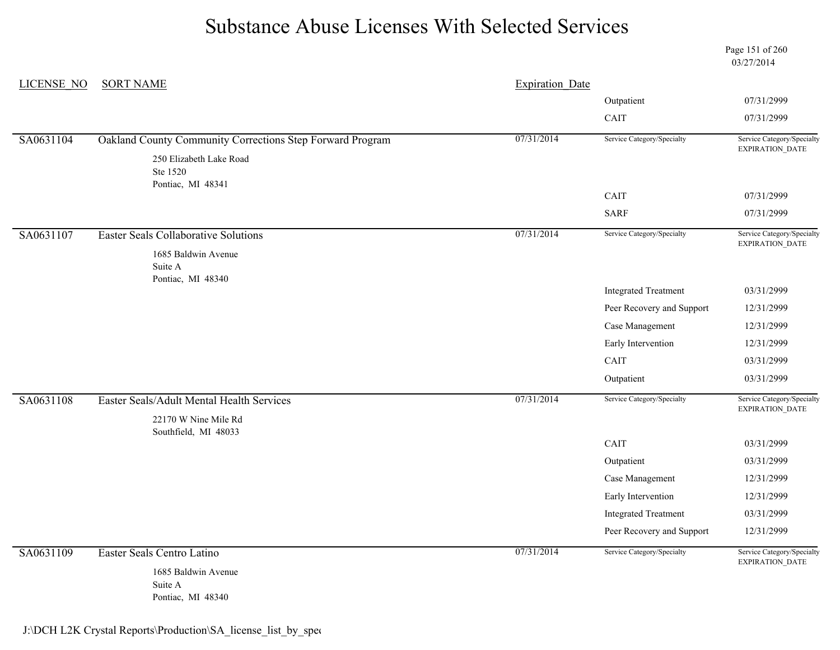Page 151 of 260 03/27/2014

| <b>LICENSE NO</b> | <b>SORT NAME</b>                                                              | <b>Expiration Date</b> |                             |                                                      |
|-------------------|-------------------------------------------------------------------------------|------------------------|-----------------------------|------------------------------------------------------|
|                   |                                                                               |                        | Outpatient                  | 07/31/2999                                           |
|                   |                                                                               | CAIT                   | 07/31/2999                  |                                                      |
| SA0631104         | Oakland County Community Corrections Step Forward Program                     | 07/31/2014             | Service Category/Specialty  | Service Category/Specialty<br>EXPIRATION_DATE        |
|                   | 250 Elizabeth Lake Road<br>Ste 1520                                           |                        |                             |                                                      |
|                   | Pontiac, MI 48341                                                             |                        | CAIT                        | 07/31/2999                                           |
|                   |                                                                               |                        | <b>SARF</b>                 | 07/31/2999                                           |
| SA0631107         | <b>Easter Seals Collaborative Solutions</b><br>1685 Baldwin Avenue<br>Suite A | 07/31/2014             | Service Category/Specialty  | Service Category/Specialty<br>EXPIRATION_DATE        |
|                   | Pontiac, MI 48340                                                             |                        | <b>Integrated Treatment</b> | 03/31/2999                                           |
|                   |                                                                               |                        | Peer Recovery and Support   | 12/31/2999                                           |
|                   |                                                                               |                        | Case Management             | 12/31/2999                                           |
|                   |                                                                               |                        | Early Intervention          | 12/31/2999                                           |
|                   |                                                                               |                        | CAIT                        | 03/31/2999                                           |
|                   |                                                                               |                        | Outpatient                  | 03/31/2999                                           |
| SA0631108         | Easter Seals/Adult Mental Health Services<br>22170 W Nine Mile Rd             | 07/31/2014             | Service Category/Specialty  | Service Category/Specialty<br>EXPIRATION_DATE        |
|                   | Southfield, MI 48033                                                          |                        | CAIT                        | 03/31/2999                                           |
|                   |                                                                               |                        | Outpatient                  | 03/31/2999                                           |
|                   |                                                                               |                        | Case Management             | 12/31/2999                                           |
|                   |                                                                               |                        | Early Intervention          | 12/31/2999                                           |
|                   |                                                                               |                        | <b>Integrated Treatment</b> | 03/31/2999                                           |
|                   |                                                                               |                        | Peer Recovery and Support   | 12/31/2999                                           |
| SA0631109         | Easter Seals Centro Latino<br>1685 Baldwin Avenue<br>Suite A                  | 07/31/2014             | Service Category/Specialty  | Service Category/Specialty<br><b>EXPIRATION DATE</b> |
|                   | Pontiac, MI 48340                                                             |                        |                             |                                                      |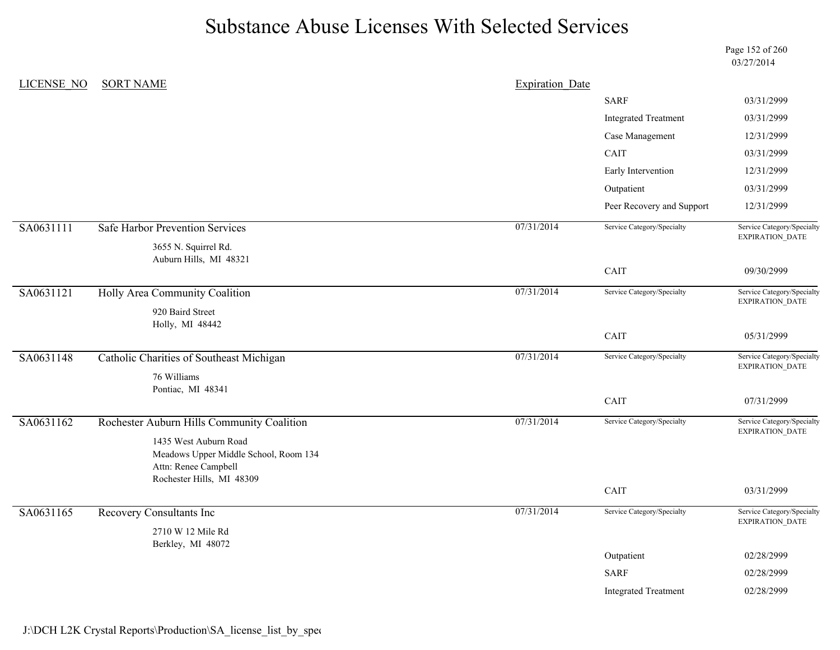Page 152 of 260 03/27/2014

| <b>LICENSE NO</b> | <b>SORT NAME</b>                                                                                                    | <b>Expiration Date</b> |                             |                                                      |
|-------------------|---------------------------------------------------------------------------------------------------------------------|------------------------|-----------------------------|------------------------------------------------------|
|                   |                                                                                                                     |                        | <b>SARF</b>                 | 03/31/2999                                           |
|                   |                                                                                                                     |                        | <b>Integrated Treatment</b> | 03/31/2999                                           |
|                   |                                                                                                                     |                        | Case Management             | 12/31/2999                                           |
|                   |                                                                                                                     |                        | CAIT                        | 03/31/2999                                           |
|                   |                                                                                                                     |                        | Early Intervention          | 12/31/2999                                           |
|                   |                                                                                                                     |                        | Outpatient                  | 03/31/2999                                           |
|                   |                                                                                                                     |                        | Peer Recovery and Support   | 12/31/2999                                           |
| SA0631111         | Safe Harbor Prevention Services                                                                                     | 07/31/2014             | Service Category/Specialty  | Service Category/Specialty<br>EXPIRATION_DATE        |
|                   | 3655 N. Squirrel Rd.<br>Auburn Hills, MI 48321                                                                      |                        |                             |                                                      |
|                   |                                                                                                                     |                        | CAIT                        | 09/30/2999                                           |
| SA0631121         | Holly Area Community Coalition                                                                                      | 07/31/2014             | Service Category/Specialty  | Service Category/Specialty<br>EXPIRATION_DATE        |
|                   | 920 Baird Street<br>Holly, MI 48442                                                                                 |                        |                             |                                                      |
|                   |                                                                                                                     |                        | CAIT                        | 05/31/2999                                           |
| SA0631148         | <b>Catholic Charities of Southeast Michigan</b>                                                                     | 07/31/2014             | Service Category/Specialty  | Service Category/Specialty<br>EXPIRATION_DATE        |
|                   | 76 Williams<br>Pontiac, MI 48341                                                                                    |                        |                             |                                                      |
|                   |                                                                                                                     |                        | CAIT                        | 07/31/2999                                           |
| SA0631162         | Rochester Auburn Hills Community Coalition                                                                          | 07/31/2014             | Service Category/Specialty  | Service Category/Specialty<br>EXPIRATION_DATE        |
|                   | 1435 West Auburn Road<br>Meadows Upper Middle School, Room 134<br>Attn: Renee Campbell<br>Rochester Hills, MI 48309 |                        |                             |                                                      |
|                   |                                                                                                                     |                        | CAIT                        | 03/31/2999                                           |
| SA0631165         | <b>Recovery Consultants Inc</b>                                                                                     | 07/31/2014             | Service Category/Specialty  | Service Category/Specialty<br><b>EXPIRATION DATE</b> |
|                   | 2710 W 12 Mile Rd<br>Berkley, MI 48072                                                                              |                        |                             |                                                      |
|                   |                                                                                                                     |                        | Outpatient                  | 02/28/2999                                           |
|                   |                                                                                                                     |                        | <b>SARF</b>                 | 02/28/2999                                           |
|                   |                                                                                                                     |                        | <b>Integrated Treatment</b> | 02/28/2999                                           |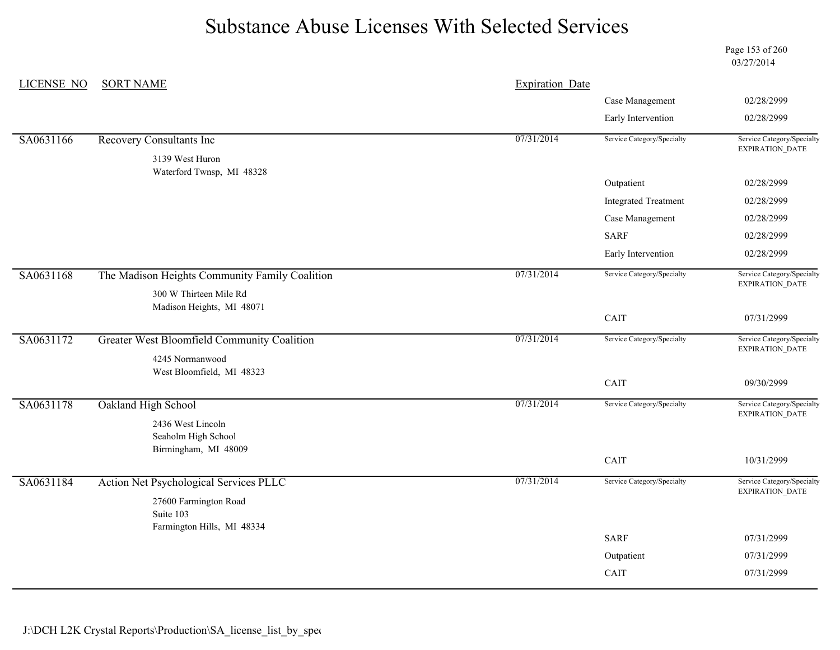Page 153 of 260 03/27/2014

| <b>LICENSE NO</b> | <b>SORT NAME</b>                                                 | <b>Expiration Date</b> |                                                                                                                                                                                                                                                                                                                                                                                                            |                                                                                                                                                                                           |
|-------------------|------------------------------------------------------------------|------------------------|------------------------------------------------------------------------------------------------------------------------------------------------------------------------------------------------------------------------------------------------------------------------------------------------------------------------------------------------------------------------------------------------------------|-------------------------------------------------------------------------------------------------------------------------------------------------------------------------------------------|
|                   |                                                                  |                        | Case Management<br>02/28/2999<br>Early Intervention<br>02/28/2999<br>Service Category/Specialty<br>Service Category/Specialty<br>EXPIRATION_DATE<br>Outpatient<br>02/28/2999<br><b>Integrated Treatment</b><br>02/28/2999<br>Case Management<br>02/28/2999<br><b>SARF</b><br>02/28/2999<br>Early Intervention<br>02/28/2999<br>Service Category/Specialty<br>Service Category/Specialty<br>EXPIRATION_DATE |                                                                                                                                                                                           |
|                   |                                                                  |                        |                                                                                                                                                                                                                                                                                                                                                                                                            |                                                                                                                                                                                           |
| SA0631166         | <b>Recovery Consultants Inc</b>                                  | 07/31/2014             |                                                                                                                                                                                                                                                                                                                                                                                                            |                                                                                                                                                                                           |
|                   | 3139 West Huron                                                  |                        |                                                                                                                                                                                                                                                                                                                                                                                                            |                                                                                                                                                                                           |
|                   | Waterford Twnsp, MI 48328                                        |                        |                                                                                                                                                                                                                                                                                                                                                                                                            |                                                                                                                                                                                           |
|                   |                                                                  |                        |                                                                                                                                                                                                                                                                                                                                                                                                            |                                                                                                                                                                                           |
|                   |                                                                  |                        |                                                                                                                                                                                                                                                                                                                                                                                                            |                                                                                                                                                                                           |
|                   |                                                                  |                        |                                                                                                                                                                                                                                                                                                                                                                                                            |                                                                                                                                                                                           |
|                   |                                                                  |                        |                                                                                                                                                                                                                                                                                                                                                                                                            | 07/31/2999<br>Service Category/Specialty<br>EXPIRATION_DATE<br>09/30/2999<br>Service Category/Specialty<br>EXPIRATION_DATE<br>10/31/2999<br>Service Category/Specialty<br>EXPIRATION_DATE |
| SA0631168         | The Madison Heights Community Family Coalition                   | 07/31/2014             |                                                                                                                                                                                                                                                                                                                                                                                                            |                                                                                                                                                                                           |
|                   | 300 W Thirteen Mile Rd                                           |                        |                                                                                                                                                                                                                                                                                                                                                                                                            |                                                                                                                                                                                           |
|                   | Madison Heights, MI 48071                                        |                        | CAIT                                                                                                                                                                                                                                                                                                                                                                                                       |                                                                                                                                                                                           |
| SA0631172         | Greater West Bloomfield Community Coalition                      | 07/31/2014             | Service Category/Specialty                                                                                                                                                                                                                                                                                                                                                                                 |                                                                                                                                                                                           |
|                   |                                                                  |                        |                                                                                                                                                                                                                                                                                                                                                                                                            |                                                                                                                                                                                           |
|                   | 4245 Normanwood<br>West Bloomfield, MI 48323                     |                        |                                                                                                                                                                                                                                                                                                                                                                                                            |                                                                                                                                                                                           |
|                   |                                                                  |                        | CAIT                                                                                                                                                                                                                                                                                                                                                                                                       |                                                                                                                                                                                           |
| SA0631178         | Oakland High School                                              | 07/31/2014             | Service Category/Specialty                                                                                                                                                                                                                                                                                                                                                                                 |                                                                                                                                                                                           |
|                   | 2436 West Lincoln<br>Seaholm High School                         |                        |                                                                                                                                                                                                                                                                                                                                                                                                            |                                                                                                                                                                                           |
|                   | Birmingham, MI 48009                                             |                        |                                                                                                                                                                                                                                                                                                                                                                                                            |                                                                                                                                                                                           |
|                   |                                                                  |                        | CAIT                                                                                                                                                                                                                                                                                                                                                                                                       |                                                                                                                                                                                           |
| SA0631184         | Action Net Psychological Services PLLC                           | 07/31/2014             | Service Category/Specialty                                                                                                                                                                                                                                                                                                                                                                                 |                                                                                                                                                                                           |
|                   | 27600 Farmington Road<br>Suite 103<br>Farmington Hills, MI 48334 |                        |                                                                                                                                                                                                                                                                                                                                                                                                            |                                                                                                                                                                                           |
|                   |                                                                  |                        | <b>SARF</b>                                                                                                                                                                                                                                                                                                                                                                                                | 07/31/2999                                                                                                                                                                                |
|                   |                                                                  |                        | Outpatient                                                                                                                                                                                                                                                                                                                                                                                                 | 07/31/2999                                                                                                                                                                                |
|                   |                                                                  |                        | CAIT                                                                                                                                                                                                                                                                                                                                                                                                       | 07/31/2999                                                                                                                                                                                |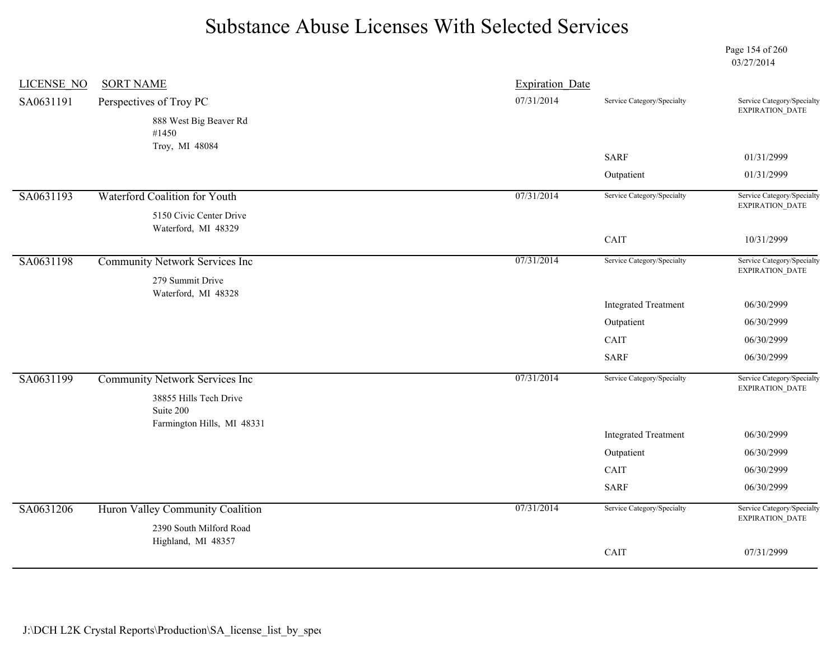Page 154 of 260 03/27/2014

| <b>LICENSE NO</b> | <b>SORT NAME</b>                                                             | <b>Expiration Date</b> |                             |                                                      |
|-------------------|------------------------------------------------------------------------------|------------------------|-----------------------------|------------------------------------------------------|
| SA0631191         | Perspectives of Troy PC                                                      | 07/31/2014             | Service Category/Specialty  | Service Category/Specialty<br><b>EXPIRATION DATE</b> |
|                   | 888 West Big Beaver Rd<br>#1450                                              |                        |                             |                                                      |
|                   | Troy, MI 48084                                                               |                        | <b>SARF</b>                 | 01/31/2999                                           |
|                   |                                                                              |                        | Outpatient                  | 01/31/2999                                           |
| SA0631193         | Waterford Coalition for Youth                                                | 07/31/2014             | Service Category/Specialty  | Service Category/Specialty                           |
|                   | 5150 Civic Center Drive<br>Waterford, MI 48329                               |                        |                             | EXPIRATION_DATE                                      |
|                   |                                                                              |                        | CAIT                        | 10/31/2999                                           |
| SA0631198         | Community Network Services Inc<br>279 Summit Drive                           | 07/31/2014             | Service Category/Specialty  | Service Category/Specialty<br>EXPIRATION_DATE        |
|                   | Waterford, MI 48328                                                          |                        |                             |                                                      |
|                   |                                                                              |                        | <b>Integrated Treatment</b> | 06/30/2999                                           |
|                   |                                                                              |                        | Outpatient                  | 06/30/2999                                           |
|                   |                                                                              |                        | CAIT                        | 06/30/2999                                           |
|                   |                                                                              |                        | <b>SARF</b>                 | 06/30/2999                                           |
| SA0631199         | <b>Community Network Services Inc</b><br>38855 Hills Tech Drive<br>Suite 200 | 07/31/2014             | Service Category/Specialty  | Service Category/Specialty<br>EXPIRATION_DATE        |
|                   | Farmington Hills, MI 48331                                                   |                        |                             |                                                      |
|                   |                                                                              |                        | <b>Integrated Treatment</b> | 06/30/2999                                           |
|                   |                                                                              |                        | Outpatient                  | 06/30/2999                                           |
|                   |                                                                              |                        | CAIT                        | 06/30/2999                                           |
|                   |                                                                              |                        | <b>SARF</b>                 | 06/30/2999                                           |
| SA0631206         | Huron Valley Community Coalition<br>2390 South Milford Road                  | 07/31/2014             | Service Category/Specialty  | Service Category/Specialty<br><b>EXPIRATION DATE</b> |
|                   | Highland, MI 48357                                                           |                        | CAIT                        | 07/31/2999                                           |
|                   |                                                                              |                        |                             |                                                      |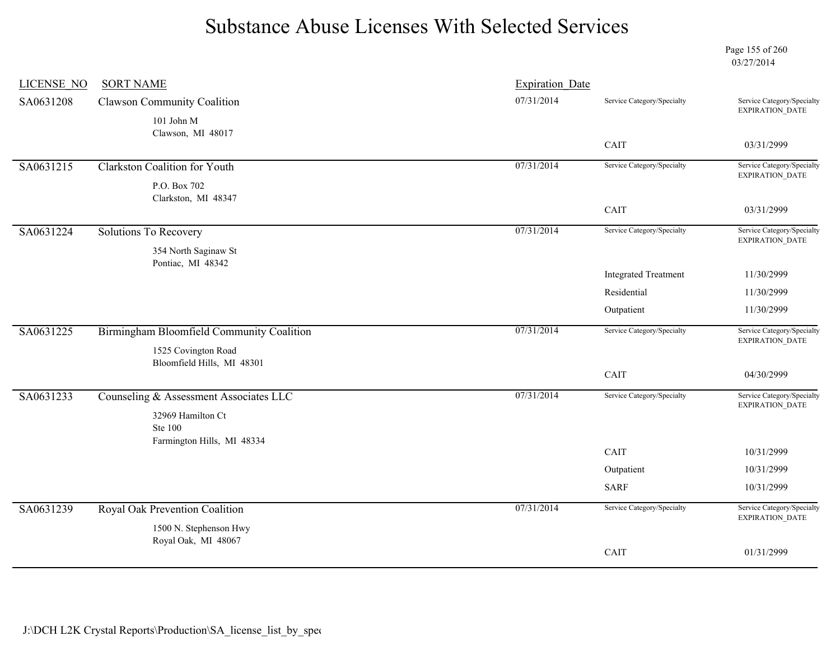Page 155 of 260 03/27/2014

| <b>LICENSE NO</b> | <b>SORT NAME</b>                          | Expiration Date |                             |                                                                                                                                                                                                                       |
|-------------------|-------------------------------------------|-----------------|-----------------------------|-----------------------------------------------------------------------------------------------------------------------------------------------------------------------------------------------------------------------|
| SA0631208         | <b>Clawson Community Coalition</b>        | 07/31/2014      | Service Category/Specialty  | Service Category/Specialty<br><b>EXPIRATION DATE</b>                                                                                                                                                                  |
|                   | 101 John M                                |                 |                             |                                                                                                                                                                                                                       |
|                   | Clawson, MI 48017                         |                 | CAIT                        | 03/31/2999                                                                                                                                                                                                            |
|                   |                                           |                 |                             |                                                                                                                                                                                                                       |
| SA0631215         | <b>Clarkston Coalition for Youth</b>      | 07/31/2014      | Service Category/Specialty  |                                                                                                                                                                                                                       |
|                   | P.O. Box 702<br>Clarkston, MI 48347       |                 |                             | Service Category/Specialty<br>EXPIRATION_DATE<br>03/31/2999<br>Service Category/Specialty<br>EXPIRATION_DATE<br>11/30/2999<br>11/30/2999<br>11/30/2999<br>Service Category/Specialty<br>EXPIRATION_DATE<br>04/30/2999 |
|                   |                                           |                 | CAIT                        |                                                                                                                                                                                                                       |
| SA0631224         | <b>Solutions To Recovery</b>              | 07/31/2014      | Service Category/Specialty  |                                                                                                                                                                                                                       |
|                   | 354 North Saginaw St                      |                 |                             |                                                                                                                                                                                                                       |
|                   | Pontiac, MI 48342                         |                 | <b>Integrated Treatment</b> |                                                                                                                                                                                                                       |
|                   |                                           |                 | Residential                 |                                                                                                                                                                                                                       |
|                   |                                           |                 | Outpatient                  |                                                                                                                                                                                                                       |
|                   |                                           |                 |                             |                                                                                                                                                                                                                       |
| SA0631225         | Birmingham Bloomfield Community Coalition | 07/31/2014      | Service Category/Specialty  |                                                                                                                                                                                                                       |
|                   | 1525 Covington Road                       |                 |                             |                                                                                                                                                                                                                       |
|                   | Bloomfield Hills, MI 48301                |                 | CAIT                        |                                                                                                                                                                                                                       |
|                   |                                           | 07/31/2014      | Service Category/Specialty  | Service Category/Specialty                                                                                                                                                                                            |
| SA0631233         | Counseling & Assessment Associates LLC    |                 |                             | <b>EXPIRATION DATE</b>                                                                                                                                                                                                |
|                   | 32969 Hamilton Ct<br><b>Ste 100</b>       |                 |                             |                                                                                                                                                                                                                       |
|                   | Farmington Hills, MI 48334                |                 |                             |                                                                                                                                                                                                                       |
|                   |                                           |                 | CAIT                        | 10/31/2999                                                                                                                                                                                                            |
|                   |                                           |                 | Outpatient                  | 10/31/2999                                                                                                                                                                                                            |
|                   |                                           |                 | <b>SARF</b>                 | 10/31/2999                                                                                                                                                                                                            |
| SA0631239         | Royal Oak Prevention Coalition            | 07/31/2014      | Service Category/Specialty  | Service Category/Specialty<br>EXPIRATION_DATE                                                                                                                                                                         |
|                   | 1500 N. Stephenson Hwy                    |                 |                             |                                                                                                                                                                                                                       |
|                   | Royal Oak, MI 48067                       |                 | CAIT                        | 01/31/2999                                                                                                                                                                                                            |
|                   |                                           |                 |                             |                                                                                                                                                                                                                       |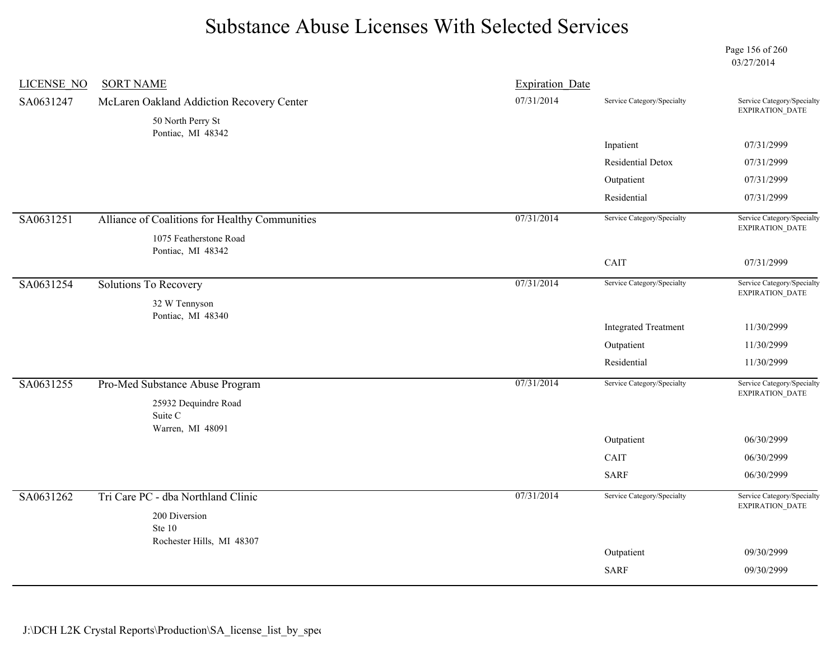Page 156 of 260 03/27/2014

| <b>LICENSE NO</b> | <b>SORT NAME</b>                               | <b>Expiration Date</b> |                             |                                                                        |
|-------------------|------------------------------------------------|------------------------|-----------------------------|------------------------------------------------------------------------|
| SA0631247         | McLaren Oakland Addiction Recovery Center      | 07/31/2014             | Service Category/Specialty  | Service Category/Specialty<br>EXPIRATION_DATE                          |
|                   | 50 North Perry St<br>Pontiac, MI 48342         |                        |                             |                                                                        |
|                   |                                                |                        | Inpatient                   | 07/31/2999                                                             |
|                   |                                                |                        | Residential Detox           | 07/31/2999                                                             |
|                   |                                                |                        | Outpatient                  | 07/31/2999                                                             |
|                   |                                                |                        | Residential                 | 07/31/2999                                                             |
| SA0631251         | Alliance of Coalitions for Healthy Communities | 07/31/2014             | Service Category/Specialty  | Service Category/Specialty                                             |
|                   | 1075 Featherstone Road                         |                        |                             | EXPIRATION_DATE                                                        |
|                   | Pontiac, MI 48342                              |                        | CAIT                        | 07/31/2999                                                             |
|                   |                                                |                        |                             |                                                                        |
| SA0631254         | Solutions To Recovery                          | 07/31/2014             | Service Category/Specialty  | Service Category/Specialty<br>EXPIRATION_DATE                          |
|                   | 32 W Tennyson<br>Pontiac, MI 48340             |                        |                             |                                                                        |
|                   |                                                |                        | <b>Integrated Treatment</b> | 11/30/2999                                                             |
|                   |                                                |                        | Outpatient                  | 11/30/2999                                                             |
|                   |                                                |                        | Residential                 | 11/30/2999                                                             |
| SA0631255         | Pro-Med Substance Abuse Program                | 07/31/2014             | Service Category/Specialty  | Service Category/Specialty<br>EXPIRATION_DATE                          |
|                   | 25932 Dequindre Road                           |                        |                             |                                                                        |
|                   | Suite C<br>Warren, MI 48091                    |                        |                             |                                                                        |
|                   |                                                |                        | Outpatient                  | 06/30/2999                                                             |
|                   |                                                |                        | CAIT                        | 06/30/2999                                                             |
|                   |                                                |                        | <b>SARF</b>                 | 06/30/2999                                                             |
| SA0631262         | Tri Care PC - dba Northland Clinic             | 07/31/2014             | Service Category/Specialty  | Service Category/Specialty<br>$\ensuremath{\mathsf{EXPIRATION\_DATA}}$ |
|                   | 200 Diversion                                  |                        |                             |                                                                        |
|                   | Ste 10<br>Rochester Hills, MI 48307            |                        |                             |                                                                        |
|                   |                                                |                        | Outpatient                  | 09/30/2999                                                             |
|                   |                                                |                        | <b>SARF</b>                 | 09/30/2999                                                             |
|                   |                                                |                        |                             |                                                                        |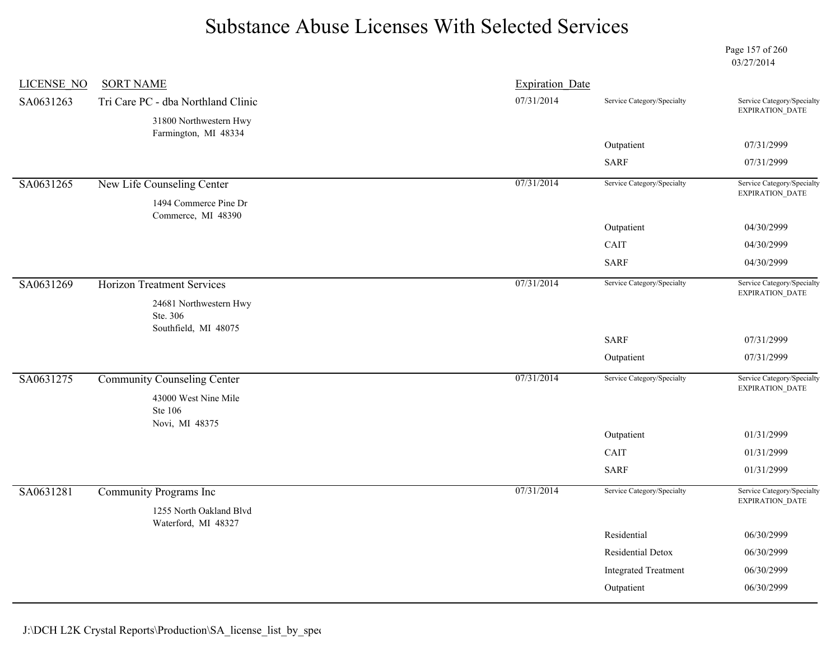Page 157 of 260 03/27/2014

| <b>LICENSE NO</b> | <b>SORT NAME</b>                                           | <b>Expiration Date</b> |                             |                                               |
|-------------------|------------------------------------------------------------|------------------------|-----------------------------|-----------------------------------------------|
| SA0631263         | Tri Care PC - dba Northland Clinic                         | 07/31/2014             | Service Category/Specialty  | Service Category/Specialty<br>EXPIRATION_DATE |
|                   | 31800 Northwestern Hwy<br>Farmington, MI 48334             |                        |                             |                                               |
|                   |                                                            |                        | Outpatient                  | 07/31/2999                                    |
|                   |                                                            |                        | <b>SARF</b>                 | 07/31/2999                                    |
| SA0631265         | New Life Counseling Center                                 | 07/31/2014             | Service Category/Specialty  | Service Category/Specialty<br>EXPIRATION_DATE |
|                   | 1494 Commerce Pine Dr<br>Commerce, MI 48390                |                        |                             |                                               |
|                   |                                                            |                        | Outpatient                  | 04/30/2999                                    |
|                   |                                                            |                        | CAIT                        | 04/30/2999                                    |
|                   |                                                            |                        | <b>SARF</b>                 | 04/30/2999                                    |
| SA0631269         | <b>Horizon Treatment Services</b>                          | 07/31/2014             | Service Category/Specialty  | Service Category/Specialty<br>EXPIRATION_DATE |
|                   | 24681 Northwestern Hwy<br>Ste. 306<br>Southfield, MI 48075 |                        |                             |                                               |
|                   |                                                            |                        | <b>SARF</b>                 | 07/31/2999                                    |
|                   |                                                            |                        | Outpatient                  | 07/31/2999                                    |
| SA0631275         | <b>Community Counseling Center</b>                         | 07/31/2014             | Service Category/Specialty  | Service Category/Specialty<br>EXPIRATION_DATE |
|                   | 43000 West Nine Mile<br>Ste 106                            |                        |                             |                                               |
|                   | Novi, MI 48375                                             |                        | Outpatient                  | 01/31/2999                                    |
|                   |                                                            |                        | CAIT                        | 01/31/2999                                    |
|                   |                                                            |                        | <b>SARF</b>                 | 01/31/2999                                    |
| SA0631281         | Community Programs Inc                                     | 07/31/2014             | Service Category/Specialty  | Service Category/Specialty<br>EXPIRATION_DATE |
|                   | 1255 North Oakland Blvd<br>Waterford, MI 48327             |                        |                             |                                               |
|                   |                                                            |                        | Residential                 | 06/30/2999                                    |
|                   |                                                            |                        | Residential Detox           | 06/30/2999                                    |
|                   |                                                            |                        | <b>Integrated Treatment</b> | 06/30/2999                                    |
|                   |                                                            |                        | Outpatient                  | 06/30/2999                                    |
|                   |                                                            |                        |                             |                                               |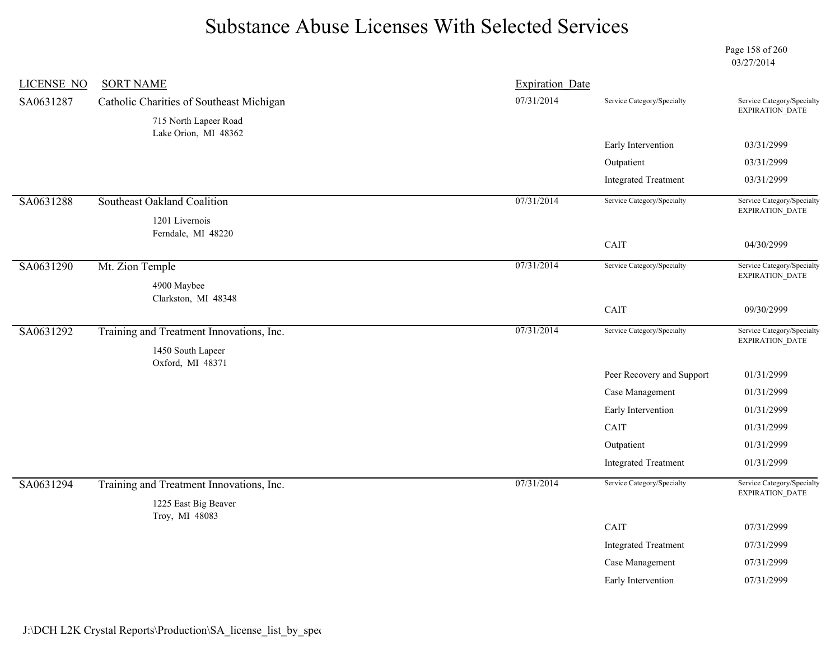Page 158 of 260 03/27/2014

| <b>LICENSE NO</b> | <b>SORT NAME</b>                              | <b>Expiration Date</b> |                             |                                               |
|-------------------|-----------------------------------------------|------------------------|-----------------------------|-----------------------------------------------|
| SA0631287         | Catholic Charities of Southeast Michigan      | 07/31/2014             | Service Category/Specialty  | Service Category/Specialty<br>EXPIRATION_DATE |
|                   | 715 North Lapeer Road<br>Lake Orion, MI 48362 |                        |                             |                                               |
|                   |                                               |                        | Early Intervention          | 03/31/2999                                    |
|                   |                                               |                        | Outpatient                  | 03/31/2999                                    |
|                   |                                               |                        | <b>Integrated Treatment</b> | 03/31/2999                                    |
| SA0631288         | Southeast Oakland Coalition                   | 07/31/2014             | Service Category/Specialty  | Service Category/Specialty<br>EXPIRATION_DATE |
|                   | 1201 Livernois                                |                        |                             |                                               |
|                   | Ferndale, MI 48220                            |                        | CAIT                        | 04/30/2999                                    |
| SA0631290         | Mt. Zion Temple                               | 07/31/2014             | Service Category/Specialty  | Service Category/Specialty                    |
|                   | 4900 Maybee                                   |                        |                             | EXPIRATION_DATE                               |
|                   | Clarkston, MI 48348                           |                        |                             |                                               |
|                   |                                               |                        | CAIT                        | 09/30/2999                                    |
| SA0631292         | Training and Treatment Innovations, Inc.      | 07/31/2014             | Service Category/Specialty  | Service Category/Specialty<br>EXPIRATION_DATE |
|                   | 1450 South Lapeer<br>Oxford, MI 48371         |                        |                             |                                               |
|                   |                                               |                        | Peer Recovery and Support   | 01/31/2999                                    |
|                   |                                               |                        | Case Management             | 01/31/2999                                    |
|                   |                                               |                        | Early Intervention          | 01/31/2999                                    |
|                   |                                               |                        | CAIT                        | 01/31/2999                                    |
|                   |                                               |                        | Outpatient                  | 01/31/2999                                    |
|                   |                                               |                        | <b>Integrated Treatment</b> | 01/31/2999                                    |
| SA0631294         | Training and Treatment Innovations, Inc.      | 07/31/2014             | Service Category/Specialty  | Service Category/Specialty<br>EXPIRATION_DATE |
|                   | 1225 East Big Beaver                          |                        |                             |                                               |
|                   | Troy, MI 48083                                |                        | CAIT                        | 07/31/2999                                    |
|                   |                                               |                        | <b>Integrated Treatment</b> | 07/31/2999                                    |
|                   |                                               |                        | Case Management             | 07/31/2999                                    |
|                   |                                               |                        | Early Intervention          | 07/31/2999                                    |
|                   |                                               |                        |                             |                                               |
|                   |                                               |                        |                             |                                               |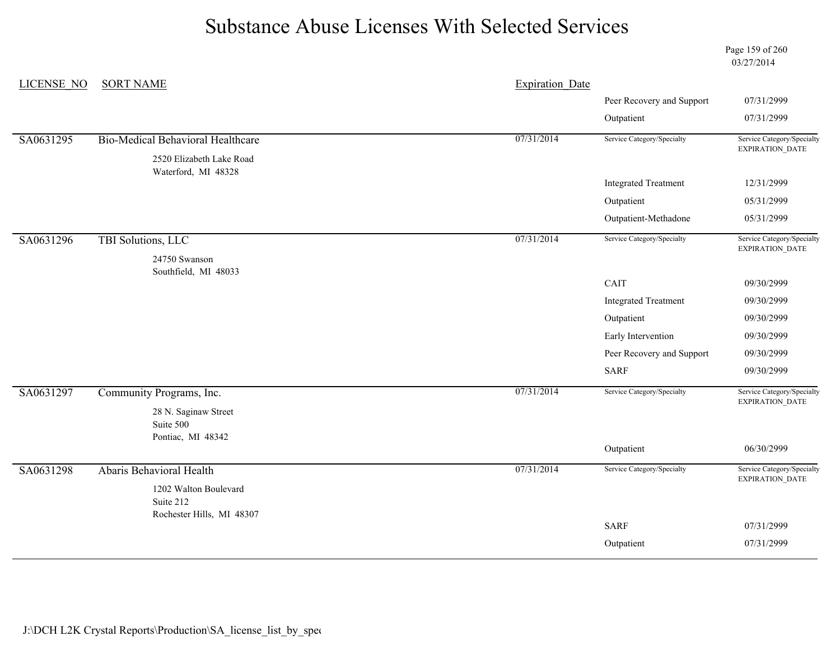Page 159 of 260 03/27/2014

| LICENSE NO | <b>SORT NAME</b>                         | <b>Expiration Date</b> |                             |                                               |
|------------|------------------------------------------|------------------------|-----------------------------|-----------------------------------------------|
|            |                                          |                        | Peer Recovery and Support   | 07/31/2999                                    |
|            |                                          |                        | Outpatient                  | 07/31/2999                                    |
| SA0631295  | <b>Bio-Medical Behavioral Healthcare</b> | 07/31/2014             | Service Category/Specialty  | Service Category/Specialty<br>EXPIRATION_DATE |
|            | 2520 Elizabeth Lake Road                 |                        |                             |                                               |
|            | Waterford, MI 48328                      |                        | <b>Integrated Treatment</b> | 12/31/2999                                    |
|            |                                          |                        | Outpatient                  | 05/31/2999                                    |
|            |                                          |                        | Outpatient-Methadone        | 05/31/2999                                    |
|            |                                          |                        |                             |                                               |
| SA0631296  | TBI Solutions, LLC                       | 07/31/2014             | Service Category/Specialty  | Service Category/Specialty<br>EXPIRATION_DATE |
|            | 24750 Swanson<br>Southfield, MI 48033    |                        |                             |                                               |
|            |                                          |                        | CAIT                        | 09/30/2999                                    |
|            |                                          |                        | <b>Integrated Treatment</b> | 09/30/2999                                    |
|            |                                          |                        | Outpatient                  | 09/30/2999                                    |
|            |                                          |                        | Early Intervention          | 09/30/2999                                    |
|            |                                          |                        | Peer Recovery and Support   | 09/30/2999                                    |
|            |                                          |                        | <b>SARF</b>                 | 09/30/2999                                    |
| SA0631297  | Community Programs, Inc.                 | 07/31/2014             | Service Category/Specialty  | Service Category/Specialty                    |
|            | 28 N. Saginaw Street                     |                        |                             | EXPIRATION_DATE                               |
|            | Suite 500                                |                        |                             |                                               |
|            | Pontiac, MI 48342                        |                        | Outpatient                  | 06/30/2999                                    |
| SA0631298  | Abaris Behavioral Health                 | 07/31/2014             | Service Category/Specialty  | Service Category/Specialty                    |
|            |                                          |                        |                             | EXPIRATION_DATE                               |
|            | 1202 Walton Boulevard<br>Suite 212       |                        |                             |                                               |
|            | Rochester Hills, MI 48307                |                        |                             |                                               |
|            |                                          |                        | <b>SARF</b>                 | 07/31/2999                                    |
|            |                                          |                        | Outpatient                  | 07/31/2999                                    |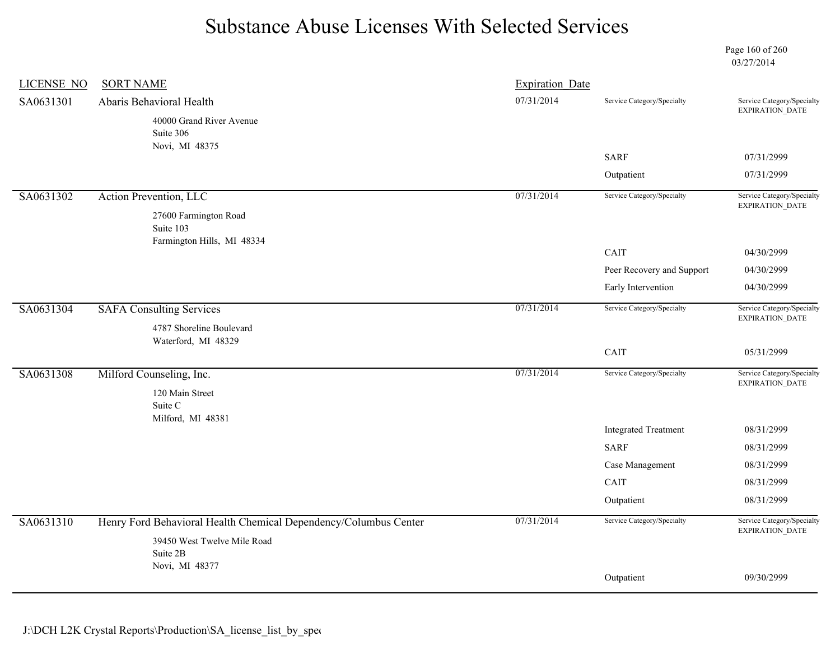Page 160 of 260 03/27/2014

| <b>LICENSE NO</b> | <b>SORT NAME</b>                                                 | <b>Expiration Date</b> |                             |                                               |
|-------------------|------------------------------------------------------------------|------------------------|-----------------------------|-----------------------------------------------|
| SA0631301         | Abaris Behavioral Health                                         | 07/31/2014             | Service Category/Specialty  | Service Category/Specialty<br>EXPIRATION_DATE |
|                   | 40000 Grand River Avenue<br>Suite 306                            |                        |                             |                                               |
|                   | Novi, MI 48375                                                   |                        | <b>SARF</b>                 | 07/31/2999                                    |
|                   |                                                                  |                        | Outpatient                  | 07/31/2999                                    |
| SA0631302         | Action Prevention, LLC                                           | 07/31/2014             | Service Category/Specialty  | Service Category/Specialty<br>EXPIRATION_DATE |
|                   | 27600 Farmington Road<br>Suite 103                               |                        |                             |                                               |
|                   | Farmington Hills, MI 48334                                       |                        | CAIT                        | 04/30/2999                                    |
|                   |                                                                  |                        | Peer Recovery and Support   | 04/30/2999                                    |
|                   |                                                                  |                        | Early Intervention          | 04/30/2999                                    |
| SA0631304         | <b>SAFA Consulting Services</b>                                  | 07/31/2014             | Service Category/Specialty  | Service Category/Specialty                    |
|                   | 4787 Shoreline Boulevard<br>Waterford, MI 48329                  |                        |                             | EXPIRATION_DATE                               |
|                   |                                                                  |                        | CAIT                        | 05/31/2999                                    |
| SA0631308         | Milford Counseling, Inc.                                         | 07/31/2014             | Service Category/Specialty  | Service Category/Specialty<br>EXPIRATION_DATE |
|                   | 120 Main Street<br>Suite C                                       |                        |                             |                                               |
|                   | Milford, MI 48381                                                |                        | <b>Integrated Treatment</b> | 08/31/2999                                    |
|                   |                                                                  |                        | <b>SARF</b>                 | 08/31/2999                                    |
|                   |                                                                  |                        | Case Management             | 08/31/2999                                    |
|                   |                                                                  |                        | CAIT                        | 08/31/2999                                    |
|                   |                                                                  |                        | Outpatient                  | 08/31/2999                                    |
| SA0631310         | Henry Ford Behavioral Health Chemical Dependency/Columbus Center | 07/31/2014             | Service Category/Specialty  | Service Category/Specialty<br>EXPIRATION_DATE |
|                   | 39450 West Twelve Mile Road                                      |                        |                             |                                               |
|                   | Suite 2B<br>Novi, MI 48377                                       |                        |                             |                                               |
|                   |                                                                  |                        | Outpatient                  | 09/30/2999                                    |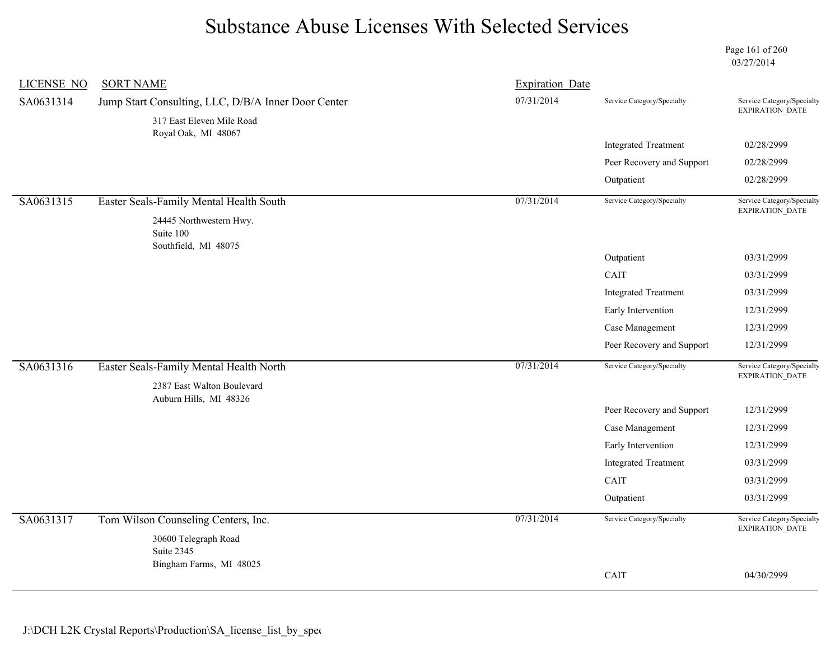Page 161 of 260 03/27/2014

| <b>LICENSE NO</b> | <b>SORT NAME</b>                                                                 | <b>Expiration Date</b> |                             |                                                                                                                                                                                                                                                                                                                                                                                                 |
|-------------------|----------------------------------------------------------------------------------|------------------------|-----------------------------|-------------------------------------------------------------------------------------------------------------------------------------------------------------------------------------------------------------------------------------------------------------------------------------------------------------------------------------------------------------------------------------------------|
| SA0631314         | Jump Start Consulting, LLC, D/B/A Inner Door Center<br>317 East Eleven Mile Road | 07/31/2014             | Service Category/Specialty  | EXPIRATION_DATE                                                                                                                                                                                                                                                                                                                                                                                 |
|                   | Royal Oak, MI 48067                                                              |                        |                             |                                                                                                                                                                                                                                                                                                                                                                                                 |
|                   |                                                                                  |                        | <b>Integrated Treatment</b> | 02/28/2999                                                                                                                                                                                                                                                                                                                                                                                      |
|                   |                                                                                  |                        | Peer Recovery and Support   | Service Category/Specialty<br>02/28/2999<br>02/28/2999<br>Service Category/Specialty<br><b>EXPIRATION DATE</b><br>03/31/2999<br>03/31/2999<br>03/31/2999<br>12/31/2999<br>12/31/2999<br>12/31/2999<br>Service Category/Specialty<br><b>EXPIRATION DATE</b><br>12/31/2999<br>12/31/2999<br>12/31/2999<br>03/31/2999<br>03/31/2999<br>03/31/2999<br>Service Category/Specialty<br>EXPIRATION_DATE |
|                   |                                                                                  |                        | Outpatient                  |                                                                                                                                                                                                                                                                                                                                                                                                 |
| SA0631315         | Easter Seals-Family Mental Health South                                          | 07/31/2014             | Service Category/Specialty  |                                                                                                                                                                                                                                                                                                                                                                                                 |
|                   | 24445 Northwestern Hwy.<br>Suite 100<br>Southfield, MI 48075                     |                        |                             |                                                                                                                                                                                                                                                                                                                                                                                                 |
|                   |                                                                                  |                        | Outpatient                  |                                                                                                                                                                                                                                                                                                                                                                                                 |
|                   |                                                                                  |                        | CAIT                        |                                                                                                                                                                                                                                                                                                                                                                                                 |
|                   |                                                                                  |                        | <b>Integrated Treatment</b> |                                                                                                                                                                                                                                                                                                                                                                                                 |
|                   |                                                                                  |                        | Early Intervention          |                                                                                                                                                                                                                                                                                                                                                                                                 |
|                   |                                                                                  |                        | Case Management             |                                                                                                                                                                                                                                                                                                                                                                                                 |
|                   |                                                                                  |                        | Peer Recovery and Support   |                                                                                                                                                                                                                                                                                                                                                                                                 |
| SA0631316         | Easter Seals-Family Mental Health North                                          | 07/31/2014             | Service Category/Specialty  |                                                                                                                                                                                                                                                                                                                                                                                                 |
|                   | 2387 East Walton Boulevard<br>Auburn Hills, MI 48326                             |                        |                             |                                                                                                                                                                                                                                                                                                                                                                                                 |
|                   |                                                                                  |                        | Peer Recovery and Support   |                                                                                                                                                                                                                                                                                                                                                                                                 |
|                   |                                                                                  |                        | Case Management             |                                                                                                                                                                                                                                                                                                                                                                                                 |
|                   |                                                                                  |                        | Early Intervention          |                                                                                                                                                                                                                                                                                                                                                                                                 |
|                   |                                                                                  |                        | <b>Integrated Treatment</b> |                                                                                                                                                                                                                                                                                                                                                                                                 |
|                   |                                                                                  |                        | CAIT                        |                                                                                                                                                                                                                                                                                                                                                                                                 |
|                   |                                                                                  |                        | Outpatient                  |                                                                                                                                                                                                                                                                                                                                                                                                 |
| SA0631317         | Tom Wilson Counseling Centers, Inc.                                              | 07/31/2014             | Service Category/Specialty  |                                                                                                                                                                                                                                                                                                                                                                                                 |
|                   | 30600 Telegraph Road<br>Suite 2345                                               |                        |                             |                                                                                                                                                                                                                                                                                                                                                                                                 |
|                   | Bingham Farms, MI 48025                                                          |                        | CAIT                        | 04/30/2999                                                                                                                                                                                                                                                                                                                                                                                      |
|                   |                                                                                  |                        |                             |                                                                                                                                                                                                                                                                                                                                                                                                 |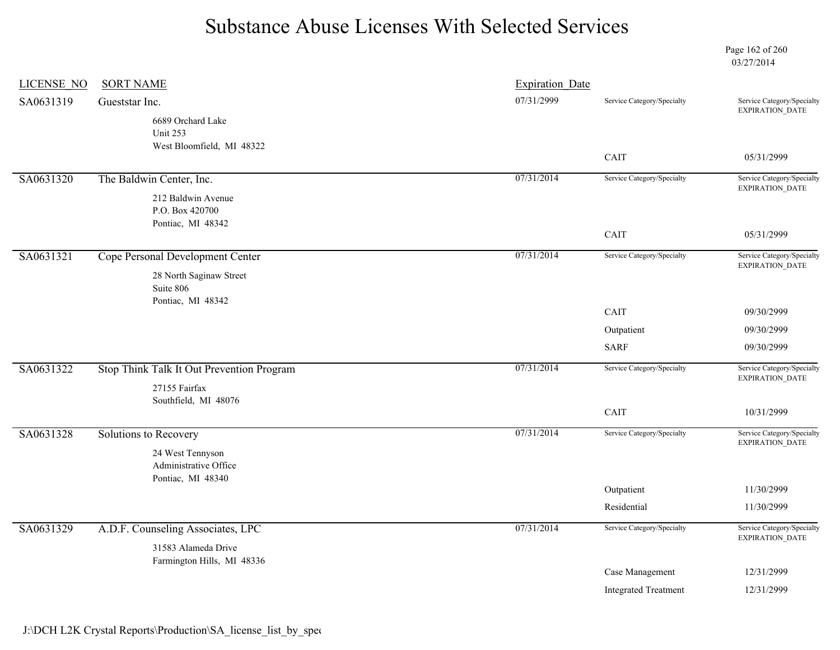Page 162 of 260 03/27/2014

| <b>LICENSE NO</b> | <b>SORT NAME</b>                                               | <b>Expiration Date</b> |                             |                                                      |
|-------------------|----------------------------------------------------------------|------------------------|-----------------------------|------------------------------------------------------|
| SA0631319         | Gueststar Inc.                                                 | 07/31/2999             | Service Category/Specialty  | Service Category/Specialty<br>EXPIRATION_DATE        |
|                   | 6689 Orchard Lake<br>Unit 253<br>West Bloomfield, MI 48322     |                        |                             |                                                      |
|                   |                                                                |                        | CAIT                        | 05/31/2999                                           |
| SA0631320         | The Baldwin Center, Inc.                                       | 07/31/2014             | Service Category/Specialty  | Service Category/Specialty<br><b>EXPIRATION DATE</b> |
|                   | 212 Baldwin Avenue<br>P.O. Box 420700<br>Pontiac, MI 48342     |                        |                             |                                                      |
|                   |                                                                |                        | CAIT                        | 05/31/2999                                           |
| SA0631321         | Cope Personal Development Center                               | 07/31/2014             | Service Category/Specialty  | Service Category/Specialty<br>EXPIRATION_DATE        |
|                   | 28 North Saginaw Street<br>Suite 806                           |                        |                             |                                                      |
|                   | Pontiac, MI 48342                                              |                        | CAIT                        | 09/30/2999                                           |
|                   |                                                                |                        | Outpatient                  | 09/30/2999                                           |
|                   |                                                                |                        | <b>SARF</b>                 | 09/30/2999                                           |
| SA0631322         | Stop Think Talk It Out Prevention Program                      | 07/31/2014             | Service Category/Specialty  | Service Category/Specialty<br><b>EXPIRATION DATE</b> |
|                   | 27155 Fairfax<br>Southfield, MI 48076                          |                        |                             |                                                      |
|                   |                                                                |                        | CAIT                        | 10/31/2999                                           |
| SA0631328         | Solutions to Recovery                                          | 07/31/2014             | Service Category/Specialty  | Service Category/Specialty<br>EXPIRATION_DATE        |
|                   | 24 West Tennyson<br>Administrative Office<br>Pontiac, MI 48340 |                        |                             |                                                      |
|                   |                                                                |                        | Outpatient                  | 11/30/2999                                           |
|                   |                                                                |                        | Residential                 | 11/30/2999                                           |
| SA0631329         | A.D.F. Counseling Associates, LPC                              | 07/31/2014             | Service Category/Specialty  | Service Category/Specialty<br>EXPIRATION_DATE        |
|                   | 31583 Alameda Drive                                            |                        |                             |                                                      |
|                   | Farmington Hills, MI 48336                                     |                        | Case Management             | 12/31/2999                                           |
|                   |                                                                |                        | <b>Integrated Treatment</b> | 12/31/2999                                           |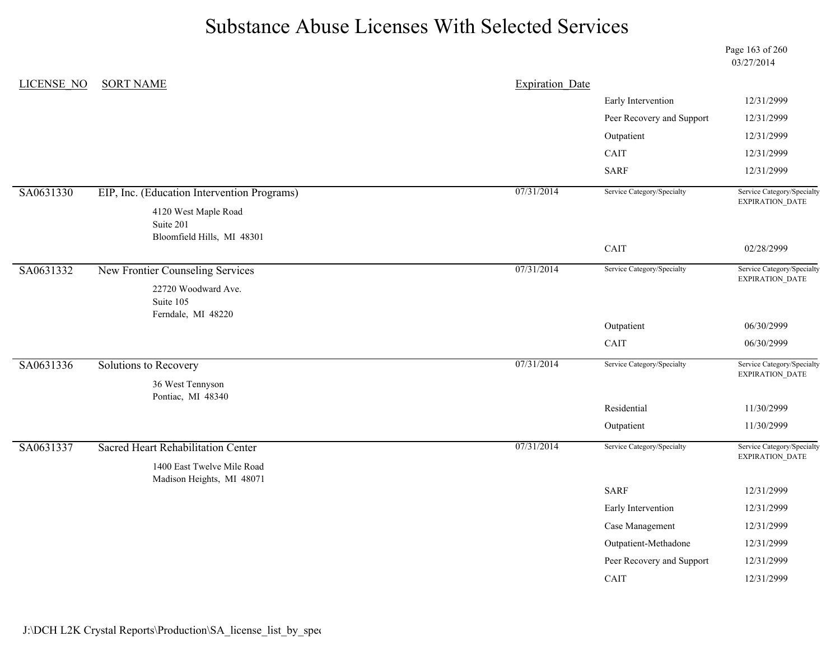Page 163 of 260 03/27/2014

|           | LICENSE NO<br><b>SORT NAME</b>                                  | <b>Expiration Date</b> |                            |                                               |
|-----------|-----------------------------------------------------------------|------------------------|----------------------------|-----------------------------------------------|
|           |                                                                 |                        | Early Intervention         | 12/31/2999                                    |
|           |                                                                 |                        | Peer Recovery and Support  | 12/31/2999                                    |
|           |                                                                 |                        | Outpatient                 | 12/31/2999                                    |
|           |                                                                 |                        | CAIT                       | 12/31/2999                                    |
|           |                                                                 |                        | <b>SARF</b>                | 12/31/2999                                    |
| SA0631330 | EIP, Inc. (Education Intervention Programs)                     | 07/31/2014             | Service Category/Specialty | Service Category/Specialty<br>EXPIRATION_DATE |
|           | 4120 West Maple Road<br>Suite 201<br>Bloomfield Hills, MI 48301 |                        |                            |                                               |
|           |                                                                 |                        | CAIT                       | 02/28/2999                                    |
| SA0631332 | New Frontier Counseling Services                                | 07/31/2014             | Service Category/Specialty | Service Category/Specialty<br>EXPIRATION_DATE |
|           | 22720 Woodward Ave.<br>Suite 105<br>Ferndale, MI 48220          |                        |                            |                                               |
|           |                                                                 |                        | Outpatient                 | 06/30/2999                                    |
|           |                                                                 |                        | CAIT                       | 06/30/2999                                    |
| SA0631336 | Solutions to Recovery                                           | 07/31/2014             | Service Category/Specialty | Service Category/Specialty<br>EXPIRATION_DATE |
|           | 36 West Tennyson                                                |                        |                            |                                               |
|           |                                                                 |                        |                            |                                               |
|           | Pontiac, MI 48340                                               |                        | Residential                | 11/30/2999                                    |
|           |                                                                 |                        | Outpatient                 | 11/30/2999                                    |
| SA0631337 | <b>Sacred Heart Rehabilitation Center</b>                       | 07/31/2014             | Service Category/Specialty |                                               |
|           | 1400 East Twelve Mile Road                                      |                        |                            | Service Category/Specialty<br>EXPIRATION_DATE |
|           | Madison Heights, MI 48071                                       |                        | <b>SARF</b>                | 12/31/2999                                    |
|           |                                                                 |                        | Early Intervention         | 12/31/2999                                    |
|           |                                                                 |                        | Case Management            | 12/31/2999                                    |
|           |                                                                 |                        | Outpatient-Methadone       | 12/31/2999                                    |
|           |                                                                 |                        | Peer Recovery and Support  | 12/31/2999                                    |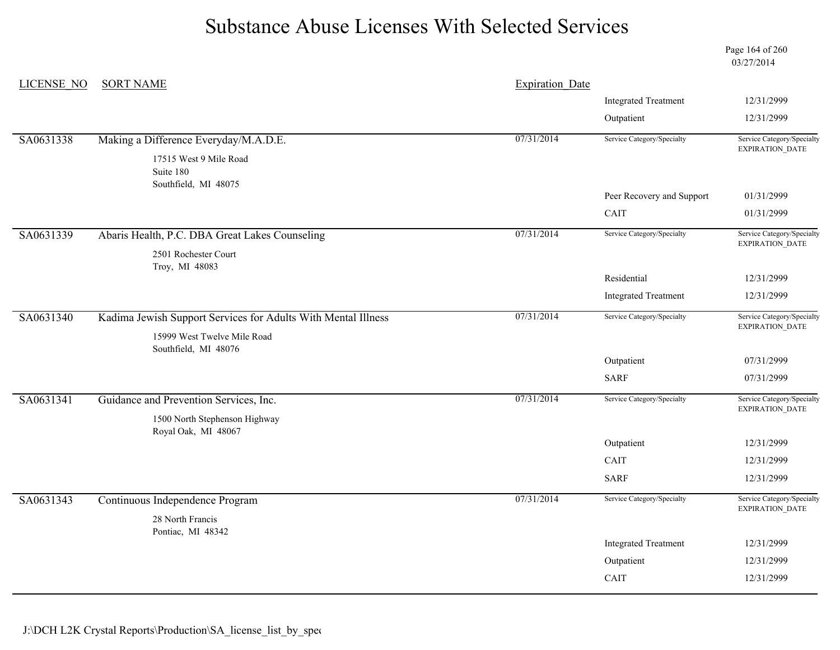Page 164 of 260 03/27/2014

| <b>LICENSE NO</b> | <b>SORT NAME</b>                                              | <b>Expiration Date</b> |                             |                                               |
|-------------------|---------------------------------------------------------------|------------------------|-----------------------------|-----------------------------------------------|
|                   |                                                               |                        | <b>Integrated Treatment</b> | 12/31/2999                                    |
|                   |                                                               |                        | Outpatient                  | 12/31/2999                                    |
| SA0631338         | Making a Difference Everyday/M.A.D.E.                         | 07/31/2014             | Service Category/Specialty  | Service Category/Specialty<br>EXPIRATION_DATE |
|                   | 17515 West 9 Mile Road<br>Suite 180                           |                        |                             |                                               |
|                   | Southfield, MI 48075                                          |                        | Peer Recovery and Support   | 01/31/2999                                    |
|                   |                                                               |                        | CAIT                        | 01/31/2999                                    |
| SA0631339         | Abaris Health, P.C. DBA Great Lakes Counseling                | 07/31/2014             | Service Category/Specialty  | Service Category/Specialty<br>EXPIRATION_DATE |
|                   | 2501 Rochester Court<br>Troy, MI 48083                        |                        |                             |                                               |
|                   |                                                               |                        | Residential                 | 12/31/2999                                    |
|                   |                                                               |                        | <b>Integrated Treatment</b> | 12/31/2999                                    |
| SA0631340         | Kadima Jewish Support Services for Adults With Mental Illness | 07/31/2014             | Service Category/Specialty  | Service Category/Specialty<br>EXPIRATION_DATE |
|                   | 15999 West Twelve Mile Road<br>Southfield, MI 48076           |                        |                             |                                               |
|                   |                                                               |                        | Outpatient                  | 07/31/2999                                    |
|                   |                                                               |                        | <b>SARF</b>                 | 07/31/2999                                    |
| SA0631341         | Guidance and Prevention Services, Inc.                        | 07/31/2014             | Service Category/Specialty  | Service Category/Specialty<br>EXPIRATION_DATE |
|                   | 1500 North Stephenson Highway                                 |                        |                             |                                               |
|                   | Royal Oak, MI 48067                                           |                        | Outpatient                  | 12/31/2999                                    |
|                   |                                                               |                        | CAIT                        | 12/31/2999                                    |
|                   |                                                               |                        | <b>SARF</b>                 | 12/31/2999                                    |
| SA0631343         | Continuous Independence Program                               | 07/31/2014             | Service Category/Specialty  | Service Category/Specialty<br>EXPIRATION_DATE |
|                   | 28 North Francis<br>Pontiac, MI 48342                         |                        |                             |                                               |
|                   |                                                               |                        | <b>Integrated Treatment</b> | 12/31/2999                                    |
|                   |                                                               |                        | Outpatient                  | 12/31/2999                                    |
|                   |                                                               |                        | CAIT                        | 12/31/2999                                    |
|                   |                                                               |                        |                             |                                               |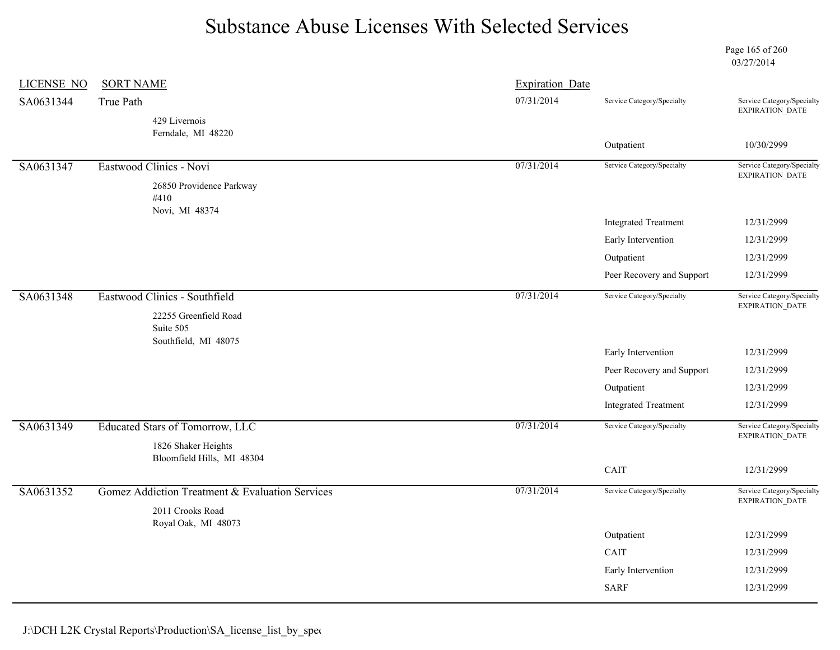Page 165 of 260 03/27/2014

| <b>LICENSE NO</b> | <b>SORT NAME</b>                                   | <b>Expiration Date</b> |                             |                                                      |
|-------------------|----------------------------------------------------|------------------------|-----------------------------|------------------------------------------------------|
| SA0631344         | True Path                                          | 07/31/2014             | Service Category/Specialty  | Service Category/Specialty<br><b>EXPIRATION DATE</b> |
|                   | 429 Livernois                                      |                        |                             |                                                      |
|                   | Ferndale, MI 48220                                 |                        | Outpatient                  | 10/30/2999                                           |
|                   |                                                    | 07/31/2014             | Service Category/Specialty  | Service Category/Specialty                           |
| SA0631347         | Eastwood Clinics - Novi                            |                        |                             | EXPIRATION_DATE                                      |
|                   | 26850 Providence Parkway<br>#410<br>Novi, MI 48374 |                        |                             |                                                      |
|                   |                                                    |                        | <b>Integrated Treatment</b> | 12/31/2999                                           |
|                   |                                                    |                        | Early Intervention          | 12/31/2999                                           |
|                   |                                                    |                        | Outpatient                  | 12/31/2999                                           |
|                   |                                                    |                        | Peer Recovery and Support   | 12/31/2999                                           |
| SA0631348         | Eastwood Clinics - Southfield                      | 07/31/2014             | Service Category/Specialty  | Service Category/Specialty                           |
|                   | 22255 Greenfield Road<br>Suite 505                 |                        |                             | EXPIRATION_DATE                                      |
|                   | Southfield, MI 48075                               |                        | Early Intervention          | 12/31/2999                                           |
|                   |                                                    |                        | Peer Recovery and Support   | 12/31/2999                                           |
|                   |                                                    |                        | Outpatient                  | 12/31/2999                                           |
|                   |                                                    |                        | <b>Integrated Treatment</b> | 12/31/2999                                           |
| SA0631349         | Educated Stars of Tomorrow, LLC                    | 07/31/2014             | Service Category/Specialty  | Service Category/Specialty<br>EXPIRATION_DATE        |
|                   | 1826 Shaker Heights                                |                        |                             |                                                      |
|                   | Bloomfield Hills, MI 48304                         |                        | CAIT                        | 12/31/2999                                           |
|                   |                                                    | 07/31/2014             | Service Category/Specialty  | Service Category/Specialty                           |
| SA0631352         | Gomez Addiction Treatment & Evaluation Services    |                        |                             | EXPIRATION_DATE                                      |
|                   | 2011 Crooks Road<br>Royal Oak, MI 48073            |                        |                             |                                                      |
|                   |                                                    |                        | Outpatient                  | 12/31/2999                                           |
|                   |                                                    |                        | CAIT                        | 12/31/2999                                           |
|                   |                                                    |                        | Early Intervention          | 12/31/2999                                           |
|                   |                                                    |                        | <b>SARF</b>                 | 12/31/2999                                           |
|                   |                                                    |                        |                             |                                                      |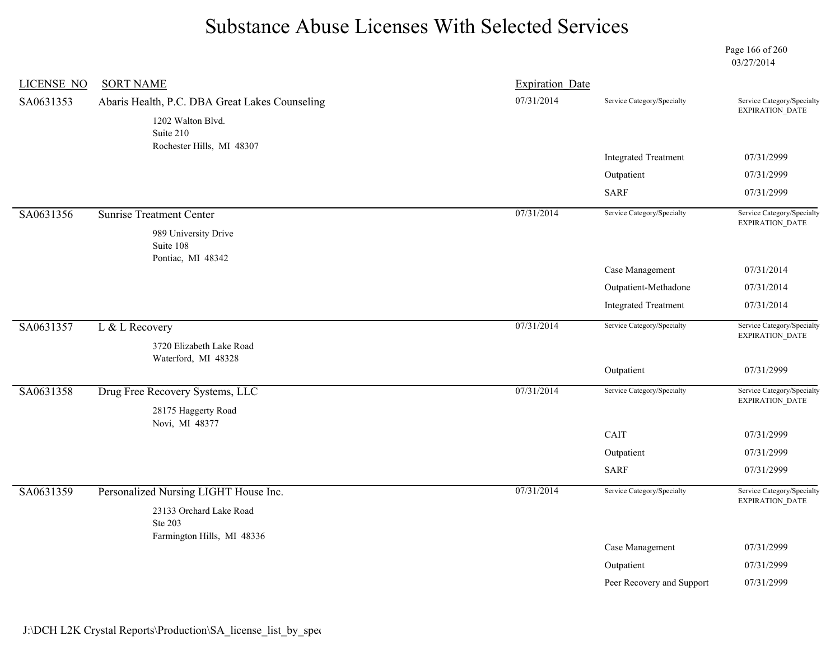Page 166 of 260 03/27/2014

| <b>LICENSE NO</b> | <b>SORT NAME</b>                               | <b>Expiration Date</b> |                             |                                                      |
|-------------------|------------------------------------------------|------------------------|-----------------------------|------------------------------------------------------|
| SA0631353         | Abaris Health, P.C. DBA Great Lakes Counseling | 07/31/2014             | Service Category/Specialty  | Service Category/Specialty<br>EXPIRATION_DATE        |
|                   | 1202 Walton Blvd.                              |                        |                             |                                                      |
|                   | Suite 210<br>Rochester Hills, MI 48307         |                        |                             |                                                      |
|                   |                                                |                        | <b>Integrated Treatment</b> | 07/31/2999                                           |
|                   |                                                |                        | Outpatient                  | 07/31/2999                                           |
|                   |                                                |                        | <b>SARF</b>                 | 07/31/2999                                           |
| SA0631356         | <b>Sunrise Treatment Center</b>                | 07/31/2014             | Service Category/Specialty  | Service Category/Specialty<br><b>EXPIRATION DATE</b> |
|                   | 989 University Drive                           |                        |                             |                                                      |
|                   | Suite 108<br>Pontiac, MI 48342                 |                        |                             |                                                      |
|                   |                                                |                        | Case Management             | 07/31/2014                                           |
|                   |                                                |                        | Outpatient-Methadone        | 07/31/2014                                           |
|                   |                                                |                        | <b>Integrated Treatment</b> | 07/31/2014                                           |
| SA0631357         | L & L Recovery                                 | 07/31/2014             | Service Category/Specialty  | Service Category/Specialty<br><b>EXPIRATION DATE</b> |
|                   | 3720 Elizabeth Lake Road                       |                        |                             |                                                      |
|                   | Waterford, MI 48328                            |                        | Outpatient                  | 07/31/2999                                           |
| SA0631358         | Drug Free Recovery Systems, LLC                | 07/31/2014             | Service Category/Specialty  | Service Category/Specialty                           |
|                   | 28175 Haggerty Road                            |                        |                             | EXPIRATION_DATE                                      |
|                   | Novi, MI 48377                                 |                        |                             |                                                      |
|                   |                                                |                        | CAIT                        | 07/31/2999                                           |
|                   |                                                |                        | Outpatient                  | 07/31/2999                                           |
|                   |                                                |                        | <b>SARF</b>                 | 07/31/2999                                           |
| SA0631359         | Personalized Nursing LIGHT House Inc.          | 07/31/2014             | Service Category/Specialty  | Service Category/Specialty<br>EXPIRATION_DATE        |
|                   | 23133 Orchard Lake Road                        |                        |                             |                                                      |
|                   | Ste 203<br>Farmington Hills, MI 48336          |                        |                             |                                                      |
|                   |                                                |                        | Case Management             | 07/31/2999                                           |
|                   |                                                |                        | Outpatient                  | 07/31/2999                                           |
|                   |                                                |                        | Peer Recovery and Support   | 07/31/2999                                           |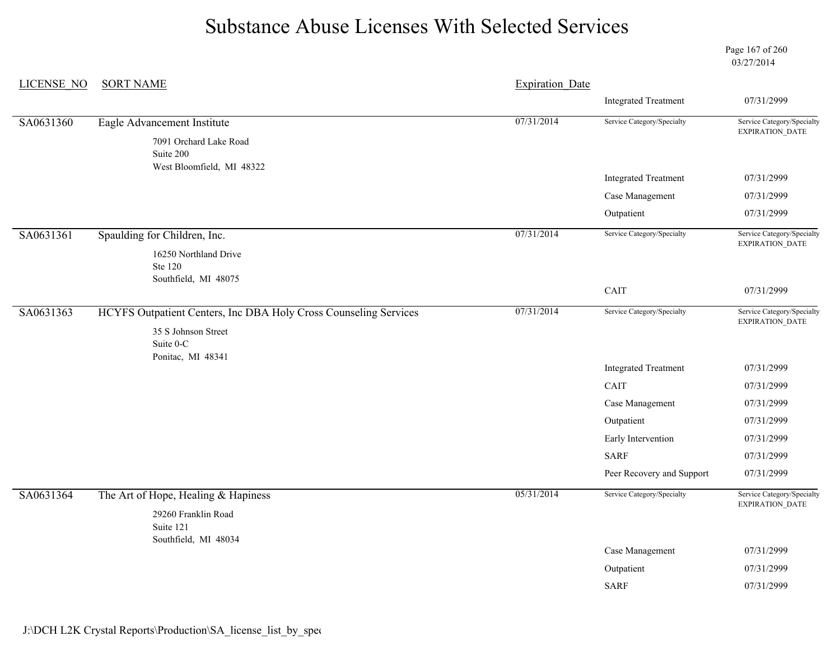Page 167 of 260 03/27/2014

| <b>LICENSE NO</b> | <b>SORT NAME</b>                                                 |            | <b>Expiration Date</b>      |                                                      |
|-------------------|------------------------------------------------------------------|------------|-----------------------------|------------------------------------------------------|
|                   |                                                                  |            | <b>Integrated Treatment</b> | 07/31/2999                                           |
| SA0631360         | Eagle Advancement Institute                                      | 07/31/2014 | Service Category/Specialty  | Service Category/Specialty<br><b>EXPIRATION DATE</b> |
|                   | 7091 Orchard Lake Road<br>Suite 200                              |            |                             |                                                      |
|                   | West Bloomfield, MI 48322                                        |            | <b>Integrated Treatment</b> | 07/31/2999                                           |
|                   |                                                                  |            | Case Management             | 07/31/2999                                           |
|                   |                                                                  |            | Outpatient                  | 07/31/2999                                           |
| SA0631361         | Spaulding for Children, Inc.                                     | 07/31/2014 | Service Category/Specialty  | Service Category/Specialty<br><b>EXPIRATION DATE</b> |
|                   | 16250 Northland Drive<br>Ste 120                                 |            |                             |                                                      |
|                   | Southfield, MI 48075                                             |            | CAIT                        | 07/31/2999                                           |
| SA0631363         | HCYFS Outpatient Centers, Inc DBA Holy Cross Counseling Services | 07/31/2014 | Service Category/Specialty  | Service Category/Specialty<br>EXPIRATION_DATE        |
|                   | 35 S Johnson Street<br>Suite 0-C                                 |            |                             |                                                      |
|                   | Ponitac, MI 48341                                                |            | <b>Integrated Treatment</b> | 07/31/2999                                           |
|                   |                                                                  |            | CAIT                        | 07/31/2999                                           |
|                   |                                                                  |            | Case Management             | 07/31/2999                                           |
|                   |                                                                  |            | Outpatient                  | 07/31/2999                                           |
|                   |                                                                  |            | Early Intervention          | 07/31/2999                                           |
|                   |                                                                  |            | <b>SARF</b>                 | 07/31/2999                                           |
|                   |                                                                  |            | Peer Recovery and Support   | 07/31/2999                                           |
| SA0631364         | The Art of Hope, Healing & Hapiness                              | 05/31/2014 | Service Category/Specialty  | Service Category/Specialty<br>EXPIRATION_DATE        |
|                   | 29260 Franklin Road<br>Suite 121<br>Southfield, MI 48034         |            |                             |                                                      |
|                   |                                                                  |            | Case Management             | 07/31/2999                                           |
|                   |                                                                  |            | Outpatient                  | 07/31/2999                                           |
|                   |                                                                  |            | <b>SARF</b>                 | 07/31/2999                                           |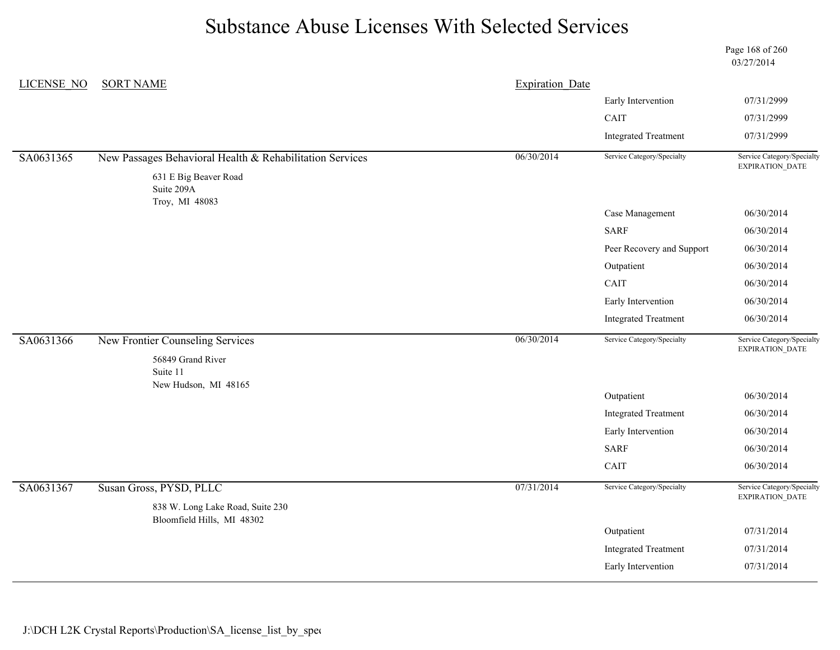Page 168 of 260 03/27/2014

| LICENSE NO | <b>SORT NAME</b>                                               | <b>Expiration Date</b> |                             |                                               |
|------------|----------------------------------------------------------------|------------------------|-----------------------------|-----------------------------------------------|
|            |                                                                |                        | Early Intervention          | 07/31/2999                                    |
|            |                                                                |                        | CAIT                        | 07/31/2999                                    |
|            |                                                                |                        | <b>Integrated Treatment</b> | 07/31/2999                                    |
| SA0631365  | New Passages Behavioral Health & Rehabilitation Services       | 06/30/2014             | Service Category/Specialty  | Service Category/Specialty<br>EXPIRATION_DATE |
|            | 631 E Big Beaver Road<br>Suite 209A                            |                        |                             |                                               |
|            | Troy, MI 48083                                                 |                        | Case Management             | 06/30/2014                                    |
|            |                                                                |                        | <b>SARF</b>                 | 06/30/2014                                    |
|            |                                                                |                        | Peer Recovery and Support   | 06/30/2014                                    |
|            |                                                                |                        | Outpatient                  | 06/30/2014                                    |
|            |                                                                |                        | CAIT                        | 06/30/2014                                    |
|            |                                                                |                        | Early Intervention          | 06/30/2014                                    |
|            |                                                                |                        | <b>Integrated Treatment</b> | 06/30/2014                                    |
| SA0631366  | New Frontier Counseling Services                               | 06/30/2014             | Service Category/Specialty  | Service Category/Specialty<br>EXPIRATION_DATE |
|            | 56849 Grand River<br>Suite 11<br>New Hudson, MI 48165          |                        |                             |                                               |
|            |                                                                |                        | Outpatient                  | 06/30/2014                                    |
|            |                                                                |                        | <b>Integrated Treatment</b> | 06/30/2014                                    |
|            |                                                                |                        | Early Intervention          | 06/30/2014                                    |
|            |                                                                |                        | <b>SARF</b>                 | 06/30/2014                                    |
|            |                                                                |                        | CAIT                        | 06/30/2014                                    |
| SA0631367  | Susan Gross, PYSD, PLLC                                        | 07/31/2014             | Service Category/Specialty  | Service Category/Specialty<br>EXPIRATION_DATE |
|            | 838 W. Long Lake Road, Suite 230<br>Bloomfield Hills, MI 48302 |                        |                             |                                               |
|            |                                                                |                        | Outpatient                  | 07/31/2014                                    |
|            |                                                                |                        | <b>Integrated Treatment</b> | 07/31/2014                                    |
|            |                                                                |                        | Early Intervention          | 07/31/2014                                    |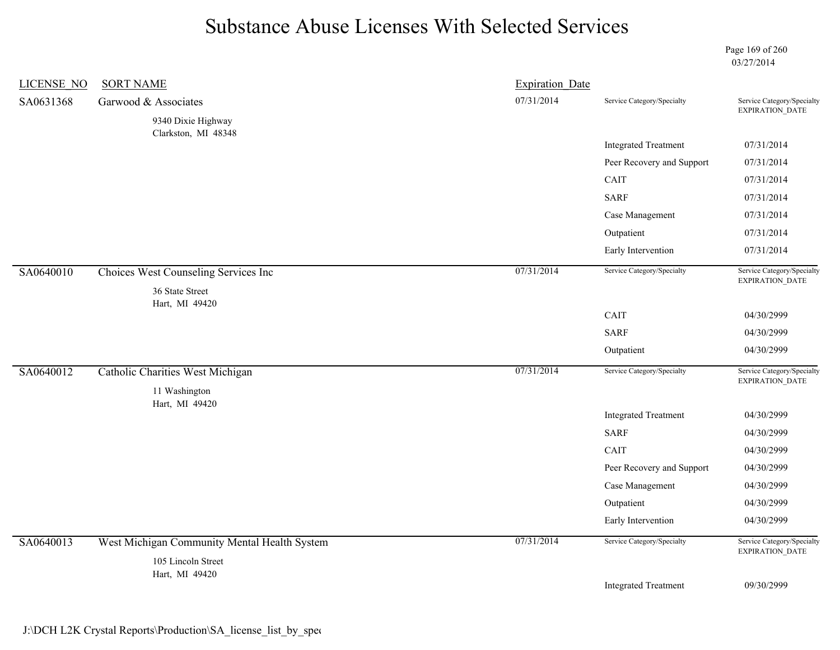Page 169 of 260 03/27/2014

| <b>LICENSE NO</b> | <b>SORT NAME</b>                                        | <b>Expiration Date</b> |                             |                                               |
|-------------------|---------------------------------------------------------|------------------------|-----------------------------|-----------------------------------------------|
| SA0631368         | Garwood & Associates                                    | 07/31/2014             | Service Category/Specialty  | Service Category/Specialty<br>EXPIRATION_DATE |
|                   | 9340 Dixie Highway                                      |                        |                             |                                               |
|                   | Clarkston, MI 48348                                     |                        | <b>Integrated Treatment</b> | 07/31/2014                                    |
|                   |                                                         |                        | Peer Recovery and Support   | 07/31/2014                                    |
|                   |                                                         |                        | CAIT                        | 07/31/2014                                    |
|                   |                                                         |                        | <b>SARF</b>                 | 07/31/2014                                    |
|                   |                                                         |                        | Case Management             | 07/31/2014                                    |
|                   |                                                         |                        | Outpatient                  | 07/31/2014                                    |
|                   |                                                         |                        | Early Intervention          | 07/31/2014                                    |
| SA0640010         | Choices West Counseling Services Inc<br>36 State Street | 07/31/2014             | Service Category/Specialty  | Service Category/Specialty<br>EXPIRATION_DATE |
|                   | Hart, MI 49420                                          |                        |                             |                                               |
|                   |                                                         |                        | CAIT                        | 04/30/2999                                    |
|                   |                                                         |                        | <b>SARF</b>                 | 04/30/2999                                    |
|                   |                                                         |                        | Outpatient                  | 04/30/2999                                    |
| SA0640012         | Catholic Charities West Michigan<br>11 Washington       | 07/31/2014             | Service Category/Specialty  | Service Category/Specialty<br>EXPIRATION_DATE |
|                   | Hart, MI 49420                                          |                        | <b>Integrated Treatment</b> | 04/30/2999                                    |
|                   |                                                         |                        | <b>SARF</b>                 | 04/30/2999                                    |
|                   |                                                         |                        | CAIT                        | 04/30/2999                                    |
|                   |                                                         |                        | Peer Recovery and Support   | 04/30/2999                                    |
|                   |                                                         |                        | Case Management             | 04/30/2999                                    |
|                   |                                                         |                        | Outpatient                  | 04/30/2999                                    |
|                   |                                                         |                        | Early Intervention          | 04/30/2999                                    |
| SA0640013         | West Michigan Community Mental Health System            | 07/31/2014             | Service Category/Specialty  | Service Category/Specialty<br>EXPIRATION_DATE |
|                   | 105 Lincoln Street<br>Hart, MI 49420                    |                        |                             |                                               |
|                   |                                                         |                        | <b>Integrated Treatment</b> | 09/30/2999                                    |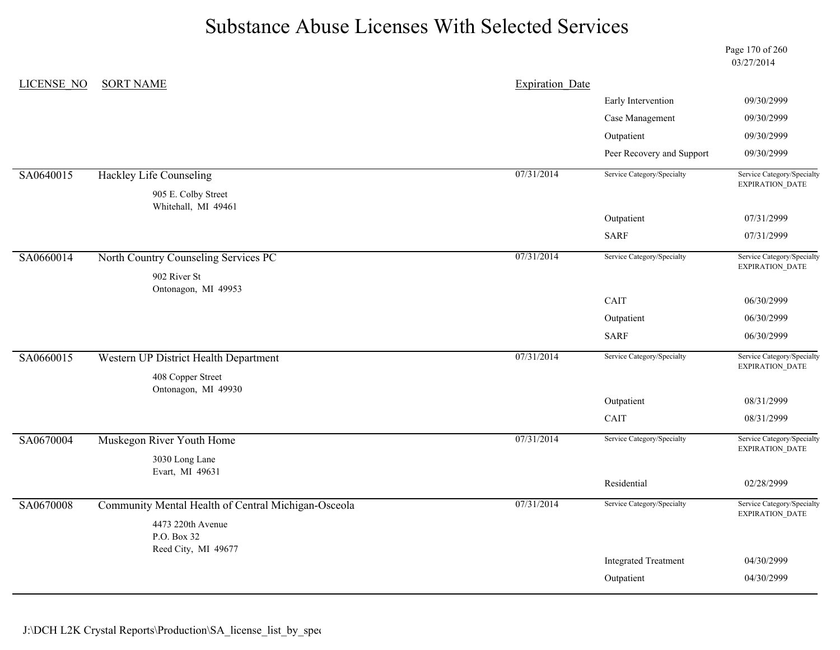Page 170 of 260 03/27/2014

| LICENSE NO | <b>SORT NAME</b>                                    | <b>Expiration Date</b> |                             |                                               |
|------------|-----------------------------------------------------|------------------------|-----------------------------|-----------------------------------------------|
|            |                                                     |                        | Early Intervention          | 09/30/2999                                    |
|            |                                                     |                        | Case Management             | 09/30/2999                                    |
|            |                                                     |                        | Outpatient                  | 09/30/2999                                    |
|            |                                                     |                        | Peer Recovery and Support   | 09/30/2999                                    |
| SA0640015  | Hackley Life Counseling                             | 07/31/2014             | Service Category/Specialty  | Service Category/Specialty<br>EXPIRATION_DATE |
|            | 905 E. Colby Street<br>Whitehall, MI 49461          |                        |                             |                                               |
|            |                                                     |                        | Outpatient                  | 07/31/2999                                    |
|            |                                                     |                        | <b>SARF</b>                 | 07/31/2999                                    |
| SA0660014  | North Country Counseling Services PC                | 07/31/2014             | Service Category/Specialty  | Service Category/Specialty<br>EXPIRATION_DATE |
|            | 902 River St                                        |                        |                             |                                               |
|            | Ontonagon, MI 49953                                 |                        | CAIT                        | 06/30/2999                                    |
|            |                                                     |                        | Outpatient                  | 06/30/2999                                    |
|            |                                                     |                        | <b>SARF</b>                 | 06/30/2999                                    |
| SA0660015  | Western UP District Health Department               | 07/31/2014             | Service Category/Specialty  | Service Category/Specialty<br>EXPIRATION_DATE |
|            | 408 Copper Street<br>Ontonagon, MI 49930            |                        |                             |                                               |
|            |                                                     |                        | Outpatient                  | 08/31/2999                                    |
|            |                                                     |                        | CAIT                        | 08/31/2999                                    |
| SA0670004  | Muskegon River Youth Home                           | 07/31/2014             | Service Category/Specialty  | Service Category/Specialty<br>EXPIRATION_DATE |
|            | 3030 Long Lane                                      |                        |                             |                                               |
|            | Evart, MI 49631                                     |                        | Residential                 | 02/28/2999                                    |
| SA0670008  | Community Mental Health of Central Michigan-Osceola | 07/31/2014             | Service Category/Specialty  | Service Category/Specialty                    |
|            |                                                     |                        |                             | <b>EXPIRATION DATE</b>                        |
|            | 4473 220th Avenue<br>P.O. Box 32                    |                        |                             |                                               |
|            | Reed City, MI 49677                                 |                        |                             |                                               |
|            |                                                     |                        | <b>Integrated Treatment</b> | 04/30/2999                                    |
|            |                                                     |                        | Outpatient                  | 04/30/2999                                    |
|            |                                                     |                        |                             |                                               |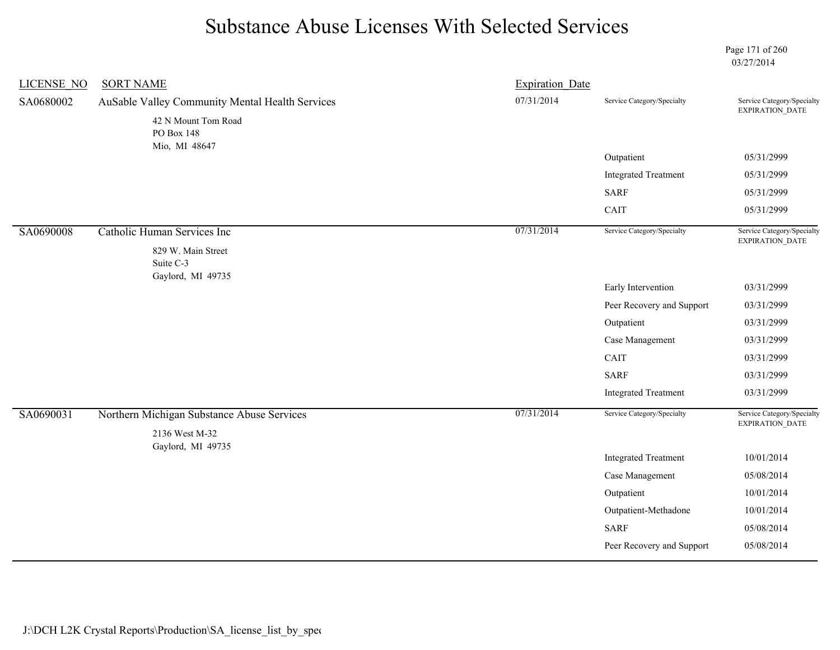Page 171 of 260 03/27/2014

| <b>LICENSE NO</b> | <b>SORT NAME</b>                                             | <b>Expiration Date</b> |                             |                                               |
|-------------------|--------------------------------------------------------------|------------------------|-----------------------------|-----------------------------------------------|
| SA0680002         | AuSable Valley Community Mental Health Services              | 07/31/2014             | Service Category/Specialty  | Service Category/Specialty<br>EXPIRATION_DATE |
|                   | 42 N Mount Tom Road<br>PO Box 148                            |                        |                             |                                               |
|                   | Mio, MI 48647                                                |                        | Outpatient                  | 05/31/2999                                    |
|                   |                                                              |                        | <b>Integrated Treatment</b> | 05/31/2999                                    |
|                   |                                                              |                        | <b>SARF</b>                 | 05/31/2999                                    |
|                   |                                                              |                        | CAIT                        | 05/31/2999                                    |
| SA0690008         | Catholic Human Services Inc                                  | 07/31/2014             | Service Category/Specialty  | Service Category/Specialty<br>EXPIRATION_DATE |
|                   | 829 W. Main Street<br>Suite C-3<br>Gaylord, MI 49735         |                        |                             |                                               |
|                   |                                                              |                        | Early Intervention          | 03/31/2999                                    |
|                   |                                                              |                        | Peer Recovery and Support   | 03/31/2999                                    |
|                   |                                                              |                        | Outpatient                  | 03/31/2999                                    |
|                   |                                                              |                        | Case Management             | 03/31/2999                                    |
|                   |                                                              |                        | CAIT                        | 03/31/2999                                    |
|                   |                                                              |                        | <b>SARF</b>                 | 03/31/2999                                    |
|                   |                                                              |                        | <b>Integrated Treatment</b> | 03/31/2999                                    |
| SA0690031         | Northern Michigan Substance Abuse Services<br>2136 West M-32 | 07/31/2014             | Service Category/Specialty  | Service Category/Specialty<br>EXPIRATION_DATE |
|                   | Gaylord, MI 49735                                            |                        | <b>Integrated Treatment</b> | 10/01/2014                                    |
|                   |                                                              |                        | Case Management             | 05/08/2014                                    |
|                   |                                                              |                        | Outpatient                  | 10/01/2014                                    |
|                   |                                                              |                        | Outpatient-Methadone        | 10/01/2014                                    |
|                   |                                                              |                        | <b>SARF</b>                 | 05/08/2014                                    |
|                   |                                                              |                        | Peer Recovery and Support   | 05/08/2014                                    |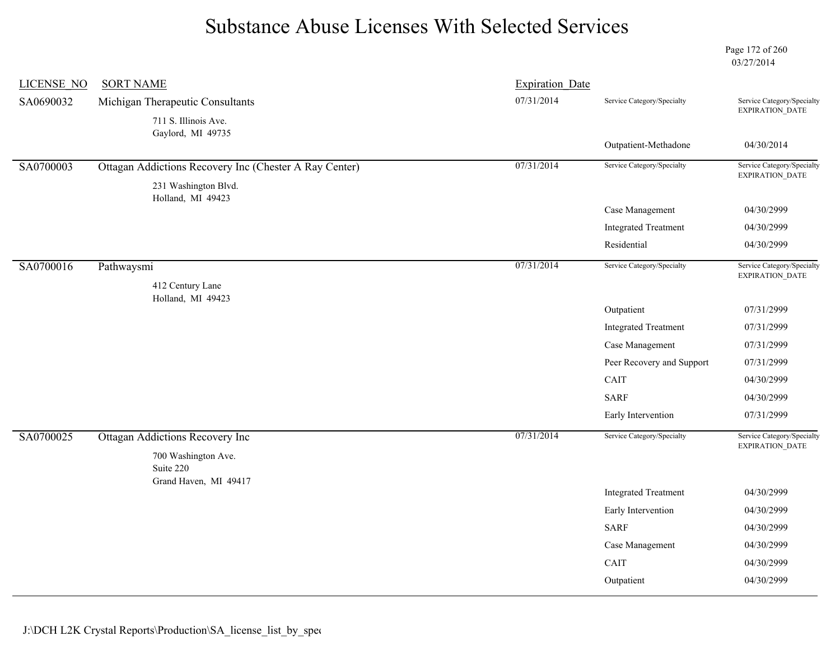Page 172 of 260 03/27/2014

| <b>LICENSE NO</b> | <b>SORT NAME</b>                                       | <b>Expiration Date</b> |                             |                                                      |
|-------------------|--------------------------------------------------------|------------------------|-----------------------------|------------------------------------------------------|
| SA0690032         | Michigan Therapeutic Consultants                       | 07/31/2014             | Service Category/Specialty  | Service Category/Specialty                           |
|                   | 711 S. Illinois Ave.                                   |                        |                             | EXPIRATION_DATE                                      |
|                   | Gaylord, MI 49735                                      |                        | Outpatient-Methadone        | 04/30/2014                                           |
|                   |                                                        |                        |                             | Service Category/Specialty                           |
| SA0700003         | Ottagan Addictions Recovery Inc (Chester A Ray Center) | 07/31/2014             | Service Category/Specialty  | <b>EXPIRATION DATE</b>                               |
|                   | 231 Washington Blvd.<br>Holland, MI 49423              |                        |                             |                                                      |
|                   |                                                        |                        | Case Management             | 04/30/2999                                           |
|                   |                                                        |                        | <b>Integrated Treatment</b> | 04/30/2999                                           |
|                   |                                                        |                        | Residential                 | 04/30/2999                                           |
| SA0700016         | Pathwaysmi                                             | 07/31/2014             | Service Category/Specialty  | Service Category/Specialty<br>EXPIRATION_DATE        |
|                   | 412 Century Lane                                       |                        |                             |                                                      |
|                   | Holland, MI 49423                                      |                        | Outpatient                  | 07/31/2999                                           |
|                   |                                                        |                        | <b>Integrated Treatment</b> | 07/31/2999                                           |
|                   |                                                        |                        | Case Management             | 07/31/2999                                           |
|                   |                                                        |                        | Peer Recovery and Support   | 07/31/2999                                           |
|                   |                                                        |                        | CAIT                        | 04/30/2999                                           |
|                   |                                                        |                        | <b>SARF</b>                 | 04/30/2999                                           |
|                   |                                                        |                        | Early Intervention          | 07/31/2999                                           |
| SA0700025         | <b>Ottagan Addictions Recovery Inc</b>                 | 07/31/2014             | Service Category/Specialty  | Service Category/Specialty<br><b>EXPIRATION DATE</b> |
|                   | 700 Washington Ave.                                    |                        |                             |                                                      |
|                   | Suite 220<br>Grand Haven, MI 49417                     |                        |                             |                                                      |
|                   |                                                        |                        | <b>Integrated Treatment</b> | 04/30/2999                                           |
|                   |                                                        |                        | Early Intervention          | 04/30/2999                                           |
|                   |                                                        |                        | <b>SARF</b>                 | 04/30/2999                                           |
|                   |                                                        |                        | Case Management             | 04/30/2999                                           |
|                   |                                                        |                        | CAIT                        | 04/30/2999                                           |
|                   |                                                        |                        | Outpatient                  | 04/30/2999                                           |
|                   |                                                        |                        |                             |                                                      |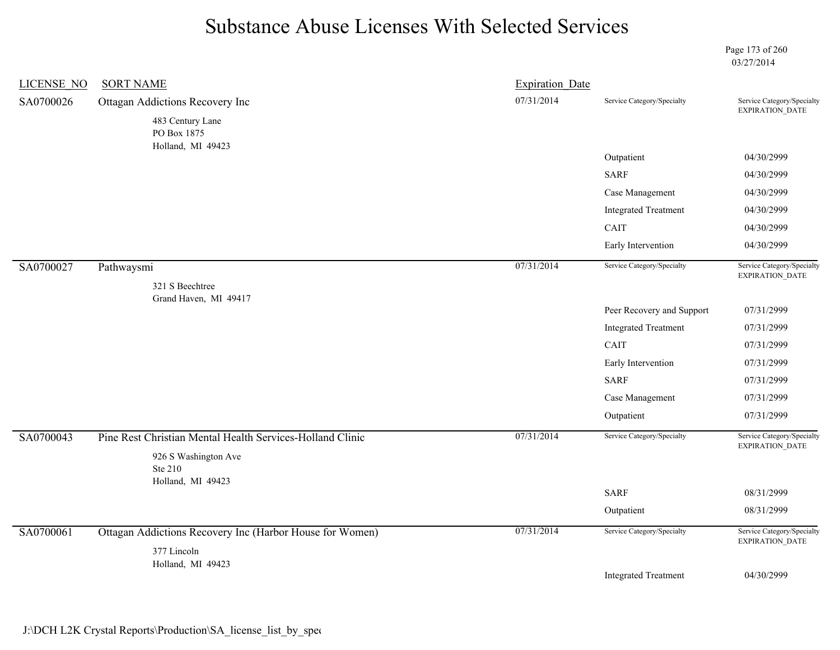Page 173 of 260 03/27/2014

| <b>LICENSE NO</b><br><b>SORT NAME</b>                     |                                                                                             |                             |                                                                    |
|-----------------------------------------------------------|---------------------------------------------------------------------------------------------|-----------------------------|--------------------------------------------------------------------|
| Ottagan Addictions Recovery Inc<br>483 Century Lane       | 07/31/2014                                                                                  | Service Category/Specialty  | Service Category/Specialty<br>EXPIRATION_DATE                      |
| Holland, MI 49423                                         |                                                                                             |                             |                                                                    |
|                                                           |                                                                                             |                             | 04/30/2999                                                         |
|                                                           |                                                                                             |                             | 04/30/2999                                                         |
|                                                           |                                                                                             | Case Management             | 04/30/2999                                                         |
|                                                           |                                                                                             | <b>Integrated Treatment</b> | 04/30/2999                                                         |
|                                                           |                                                                                             | CAIT                        | 04/30/2999                                                         |
|                                                           |                                                                                             | Early Intervention          | 04/30/2999                                                         |
| Pathwaysmi                                                | 07/31/2014                                                                                  | Service Category/Specialty  | Service Category/Specialty<br>EXPIRATION_DATE                      |
|                                                           |                                                                                             |                             |                                                                    |
|                                                           |                                                                                             | Peer Recovery and Support   | 07/31/2999                                                         |
|                                                           |                                                                                             | <b>Integrated Treatment</b> | 07/31/2999                                                         |
|                                                           |                                                                                             | CAIT                        | 07/31/2999                                                         |
|                                                           |                                                                                             | Early Intervention          | 07/31/2999                                                         |
|                                                           |                                                                                             | <b>SARF</b>                 | 07/31/2999                                                         |
|                                                           |                                                                                             | Case Management             | 07/31/2999                                                         |
|                                                           |                                                                                             | Outpatient                  | 07/31/2999                                                         |
| Pine Rest Christian Mental Health Services-Holland Clinic | 07/31/2014                                                                                  | Service Category/Specialty  | Service Category/Specialty<br>EXPIRATION_DATE                      |
| 926 S Washington Ave<br>Ste 210                           |                                                                                             |                             |                                                                    |
|                                                           |                                                                                             |                             | 08/31/2999                                                         |
|                                                           |                                                                                             | Outpatient                  | 08/31/2999                                                         |
| Ottagan Addictions Recovery Inc (Harbor House for Women)  | 07/31/2014                                                                                  | Service Category/Specialty  | Service Category/Specialty<br>EXPIRATION_DATE                      |
|                                                           |                                                                                             |                             |                                                                    |
| Holland, MI 49423                                         |                                                                                             |                             |                                                                    |
|                                                           | PO Box 1875<br>321 S Beechtree<br>Grand Haven, MI 49417<br>Holland, MI 49423<br>377 Lincoln |                             | <b>Expiration Date</b><br>Outpatient<br><b>SARF</b><br><b>SARF</b> |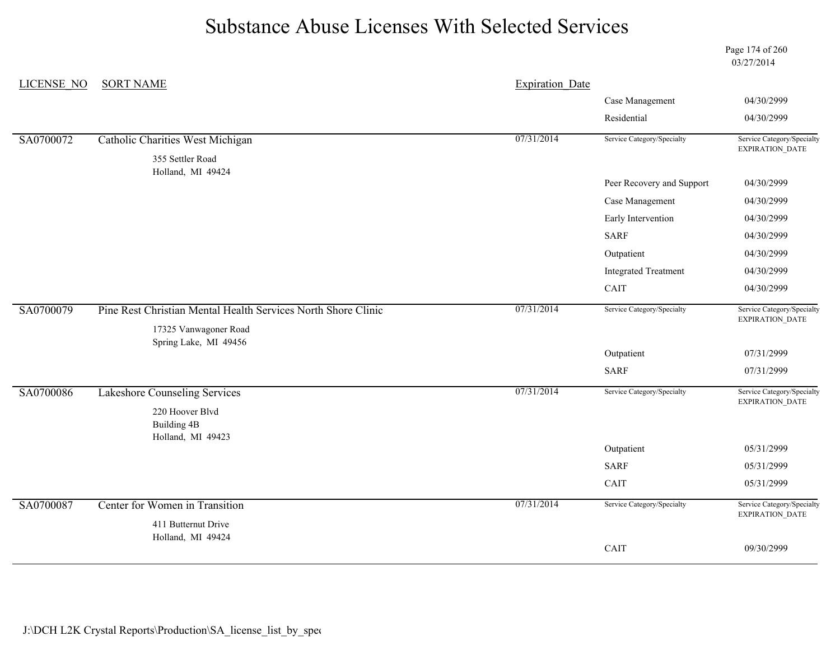Page 174 of 260 03/27/2014

| LICENSE NO | <b>SORT NAME</b>                                              | <b>Expiration Date</b> |                             |                                               |
|------------|---------------------------------------------------------------|------------------------|-----------------------------|-----------------------------------------------|
|            |                                                               |                        | Case Management             | 04/30/2999                                    |
|            |                                                               |                        | Residential                 | 04/30/2999                                    |
| SA0700072  | <b>Catholic Charities West Michigan</b>                       | 07/31/2014             | Service Category/Specialty  | Service Category/Specialty<br>EXPIRATION_DATE |
|            | 355 Settler Road                                              |                        |                             |                                               |
|            | Holland, MI 49424                                             |                        | Peer Recovery and Support   | 04/30/2999                                    |
|            |                                                               |                        | Case Management             | 04/30/2999                                    |
|            |                                                               |                        | Early Intervention          | 04/30/2999                                    |
|            |                                                               |                        | <b>SARF</b>                 | 04/30/2999                                    |
|            |                                                               |                        | Outpatient                  | 04/30/2999                                    |
|            |                                                               |                        | <b>Integrated Treatment</b> | 04/30/2999                                    |
|            |                                                               |                        | CAIT                        | 04/30/2999                                    |
| SA0700079  | Pine Rest Christian Mental Health Services North Shore Clinic | 07/31/2014             | Service Category/Specialty  | Service Category/Specialty                    |
|            | 17325 Vanwagoner Road<br>Spring Lake, MI 49456                |                        |                             | EXPIRATION_DATE                               |
|            |                                                               |                        | Outpatient                  | 07/31/2999                                    |
|            |                                                               |                        | <b>SARF</b>                 | 07/31/2999                                    |
| SA0700086  | <b>Lakeshore Counseling Services</b>                          | 07/31/2014             | Service Category/Specialty  | Service Category/Specialty<br>EXPIRATION_DATE |
|            | 220 Hoover Blvd                                               |                        |                             |                                               |
|            | <b>Building 4B</b><br>Holland, MI 49423                       |                        |                             |                                               |
|            |                                                               |                        | Outpatient                  | 05/31/2999                                    |
|            |                                                               |                        | <b>SARF</b>                 | 05/31/2999                                    |
|            |                                                               |                        | CAIT                        | 05/31/2999                                    |
| SA0700087  | Center for Women in Transition                                | 07/31/2014             | Service Category/Specialty  | Service Category/Specialty<br>EXPIRATION_DATE |
|            | 411 Butternut Drive                                           |                        |                             |                                               |
|            | Holland, MI 49424                                             |                        | CAIT                        | 09/30/2999                                    |
|            |                                                               |                        |                             |                                               |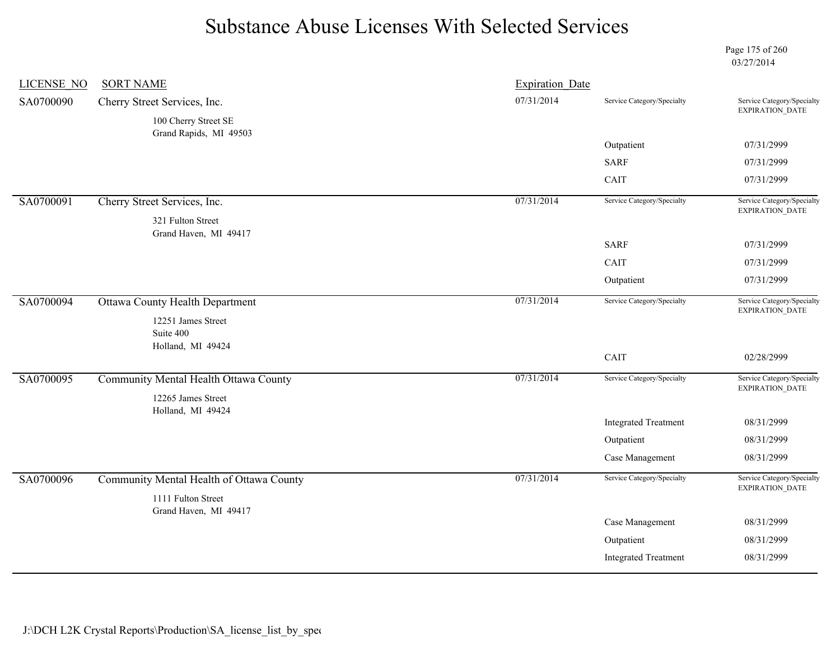Page 175 of 260 03/27/2014

| <b>LICENSE NO</b> | <b>SORT NAME</b>                           | <b>Expiration Date</b> |                             |                                               |
|-------------------|--------------------------------------------|------------------------|-----------------------------|-----------------------------------------------|
| SA0700090         | Cherry Street Services, Inc.               | 07/31/2014             | Service Category/Specialty  | Service Category/Specialty<br>EXPIRATION_DATE |
|                   | 100 Cherry Street SE                       |                        |                             |                                               |
|                   | Grand Rapids, MI 49503                     |                        | Outpatient                  | 07/31/2999                                    |
|                   |                                            |                        | <b>SARF</b>                 | 07/31/2999                                    |
|                   |                                            |                        | CAIT                        | 07/31/2999                                    |
|                   |                                            |                        |                             |                                               |
| SA0700091         | Cherry Street Services, Inc.               | 07/31/2014             | Service Category/Specialty  | Service Category/Specialty<br>EXPIRATION_DATE |
|                   | 321 Fulton Street<br>Grand Haven, MI 49417 |                        |                             |                                               |
|                   |                                            |                        | <b>SARF</b>                 | 07/31/2999                                    |
|                   |                                            |                        | CAIT                        | 07/31/2999                                    |
|                   |                                            |                        | Outpatient                  | 07/31/2999                                    |
| SA0700094         | <b>Ottawa County Health Department</b>     | 07/31/2014             | Service Category/Specialty  | Service Category/Specialty                    |
|                   | 12251 James Street                         |                        |                             | EXPIRATION_DATE                               |
|                   | Suite 400                                  |                        |                             |                                               |
|                   | Holland, MI 49424                          |                        | CAIT                        | 02/28/2999                                    |
| SA0700095         | Community Mental Health Ottawa County      | 07/31/2014             | Service Category/Specialty  | Service Category/Specialty                    |
|                   | 12265 James Street                         |                        |                             | EXPIRATION_DATE                               |
|                   | Holland, MI 49424                          |                        |                             |                                               |
|                   |                                            |                        | <b>Integrated Treatment</b> | 08/31/2999                                    |
|                   |                                            |                        | Outpatient                  | 08/31/2999                                    |
|                   |                                            |                        | Case Management             | 08/31/2999                                    |
| SA0700096         | Community Mental Health of Ottawa County   | 07/31/2014             | Service Category/Specialty  | Service Category/Specialty                    |
|                   | 1111 Fulton Street                         |                        |                             | <b>EXPIRATION DATE</b>                        |
|                   | Grand Haven, MI 49417                      |                        |                             |                                               |
|                   |                                            |                        | Case Management             | 08/31/2999                                    |
|                   |                                            |                        | Outpatient                  | 08/31/2999                                    |
|                   |                                            |                        | <b>Integrated Treatment</b> | 08/31/2999                                    |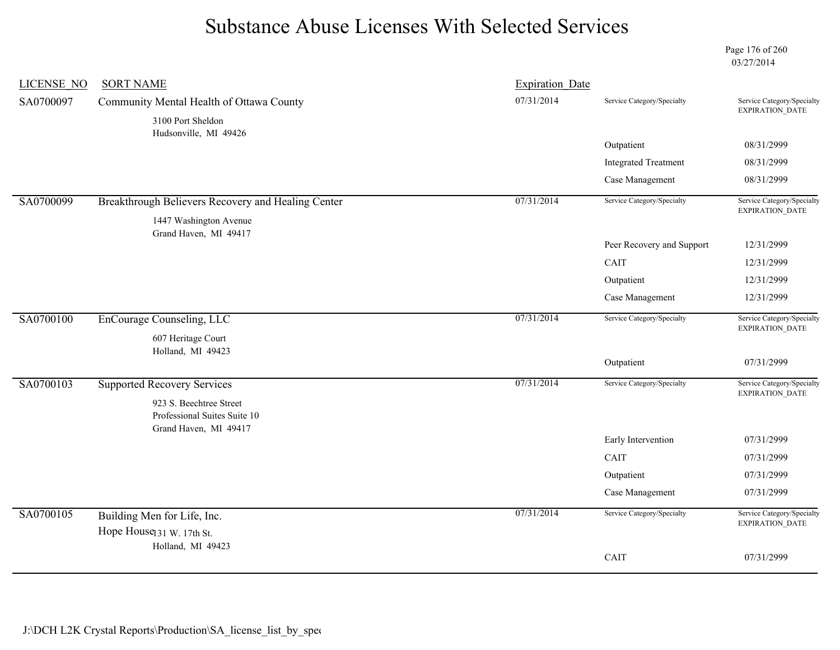Page 176 of 260 03/27/2014

| <b>LICENSE NO</b> | <b>SORT NAME</b>                                           | <b>Expiration Date</b> |                             |                                                      |
|-------------------|------------------------------------------------------------|------------------------|-----------------------------|------------------------------------------------------|
| SA0700097         | Community Mental Health of Ottawa County                   | 07/31/2014             | Service Category/Specialty  | Service Category/Specialty<br>EXPIRATION_DATE        |
|                   | 3100 Port Sheldon<br>Hudsonville, MI 49426                 |                        |                             |                                                      |
|                   |                                                            |                        | Outpatient                  | 08/31/2999                                           |
|                   |                                                            |                        | <b>Integrated Treatment</b> | 08/31/2999                                           |
|                   |                                                            |                        | Case Management             | 08/31/2999                                           |
| SA0700099         | Breakthrough Believers Recovery and Healing Center         | 07/31/2014             | Service Category/Specialty  | Service Category/Specialty<br>EXPIRATION_DATE        |
|                   | 1447 Washington Avenue                                     |                        |                             |                                                      |
|                   | Grand Haven, MI 49417                                      |                        | Peer Recovery and Support   | 12/31/2999                                           |
|                   |                                                            |                        | <b>CAIT</b>                 | 12/31/2999                                           |
|                   |                                                            |                        | Outpatient                  | 12/31/2999                                           |
|                   |                                                            |                        | Case Management             | 12/31/2999                                           |
| SA0700100         | EnCourage Counseling, LLC                                  | 07/31/2014             | Service Category/Specialty  | Service Category/Specialty<br>EXPIRATION_DATE        |
|                   | 607 Heritage Court                                         |                        |                             |                                                      |
|                   | Holland, MI 49423                                          |                        | Outpatient                  | 07/31/2999                                           |
|                   |                                                            |                        |                             |                                                      |
| SA0700103         | <b>Supported Recovery Services</b>                         | 07/31/2014             | Service Category/Specialty  | Service Category/Specialty<br><b>EXPIRATION DATE</b> |
|                   | 923 S. Beechtree Street<br>Professional Suites Suite 10    |                        |                             |                                                      |
|                   | Grand Haven, MI 49417                                      |                        | Early Intervention          | 07/31/2999                                           |
|                   |                                                            |                        | CAIT                        | 07/31/2999                                           |
|                   |                                                            |                        | Outpatient                  | 07/31/2999                                           |
|                   |                                                            |                        | Case Management             | 07/31/2999                                           |
|                   |                                                            | 07/31/2014             |                             | Service Category/Specialty                           |
| SA0700105         | Building Men for Life, Inc.                                |                        | Service Category/Specialty  | <b>EXPIRATION DATE</b>                               |
|                   | Hope House <sub>131</sub> W. 17th St.<br>Holland, MI 49423 |                        |                             |                                                      |
|                   |                                                            |                        | CAIT                        | 07/31/2999                                           |
|                   |                                                            |                        |                             |                                                      |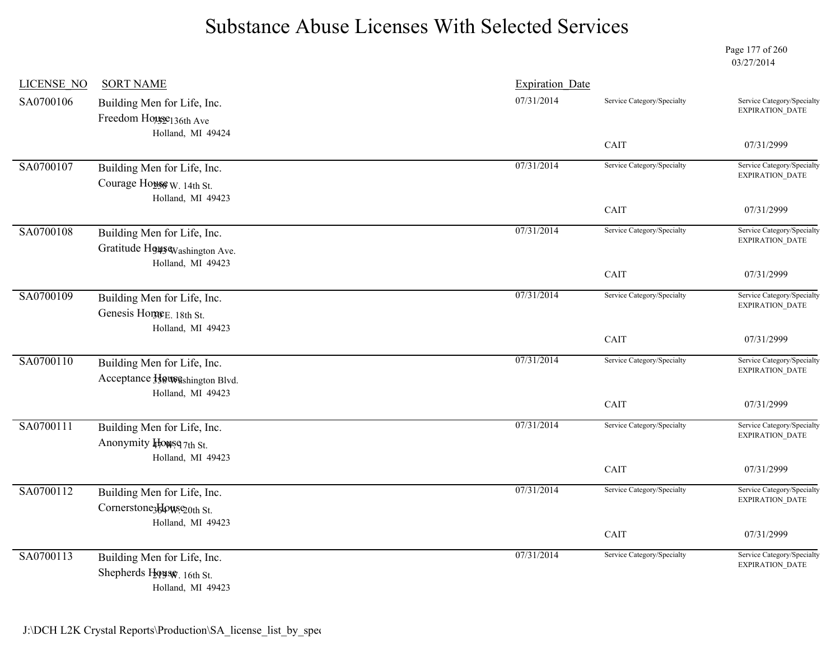Page 177 of 260 03/27/2014

| <b>LICENSE NO</b> | <b>SORT NAME</b>                                          | <b>Expiration Date</b>  |                            |                                                      |
|-------------------|-----------------------------------------------------------|-------------------------|----------------------------|------------------------------------------------------|
| SA0700106         | Building Men for Life, Inc.                               | 07/31/2014              | Service Category/Specialty | Service Category/Specialty<br><b>EXPIRATION DATE</b> |
|                   | Freedom House136th Ave                                    |                         |                            |                                                      |
|                   | Holland, MI 49424                                         |                         | CAIT                       | 07/31/2999                                           |
| SA0700107         | Building Men for Life, Inc.                               | 07/31/2014              | Service Category/Specialty | Service Category/Specialty                           |
|                   | Courage Honse W. 14th St.                                 |                         |                            | EXPIRATION_DATE                                      |
|                   | Holland, MI 49423                                         |                         |                            |                                                      |
|                   |                                                           |                         | CAIT                       | 07/31/2999                                           |
| SA0700108         | Building Men for Life, Inc.                               | 07/31/2014              | Service Category/Specialty | Service Category/Specialty<br><b>EXPIRATION DATE</b> |
|                   | Gratitude H949S Washington Ave.                           |                         |                            |                                                      |
|                   | Holland, MI 49423                                         |                         | CAIT                       | 07/31/2999                                           |
|                   |                                                           |                         |                            |                                                      |
| SA0700109         | Building Men for Life, Inc.                               | 07/31/2014              | Service Category/Specialty | Service Category/Specialty<br><b>EXPIRATION DATE</b> |
|                   | Genesis Horge <sub>E. 18th St.</sub><br>Holland, MI 49423 |                         |                            |                                                      |
|                   |                                                           |                         | CAIT                       | 07/31/2999                                           |
| SA0700110         | Building Men for Life, Inc.                               | 07/31/2014              | Service Category/Specialty | Service Category/Specialty                           |
|                   | Acceptance Howeshington Blvd.                             |                         |                            | <b>EXPIRATION DATE</b>                               |
|                   | Holland, MI 49423                                         |                         |                            |                                                      |
|                   |                                                           |                         | CAIT                       | 07/31/2999                                           |
| SA0700111         | Building Men for Life, Inc.                               | $\overline{07/31/2014}$ | Service Category/Specialty | Service Category/Specialty<br><b>EXPIRATION DATE</b> |
|                   | Anonymity Howse 7th St.                                   |                         |                            |                                                      |
|                   | Holland, MI 49423                                         |                         | CAIT                       | 07/31/2999                                           |
|                   |                                                           |                         |                            |                                                      |
| SA0700112         | Building Men for Life, Inc.                               | 07/31/2014              | Service Category/Specialty | Service Category/Specialty<br><b>EXPIRATION DATE</b> |
|                   | Cornerstone3klowse20th St.<br>Holland, MI 49423           |                         |                            |                                                      |
|                   |                                                           |                         | CAIT                       | 07/31/2999                                           |
| SA0700113         | Building Men for Life, Inc.                               | 07/31/2014              | Service Category/Specialty | Service Category/Specialty                           |
|                   | Shepherds House, 16th St.                                 |                         |                            | EXPIRATION_DATE                                      |
|                   | Holland, MI 49423                                         |                         |                            |                                                      |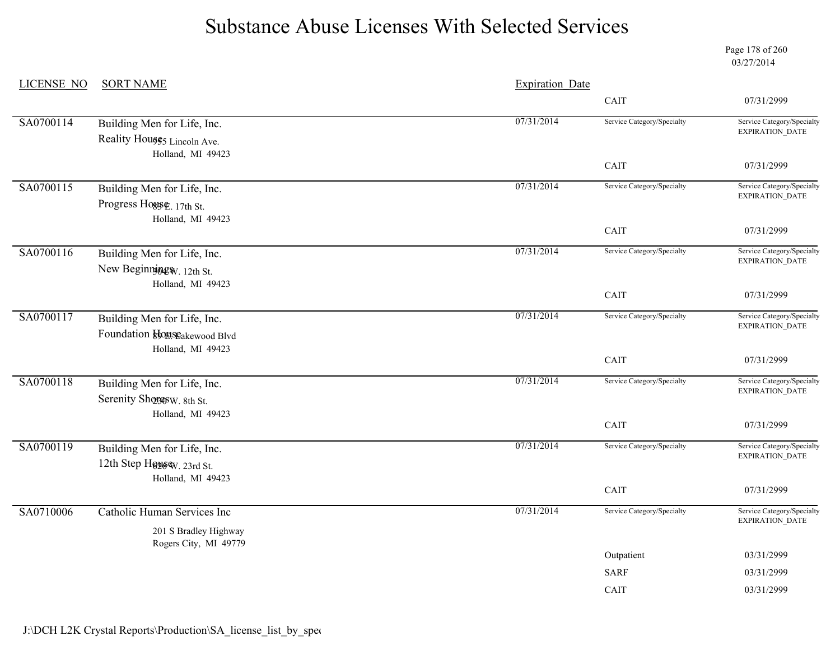Page 178 of 260 03/27/2014

| <b>LICENSE NO</b> | <b>SORT NAME</b>                                 | <b>Expiration Date</b> |                            |                                                                        |
|-------------------|--------------------------------------------------|------------------------|----------------------------|------------------------------------------------------------------------|
|                   |                                                  |                        | CAIT                       | 07/31/2999                                                             |
| SA0700114         | Building Men for Life, Inc.                      | 07/31/2014             | Service Category/Specialty | Service Category/Specialty                                             |
|                   | Reality Houses Lincoln Ave.<br>Holland, MI 49423 |                        |                            | EXPIRATION_DATE                                                        |
|                   |                                                  |                        | CAIT                       | 07/31/2999                                                             |
| SA0700115         | Building Men for Life, Inc.                      | 07/31/2014             | Service Category/Specialty | Service Category/Specialty<br>EXPIRATION_DATE                          |
|                   | Progress Hogse, 17th St.<br>Holland, MI 49423    |                        |                            |                                                                        |
|                   |                                                  |                        | CAIT                       | 07/31/2999                                                             |
| SA0700116         | Building Men for Life, Inc.                      | 07/31/2014             | Service Category/Specialty | Service Category/Specialty<br><b>EXPIRATION DATE</b>                   |
|                   | New Beginning W. 12th St.<br>Holland, MI 49423   |                        |                            |                                                                        |
|                   |                                                  |                        | CAIT                       | 07/31/2999                                                             |
| SA0700117         | Building Men for Life, Inc.                      | 07/31/2014             | Service Category/Specialty | Service Category/Specialty<br>EXPIRATION_DATE                          |
|                   | Foundation <i>bouse</i> akewood Blvd             |                        |                            |                                                                        |
|                   | Holland, MI 49423                                |                        | CAIT                       | 07/31/2999                                                             |
| SA0700118         | Building Men for Life, Inc.                      | 07/31/2014             | Service Category/Specialty | Service Category/Specialty<br>EXPIRATION_DATE                          |
|                   | Serenity Shopesw. 8th St.                        |                        |                            |                                                                        |
|                   | Holland, MI 49423                                |                        | CAIT                       | 07/31/2999                                                             |
| SA0700119         | Building Men for Life, Inc.                      | 07/31/2014             | Service Category/Specialty | Service Category/Specialty<br>$\ensuremath{\mathsf{EXPIRATION\_DATA}}$ |
|                   | 12th Step Høysew. 23rd St.                       |                        |                            |                                                                        |
|                   | Holland, MI 49423                                |                        | CAIT                       | 07/31/2999                                                             |
| SA0710006         | Catholic Human Services Inc                      | 07/31/2014             | Service Category/Specialty | Service Category/Specialty<br>EXPIRATION_DATE                          |
|                   | 201 S Bradley Highway<br>Rogers City, MI 49779   |                        |                            |                                                                        |
|                   |                                                  |                        | Outpatient                 | 03/31/2999                                                             |
|                   |                                                  |                        | <b>SARF</b>                | 03/31/2999                                                             |
|                   |                                                  |                        | CAIT                       | 03/31/2999                                                             |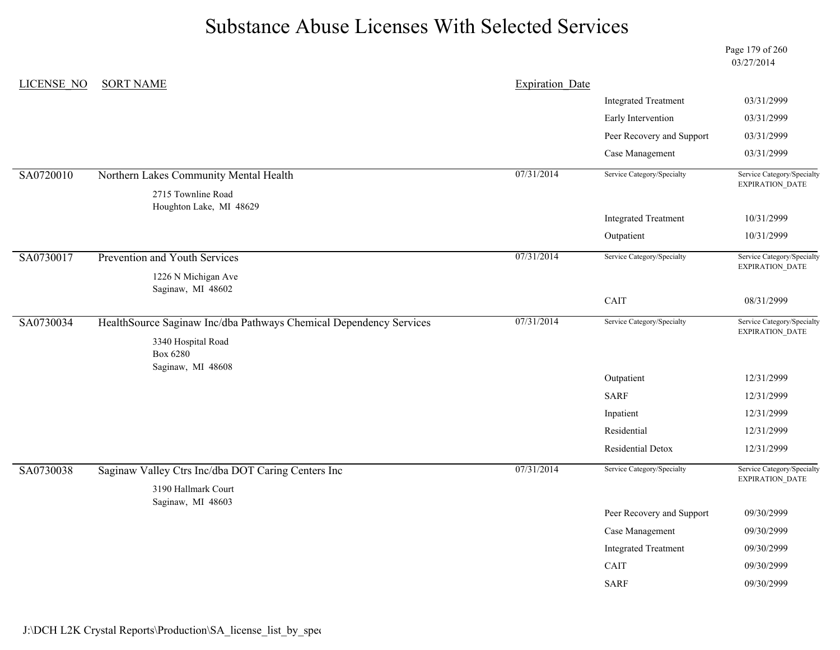Page 179 of 260 03/27/2014

| LICENSE NO | <b>SORT NAME</b>                                                   | <b>Expiration Date</b> |                              |                                                      |
|------------|--------------------------------------------------------------------|------------------------|------------------------------|------------------------------------------------------|
|            |                                                                    |                        | <b>Integrated Treatment</b>  | 03/31/2999                                           |
|            |                                                                    |                        | Early Intervention           | 03/31/2999                                           |
|            |                                                                    |                        | Peer Recovery and Support    | 03/31/2999                                           |
|            |                                                                    |                        | Case Management              | 03/31/2999                                           |
| SA0720010  | Northern Lakes Community Mental Health                             | 07/31/2014             | Service Category/Specialty   | Service Category/Specialty<br><b>EXPIRATION DATE</b> |
|            | 2715 Townline Road<br>Houghton Lake, MI 48629                      |                        |                              |                                                      |
|            |                                                                    |                        | <b>Integrated Treatment</b>  | 10/31/2999                                           |
|            |                                                                    |                        | Outpatient                   | 10/31/2999                                           |
| SA0730017  | Prevention and Youth Services                                      | 07/31/2014             | Service Category/Specialty   | Service Category/Specialty<br>EXPIRATION_DATE        |
|            | 1226 N Michigan Ave                                                |                        |                              |                                                      |
|            | Saginaw, MI 48602                                                  |                        | CAIT                         | 08/31/2999                                           |
|            |                                                                    |                        |                              |                                                      |
| SA0730034  | HealthSource Saginaw Inc/dba Pathways Chemical Dependency Services | 07/31/2014             | Service Category/Specialty   | Service Category/Specialty<br>EXPIRATION_DATE        |
|            | 3340 Hospital Road                                                 |                        |                              |                                                      |
|            | Box 6280<br>Saginaw, MI 48608                                      |                        |                              |                                                      |
|            |                                                                    |                        | Outpatient                   | 12/31/2999                                           |
|            |                                                                    |                        | <b>SARF</b>                  | 12/31/2999                                           |
|            |                                                                    |                        | Inpatient                    | 12/31/2999                                           |
|            |                                                                    |                        | Residential                  | 12/31/2999                                           |
|            |                                                                    |                        | Residential Detox            | 12/31/2999                                           |
| SA0730038  | Saginaw Valley Ctrs Inc/dba DOT Caring Centers Inc                 | 07/31/2014             | Service Category/Specialty   | Service Category/Specialty<br>EXPIRATION_DATE        |
|            | 3190 Hallmark Court                                                |                        |                              |                                                      |
|            | Saginaw, MI 48603                                                  |                        |                              |                                                      |
|            |                                                                    |                        | Peer Recovery and Support    | 09/30/2999                                           |
|            |                                                                    |                        | Case Management              | 09/30/2999                                           |
|            |                                                                    |                        | <b>Integrated Treatment</b>  | 09/30/2999                                           |
|            |                                                                    |                        | $\mathop{\rm CAIT}\nolimits$ | 09/30/2999                                           |
|            |                                                                    |                        | <b>SARF</b>                  | 09/30/2999                                           |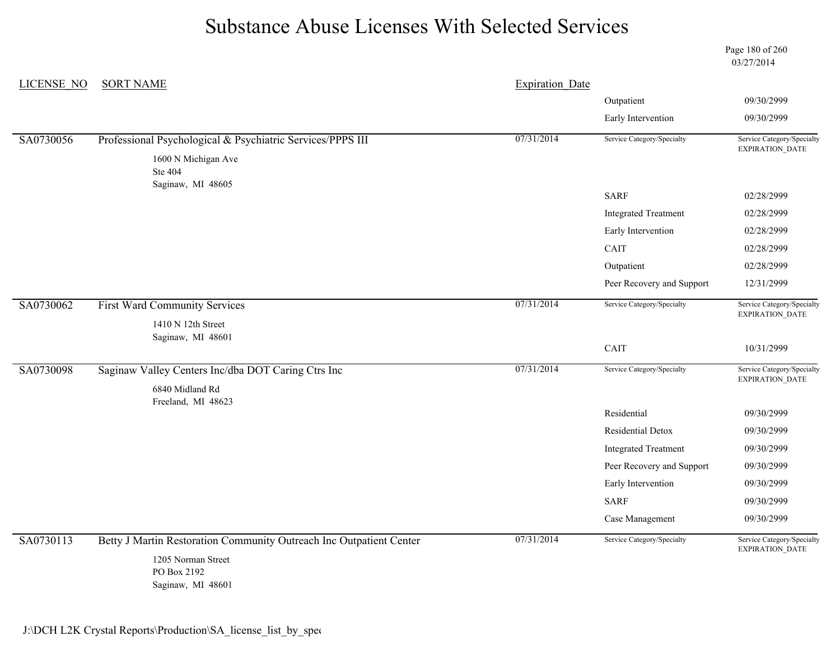Page 180 of 260 03/27/2014

| LICENSE NO | <b>SORT NAME</b>                                                      | <b>Expiration Date</b> |                             |                                                      |
|------------|-----------------------------------------------------------------------|------------------------|-----------------------------|------------------------------------------------------|
|            |                                                                       |                        | Outpatient                  | 09/30/2999                                           |
|            |                                                                       |                        | Early Intervention          | 09/30/2999                                           |
| SA0730056  | Professional Psychological & Psychiatric Services/PPPS III            | 07/31/2014             | Service Category/Specialty  | Service Category/Specialty<br><b>EXPIRATION DATE</b> |
|            | 1600 N Michigan Ave<br><b>Ste 404</b><br>Saginaw, MI 48605            |                        |                             |                                                      |
|            |                                                                       |                        | <b>SARF</b>                 | 02/28/2999                                           |
|            |                                                                       |                        | <b>Integrated Treatment</b> | 02/28/2999                                           |
|            |                                                                       |                        | Early Intervention          | 02/28/2999                                           |
|            |                                                                       |                        | CAIT                        | 02/28/2999                                           |
|            |                                                                       |                        | Outpatient                  | 02/28/2999                                           |
|            |                                                                       |                        | Peer Recovery and Support   | 12/31/2999                                           |
| SA0730062  | <b>First Ward Community Services</b>                                  | 07/31/2014             | Service Category/Specialty  | Service Category/Specialty<br>EXPIRATION_DATE        |
|            | 1410 N 12th Street                                                    |                        |                             |                                                      |
|            | Saginaw, MI 48601                                                     |                        | CAIT                        | 10/31/2999                                           |
| SA0730098  | Saginaw Valley Centers Inc/dba DOT Caring Ctrs Inc<br>6840 Midland Rd | 07/31/2014             | Service Category/Specialty  | Service Category/Specialty<br><b>EXPIRATION DATE</b> |
|            | Freeland, MI 48623                                                    |                        | Residential                 | 09/30/2999                                           |
|            |                                                                       |                        | Residential Detox           | 09/30/2999                                           |
|            |                                                                       |                        | <b>Integrated Treatment</b> | 09/30/2999                                           |
|            |                                                                       |                        | Peer Recovery and Support   | 09/30/2999                                           |
|            |                                                                       |                        | Early Intervention          | 09/30/2999                                           |
|            |                                                                       |                        | <b>SARF</b>                 | 09/30/2999                                           |
|            |                                                                       |                        | Case Management             | 09/30/2999                                           |
| SA0730113  | Betty J Martin Restoration Community Outreach Inc Outpatient Center   | 07/31/2014             | Service Category/Specialty  | Service Category/Specialty<br>EXPIRATION_DATE        |
|            | 1205 Norman Street<br>PO Box 2192<br>Saginaw, MI 48601                |                        |                             |                                                      |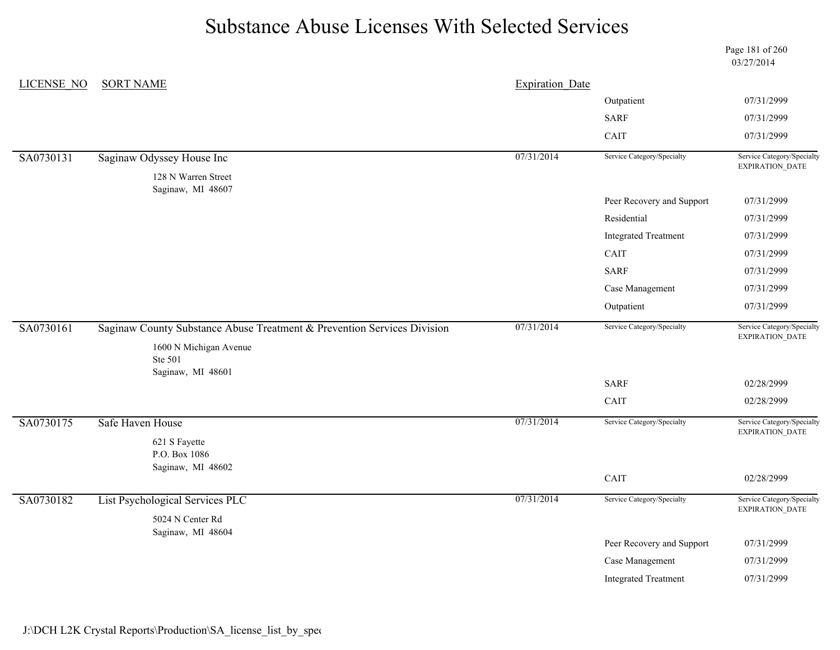|                   |                                                                         |                        |                             | Page 181 of 260<br>03/27/2014                        |
|-------------------|-------------------------------------------------------------------------|------------------------|-----------------------------|------------------------------------------------------|
| <b>LICENSE NO</b> | <b>SORT NAME</b>                                                        | <b>Expiration Date</b> |                             |                                                      |
|                   |                                                                         |                        | Outpatient                  | 07/31/2999                                           |
|                   |                                                                         |                        | <b>SARF</b>                 | 07/31/2999                                           |
|                   |                                                                         |                        | CAIT                        | 07/31/2999                                           |
| SA0730131         | Saginaw Odyssey House Inc                                               | 07/31/2014             | Service Category/Specialty  | Service Category/Specialty<br>EXPIRATION_DATE        |
|                   | 128 N Warren Street<br>Saginaw, MI 48607                                |                        |                             |                                                      |
|                   |                                                                         |                        | Peer Recovery and Support   | 07/31/2999                                           |
|                   |                                                                         |                        | Residential                 | 07/31/2999                                           |
|                   |                                                                         |                        | <b>Integrated Treatment</b> | 07/31/2999                                           |
|                   |                                                                         |                        | CAIT                        | 07/31/2999                                           |
|                   |                                                                         |                        | <b>SARF</b>                 | 07/31/2999                                           |
|                   |                                                                         |                        | Case Management             | 07/31/2999                                           |
|                   |                                                                         |                        | Outpatient                  | 07/31/2999                                           |
| SA0730161         | Saginaw County Substance Abuse Treatment & Prevention Services Division | 07/31/2014             | Service Category/Specialty  | Service Category/Specialty<br>EXPIRATION_DATE        |
|                   | 1600 N Michigan Avenue<br>Ste 501                                       |                        |                             |                                                      |
|                   | Saginaw, MI 48601                                                       |                        | <b>SARF</b>                 | 02/28/2999                                           |
|                   |                                                                         |                        | CAIT                        | 02/28/2999                                           |
| SA0730175         | Safe Haven House                                                        | 07/31/2014             | Service Category/Specialty  | Service Category/Specialty<br><b>EXPIRATION DATE</b> |
|                   | 621 S Fayette                                                           |                        |                             |                                                      |
|                   | P.O. Box 1086<br>Saginaw, MI 48602                                      |                        |                             |                                                      |
|                   |                                                                         |                        | CAIT                        | 02/28/2999                                           |
| SA0730182         | List Psychological Services PLC                                         | 07/31/2014             | Service Category/Specialty  | Service Category/Specialty                           |
|                   | 5024 N Center Rd                                                        |                        |                             |                                                      |
|                   | Saginaw, MI 48604                                                       |                        | Peer Recovery and Support   | 07/31/2999                                           |
|                   |                                                                         |                        |                             |                                                      |
|                   |                                                                         |                        |                             |                                                      |
|                   |                                                                         |                        |                             | <b>EXPIRATION DATE</b>                               |
|                   |                                                                         |                        | Case Management             | 07/31/2999                                           |
|                   |                                                                         |                        | <b>Integrated Treatment</b> | 07/31/2999                                           |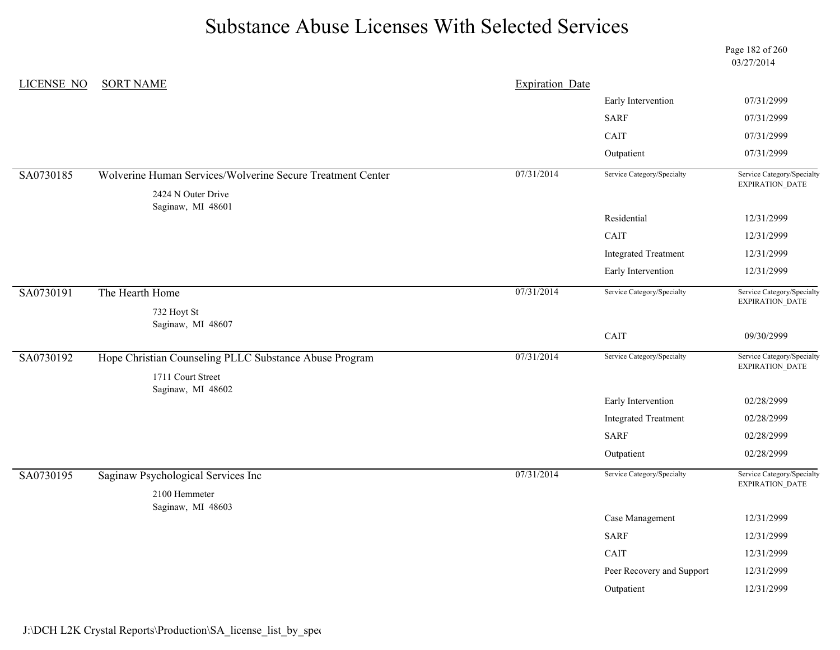|            |                                                            |                        |                             | Page 182 of 260<br>03/27/2014                        |
|------------|------------------------------------------------------------|------------------------|-----------------------------|------------------------------------------------------|
| LICENSE NO | <b>SORT NAME</b>                                           | <b>Expiration Date</b> |                             |                                                      |
|            |                                                            |                        | Early Intervention          | 07/31/2999                                           |
|            |                                                            |                        | <b>SARF</b>                 | 07/31/2999                                           |
|            |                                                            |                        | CAIT                        | 07/31/2999                                           |
|            |                                                            |                        | Outpatient                  | 07/31/2999                                           |
| SA0730185  | Wolverine Human Services/Wolverine Secure Treatment Center | 07/31/2014             | Service Category/Specialty  | Service Category/Specialty<br>EXPIRATION_DATE        |
|            | 2424 N Outer Drive<br>Saginaw, MI 48601                    |                        |                             |                                                      |
|            |                                                            |                        | Residential                 | 12/31/2999                                           |
|            |                                                            |                        | <b>CAIT</b>                 | 12/31/2999                                           |
|            |                                                            |                        | <b>Integrated Treatment</b> | 12/31/2999                                           |
|            |                                                            |                        | Early Intervention          | 12/31/2999                                           |
| SA0730191  | The Hearth Home                                            | 07/31/2014             | Service Category/Specialty  | Service Category/Specialty<br>EXPIRATION_DATE        |
|            | 732 Hoyt St                                                |                        |                             |                                                      |
|            | Saginaw, MI 48607                                          |                        | CAIT                        | 09/30/2999                                           |
| SA0730192  | Hope Christian Counseling PLLC Substance Abuse Program     | 07/31/2014             | Service Category/Specialty  | Service Category/Specialty<br><b>EXPIRATION DATE</b> |
|            | 1711 Court Street                                          |                        |                             |                                                      |
|            | Saginaw, MI 48602                                          |                        | Early Intervention          | 02/28/2999                                           |
|            |                                                            |                        | <b>Integrated Treatment</b> | 02/28/2999                                           |
|            |                                                            |                        | <b>SARF</b>                 | 02/28/2999                                           |
|            |                                                            |                        | Outpatient                  | 02/28/2999                                           |
| SA0730195  | Saginaw Psychological Services Inc                         | 07/31/2014             | Service Category/Specialty  | Service Category/Specialty<br><b>EXPIRATION DATE</b> |
|            | 2100 Hemmeter                                              |                        |                             |                                                      |
|            | Saginaw, MI 48603                                          |                        | Case Management             | 12/31/2999                                           |
|            |                                                            |                        | <b>SARF</b>                 | 12/31/2999                                           |
|            |                                                            |                        | CAIT                        | 12/31/2999                                           |
|            |                                                            |                        | Peer Recovery and Support   | 12/31/2999                                           |
|            |                                                            |                        | Outpatient                  | 12/31/2999                                           |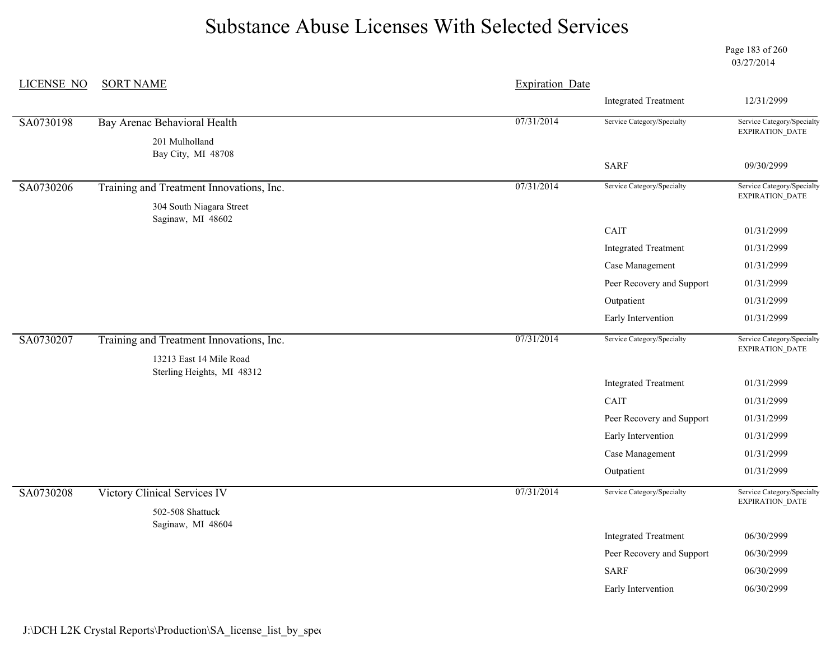Page 183 of 260 03/27/2014

| <b>LICENSE NO</b> | <b>SORT NAME</b>                                      | <b>Expiration Date</b> |                             |                                                      |
|-------------------|-------------------------------------------------------|------------------------|-----------------------------|------------------------------------------------------|
|                   |                                                       |                        | <b>Integrated Treatment</b> | 12/31/2999                                           |
| SA0730198         | Bay Arenac Behavioral Health                          | 07/31/2014             | Service Category/Specialty  | Service Category/Specialty<br>EXPIRATION_DATE        |
|                   | 201 Mulholland<br>Bay City, MI 48708                  |                        |                             |                                                      |
|                   |                                                       |                        | <b>SARF</b>                 | 09/30/2999                                           |
| SA0730206         | Training and Treatment Innovations, Inc.              | 07/31/2014             | Service Category/Specialty  | Service Category/Specialty<br>EXPIRATION_DATE        |
|                   | 304 South Niagara Street<br>Saginaw, MI 48602         |                        |                             |                                                      |
|                   |                                                       |                        | CAIT                        | 01/31/2999                                           |
|                   |                                                       |                        | <b>Integrated Treatment</b> | 01/31/2999                                           |
|                   |                                                       |                        | Case Management             | 01/31/2999                                           |
|                   |                                                       |                        | Peer Recovery and Support   | 01/31/2999                                           |
|                   |                                                       |                        | Outpatient                  | 01/31/2999                                           |
|                   |                                                       |                        | Early Intervention          | 01/31/2999                                           |
| SA0730207         | Training and Treatment Innovations, Inc.              | 07/31/2014             | Service Category/Specialty  | Service Category/Specialty<br>EXPIRATION_DATE        |
|                   | 13213 East 14 Mile Road<br>Sterling Heights, MI 48312 |                        |                             |                                                      |
|                   |                                                       |                        | <b>Integrated Treatment</b> | 01/31/2999                                           |
|                   |                                                       |                        | CAIT                        | 01/31/2999                                           |
|                   |                                                       |                        | Peer Recovery and Support   | 01/31/2999                                           |
|                   |                                                       |                        | Early Intervention          | 01/31/2999                                           |
|                   |                                                       |                        | Case Management             | 01/31/2999                                           |
|                   |                                                       |                        | Outpatient                  | 01/31/2999                                           |
| SA0730208         | Victory Clinical Services IV                          | 07/31/2014             | Service Category/Specialty  | Service Category/Specialty<br><b>EXPIRATION DATE</b> |
|                   | 502-508 Shattuck<br>Saginaw, MI 48604                 |                        |                             |                                                      |
|                   |                                                       |                        | <b>Integrated Treatment</b> | 06/30/2999                                           |
|                   |                                                       |                        | Peer Recovery and Support   | 06/30/2999                                           |
|                   |                                                       |                        | <b>SARF</b>                 | 06/30/2999                                           |
|                   |                                                       |                        | Early Intervention          | 06/30/2999                                           |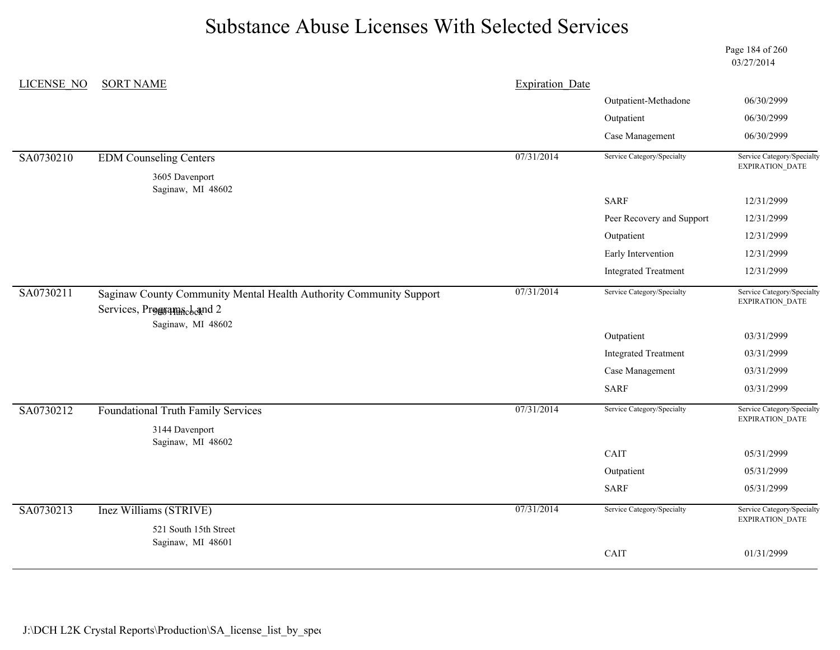Page 184 of 260 03/27/2014

| LICENSE NO | <b>SORT NAME</b>                                                                                | <b>Expiration Date</b> |                             |                                               |
|------------|-------------------------------------------------------------------------------------------------|------------------------|-----------------------------|-----------------------------------------------|
|            |                                                                                                 |                        | Outpatient-Methadone        | 06/30/2999                                    |
|            |                                                                                                 |                        | Outpatient                  | 06/30/2999                                    |
|            |                                                                                                 |                        | Case Management             | 06/30/2999                                    |
| SA0730210  | <b>EDM Counseling Centers</b>                                                                   | 07/31/2014             | Service Category/Specialty  | Service Category/Specialty<br>EXPIRATION_DATE |
|            | 3605 Davenport<br>Saginaw, MI 48602                                                             |                        |                             |                                               |
|            |                                                                                                 |                        | <b>SARF</b>                 | 12/31/2999                                    |
|            |                                                                                                 |                        | Peer Recovery and Support   | 12/31/2999                                    |
|            |                                                                                                 |                        | Outpatient                  | 12/31/2999                                    |
|            |                                                                                                 |                        | Early Intervention          | 12/31/2999                                    |
|            |                                                                                                 |                        | <b>Integrated Treatment</b> | 12/31/2999                                    |
| SA0730211  | Saginaw County Community Mental Health Authority Community Support<br>Services, Programacband 2 | 07/31/2014             | Service Category/Specialty  | Service Category/Specialty<br>EXPIRATION_DATE |
|            | Saginaw, MI 48602                                                                               |                        | Outpatient                  | 03/31/2999                                    |
|            |                                                                                                 |                        | <b>Integrated Treatment</b> | 03/31/2999                                    |
|            |                                                                                                 |                        | Case Management             | 03/31/2999                                    |
|            |                                                                                                 |                        | <b>SARF</b>                 | 03/31/2999                                    |
| SA0730212  | <b>Foundational Truth Family Services</b><br>3144 Davenport<br>Saginaw, MI 48602                | 07/31/2014             | Service Category/Specialty  | Service Category/Specialty<br>EXPIRATION_DATE |
|            |                                                                                                 |                        | CAIT                        | 05/31/2999                                    |
|            |                                                                                                 |                        | Outpatient                  | 05/31/2999                                    |
|            |                                                                                                 |                        | <b>SARF</b>                 | 05/31/2999                                    |
| SA0730213  | Inez Williams (STRIVE)                                                                          | 07/31/2014             | Service Category/Specialty  | Service Category/Specialty<br>EXPIRATION_DATE |
|            | 521 South 15th Street<br>Saginaw, MI 48601                                                      |                        |                             |                                               |
|            |                                                                                                 |                        | CAIT                        | 01/31/2999                                    |
|            |                                                                                                 |                        |                             |                                               |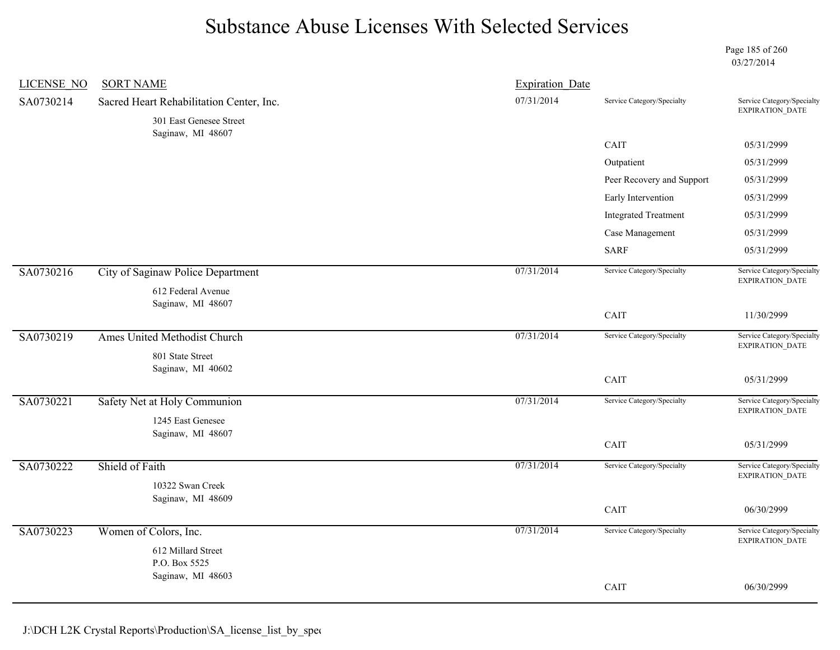Page 185 of 260 03/27/2014

| <b>LICENSE NO</b> | <b>SORT NAME</b>                             | <b>Expiration Date</b> |                             |                                                      |
|-------------------|----------------------------------------------|------------------------|-----------------------------|------------------------------------------------------|
| SA0730214         | Sacred Heart Rehabilitation Center, Inc.     | 07/31/2014             | Service Category/Specialty  | Service Category/Specialty<br>EXPIRATION_DATE        |
|                   | 301 East Genesee Street<br>Saginaw, MI 48607 |                        |                             |                                                      |
|                   |                                              |                        | CAIT                        | 05/31/2999                                           |
|                   |                                              |                        | Outpatient                  | 05/31/2999                                           |
|                   |                                              |                        | Peer Recovery and Support   | 05/31/2999                                           |
|                   |                                              |                        | Early Intervention          | 05/31/2999                                           |
|                   |                                              |                        | <b>Integrated Treatment</b> | 05/31/2999                                           |
|                   |                                              |                        | Case Management             | 05/31/2999                                           |
|                   |                                              |                        | <b>SARF</b>                 | 05/31/2999                                           |
| SA0730216         | City of Saginaw Police Department            | 07/31/2014             | Service Category/Specialty  | Service Category/Specialty<br>EXPIRATION_DATE        |
|                   | 612 Federal Avenue<br>Saginaw, MI 48607      |                        |                             |                                                      |
|                   |                                              |                        | CAIT                        | 11/30/2999                                           |
| SA0730219         | Ames United Methodist Church                 | 07/31/2014             | Service Category/Specialty  | Service Category/Specialty<br>EXPIRATION_DATE        |
|                   | 801 State Street<br>Saginaw, MI 40602        |                        |                             |                                                      |
|                   |                                              |                        | CAIT                        | 05/31/2999                                           |
| SA0730221         | Safety Net at Holy Communion                 | 07/31/2014             | Service Category/Specialty  | Service Category/Specialty<br>EXPIRATION_DATE        |
|                   | 1245 East Genesee                            |                        |                             |                                                      |
|                   | Saginaw, MI 48607                            |                        | CAIT                        | 05/31/2999                                           |
| SA0730222         | Shield of Faith                              | 07/31/2014             | Service Category/Specialty  | Service Category/Specialty<br>EXPIRATION_DATE        |
|                   | 10322 Swan Creek                             |                        |                             |                                                      |
|                   | Saginaw, MI 48609                            |                        | CAIT                        | 06/30/2999                                           |
|                   |                                              |                        |                             |                                                      |
| SA0730223         | Women of Colors, Inc.                        | 07/31/2014             | Service Category/Specialty  | Service Category/Specialty<br><b>EXPIRATION DATE</b> |
|                   | 612 Millard Street                           |                        |                             |                                                      |
|                   | P.O. Box 5525<br>Saginaw, MI 48603           |                        |                             |                                                      |
|                   |                                              |                        | CAIT                        | 06/30/2999                                           |
|                   |                                              |                        |                             |                                                      |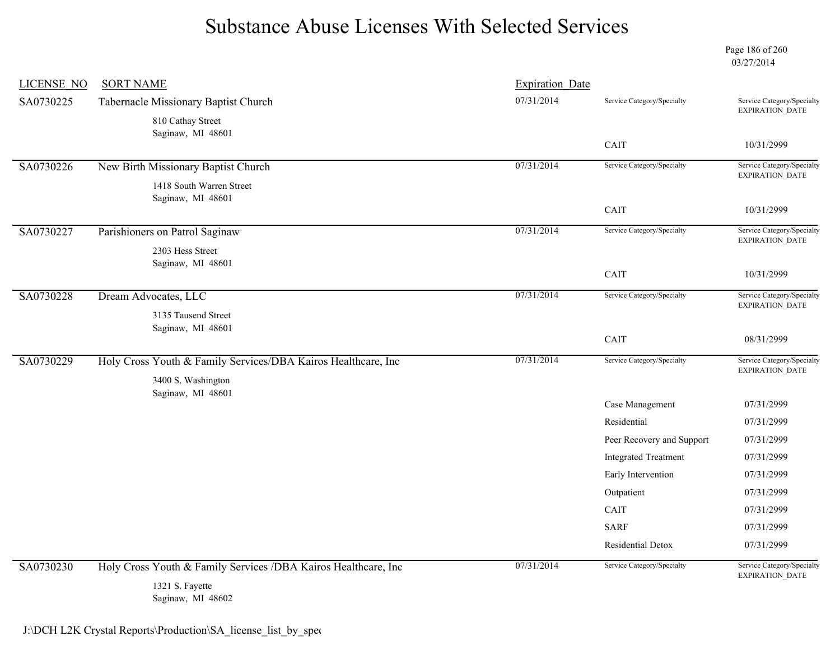Page 186 of 260 03/27/2014

| <b>LICENSE NO</b> | <b>SORT NAME</b>                                               | <b>Expiration Date</b> |                             |                                                      |
|-------------------|----------------------------------------------------------------|------------------------|-----------------------------|------------------------------------------------------|
| SA0730225         | Tabernacle Missionary Baptist Church                           | 07/31/2014             | Service Category/Specialty  | Service Category/Specialty<br><b>EXPIRATION DATE</b> |
|                   | 810 Cathay Street<br>Saginaw, MI 48601                         |                        | CAIT                        | 10/31/2999                                           |
|                   |                                                                |                        |                             |                                                      |
| SA0730226         | New Birth Missionary Baptist Church                            | 07/31/2014             | Service Category/Specialty  | Service Category/Specialty<br>EXPIRATION_DATE        |
|                   | 1418 South Warren Street<br>Saginaw, MI 48601                  |                        | CAIT                        | 10/31/2999                                           |
|                   |                                                                |                        |                             |                                                      |
| SA0730227         | Parishioners on Patrol Saginaw                                 | 07/31/2014             | Service Category/Specialty  | Service Category/Specialty<br><b>EXPIRATION DATE</b> |
|                   | 2303 Hess Street                                               |                        |                             |                                                      |
|                   | Saginaw, MI 48601                                              |                        | CAIT                        | 10/31/2999                                           |
| SA0730228         | Dream Advocates, LLC                                           | 07/31/2014             | Service Category/Specialty  | Service Category/Specialty                           |
|                   |                                                                |                        |                             | <b>EXPIRATION DATE</b>                               |
|                   | 3135 Tausend Street<br>Saginaw, MI 48601                       |                        |                             |                                                      |
|                   |                                                                |                        | CAIT                        | 08/31/2999                                           |
| SA0730229         | Holy Cross Youth & Family Services/DBA Kairos Healthcare, Inc  | 07/31/2014             | Service Category/Specialty  | Service Category/Specialty                           |
|                   | 3400 S. Washington                                             |                        |                             | EXPIRATION_DATE                                      |
|                   | Saginaw, MI 48601                                              |                        | Case Management             | 07/31/2999                                           |
|                   |                                                                |                        | Residential                 | 07/31/2999                                           |
|                   |                                                                |                        | Peer Recovery and Support   | 07/31/2999                                           |
|                   |                                                                |                        | <b>Integrated Treatment</b> | 07/31/2999                                           |
|                   |                                                                |                        | Early Intervention          | 07/31/2999                                           |
|                   |                                                                |                        | Outpatient                  | 07/31/2999                                           |
|                   |                                                                |                        | CAIT                        | 07/31/2999                                           |
|                   |                                                                |                        | <b>SARF</b>                 | 07/31/2999                                           |
|                   |                                                                |                        | Residential Detox           | 07/31/2999                                           |
| SA0730230         | Holy Cross Youth & Family Services /DBA Kairos Healthcare, Inc | 07/31/2014             | Service Category/Specialty  | Service Category/Specialty                           |
|                   | 1321 S. Fayette<br>Saginaw, MI 48602                           |                        |                             | EXPIRATION_DATE                                      |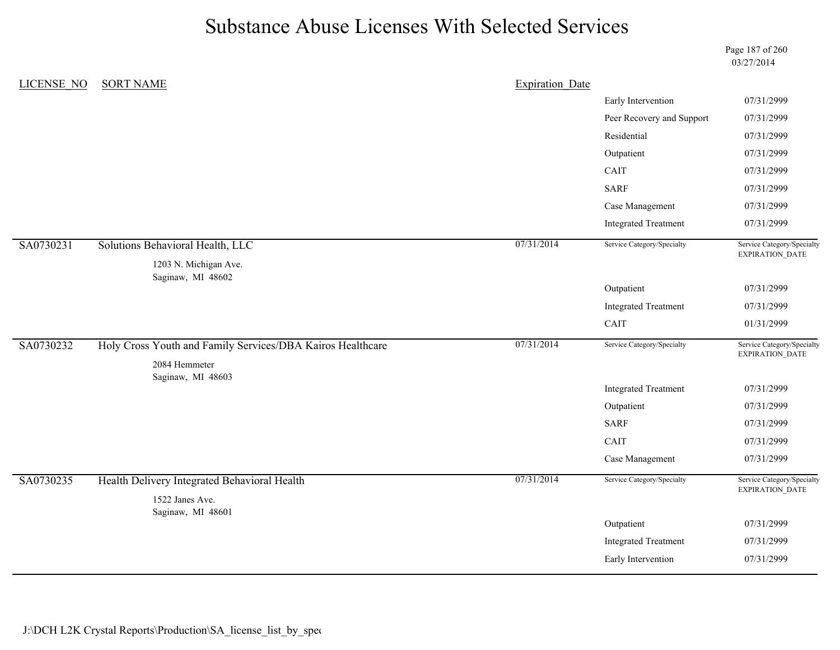Page 187 of 260 03/27/2014

| <b>LICENSE NO</b> | <b>SORT NAME</b>                                                | <b>Expiration Date</b> |                             |                                               |
|-------------------|-----------------------------------------------------------------|------------------------|-----------------------------|-----------------------------------------------|
|                   |                                                                 |                        | Early Intervention          | 07/31/2999                                    |
|                   |                                                                 |                        | Peer Recovery and Support   | 07/31/2999                                    |
|                   |                                                                 |                        | Residential                 | 07/31/2999                                    |
|                   |                                                                 |                        | Outpatient                  | 07/31/2999                                    |
|                   |                                                                 |                        | CAIT                        | 07/31/2999                                    |
|                   |                                                                 |                        | <b>SARF</b>                 | 07/31/2999                                    |
|                   |                                                                 |                        | Case Management             | 07/31/2999                                    |
|                   |                                                                 |                        | <b>Integrated Treatment</b> | 07/31/2999                                    |
| SA0730231         | Solutions Behavioral Health, LLC                                | 07/31/2014             | Service Category/Specialty  | Service Category/Specialty<br>EXPIRATION_DATE |
|                   | 1203 N. Michigan Ave.                                           |                        |                             |                                               |
|                   | Saginaw, MI 48602                                               |                        | Outpatient                  | 07/31/2999                                    |
|                   |                                                                 |                        | <b>Integrated Treatment</b> | 07/31/2999                                    |
|                   |                                                                 |                        | CAIT                        | 01/31/2999                                    |
| SA0730232         | Holy Cross Youth and Family Services/DBA Kairos Healthcare      | 07/31/2014             | Service Category/Specialty  | Service Category/Specialty                    |
|                   | 2084 Hemmeter                                                   |                        |                             | EXPIRATION_DATE                               |
|                   | Saginaw, MI 48603                                               |                        | <b>Integrated Treatment</b> | 07/31/2999                                    |
|                   |                                                                 |                        | Outpatient                  | 07/31/2999                                    |
|                   |                                                                 |                        | <b>SARF</b>                 | 07/31/2999                                    |
|                   |                                                                 |                        | CAIT                        | 07/31/2999                                    |
|                   |                                                                 |                        | Case Management             | 07/31/2999                                    |
| SA0730235         | Health Delivery Integrated Behavioral Health<br>1522 Janes Ave. | 07/31/2014             | Service Category/Specialty  | Service Category/Specialty<br>EXPIRATION_DATE |
|                   | Saginaw, MI 48601                                               |                        | Outpatient                  | 07/31/2999                                    |
|                   |                                                                 |                        | <b>Integrated Treatment</b> | 07/31/2999                                    |
|                   |                                                                 |                        | Early Intervention          | 07/31/2999                                    |
|                   |                                                                 |                        |                             |                                               |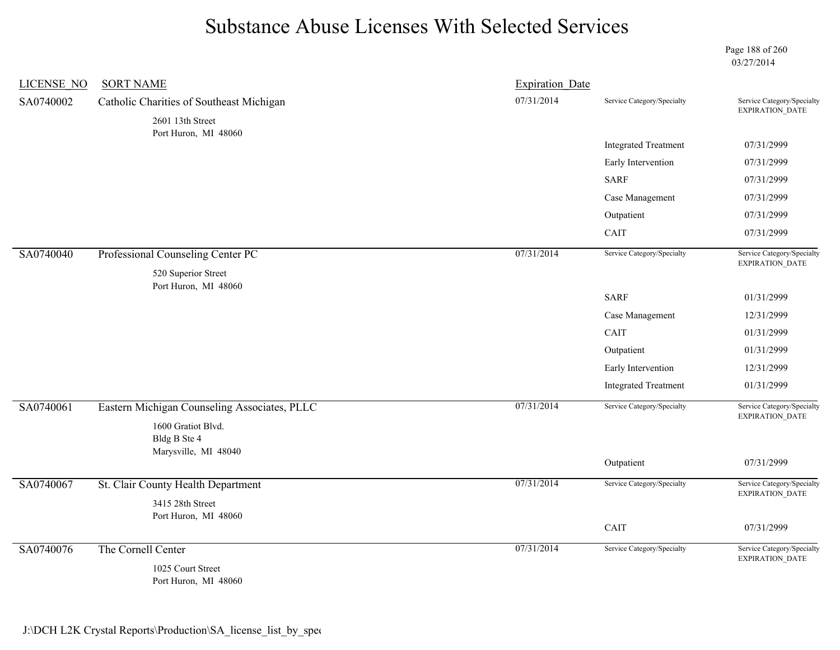Page 188 of 260 03/27/2014

| <b>LICENSE NO</b> | <b>SORT NAME</b>                             | <b>Expiration Date</b> |                             |                                                                                                                                                                                                         |
|-------------------|----------------------------------------------|------------------------|-----------------------------|---------------------------------------------------------------------------------------------------------------------------------------------------------------------------------------------------------|
| SA0740002         | Catholic Charities of Southeast Michigan     | 07/31/2014             | Service Category/Specialty  | Service Category/Specialty<br><b>EXPIRATION DATE</b>                                                                                                                                                    |
|                   | 2601 13th Street<br>Port Huron, MI 48060     |                        |                             | 07/31/2999<br>07/31/2999<br>07/31/2999<br>07/31/2999<br>07/31/2999<br>07/31/2999<br>Service Category/Specialty<br>EXPIRATION_DATE<br>01/31/2999<br>12/31/2999<br>01/31/2999<br>01/31/2999<br>12/31/2999 |
|                   |                                              |                        | <b>Integrated Treatment</b> |                                                                                                                                                                                                         |
|                   |                                              |                        | Early Intervention          |                                                                                                                                                                                                         |
|                   |                                              |                        | <b>SARF</b>                 |                                                                                                                                                                                                         |
|                   |                                              |                        | Case Management             |                                                                                                                                                                                                         |
|                   |                                              |                        | Outpatient                  |                                                                                                                                                                                                         |
|                   |                                              |                        | CAIT                        |                                                                                                                                                                                                         |
| SA0740040         | Professional Counseling Center PC            | 07/31/2014             | Service Category/Specialty  |                                                                                                                                                                                                         |
|                   | 520 Superior Street<br>Port Huron, MI 48060  |                        |                             |                                                                                                                                                                                                         |
|                   |                                              |                        | <b>SARF</b>                 |                                                                                                                                                                                                         |
|                   |                                              |                        | Case Management             |                                                                                                                                                                                                         |
|                   |                                              |                        | CAIT                        |                                                                                                                                                                                                         |
|                   |                                              |                        | Outpatient                  |                                                                                                                                                                                                         |
|                   |                                              |                        | Early Intervention          |                                                                                                                                                                                                         |
|                   |                                              |                        | <b>Integrated Treatment</b> | 01/31/2999                                                                                                                                                                                              |
| SA0740061         | Eastern Michigan Counseling Associates, PLLC | 07/31/2014             | Service Category/Specialty  | Service Category/Specialty                                                                                                                                                                              |
|                   | 1600 Gratiot Blvd.<br>Bldg B Ste 4           |                        |                             | <b>EXPIRATION DATE</b>                                                                                                                                                                                  |
|                   | Marysville, MI 48040                         |                        |                             |                                                                                                                                                                                                         |
|                   |                                              |                        | Outpatient                  | 07/31/2999                                                                                                                                                                                              |
| SA0740067         | St. Clair County Health Department           | 07/31/2014             | Service Category/Specialty  | Service Category/Specialty<br>EXPIRATION_DATE                                                                                                                                                           |
|                   | 3415 28th Street<br>Port Huron, MI 48060     |                        |                             |                                                                                                                                                                                                         |
|                   |                                              |                        | CAIT                        | 07/31/2999                                                                                                                                                                                              |
| SA0740076         | The Cornell Center                           | 07/31/2014             | Service Category/Specialty  | Service Category/Specialty<br>EXPIRATION_DATE                                                                                                                                                           |
|                   | 1025 Court Street<br>Port Huron, MI 48060    |                        |                             |                                                                                                                                                                                                         |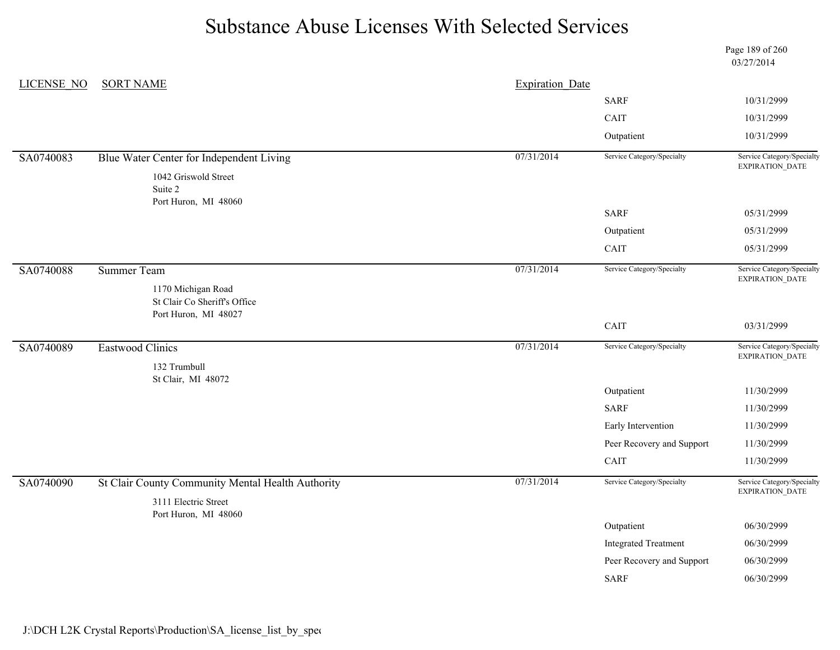|                   |                                                                            |                        |                             | Page 189 of 260<br>03/27/2014                 |
|-------------------|----------------------------------------------------------------------------|------------------------|-----------------------------|-----------------------------------------------|
| <b>LICENSE NO</b> | <b>SORT NAME</b>                                                           | <b>Expiration Date</b> |                             |                                               |
|                   |                                                                            |                        | <b>SARF</b>                 | 10/31/2999                                    |
|                   |                                                                            |                        | CAIT                        | 10/31/2999                                    |
|                   |                                                                            |                        | Outpatient                  | 10/31/2999                                    |
| SA0740083         | Blue Water Center for Independent Living                                   | 07/31/2014             | Service Category/Specialty  | Service Category/Specialty<br>EXPIRATION_DATE |
|                   | 1042 Griswold Street                                                       |                        |                             |                                               |
|                   | Suite 2<br>Port Huron, MI 48060                                            |                        |                             |                                               |
|                   |                                                                            |                        | <b>SARF</b>                 | 05/31/2999                                    |
|                   |                                                                            |                        | Outpatient                  | 05/31/2999                                    |
|                   |                                                                            |                        | CAIT                        | 05/31/2999                                    |
| SA0740088         | <b>Summer Team</b>                                                         | 07/31/2014             | Service Category/Specialty  | Service Category/Specialty                    |
|                   | 1170 Michigan Road<br>St Clair Co Sheriff's Office<br>Port Huron, MI 48027 |                        |                             | EXPIRATION_DATE                               |
|                   |                                                                            |                        | CAIT                        | 03/31/2999                                    |
| SA0740089         | Eastwood Clinics                                                           | 07/31/2014             | Service Category/Specialty  | Service Category/Specialty<br>EXPIRATION_DATE |
|                   | 132 Trumbull                                                               |                        |                             |                                               |
|                   | St Clair, MI 48072                                                         |                        | Outpatient                  | 11/30/2999                                    |
|                   |                                                                            |                        | <b>SARF</b>                 | 11/30/2999                                    |
|                   |                                                                            |                        | Early Intervention          | 11/30/2999                                    |
|                   |                                                                            |                        | Peer Recovery and Support   | 11/30/2999                                    |
|                   |                                                                            |                        | CAIT                        | 11/30/2999                                    |
| SA0740090         | St Clair County Community Mental Health Authority                          | 07/31/2014             | Service Category/Specialty  | Service Category/Specialty                    |
|                   | 3111 Electric Street                                                       |                        |                             | EXPIRATION_DATE                               |
|                   | Port Huron, MI 48060                                                       |                        |                             |                                               |
|                   |                                                                            |                        | Outpatient                  | 06/30/2999                                    |
|                   |                                                                            |                        | <b>Integrated Treatment</b> | 06/30/2999                                    |
|                   |                                                                            |                        | Peer Recovery and Support   | 06/30/2999                                    |
|                   |                                                                            |                        | <b>SARF</b>                 | 06/30/2999                                    |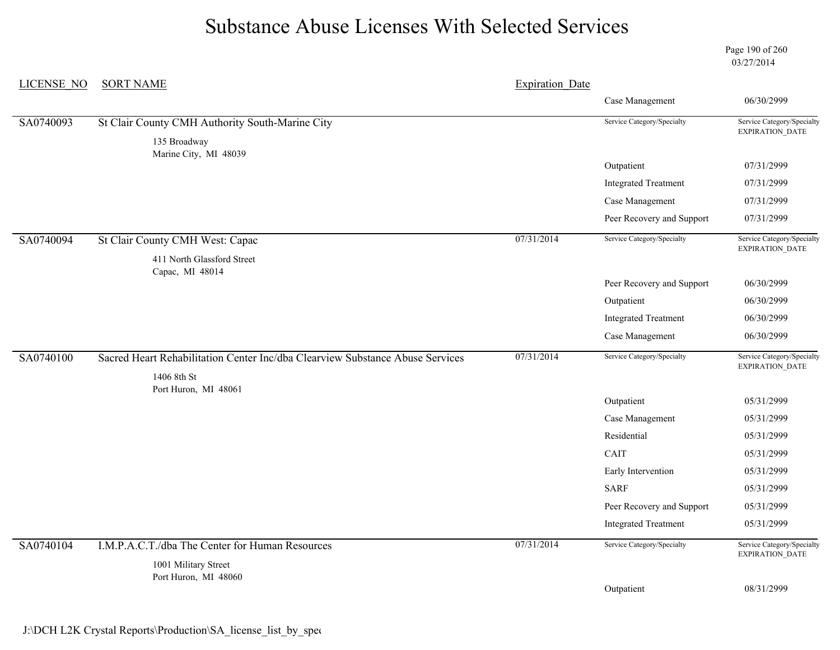Page 190 of 260 03/27/2014

| <b>LICENSE NO</b> | <b>SORT NAME</b><br><b>Expiration Date</b>                                                   |            |                             |                                                      |
|-------------------|----------------------------------------------------------------------------------------------|------------|-----------------------------|------------------------------------------------------|
|                   |                                                                                              |            | Case Management             | 06/30/2999                                           |
| SA0740093         | St Clair County CMH Authority South-Marine City                                              |            | Service Category/Specialty  | Service Category/Specialty                           |
|                   | 135 Broadway<br>Marine City, MI 48039                                                        |            |                             | <b>EXPIRATION DATE</b>                               |
|                   |                                                                                              |            | Outpatient                  | 07/31/2999                                           |
|                   |                                                                                              |            | <b>Integrated Treatment</b> | 07/31/2999                                           |
|                   |                                                                                              |            | Case Management             | 07/31/2999                                           |
|                   |                                                                                              |            | Peer Recovery and Support   | 07/31/2999                                           |
| SA0740094         | St Clair County CMH West: Capac                                                              | 07/31/2014 | Service Category/Specialty  | Service Category/Specialty<br><b>EXPIRATION DATE</b> |
|                   | 411 North Glassford Street                                                                   |            |                             |                                                      |
|                   | Capac, MI 48014                                                                              |            | Peer Recovery and Support   | 06/30/2999                                           |
|                   |                                                                                              |            | Outpatient                  | 06/30/2999                                           |
|                   |                                                                                              |            | <b>Integrated Treatment</b> | 06/30/2999                                           |
|                   |                                                                                              |            | Case Management             | 06/30/2999                                           |
| SA0740100         | Sacred Heart Rehabilitation Center Inc/dba Clearview Substance Abuse Services<br>1406 8th St | 07/31/2014 | Service Category/Specialty  | Service Category/Specialty<br>EXPIRATION_DATE        |
|                   | Port Huron, MI 48061                                                                         |            | Outpatient                  | 05/31/2999                                           |
|                   |                                                                                              |            | Case Management             | 05/31/2999                                           |
|                   |                                                                                              |            | Residential                 | 05/31/2999                                           |
|                   |                                                                                              |            | CAIT                        | 05/31/2999                                           |
|                   |                                                                                              |            | Early Intervention          | 05/31/2999                                           |
|                   |                                                                                              |            | <b>SARF</b>                 | 05/31/2999                                           |
|                   |                                                                                              |            | Peer Recovery and Support   | 05/31/2999                                           |
|                   |                                                                                              |            | <b>Integrated Treatment</b> | 05/31/2999                                           |
| SA0740104         | I.M.P.A.C.T./dba The Center for Human Resources<br>1001 Military Street                      | 07/31/2014 | Service Category/Specialty  | Service Category/Specialty<br>EXPIRATION_DATE        |
|                   | Port Huron, MI 48060                                                                         |            |                             |                                                      |
|                   |                                                                                              |            | Outpatient                  | 08/31/2999                                           |
|                   |                                                                                              |            |                             |                                                      |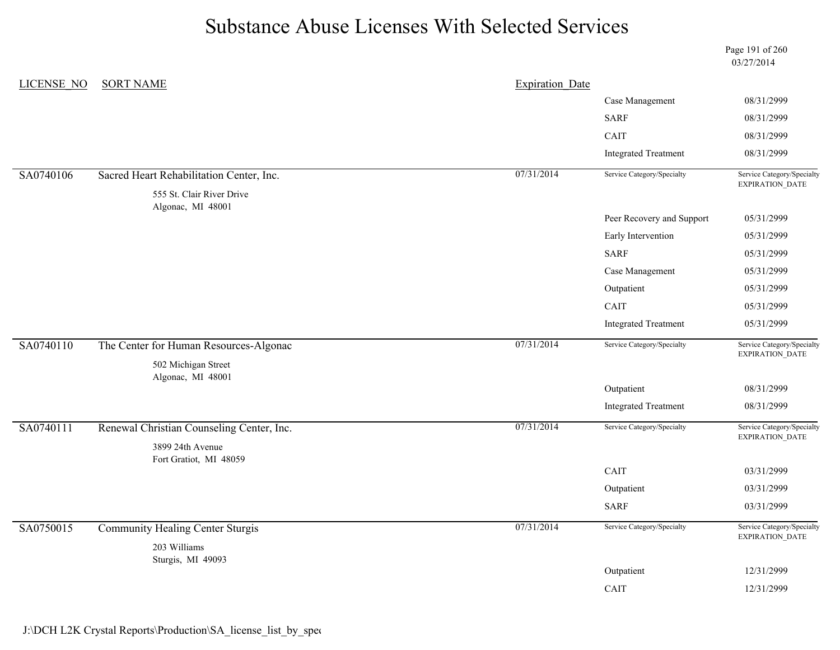|                   |                                                                       |                        |                             | Page 191 of 260<br>03/27/2014                        |
|-------------------|-----------------------------------------------------------------------|------------------------|-----------------------------|------------------------------------------------------|
| <b>LICENSE NO</b> | <b>SORT NAME</b>                                                      | <b>Expiration Date</b> |                             |                                                      |
|                   |                                                                       |                        | Case Management             | 08/31/2999                                           |
|                   |                                                                       |                        | <b>SARF</b>                 | 08/31/2999                                           |
|                   |                                                                       |                        | CAIT                        | 08/31/2999                                           |
|                   |                                                                       |                        | <b>Integrated Treatment</b> | 08/31/2999                                           |
| SA0740106         | Sacred Heart Rehabilitation Center, Inc.<br>555 St. Clair River Drive | 07/31/2014             | Service Category/Specialty  | Service Category/Specialty<br>EXPIRATION_DATE        |
|                   | Algonac, MI 48001                                                     |                        | Peer Recovery and Support   | 05/31/2999                                           |
|                   |                                                                       |                        | Early Intervention          | 05/31/2999                                           |
|                   |                                                                       |                        | <b>SARF</b>                 | 05/31/2999                                           |
|                   |                                                                       |                        | Case Management             | 05/31/2999                                           |
|                   |                                                                       |                        | Outpatient                  | 05/31/2999                                           |
|                   |                                                                       |                        | CAIT                        | 05/31/2999                                           |
|                   |                                                                       |                        | <b>Integrated Treatment</b> | 05/31/2999                                           |
| SA0740110         | The Center for Human Resources-Algonac                                | 07/31/2014             | Service Category/Specialty  | Service Category/Specialty<br>EXPIRATION_DATE        |
|                   | 502 Michigan Street<br>Algonac, MI 48001                              |                        |                             |                                                      |
|                   |                                                                       |                        | Outpatient                  | 08/31/2999                                           |
|                   |                                                                       |                        | <b>Integrated Treatment</b> | 08/31/2999                                           |
| SA0740111         | Renewal Christian Counseling Center, Inc.<br>3899 24th Avenue         | 07/31/2014             | Service Category/Specialty  | Service Category/Specialty<br><b>EXPIRATION DATE</b> |
|                   | Fort Gratiot, MI 48059                                                |                        |                             |                                                      |
|                   |                                                                       |                        | CAIT                        | 03/31/2999                                           |
|                   |                                                                       |                        | Outpatient                  | 03/31/2999                                           |
|                   |                                                                       |                        | <b>SARF</b>                 | 03/31/2999                                           |
| SA0750015         | <b>Community Healing Center Sturgis</b>                               | 07/31/2014             | Service Category/Specialty  | Service Category/Specialty<br>EXPIRATION_DATE        |
|                   | 203 Williams<br>Sturgis, MI 49093                                     |                        |                             |                                                      |
|                   |                                                                       |                        | Outpatient                  | 12/31/2999                                           |
|                   |                                                                       |                        | CAIT                        | 12/31/2999                                           |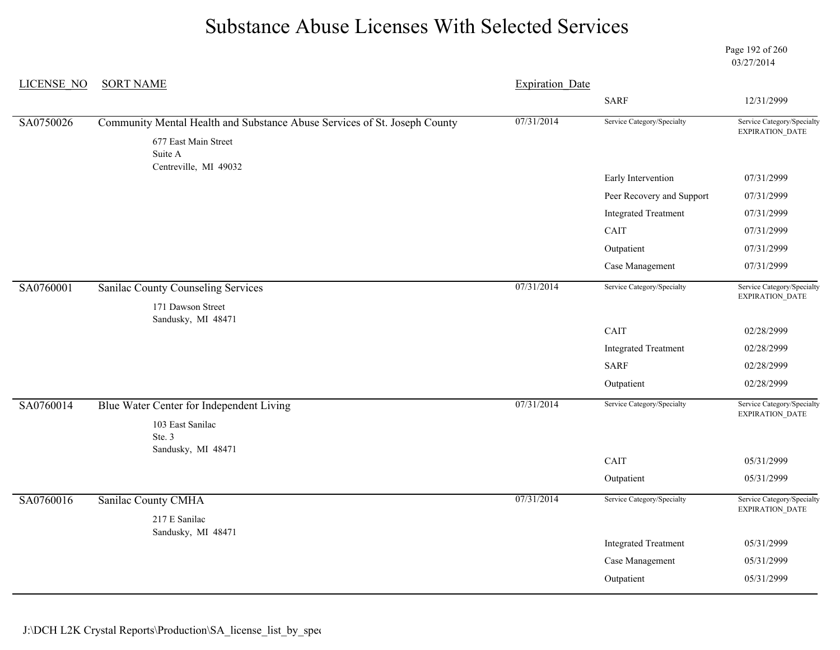Page 192 of 260 03/27/2014

| <b>LICENSE NO</b> | <b>SORT NAME</b><br><b>Expiration Date</b>                                |            |                             |                                               |  |
|-------------------|---------------------------------------------------------------------------|------------|-----------------------------|-----------------------------------------------|--|
|                   |                                                                           |            | <b>SARF</b>                 | 12/31/2999                                    |  |
| SA0750026         | Community Mental Health and Substance Abuse Services of St. Joseph County | 07/31/2014 | Service Category/Specialty  | Service Category/Specialty<br>EXPIRATION_DATE |  |
|                   | 677 East Main Street<br>Suite A                                           |            |                             |                                               |  |
|                   | Centreville, MI 49032                                                     |            | Early Intervention          | 07/31/2999                                    |  |
|                   |                                                                           |            | Peer Recovery and Support   | 07/31/2999                                    |  |
|                   |                                                                           |            | <b>Integrated Treatment</b> | 07/31/2999                                    |  |
|                   |                                                                           |            | CAIT                        | 07/31/2999                                    |  |
|                   |                                                                           |            | Outpatient                  | 07/31/2999                                    |  |
|                   |                                                                           |            | Case Management             | 07/31/2999                                    |  |
| SA0760001         | <b>Sanilac County Counseling Services</b>                                 | 07/31/2014 | Service Category/Specialty  | Service Category/Specialty<br>EXPIRATION_DATE |  |
|                   | 171 Dawson Street                                                         |            |                             |                                               |  |
|                   | Sandusky, MI 48471                                                        |            | CAIT                        | 02/28/2999                                    |  |
|                   |                                                                           |            | <b>Integrated Treatment</b> | 02/28/2999                                    |  |
|                   |                                                                           |            | <b>SARF</b>                 | 02/28/2999                                    |  |
|                   |                                                                           |            | Outpatient                  | 02/28/2999                                    |  |
| SA0760014         | Blue Water Center for Independent Living                                  | 07/31/2014 | Service Category/Specialty  | Service Category/Specialty                    |  |
|                   | 103 East Sanilac                                                          |            |                             | EXPIRATION_DATE                               |  |
|                   | Ste. 3                                                                    |            |                             |                                               |  |
|                   | Sandusky, MI 48471                                                        |            | CAIT                        | 05/31/2999                                    |  |
|                   |                                                                           |            | Outpatient                  | 05/31/2999                                    |  |
| SA0760016         | <b>Sanilac County CMHA</b>                                                | 07/31/2014 | Service Category/Specialty  | Service Category/Specialty                    |  |
|                   | 217 E Sanilac                                                             |            |                             | EXPIRATION_DATE                               |  |
|                   | Sandusky, MI 48471                                                        |            |                             |                                               |  |
|                   |                                                                           |            | <b>Integrated Treatment</b> | 05/31/2999                                    |  |
|                   |                                                                           |            | Case Management             | 05/31/2999                                    |  |
|                   |                                                                           |            | Outpatient                  | 05/31/2999                                    |  |
|                   |                                                                           |            |                             |                                               |  |

J:\DCH L2K Crystal Reports\Production\SA\_license\_list\_by\_spec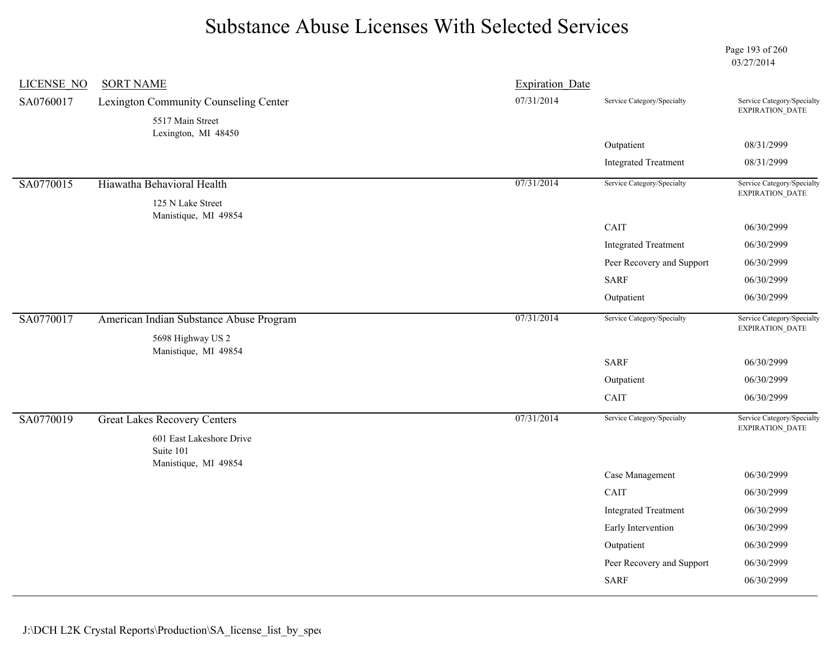Page 193 of 260 03/27/2014

| <b>LICENSE NO</b> | <b>SORT NAME</b>                                              | <b>Expiration Date</b> |                             |                                               |
|-------------------|---------------------------------------------------------------|------------------------|-----------------------------|-----------------------------------------------|
| SA0760017         | Lexington Community Counseling Center                         | 07/31/2014             | Service Category/Specialty  | Service Category/Specialty<br>EXPIRATION_DATE |
|                   | 5517 Main Street<br>Lexington, MI 48450                       |                        |                             |                                               |
|                   |                                                               |                        | Outpatient                  | 08/31/2999                                    |
|                   |                                                               |                        | <b>Integrated Treatment</b> | 08/31/2999                                    |
| SA0770015         | Hiawatha Behavioral Health                                    | 07/31/2014             | Service Category/Specialty  | Service Category/Specialty<br>EXPIRATION_DATE |
|                   | 125 N Lake Street<br>Manistique, MI 49854                     |                        |                             |                                               |
|                   |                                                               |                        | CAIT                        | 06/30/2999                                    |
|                   |                                                               |                        | <b>Integrated Treatment</b> | 06/30/2999                                    |
|                   |                                                               |                        | Peer Recovery and Support   | 06/30/2999                                    |
|                   |                                                               |                        | <b>SARF</b>                 | 06/30/2999                                    |
|                   |                                                               |                        | Outpatient                  | 06/30/2999                                    |
| SA0770017         | American Indian Substance Abuse Program                       | 07/31/2014             | Service Category/Specialty  | Service Category/Specialty<br>EXPIRATION_DATE |
|                   | 5698 Highway US 2<br>Manistique, MI 49854                     |                        |                             |                                               |
|                   |                                                               |                        | <b>SARF</b>                 | 06/30/2999                                    |
|                   |                                                               |                        | Outpatient                  | 06/30/2999                                    |
|                   |                                                               |                        | CAIT                        | 06/30/2999                                    |
| SA0770019         | <b>Great Lakes Recovery Centers</b>                           | 07/31/2014             | Service Category/Specialty  | Service Category/Specialty<br>EXPIRATION_DATE |
|                   | 601 East Lakeshore Drive<br>Suite 101<br>Manistique, MI 49854 |                        |                             |                                               |
|                   |                                                               |                        | Case Management             | 06/30/2999                                    |
|                   |                                                               |                        | CAIT                        | 06/30/2999                                    |
|                   |                                                               |                        | <b>Integrated Treatment</b> | 06/30/2999                                    |
|                   |                                                               |                        | Early Intervention          | 06/30/2999                                    |
|                   |                                                               |                        | Outpatient                  | 06/30/2999                                    |
|                   |                                                               |                        | Peer Recovery and Support   | 06/30/2999                                    |
|                   |                                                               |                        | <b>SARF</b>                 | 06/30/2999                                    |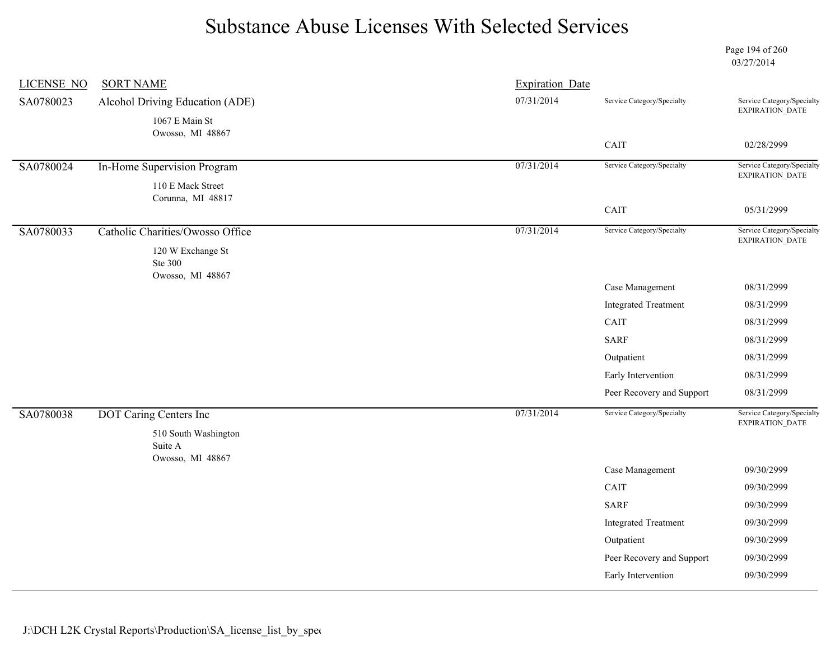Page 194 of 260 03/27/2014

| <b>LICENSE NO</b> | <b>SORT NAME</b>                 | <b>Expiration Date</b> |                             |                                               |
|-------------------|----------------------------------|------------------------|-----------------------------|-----------------------------------------------|
| SA0780023         | Alcohol Driving Education (ADE)  | 07/31/2014             | Service Category/Specialty  | Service Category/Specialty<br>EXPIRATION_DATE |
|                   | 1067 E Main St                   |                        |                             |                                               |
|                   | Owosso, MI 48867                 |                        | CAIT                        | 02/28/2999                                    |
|                   |                                  |                        |                             |                                               |
| SA0780024         | In-Home Supervision Program      | 07/31/2014             | Service Category/Specialty  | Service Category/Specialty<br>EXPIRATION_DATE |
|                   | 110 E Mack Street                |                        |                             |                                               |
|                   | Corunna, MI 48817                |                        | CAIT                        | 05/31/2999                                    |
| SA0780033         | Catholic Charities/Owosso Office | 07/31/2014             | Service Category/Specialty  | Service Category/Specialty                    |
|                   |                                  |                        |                             | EXPIRATION_DATE                               |
|                   | 120 W Exchange St<br>Ste 300     |                        |                             |                                               |
|                   | Owosso, MI 48867                 |                        |                             |                                               |
|                   |                                  |                        | Case Management             | 08/31/2999                                    |
|                   |                                  |                        | <b>Integrated Treatment</b> | 08/31/2999                                    |
|                   |                                  |                        | CAIT                        | 08/31/2999                                    |
|                   |                                  |                        | <b>SARF</b>                 | 08/31/2999                                    |
|                   |                                  |                        | Outpatient                  | 08/31/2999                                    |
|                   |                                  |                        | Early Intervention          | 08/31/2999                                    |
|                   |                                  |                        | Peer Recovery and Support   | 08/31/2999                                    |
| SA0780038         | <b>DOT Caring Centers Inc</b>    | 07/31/2014             | Service Category/Specialty  | Service Category/Specialty                    |
|                   | 510 South Washington             |                        |                             | EXPIRATION_DATE                               |
|                   | Suite A                          |                        |                             |                                               |
|                   | Owosso, MI 48867                 |                        | Case Management             | 09/30/2999                                    |
|                   |                                  |                        | CAIT                        | 09/30/2999                                    |
|                   |                                  |                        | <b>SARF</b>                 | 09/30/2999                                    |
|                   |                                  |                        | <b>Integrated Treatment</b> | 09/30/2999                                    |
|                   |                                  |                        | Outpatient                  | 09/30/2999                                    |
|                   |                                  |                        | Peer Recovery and Support   | 09/30/2999                                    |
|                   |                                  |                        |                             | 09/30/2999                                    |
|                   |                                  |                        | Early Intervention          |                                               |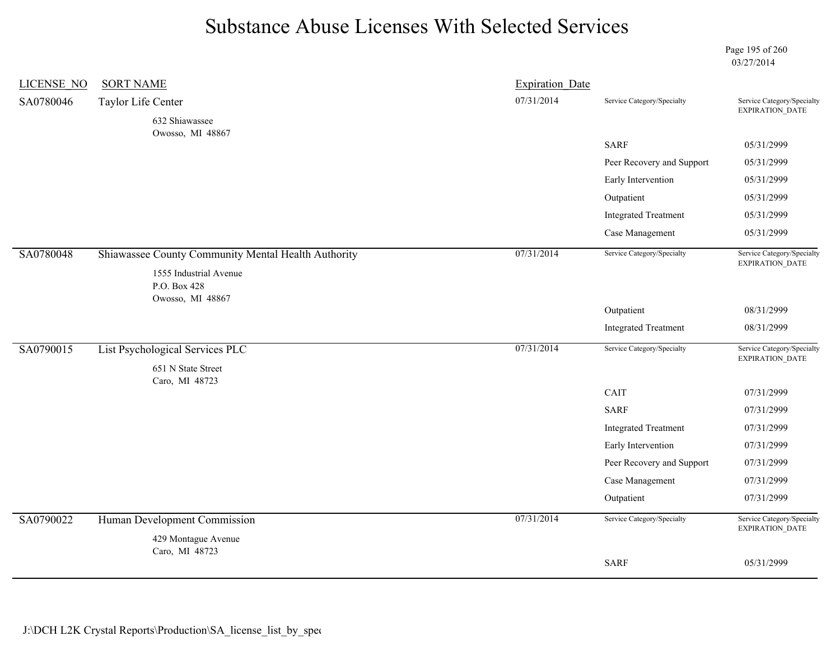Page 195 of 260 03/27/2014

| <b>LICENSE NO</b> | <b>SORT NAME</b>                                    | <b>Expiration Date</b> |                             |                                               |
|-------------------|-----------------------------------------------------|------------------------|-----------------------------|-----------------------------------------------|
| SA0780046         | Taylor Life Center                                  | 07/31/2014             | Service Category/Specialty  | Service Category/Specialty                    |
|                   | 632 Shiawassee                                      |                        |                             | EXPIRATION_DATE                               |
|                   | Owosso, MI 48867                                    |                        | <b>SARF</b>                 | 05/31/2999                                    |
|                   |                                                     |                        | Peer Recovery and Support   | 05/31/2999                                    |
|                   |                                                     |                        | Early Intervention          | 05/31/2999                                    |
|                   |                                                     |                        | Outpatient                  | 05/31/2999                                    |
|                   |                                                     |                        | <b>Integrated Treatment</b> | 05/31/2999                                    |
|                   |                                                     |                        | Case Management             | 05/31/2999                                    |
| SA0780048         | Shiawassee County Community Mental Health Authority | 07/31/2014             | Service Category/Specialty  | Service Category/Specialty<br>EXPIRATION_DATE |
|                   | 1555 Industrial Avenue                              |                        |                             |                                               |
|                   | P.O. Box 428<br>Owosso, MI 48867                    |                        |                             |                                               |
|                   |                                                     |                        | Outpatient                  | 08/31/2999                                    |
|                   |                                                     |                        | <b>Integrated Treatment</b> | 08/31/2999                                    |
| SA0790015         | List Psychological Services PLC                     | 07/31/2014             | Service Category/Specialty  | Service Category/Specialty<br>EXPIRATION_DATE |
|                   | 651 N State Street<br>Caro, MI 48723                |                        |                             |                                               |
|                   |                                                     |                        | CAIT                        | 07/31/2999                                    |
|                   |                                                     |                        | <b>SARF</b>                 | 07/31/2999                                    |
|                   |                                                     |                        | <b>Integrated Treatment</b> | 07/31/2999                                    |
|                   |                                                     |                        | Early Intervention          | 07/31/2999                                    |
|                   |                                                     |                        | Peer Recovery and Support   | 07/31/2999                                    |
|                   |                                                     |                        | Case Management             | 07/31/2999                                    |
|                   |                                                     |                        | Outpatient                  | 07/31/2999                                    |
| SA0790022         | Human Development Commission                        | 07/31/2014             | Service Category/Specialty  | Service Category/Specialty<br>EXPIRATION_DATE |
|                   | 429 Montague Avenue                                 |                        |                             |                                               |
|                   | Caro, MI 48723                                      |                        | <b>SARF</b>                 | 05/31/2999                                    |
|                   |                                                     |                        |                             |                                               |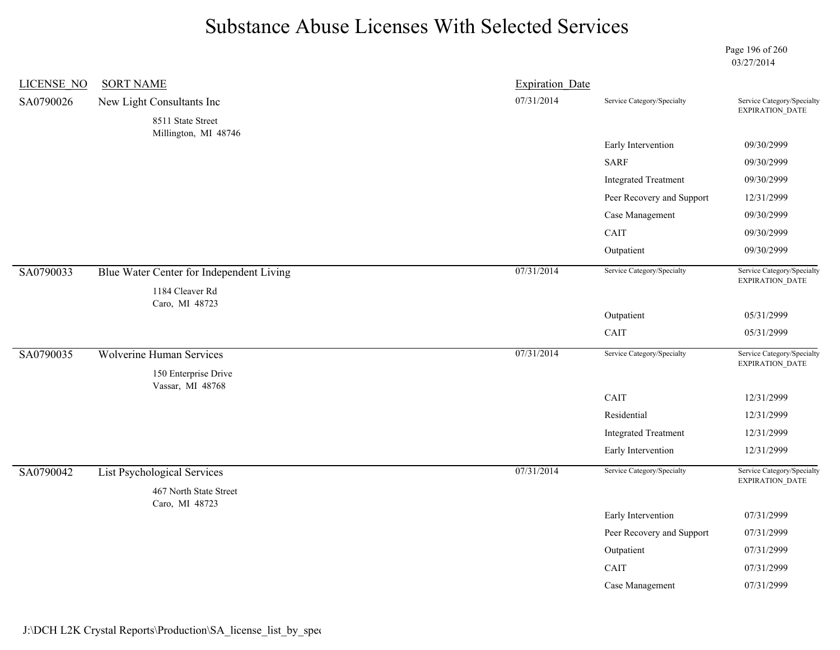Page 196 of 260 03/27/2014

| <b>LICENSE NO</b> | <b>SORT NAME</b>                                            | <b>Expiration Date</b> |                             |                                               |
|-------------------|-------------------------------------------------------------|------------------------|-----------------------------|-----------------------------------------------|
| SA0790026         | New Light Consultants Inc                                   | 07/31/2014             | Service Category/Specialty  | Service Category/Specialty<br>EXPIRATION_DATE |
|                   | 8511 State Street                                           |                        |                             |                                               |
|                   | Millington, MI 48746                                        |                        | Early Intervention          | 09/30/2999                                    |
|                   |                                                             |                        | <b>SARF</b>                 | 09/30/2999                                    |
|                   |                                                             |                        | <b>Integrated Treatment</b> | 09/30/2999                                    |
|                   |                                                             |                        | Peer Recovery and Support   | 12/31/2999                                    |
|                   |                                                             |                        | Case Management             | 09/30/2999                                    |
|                   |                                                             |                        | CAIT                        | 09/30/2999                                    |
|                   |                                                             |                        | Outpatient                  | 09/30/2999                                    |
| SA0790033         | Blue Water Center for Independent Living<br>1184 Cleaver Rd | 07/31/2014             | Service Category/Specialty  | Service Category/Specialty<br>EXPIRATION_DATE |
|                   | Caro, MI 48723                                              |                        |                             |                                               |
|                   |                                                             |                        | Outpatient                  | 05/31/2999                                    |
|                   |                                                             |                        | CAIT                        | 05/31/2999                                    |
| SA0790035         | <b>Wolverine Human Services</b>                             | 07/31/2014             | Service Category/Specialty  | Service Category/Specialty<br>EXPIRATION_DATE |
|                   | 150 Enterprise Drive<br>Vassar, MI 48768                    |                        |                             |                                               |
|                   |                                                             |                        | CAIT                        | 12/31/2999                                    |
|                   |                                                             |                        | Residential                 | 12/31/2999                                    |
|                   |                                                             |                        | <b>Integrated Treatment</b> | 12/31/2999                                    |
|                   |                                                             |                        | Early Intervention          | 12/31/2999                                    |
| SA0790042         | <b>List Psychological Services</b>                          | 07/31/2014             | Service Category/Specialty  | Service Category/Specialty<br>EXPIRATION_DATE |
|                   | 467 North State Street<br>Caro, MI 48723                    |                        |                             |                                               |
|                   |                                                             |                        | Early Intervention          | 07/31/2999                                    |
|                   |                                                             |                        | Peer Recovery and Support   | 07/31/2999                                    |
|                   |                                                             |                        | Outpatient                  | 07/31/2999                                    |
|                   |                                                             |                        | CAIT                        | 07/31/2999                                    |
|                   |                                                             |                        | Case Management             | 07/31/2999                                    |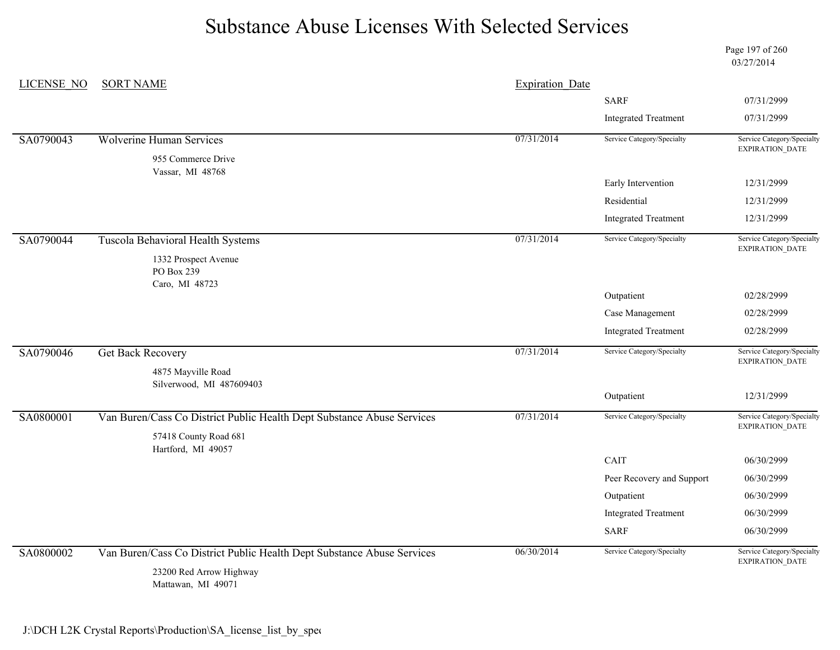Page 197 of 260 03/27/2014

| LICENSE NO | <b>SORT NAME</b>                                                       | <b>Expiration Date</b> |                             |                                                      |
|------------|------------------------------------------------------------------------|------------------------|-----------------------------|------------------------------------------------------|
|            |                                                                        |                        | <b>SARF</b>                 | 07/31/2999                                           |
|            |                                                                        |                        | <b>Integrated Treatment</b> | 07/31/2999                                           |
| SA0790043  | <b>Wolverine Human Services</b>                                        | 07/31/2014             | Service Category/Specialty  | Service Category/Specialty<br>EXPIRATION_DATE        |
|            | 955 Commerce Drive<br>Vassar, MI 48768                                 |                        |                             |                                                      |
|            |                                                                        |                        | Early Intervention          | 12/31/2999                                           |
|            |                                                                        |                        | Residential                 | 12/31/2999                                           |
|            |                                                                        |                        | <b>Integrated Treatment</b> | 12/31/2999                                           |
| SA0790044  | Tuscola Behavioral Health Systems                                      | 07/31/2014             | Service Category/Specialty  | Service Category/Specialty<br>EXPIRATION_DATE        |
|            | 1332 Prospect Avenue<br>PO Box 239                                     |                        |                             |                                                      |
|            | Caro, MI 48723                                                         |                        | Outpatient                  | 02/28/2999                                           |
|            |                                                                        |                        | Case Management             | 02/28/2999                                           |
|            |                                                                        |                        | <b>Integrated Treatment</b> | 02/28/2999                                           |
| SA0790046  | <b>Get Back Recovery</b>                                               | 07/31/2014             | Service Category/Specialty  | Service Category/Specialty<br><b>EXPIRATION DATE</b> |
|            | 4875 Mayville Road                                                     |                        |                             |                                                      |
|            | Silverwood, MI 487609403                                               |                        | Outpatient                  | 12/31/2999                                           |
| SA0800001  | Van Buren/Cass Co District Public Health Dept Substance Abuse Services | 07/31/2014             | Service Category/Specialty  | Service Category/Specialty                           |
|            | 57418 County Road 681                                                  |                        |                             | EXPIRATION_DATE                                      |
|            | Hartford, MI 49057                                                     |                        | CAIT                        | 06/30/2999                                           |
|            |                                                                        |                        | Peer Recovery and Support   | 06/30/2999                                           |
|            |                                                                        |                        | Outpatient                  | 06/30/2999                                           |
|            |                                                                        |                        | <b>Integrated Treatment</b> | 06/30/2999                                           |
|            |                                                                        |                        | <b>SARF</b>                 | 06/30/2999                                           |
| SA0800002  |                                                                        | 06/30/2014             | Service Category/Specialty  | Service Category/Specialty                           |
|            | Van Buren/Cass Co District Public Health Dept Substance Abuse Services |                        |                             | <b>EXPIRATION DATE</b>                               |
|            | 23200 Red Arrow Highway<br>Mattawan, MI 49071                          |                        |                             |                                                      |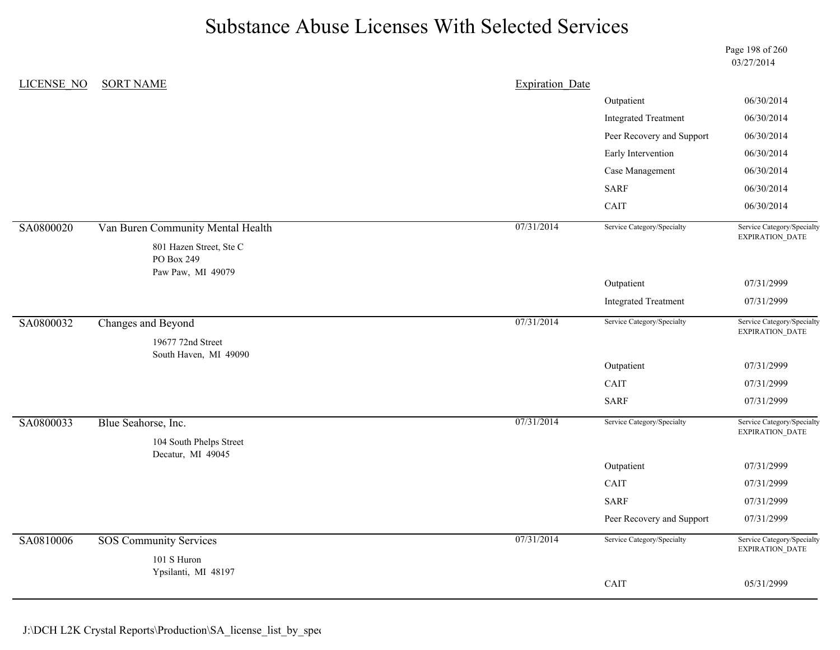Page 198 of 260 03/27/2014

| <b>LICENSE NO</b> | <b>SORT NAME</b>                                           | <b>Expiration Date</b> |                             |                                                      |
|-------------------|------------------------------------------------------------|------------------------|-----------------------------|------------------------------------------------------|
|                   |                                                            |                        | Outpatient                  | 06/30/2014                                           |
|                   |                                                            |                        | <b>Integrated Treatment</b> | 06/30/2014                                           |
|                   |                                                            |                        | Peer Recovery and Support   | 06/30/2014                                           |
|                   |                                                            |                        | Early Intervention          | 06/30/2014                                           |
|                   |                                                            |                        | Case Management             | 06/30/2014                                           |
|                   |                                                            |                        | <b>SARF</b>                 | 06/30/2014                                           |
|                   |                                                            |                        | CAIT                        | 06/30/2014                                           |
| SA0800020         | Van Buren Community Mental Health                          | 07/31/2014             | Service Category/Specialty  | Service Category/Specialty                           |
|                   | 801 Hazen Street, Ste C<br>PO Box 249<br>Paw Paw, MI 49079 |                        |                             | EXPIRATION_DATE                                      |
|                   |                                                            |                        | Outpatient                  | 07/31/2999                                           |
|                   |                                                            |                        | <b>Integrated Treatment</b> | 07/31/2999                                           |
| SA0800032         | Changes and Beyond                                         | 07/31/2014             | Service Category/Specialty  | Service Category/Specialty<br>EXPIRATION_DATE        |
|                   | 19677 72nd Street<br>South Haven, MI 49090                 |                        |                             |                                                      |
|                   |                                                            |                        | Outpatient                  | 07/31/2999                                           |
|                   |                                                            |                        | CAIT                        | 07/31/2999                                           |
|                   |                                                            |                        | <b>SARF</b>                 | 07/31/2999                                           |
| SA0800033         | Blue Seahorse, Inc.                                        | 07/31/2014             | Service Category/Specialty  | Service Category/Specialty<br><b>EXPIRATION DATE</b> |
|                   | 104 South Phelps Street<br>Decatur, MI 49045               |                        |                             |                                                      |
|                   |                                                            |                        | Outpatient                  | 07/31/2999                                           |
|                   |                                                            |                        | CAIT                        | 07/31/2999                                           |
|                   |                                                            |                        | <b>SARF</b>                 | 07/31/2999                                           |
|                   |                                                            |                        | Peer Recovery and Support   | 07/31/2999                                           |
| SA0810006         | <b>SOS Community Services</b>                              | 07/31/2014             | Service Category/Specialty  | Service Category/Specialty<br>EXPIRATION_DATE        |
|                   | 101 S Huron<br>Ypsilanti, MI 48197                         |                        |                             |                                                      |
|                   |                                                            |                        | CAIT                        | 05/31/2999                                           |
|                   |                                                            |                        |                             |                                                      |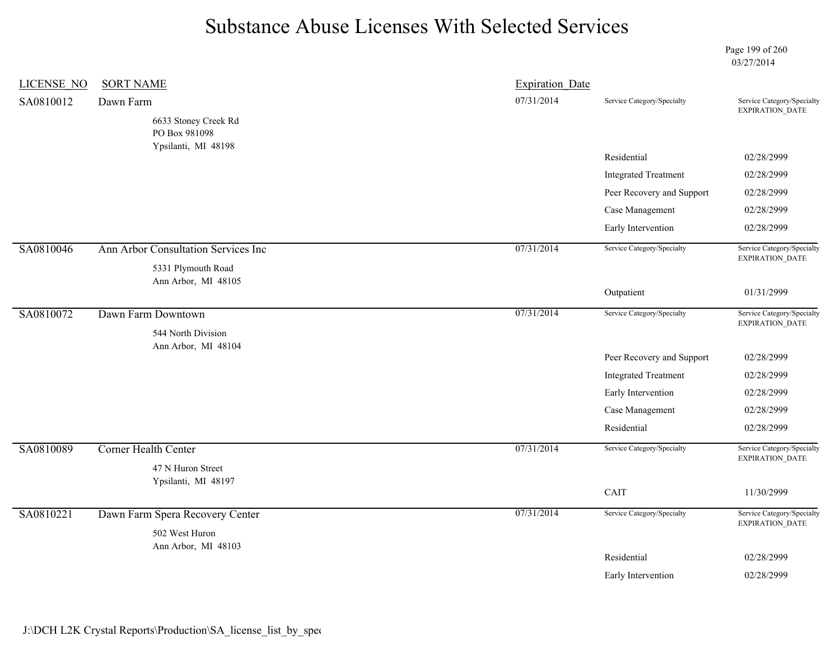Page 199 of 260 03/27/2014

| LICENSE NO | <b>SORT NAME</b>                                             | <b>Expiration Date</b> |                             |                                                      |
|------------|--------------------------------------------------------------|------------------------|-----------------------------|------------------------------------------------------|
| SA0810012  | Dawn Farm                                                    | 07/31/2014             | Service Category/Specialty  | Service Category/Specialty<br><b>EXPIRATION DATE</b> |
|            | 6633 Stoney Creek Rd<br>PO Box 981098<br>Ypsilanti, MI 48198 |                        |                             |                                                      |
|            |                                                              |                        | Residential                 | 02/28/2999                                           |
|            |                                                              |                        | <b>Integrated Treatment</b> | 02/28/2999                                           |
|            |                                                              |                        | Peer Recovery and Support   | 02/28/2999                                           |
|            |                                                              |                        | Case Management             | 02/28/2999                                           |
|            |                                                              |                        | Early Intervention          | 02/28/2999                                           |
| SA0810046  | Ann Arbor Consultation Services Inc<br>5331 Plymouth Road    | 07/31/2014             | Service Category/Specialty  | Service Category/Specialty<br>EXPIRATION_DATE        |
|            | Ann Arbor, MI 48105                                          |                        | Outpatient                  | 01/31/2999                                           |
| SA0810072  | Dawn Farm Downtown<br>544 North Division                     | 07/31/2014             | Service Category/Specialty  | Service Category/Specialty<br>EXPIRATION_DATE        |
|            | Ann Arbor, MI 48104                                          |                        |                             |                                                      |
|            |                                                              |                        | Peer Recovery and Support   | 02/28/2999                                           |
|            |                                                              |                        | <b>Integrated Treatment</b> | 02/28/2999                                           |
|            |                                                              |                        | Early Intervention          | 02/28/2999                                           |
|            |                                                              |                        | Case Management             | 02/28/2999                                           |
|            |                                                              |                        | Residential                 | 02/28/2999                                           |
| SA0810089  | Corner Health Center                                         | 07/31/2014             | Service Category/Specialty  | Service Category/Specialty<br>EXPIRATION_DATE        |
|            | 47 N Huron Street                                            |                        |                             |                                                      |
|            | Ypsilanti, MI 48197                                          |                        | CAIT                        | 11/30/2999                                           |
|            |                                                              | 07/31/2014             | Service Category/Specialty  | Service Category/Specialty                           |
| SA0810221  | Dawn Farm Spera Recovery Center                              |                        |                             | EXPIRATION_DATE                                      |
|            | 502 West Huron<br>Ann Arbor, MI 48103                        |                        |                             |                                                      |
|            |                                                              |                        | Residential                 | 02/28/2999                                           |
|            |                                                              |                        | Early Intervention          | 02/28/2999                                           |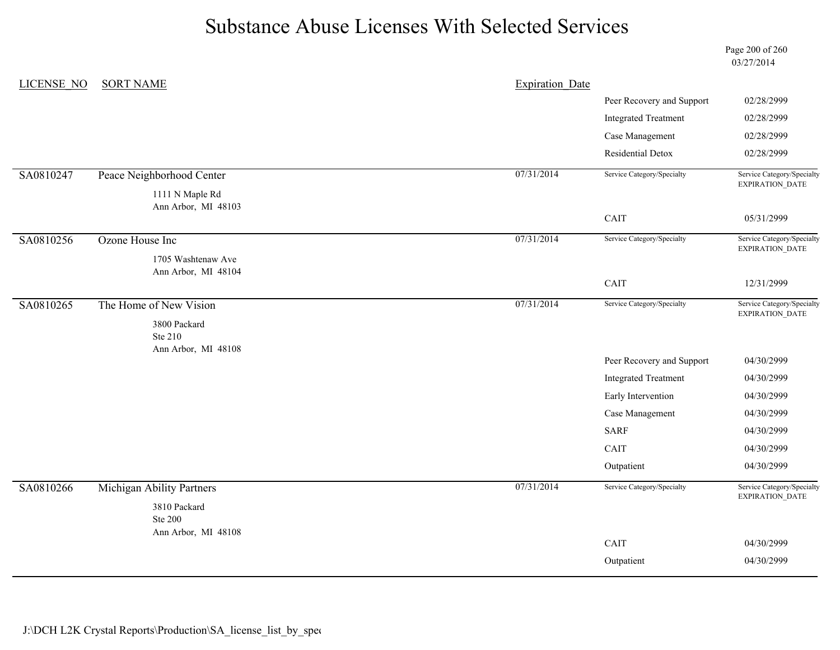Page 200 of 260 03/27/2014

| LICENSE NO | <b>SORT NAME</b>          | <b>Expiration Date</b> |                             |                                               |
|------------|---------------------------|------------------------|-----------------------------|-----------------------------------------------|
|            |                           |                        | Peer Recovery and Support   | 02/28/2999                                    |
|            |                           |                        | <b>Integrated Treatment</b> | 02/28/2999                                    |
|            |                           |                        | Case Management             | 02/28/2999                                    |
|            |                           |                        | Residential Detox           | 02/28/2999                                    |
| SA0810247  | Peace Neighborhood Center | 07/31/2014             | Service Category/Specialty  | Service Category/Specialty<br>EXPIRATION_DATE |
|            | 1111 N Maple Rd           |                        |                             |                                               |
|            | Ann Arbor, MI 48103       |                        | CAIT                        | 05/31/2999                                    |
|            |                           |                        |                             |                                               |
| SA0810256  | Ozone House Inc           | 07/31/2014             | Service Category/Specialty  | Service Category/Specialty<br>EXPIRATION_DATE |
|            | 1705 Washtenaw Ave        |                        |                             |                                               |
|            | Ann Arbor, MI 48104       |                        | CAIT                        | 12/31/2999                                    |
| SA0810265  | The Home of New Vision    | 07/31/2014             | Service Category/Specialty  | Service Category/Specialty                    |
|            |                           |                        |                             | EXPIRATION_DATE                               |
|            | 3800 Packard<br>Ste 210   |                        |                             |                                               |
|            | Ann Arbor, MI 48108       |                        | Peer Recovery and Support   | 04/30/2999                                    |
|            |                           |                        | <b>Integrated Treatment</b> | 04/30/2999                                    |
|            |                           |                        | Early Intervention          | 04/30/2999                                    |
|            |                           |                        | Case Management             | 04/30/2999                                    |
|            |                           |                        | <b>SARF</b>                 | 04/30/2999                                    |
|            |                           |                        | CAIT                        | 04/30/2999                                    |
|            |                           |                        | Outpatient                  | 04/30/2999                                    |
| SA0810266  | Michigan Ability Partners | 07/31/2014             | Service Category/Specialty  | Service Category/Specialty<br>EXPIRATION_DATE |
|            | 3810 Packard              |                        |                             |                                               |
|            | <b>Ste 200</b>            |                        |                             |                                               |
|            | Ann Arbor, MI 48108       |                        | CAIT                        | 04/30/2999                                    |
|            |                           |                        | Outpatient                  | 04/30/2999                                    |
|            |                           |                        |                             |                                               |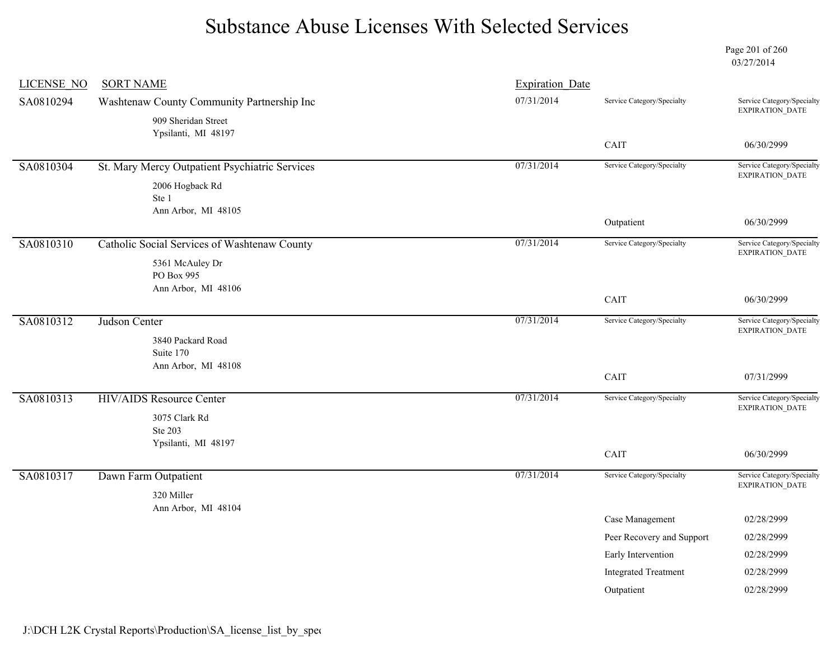Page 201 of 260 03/27/2014

| <b>LICENSE NO</b> | <b>SORT NAME</b>                               | <b>Expiration Date</b> |                             |                                                      |
|-------------------|------------------------------------------------|------------------------|-----------------------------|------------------------------------------------------|
| SA0810294         | Washtenaw County Community Partnership Inc     | 07/31/2014             | Service Category/Specialty  | Service Category/Specialty<br>EXPIRATION_DATE        |
|                   | 909 Sheridan Street<br>Ypsilanti, MI 48197     |                        |                             |                                                      |
|                   |                                                |                        | CAIT                        | 06/30/2999                                           |
| SA0810304         | St. Mary Mercy Outpatient Psychiatric Services | 07/31/2014             | Service Category/Specialty  | Service Category/Specialty<br>EXPIRATION_DATE        |
|                   | 2006 Hogback Rd                                |                        |                             |                                                      |
|                   | Ste 1<br>Ann Arbor, MI 48105                   |                        |                             |                                                      |
|                   |                                                |                        | Outpatient                  | 06/30/2999                                           |
| SA0810310         | Catholic Social Services of Washtenaw County   | 07/31/2014             | Service Category/Specialty  | Service Category/Specialty<br><b>EXPIRATION DATE</b> |
|                   | 5361 McAuley Dr                                |                        |                             |                                                      |
|                   | PO Box 995<br>Ann Arbor, MI 48106              |                        |                             |                                                      |
|                   |                                                |                        | CAIT                        | 06/30/2999                                           |
| SA0810312         | Judson Center                                  | 07/31/2014             | Service Category/Specialty  | Service Category/Specialty                           |
|                   | 3840 Packard Road                              |                        |                             | EXPIRATION_DATE                                      |
|                   | Suite 170                                      |                        |                             |                                                      |
|                   | Ann Arbor, MI 48108                            |                        | CAIT                        | 07/31/2999                                           |
| SA0810313         | <b>HIV/AIDS</b> Resource Center                | 07/31/2014             | Service Category/Specialty  | Service Category/Specialty                           |
|                   | 3075 Clark Rd                                  |                        |                             | EXPIRATION_DATE                                      |
|                   | Ste 203                                        |                        |                             |                                                      |
|                   | Ypsilanti, MI 48197                            |                        | CAIT                        | 06/30/2999                                           |
| SA0810317         | Dawn Farm Outpatient                           | 07/31/2014             | Service Category/Specialty  | Service Category/Specialty                           |
|                   | 320 Miller                                     |                        |                             | EXPIRATION_DATE                                      |
|                   | Ann Arbor, MI 48104                            |                        |                             |                                                      |
|                   |                                                |                        | Case Management             | 02/28/2999                                           |
|                   |                                                |                        | Peer Recovery and Support   | 02/28/2999                                           |
|                   |                                                |                        | Early Intervention          | 02/28/2999                                           |
|                   |                                                |                        | <b>Integrated Treatment</b> | 02/28/2999                                           |
|                   |                                                |                        | Outpatient                  | 02/28/2999                                           |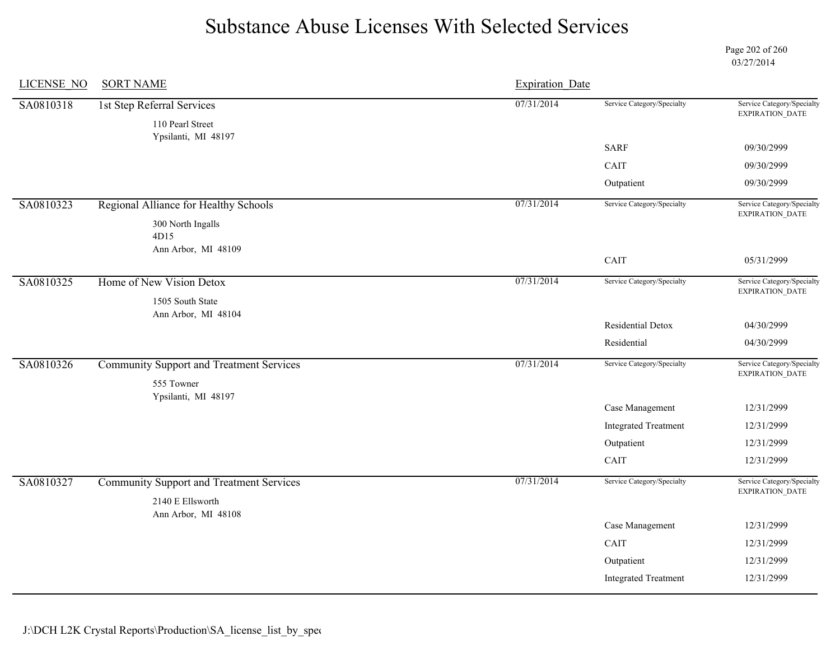Page 202 of 260 03/27/2014

| <b>LICENSE NO</b> | <b>SORT NAME</b>                                              | <b>Expiration Date</b> |                             |                                                      |
|-------------------|---------------------------------------------------------------|------------------------|-----------------------------|------------------------------------------------------|
| SA0810318         | 1st Step Referral Services<br>110 Pearl Street                | 07/31/2014             | Service Category/Specialty  | Service Category/Specialty<br>EXPIRATION_DATE        |
|                   | Ypsilanti, MI 48197                                           |                        | <b>SARF</b>                 | 09/30/2999                                           |
|                   |                                                               |                        | CAIT                        | 09/30/2999                                           |
|                   |                                                               |                        | Outpatient                  | 09/30/2999                                           |
| SA0810323         | Regional Alliance for Healthy Schools                         | 07/31/2014             | Service Category/Specialty  | Service Category/Specialty<br>EXPIRATION_DATE        |
|                   | 300 North Ingalls<br>4D15                                     |                        |                             |                                                      |
|                   | Ann Arbor, MI 48109                                           |                        | CAIT                        | 05/31/2999                                           |
| SA0810325         | Home of New Vision Detox                                      | 07/31/2014             | Service Category/Specialty  | Service Category/Specialty<br><b>EXPIRATION DATE</b> |
|                   | 1505 South State<br>Ann Arbor, MI 48104                       |                        |                             |                                                      |
|                   |                                                               |                        | Residential Detox           | 04/30/2999                                           |
|                   |                                                               |                        | Residential                 | 04/30/2999                                           |
| SA0810326         | <b>Community Support and Treatment Services</b><br>555 Towner | 07/31/2014             | Service Category/Specialty  | Service Category/Specialty<br>EXPIRATION_DATE        |
|                   | Ypsilanti, MI 48197                                           |                        |                             |                                                      |
|                   |                                                               |                        | Case Management             | 12/31/2999                                           |
|                   |                                                               |                        | <b>Integrated Treatment</b> | 12/31/2999                                           |
|                   |                                                               |                        | Outpatient                  | 12/31/2999                                           |
|                   |                                                               |                        | CAIT                        | 12/31/2999                                           |
| SA0810327         | <b>Community Support and Treatment Services</b>               | 07/31/2014             | Service Category/Specialty  | Service Category/Specialty<br><b>EXPIRATION DATE</b> |
|                   | 2140 E Ellsworth                                              |                        |                             |                                                      |
|                   | Ann Arbor, MI 48108                                           |                        | Case Management             | 12/31/2999                                           |
|                   |                                                               |                        | CAIT                        | 12/31/2999                                           |
|                   |                                                               |                        |                             |                                                      |
|                   |                                                               |                        | Outpatient                  | 12/31/2999                                           |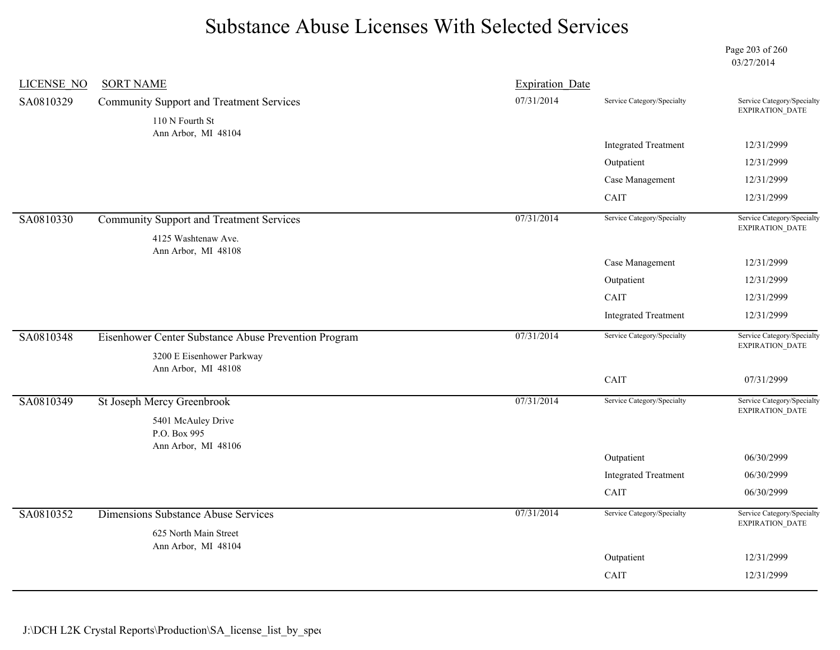Page 203 of 260 03/27/2014

| <b>LICENSE NO</b> | <b>SORT NAME</b>                                     | <b>Expiration Date</b> |                             |                                               |
|-------------------|------------------------------------------------------|------------------------|-----------------------------|-----------------------------------------------|
| SA0810329         | <b>Community Support and Treatment Services</b>      | 07/31/2014             | Service Category/Specialty  | Service Category/Specialty<br>EXPIRATION_DATE |
|                   | 110 N Fourth St<br>Ann Arbor, MI 48104               |                        |                             |                                               |
|                   |                                                      |                        | <b>Integrated Treatment</b> | 12/31/2999                                    |
|                   |                                                      |                        | Outpatient                  | 12/31/2999                                    |
|                   |                                                      |                        | Case Management             | 12/31/2999                                    |
|                   |                                                      |                        | CAIT                        | 12/31/2999                                    |
| SA0810330         | <b>Community Support and Treatment Services</b>      | 07/31/2014             | Service Category/Specialty  | Service Category/Specialty                    |
|                   | 4125 Washtenaw Ave.                                  |                        |                             | EXPIRATION_DATE                               |
|                   | Ann Arbor, MI 48108                                  |                        | Case Management             | 12/31/2999                                    |
|                   |                                                      |                        | Outpatient                  | 12/31/2999                                    |
|                   |                                                      |                        | CAIT                        | 12/31/2999                                    |
|                   |                                                      |                        | <b>Integrated Treatment</b> | 12/31/2999                                    |
|                   |                                                      |                        |                             |                                               |
| SA0810348         | Eisenhower Center Substance Abuse Prevention Program | 07/31/2014             | Service Category/Specialty  | Service Category/Specialty<br>EXPIRATION_DATE |
|                   | 3200 E Eisenhower Parkway<br>Ann Arbor, MI 48108     |                        |                             |                                               |
|                   |                                                      |                        | CAIT                        | 07/31/2999                                    |
| SA0810349         | St Joseph Mercy Greenbrook                           | 07/31/2014             | Service Category/Specialty  | Service Category/Specialty<br>EXPIRATION_DATE |
|                   | 5401 McAuley Drive                                   |                        |                             |                                               |
|                   | P.O. Box 995<br>Ann Arbor, MI 48106                  |                        |                             |                                               |
|                   |                                                      |                        | Outpatient                  | 06/30/2999                                    |
|                   |                                                      |                        | <b>Integrated Treatment</b> | 06/30/2999                                    |
|                   |                                                      |                        | CAIT                        | 06/30/2999                                    |
| SA0810352         | Dimensions Substance Abuse Services                  | 07/31/2014             | Service Category/Specialty  | Service Category/Specialty                    |
|                   | 625 North Main Street                                |                        |                             | EXPIRATION_DATE                               |
|                   | Ann Arbor, MI 48104                                  |                        |                             |                                               |
|                   |                                                      |                        | Outpatient                  | 12/31/2999                                    |
|                   |                                                      |                        | CAIT                        | 12/31/2999                                    |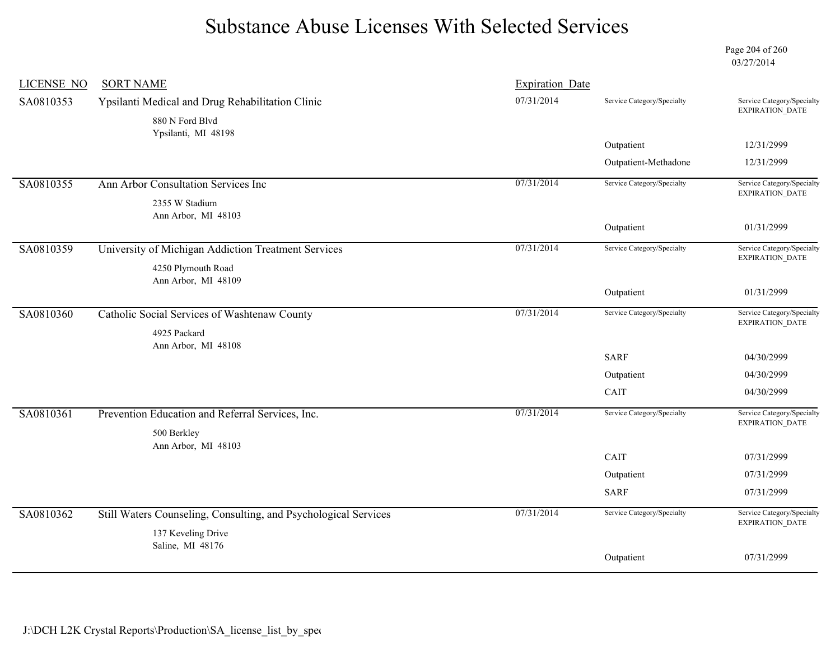Page 204 of 260 03/27/2014

| <b>LICENSE NO</b> | <b>SORT NAME</b>                                                | <b>Expiration Date</b> |                            |                                                      |
|-------------------|-----------------------------------------------------------------|------------------------|----------------------------|------------------------------------------------------|
| SA0810353         | Ypsilanti Medical and Drug Rehabilitation Clinic                | 07/31/2014             | Service Category/Specialty | Service Category/Specialty<br>EXPIRATION_DATE        |
|                   | 880 N Ford Blvd<br>Ypsilanti, MI 48198                          |                        |                            |                                                      |
|                   |                                                                 |                        | Outpatient                 | 12/31/2999                                           |
|                   |                                                                 |                        | Outpatient-Methadone       | 12/31/2999                                           |
| SA0810355         | Ann Arbor Consultation Services Inc                             | 07/31/2014             | Service Category/Specialty | Service Category/Specialty<br><b>EXPIRATION DATE</b> |
|                   | 2355 W Stadium                                                  |                        |                            |                                                      |
|                   | Ann Arbor, MI 48103                                             |                        | Outpatient                 | 01/31/2999                                           |
|                   |                                                                 |                        |                            |                                                      |
| SA0810359         | University of Michigan Addiction Treatment Services             | 07/31/2014             | Service Category/Specialty | Service Category/Specialty<br><b>EXPIRATION DATE</b> |
|                   | 4250 Plymouth Road<br>Ann Arbor, MI 48109                       |                        |                            |                                                      |
|                   |                                                                 |                        | Outpatient                 | 01/31/2999                                           |
| SA0810360         | Catholic Social Services of Washtenaw County                    | 07/31/2014             | Service Category/Specialty | Service Category/Specialty                           |
|                   | 4925 Packard                                                    |                        |                            | <b>EXPIRATION DATE</b>                               |
|                   | Ann Arbor, MI 48108                                             |                        |                            |                                                      |
|                   |                                                                 |                        | <b>SARF</b>                | 04/30/2999                                           |
|                   |                                                                 |                        | Outpatient                 | 04/30/2999                                           |
|                   |                                                                 |                        | CAIT                       | 04/30/2999                                           |
| SA0810361         | Prevention Education and Referral Services, Inc.                | 07/31/2014             | Service Category/Specialty | Service Category/Specialty<br>EXPIRATION_DATE        |
|                   | 500 Berkley                                                     |                        |                            |                                                      |
|                   | Ann Arbor, MI 48103                                             |                        | CAIT                       | 07/31/2999                                           |
|                   |                                                                 |                        | Outpatient                 | 07/31/2999                                           |
|                   |                                                                 |                        |                            |                                                      |
|                   |                                                                 |                        | <b>SARF</b>                | 07/31/2999                                           |
| SA0810362         | Still Waters Counseling, Consulting, and Psychological Services | 07/31/2014             | Service Category/Specialty | Service Category/Specialty<br><b>EXPIRATION DATE</b> |
|                   | 137 Keveling Drive<br>Saline, MI 48176                          |                        |                            |                                                      |
|                   |                                                                 |                        | Outpatient                 | 07/31/2999                                           |
|                   |                                                                 |                        |                            |                                                      |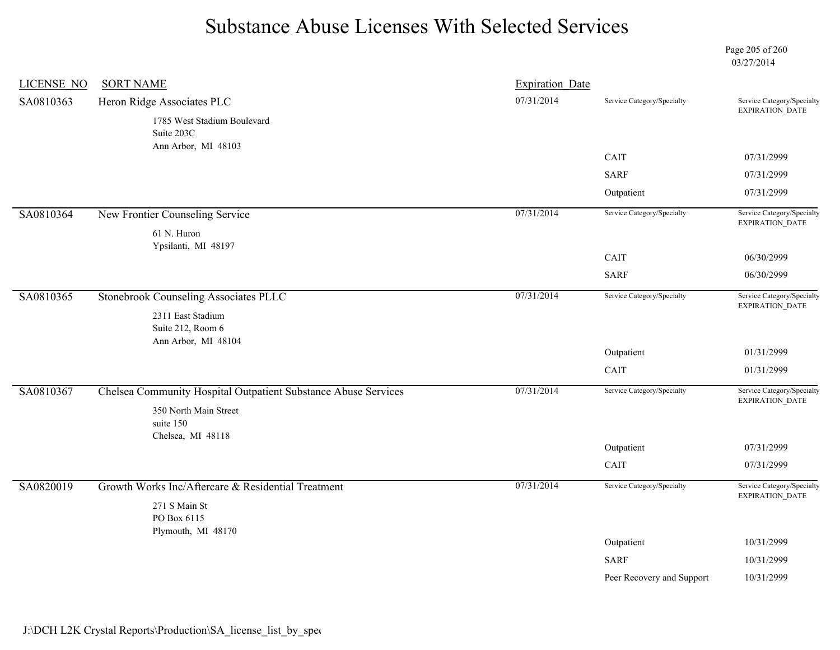Page 205 of 260 03/27/2014

| <b>LICENSE NO</b> | <b>SORT NAME</b>                                               | <b>Expiration Date</b> |                              |                                               |
|-------------------|----------------------------------------------------------------|------------------------|------------------------------|-----------------------------------------------|
| SA0810363         | Heron Ridge Associates PLC                                     | 07/31/2014             | Service Category/Specialty   | Service Category/Specialty<br>EXPIRATION_DATE |
|                   | 1785 West Stadium Boulevard                                    |                        |                              |                                               |
|                   | Suite 203C                                                     |                        |                              |                                               |
|                   | Ann Arbor, MI 48103                                            |                        | $\mathop{\rm CAIT}\nolimits$ | 07/31/2999                                    |
|                   |                                                                |                        | <b>SARF</b>                  | 07/31/2999                                    |
|                   |                                                                |                        | Outpatient                   | 07/31/2999                                    |
| SA0810364         | New Frontier Counseling Service                                | 07/31/2014             | Service Category/Specialty   | Service Category/Specialty<br>EXPIRATION_DATE |
|                   | 61 N. Huron<br>Ypsilanti, MI 48197                             |                        |                              |                                               |
|                   |                                                                |                        | CAIT                         | 06/30/2999                                    |
|                   |                                                                |                        | <b>SARF</b>                  | 06/30/2999                                    |
| SA0810365         | <b>Stonebrook Counseling Associates PLLC</b>                   | 07/31/2014             | Service Category/Specialty   | Service Category/Specialty<br>EXPIRATION_DATE |
|                   | 2311 East Stadium<br>Suite 212, Room 6                         |                        |                              |                                               |
|                   | Ann Arbor, MI 48104                                            |                        |                              |                                               |
|                   |                                                                |                        | Outpatient                   | 01/31/2999                                    |
|                   |                                                                |                        | CAIT                         | 01/31/2999                                    |
| SA0810367         | Chelsea Community Hospital Outpatient Substance Abuse Services | 07/31/2014             | Service Category/Specialty   | Service Category/Specialty<br>EXPIRATION_DATE |
|                   | 350 North Main Street                                          |                        |                              |                                               |
|                   | suite 150<br>Chelsea, MI 48118                                 |                        |                              |                                               |
|                   |                                                                |                        | Outpatient                   | 07/31/2999                                    |
|                   |                                                                |                        | CAIT                         | 07/31/2999                                    |
| SA0820019         | Growth Works Inc/Aftercare & Residential Treatment             | 07/31/2014             | Service Category/Specialty   | Service Category/Specialty<br>EXPIRATION_DATE |
|                   | 271 S Main St                                                  |                        |                              |                                               |
|                   | PO Box 6115<br>Plymouth, MI 48170                              |                        |                              |                                               |
|                   |                                                                |                        | Outpatient                   | 10/31/2999                                    |
|                   |                                                                |                        | <b>SARF</b>                  | 10/31/2999                                    |
|                   |                                                                |                        | Peer Recovery and Support    | 10/31/2999                                    |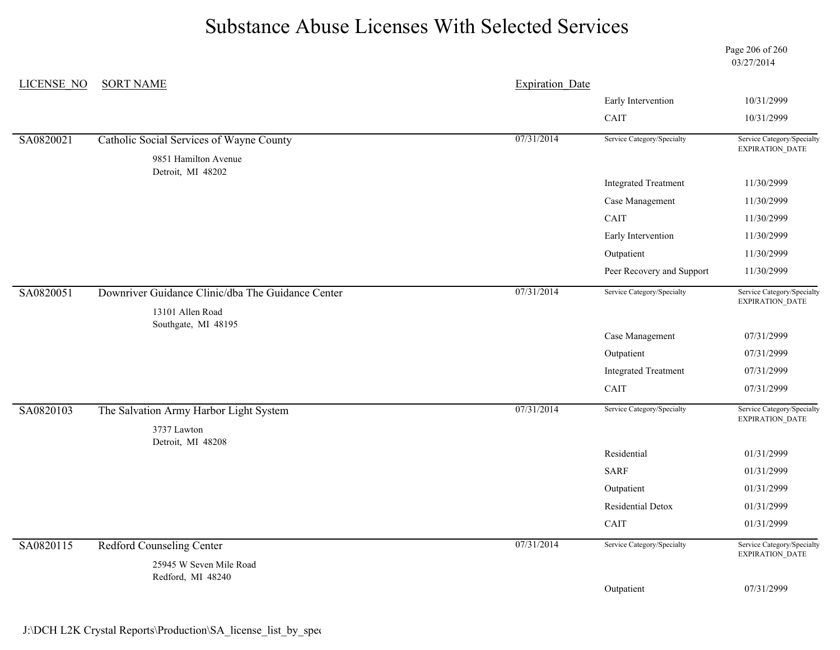Page 206 of 260 03/27/2014

| <b>LICENSE NO</b> | <b>SORT NAME</b>                                  | <b>Expiration Date</b> |                             |                                               |
|-------------------|---------------------------------------------------|------------------------|-----------------------------|-----------------------------------------------|
|                   |                                                   |                        | Early Intervention          | 10/31/2999                                    |
|                   |                                                   |                        | CAIT                        | 10/31/2999                                    |
| SA0820021         | Catholic Social Services of Wayne County          | 07/31/2014             | Service Category/Specialty  | Service Category/Specialty<br>EXPIRATION_DATE |
|                   | 9851 Hamilton Avenue<br>Detroit, MI 48202         |                        |                             |                                               |
|                   |                                                   |                        | <b>Integrated Treatment</b> | 11/30/2999                                    |
|                   |                                                   |                        | Case Management             | 11/30/2999                                    |
|                   |                                                   |                        | CAIT                        | 11/30/2999                                    |
|                   |                                                   |                        | Early Intervention          | 11/30/2999                                    |
|                   |                                                   |                        | Outpatient                  | 11/30/2999                                    |
|                   |                                                   |                        | Peer Recovery and Support   | 11/30/2999                                    |
| SA0820051         | Downriver Guidance Clinic/dba The Guidance Center | 07/31/2014             | Service Category/Specialty  | Service Category/Specialty<br>EXPIRATION_DATE |
|                   | 13101 Allen Road<br>Southgate, MI 48195           |                        |                             |                                               |
|                   |                                                   |                        | Case Management             | 07/31/2999                                    |
|                   |                                                   |                        | Outpatient                  | 07/31/2999                                    |
|                   |                                                   |                        | <b>Integrated Treatment</b> | 07/31/2999                                    |
|                   |                                                   |                        | CAIT                        | 07/31/2999                                    |
| SA0820103         | The Salvation Army Harbor Light System            | 07/31/2014             | Service Category/Specialty  | Service Category/Specialty<br>EXPIRATION_DATE |
|                   | 3737 Lawton                                       |                        |                             |                                               |
|                   | Detroit, MI 48208                                 |                        | Residential                 | 01/31/2999                                    |
|                   |                                                   |                        | <b>SARF</b>                 | 01/31/2999                                    |
|                   |                                                   |                        | Outpatient                  | 01/31/2999                                    |
|                   |                                                   |                        | <b>Residential Detox</b>    | 01/31/2999                                    |
|                   |                                                   |                        | CAIT                        | 01/31/2999                                    |
| SA0820115         | <b>Redford Counseling Center</b>                  | 07/31/2014             | Service Category/Specialty  | Service Category/Specialty                    |
|                   | 25945 W Seven Mile Road                           |                        |                             | EXPIRATION_DATE                               |
|                   | Redford, MI 48240                                 |                        |                             | 07/31/2999                                    |
|                   |                                                   |                        | Outpatient                  |                                               |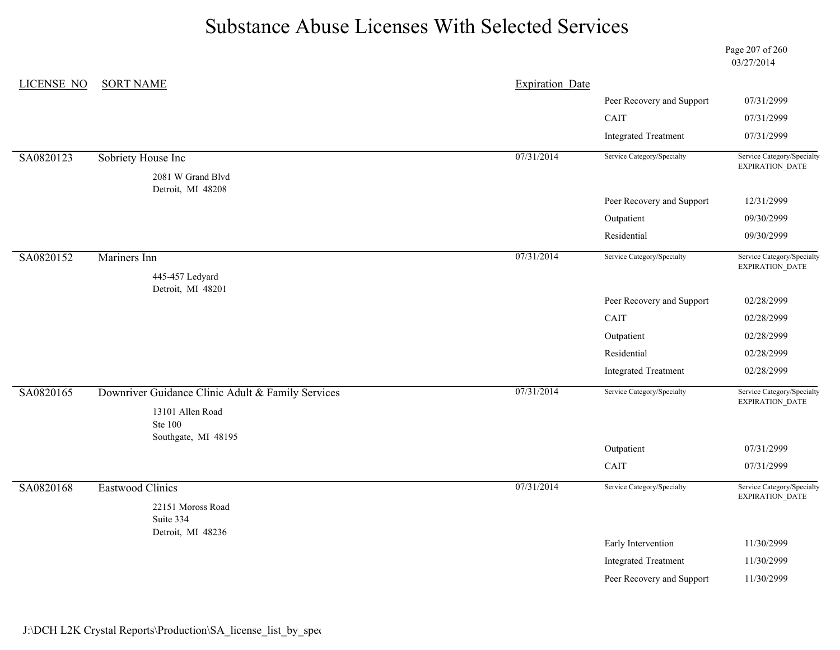Page 207 of 260 03/27/2014

| <b>LICENSE NO</b> | <b>SORT NAME</b>                                  | <b>Expiration Date</b> |                                                   |                                               |
|-------------------|---------------------------------------------------|------------------------|---------------------------------------------------|-----------------------------------------------|
|                   |                                                   |                        | Peer Recovery and Support                         | 07/31/2999                                    |
|                   |                                                   |                        | CAIT                                              | 07/31/2999                                    |
|                   |                                                   |                        | <b>Integrated Treatment</b>                       | 07/31/2999                                    |
| SA0820123         | Sobriety House Inc                                | 07/31/2014             | Service Category/Specialty                        | Service Category/Specialty<br>EXPIRATION_DATE |
|                   | 2081 W Grand Blvd                                 |                        |                                                   |                                               |
|                   | Detroit, MI 48208                                 |                        | Peer Recovery and Support                         | 12/31/2999                                    |
|                   |                                                   |                        | Outpatient                                        | 09/30/2999                                    |
|                   |                                                   |                        | Residential                                       | 09/30/2999                                    |
| SA0820152         | Mariners Inn                                      | 07/31/2014             | Service Category/Specialty                        | Service Category/Specialty<br>EXPIRATION_DATE |
|                   | 445-457 Ledyard<br>Detroit, MI 48201              |                        |                                                   |                                               |
|                   |                                                   |                        | Peer Recovery and Support                         | 02/28/2999                                    |
|                   |                                                   |                        | CAIT                                              | 02/28/2999                                    |
|                   |                                                   |                        | Outpatient                                        | 02/28/2999                                    |
|                   |                                                   |                        | Residential                                       | 02/28/2999                                    |
|                   |                                                   |                        | <b>Integrated Treatment</b>                       | 02/28/2999                                    |
| SA0820165         | Downriver Guidance Clinic Adult & Family Services | 07/31/2014             | Service Category/Specialty                        | Service Category/Specialty<br>EXPIRATION_DATE |
|                   | 13101 Allen Road                                  |                        |                                                   |                                               |
|                   | <b>Ste 100</b><br>Southgate, MI 48195             |                        |                                                   |                                               |
|                   |                                                   |                        | Outpatient                                        | 07/31/2999                                    |
|                   |                                                   |                        | CAIT                                              | 07/31/2999                                    |
| SA0820168         | <b>Eastwood Clinics</b>                           | 07/31/2014             | Service Category/Specialty                        | Service Category/Specialty<br>EXPIRATION_DATE |
|                   | 22151 Moross Road<br>Suite 334                    |                        |                                                   |                                               |
|                   | Detroit, MI 48236                                 |                        |                                                   | 11/30/2999                                    |
|                   |                                                   |                        | Early Intervention<br><b>Integrated Treatment</b> | 11/30/2999                                    |
|                   |                                                   |                        |                                                   |                                               |
|                   |                                                   |                        | Peer Recovery and Support                         | 11/30/2999                                    |

J:\DCH L2K Crystal Reports\Production\SA\_license\_list\_by\_spec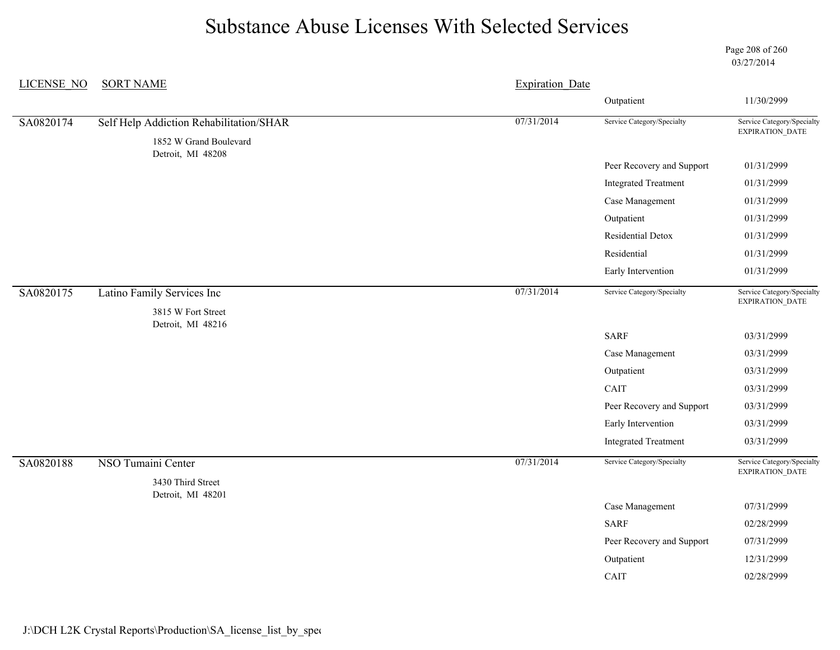Page 208 of 260 03/27/2014

| <b>LICENSE NO</b> | <b>SORT NAME</b>                            | <b>Expiration Date</b> |                             |                                               |
|-------------------|---------------------------------------------|------------------------|-----------------------------|-----------------------------------------------|
|                   |                                             |                        | Outpatient                  | 11/30/2999                                    |
| SA0820174         | Self Help Addiction Rehabilitation/SHAR     | 07/31/2014             | Service Category/Specialty  | Service Category/Specialty                    |
|                   | 1852 W Grand Boulevard<br>Detroit, MI 48208 |                        |                             | EXPIRATION_DATE                               |
|                   |                                             |                        | Peer Recovery and Support   | 01/31/2999                                    |
|                   |                                             |                        | <b>Integrated Treatment</b> | 01/31/2999                                    |
|                   |                                             |                        | Case Management             | 01/31/2999                                    |
|                   |                                             |                        | Outpatient                  | 01/31/2999                                    |
|                   |                                             |                        | Residential Detox           | 01/31/2999                                    |
|                   |                                             |                        | Residential                 | 01/31/2999                                    |
|                   |                                             |                        | Early Intervention          | 01/31/2999                                    |
| SA0820175         | Latino Family Services Inc                  | 07/31/2014             | Service Category/Specialty  | Service Category/Specialty<br>EXPIRATION_DATE |
|                   | 3815 W Fort Street<br>Detroit, MI 48216     |                        |                             |                                               |
|                   |                                             |                        | <b>SARF</b>                 | 03/31/2999                                    |
|                   |                                             |                        | Case Management             | 03/31/2999                                    |
|                   |                                             |                        | Outpatient                  | 03/31/2999                                    |
|                   |                                             |                        | CAIT                        | 03/31/2999                                    |
|                   |                                             |                        | Peer Recovery and Support   | 03/31/2999                                    |
|                   |                                             |                        | Early Intervention          | 03/31/2999                                    |
|                   |                                             |                        | <b>Integrated Treatment</b> | 03/31/2999                                    |
| SA0820188         | NSO Tumaini Center                          | 07/31/2014             | Service Category/Specialty  | Service Category/Specialty<br>EXPIRATION_DATE |
|                   | 3430 Third Street                           |                        |                             |                                               |
|                   | Detroit, MI 48201                           |                        | Case Management             | 07/31/2999                                    |
|                   |                                             |                        | <b>SARF</b>                 | 02/28/2999                                    |
|                   |                                             |                        | Peer Recovery and Support   | 07/31/2999                                    |
|                   |                                             |                        | Outpatient                  | 12/31/2999                                    |
|                   |                                             |                        | CAIT                        | 02/28/2999                                    |
|                   |                                             |                        |                             |                                               |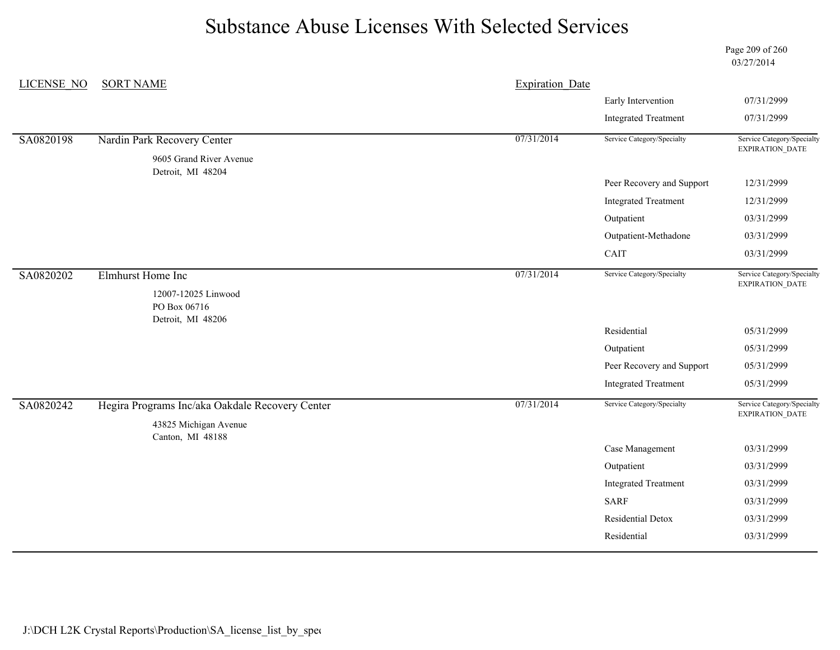Page 209 of 260 03/27/2014

| <b>LICENSE NO</b> | <b>SORT NAME</b>                                | <b>Expiration Date</b> |                             |                                               |
|-------------------|-------------------------------------------------|------------------------|-----------------------------|-----------------------------------------------|
|                   |                                                 |                        | Early Intervention          | 07/31/2999                                    |
|                   |                                                 |                        | <b>Integrated Treatment</b> | 07/31/2999                                    |
| SA0820198         | Nardin Park Recovery Center                     | 07/31/2014             | Service Category/Specialty  | Service Category/Specialty<br>EXPIRATION_DATE |
|                   | 9605 Grand River Avenue<br>Detroit, MI 48204    |                        |                             |                                               |
|                   |                                                 |                        | Peer Recovery and Support   | 12/31/2999                                    |
|                   |                                                 |                        | <b>Integrated Treatment</b> | 12/31/2999                                    |
|                   |                                                 |                        | Outpatient                  | 03/31/2999                                    |
|                   |                                                 |                        | Outpatient-Methadone        | 03/31/2999                                    |
|                   |                                                 |                        | CAIT                        | 03/31/2999                                    |
| SA0820202         | Elmhurst Home Inc                               | 07/31/2014             | Service Category/Specialty  | Service Category/Specialty                    |
|                   | 12007-12025 Linwood<br>PO Box 06716             |                        |                             | EXPIRATION_DATE                               |
|                   | Detroit, MI 48206                               |                        | Residential                 | 05/31/2999                                    |
|                   |                                                 |                        | Outpatient                  | 05/31/2999                                    |
|                   |                                                 |                        | Peer Recovery and Support   | 05/31/2999                                    |
|                   |                                                 |                        | <b>Integrated Treatment</b> | 05/31/2999                                    |
| SA0820242         | Hegira Programs Inc/aka Oakdale Recovery Center | 07/31/2014             | Service Category/Specialty  | Service Category/Specialty<br>EXPIRATION_DATE |
|                   | 43825 Michigan Avenue                           |                        |                             |                                               |
|                   | Canton, MI 48188                                |                        | Case Management             | 03/31/2999                                    |
|                   |                                                 |                        | Outpatient                  | 03/31/2999                                    |
|                   |                                                 |                        | <b>Integrated Treatment</b> | 03/31/2999                                    |
|                   |                                                 |                        | <b>SARF</b>                 | 03/31/2999                                    |
|                   |                                                 |                        | Residential Detox           | 03/31/2999                                    |
|                   |                                                 |                        | Residential                 | 03/31/2999                                    |
|                   |                                                 |                        |                             |                                               |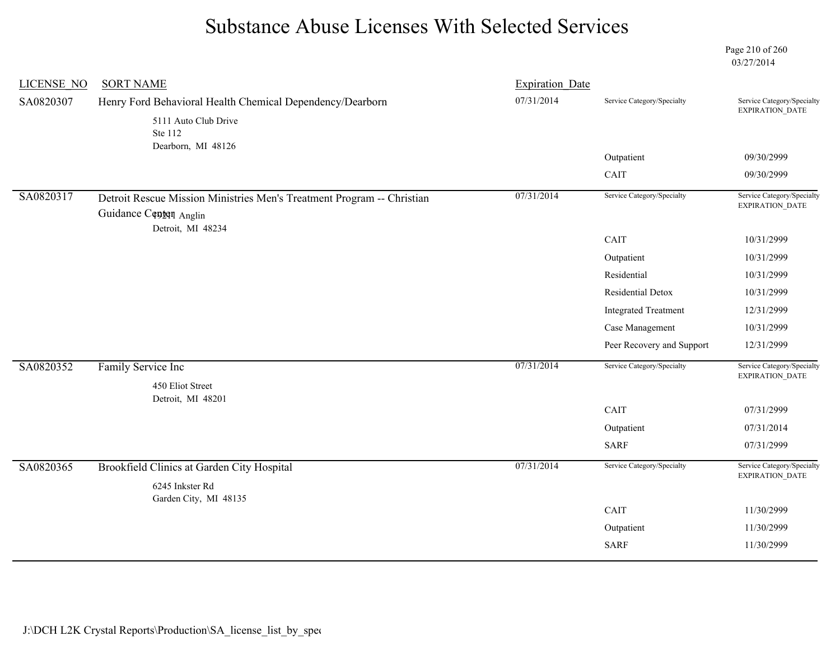Page 210 of 260 03/27/2014

| <b>SORT NAME</b>                                          | <b>Expiration Date</b>                                                                                                               |                             |                                                                        |
|-----------------------------------------------------------|--------------------------------------------------------------------------------------------------------------------------------------|-----------------------------|------------------------------------------------------------------------|
| Henry Ford Behavioral Health Chemical Dependency/Dearborn | 07/31/2014                                                                                                                           | Service Category/Specialty  | Service Category/Specialty<br>EXPIRATION_DATE                          |
| 5111 Auto Club Drive<br>Ste 112                           |                                                                                                                                      |                             |                                                                        |
| Dearborn, MI 48126                                        |                                                                                                                                      |                             | 09/30/2999                                                             |
|                                                           |                                                                                                                                      |                             | 09/30/2999                                                             |
|                                                           |                                                                                                                                      |                             | Service Category/Specialty                                             |
| Guidance Centen Anglin                                    |                                                                                                                                      |                             | EXPIRATION_DATE                                                        |
|                                                           |                                                                                                                                      | CAIT                        | 10/31/2999                                                             |
|                                                           |                                                                                                                                      | Outpatient                  | 10/31/2999                                                             |
|                                                           |                                                                                                                                      | Residential                 | 10/31/2999                                                             |
|                                                           |                                                                                                                                      | Residential Detox           | 10/31/2999                                                             |
|                                                           |                                                                                                                                      | <b>Integrated Treatment</b> | 12/31/2999                                                             |
|                                                           |                                                                                                                                      | Case Management             | 10/31/2999                                                             |
|                                                           |                                                                                                                                      | Peer Recovery and Support   | 12/31/2999                                                             |
| Family Service Inc                                        | 07/31/2014                                                                                                                           | Service Category/Specialty  | Service Category/Specialty<br>EXPIRATION_DATE                          |
|                                                           |                                                                                                                                      |                             |                                                                        |
|                                                           |                                                                                                                                      | CAIT                        | 07/31/2999                                                             |
|                                                           |                                                                                                                                      | Outpatient                  | 07/31/2014                                                             |
|                                                           |                                                                                                                                      | <b>SARF</b>                 | 07/31/2999                                                             |
| Brookfield Clinics at Garden City Hospital                | 07/31/2014                                                                                                                           | Service Category/Specialty  | Service Category/Specialty<br>EXPIRATION_DATE                          |
| 6245 Inkster Rd                                           |                                                                                                                                      |                             |                                                                        |
| Garden City, MI 48135                                     |                                                                                                                                      |                             | 11/30/2999                                                             |
|                                                           |                                                                                                                                      |                             | 11/30/2999                                                             |
|                                                           |                                                                                                                                      |                             |                                                                        |
|                                                           | Detroit Rescue Mission Ministries Men's Treatment Program -- Christian<br>Detroit, MI 48234<br>450 Eliot Street<br>Detroit, MI 48201 | 07/31/2014                  | Outpatient<br>CAIT<br>Service Category/Specialty<br>CAIT<br>Outpatient |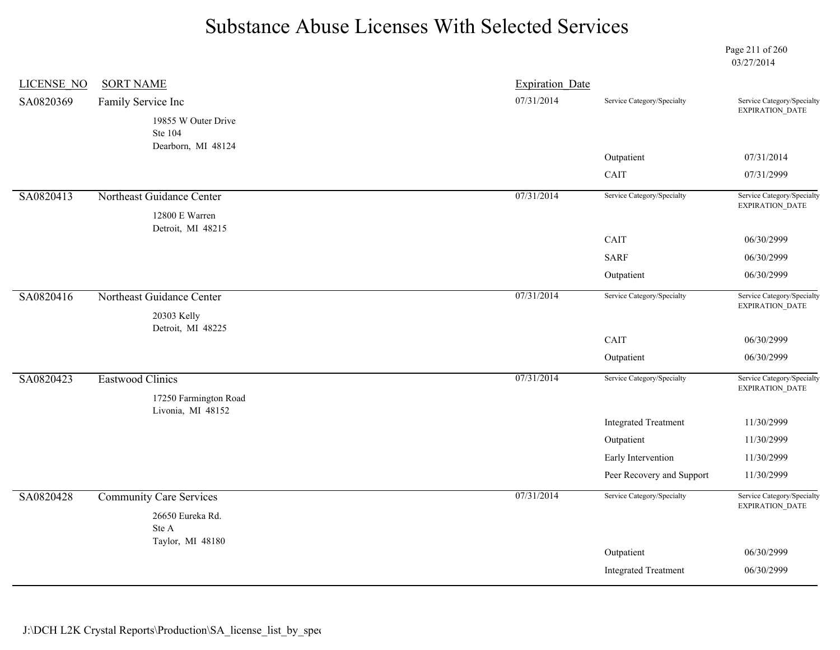Page 211 of 260 03/27/2014

| <b>LICENSE NO</b> | <b>SORT NAME</b>                           | <b>Expiration Date</b> |                             |                                               |
|-------------------|--------------------------------------------|------------------------|-----------------------------|-----------------------------------------------|
| SA0820369         | Family Service Inc                         | 07/31/2014             | Service Category/Specialty  | Service Category/Specialty<br>EXPIRATION_DATE |
|                   | 19855 W Outer Drive<br>Ste 104             |                        |                             |                                               |
|                   | Dearborn, MI 48124                         |                        | Outpatient                  | 07/31/2014                                    |
|                   |                                            |                        | CAIT                        | 07/31/2999                                    |
| SA0820413         | Northeast Guidance Center                  | 07/31/2014             | Service Category/Specialty  | Service Category/Specialty<br>EXPIRATION_DATE |
|                   | 12800 E Warren                             |                        |                             |                                               |
|                   | Detroit, MI 48215                          |                        | CAIT                        | 06/30/2999                                    |
|                   |                                            |                        | <b>SARF</b>                 | 06/30/2999                                    |
|                   |                                            |                        | Outpatient                  | 06/30/2999                                    |
| SA0820416         | Northeast Guidance Center                  | 07/31/2014             | Service Category/Specialty  | Service Category/Specialty<br>EXPIRATION_DATE |
|                   | 20303 Kelly<br>Detroit, MI 48225           |                        |                             |                                               |
|                   |                                            |                        | CAIT                        | 06/30/2999                                    |
|                   |                                            |                        | Outpatient                  | 06/30/2999                                    |
| SA0820423         | Eastwood Clinics                           | 07/31/2014             | Service Category/Specialty  | Service Category/Specialty<br>EXPIRATION_DATE |
|                   | 17250 Farmington Road<br>Livonia, MI 48152 |                        |                             |                                               |
|                   |                                            |                        | <b>Integrated Treatment</b> | 11/30/2999                                    |
|                   |                                            |                        | Outpatient                  | 11/30/2999                                    |
|                   |                                            |                        | Early Intervention          | 11/30/2999                                    |
|                   |                                            |                        | Peer Recovery and Support   | 11/30/2999                                    |
| SA0820428         | <b>Community Care Services</b>             | 07/31/2014             | Service Category/Specialty  | Service Category/Specialty<br>EXPIRATION_DATE |
|                   | 26650 Eureka Rd.                           |                        |                             |                                               |
|                   | Ste A<br>Taylor, MI 48180                  |                        |                             |                                               |
|                   |                                            |                        | Outpatient                  | 06/30/2999                                    |
|                   |                                            |                        | <b>Integrated Treatment</b> | 06/30/2999                                    |
|                   |                                            |                        |                             |                                               |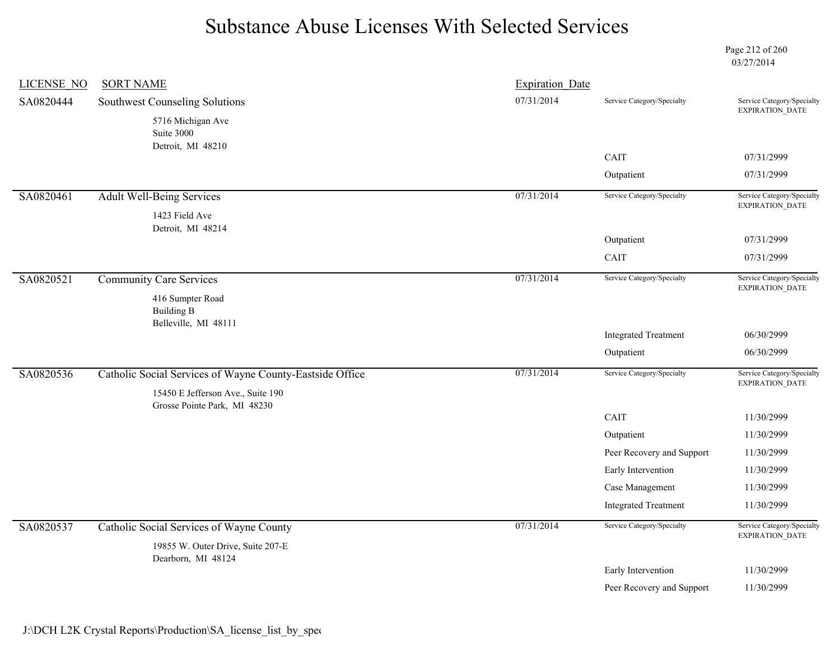Page 212 of 260 03/27/2014

| <b>LICENSE NO</b> | <b>SORT NAME</b>                                                  | <b>Expiration Date</b> |                             |                                               |
|-------------------|-------------------------------------------------------------------|------------------------|-----------------------------|-----------------------------------------------|
| SA0820444         | Southwest Counseling Solutions                                    | 07/31/2014             | Service Category/Specialty  | Service Category/Specialty<br>EXPIRATION_DATE |
|                   | 5716 Michigan Ave<br>Suite 3000<br>Detroit, MI 48210              |                        |                             |                                               |
|                   |                                                                   |                        | CAIT                        | 07/31/2999                                    |
|                   |                                                                   |                        | Outpatient                  | 07/31/2999                                    |
| SA0820461         | <b>Adult Well-Being Services</b>                                  | 07/31/2014             | Service Category/Specialty  | Service Category/Specialty<br>EXPIRATION_DATE |
|                   | 1423 Field Ave<br>Detroit, MI 48214                               |                        |                             |                                               |
|                   |                                                                   |                        | Outpatient                  | 07/31/2999                                    |
|                   |                                                                   |                        | <b>CAIT</b>                 | 07/31/2999                                    |
| SA0820521         | <b>Community Care Services</b>                                    | 07/31/2014             | Service Category/Specialty  | Service Category/Specialty<br>EXPIRATION_DATE |
|                   | 416 Sumpter Road<br><b>Building B</b><br>Belleville, MI 48111     |                        |                             |                                               |
|                   |                                                                   |                        | <b>Integrated Treatment</b> | 06/30/2999                                    |
|                   |                                                                   |                        | Outpatient                  | 06/30/2999                                    |
| SA0820536         | Catholic Social Services of Wayne County-Eastside Office          | 07/31/2014             | Service Category/Specialty  | Service Category/Specialty<br>EXPIRATION_DATE |
|                   | 15450 E Jefferson Ave., Suite 190<br>Grosse Pointe Park, MI 48230 |                        |                             |                                               |
|                   |                                                                   |                        | CAIT                        | 11/30/2999                                    |
|                   |                                                                   |                        | Outpatient                  | 11/30/2999                                    |
|                   |                                                                   |                        | Peer Recovery and Support   | 11/30/2999                                    |
|                   |                                                                   |                        | Early Intervention          | 11/30/2999                                    |
|                   |                                                                   |                        | Case Management             | 11/30/2999                                    |
|                   |                                                                   |                        | <b>Integrated Treatment</b> | 11/30/2999                                    |
| SA0820537         | Catholic Social Services of Wayne County                          | 07/31/2014             | Service Category/Specialty  | Service Category/Specialty<br>EXPIRATION_DATE |
|                   | 19855 W. Outer Drive, Suite 207-E                                 |                        |                             |                                               |
|                   | Dearborn, MI 48124                                                |                        | Early Intervention          | 11/30/2999                                    |
|                   |                                                                   |                        | Peer Recovery and Support   | 11/30/2999                                    |
|                   |                                                                   |                        |                             |                                               |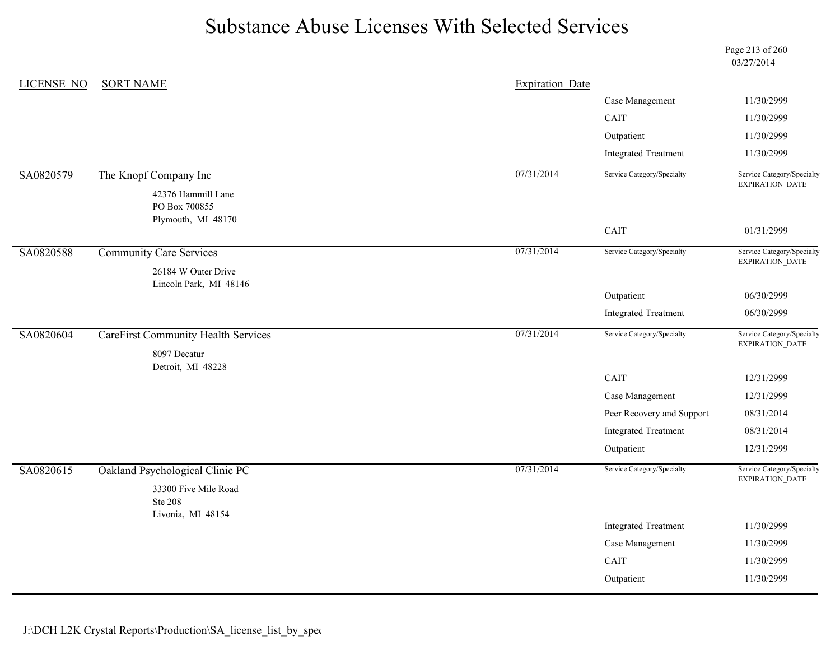Page 213 of 260 03/27/2014

| LICENSE NO | <b>SORT NAME</b>                           | <b>Expiration Date</b> |                             |                                               |
|------------|--------------------------------------------|------------------------|-----------------------------|-----------------------------------------------|
|            |                                            |                        | Case Management             | 11/30/2999                                    |
|            |                                            |                        | CAIT                        | 11/30/2999                                    |
|            |                                            |                        | Outpatient                  | 11/30/2999                                    |
|            |                                            |                        | <b>Integrated Treatment</b> | 11/30/2999                                    |
| SA0820579  | The Knopf Company Inc                      | 07/31/2014             | Service Category/Specialty  | Service Category/Specialty<br>EXPIRATION_DATE |
|            | 42376 Hammill Lane                         |                        |                             |                                               |
|            | PO Box 700855<br>Plymouth, MI 48170        |                        |                             |                                               |
|            |                                            |                        | CAIT                        | 01/31/2999                                    |
| SA0820588  | <b>Community Care Services</b>             | 07/31/2014             | Service Category/Specialty  | Service Category/Specialty<br>EXPIRATION_DATE |
|            | 26184 W Outer Drive                        |                        |                             |                                               |
|            | Lincoln Park, MI 48146                     |                        | Outpatient                  | 06/30/2999                                    |
|            |                                            |                        | <b>Integrated Treatment</b> | 06/30/2999                                    |
|            |                                            |                        | Service Category/Specialty  | Service Category/Specialty                    |
| SA0820604  | <b>CareFirst Community Health Services</b> | 07/31/2014             |                             | EXPIRATION_DATE                               |
|            | 8097 Decatur<br>Detroit, MI 48228          |                        |                             |                                               |
|            |                                            |                        | CAIT                        | 12/31/2999                                    |
|            |                                            |                        | Case Management             | 12/31/2999                                    |
|            |                                            |                        | Peer Recovery and Support   | 08/31/2014                                    |
|            |                                            |                        | <b>Integrated Treatment</b> | 08/31/2014                                    |
|            |                                            |                        | Outpatient                  | 12/31/2999                                    |
| SA0820615  | Oakland Psychological Clinic PC            | 07/31/2014             | Service Category/Specialty  | Service Category/Specialty<br>EXPIRATION_DATE |
|            | 33300 Five Mile Road<br><b>Ste 208</b>     |                        |                             |                                               |
|            | Livonia, MI 48154                          |                        | <b>Integrated Treatment</b> | 11/30/2999                                    |
|            |                                            |                        | Case Management             | 11/30/2999                                    |
|            |                                            |                        | CAIT                        | 11/30/2999                                    |
|            |                                            |                        | Outpatient                  | 11/30/2999                                    |
|            |                                            |                        |                             |                                               |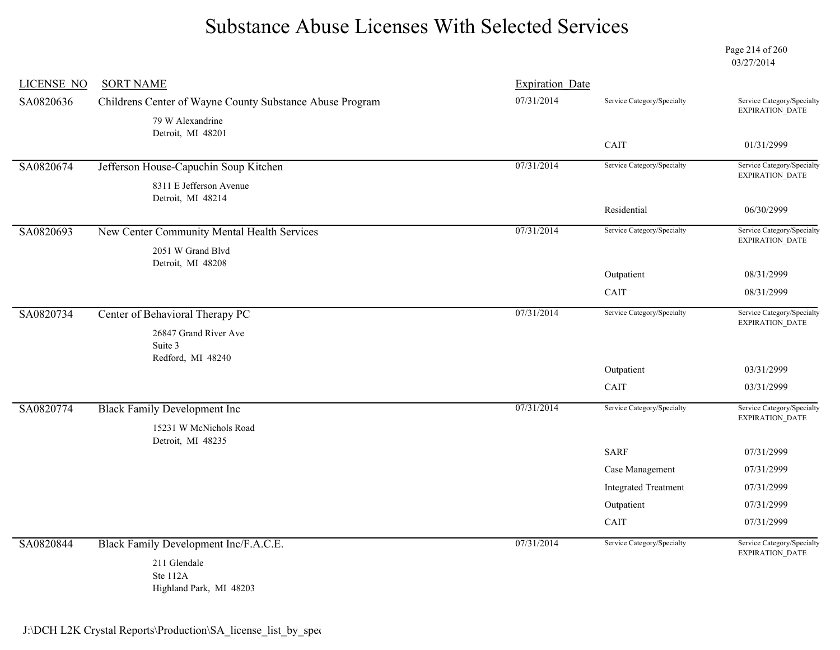Page 214 of 260 03/27/2014

| <b>LICENSE NO</b> | <b>SORT NAME</b>                                         | <b>Expiration Date</b> |                             |                                               |
|-------------------|----------------------------------------------------------|------------------------|-----------------------------|-----------------------------------------------|
| SA0820636         | Childrens Center of Wayne County Substance Abuse Program | 07/31/2014             | Service Category/Specialty  | Service Category/Specialty<br>EXPIRATION_DATE |
|                   | 79 W Alexandrine                                         |                        |                             |                                               |
|                   | Detroit, MI 48201                                        |                        | CAIT                        | 01/31/2999                                    |
|                   |                                                          |                        |                             |                                               |
| SA0820674         | Jefferson House-Capuchin Soup Kitchen                    | 07/31/2014             | Service Category/Specialty  | Service Category/Specialty<br>EXPIRATION_DATE |
|                   | 8311 E Jefferson Avenue                                  |                        |                             |                                               |
|                   | Detroit, MI 48214                                        |                        | Residential                 | 06/30/2999                                    |
| SA0820693         | New Center Community Mental Health Services              | 07/31/2014             | Service Category/Specialty  | Service Category/Specialty                    |
|                   |                                                          |                        |                             | EXPIRATION_DATE                               |
|                   | 2051 W Grand Blvd<br>Detroit, MI 48208                   |                        |                             |                                               |
|                   |                                                          |                        | Outpatient                  | 08/31/2999                                    |
|                   |                                                          |                        | CAIT                        | 08/31/2999                                    |
| SA0820734         | Center of Behavioral Therapy PC                          | 07/31/2014             | Service Category/Specialty  | Service Category/Specialty                    |
|                   | 26847 Grand River Ave                                    |                        |                             | EXPIRATION_DATE                               |
|                   | Suite 3                                                  |                        |                             |                                               |
|                   | Redford, MI 48240                                        |                        |                             |                                               |
|                   |                                                          |                        | Outpatient                  | 03/31/2999                                    |
|                   |                                                          |                        | CAIT                        | 03/31/2999                                    |
| SA0820774         | <b>Black Family Development Inc</b>                      | 07/31/2014             | Service Category/Specialty  | Service Category/Specialty<br>EXPIRATION_DATE |
|                   | 15231 W McNichols Road                                   |                        |                             |                                               |
|                   | Detroit, MI 48235                                        |                        | <b>SARF</b>                 | 07/31/2999                                    |
|                   |                                                          |                        |                             |                                               |
|                   |                                                          |                        | Case Management             | 07/31/2999                                    |
|                   |                                                          |                        | <b>Integrated Treatment</b> | 07/31/2999                                    |
|                   |                                                          |                        | Outpatient                  | 07/31/2999                                    |
|                   |                                                          |                        | CAIT                        | 07/31/2999                                    |
| SA0820844         | Black Family Development Inc/F.A.C.E.                    | 07/31/2014             | Service Category/Specialty  | Service Category/Specialty<br>EXPIRATION_DATE |
|                   | 211 Glendale                                             |                        |                             |                                               |
|                   | Ste 112A                                                 |                        |                             |                                               |

Highland Park, MI 48203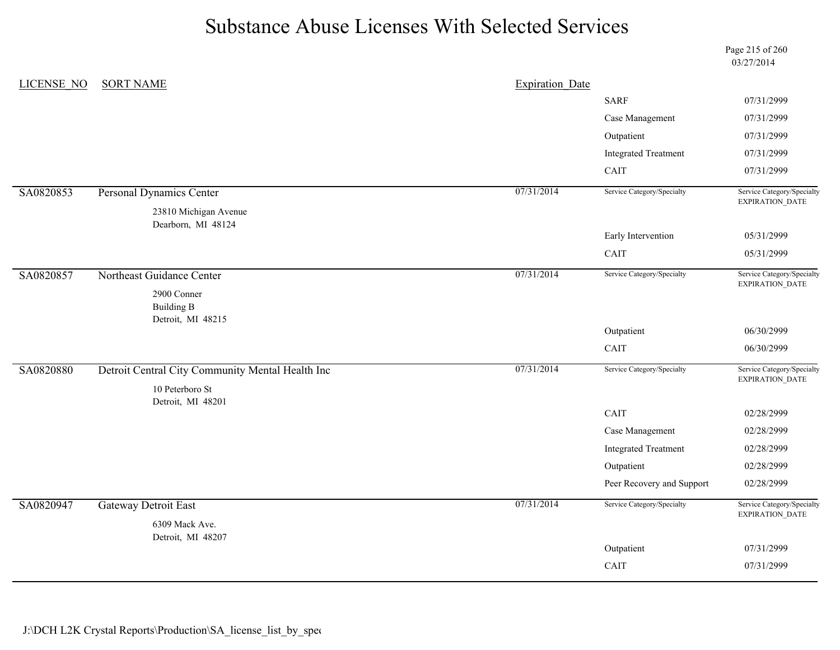Page 215 of 260 03/27/2014

| <b>LICENSE NO</b> | <b>SORT NAME</b>                                      | <b>Expiration Date</b> |                             |                                               |
|-------------------|-------------------------------------------------------|------------------------|-----------------------------|-----------------------------------------------|
|                   |                                                       |                        | <b>SARF</b>                 | 07/31/2999                                    |
|                   |                                                       |                        | Case Management             | 07/31/2999                                    |
|                   |                                                       |                        | Outpatient                  | 07/31/2999                                    |
|                   |                                                       |                        | <b>Integrated Treatment</b> | 07/31/2999                                    |
|                   |                                                       |                        | CAIT                        | 07/31/2999                                    |
| SA0820853         | Personal Dynamics Center                              | 07/31/2014             | Service Category/Specialty  | Service Category/Specialty<br>EXPIRATION_DATE |
|                   | 23810 Michigan Avenue<br>Dearborn, MI 48124           |                        |                             |                                               |
|                   |                                                       |                        | Early Intervention          | 05/31/2999                                    |
|                   |                                                       |                        | CAIT                        | 05/31/2999                                    |
| SA0820857         | Northeast Guidance Center                             | 07/31/2014             | Service Category/Specialty  | Service Category/Specialty<br>EXPIRATION_DATE |
|                   | 2900 Conner<br><b>Building B</b><br>Detroit, MI 48215 |                        |                             |                                               |
|                   |                                                       |                        | Outpatient                  | 06/30/2999                                    |
|                   |                                                       |                        | CAIT                        | 06/30/2999                                    |
| SA0820880         | Detroit Central City Community Mental Health Inc      | 07/31/2014             | Service Category/Specialty  | Service Category/Specialty<br>EXPIRATION_DATE |
|                   | 10 Peterboro St<br>Detroit, MI 48201                  |                        |                             |                                               |
|                   |                                                       |                        | CAIT                        | 02/28/2999                                    |
|                   |                                                       |                        | Case Management             | 02/28/2999                                    |
|                   |                                                       |                        | <b>Integrated Treatment</b> | 02/28/2999                                    |
|                   |                                                       |                        |                             |                                               |
|                   |                                                       |                        | Outpatient                  | 02/28/2999                                    |
|                   |                                                       |                        | Peer Recovery and Support   | 02/28/2999                                    |
| SA0820947         | <b>Gateway Detroit East</b>                           | 07/31/2014             | Service Category/Specialty  | EXPIRATION_DATE                               |
|                   | 6309 Mack Ave.                                        |                        |                             | Service Category/Specialty                    |
|                   | Detroit, MI 48207                                     |                        | Outpatient                  | 07/31/2999                                    |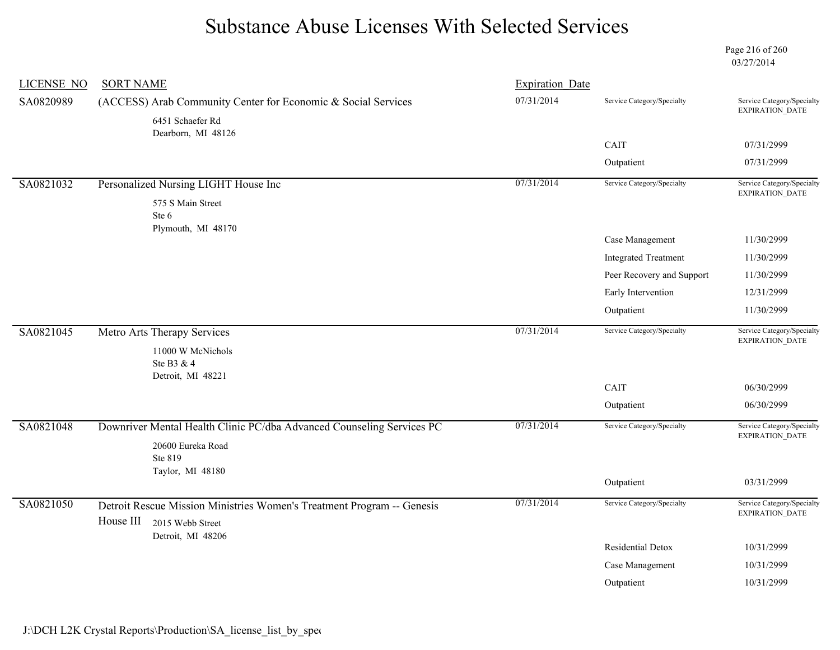Page 216 of 260 03/27/2014

| <b>LICENSE NO</b> | <b>SORT NAME</b>                                                       | <b>Expiration Date</b> |                             |                                               |
|-------------------|------------------------------------------------------------------------|------------------------|-----------------------------|-----------------------------------------------|
| SA0820989         | (ACCESS) Arab Community Center for Economic & Social Services          | 07/31/2014             | Service Category/Specialty  | Service Category/Specialty<br>EXPIRATION_DATE |
|                   | 6451 Schaefer Rd<br>Dearborn, MI 48126                                 |                        |                             |                                               |
|                   |                                                                        |                        | CAIT                        | 07/31/2999                                    |
|                   |                                                                        |                        | Outpatient                  | 07/31/2999                                    |
| SA0821032         | Personalized Nursing LIGHT House Inc                                   | 07/31/2014             | Service Category/Specialty  | Service Category/Specialty<br>EXPIRATION_DATE |
|                   | 575 S Main Street                                                      |                        |                             |                                               |
|                   | Ste 6<br>Plymouth, MI 48170                                            |                        |                             |                                               |
|                   |                                                                        |                        | Case Management             | 11/30/2999                                    |
|                   |                                                                        |                        | <b>Integrated Treatment</b> | 11/30/2999                                    |
|                   |                                                                        |                        | Peer Recovery and Support   | 11/30/2999                                    |
|                   |                                                                        |                        | Early Intervention          | 12/31/2999                                    |
|                   |                                                                        |                        | Outpatient                  | 11/30/2999                                    |
| SA0821045         | Metro Arts Therapy Services                                            | 07/31/2014             | Service Category/Specialty  | Service Category/Specialty                    |
|                   | 11000 W McNichols                                                      |                        |                             | EXPIRATION_DATE                               |
|                   | Ste B3 & 4                                                             |                        |                             |                                               |
|                   | Detroit, MI 48221                                                      |                        | CAIT                        | 06/30/2999                                    |
|                   |                                                                        |                        | Outpatient                  | 06/30/2999                                    |
| SA0821048         | Downriver Mental Health Clinic PC/dba Advanced Counseling Services PC  | 07/31/2014             | Service Category/Specialty  | Service Category/Specialty<br>EXPIRATION_DATE |
|                   | 20600 Eureka Road                                                      |                        |                             |                                               |
|                   | Ste 819<br>Taylor, MI 48180                                            |                        |                             |                                               |
|                   |                                                                        |                        | Outpatient                  | 03/31/2999                                    |
| SA0821050         | Detroit Rescue Mission Ministries Women's Treatment Program -- Genesis | 07/31/2014             | Service Category/Specialty  | Service Category/Specialty                    |
|                   | House III<br>2015 Webb Street                                          |                        |                             | <b>EXPIRATION DATE</b>                        |
|                   | Detroit, MI 48206                                                      |                        | Residential Detox           | 10/31/2999                                    |
|                   |                                                                        |                        | Case Management             | 10/31/2999                                    |
|                   |                                                                        |                        | Outpatient                  | 10/31/2999                                    |
|                   |                                                                        |                        |                             |                                               |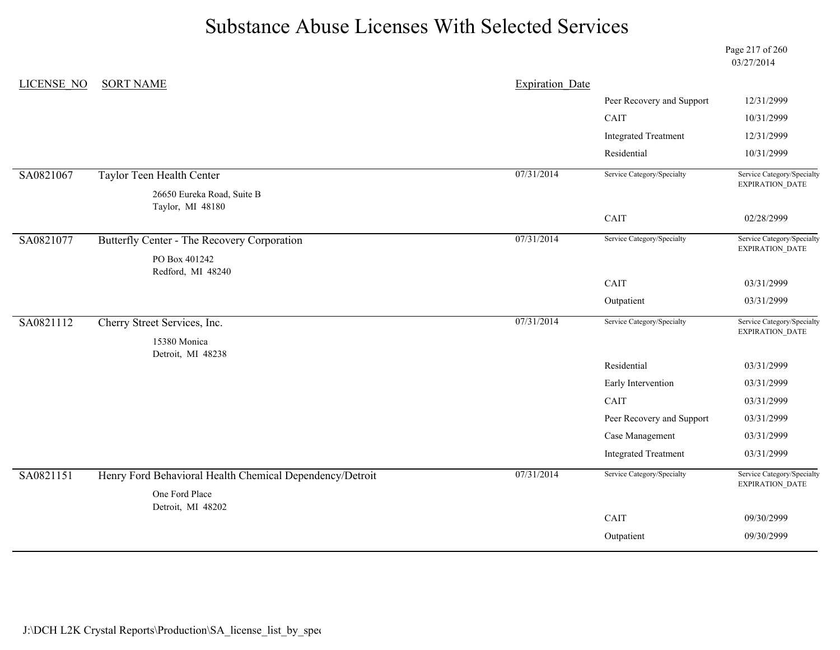Page 217 of 260 03/27/2014

| LICENSE NO | <b>SORT NAME</b>                                         | <b>Expiration Date</b> |                             |                                               |
|------------|----------------------------------------------------------|------------------------|-----------------------------|-----------------------------------------------|
|            |                                                          |                        | Peer Recovery and Support   | 12/31/2999                                    |
|            |                                                          |                        | CAIT                        | 10/31/2999                                    |
|            |                                                          |                        | <b>Integrated Treatment</b> | 12/31/2999                                    |
|            |                                                          |                        | Residential                 | 10/31/2999                                    |
| SA0821067  | Taylor Teen Health Center                                | 07/31/2014             | Service Category/Specialty  | Service Category/Specialty<br>EXPIRATION_DATE |
|            | 26650 Eureka Road, Suite B<br>Taylor, MI 48180           |                        |                             |                                               |
|            |                                                          |                        | CAIT                        | 02/28/2999                                    |
| SA0821077  | Butterfly Center - The Recovery Corporation              | 07/31/2014             | Service Category/Specialty  | Service Category/Specialty<br>EXPIRATION_DATE |
|            | PO Box 401242<br>Redford, MI 48240                       |                        |                             |                                               |
|            |                                                          |                        | CAIT                        | 03/31/2999                                    |
|            |                                                          |                        | Outpatient                  | 03/31/2999                                    |
| SA0821112  | Cherry Street Services, Inc.                             | 07/31/2014             | Service Category/Specialty  | Service Category/Specialty<br>EXPIRATION_DATE |
|            | 15380 Monica<br>Detroit, MI 48238                        |                        |                             |                                               |
|            |                                                          |                        | Residential                 | 03/31/2999                                    |
|            |                                                          |                        | Early Intervention          | 03/31/2999                                    |
|            |                                                          |                        | CAIT                        | 03/31/2999                                    |
|            |                                                          |                        | Peer Recovery and Support   | 03/31/2999                                    |
|            |                                                          |                        | Case Management             | 03/31/2999                                    |
|            |                                                          |                        | <b>Integrated Treatment</b> | 03/31/2999                                    |
| SA0821151  | Henry Ford Behavioral Health Chemical Dependency/Detroit | 07/31/2014             | Service Category/Specialty  | Service Category/Specialty<br>EXPIRATION_DATE |
|            | One Ford Place<br>Detroit, MI 48202                      |                        |                             |                                               |
|            |                                                          |                        | CAIT                        | 09/30/2999                                    |
|            |                                                          |                        | Outpatient                  | 09/30/2999                                    |
|            |                                                          |                        |                             |                                               |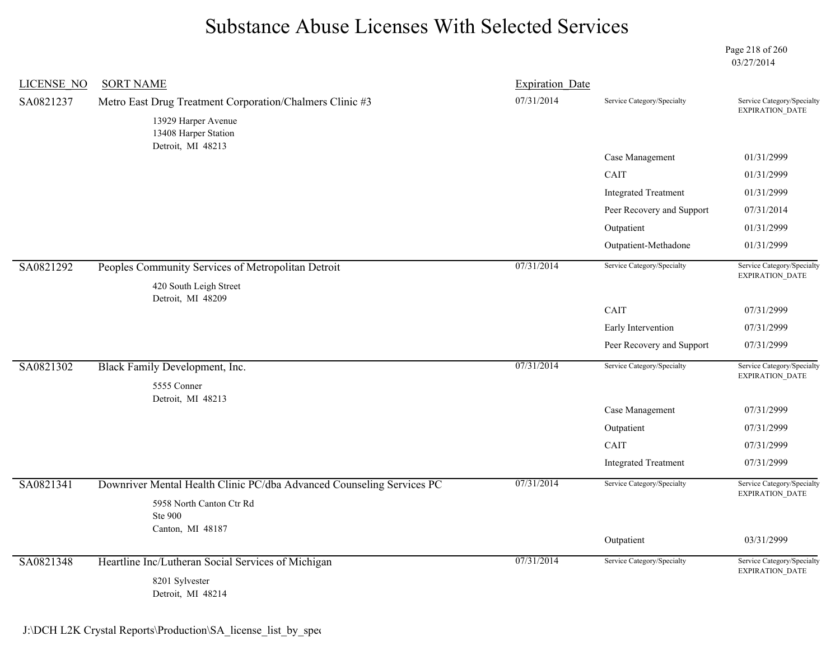Page 218 of 260 03/27/2014

| <b>LICENSE NO</b> | <b>SORT NAME</b>                                                      | <b>Expiration Date</b> |                             |                                               |
|-------------------|-----------------------------------------------------------------------|------------------------|-----------------------------|-----------------------------------------------|
| SA0821237         | Metro East Drug Treatment Corporation/Chalmers Clinic #3              | 07/31/2014             | Service Category/Specialty  | Service Category/Specialty<br>EXPIRATION_DATE |
|                   | 13929 Harper Avenue<br>13408 Harper Station<br>Detroit, MI 48213      |                        |                             |                                               |
|                   |                                                                       |                        | Case Management             | 01/31/2999                                    |
|                   |                                                                       |                        | CAIT                        | 01/31/2999                                    |
|                   |                                                                       |                        | <b>Integrated Treatment</b> | 01/31/2999                                    |
|                   |                                                                       |                        | Peer Recovery and Support   | 07/31/2014                                    |
|                   |                                                                       |                        | Outpatient                  | 01/31/2999                                    |
|                   |                                                                       |                        | Outpatient-Methadone        | 01/31/2999                                    |
| SA0821292         | Peoples Community Services of Metropolitan Detroit                    | 07/31/2014             | Service Category/Specialty  | Service Category/Specialty<br>EXPIRATION_DATE |
|                   | 420 South Leigh Street                                                |                        |                             |                                               |
|                   | Detroit, MI 48209                                                     |                        | CAIT                        | 07/31/2999                                    |
|                   |                                                                       |                        | Early Intervention          | 07/31/2999                                    |
|                   |                                                                       |                        | Peer Recovery and Support   | 07/31/2999                                    |
| SA0821302         | Black Family Development, Inc.<br>5555 Conner                         | 07/31/2014             | Service Category/Specialty  | Service Category/Specialty<br>EXPIRATION_DATE |
|                   | Detroit, MI 48213                                                     |                        |                             |                                               |
|                   |                                                                       |                        | Case Management             | 07/31/2999                                    |
|                   |                                                                       |                        | Outpatient                  | 07/31/2999                                    |
|                   |                                                                       |                        | CAIT                        | 07/31/2999                                    |
|                   |                                                                       |                        | <b>Integrated Treatment</b> | 07/31/2999                                    |
| SA0821341         | Downriver Mental Health Clinic PC/dba Advanced Counseling Services PC | 07/31/2014             | Service Category/Specialty  | Service Category/Specialty<br>EXPIRATION_DATE |
|                   | 5958 North Canton Ctr Rd<br><b>Ste 900</b>                            |                        |                             |                                               |
|                   | Canton, MI 48187                                                      |                        | Outpatient                  | 03/31/2999                                    |
|                   |                                                                       |                        |                             |                                               |
| SA0821348         | Heartline Inc/Lutheran Social Services of Michigan                    | 07/31/2014             | Service Category/Specialty  | Service Category/Specialty<br>EXPIRATION_DATE |
|                   | 8201 Sylvester<br>Detroit, MI 48214                                   |                        |                             |                                               |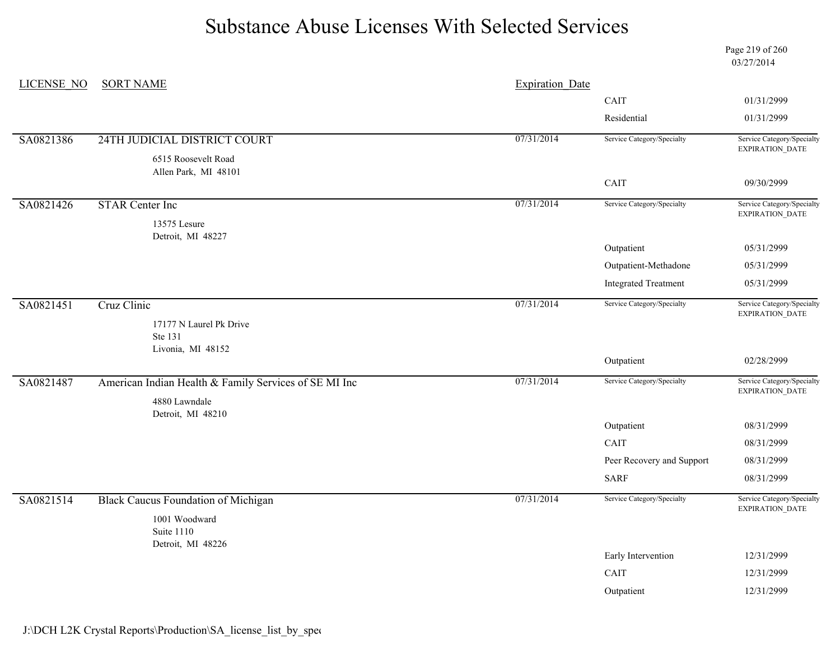Page 219 of 260 03/27/2014

| LICENSE NO | <b>SORT NAME</b>                                      | <b>Expiration Date</b> |                             |                                               |
|------------|-------------------------------------------------------|------------------------|-----------------------------|-----------------------------------------------|
|            |                                                       |                        | CAIT                        | 01/31/2999                                    |
|            |                                                       |                        | Residential                 | 01/31/2999                                    |
| SA0821386  | 24TH JUDICIAL DISTRICT COURT                          | 07/31/2014             | Service Category/Specialty  | Service Category/Specialty<br>EXPIRATION_DATE |
|            | 6515 Roosevelt Road<br>Allen Park, MI 48101           |                        |                             |                                               |
|            |                                                       |                        | CAIT                        | 09/30/2999                                    |
| SA0821426  | <b>STAR Center Inc</b>                                | 07/31/2014             | Service Category/Specialty  | Service Category/Specialty<br>EXPIRATION_DATE |
|            | 13575 Lesure<br>Detroit, MI 48227                     |                        |                             |                                               |
|            |                                                       |                        | Outpatient                  | 05/31/2999                                    |
|            |                                                       |                        | Outpatient-Methadone        | 05/31/2999                                    |
|            |                                                       |                        | <b>Integrated Treatment</b> | 05/31/2999                                    |
| SA0821451  | Cruz Clinic                                           | 07/31/2014             | Service Category/Specialty  | Service Category/Specialty<br>EXPIRATION_DATE |
|            | 17177 N Laurel Pk Drive<br>Ste 131                    |                        |                             |                                               |
|            | Livonia, MI 48152                                     |                        | Outpatient                  | 02/28/2999                                    |
| SA0821487  | American Indian Health & Family Services of SE MI Inc | 07/31/2014             | Service Category/Specialty  | Service Category/Specialty<br>EXPIRATION_DATE |
|            | 4880 Lawndale<br>Detroit, MI 48210                    |                        |                             |                                               |
|            |                                                       |                        | Outpatient                  | 08/31/2999                                    |
|            |                                                       |                        | CAIT                        | 08/31/2999                                    |
|            |                                                       |                        | Peer Recovery and Support   | 08/31/2999                                    |
|            |                                                       |                        | <b>SARF</b>                 | 08/31/2999                                    |
| SA0821514  | <b>Black Caucus Foundation of Michigan</b>            | 07/31/2014             | Service Category/Specialty  | Service Category/Specialty<br>EXPIRATION_DATE |
|            | 1001 Woodward<br>Suite 1110<br>Detroit, MI 48226      |                        |                             |                                               |
|            |                                                       |                        | Early Intervention          | 12/31/2999                                    |
|            |                                                       |                        | CAIT                        | 12/31/2999                                    |
|            |                                                       |                        | Outpatient                  | 12/31/2999                                    |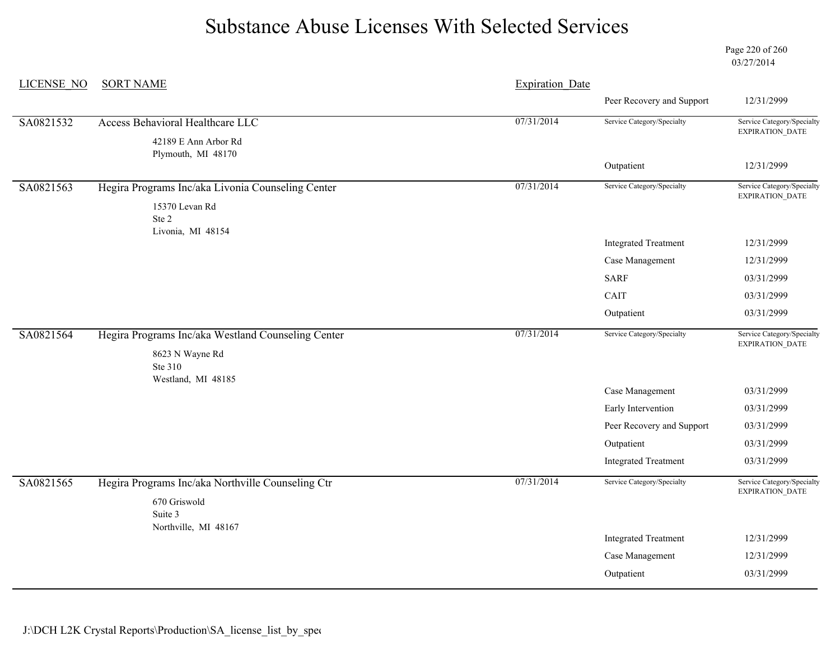Page 220 of 260 03/27/2014

| <b>LICENSE NO</b> | <b>SORT NAME</b>                                   | <b>Expiration Date</b> |                             |                                               |
|-------------------|----------------------------------------------------|------------------------|-----------------------------|-----------------------------------------------|
|                   |                                                    |                        | Peer Recovery and Support   | 12/31/2999                                    |
| SA0821532         | Access Behavioral Healthcare LLC                   | 07/31/2014             | Service Category/Specialty  | Service Category/Specialty                    |
|                   | 42189 E Ann Arbor Rd<br>Plymouth, MI 48170         |                        |                             | <b>EXPIRATION DATE</b>                        |
|                   |                                                    |                        | Outpatient                  | 12/31/2999                                    |
| SA0821563         | Hegira Programs Inc/aka Livonia Counseling Center  | 07/31/2014             | Service Category/Specialty  | Service Category/Specialty<br>EXPIRATION_DATE |
|                   | 15370 Levan Rd<br>Ste 2                            |                        |                             |                                               |
|                   | Livonia, MI 48154                                  |                        | <b>Integrated Treatment</b> | 12/31/2999                                    |
|                   |                                                    |                        | Case Management             | 12/31/2999                                    |
|                   |                                                    |                        | <b>SARF</b>                 | 03/31/2999                                    |
|                   |                                                    |                        | CAIT                        | 03/31/2999                                    |
|                   |                                                    |                        | Outpatient                  | 03/31/2999                                    |
| SA0821564         | Hegira Programs Inc/aka Westland Counseling Center | 07/31/2014             | Service Category/Specialty  | Service Category/Specialty<br>EXPIRATION_DATE |
|                   | 8623 N Wayne Rd<br>Ste 310                         |                        |                             |                                               |
|                   | Westland, MI 48185                                 |                        | Case Management             | 03/31/2999                                    |
|                   |                                                    |                        | Early Intervention          | 03/31/2999                                    |
|                   |                                                    |                        | Peer Recovery and Support   | 03/31/2999                                    |
|                   |                                                    |                        | Outpatient                  | 03/31/2999                                    |
|                   |                                                    |                        | <b>Integrated Treatment</b> | 03/31/2999                                    |
| SA0821565         | Hegira Programs Inc/aka Northville Counseling Ctr  | 07/31/2014             | Service Category/Specialty  | Service Category/Specialty<br>EXPIRATION_DATE |
|                   | 670 Griswold<br>Suite 3                            |                        |                             |                                               |
|                   | Northville, MI 48167                               |                        | <b>Integrated Treatment</b> | 12/31/2999                                    |
|                   |                                                    |                        | Case Management             | 12/31/2999                                    |
|                   |                                                    |                        | Outpatient                  | 03/31/2999                                    |
|                   |                                                    |                        |                             |                                               |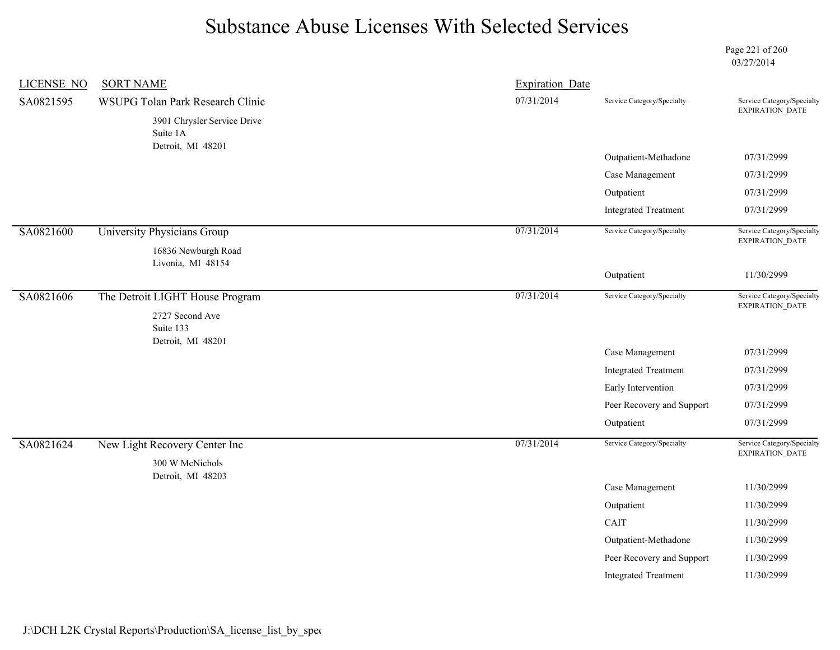Page 221 of 260 03/27/2014

| <b>LICENSE NO</b> | <b>SORT NAME</b>                                  | <b>Expiration Date</b> |                             |                                               |
|-------------------|---------------------------------------------------|------------------------|-----------------------------|-----------------------------------------------|
| SA0821595         | WSUPG Tolan Park Research Clinic                  | 07/31/2014             | Service Category/Specialty  | Service Category/Specialty<br>EXPIRATION_DATE |
|                   | 3901 Chrysler Service Drive<br>Suite 1A           |                        |                             |                                               |
|                   | Detroit, MI 48201                                 |                        | Outpatient-Methadone        | 07/31/2999                                    |
|                   |                                                   |                        | Case Management             | 07/31/2999                                    |
|                   |                                                   |                        | Outpatient                  | 07/31/2999                                    |
|                   |                                                   |                        | <b>Integrated Treatment</b> | 07/31/2999                                    |
| SA0821600         | University Physicians Group                       | 07/31/2014             | Service Category/Specialty  | Service Category/Specialty<br>EXPIRATION_DATE |
|                   | 16836 Newburgh Road                               |                        |                             |                                               |
|                   | Livonia, MI 48154                                 |                        | Outpatient                  | 11/30/2999                                    |
| SA0821606         |                                                   | 07/31/2014             | Service Category/Specialty  | Service Category/Specialty                    |
|                   | The Detroit LIGHT House Program                   |                        |                             | <b>EXPIRATION DATE</b>                        |
|                   | 2727 Second Ave<br>Suite 133<br>Detroit, MI 48201 |                        |                             |                                               |
|                   |                                                   |                        | Case Management             | 07/31/2999                                    |
|                   |                                                   |                        | <b>Integrated Treatment</b> | 07/31/2999                                    |
|                   |                                                   |                        | Early Intervention          | 07/31/2999                                    |
|                   |                                                   |                        | Peer Recovery and Support   | 07/31/2999                                    |
|                   |                                                   |                        | Outpatient                  | 07/31/2999                                    |
| SA0821624         | New Light Recovery Center Inc                     | 07/31/2014             | Service Category/Specialty  | Service Category/Specialty<br>EXPIRATION_DATE |
|                   | 300 W McNichols                                   |                        |                             |                                               |
|                   | Detroit, MI 48203                                 |                        | Case Management             | 11/30/2999                                    |
|                   |                                                   |                        | Outpatient                  | 11/30/2999                                    |
|                   |                                                   |                        | CAIT                        | 11/30/2999                                    |
|                   |                                                   |                        | Outpatient-Methadone        | 11/30/2999                                    |
|                   |                                                   |                        | Peer Recovery and Support   | 11/30/2999                                    |
|                   |                                                   |                        | <b>Integrated Treatment</b> | 11/30/2999                                    |
|                   |                                                   |                        |                             |                                               |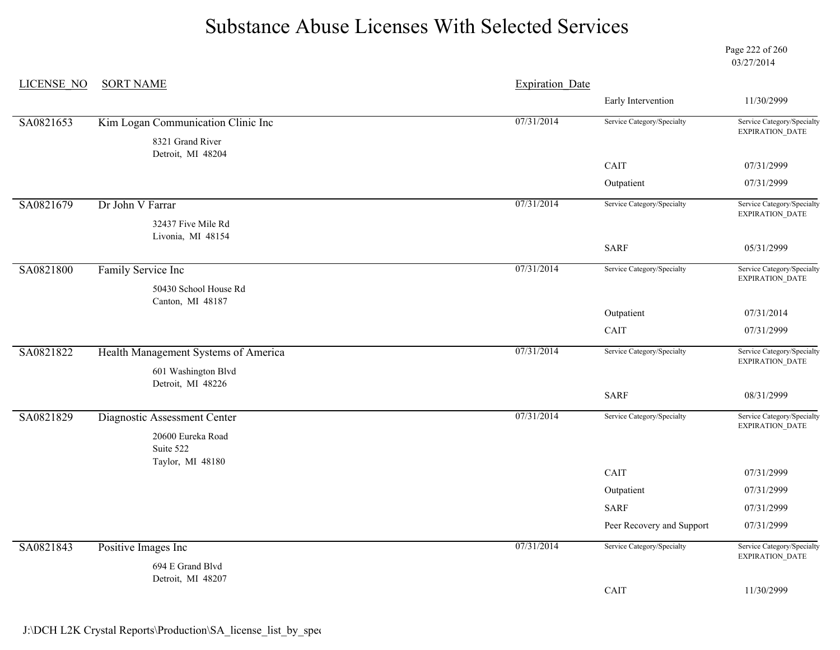Page 222 of 260 03/27/2014

| <b>LICENSE NO</b> | <b>SORT NAME</b><br><b>Expiration Date</b> |            |                            |                                                      |  |
|-------------------|--------------------------------------------|------------|----------------------------|------------------------------------------------------|--|
|                   |                                            |            | Early Intervention         | 11/30/2999                                           |  |
| SA0821653         | Kim Logan Communication Clinic Inc         | 07/31/2014 | Service Category/Specialty | Service Category/Specialty                           |  |
|                   | 8321 Grand River<br>Detroit, MI 48204      |            |                            | <b>EXPIRATION DATE</b>                               |  |
|                   |                                            |            | CAIT                       | 07/31/2999                                           |  |
|                   |                                            |            | Outpatient                 | 07/31/2999                                           |  |
| SA0821679         | Dr John V Farrar                           | 07/31/2014 | Service Category/Specialty | Service Category/Specialty<br>EXPIRATION_DATE        |  |
|                   | 32437 Five Mile Rd                         |            |                            |                                                      |  |
|                   | Livonia, MI 48154                          |            | <b>SARF</b>                | 05/31/2999                                           |  |
| SA0821800         | Family Service Inc                         | 07/31/2014 | Service Category/Specialty | Service Category/Specialty                           |  |
|                   | 50430 School House Rd                      |            |                            | EXPIRATION_DATE                                      |  |
|                   | Canton, MI 48187                           |            |                            |                                                      |  |
|                   |                                            |            | Outpatient                 | 07/31/2014                                           |  |
|                   |                                            |            | CAIT                       | 07/31/2999                                           |  |
| SA0821822         | Health Management Systems of America       | 07/31/2014 | Service Category/Specialty | Service Category/Specialty<br><b>EXPIRATION DATE</b> |  |
|                   | 601 Washington Blvd                        |            |                            |                                                      |  |
|                   | Detroit, MI 48226                          |            | <b>SARF</b>                | 08/31/2999                                           |  |
| SA0821829         | Diagnostic Assessment Center               | 07/31/2014 | Service Category/Specialty | Service Category/Specialty                           |  |
|                   | 20600 Eureka Road                          |            |                            | EXPIRATION_DATE                                      |  |
|                   | Suite 522                                  |            |                            |                                                      |  |
|                   | Taylor, MI 48180                           |            | CAIT                       | 07/31/2999                                           |  |
|                   |                                            |            | Outpatient                 | 07/31/2999                                           |  |
|                   |                                            |            | <b>SARF</b>                | 07/31/2999                                           |  |
|                   |                                            |            | Peer Recovery and Support  | 07/31/2999                                           |  |
| SA0821843         | Positive Images Inc                        | 07/31/2014 | Service Category/Specialty | Service Category/Specialty<br>EXPIRATION_DATE        |  |
|                   | 694 E Grand Blvd                           |            |                            |                                                      |  |
|                   | Detroit, MI 48207                          |            | CAIT                       | 11/30/2999                                           |  |
|                   |                                            |            |                            |                                                      |  |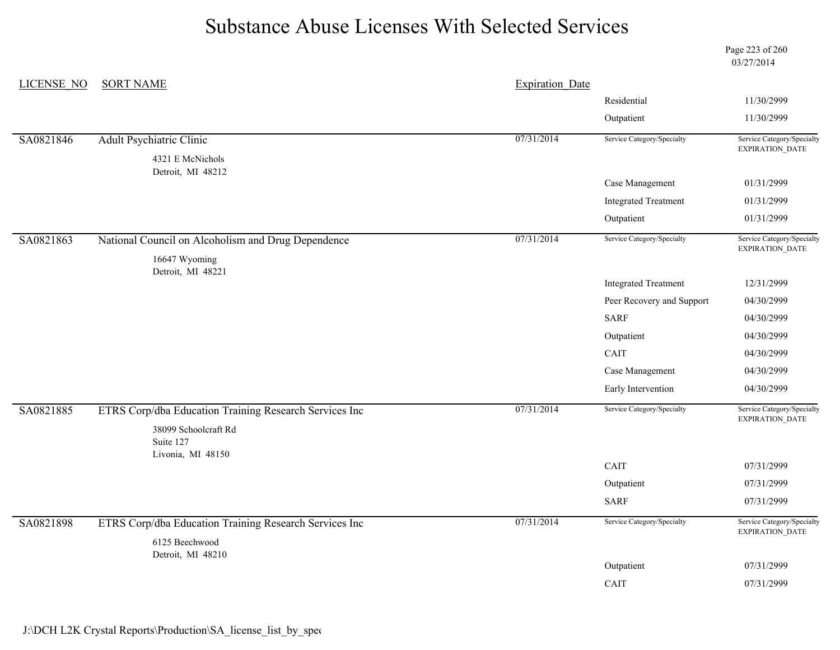Page 223 of 260 03/27/2014

| LICENSE NO | <b>SORT NAME</b>                                       | <b>Expiration Date</b> |                             |                                                                                                                                                                                                                                                                                                                                         |
|------------|--------------------------------------------------------|------------------------|-----------------------------|-----------------------------------------------------------------------------------------------------------------------------------------------------------------------------------------------------------------------------------------------------------------------------------------------------------------------------------------|
|            |                                                        |                        | Residential                 | 11/30/2999                                                                                                                                                                                                                                                                                                                              |
|            |                                                        |                        | Outpatient                  | 11/30/2999                                                                                                                                                                                                                                                                                                                              |
| SA0821846  | <b>Adult Psychiatric Clinic</b>                        | 07/31/2014             | Service Category/Specialty  |                                                                                                                                                                                                                                                                                                                                         |
|            | 4321 E McNichols<br>Detroit, MI 48212                  |                        |                             |                                                                                                                                                                                                                                                                                                                                         |
|            |                                                        |                        | Case Management             | 01/31/2999                                                                                                                                                                                                                                                                                                                              |
|            |                                                        |                        | <b>Integrated Treatment</b> | 01/31/2999                                                                                                                                                                                                                                                                                                                              |
|            |                                                        |                        | Outpatient                  | Service Category/Specialty<br>EXPIRATION_DATE<br>01/31/2999<br>Service Category/Specialty<br>EXPIRATION_DATE<br>12/31/2999<br>04/30/2999<br>04/30/2999<br>04/30/2999<br>04/30/2999<br>04/30/2999<br>04/30/2999<br>Service Category/Specialty<br>EXPIRATION_DATE<br>07/31/2999<br>07/31/2999<br>07/31/2999<br>Service Category/Specialty |
| SA0821863  | National Council on Alcoholism and Drug Dependence     | 07/31/2014             | Service Category/Specialty  |                                                                                                                                                                                                                                                                                                                                         |
|            | 16647 Wyoming                                          |                        |                             |                                                                                                                                                                                                                                                                                                                                         |
|            | Detroit, MI 48221                                      |                        | <b>Integrated Treatment</b> |                                                                                                                                                                                                                                                                                                                                         |
|            |                                                        |                        | Peer Recovery and Support   |                                                                                                                                                                                                                                                                                                                                         |
|            |                                                        |                        | <b>SARF</b>                 |                                                                                                                                                                                                                                                                                                                                         |
|            |                                                        |                        | Outpatient                  |                                                                                                                                                                                                                                                                                                                                         |
|            |                                                        |                        | CAIT                        |                                                                                                                                                                                                                                                                                                                                         |
|            |                                                        |                        | Case Management             |                                                                                                                                                                                                                                                                                                                                         |
|            |                                                        |                        | Early Intervention          |                                                                                                                                                                                                                                                                                                                                         |
| SA0821885  | ETRS Corp/dba Education Training Research Services Inc | 07/31/2014             | Service Category/Specialty  |                                                                                                                                                                                                                                                                                                                                         |
|            | 38099 Schoolcraft Rd<br>Suite 127<br>Livonia, MI 48150 |                        |                             |                                                                                                                                                                                                                                                                                                                                         |
|            |                                                        |                        | CAIT                        |                                                                                                                                                                                                                                                                                                                                         |
|            |                                                        |                        | Outpatient                  |                                                                                                                                                                                                                                                                                                                                         |
|            |                                                        |                        | <b>SARF</b>                 |                                                                                                                                                                                                                                                                                                                                         |
| SA0821898  | ETRS Corp/dba Education Training Research Services Inc | 07/31/2014             | Service Category/Specialty  | EXPIRATION_DATE                                                                                                                                                                                                                                                                                                                         |
|            | 6125 Beechwood                                         |                        |                             |                                                                                                                                                                                                                                                                                                                                         |
|            | Detroit, MI 48210                                      |                        | Outpatient                  | 07/31/2999                                                                                                                                                                                                                                                                                                                              |
|            |                                                        |                        | CAIT                        | 07/31/2999                                                                                                                                                                                                                                                                                                                              |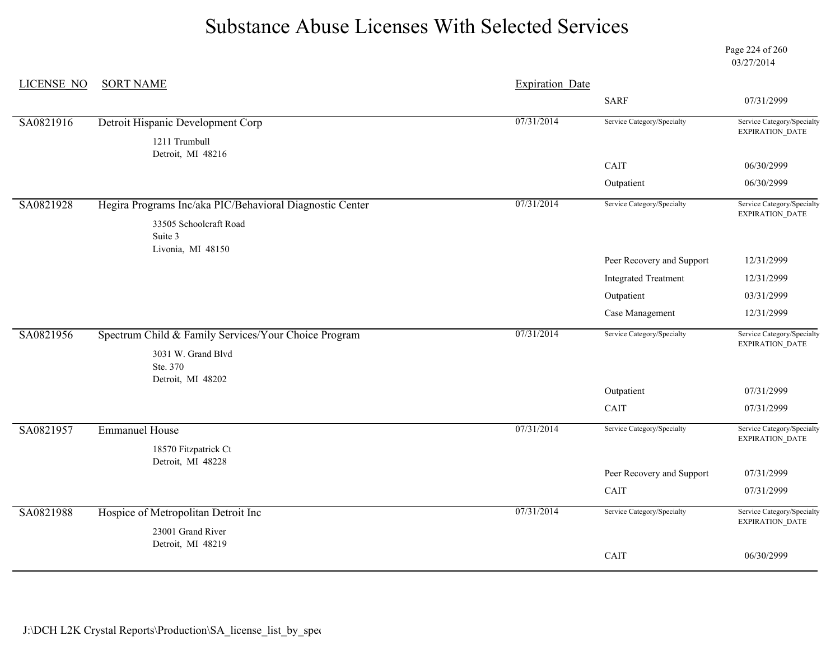Page 224 of 260 03/27/2014

| LICENSE NO | <b>SORT NAME</b>                                         | <b>Expiration Date</b> |                             |                                               |
|------------|----------------------------------------------------------|------------------------|-----------------------------|-----------------------------------------------|
|            |                                                          |                        | <b>SARF</b>                 | 07/31/2999                                    |
| SA0821916  | Detroit Hispanic Development Corp                        | 07/31/2014             | Service Category/Specialty  | Service Category/Specialty<br>EXPIRATION_DATE |
|            | 1211 Trumbull<br>Detroit, MI 48216                       |                        |                             |                                               |
|            |                                                          |                        | CAIT                        | 06/30/2999                                    |
|            |                                                          |                        | Outpatient                  | 06/30/2999                                    |
| SA0821928  | Hegira Programs Inc/aka PIC/Behavioral Diagnostic Center | 07/31/2014             | Service Category/Specialty  | Service Category/Specialty<br>EXPIRATION_DATE |
|            | 33505 Schoolcraft Road                                   |                        |                             |                                               |
|            | Suite 3                                                  |                        |                             |                                               |
|            | Livonia, MI 48150                                        |                        | Peer Recovery and Support   | 12/31/2999                                    |
|            |                                                          |                        | <b>Integrated Treatment</b> | 12/31/2999                                    |
|            |                                                          |                        | Outpatient                  | 03/31/2999                                    |
|            |                                                          |                        | Case Management             | 12/31/2999                                    |
| SA0821956  | Spectrum Child & Family Services/Your Choice Program     | 07/31/2014             | Service Category/Specialty  | Service Category/Specialty<br>EXPIRATION_DATE |
|            | 3031 W. Grand Blvd                                       |                        |                             |                                               |
|            | Ste. 370                                                 |                        |                             |                                               |
|            | Detroit, MI 48202                                        |                        | Outpatient                  | 07/31/2999                                    |
|            |                                                          |                        | CAIT                        | 07/31/2999                                    |
| SA0821957  | <b>Emmanuel House</b>                                    | 07/31/2014             | Service Category/Specialty  | Service Category/Specialty                    |
|            | 18570 Fitzpatrick Ct                                     |                        |                             | EXPIRATION_DATE                               |
|            | Detroit, MI 48228                                        |                        |                             |                                               |
|            |                                                          |                        | Peer Recovery and Support   | 07/31/2999                                    |
|            |                                                          |                        | CAIT                        | 07/31/2999                                    |
| SA0821988  | Hospice of Metropolitan Detroit Inc                      | 07/31/2014             | Service Category/Specialty  | Service Category/Specialty<br>EXPIRATION_DATE |
|            | 23001 Grand River                                        |                        |                             |                                               |
|            | Detroit, MI 48219                                        |                        | CAIT                        | 06/30/2999                                    |
|            |                                                          |                        |                             |                                               |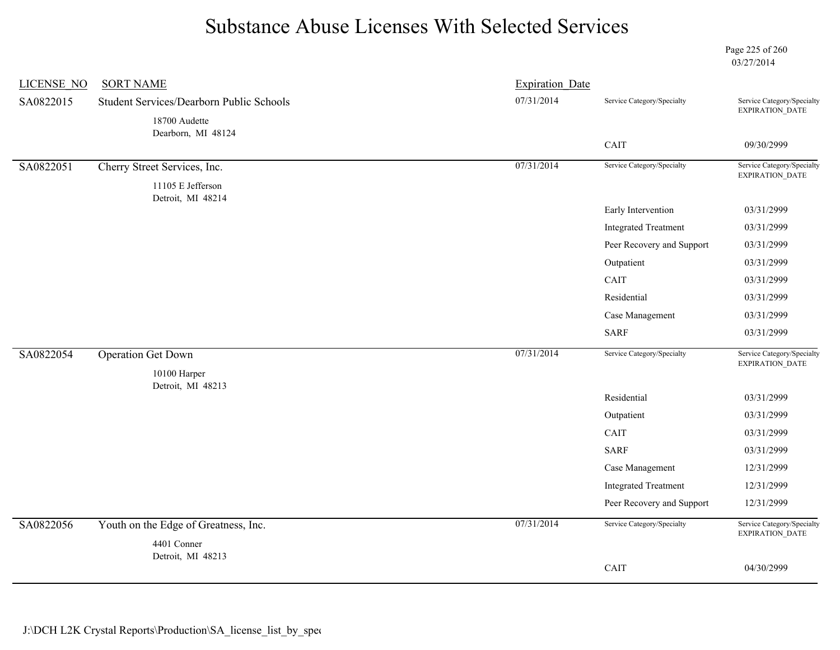Page 225 of 260 03/27/2014

| <b>LICENSE NO</b> | <b>SORT NAME</b>                                    | <b>Expiration Date</b> |                             |                                               |
|-------------------|-----------------------------------------------------|------------------------|-----------------------------|-----------------------------------------------|
| SA0822015         | Student Services/Dearborn Public Schools            | 07/31/2014             | Service Category/Specialty  | Service Category/Specialty<br>EXPIRATION_DATE |
|                   | 18700 Audette<br>Dearborn, MI 48124<br>CAIT         |                        |                             |                                               |
|                   |                                                     |                        |                             | 09/30/2999                                    |
| SA0822051         | Cherry Street Services, Inc.                        | 07/31/2014             | Service Category/Specialty  | Service Category/Specialty<br>EXPIRATION_DATE |
|                   | 11105 E Jefferson<br>Detroit, MI 48214              |                        |                             |                                               |
|                   |                                                     |                        | Early Intervention          | 03/31/2999                                    |
|                   |                                                     |                        | <b>Integrated Treatment</b> | 03/31/2999                                    |
|                   |                                                     |                        | Peer Recovery and Support   | 03/31/2999                                    |
|                   |                                                     |                        | Outpatient                  | 03/31/2999                                    |
|                   |                                                     |                        | CAIT                        | 03/31/2999                                    |
|                   |                                                     |                        | Residential                 | 03/31/2999                                    |
|                   |                                                     |                        | Case Management             | 03/31/2999                                    |
|                   |                                                     |                        | <b>SARF</b>                 | 03/31/2999                                    |
| SA0822054         | <b>Operation Get Down</b>                           | 07/31/2014             | Service Category/Specialty  | Service Category/Specialty<br>EXPIRATION_DATE |
|                   | 10100 Harper<br>Detroit, MI 48213                   |                        |                             |                                               |
|                   |                                                     |                        | Residential                 | 03/31/2999                                    |
|                   |                                                     |                        | Outpatient                  | 03/31/2999                                    |
|                   |                                                     |                        | CAIT                        | 03/31/2999                                    |
|                   |                                                     |                        | <b>SARF</b>                 | 03/31/2999                                    |
|                   |                                                     |                        | Case Management             | 12/31/2999                                    |
|                   |                                                     |                        | <b>Integrated Treatment</b> | 12/31/2999                                    |
|                   |                                                     |                        | Peer Recovery and Support   | 12/31/2999                                    |
| SA0822056         | Youth on the Edge of Greatness, Inc.<br>4401 Conner | 07/31/2014             | Service Category/Specialty  | Service Category/Specialty<br>EXPIRATION_DATE |
|                   | Detroit, MI 48213                                   |                        |                             |                                               |
|                   |                                                     |                        | CAIT                        | 04/30/2999                                    |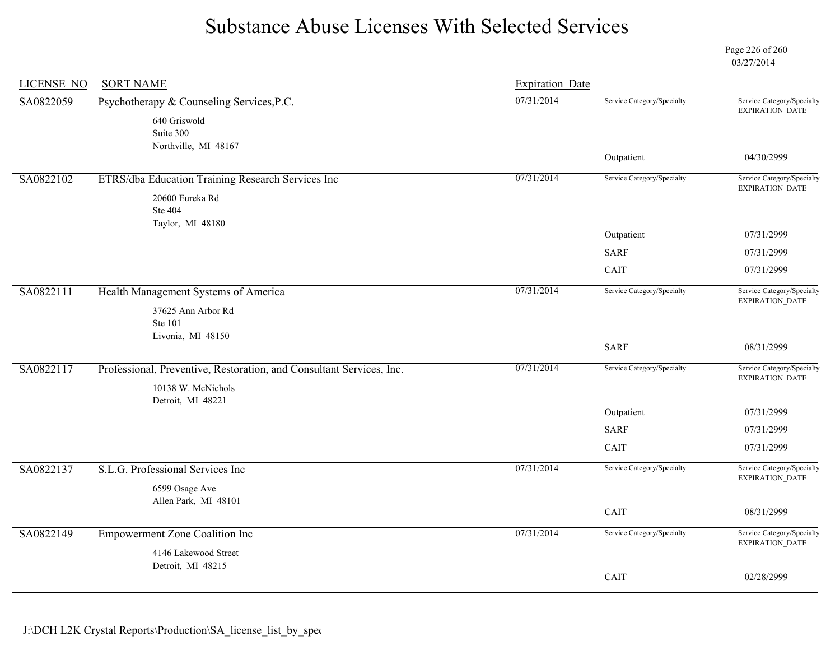Page 226 of 260 03/27/2014

| <b>LICENSE NO</b> | <b>SORT NAME</b>                                                     | <b>Expiration Date</b> |                            |                                                      |
|-------------------|----------------------------------------------------------------------|------------------------|----------------------------|------------------------------------------------------|
| SA0822059         | Psychotherapy & Counseling Services, P.C.                            | 07/31/2014             | Service Category/Specialty | Service Category/Specialty<br>EXPIRATION_DATE        |
|                   | 640 Griswold<br>Suite 300                                            |                        |                            |                                                      |
|                   | Northville, MI 48167                                                 |                        | Outpatient                 | 04/30/2999                                           |
| SA0822102         | ETRS/dba Education Training Research Services Inc                    | 07/31/2014             | Service Category/Specialty | Service Category/Specialty<br><b>EXPIRATION DATE</b> |
|                   | 20600 Eureka Rd                                                      |                        |                            |                                                      |
|                   | Ste 404                                                              |                        |                            |                                                      |
|                   | Taylor, MI 48180                                                     |                        | Outpatient                 | 07/31/2999                                           |
|                   |                                                                      |                        | <b>SARF</b>                | 07/31/2999                                           |
|                   |                                                                      |                        | CAIT                       | 07/31/2999                                           |
| SA0822111         | Health Management Systems of America                                 | 07/31/2014             | Service Category/Specialty | Service Category/Specialty<br>EXPIRATION_DATE        |
|                   | 37625 Ann Arbor Rd                                                   |                        |                            |                                                      |
|                   | <b>Ste 101</b>                                                       |                        |                            |                                                      |
|                   | Livonia, MI 48150                                                    |                        | <b>SARF</b>                | 08/31/2999                                           |
| SA0822117         | Professional, Preventive, Restoration, and Consultant Services, Inc. | 07/31/2014             | Service Category/Specialty | Service Category/Specialty<br><b>EXPIRATION DATE</b> |
|                   | 10138 W. McNichols                                                   |                        |                            |                                                      |
|                   | Detroit, MI 48221                                                    |                        | Outpatient                 | 07/31/2999                                           |
|                   |                                                                      |                        | <b>SARF</b>                | 07/31/2999                                           |
|                   |                                                                      |                        | CAIT                       | 07/31/2999                                           |
| SA0822137         | S.L.G. Professional Services Inc                                     | 07/31/2014             | Service Category/Specialty | Service Category/Specialty<br>EXPIRATION_DATE        |
|                   | 6599 Osage Ave                                                       |                        |                            |                                                      |
|                   | Allen Park, MI 48101                                                 |                        | CAIT                       | 08/31/2999                                           |
| SA0822149         | <b>Empowerment Zone Coalition Inc</b>                                | 07/31/2014             | Service Category/Specialty | Service Category/Specialty                           |
|                   | 4146 Lakewood Street                                                 |                        |                            | EXPIRATION_DATE                                      |
|                   | Detroit, MI 48215                                                    |                        |                            |                                                      |
|                   |                                                                      |                        | CAIT                       | 02/28/2999                                           |
|                   |                                                                      |                        |                            |                                                      |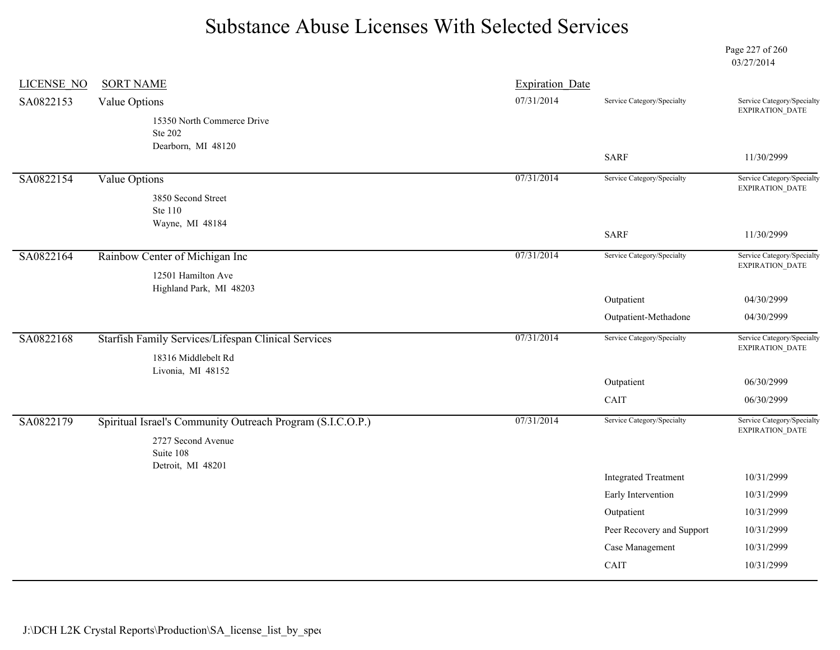Page 227 of 260 03/27/2014

| <b>LICENSE NO</b> | <b>SORT NAME</b>                                            | <b>Expiration Date</b> |                             |                                               |
|-------------------|-------------------------------------------------------------|------------------------|-----------------------------|-----------------------------------------------|
| SA0822153         | Value Options                                               | 07/31/2014             | Service Category/Specialty  | Service Category/Specialty<br>EXPIRATION_DATE |
|                   | 15350 North Commerce Drive<br>Ste 202<br>Dearborn, MI 48120 |                        |                             |                                               |
|                   |                                                             |                        | <b>SARF</b>                 | 11/30/2999                                    |
| SA0822154         | Value Options                                               | 07/31/2014             | Service Category/Specialty  | Service Category/Specialty<br>EXPIRATION_DATE |
|                   | 3850 Second Street<br>Ste 110<br>Wayne, MI 48184            |                        |                             |                                               |
|                   |                                                             |                        | <b>SARF</b>                 | 11/30/2999                                    |
| SA0822164         | Rainbow Center of Michigan Inc                              | 07/31/2014             | Service Category/Specialty  | Service Category/Specialty<br>EXPIRATION_DATE |
|                   | 12501 Hamilton Ave<br>Highland Park, MI 48203               |                        |                             |                                               |
|                   |                                                             |                        | Outpatient                  | 04/30/2999                                    |
|                   |                                                             |                        | Outpatient-Methadone        | 04/30/2999                                    |
| SA0822168         | Starfish Family Services/Lifespan Clinical Services         | 07/31/2014             | Service Category/Specialty  | Service Category/Specialty<br>EXPIRATION_DATE |
|                   | 18316 Middlebelt Rd<br>Livonia, MI 48152                    |                        |                             |                                               |
|                   |                                                             |                        | Outpatient                  | 06/30/2999                                    |
|                   |                                                             |                        | CAIT                        | 06/30/2999                                    |
| SA0822179         | Spiritual Israel's Community Outreach Program (S.I.C.O.P.)  | 07/31/2014             | Service Category/Specialty  | Service Category/Specialty<br>EXPIRATION_DATE |
|                   | 2727 Second Avenue<br>Suite 108                             |                        |                             |                                               |
|                   | Detroit, MI 48201                                           |                        | <b>Integrated Treatment</b> | 10/31/2999                                    |
|                   |                                                             |                        | Early Intervention          | 10/31/2999                                    |
|                   |                                                             |                        | Outpatient                  | 10/31/2999                                    |
|                   |                                                             |                        | Peer Recovery and Support   | 10/31/2999                                    |
|                   |                                                             |                        | Case Management             | 10/31/2999                                    |
|                   |                                                             |                        | CAIT                        | 10/31/2999                                    |
|                   |                                                             |                        |                             |                                               |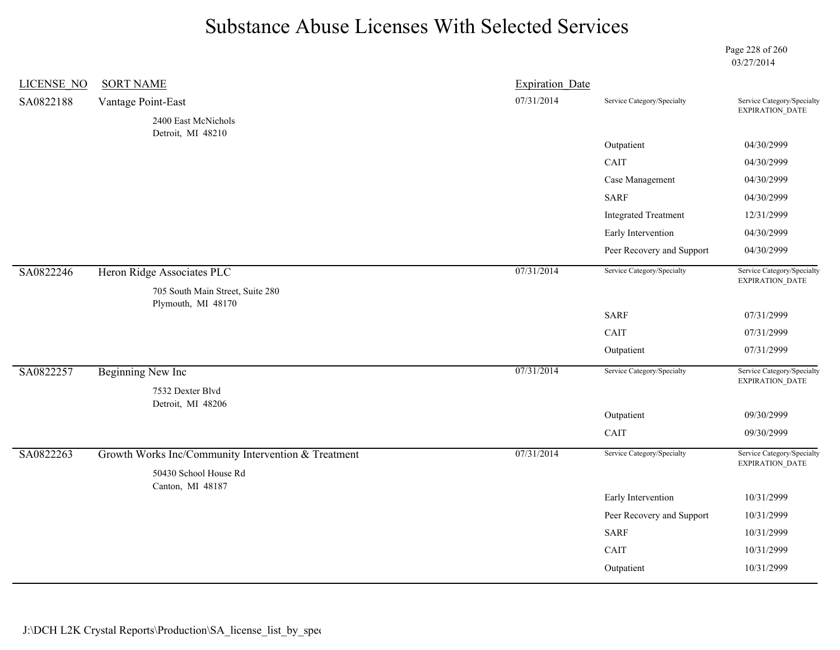Page 228 of 260 03/27/2014

| <b>LICENSE NO</b> | <b>SORT NAME</b>                                                             | <b>Expiration Date</b> |                             |                                               |
|-------------------|------------------------------------------------------------------------------|------------------------|-----------------------------|-----------------------------------------------|
| SA0822188         | Vantage Point-East                                                           | 07/31/2014             | Service Category/Specialty  | Service Category/Specialty<br>EXPIRATION_DATE |
|                   | 2400 East McNichols                                                          |                        |                             |                                               |
|                   | Detroit, MI 48210                                                            |                        | Outpatient                  | 04/30/2999                                    |
|                   |                                                                              |                        | CAIT                        | 04/30/2999                                    |
|                   |                                                                              |                        | Case Management             | 04/30/2999                                    |
|                   |                                                                              |                        | <b>SARF</b>                 | 04/30/2999                                    |
|                   |                                                                              |                        | <b>Integrated Treatment</b> | 12/31/2999                                    |
|                   |                                                                              |                        | Early Intervention          | 04/30/2999                                    |
|                   |                                                                              |                        | Peer Recovery and Support   | 04/30/2999                                    |
| SA0822246         | Heron Ridge Associates PLC<br>705 South Main Street, Suite 280               | 07/31/2014             | Service Category/Specialty  | Service Category/Specialty<br>EXPIRATION_DATE |
|                   | Plymouth, MI 48170                                                           |                        | <b>SARF</b>                 | 07/31/2999                                    |
|                   |                                                                              |                        | CAIT                        | 07/31/2999                                    |
|                   |                                                                              |                        | Outpatient                  | 07/31/2999                                    |
|                   |                                                                              |                        |                             |                                               |
| SA0822257         | <b>Beginning New Inc</b><br>7532 Dexter Blvd                                 | 07/31/2014             | Service Category/Specialty  | Service Category/Specialty<br>EXPIRATION_DATE |
|                   | Detroit, MI 48206                                                            |                        | Outpatient                  | 09/30/2999                                    |
|                   |                                                                              |                        | CAIT                        | 09/30/2999                                    |
|                   |                                                                              |                        |                             |                                               |
| SA0822263         | Growth Works Inc/Community Intervention & Treatment<br>50430 School House Rd | 07/31/2014             | Service Category/Specialty  | Service Category/Specialty<br>EXPIRATION_DATE |
|                   | Canton, MI 48187                                                             |                        | Early Intervention          | 10/31/2999                                    |
|                   |                                                                              |                        | Peer Recovery and Support   | 10/31/2999                                    |
|                   |                                                                              |                        | <b>SARF</b>                 | 10/31/2999                                    |
|                   |                                                                              |                        | CAIT                        | 10/31/2999                                    |
|                   |                                                                              |                        | Outpatient                  | 10/31/2999                                    |
|                   |                                                                              |                        |                             |                                               |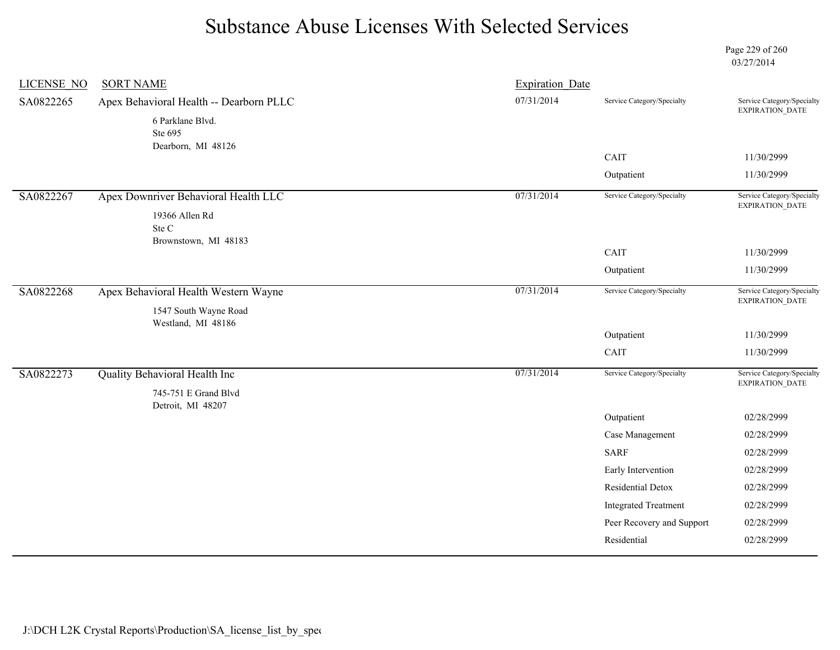Page 229 of 260 03/27/2014

| <b>LICENSE NO</b> | <b>SORT NAME</b>                        | <b>Expiration Date</b> |                                                          |                                                      |
|-------------------|-----------------------------------------|------------------------|----------------------------------------------------------|------------------------------------------------------|
| SA0822265         | Apex Behavioral Health -- Dearborn PLLC | 07/31/2014             | Service Category/Specialty                               | Service Category/Specialty<br>EXPIRATION_DATE        |
|                   | 6 Parklane Blvd.                        |                        |                                                          |                                                      |
|                   | Ste 695                                 |                        |                                                          |                                                      |
|                   | Dearborn, MI 48126                      |                        | CAIT                                                     | 11/30/2999                                           |
|                   |                                         |                        | Outpatient                                               | 11/30/2999                                           |
| SA0822267         | Apex Downriver Behavioral Health LLC    | 07/31/2014             | Service Category/Specialty                               | Service Category/Specialty<br>EXPIRATION_DATE        |
|                   | 19366 Allen Rd                          |                        |                                                          |                                                      |
|                   | Ste C<br>Brownstown, MI 48183           |                        |                                                          |                                                      |
|                   |                                         |                        | CAIT                                                     | 11/30/2999                                           |
|                   |                                         |                        | Outpatient                                               | 11/30/2999                                           |
| SA0822268         | Apex Behavioral Health Western Wayne    | 07/31/2014             | Service Category/Specialty                               | Service Category/Specialty<br>EXPIRATION_DATE        |
|                   | 1547 South Wayne Road                   |                        |                                                          |                                                      |
|                   | Westland, MI 48186                      |                        | Outpatient                                               | 11/30/2999                                           |
|                   |                                         |                        | CAIT                                                     |                                                      |
|                   |                                         |                        |                                                          | 11/30/2999                                           |
| SA0822273         | Quality Behavioral Health Inc           | 07/31/2014             | Service Category/Specialty                               | Service Category/Specialty<br><b>EXPIRATION DATE</b> |
|                   | 745-751 E Grand Blvd                    |                        |                                                          |                                                      |
|                   | Detroit, MI 48207                       |                        |                                                          |                                                      |
|                   |                                         |                        |                                                          |                                                      |
|                   |                                         |                        | Outpatient                                               | 02/28/2999                                           |
|                   |                                         |                        | Case Management<br><b>SARF</b>                           | 02/28/2999<br>02/28/2999                             |
|                   |                                         |                        |                                                          | 02/28/2999                                           |
|                   |                                         |                        | Early Intervention<br>Residential Detox                  |                                                      |
|                   |                                         |                        |                                                          | 02/28/2999                                           |
|                   |                                         |                        | <b>Integrated Treatment</b><br>Peer Recovery and Support | 02/28/2999<br>02/28/2999                             |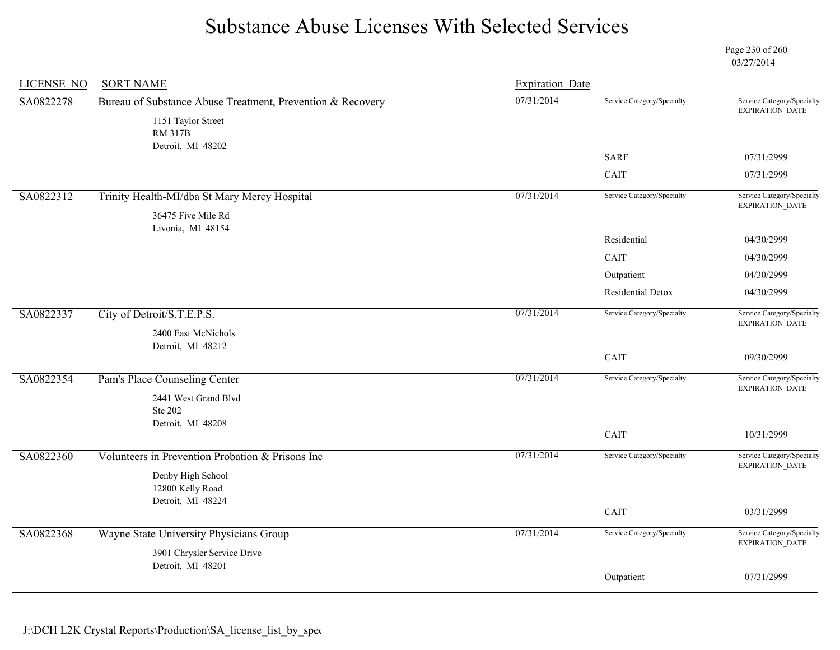Page 230 of 260 03/27/2014

| <b>LICENSE NO</b> | <b>SORT NAME</b>                                           | <b>Expiration Date</b> |                            |                                                      |
|-------------------|------------------------------------------------------------|------------------------|----------------------------|------------------------------------------------------|
| SA0822278         | Bureau of Substance Abuse Treatment, Prevention & Recovery | 07/31/2014             | Service Category/Specialty | Service Category/Specialty<br>EXPIRATION_DATE        |
|                   | 1151 Taylor Street<br><b>RM 317B</b>                       |                        |                            |                                                      |
|                   | Detroit, MI 48202                                          |                        | <b>SARF</b>                | 07/31/2999                                           |
|                   |                                                            |                        | CAIT                       | 07/31/2999                                           |
| SA0822312         | Trinity Health-MI/dba St Mary Mercy Hospital               | 07/31/2014             | Service Category/Specialty | Service Category/Specialty<br><b>EXPIRATION DATE</b> |
|                   | 36475 Five Mile Rd<br>Livonia, MI 48154                    |                        |                            |                                                      |
|                   |                                                            |                        | Residential                | 04/30/2999                                           |
|                   |                                                            |                        | CAIT                       | 04/30/2999                                           |
|                   |                                                            |                        | Outpatient                 | 04/30/2999                                           |
|                   |                                                            |                        | <b>Residential Detox</b>   | 04/30/2999                                           |
| SA0822337         | City of Detroit/S.T.E.P.S.                                 | 07/31/2014             | Service Category/Specialty | Service Category/Specialty<br>EXPIRATION_DATE        |
|                   | 2400 East McNichols<br>Detroit, MI 48212                   |                        |                            |                                                      |
|                   |                                                            |                        | CAIT                       | 09/30/2999                                           |
| SA0822354         | Pam's Place Counseling Center                              | 07/31/2014             | Service Category/Specialty | Service Category/Specialty<br><b>EXPIRATION DATE</b> |
|                   | 2441 West Grand Blvd<br>Ste 202                            |                        |                            |                                                      |
|                   | Detroit, MI 48208                                          |                        |                            |                                                      |
|                   |                                                            |                        | CAIT                       | 10/31/2999                                           |
| SA0822360         | Volunteers in Prevention Probation & Prisons Inc           | 07/31/2014             | Service Category/Specialty | Service Category/Specialty<br>EXPIRATION_DATE        |
|                   | Denby High School                                          |                        |                            |                                                      |
|                   | 12800 Kelly Road<br>Detroit, MI 48224                      |                        |                            |                                                      |
|                   |                                                            |                        | CAIT                       | 03/31/2999                                           |
| SA0822368         | Wayne State University Physicians Group                    | 07/31/2014             | Service Category/Specialty | Service Category/Specialty<br>EXPIRATION_DATE        |
|                   | 3901 Chrysler Service Drive                                |                        |                            |                                                      |
|                   | Detroit, MI 48201                                          |                        | Outpatient                 | 07/31/2999                                           |
|                   |                                                            |                        |                            |                                                      |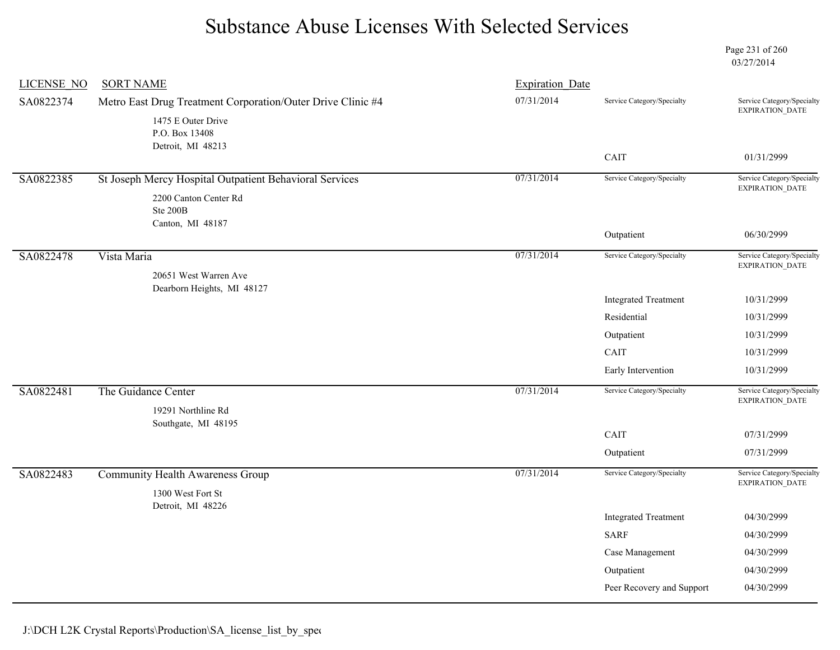Page 231 of 260 03/27/2014

| <b>LICENSE NO</b> | <b>SORT NAME</b>                                             | <b>Expiration Date</b> |                             |                                                      |
|-------------------|--------------------------------------------------------------|------------------------|-----------------------------|------------------------------------------------------|
| SA0822374         | Metro East Drug Treatment Corporation/Outer Drive Clinic #4  | 07/31/2014             | Service Category/Specialty  | Service Category/Specialty                           |
|                   | 1475 E Outer Drive<br>P.O. Box 13408<br>Detroit, MI 48213    |                        |                             | EXPIRATION_DATE                                      |
|                   |                                                              |                        | CAIT                        | 01/31/2999                                           |
| SA0822385         | St Joseph Mercy Hospital Outpatient Behavioral Services      | 07/31/2014             | Service Category/Specialty  | Service Category/Specialty<br>EXPIRATION_DATE        |
|                   | 2200 Canton Center Rd<br>Ste 200B<br>Canton, MI 48187        |                        |                             |                                                      |
|                   |                                                              |                        | Outpatient                  | 06/30/2999                                           |
| SA0822478         | Vista Maria<br>20651 West Warren Ave                         | 07/31/2014             | Service Category/Specialty  | Service Category/Specialty<br>EXPIRATION_DATE        |
|                   | Dearborn Heights, MI 48127                                   |                        | <b>Integrated Treatment</b> | 10/31/2999                                           |
|                   |                                                              |                        | Residential                 | 10/31/2999                                           |
|                   |                                                              |                        | Outpatient                  | 10/31/2999                                           |
|                   |                                                              |                        | CAIT                        | 10/31/2999                                           |
|                   |                                                              |                        | Early Intervention          | 10/31/2999                                           |
| SA0822481         | The Guidance Center<br>19291 Northline Rd                    | 07/31/2014             | Service Category/Specialty  | Service Category/Specialty<br>EXPIRATION_DATE        |
|                   | Southgate, MI 48195                                          |                        |                             |                                                      |
|                   |                                                              |                        | CAIT                        | 07/31/2999                                           |
|                   |                                                              |                        | Outpatient                  | 07/31/2999                                           |
| SA0822483         | <b>Community Health Awareness Group</b><br>1300 West Fort St | 07/31/2014             | Service Category/Specialty  | Service Category/Specialty<br><b>EXPIRATION DATE</b> |
|                   | Detroit, MI 48226                                            |                        | <b>Integrated Treatment</b> | 04/30/2999                                           |
|                   |                                                              |                        | <b>SARF</b>                 | 04/30/2999                                           |
|                   |                                                              |                        | Case Management             | 04/30/2999                                           |
|                   |                                                              |                        | Outpatient                  | 04/30/2999                                           |
|                   |                                                              |                        | Peer Recovery and Support   | 04/30/2999                                           |
|                   |                                                              |                        |                             |                                                      |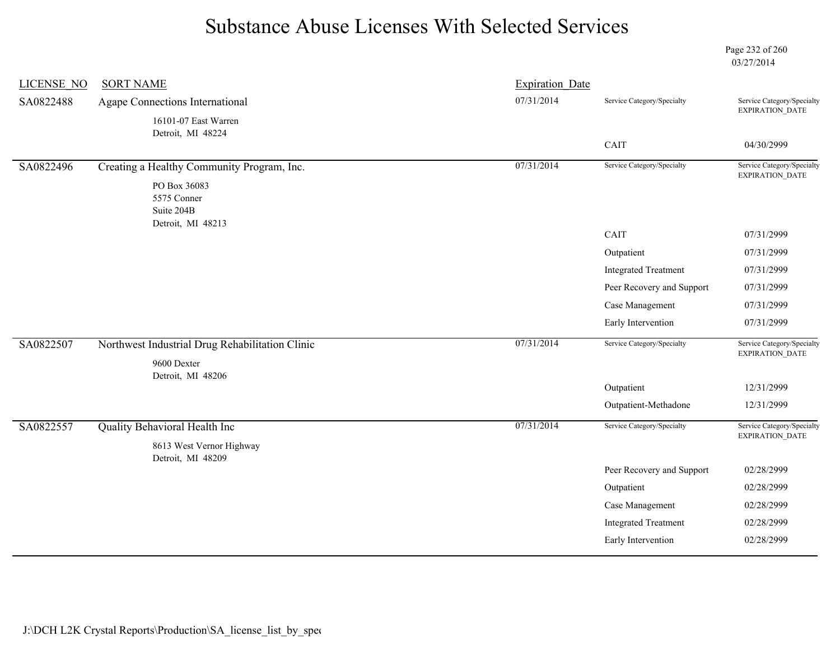Page 232 of 260 03/27/2014

| <b>LICENSE NO</b> | <b>SORT NAME</b>                                               | <b>Expiration Date</b> |                             |                                                      |
|-------------------|----------------------------------------------------------------|------------------------|-----------------------------|------------------------------------------------------|
| SA0822488         | Agape Connections International                                | 07/31/2014             | Service Category/Specialty  | Service Category/Specialty<br>EXPIRATION_DATE        |
|                   | 16101-07 East Warren<br>Detroit, MI 48224                      |                        |                             |                                                      |
|                   |                                                                |                        | CAIT                        | 04/30/2999                                           |
| SA0822496         | Creating a Healthy Community Program, Inc.                     | 07/31/2014             | Service Category/Specialty  | Service Category/Specialty<br>EXPIRATION_DATE        |
|                   | PO Box 36083<br>5575 Conner<br>Suite 204B<br>Detroit, MI 48213 |                        |                             |                                                      |
|                   |                                                                |                        | CAIT                        | 07/31/2999                                           |
|                   |                                                                |                        | Outpatient                  | 07/31/2999                                           |
|                   |                                                                |                        | <b>Integrated Treatment</b> | 07/31/2999                                           |
|                   |                                                                |                        | Peer Recovery and Support   | 07/31/2999                                           |
|                   |                                                                |                        | Case Management             | 07/31/2999                                           |
|                   |                                                                |                        | Early Intervention          | 07/31/2999                                           |
| SA0822507         | Northwest Industrial Drug Rehabilitation Clinic<br>9600 Dexter | 07/31/2014             | Service Category/Specialty  | Service Category/Specialty<br>EXPIRATION_DATE        |
|                   | Detroit, MI 48206                                              |                        | Outpatient                  | 12/31/2999                                           |
|                   |                                                                |                        | Outpatient-Methadone        | 12/31/2999                                           |
|                   |                                                                |                        |                             |                                                      |
| SA0822557         | Quality Behavioral Health Inc                                  | 07/31/2014             | Service Category/Specialty  | Service Category/Specialty<br><b>EXPIRATION DATE</b> |
|                   | 8613 West Vernor Highway<br>Detroit, MI 48209                  |                        |                             |                                                      |
|                   |                                                                |                        | Peer Recovery and Support   | 02/28/2999                                           |
|                   |                                                                |                        | Outpatient                  | 02/28/2999                                           |
|                   |                                                                |                        | Case Management             | 02/28/2999                                           |
|                   |                                                                |                        | <b>Integrated Treatment</b> | 02/28/2999                                           |
|                   |                                                                |                        | Early Intervention          | 02/28/2999                                           |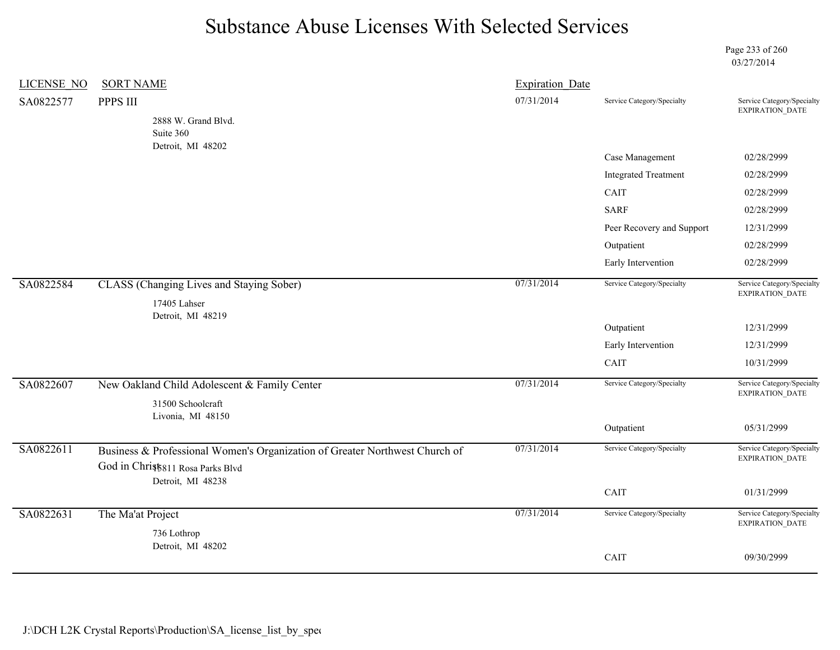Page 233 of 260 03/27/2014

| LICENSE NO | <b>SORT NAME</b>                                                                                                 | <b>Expiration Date</b> |                             |                                                      |
|------------|------------------------------------------------------------------------------------------------------------------|------------------------|-----------------------------|------------------------------------------------------|
| SA0822577  | PPPS III                                                                                                         | 07/31/2014             | Service Category/Specialty  | Service Category/Specialty                           |
|            | 2888 W. Grand Blvd.                                                                                              |                        |                             | <b>EXPIRATION DATE</b>                               |
|            | Suite 360                                                                                                        |                        |                             |                                                      |
|            | Detroit, MI 48202                                                                                                |                        | Case Management             | 02/28/2999                                           |
|            |                                                                                                                  |                        | <b>Integrated Treatment</b> | 02/28/2999                                           |
|            |                                                                                                                  |                        | CAIT                        | 02/28/2999                                           |
|            |                                                                                                                  |                        | <b>SARF</b>                 | 02/28/2999                                           |
|            |                                                                                                                  |                        | Peer Recovery and Support   | 12/31/2999                                           |
|            |                                                                                                                  |                        | Outpatient                  | 02/28/2999                                           |
|            |                                                                                                                  |                        | Early Intervention          | 02/28/2999                                           |
| SA0822584  | CLASS (Changing Lives and Staying Sober)                                                                         | 07/31/2014             | Service Category/Specialty  | Service Category/Specialty<br>EXPIRATION_DATE        |
|            | 17405 Lahser<br>Detroit, MI 48219                                                                                |                        |                             |                                                      |
|            |                                                                                                                  |                        | Outpatient                  | 12/31/2999                                           |
|            |                                                                                                                  |                        | Early Intervention          | 12/31/2999                                           |
|            |                                                                                                                  |                        | CAIT                        | 10/31/2999                                           |
| SA0822607  | New Oakland Child Adolescent & Family Center                                                                     | 07/31/2014             | Service Category/Specialty  | Service Category/Specialty<br>EXPIRATION_DATE        |
|            | 31500 Schoolcraft<br>Livonia, MI 48150                                                                           |                        |                             |                                                      |
|            |                                                                                                                  |                        | Outpatient                  | 05/31/2999                                           |
| SA0822611  | Business & Professional Women's Organization of Greater Northwest Church of<br>God in Christ 811 Rosa Parks Blvd | 07/31/2014             | Service Category/Specialty  | Service Category/Specialty<br>EXPIRATION_DATE        |
|            | Detroit, MI 48238                                                                                                |                        |                             |                                                      |
|            |                                                                                                                  |                        | CAIT                        | 01/31/2999                                           |
| SA0822631  | The Ma'at Project                                                                                                | 07/31/2014             | Service Category/Specialty  | Service Category/Specialty<br><b>EXPIRATION DATE</b> |
|            | 736 Lothrop                                                                                                      |                        |                             |                                                      |
|            | Detroit, MI 48202                                                                                                |                        | CAIT                        | 09/30/2999                                           |
|            |                                                                                                                  |                        |                             |                                                      |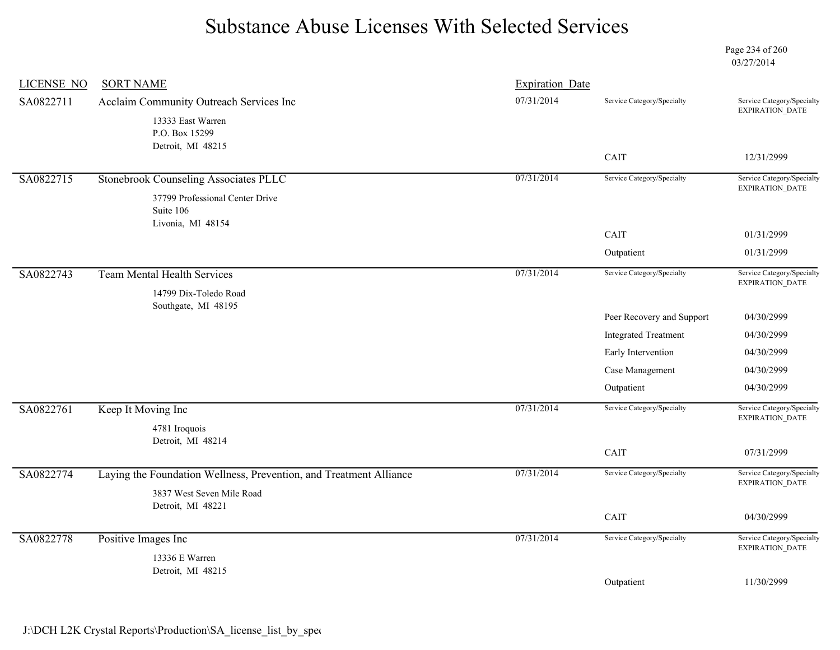Page 234 of 260 03/27/2014

| <b>LICENSE NO</b> | <b>SORT NAME</b>                                                   | <b>Expiration Date</b> |                             |                                                      |
|-------------------|--------------------------------------------------------------------|------------------------|-----------------------------|------------------------------------------------------|
| SA0822711         | Acclaim Community Outreach Services Inc                            | 07/31/2014             | Service Category/Specialty  | Service Category/Specialty<br>EXPIRATION_DATE        |
|                   | 13333 East Warren<br>P.O. Box 15299<br>Detroit, MI 48215           |                        |                             |                                                      |
|                   |                                                                    |                        | CAIT                        | 12/31/2999                                           |
| SA0822715         | Stonebrook Counseling Associates PLLC                              | 07/31/2014             | Service Category/Specialty  | Service Category/Specialty<br><b>EXPIRATION DATE</b> |
|                   | 37799 Professional Center Drive<br>Suite 106<br>Livonia, MI 48154  |                        |                             |                                                      |
|                   |                                                                    |                        | CAIT                        | 01/31/2999                                           |
|                   |                                                                    |                        | Outpatient                  | 01/31/2999                                           |
| SA0822743         | <b>Team Mental Health Services</b><br>14799 Dix-Toledo Road        | 07/31/2014             | Service Category/Specialty  | Service Category/Specialty<br>EXPIRATION_DATE        |
|                   | Southgate, MI 48195                                                |                        | Peer Recovery and Support   | 04/30/2999                                           |
|                   |                                                                    |                        | <b>Integrated Treatment</b> | 04/30/2999                                           |
|                   |                                                                    |                        | Early Intervention          | 04/30/2999                                           |
|                   |                                                                    |                        | Case Management             | 04/30/2999                                           |
|                   |                                                                    |                        | Outpatient                  | 04/30/2999                                           |
| SA0822761         | Keep It Moving Inc                                                 | 07/31/2014             | Service Category/Specialty  | Service Category/Specialty<br>EXPIRATION_DATE        |
|                   | 4781 Iroquois<br>Detroit, MI 48214                                 |                        | CAIT                        | 07/31/2999                                           |
| SA0822774         | Laying the Foundation Wellness, Prevention, and Treatment Alliance | 07/31/2014             | Service Category/Specialty  | Service Category/Specialty                           |
|                   | 3837 West Seven Mile Road<br>Detroit, MI 48221                     |                        |                             | EXPIRATION_DATE                                      |
|                   |                                                                    |                        | CAIT                        | 04/30/2999                                           |
| SA0822778         | Positive Images Inc                                                | 07/31/2014             | Service Category/Specialty  | Service Category/Specialty<br>EXPIRATION_DATE        |
|                   | 13336 E Warren<br>Detroit, MI 48215                                |                        |                             |                                                      |
|                   |                                                                    |                        | Outpatient                  | 11/30/2999                                           |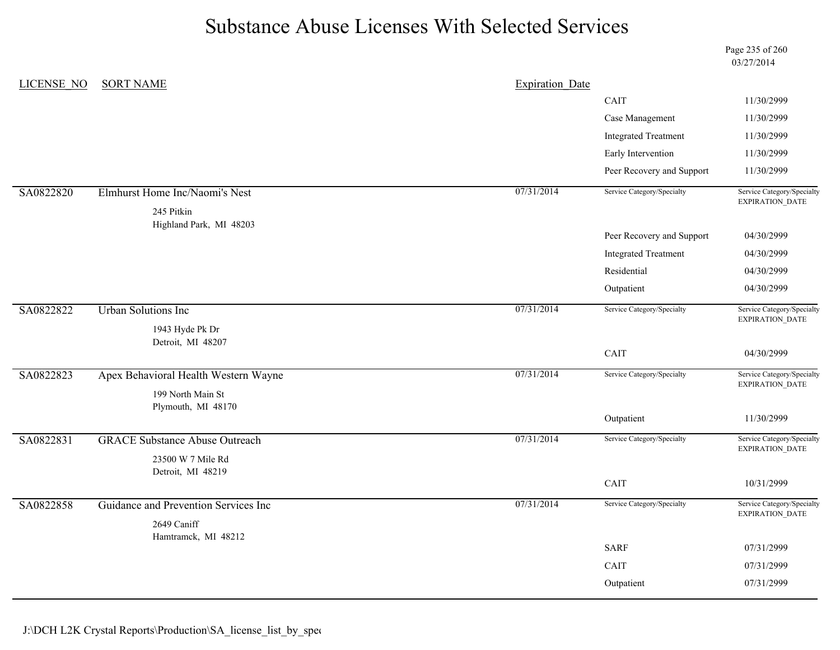Page 235 of 260 03/27/2014

| <b>LICENSE NO</b> | <b>SORT NAME</b>                       | <b>Expiration Date</b> |                             |                                               |
|-------------------|----------------------------------------|------------------------|-----------------------------|-----------------------------------------------|
|                   |                                        |                        | CAIT                        | 11/30/2999                                    |
|                   |                                        |                        | Case Management             | 11/30/2999                                    |
|                   |                                        |                        | <b>Integrated Treatment</b> | 11/30/2999                                    |
|                   |                                        |                        | Early Intervention          | 11/30/2999                                    |
|                   |                                        |                        | Peer Recovery and Support   | 11/30/2999                                    |
| SA0822820         | Elmhurst Home Inc/Naomi's Nest         | 07/31/2014             | Service Category/Specialty  | Service Category/Specialty<br>EXPIRATION_DATE |
|                   | 245 Pitkin                             |                        |                             |                                               |
|                   | Highland Park, MI 48203                |                        | Peer Recovery and Support   | 04/30/2999                                    |
|                   |                                        |                        | <b>Integrated Treatment</b> | 04/30/2999                                    |
|                   |                                        |                        | Residential                 | 04/30/2999                                    |
|                   |                                        |                        | Outpatient                  | 04/30/2999                                    |
| SA0822822         | <b>Urban Solutions Inc</b>             | 07/31/2014             | Service Category/Specialty  | Service Category/Specialty                    |
|                   | 1943 Hyde Pk Dr                        |                        |                             | EXPIRATION_DATE                               |
|                   | Detroit, MI 48207                      |                        |                             |                                               |
|                   |                                        |                        | CAIT                        | 04/30/2999                                    |
| SA0822823         | Apex Behavioral Health Western Wayne   | 07/31/2014             | Service Category/Specialty  | Service Category/Specialty<br>EXPIRATION_DATE |
|                   | 199 North Main St                      |                        |                             |                                               |
|                   | Plymouth, MI 48170                     |                        | Outpatient                  | 11/30/2999                                    |
| SA0822831         | <b>GRACE Substance Abuse Outreach</b>  | 07/31/2014             | Service Category/Specialty  | Service Category/Specialty                    |
|                   |                                        |                        |                             | <b>EXPIRATION DATE</b>                        |
|                   | 23500 W 7 Mile Rd<br>Detroit, MI 48219 |                        |                             |                                               |
|                   |                                        |                        | CAIT                        | 10/31/2999                                    |
| SA0822858         | Guidance and Prevention Services Inc   | 07/31/2014             | Service Category/Specialty  | Service Category/Specialty                    |
|                   | 2649 Caniff                            |                        |                             | EXPIRATION_DATE                               |
|                   | Hamtramck, MI 48212                    |                        | <b>SARF</b>                 | 07/31/2999                                    |
|                   |                                        |                        | CAIT                        | 07/31/2999                                    |
|                   |                                        |                        |                             | 07/31/2999                                    |
|                   |                                        |                        | Outpatient                  |                                               |

J:\DCH L2K Crystal Reports\Production\SA\_license\_list\_by\_spec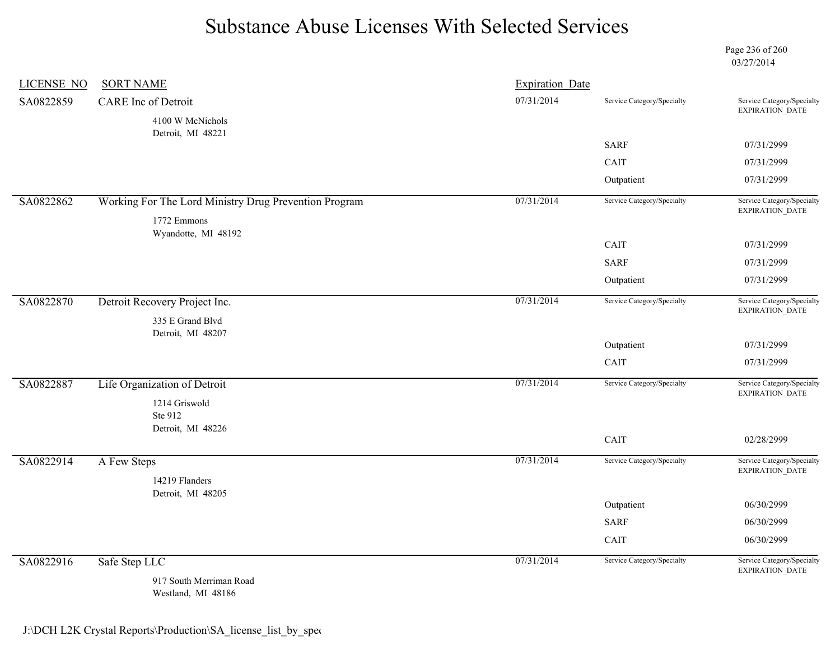Page 236 of 260 03/27/2014

| <b>LICENSE NO</b> | <b>SORT NAME</b>                                      | <b>Expiration Date</b> |                            |                                               |
|-------------------|-------------------------------------------------------|------------------------|----------------------------|-----------------------------------------------|
| SA0822859         | <b>CARE</b> Inc of Detroit                            | 07/31/2014             | Service Category/Specialty | Service Category/Specialty<br>EXPIRATION_DATE |
|                   | 4100 W McNichols                                      |                        |                            |                                               |
|                   | Detroit, MI 48221                                     |                        | <b>SARF</b>                | 07/31/2999                                    |
|                   |                                                       |                        | CAIT                       | 07/31/2999                                    |
|                   |                                                       |                        | Outpatient                 | 07/31/2999                                    |
| SA0822862         | Working For The Lord Ministry Drug Prevention Program | 07/31/2014             | Service Category/Specialty | Service Category/Specialty                    |
|                   |                                                       |                        |                            | EXPIRATION_DATE                               |
|                   | 1772 Emmons<br>Wyandotte, MI 48192                    |                        |                            |                                               |
|                   |                                                       |                        | CAIT                       | 07/31/2999                                    |
|                   |                                                       |                        | <b>SARF</b>                | 07/31/2999                                    |
|                   |                                                       |                        | Outpatient                 | 07/31/2999                                    |
| SA0822870         | Detroit Recovery Project Inc.                         | 07/31/2014             | Service Category/Specialty | Service Category/Specialty                    |
|                   | 335 E Grand Blvd                                      |                        |                            | EXPIRATION_DATE                               |
|                   | Detroit, MI 48207                                     |                        |                            |                                               |
|                   |                                                       |                        | Outpatient                 | 07/31/2999                                    |
|                   |                                                       |                        | CAIT                       | 07/31/2999                                    |
| SA0822887         | Life Organization of Detroit                          | 07/31/2014             | Service Category/Specialty | Service Category/Specialty<br>EXPIRATION_DATE |
|                   | 1214 Griswold                                         |                        |                            |                                               |
|                   | Ste 912                                               |                        |                            |                                               |
|                   | Detroit, MI 48226                                     |                        | CAIT                       | 02/28/2999                                    |
| SA0822914         | A Few Steps                                           | 07/31/2014             | Service Category/Specialty | Service Category/Specialty                    |
|                   | 14219 Flanders                                        |                        |                            | EXPIRATION_DATE                               |
|                   | Detroit, MI 48205                                     |                        |                            |                                               |
|                   |                                                       |                        | Outpatient                 | 06/30/2999                                    |
|                   |                                                       |                        | <b>SARF</b>                | 06/30/2999                                    |
|                   |                                                       |                        | CAIT                       | 06/30/2999                                    |
| SA0822916         | Safe Step LLC                                         | 07/31/2014             | Service Category/Specialty | Service Category/Specialty<br>EXPIRATION_DATE |
|                   | 917 South Merriman Road                               |                        |                            |                                               |

Westland, MI 48186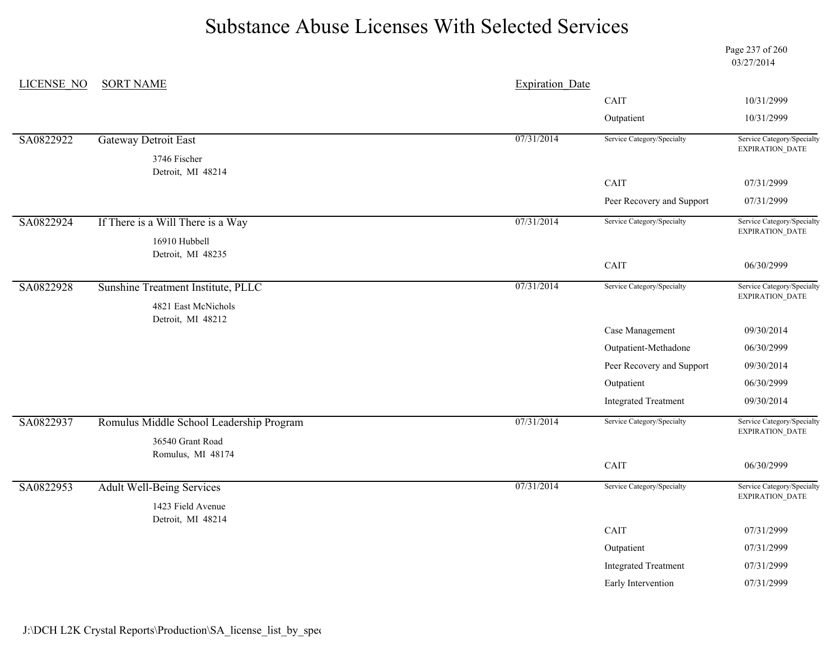Page 237 of 260 03/27/2014

| <b>LICENSE NO</b> | <b>SORT NAME</b>                         | <b>Expiration Date</b> |                                                                                                                     |                                               |
|-------------------|------------------------------------------|------------------------|---------------------------------------------------------------------------------------------------------------------|-----------------------------------------------|
|                   |                                          |                        | CAIT                                                                                                                | 10/31/2999                                    |
|                   |                                          |                        | Outpatient<br>Service Category/Specialty<br>CAIT<br>Peer Recovery and Support<br>Service Category/Specialty<br>CAIT | 10/31/2999                                    |
| SA0822922         | <b>Gateway Detroit East</b>              | 07/31/2014             |                                                                                                                     | Service Category/Specialty<br>EXPIRATION_DATE |
|                   | 3746 Fischer<br>Detroit, MI 48214        |                        |                                                                                                                     |                                               |
|                   |                                          |                        |                                                                                                                     | 07/31/2999                                    |
|                   |                                          |                        |                                                                                                                     | 07/31/2999                                    |
| SA0822924         | If There is a Will There is a Way        | 07/31/2014             |                                                                                                                     | Service Category/Specialty<br>EXPIRATION_DATE |
|                   | 16910 Hubbell                            |                        |                                                                                                                     |                                               |
|                   | Detroit, MI 48235                        |                        |                                                                                                                     | 06/30/2999                                    |
| SA0822928         | Sunshine Treatment Institute, PLLC       | 07/31/2014             | Service Category/Specialty                                                                                          | Service Category/Specialty                    |
|                   | 4821 East McNichols                      |                        |                                                                                                                     | EXPIRATION_DATE                               |
|                   | Detroit, MI 48212                        |                        |                                                                                                                     |                                               |
|                   |                                          |                        | Case Management                                                                                                     | 09/30/2014                                    |
|                   |                                          |                        | Outpatient-Methadone                                                                                                | 06/30/2999                                    |
|                   |                                          |                        | Peer Recovery and Support                                                                                           | 09/30/2014                                    |
|                   |                                          |                        | Outpatient                                                                                                          | 06/30/2999                                    |
|                   |                                          |                        | <b>Integrated Treatment</b>                                                                                         | 09/30/2014                                    |
| SA0822937         | Romulus Middle School Leadership Program | 07/31/2014             | Service Category/Specialty                                                                                          | Service Category/Specialty<br>EXPIRATION_DATE |
|                   | 36540 Grant Road                         |                        |                                                                                                                     |                                               |
|                   | Romulus, MI 48174                        |                        | CAIT                                                                                                                | 06/30/2999                                    |
| SA0822953         | <b>Adult Well-Being Services</b>         | 07/31/2014             | Service Category/Specialty                                                                                          | Service Category/Specialty                    |
|                   | 1423 Field Avenue                        |                        |                                                                                                                     | EXPIRATION_DATE                               |
|                   | Detroit, MI 48214                        |                        | CAIT                                                                                                                |                                               |
|                   |                                          |                        |                                                                                                                     | 07/31/2999                                    |
|                   |                                          |                        | Outpatient                                                                                                          | 07/31/2999                                    |
|                   |                                          |                        | <b>Integrated Treatment</b>                                                                                         | 07/31/2999                                    |
|                   |                                          |                        | Early Intervention                                                                                                  | 07/31/2999                                    |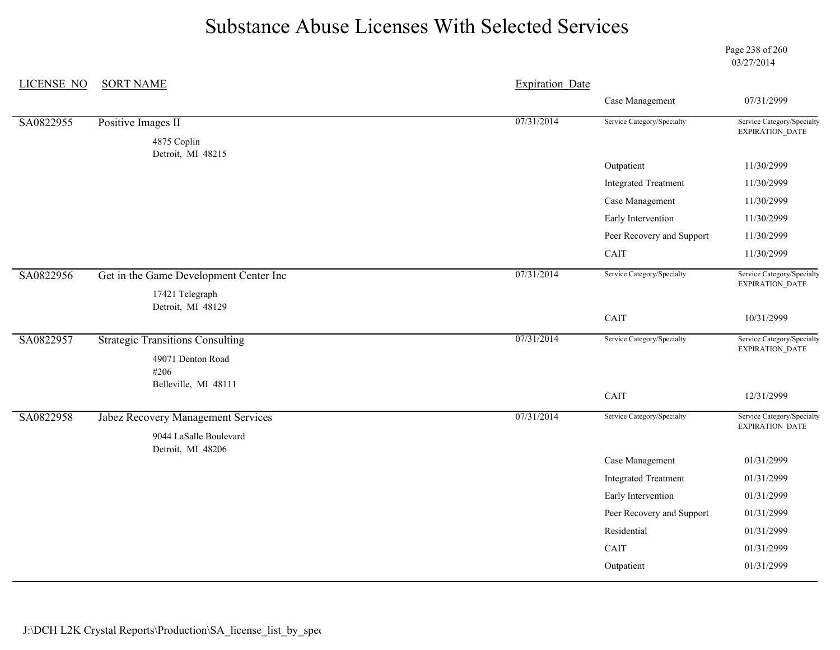Page 238 of 260 03/27/2014

| <b>LICENSE NO</b> | <b>SORT NAME</b>                        | <b>Expiration Date</b> |                             |                                               |
|-------------------|-----------------------------------------|------------------------|-----------------------------|-----------------------------------------------|
|                   |                                         |                        | Case Management             | 07/31/2999                                    |
| SA0822955         | Positive Images II                      | 07/31/2014             | Service Category/Specialty  | Service Category/Specialty<br>EXPIRATION_DATE |
|                   | 4875 Coplin<br>Detroit, MI 48215        |                        |                             |                                               |
|                   |                                         |                        | Outpatient                  | 11/30/2999                                    |
|                   |                                         |                        | <b>Integrated Treatment</b> | 11/30/2999                                    |
|                   |                                         |                        | Case Management             | 11/30/2999                                    |
|                   |                                         |                        | Early Intervention          | 11/30/2999                                    |
|                   |                                         |                        | Peer Recovery and Support   | 11/30/2999                                    |
|                   |                                         |                        | CAIT                        | 11/30/2999                                    |
| SA0822956         | Get in the Game Development Center Inc  | 07/31/2014             | Service Category/Specialty  | Service Category/Specialty<br>EXPIRATION_DATE |
|                   | 17421 Telegraph<br>Detroit, MI 48129    |                        |                             |                                               |
|                   |                                         |                        | CAIT                        | 10/31/2999                                    |
| SA0822957         | <b>Strategic Transitions Consulting</b> | 07/31/2014             | Service Category/Specialty  | Service Category/Specialty<br>EXPIRATION_DATE |
|                   | 49071 Denton Road<br>#206               |                        |                             |                                               |
|                   | Belleville, MI 48111                    |                        | CAIT                        | 12/31/2999                                    |
| SA0822958         | Jabez Recovery Management Services      | 07/31/2014             | Service Category/Specialty  | Service Category/Specialty<br>EXPIRATION_DATE |
|                   | 9044 LaSalle Boulevard                  |                        |                             |                                               |
|                   | Detroit, MI 48206                       |                        | Case Management             | 01/31/2999                                    |
|                   |                                         |                        | <b>Integrated Treatment</b> | 01/31/2999                                    |
|                   |                                         |                        | Early Intervention          | 01/31/2999                                    |
|                   |                                         |                        | Peer Recovery and Support   | 01/31/2999                                    |
|                   |                                         |                        | Residential                 | 01/31/2999                                    |
|                   |                                         |                        | CAIT                        | 01/31/2999                                    |
|                   |                                         |                        | Outpatient                  | 01/31/2999                                    |
|                   |                                         |                        |                             |                                               |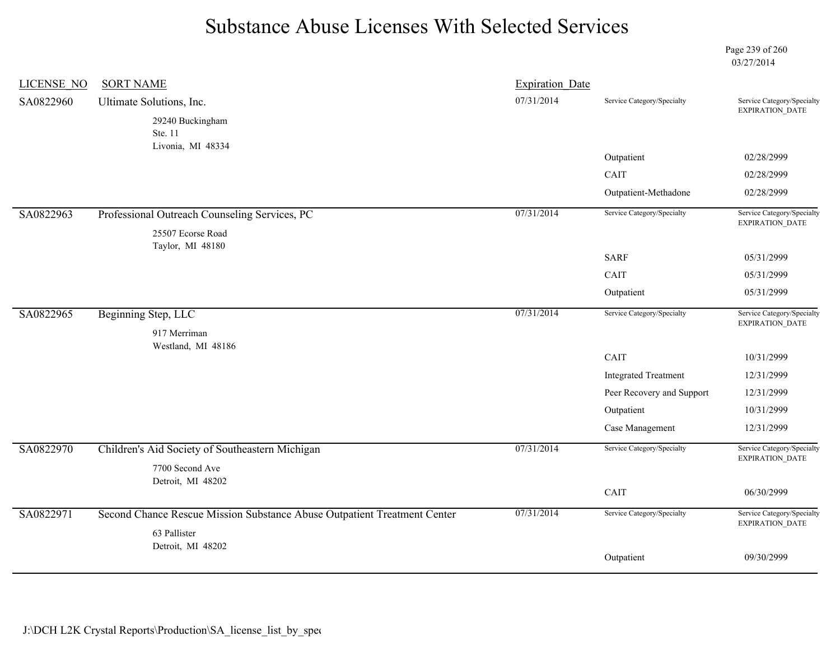Page 239 of 260 03/27/2014

| <b>LICENSE NO</b> | <b>SORT NAME</b>                                                         | <b>Expiration Date</b> |                             |                                                      |
|-------------------|--------------------------------------------------------------------------|------------------------|-----------------------------|------------------------------------------------------|
| SA0822960         | Ultimate Solutions, Inc.                                                 | 07/31/2014             | Service Category/Specialty  | Service Category/Specialty<br>EXPIRATION_DATE        |
|                   | 29240 Buckingham                                                         |                        |                             |                                                      |
|                   | Ste. 11<br>Livonia, MI 48334                                             |                        |                             |                                                      |
|                   |                                                                          |                        | Outpatient                  | 02/28/2999                                           |
|                   |                                                                          |                        | CAIT                        | 02/28/2999                                           |
|                   |                                                                          |                        | Outpatient-Methadone        | 02/28/2999                                           |
| SA0822963         | Professional Outreach Counseling Services, PC                            | 07/31/2014             | Service Category/Specialty  | Service Category/Specialty<br>EXPIRATION_DATE        |
|                   | 25507 Ecorse Road                                                        |                        |                             |                                                      |
|                   | Taylor, MI 48180                                                         |                        | <b>SARF</b>                 | 05/31/2999                                           |
|                   |                                                                          |                        | CAIT                        | 05/31/2999                                           |
|                   |                                                                          |                        | Outpatient                  | 05/31/2999                                           |
| SA0822965         | Beginning Step, LLC                                                      | 07/31/2014             | Service Category/Specialty  | Service Category/Specialty<br>EXPIRATION_DATE        |
|                   | 917 Merriman<br>Westland, MI 48186                                       |                        |                             |                                                      |
|                   |                                                                          |                        | CAIT                        | 10/31/2999                                           |
|                   |                                                                          |                        | <b>Integrated Treatment</b> | 12/31/2999                                           |
|                   |                                                                          |                        | Peer Recovery and Support   | 12/31/2999                                           |
|                   |                                                                          |                        | Outpatient                  | 10/31/2999                                           |
|                   |                                                                          |                        | Case Management             | 12/31/2999                                           |
| SA0822970         | Children's Aid Society of Southeastern Michigan                          | 07/31/2014             | Service Category/Specialty  | Service Category/Specialty<br>EXPIRATION_DATE        |
|                   | 7700 Second Ave<br>Detroit, MI 48202                                     |                        |                             |                                                      |
|                   |                                                                          |                        | CAIT                        | 06/30/2999                                           |
| SA0822971         | Second Chance Rescue Mission Substance Abuse Outpatient Treatment Center | 07/31/2014             | Service Category/Specialty  | Service Category/Specialty<br><b>EXPIRATION DATE</b> |
|                   | 63 Pallister                                                             |                        |                             |                                                      |
|                   | Detroit, MI 48202                                                        |                        | Outpatient                  | 09/30/2999                                           |
|                   |                                                                          |                        |                             |                                                      |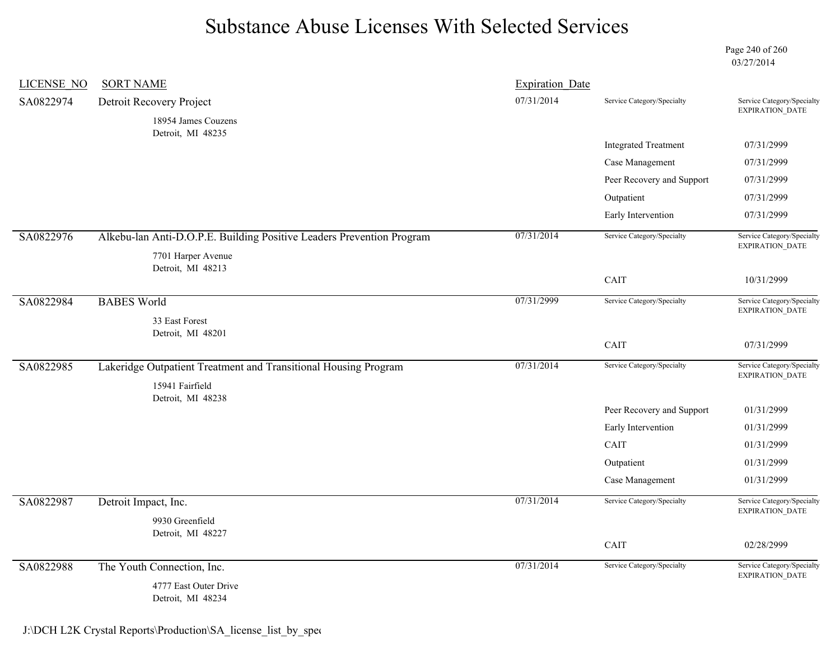Page 240 of 260 03/27/2014

| LICENSE NO | <b>SORT NAME</b>                                                                            | <b>Expiration Date</b> |                             |                                                      |
|------------|---------------------------------------------------------------------------------------------|------------------------|-----------------------------|------------------------------------------------------|
| SA0822974  | Detroit Recovery Project                                                                    | 07/31/2014             | Service Category/Specialty  | Service Category/Specialty<br><b>EXPIRATION DATE</b> |
|            | 18954 James Couzens<br>Detroit, MI 48235                                                    |                        |                             |                                                      |
|            |                                                                                             |                        | <b>Integrated Treatment</b> | 07/31/2999                                           |
|            |                                                                                             |                        | Case Management             | 07/31/2999                                           |
|            |                                                                                             |                        | Peer Recovery and Support   | 07/31/2999                                           |
|            |                                                                                             |                        | Outpatient                  | 07/31/2999                                           |
|            |                                                                                             |                        | Early Intervention          | 07/31/2999                                           |
| SA0822976  | Alkebu-lan Anti-D.O.P.E. Building Positive Leaders Prevention Program<br>7701 Harper Avenue | 07/31/2014             | Service Category/Specialty  | Service Category/Specialty<br><b>EXPIRATION DATE</b> |
|            | Detroit, MI 48213                                                                           |                        | CAIT                        | 10/31/2999                                           |
| SA0822984  | <b>BABES World</b>                                                                          | 07/31/2999             | Service Category/Specialty  | Service Category/Specialty<br><b>EXPIRATION DATE</b> |
|            | 33 East Forest<br>Detroit, MI 48201                                                         |                        |                             |                                                      |
|            |                                                                                             |                        | CAIT                        | 07/31/2999                                           |
| SA0822985  | Lakeridge Outpatient Treatment and Transitional Housing Program<br>15941 Fairfield          | 07/31/2014             | Service Category/Specialty  | Service Category/Specialty<br><b>EXPIRATION DATE</b> |
|            | Detroit, MI 48238                                                                           |                        |                             |                                                      |
|            |                                                                                             |                        | Peer Recovery and Support   | 01/31/2999                                           |
|            |                                                                                             |                        | Early Intervention<br>CAIT  | 01/31/2999                                           |
|            |                                                                                             |                        | Outpatient                  | 01/31/2999<br>01/31/2999                             |
|            |                                                                                             |                        | Case Management             | 01/31/2999                                           |
|            |                                                                                             |                        |                             |                                                      |
| SA0822987  | Detroit Impact, Inc.<br>9930 Greenfield                                                     | 07/31/2014             | Service Category/Specialty  | Service Category/Specialty<br>EXPIRATION_DATE        |
|            | Detroit, MI 48227                                                                           |                        | CAIT                        | 02/28/2999                                           |
| SA0822988  | The Youth Connection, Inc.<br>4777 East Outer Drive                                         | 07/31/2014             | Service Category/Specialty  | Service Category/Specialty<br>EXPIRATION_DATE        |
|            | Detroit, MI 48234                                                                           |                        |                             |                                                      |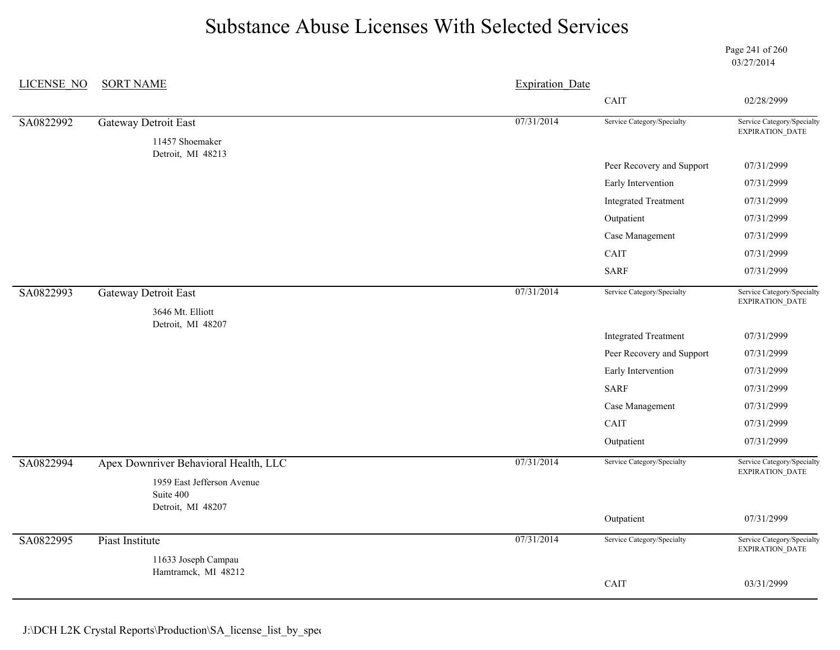Page 241 of 260 03/27/2014

| LICENSE NO | <b>SORT NAME</b>                                             | <b>Expiration Date</b> |                             |                                               |
|------------|--------------------------------------------------------------|------------------------|-----------------------------|-----------------------------------------------|
|            |                                                              |                        | CAIT                        | 02/28/2999                                    |
| SA0822992  | <b>Gateway Detroit East</b>                                  | 07/31/2014             | Service Category/Specialty  | Service Category/Specialty                    |
|            | 11457 Shoemaker<br>Detroit, MI 48213                         |                        |                             | EXPIRATION_DATE                               |
|            |                                                              |                        | Peer Recovery and Support   | 07/31/2999                                    |
|            |                                                              |                        | Early Intervention          | 07/31/2999                                    |
|            |                                                              |                        | <b>Integrated Treatment</b> | 07/31/2999                                    |
|            |                                                              |                        | Outpatient                  | 07/31/2999                                    |
|            |                                                              |                        | Case Management             | 07/31/2999                                    |
|            |                                                              |                        | CAIT                        | 07/31/2999                                    |
|            |                                                              |                        | <b>SARF</b>                 | 07/31/2999                                    |
| SA0822993  | <b>Gateway Detroit East</b>                                  | 07/31/2014             | Service Category/Specialty  | Service Category/Specialty<br>EXPIRATION_DATE |
|            | 3646 Mt. Elliott<br>Detroit, MI 48207                        |                        |                             |                                               |
|            |                                                              |                        | <b>Integrated Treatment</b> | 07/31/2999                                    |
|            |                                                              |                        | Peer Recovery and Support   | 07/31/2999                                    |
|            |                                                              |                        | Early Intervention          | 07/31/2999                                    |
|            |                                                              |                        | <b>SARF</b>                 | 07/31/2999                                    |
|            |                                                              |                        | Case Management             | 07/31/2999                                    |
|            |                                                              |                        | CAIT                        | 07/31/2999                                    |
|            |                                                              |                        | Outpatient                  | 07/31/2999                                    |
| SA0822994  | Apex Downriver Behavioral Health, LLC                        | 07/31/2014             | Service Category/Specialty  | Service Category/Specialty<br>EXPIRATION_DATE |
|            | 1959 East Jefferson Avenue<br>Suite 400<br>Detroit, MI 48207 |                        |                             |                                               |
|            |                                                              |                        | Outpatient                  | 07/31/2999                                    |
| SA0822995  | Piast Institute                                              | 07/31/2014             | Service Category/Specialty  | Service Category/Specialty<br>EXPIRATION_DATE |
|            | 11633 Joseph Campau                                          |                        |                             |                                               |
|            | Hamtramck, MI 48212                                          |                        | CAIT                        | 03/31/2999                                    |
|            |                                                              |                        |                             |                                               |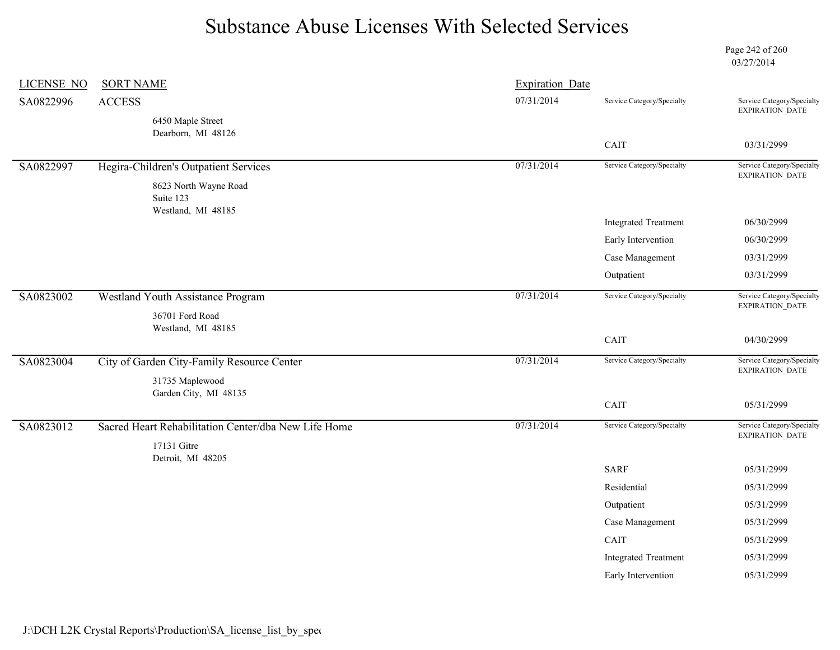Page 242 of 260 03/27/2014

| LICENSE NO | <b>SORT NAME</b>                                     | <b>Expiration Date</b> |                             |                                                      |
|------------|------------------------------------------------------|------------------------|-----------------------------|------------------------------------------------------|
| SA0822996  | <b>ACCESS</b>                                        | 07/31/2014             | Service Category/Specialty  | Service Category/Specialty<br>EXPIRATION_DATE        |
|            | 6450 Maple Street<br>Dearborn, MI 48126              |                        |                             |                                                      |
|            |                                                      |                        | CAIT                        | 03/31/2999                                           |
| SA0822997  | Hegira-Children's Outpatient Services                | 07/31/2014             | Service Category/Specialty  | Service Category/Specialty<br>EXPIRATION_DATE        |
|            | 8623 North Wayne Road<br>Suite 123                   |                        |                             |                                                      |
|            | Westland, MI 48185                                   |                        | <b>Integrated Treatment</b> | 06/30/2999                                           |
|            |                                                      |                        | Early Intervention          | 06/30/2999                                           |
|            |                                                      |                        | Case Management             | 03/31/2999                                           |
|            |                                                      |                        | Outpatient                  | 03/31/2999                                           |
| SA0823002  | Westland Youth Assistance Program                    | 07/31/2014             | Service Category/Specialty  | Service Category/Specialty                           |
|            | 36701 Ford Road<br>Westland, MI 48185                |                        |                             | EXPIRATION_DATE                                      |
|            |                                                      |                        | CAIT                        | 04/30/2999                                           |
| SA0823004  | City of Garden City-Family Resource Center           | 07/31/2014             | Service Category/Specialty  | Service Category/Specialty<br>EXPIRATION_DATE        |
|            | 31735 Maplewood                                      |                        |                             |                                                      |
|            | Garden City, MI 48135                                |                        | CAIT                        | 05/31/2999                                           |
| SA0823012  | Sacred Heart Rehabilitation Center/dba New Life Home | 07/31/2014             | Service Category/Specialty  | Service Category/Specialty<br><b>EXPIRATION DATE</b> |
|            | 17131 Gitre                                          |                        |                             |                                                      |
|            | Detroit, MI 48205                                    |                        | <b>SARF</b>                 | 05/31/2999                                           |
|            |                                                      |                        | Residential                 | 05/31/2999                                           |
|            |                                                      |                        | Outpatient                  | 05/31/2999                                           |
|            |                                                      |                        | Case Management             | 05/31/2999                                           |
|            |                                                      |                        | CAIT                        | 05/31/2999                                           |
|            |                                                      |                        | <b>Integrated Treatment</b> | 05/31/2999                                           |
|            |                                                      |                        | Early Intervention          | 05/31/2999                                           |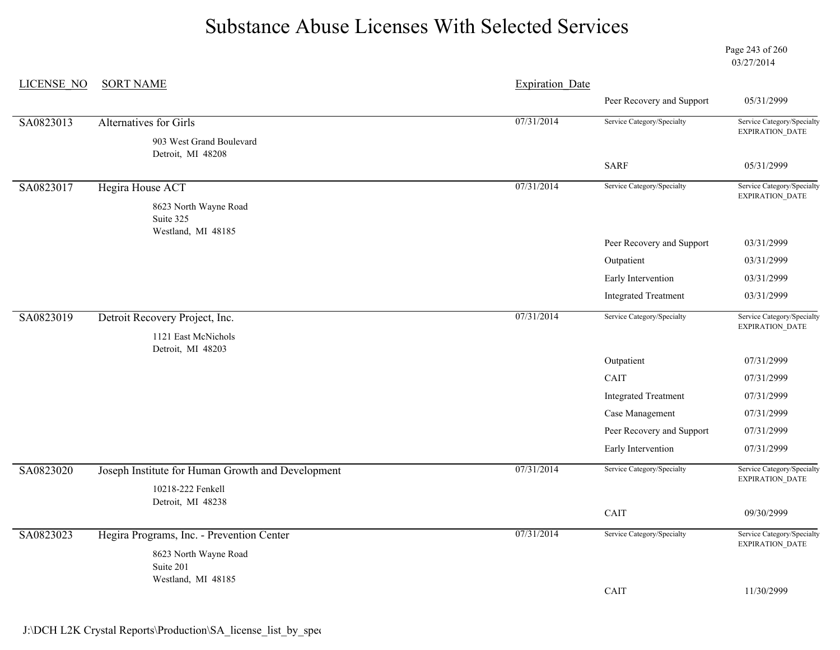Page 243 of 260 03/27/2014

| LICENSE NO | <b>SORT NAME</b>                                         | <b>Expiration Date</b> |                             |                                                      |
|------------|----------------------------------------------------------|------------------------|-----------------------------|------------------------------------------------------|
|            |                                                          |                        | Peer Recovery and Support   | 05/31/2999                                           |
| SA0823013  | <b>Alternatives for Girls</b>                            | 07/31/2014             | Service Category/Specialty  | Service Category/Specialty<br>EXPIRATION_DATE        |
|            | 903 West Grand Boulevard<br>Detroit, MI 48208            |                        |                             |                                                      |
|            |                                                          |                        | <b>SARF</b>                 | 05/31/2999                                           |
| SA0823017  | Hegira House ACT                                         | 07/31/2014             | Service Category/Specialty  | Service Category/Specialty<br>EXPIRATION_DATE        |
|            | 8623 North Wayne Road<br>Suite 325<br>Westland, MI 48185 |                        |                             |                                                      |
|            |                                                          |                        | Peer Recovery and Support   | 03/31/2999                                           |
|            |                                                          |                        | Outpatient                  | 03/31/2999                                           |
|            |                                                          |                        | Early Intervention          | 03/31/2999                                           |
|            |                                                          |                        | <b>Integrated Treatment</b> | 03/31/2999                                           |
| SA0823019  | Detroit Recovery Project, Inc.                           | 07/31/2014             | Service Category/Specialty  | Service Category/Specialty<br>EXPIRATION_DATE        |
|            | 1121 East McNichols<br>Detroit, MI 48203                 |                        |                             |                                                      |
|            |                                                          |                        | Outpatient                  | 07/31/2999                                           |
|            |                                                          |                        | CAIT                        | 07/31/2999                                           |
|            |                                                          |                        | <b>Integrated Treatment</b> | 07/31/2999                                           |
|            |                                                          |                        | Case Management             | 07/31/2999                                           |
|            |                                                          |                        | Peer Recovery and Support   | 07/31/2999                                           |
|            |                                                          |                        | Early Intervention          | 07/31/2999                                           |
| SA0823020  | Joseph Institute for Human Growth and Development        | 07/31/2014             | Service Category/Specialty  | Service Category/Specialty<br>EXPIRATION_DATE        |
|            | 10218-222 Fenkell<br>Detroit, MI 48238                   |                        |                             |                                                      |
|            |                                                          |                        | CAIT                        | 09/30/2999                                           |
| SA0823023  | Hegira Programs, Inc. - Prevention Center                | 07/31/2014             | Service Category/Specialty  | Service Category/Specialty<br><b>EXPIRATION DATE</b> |
|            | 8623 North Wayne Road<br>Suite 201                       |                        |                             |                                                      |
|            | Westland, MI 48185                                       |                        | CAIT                        | 11/30/2999                                           |
|            |                                                          |                        |                             |                                                      |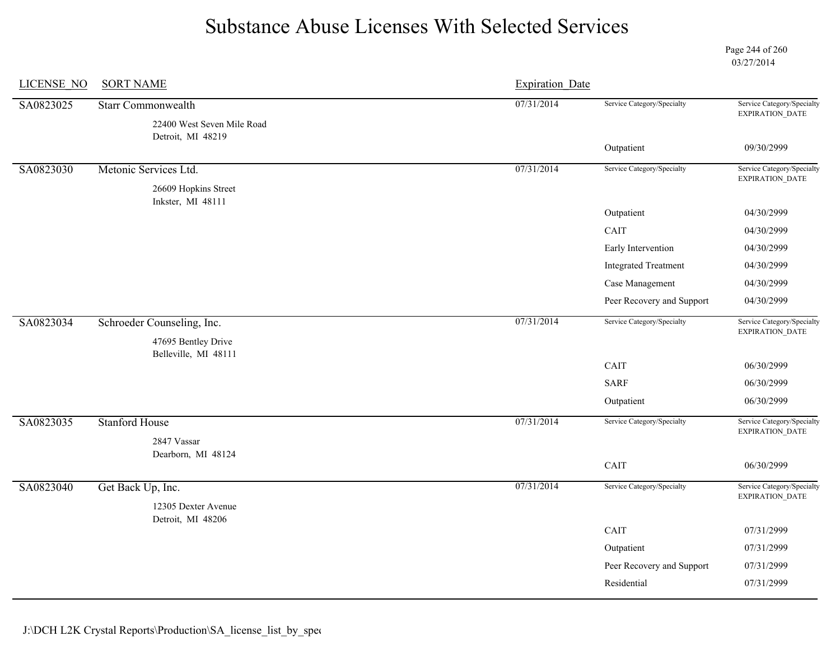Page 244 of 260 03/27/2014

| LICENSE NO | <b>SORT NAME</b>                                        | <b>Expiration Date</b> |                             |                                                      |
|------------|---------------------------------------------------------|------------------------|-----------------------------|------------------------------------------------------|
| SA0823025  | <b>Starr Commonwealth</b><br>22400 West Seven Mile Road | 07/31/2014             | Service Category/Specialty  | Service Category/Specialty<br>EXPIRATION_DATE        |
|            | Detroit, MI 48219                                       |                        |                             |                                                      |
|            |                                                         |                        | Outpatient                  | 09/30/2999                                           |
| SA0823030  | Metonic Services Ltd.                                   | 07/31/2014             | Service Category/Specialty  | Service Category/Specialty<br><b>EXPIRATION DATE</b> |
|            | 26609 Hopkins Street                                    |                        |                             |                                                      |
|            | Inkster, MI 48111                                       |                        | Outpatient                  | 04/30/2999                                           |
|            |                                                         |                        | CAIT                        | 04/30/2999                                           |
|            |                                                         |                        | Early Intervention          | 04/30/2999                                           |
|            |                                                         |                        | <b>Integrated Treatment</b> | 04/30/2999                                           |
|            |                                                         |                        | Case Management             | 04/30/2999                                           |
|            |                                                         |                        | Peer Recovery and Support   | 04/30/2999                                           |
| SA0823034  | Schroeder Counseling, Inc.                              | 07/31/2014             | Service Category/Specialty  | Service Category/Specialty<br>EXPIRATION_DATE        |
|            | 47695 Bentley Drive<br>Belleville, MI 48111             |                        |                             |                                                      |
|            |                                                         |                        | CAIT                        | 06/30/2999                                           |
|            |                                                         |                        | <b>SARF</b>                 | 06/30/2999                                           |
|            |                                                         |                        | Outpatient                  | 06/30/2999                                           |
| SA0823035  | <b>Stanford House</b>                                   | 07/31/2014             | Service Category/Specialty  | Service Category/Specialty                           |
|            | 2847 Vassar                                             |                        |                             | EXPIRATION_DATE                                      |
|            | Dearborn, MI 48124                                      |                        | CAIT                        | 06/30/2999                                           |
|            |                                                         |                        |                             |                                                      |
| SA0823040  | Get Back Up, Inc.                                       | 07/31/2014             | Service Category/Specialty  | Service Category/Specialty<br><b>EXPIRATION DATE</b> |
|            | 12305 Dexter Avenue<br>Detroit, MI 48206                |                        |                             |                                                      |
|            |                                                         |                        | CAIT                        | 07/31/2999                                           |
|            |                                                         |                        | Outpatient                  | 07/31/2999                                           |
|            |                                                         |                        | Peer Recovery and Support   | 07/31/2999                                           |
|            |                                                         |                        |                             |                                                      |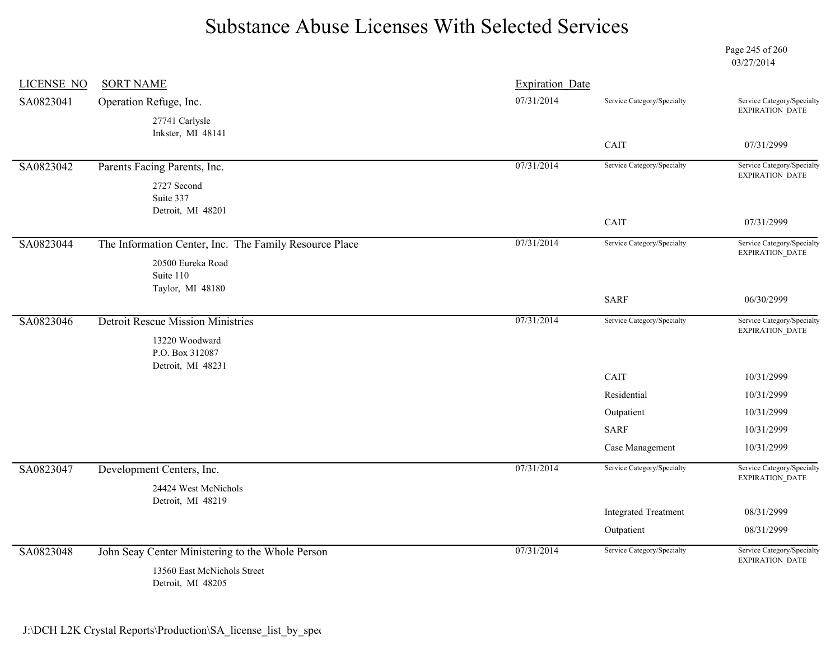Page 245 of 260 03/27/2014

| <b>LICENSE NO</b> | <b>SORT NAME</b>                                       | <b>Expiration Date</b> |                             |                                               |
|-------------------|--------------------------------------------------------|------------------------|-----------------------------|-----------------------------------------------|
| SA0823041         | Operation Refuge, Inc.                                 | 07/31/2014             | Service Category/Specialty  | Service Category/Specialty<br>EXPIRATION_DATE |
|                   | 27741 Carlysle<br>Inkster, MI 48141                    |                        |                             |                                               |
|                   |                                                        |                        | CAIT                        | 07/31/2999                                    |
| SA0823042         | Parents Facing Parents, Inc.                           | 07/31/2014             | Service Category/Specialty  | Service Category/Specialty<br>EXPIRATION_DATE |
|                   | 2727 Second<br>Suite 337                               |                        |                             |                                               |
|                   | Detroit, MI 48201                                      |                        |                             |                                               |
|                   |                                                        |                        | CAIT                        | 07/31/2999                                    |
| SA0823044         | The Information Center, Inc. The Family Resource Place | 07/31/2014             | Service Category/Specialty  | Service Category/Specialty<br>EXPIRATION_DATE |
|                   | 20500 Eureka Road                                      |                        |                             |                                               |
|                   | Suite 110<br>Taylor, MI 48180                          |                        |                             |                                               |
|                   |                                                        |                        | <b>SARF</b>                 | 06/30/2999                                    |
| SA0823046         | <b>Detroit Rescue Mission Ministries</b>               | 07/31/2014             | Service Category/Specialty  | Service Category/Specialty                    |
|                   | 13220 Woodward                                         |                        |                             | EXPIRATION_DATE                               |
|                   | P.O. Box 312087                                        |                        |                             |                                               |
|                   | Detroit, MI 48231                                      |                        | CAIT                        | 10/31/2999                                    |
|                   |                                                        |                        | Residential                 | 10/31/2999                                    |
|                   |                                                        |                        |                             |                                               |
|                   |                                                        |                        | Outpatient                  | 10/31/2999                                    |
|                   |                                                        |                        | <b>SARF</b>                 | 10/31/2999                                    |
|                   |                                                        |                        | Case Management             | 10/31/2999                                    |
| SA0823047         | Development Centers, Inc.                              | 07/31/2014             | Service Category/Specialty  | Service Category/Specialty<br>EXPIRATION_DATE |
|                   | 24424 West McNichols                                   |                        |                             |                                               |
|                   | Detroit, MI 48219                                      |                        | <b>Integrated Treatment</b> | 08/31/2999                                    |
|                   |                                                        |                        | Outpatient                  | 08/31/2999                                    |
| SA0823048         | John Seay Center Ministering to the Whole Person       | 07/31/2014             | Service Category/Specialty  | Service Category/Specialty                    |
|                   | 13560 East McNichols Street<br>Detroit, MI 48205       |                        |                             | <b>EXPIRATION DATE</b>                        |

J:\DCH L2K Crystal Reports\Production\SA\_license\_list\_by\_spec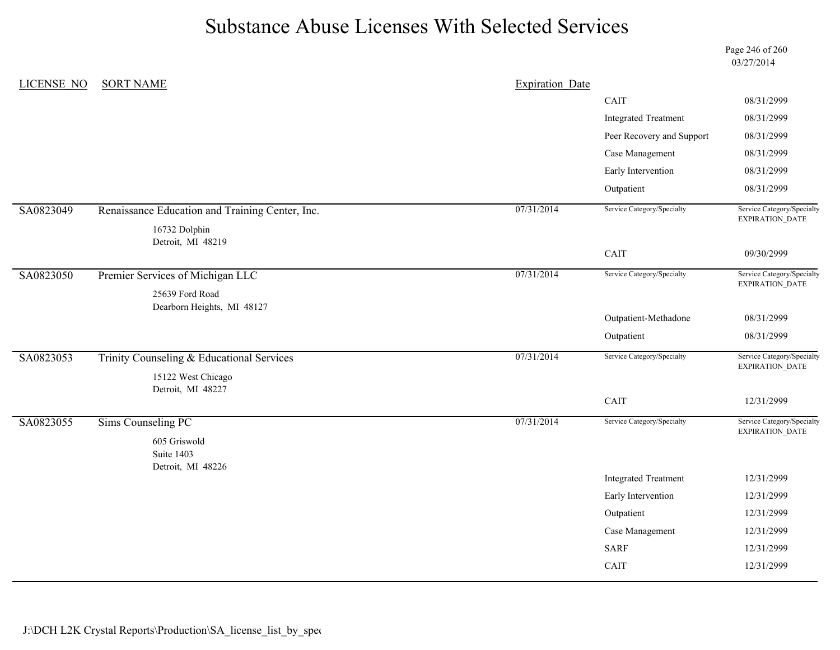Page 246 of 260 03/27/2014

| <b>LICENSE NO</b> | <b>SORT NAME</b>                                | <b>Expiration Date</b> |                              |                                               |
|-------------------|-------------------------------------------------|------------------------|------------------------------|-----------------------------------------------|
|                   |                                                 |                        | CAIT                         | 08/31/2999                                    |
|                   |                                                 |                        | <b>Integrated Treatment</b>  | 08/31/2999                                    |
|                   |                                                 |                        | Peer Recovery and Support    | 08/31/2999                                    |
|                   |                                                 |                        | Case Management              | 08/31/2999                                    |
|                   |                                                 |                        | Early Intervention           | 08/31/2999                                    |
|                   |                                                 |                        | Outpatient                   | 08/31/2999                                    |
| SA0823049         | Renaissance Education and Training Center, Inc. | 07/31/2014             | Service Category/Specialty   | Service Category/Specialty<br>EXPIRATION_DATE |
|                   | 16732 Dolphin<br>Detroit, MI 48219              |                        |                              |                                               |
|                   |                                                 |                        | $\mathop{\rm CAIT}\nolimits$ | 09/30/2999                                    |
| SA0823050         | Premier Services of Michigan LLC                | 07/31/2014             | Service Category/Specialty   | Service Category/Specialty<br>EXPIRATION_DATE |
|                   | 25639 Ford Road<br>Dearborn Heights, MI 48127   |                        |                              |                                               |
|                   |                                                 |                        | Outpatient-Methadone         | 08/31/2999                                    |
|                   |                                                 |                        | Outpatient                   | 08/31/2999                                    |
| SA0823053         | Trinity Counseling & Educational Services       | 07/31/2014             | Service Category/Specialty   | Service Category/Specialty<br>EXPIRATION_DATE |
|                   | 15122 West Chicago                              |                        |                              |                                               |
|                   | Detroit, MI 48227                               |                        | CAIT                         | 12/31/2999                                    |
| SA0823055         | <b>Sims Counseling PC</b>                       | 07/31/2014             | Service Category/Specialty   | Service Category/Specialty<br>EXPIRATION_DATE |
|                   | 605 Griswold<br>Suite 1403                      |                        |                              |                                               |
|                   | Detroit, MI 48226                               |                        | <b>Integrated Treatment</b>  | 12/31/2999                                    |
|                   |                                                 |                        | Early Intervention           | 12/31/2999                                    |
|                   |                                                 |                        | Outpatient                   | 12/31/2999                                    |
|                   |                                                 |                        | Case Management              | 12/31/2999                                    |
|                   |                                                 |                        | <b>SARF</b>                  | 12/31/2999                                    |
|                   |                                                 |                        | CAIT                         | 12/31/2999                                    |
|                   |                                                 |                        |                              |                                               |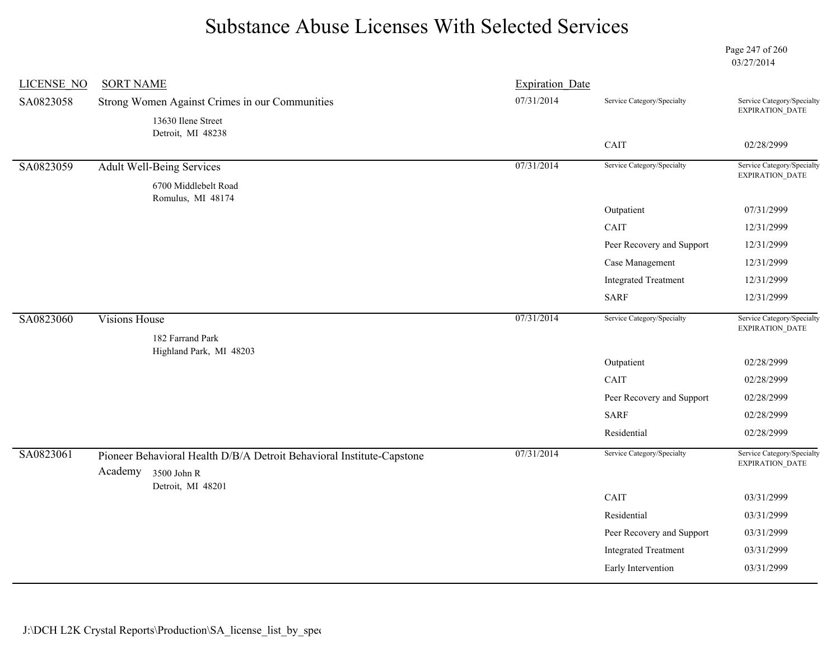Page 247 of 260 03/27/2014

| <b>LICENSE NO</b> | <b>SORT NAME</b>                                                                             | <b>Expiration Date</b> |                             |                                               |
|-------------------|----------------------------------------------------------------------------------------------|------------------------|-----------------------------|-----------------------------------------------|
| SA0823058         | Strong Women Against Crimes in our Communities                                               | 07/31/2014             | Service Category/Specialty  | Service Category/Specialty<br>EXPIRATION_DATE |
|                   | 13630 Ilene Street<br>Detroit, MI 48238                                                      |                        |                             |                                               |
|                   |                                                                                              |                        | CAIT                        | 02/28/2999                                    |
| SA0823059         | <b>Adult Well-Being Services</b>                                                             | 07/31/2014             | Service Category/Specialty  | Service Category/Specialty<br>EXPIRATION_DATE |
|                   | 6700 Middlebelt Road<br>Romulus, MI 48174                                                    |                        |                             |                                               |
|                   |                                                                                              |                        | Outpatient                  | 07/31/2999                                    |
|                   |                                                                                              |                        | CAIT                        | 12/31/2999                                    |
|                   |                                                                                              |                        | Peer Recovery and Support   | 12/31/2999                                    |
|                   |                                                                                              |                        | Case Management             | 12/31/2999                                    |
|                   |                                                                                              |                        | <b>Integrated Treatment</b> | 12/31/2999                                    |
|                   |                                                                                              |                        | <b>SARF</b>                 | 12/31/2999                                    |
| SA0823060         | <b>Visions House</b>                                                                         | 07/31/2014             | Service Category/Specialty  | Service Category/Specialty<br>EXPIRATION_DATE |
|                   | 182 Farrand Park<br>Highland Park, MI 48203                                                  |                        |                             |                                               |
|                   |                                                                                              |                        | Outpatient                  | 02/28/2999                                    |
|                   |                                                                                              |                        | CAIT                        | 02/28/2999                                    |
|                   |                                                                                              |                        | Peer Recovery and Support   | 02/28/2999                                    |
|                   |                                                                                              |                        | <b>SARF</b>                 | 02/28/2999                                    |
|                   |                                                                                              |                        | Residential                 | 02/28/2999                                    |
| SA0823061         | Pioneer Behavioral Health D/B/A Detroit Behavioral Institute-Capstone<br>Academy 3500 John R | 07/31/2014             | Service Category/Specialty  | Service Category/Specialty<br>EXPIRATION_DATE |
|                   | Detroit, MI 48201                                                                            |                        |                             |                                               |
|                   |                                                                                              |                        | CAIT                        | 03/31/2999                                    |
|                   |                                                                                              |                        | Residential                 | 03/31/2999                                    |
|                   |                                                                                              |                        | Peer Recovery and Support   | 03/31/2999                                    |
|                   |                                                                                              |                        | <b>Integrated Treatment</b> | 03/31/2999                                    |
|                   |                                                                                              |                        | Early Intervention          | 03/31/2999                                    |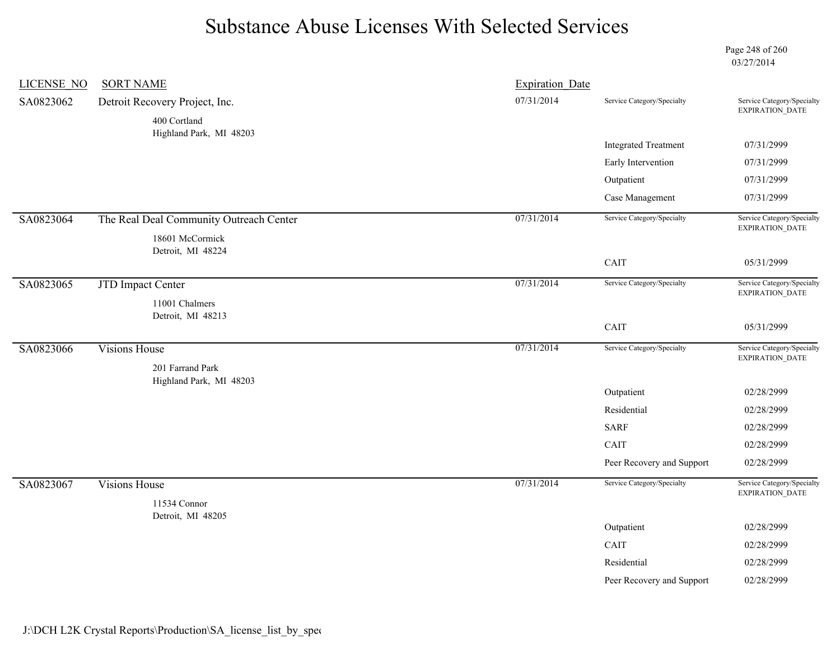Page 248 of 260 03/27/2014

| <b>LICENSE NO</b> | <b>SORT NAME</b>                        | <b>Expiration Date</b> |                             |                                                      |
|-------------------|-----------------------------------------|------------------------|-----------------------------|------------------------------------------------------|
| SA0823062         | Detroit Recovery Project, Inc.          | 07/31/2014             | Service Category/Specialty  | Service Category/Specialty<br>EXPIRATION_DATE        |
|                   | 400 Cortland                            |                        |                             |                                                      |
|                   | Highland Park, MI 48203                 |                        | <b>Integrated Treatment</b> | 07/31/2999                                           |
|                   |                                         |                        | Early Intervention          | 07/31/2999                                           |
|                   |                                         |                        | Outpatient                  | 07/31/2999                                           |
|                   |                                         |                        | Case Management             | 07/31/2999                                           |
|                   |                                         | 07/31/2014             | Service Category/Specialty  | Service Category/Specialty                           |
| SA0823064         | The Real Deal Community Outreach Center |                        |                             | EXPIRATION_DATE                                      |
|                   | 18601 McCormick<br>Detroit, MI 48224    |                        |                             |                                                      |
|                   |                                         |                        | CAIT                        | 05/31/2999                                           |
| SA0823065         | <b>JTD Impact Center</b>                | 07/31/2014             | Service Category/Specialty  | Service Category/Specialty                           |
|                   | 11001 Chalmers                          |                        |                             | EXPIRATION_DATE                                      |
|                   | Detroit, MI 48213                       |                        |                             |                                                      |
|                   |                                         |                        | CAIT                        | 05/31/2999                                           |
| SA0823066         | <b>Visions House</b>                    | 07/31/2014             | Service Category/Specialty  | Service Category/Specialty<br><b>EXPIRATION DATE</b> |
|                   | 201 Farrand Park                        |                        |                             |                                                      |
|                   | Highland Park, MI 48203                 |                        | Outpatient                  | 02/28/2999                                           |
|                   |                                         |                        | Residential                 | 02/28/2999                                           |
|                   |                                         |                        | <b>SARF</b>                 | 02/28/2999                                           |
|                   |                                         |                        | CAIT                        | 02/28/2999                                           |
|                   |                                         |                        |                             |                                                      |
|                   |                                         |                        | Peer Recovery and Support   | 02/28/2999                                           |
| SA0823067         | <b>Visions House</b>                    | 07/31/2014             | Service Category/Specialty  | Service Category/Specialty<br>EXPIRATION_DATE        |
|                   | 11534 Connor                            |                        |                             |                                                      |
|                   | Detroit, MI 48205                       |                        | Outpatient                  | 02/28/2999                                           |
|                   |                                         |                        | CAIT                        | 02/28/2999                                           |
|                   |                                         |                        | Residential                 | 02/28/2999                                           |
|                   |                                         |                        | Peer Recovery and Support   | 02/28/2999                                           |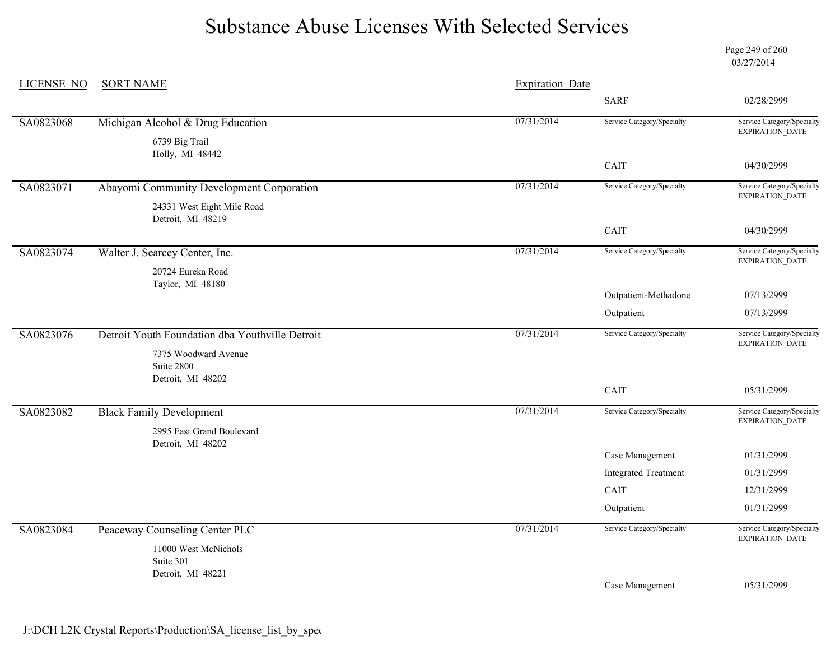Page 249 of 260 03/27/2014

| <b>LICENSE NO</b> | <b>SORT NAME</b>                                        | <b>Expiration Date</b> |                             |                                               |
|-------------------|---------------------------------------------------------|------------------------|-----------------------------|-----------------------------------------------|
|                   |                                                         |                        | <b>SARF</b>                 | 02/28/2999                                    |
| SA0823068         | Michigan Alcohol & Drug Education                       | 07/31/2014             | Service Category/Specialty  | Service Category/Specialty<br>EXPIRATION_DATE |
|                   | 6739 Big Trail<br>Holly, MI 48442                       |                        |                             |                                               |
|                   |                                                         |                        | CAIT                        | 04/30/2999                                    |
| SA0823071         | Abayomi Community Development Corporation               | 07/31/2014             | Service Category/Specialty  | Service Category/Specialty<br>EXPIRATION_DATE |
|                   | 24331 West Eight Mile Road<br>Detroit, MI 48219         |                        |                             |                                               |
|                   |                                                         |                        | CAIT                        | 04/30/2999                                    |
| SA0823074         | Walter J. Searcey Center, Inc.                          | 07/31/2014             | Service Category/Specialty  | Service Category/Specialty<br>EXPIRATION_DATE |
|                   | 20724 Eureka Road<br>Taylor, MI 48180                   |                        |                             |                                               |
|                   |                                                         |                        | Outpatient-Methadone        | 07/13/2999                                    |
|                   |                                                         |                        | Outpatient                  | 07/13/2999                                    |
| SA0823076         | Detroit Youth Foundation dba Youthville Detroit         | 07/31/2014             | Service Category/Specialty  | Service Category/Specialty<br>EXPIRATION_DATE |
|                   | 7375 Woodward Avenue<br>Suite 2800<br>Detroit, MI 48202 |                        |                             |                                               |
|                   |                                                         |                        | CAIT                        | 05/31/2999                                    |
| SA0823082         | <b>Black Family Development</b>                         | 07/31/2014             | Service Category/Specialty  | Service Category/Specialty                    |
|                   | 2995 East Grand Boulevard<br>Detroit, MI 48202          |                        |                             | <b>EXPIRATION DATE</b>                        |
|                   |                                                         |                        | Case Management             | 01/31/2999                                    |
|                   |                                                         |                        | <b>Integrated Treatment</b> | 01/31/2999                                    |
|                   |                                                         |                        | CAIT                        | 12/31/2999                                    |
|                   |                                                         |                        | Outpatient                  | 01/31/2999                                    |
| SA0823084         | Peaceway Counseling Center PLC                          | 07/31/2014             | Service Category/Specialty  | Service Category/Specialty<br>EXPIRATION_DATE |
|                   | 11000 West McNichols<br>Suite 301                       |                        |                             |                                               |
|                   | Detroit, MI 48221                                       |                        | Case Management             | 05/31/2999                                    |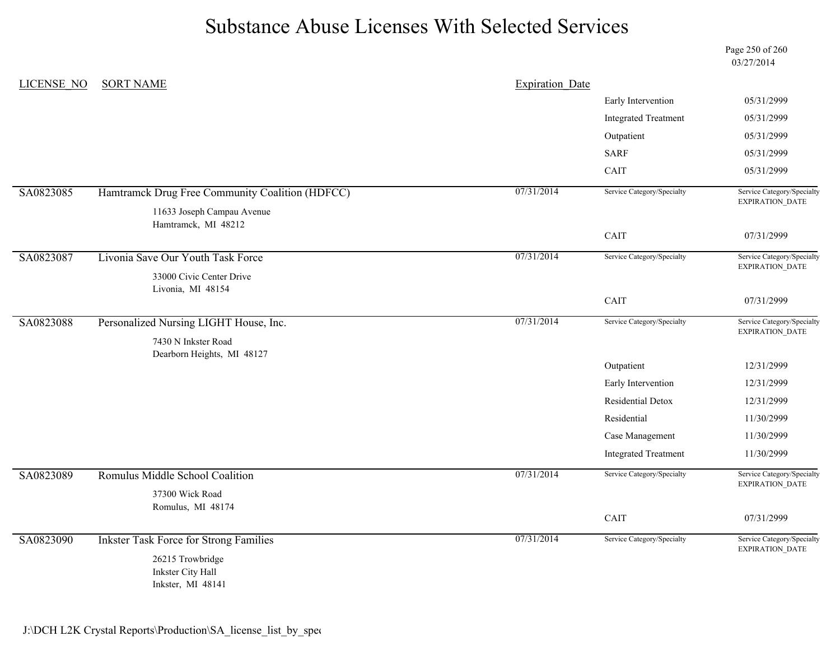Page 250 of 260 03/27/2014

| LICENSE NO | <b>SORT NAME</b>                                  | <b>Expiration Date</b> |                             |                                                      |
|------------|---------------------------------------------------|------------------------|-----------------------------|------------------------------------------------------|
|            |                                                   |                        | Early Intervention          | 05/31/2999                                           |
|            |                                                   |                        | <b>Integrated Treatment</b> | 05/31/2999                                           |
|            |                                                   |                        | Outpatient                  | 05/31/2999                                           |
|            |                                                   |                        | <b>SARF</b>                 | 05/31/2999                                           |
|            |                                                   |                        | CAIT                        | 05/31/2999                                           |
| SA0823085  | Hamtramck Drug Free Community Coalition (HDFCC)   | 07/31/2014             | Service Category/Specialty  | Service Category/Specialty<br>EXPIRATION_DATE        |
|            | 11633 Joseph Campau Avenue<br>Hamtramck, MI 48212 |                        |                             |                                                      |
|            |                                                   |                        | CAIT                        | 07/31/2999                                           |
| SA0823087  | Livonia Save Our Youth Task Force                 | 07/31/2014             | Service Category/Specialty  | Service Category/Specialty<br><b>EXPIRATION DATE</b> |
|            | 33000 Civic Center Drive                          |                        |                             |                                                      |
|            | Livonia, MI 48154                                 |                        | CAIT                        | 07/31/2999                                           |
| SA0823088  | Personalized Nursing LIGHT House, Inc.            | 07/31/2014             | Service Category/Specialty  | Service Category/Specialty                           |
|            |                                                   |                        |                             | EXPIRATION_DATE                                      |
|            | 7430 N Inkster Road<br>Dearborn Heights, MI 48127 |                        |                             |                                                      |
|            |                                                   |                        | Outpatient                  | 12/31/2999                                           |
|            |                                                   |                        | Early Intervention          | 12/31/2999                                           |
|            |                                                   |                        | Residential Detox           | 12/31/2999                                           |
|            |                                                   |                        | Residential                 | 11/30/2999                                           |
|            |                                                   |                        | Case Management             | 11/30/2999                                           |
|            |                                                   |                        | <b>Integrated Treatment</b> | 11/30/2999                                           |
| SA0823089  | Romulus Middle School Coalition                   | 07/31/2014             | Service Category/Specialty  | Service Category/Specialty<br>EXPIRATION_DATE        |
|            | 37300 Wick Road                                   |                        |                             |                                                      |
|            | Romulus, MI 48174                                 |                        | CAIT                        | 07/31/2999                                           |
|            |                                                   |                        |                             |                                                      |
| SA0823090  | <b>Inkster Task Force for Strong Families</b>     | 07/31/2014             | Service Category/Specialty  | Service Category/Specialty<br>EXPIRATION_DATE        |
|            | 26215 Trowbridge<br>Inkster City Hall             |                        |                             |                                                      |
|            | Inkster, MI 48141                                 |                        |                             |                                                      |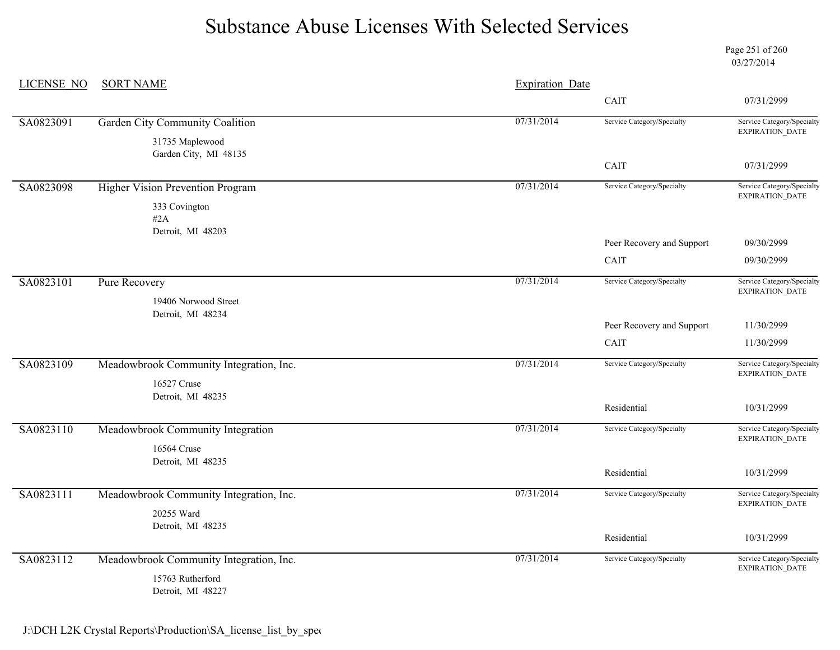Page 251 of 260 03/27/2014

| <b>LICENSE NO</b> | <b>SORT NAME</b>                                            | <b>Expiration Date</b> |                            |                                                                        |  |
|-------------------|-------------------------------------------------------------|------------------------|----------------------------|------------------------------------------------------------------------|--|
|                   |                                                             |                        | CAIT                       | 07/31/2999                                                             |  |
| SA0823091         | Garden City Community Coalition                             | 07/31/2014             | Service Category/Specialty | Service Category/Specialty<br>$\ensuremath{\mathsf{EXPIRATION\_DATA}}$ |  |
|                   | 31735 Maplewood<br>Garden City, MI 48135                    |                        |                            |                                                                        |  |
|                   |                                                             |                        | CAIT                       | 07/31/2999                                                             |  |
| SA0823098         | <b>Higher Vision Prevention Program</b>                     | 07/31/2014             | Service Category/Specialty | Service Category/Specialty<br>EXPIRATION_DATE                          |  |
|                   | 333 Covington<br>#2A                                        |                        |                            |                                                                        |  |
|                   | Detroit, MI 48203                                           |                        | Peer Recovery and Support  | 09/30/2999                                                             |  |
|                   |                                                             |                        | CAIT                       | 09/30/2999                                                             |  |
| SA0823101         | <b>Pure Recovery</b>                                        | 07/31/2014             | Service Category/Specialty | Service Category/Specialty<br>$\ensuremath{\mathsf{EXPIRATION\_DATA}}$ |  |
|                   | 19406 Norwood Street<br>Detroit, MI 48234                   |                        |                            |                                                                        |  |
|                   |                                                             |                        | Peer Recovery and Support  | 11/30/2999                                                             |  |
|                   |                                                             |                        | CAIT                       | 11/30/2999                                                             |  |
| SA0823109         | Meadowbrook Community Integration, Inc.<br>16527 Cruse      | 07/31/2014             | Service Category/Specialty | Service Category/Specialty<br><b>EXPIRATION DATE</b>                   |  |
|                   | Detroit, MI 48235                                           |                        |                            |                                                                        |  |
|                   |                                                             |                        | Residential                | 10/31/2999                                                             |  |
| SA0823110         | Meadowbrook Community Integration<br>16564 Cruse            | 07/31/2014             | Service Category/Specialty | Service Category/Specialty<br>EXPIRATION_DATE                          |  |
|                   | Detroit, MI 48235                                           |                        |                            |                                                                        |  |
|                   |                                                             |                        | Residential                | 10/31/2999                                                             |  |
| SA0823111         | Meadowbrook Community Integration, Inc.<br>20255 Ward       | 07/31/2014             | Service Category/Specialty | Service Category/Specialty<br><b>EXPIRATION DATE</b>                   |  |
|                   | Detroit, MI 48235                                           |                        |                            |                                                                        |  |
|                   |                                                             |                        | Residential                | 10/31/2999                                                             |  |
| SA0823112         | Meadowbrook Community Integration, Inc.<br>15763 Rutherford | 07/31/2014             | Service Category/Specialty | Service Category/Specialty<br>EXPIRATION_DATE                          |  |
|                   | Detroit, MI 48227                                           |                        |                            |                                                                        |  |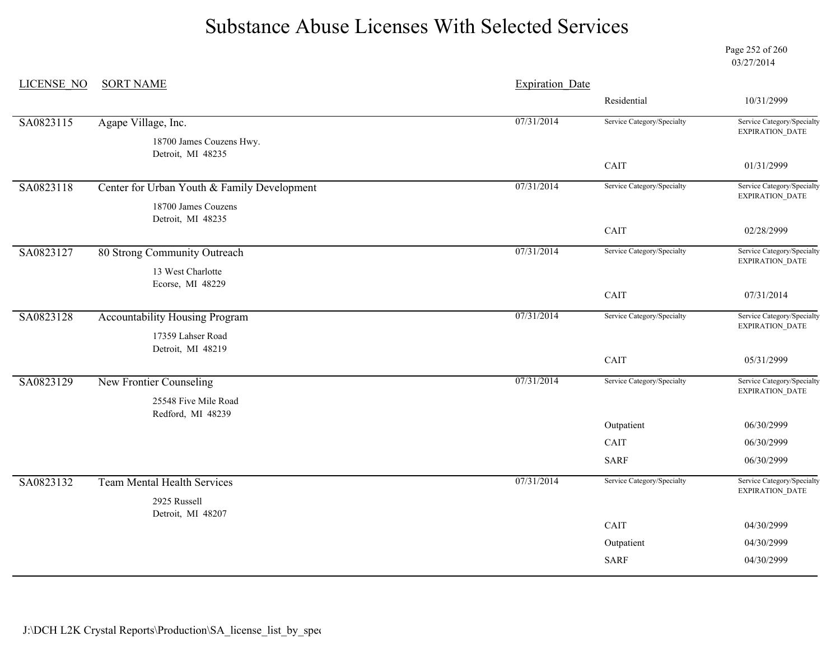Page 252 of 260 03/27/2014

| LICENSE NO | <b>SORT NAME</b>                              | <b>Expiration Date</b> |                            |                                                      |
|------------|-----------------------------------------------|------------------------|----------------------------|------------------------------------------------------|
|            |                                               |                        | Residential                | 10/31/2999                                           |
| SA0823115  | Agape Village, Inc.                           | 07/31/2014             | Service Category/Specialty | Service Category/Specialty<br>EXPIRATION_DATE        |
|            | 18700 James Couzens Hwy.<br>Detroit, MI 48235 |                        |                            |                                                      |
|            |                                               |                        | CAIT                       | 01/31/2999                                           |
| SA0823118  | Center for Urban Youth & Family Development   | 07/31/2014             | Service Category/Specialty | Service Category/Specialty<br>EXPIRATION_DATE        |
|            | 18700 James Couzens                           |                        |                            |                                                      |
|            | Detroit, MI 48235                             |                        | CAIT                       | 02/28/2999                                           |
|            |                                               |                        |                            |                                                      |
| SA0823127  | 80 Strong Community Outreach                  | 07/31/2014             | Service Category/Specialty | Service Category/Specialty<br><b>EXPIRATION DATE</b> |
|            | 13 West Charlotte                             |                        |                            |                                                      |
|            | Ecorse, MI 48229                              |                        | CAIT                       | 07/31/2014                                           |
|            |                                               |                        |                            |                                                      |
| SA0823128  | <b>Accountability Housing Program</b>         | 07/31/2014             | Service Category/Specialty | Service Category/Specialty<br>EXPIRATION_DATE        |
|            | 17359 Lahser Road                             |                        |                            |                                                      |
|            | Detroit, MI 48219                             |                        | $\operatorname{CAIT}$      | 05/31/2999                                           |
|            |                                               |                        |                            |                                                      |
| SA0823129  | New Frontier Counseling                       | 07/31/2014             | Service Category/Specialty | Service Category/Specialty<br>EXPIRATION_DATE        |
|            | 25548 Five Mile Road                          |                        |                            |                                                      |
|            | Redford, MI 48239                             |                        | Outpatient                 | 06/30/2999                                           |
|            |                                               |                        | CAIT                       | 06/30/2999                                           |
|            |                                               |                        | <b>SARF</b>                | 06/30/2999                                           |
| SA0823132  | <b>Team Mental Health Services</b>            | 07/31/2014             | Service Category/Specialty | Service Category/Specialty                           |
|            | 2925 Russell                                  |                        |                            | EXPIRATION_DATE                                      |
|            | Detroit, MI 48207                             |                        |                            |                                                      |
|            |                                               |                        | CAIT                       | 04/30/2999                                           |
|            |                                               |                        | Outpatient                 | 04/30/2999                                           |
|            |                                               |                        | <b>SARF</b>                | 04/30/2999                                           |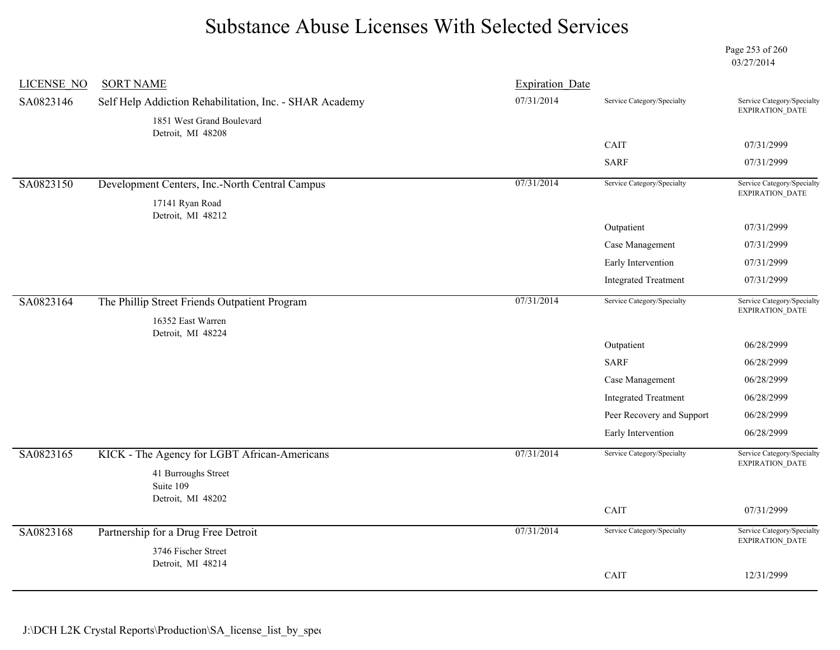Page 253 of 260 03/27/2014

| <b>LICENSE NO</b> | <b>SORT NAME</b>                                        | <b>Expiration Date</b> |                             |                                               |
|-------------------|---------------------------------------------------------|------------------------|-----------------------------|-----------------------------------------------|
| SA0823146         | Self Help Addiction Rehabilitation, Inc. - SHAR Academy | 07/31/2014             | Service Category/Specialty  | Service Category/Specialty<br>EXPIRATION_DATE |
|                   | 1851 West Grand Boulevard<br>Detroit, MI 48208          |                        |                             |                                               |
|                   |                                                         |                        | CAIT                        | 07/31/2999                                    |
|                   |                                                         |                        | <b>SARF</b>                 | 07/31/2999                                    |
| SA0823150         | Development Centers, Inc.-North Central Campus          | 07/31/2014             | Service Category/Specialty  | Service Category/Specialty<br>EXPIRATION_DATE |
|                   | 17141 Ryan Road<br>Detroit, MI 48212                    |                        |                             |                                               |
|                   |                                                         |                        | Outpatient                  | 07/31/2999                                    |
|                   |                                                         |                        | Case Management             | 07/31/2999                                    |
|                   |                                                         |                        | Early Intervention          | 07/31/2999                                    |
|                   |                                                         |                        | <b>Integrated Treatment</b> | 07/31/2999                                    |
| SA0823164         | The Phillip Street Friends Outpatient Program           | 07/31/2014             | Service Category/Specialty  | Service Category/Specialty<br>EXPIRATION_DATE |
|                   | 16352 East Warren                                       |                        |                             |                                               |
|                   | Detroit, MI 48224                                       |                        | Outpatient                  | 06/28/2999                                    |
|                   |                                                         |                        | <b>SARF</b>                 | 06/28/2999                                    |
|                   |                                                         |                        | Case Management             | 06/28/2999                                    |
|                   |                                                         |                        | <b>Integrated Treatment</b> | 06/28/2999                                    |
|                   |                                                         |                        | Peer Recovery and Support   | 06/28/2999                                    |
|                   |                                                         |                        | Early Intervention          | 06/28/2999                                    |
| SA0823165         | KICK - The Agency for LGBT African-Americans            | 07/31/2014             | Service Category/Specialty  | Service Category/Specialty<br>EXPIRATION_DATE |
|                   | 41 Burroughs Street<br>Suite 109                        |                        |                             |                                               |
|                   | Detroit, MI 48202                                       |                        | CAIT                        | 07/31/2999                                    |
|                   |                                                         |                        |                             |                                               |
| SA0823168         | Partnership for a Drug Free Detroit                     | 07/31/2014             | Service Category/Specialty  | Service Category/Specialty<br>EXPIRATION_DATE |
|                   | 3746 Fischer Street<br>Detroit, MI 48214                |                        |                             |                                               |
|                   |                                                         |                        | CAIT                        | 12/31/2999                                    |
|                   |                                                         |                        |                             |                                               |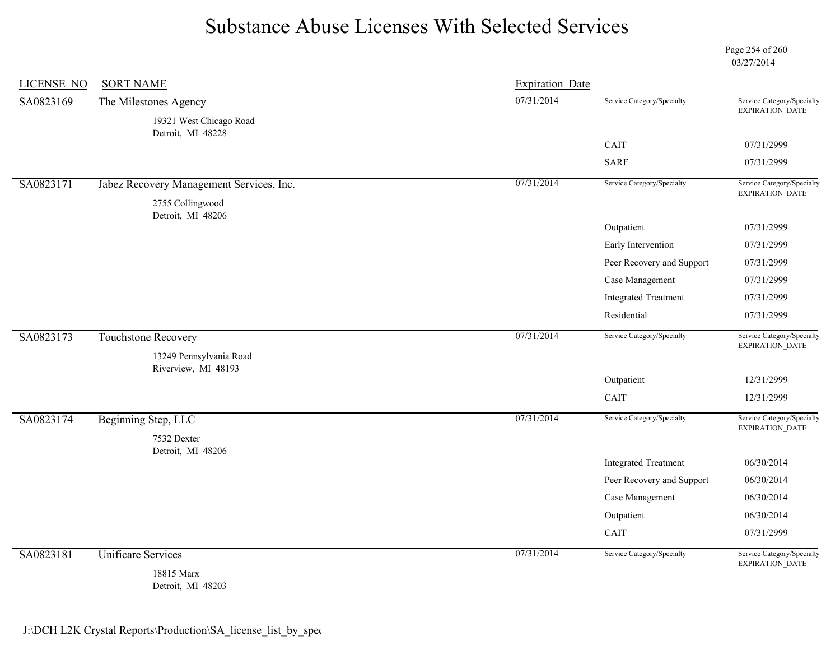Page 254 of 260 03/27/2014

| <b>LICENSE NO</b> | <b>SORT NAME</b>                               | <b>Expiration Date</b> |                             |                                               |
|-------------------|------------------------------------------------|------------------------|-----------------------------|-----------------------------------------------|
| SA0823169         | The Milestones Agency                          | 07/31/2014             | Service Category/Specialty  | Service Category/Specialty<br>EXPIRATION_DATE |
|                   | 19321 West Chicago Road                        |                        |                             |                                               |
|                   | Detroit, MI 48228                              |                        | CAIT                        | 07/31/2999                                    |
|                   |                                                |                        | <b>SARF</b>                 | 07/31/2999                                    |
| SA0823171         |                                                | 07/31/2014             | Service Category/Specialty  | Service Category/Specialty                    |
|                   | Jabez Recovery Management Services, Inc.       |                        |                             | EXPIRATION_DATE                               |
|                   | 2755 Collingwood<br>Detroit, MI 48206          |                        |                             |                                               |
|                   |                                                |                        | Outpatient                  | 07/31/2999                                    |
|                   |                                                |                        | Early Intervention          | 07/31/2999                                    |
|                   |                                                |                        | Peer Recovery and Support   | 07/31/2999                                    |
|                   |                                                |                        | Case Management             | 07/31/2999                                    |
|                   |                                                |                        | <b>Integrated Treatment</b> | 07/31/2999                                    |
|                   |                                                |                        | Residential                 | 07/31/2999                                    |
| SA0823173         | <b>Touchstone Recovery</b>                     | 07/31/2014             | Service Category/Specialty  | Service Category/Specialty<br>EXPIRATION_DATE |
|                   |                                                |                        |                             |                                               |
|                   | 13249 Pennsylvania Road<br>Riverview, MI 48193 |                        |                             |                                               |
|                   |                                                |                        | Outpatient                  | 12/31/2999                                    |
|                   |                                                |                        | CAIT                        | 12/31/2999                                    |
| SA0823174         | Beginning Step, LLC                            | 07/31/2014             | Service Category/Specialty  | Service Category/Specialty                    |
|                   | 7532 Dexter                                    |                        |                             | EXPIRATION_DATE                               |
|                   | Detroit, MI 48206                              |                        | <b>Integrated Treatment</b> | 06/30/2014                                    |
|                   |                                                |                        | Peer Recovery and Support   | 06/30/2014                                    |
|                   |                                                |                        | Case Management             | 06/30/2014                                    |
|                   |                                                |                        | Outpatient                  | 06/30/2014                                    |
|                   |                                                |                        | CAIT                        | 07/31/2999                                    |
| SA0823181         | <b>Unificare Services</b>                      | 07/31/2014             | Service Category/Specialty  | Service Category/Specialty<br>EXPIRATION_DATE |

Detroit, MI 48203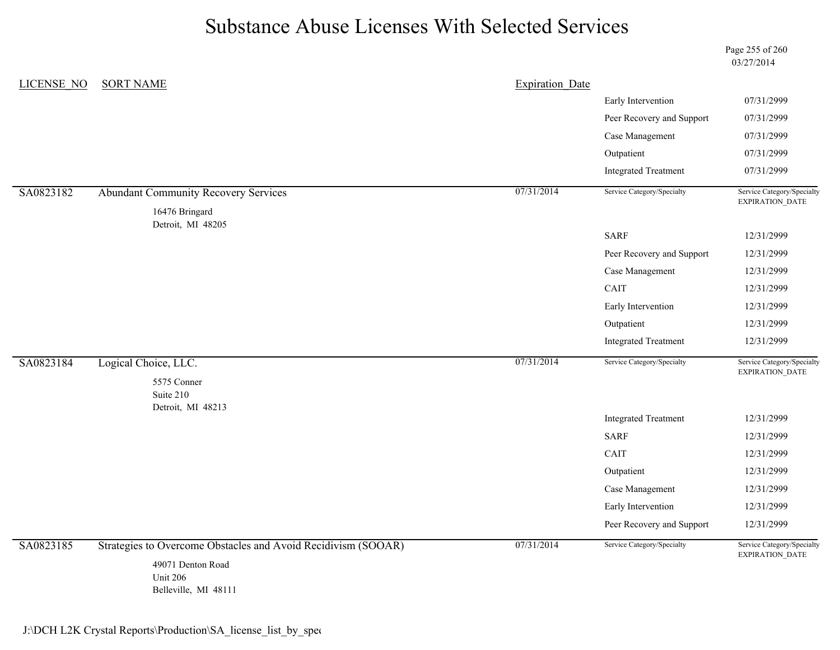Page 255 of 260 03/27/2014

| <b>LICENSE NO</b> | <b>SORT NAME</b>                                              | <b>Expiration Date</b> |                             |                                                      |
|-------------------|---------------------------------------------------------------|------------------------|-----------------------------|------------------------------------------------------|
|                   |                                                               |                        | Early Intervention          | 07/31/2999                                           |
|                   |                                                               |                        | Peer Recovery and Support   | 07/31/2999                                           |
|                   |                                                               |                        | Case Management             | 07/31/2999                                           |
|                   |                                                               |                        | Outpatient                  | 07/31/2999                                           |
|                   |                                                               |                        | <b>Integrated Treatment</b> | 07/31/2999                                           |
| SA0823182         | <b>Abundant Community Recovery Services</b>                   | 07/31/2014             | Service Category/Specialty  | Service Category/Specialty<br><b>EXPIRATION DATE</b> |
|                   | 16476 Bringard<br>Detroit, MI 48205                           |                        |                             |                                                      |
|                   |                                                               |                        | <b>SARF</b>                 | 12/31/2999                                           |
|                   |                                                               |                        | Peer Recovery and Support   | 12/31/2999                                           |
|                   |                                                               |                        | Case Management             | 12/31/2999                                           |
|                   |                                                               |                        | CAIT                        | 12/31/2999                                           |
|                   |                                                               |                        | Early Intervention          | 12/31/2999                                           |
|                   |                                                               |                        | Outpatient                  | 12/31/2999                                           |
|                   |                                                               |                        | <b>Integrated Treatment</b> | 12/31/2999                                           |
| SA0823184         | Logical Choice, LLC.<br>5575 Conner                           | 07/31/2014             | Service Category/Specialty  | Service Category/Specialty<br>EXPIRATION_DATE        |
|                   | Suite 210<br>Detroit, MI 48213                                |                        |                             |                                                      |
|                   |                                                               |                        | <b>Integrated Treatment</b> | 12/31/2999                                           |
|                   |                                                               |                        | <b>SARF</b>                 | 12/31/2999                                           |
|                   |                                                               |                        | CAIT                        | 12/31/2999                                           |
|                   |                                                               |                        | Outpatient                  | 12/31/2999                                           |
|                   |                                                               |                        | Case Management             | 12/31/2999                                           |
|                   |                                                               |                        | Early Intervention          | 12/31/2999                                           |
|                   |                                                               |                        | Peer Recovery and Support   | 12/31/2999                                           |
| SA0823185         | Strategies to Overcome Obstacles and Avoid Recidivism (SOOAR) | 07/31/2014             | Service Category/Specialty  | Service Category/Specialty<br>EXPIRATION_DATE        |
|                   | 49071 Denton Road<br><b>Unit 206</b><br>Belleville, MI 48111  |                        |                             |                                                      |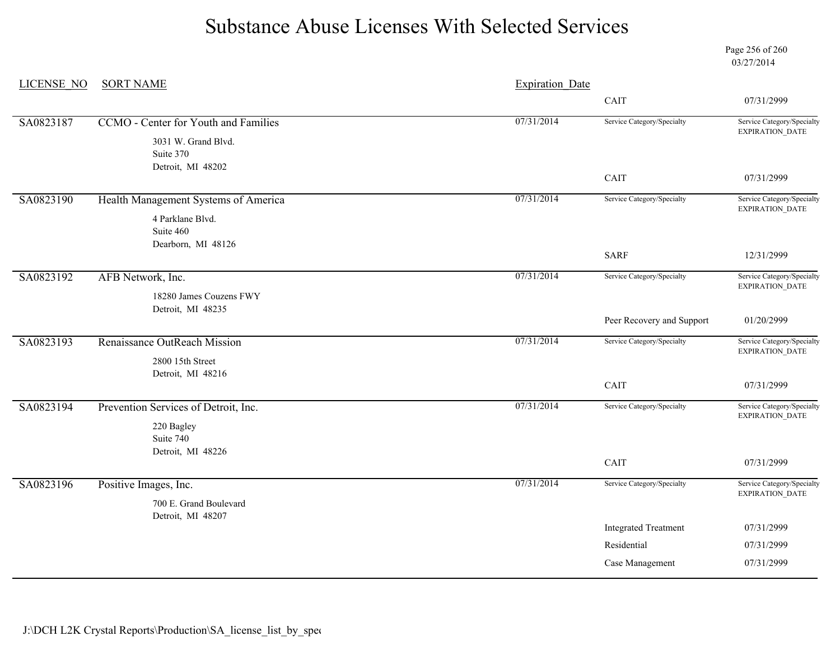Page 256 of 260 03/27/2014

| <b>LICENSE NO</b> | <b>SORT NAME</b>                             | <b>Expiration Date</b> |                             |                                                      |  |
|-------------------|----------------------------------------------|------------------------|-----------------------------|------------------------------------------------------|--|
|                   |                                              |                        | CAIT                        | 07/31/2999                                           |  |
| SA0823187         | <b>CCMO</b> - Center for Youth and Families  | 07/31/2014             | Service Category/Specialty  | Service Category/Specialty<br>EXPIRATION_DATE        |  |
|                   | 3031 W. Grand Blvd.<br>Suite 370             |                        |                             |                                                      |  |
|                   | Detroit, MI 48202                            |                        | CAIT                        | 07/31/2999                                           |  |
| SA0823190         | Health Management Systems of America         | 07/31/2014             | Service Category/Specialty  | Service Category/Specialty<br><b>EXPIRATION DATE</b> |  |
|                   | 4 Parklane Blvd.<br>Suite 460                |                        |                             |                                                      |  |
|                   | Dearborn, MI 48126                           |                        | <b>SARF</b>                 | 12/31/2999                                           |  |
| SA0823192         | AFB Network, Inc.                            | 07/31/2014             | Service Category/Specialty  | Service Category/Specialty<br>EXPIRATION_DATE        |  |
|                   | 18280 James Couzens FWY<br>Detroit, MI 48235 |                        |                             |                                                      |  |
|                   |                                              |                        | Peer Recovery and Support   | 01/20/2999                                           |  |
| SA0823193         | Renaissance OutReach Mission                 | 07/31/2014             | Service Category/Specialty  | Service Category/Specialty<br>EXPIRATION_DATE        |  |
|                   | 2800 15th Street<br>Detroit, MI 48216        |                        |                             |                                                      |  |
|                   |                                              |                        | CAIT                        | 07/31/2999                                           |  |
| SA0823194         | Prevention Services of Detroit, Inc.         | 07/31/2014             | Service Category/Specialty  | Service Category/Specialty<br>EXPIRATION_DATE        |  |
|                   | 220 Bagley<br>Suite 740                      |                        |                             |                                                      |  |
|                   | Detroit, MI 48226                            |                        | CAIT                        | 07/31/2999                                           |  |
| SA0823196         | Positive Images, Inc.                        | 07/31/2014             | Service Category/Specialty  | Service Category/Specialty<br>EXPIRATION_DATE        |  |
|                   | 700 E. Grand Boulevard<br>Detroit, MI 48207  |                        |                             |                                                      |  |
|                   |                                              |                        | <b>Integrated Treatment</b> | 07/31/2999                                           |  |
|                   |                                              |                        | Residential                 | 07/31/2999                                           |  |
|                   |                                              |                        | Case Management             | 07/31/2999                                           |  |
|                   |                                              |                        |                             |                                                      |  |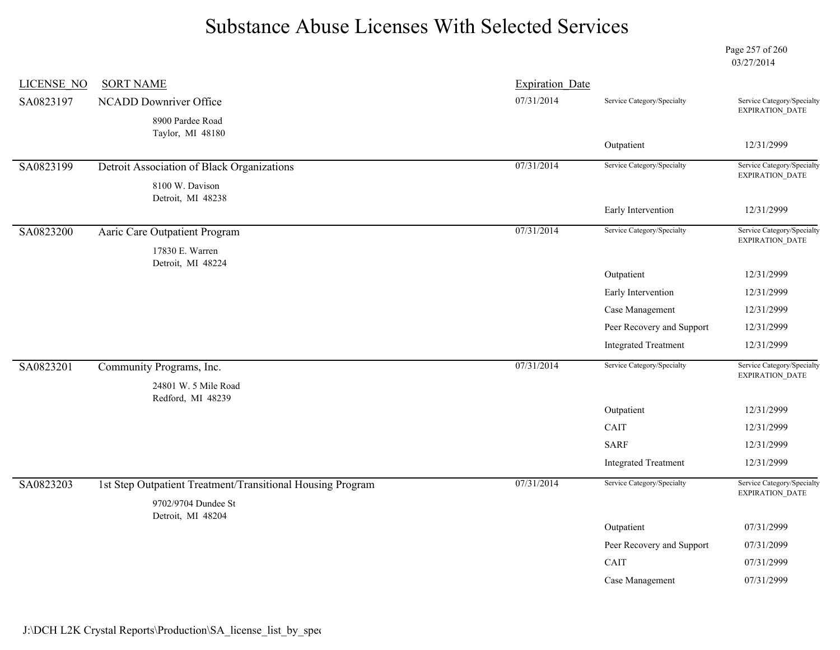Page 257 of 260 03/27/2014

| <b>LICENSE NO</b> | <b>SORT NAME</b>                                           | <b>Expiration Date</b> |                             |                                                      |
|-------------------|------------------------------------------------------------|------------------------|-----------------------------|------------------------------------------------------|
| SA0823197         | NCADD Downriver Office                                     | 07/31/2014             | Service Category/Specialty  | Service Category/Specialty                           |
|                   | 8900 Pardee Road                                           |                        |                             | EXPIRATION_DATE                                      |
|                   | Taylor, MI 48180                                           |                        |                             | 12/31/2999                                           |
|                   |                                                            |                        | Outpatient                  |                                                      |
| SA0823199         | Detroit Association of Black Organizations                 | 07/31/2014             | Service Category/Specialty  | Service Category/Specialty<br><b>EXPIRATION DATE</b> |
|                   | 8100 W. Davison                                            |                        |                             |                                                      |
|                   | Detroit, MI 48238                                          |                        | Early Intervention          | 12/31/2999                                           |
|                   |                                                            | 07/31/2014             | Service Category/Specialty  | Service Category/Specialty                           |
| SA0823200         | Aaric Care Outpatient Program                              |                        |                             | EXPIRATION_DATE                                      |
|                   | 17830 E. Warren<br>Detroit, MI 48224                       |                        |                             |                                                      |
|                   |                                                            |                        | Outpatient                  | 12/31/2999                                           |
|                   |                                                            |                        | Early Intervention          | 12/31/2999                                           |
|                   |                                                            |                        | Case Management             | 12/31/2999                                           |
|                   |                                                            |                        | Peer Recovery and Support   | 12/31/2999                                           |
|                   |                                                            |                        | <b>Integrated Treatment</b> | 12/31/2999                                           |
| SA0823201         | Community Programs, Inc.                                   | 07/31/2014             | Service Category/Specialty  | Service Category/Specialty                           |
|                   | 24801 W. 5 Mile Road                                       |                        |                             | EXPIRATION_DATE                                      |
|                   | Redford, MI 48239                                          |                        |                             |                                                      |
|                   |                                                            |                        | Outpatient                  | 12/31/2999                                           |
|                   |                                                            |                        | CAIT                        | 12/31/2999                                           |
|                   |                                                            |                        | <b>SARF</b>                 | 12/31/2999                                           |
|                   |                                                            |                        | <b>Integrated Treatment</b> | 12/31/2999                                           |
| SA0823203         | 1st Step Outpatient Treatment/Transitional Housing Program | 07/31/2014             | Service Category/Specialty  | Service Category/Specialty                           |
|                   | 9702/9704 Dundee St                                        |                        |                             | EXPIRATION_DATE                                      |
|                   | Detroit, MI 48204                                          |                        |                             |                                                      |
|                   |                                                            |                        | Outpatient                  | 07/31/2999                                           |
|                   |                                                            |                        | Peer Recovery and Support   | 07/31/2099                                           |
|                   |                                                            |                        | CAIT                        | 07/31/2999                                           |
|                   |                                                            |                        | Case Management             | 07/31/2999                                           |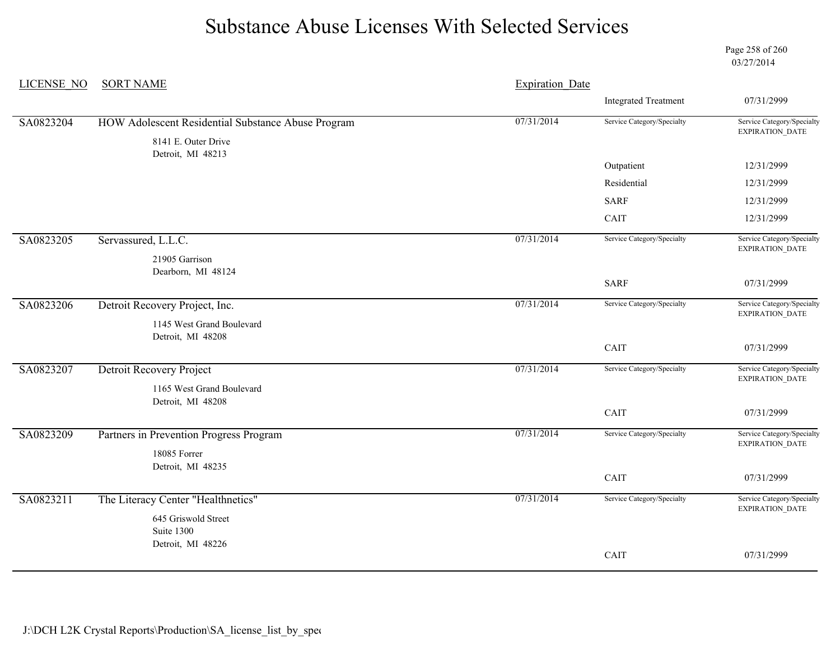Page 258 of 260 03/27/2014

| <b>LICENSE NO</b> | <b>SORT NAME</b>                                   | <b>Expiration Date</b> |                             |                                                      |
|-------------------|----------------------------------------------------|------------------------|-----------------------------|------------------------------------------------------|
|                   |                                                    |                        | <b>Integrated Treatment</b> | 07/31/2999                                           |
| SA0823204         | HOW Adolescent Residential Substance Abuse Program | 07/31/2014             | Service Category/Specialty  | Service Category/Specialty<br>EXPIRATION_DATE        |
|                   | 8141 E. Outer Drive<br>Detroit, MI 48213           |                        |                             |                                                      |
|                   |                                                    |                        | Outpatient                  | 12/31/2999                                           |
|                   |                                                    |                        | Residential                 | 12/31/2999                                           |
|                   |                                                    |                        | <b>SARF</b>                 | 12/31/2999                                           |
|                   |                                                    |                        | CAIT                        | 12/31/2999                                           |
| SA0823205         | Servassured, L.L.C.                                | 07/31/2014             | Service Category/Specialty  | Service Category/Specialty<br>EXPIRATION_DATE        |
|                   | 21905 Garrison                                     |                        |                             |                                                      |
|                   | Dearborn, MI 48124                                 |                        | <b>SARF</b>                 | 07/31/2999                                           |
|                   |                                                    |                        |                             |                                                      |
| SA0823206         | Detroit Recovery Project, Inc.                     | 07/31/2014             | Service Category/Specialty  | Service Category/Specialty<br>EXPIRATION_DATE        |
|                   | 1145 West Grand Boulevard<br>Detroit, MI 48208     |                        |                             |                                                      |
|                   |                                                    |                        | CAIT                        | 07/31/2999                                           |
| SA0823207         | Detroit Recovery Project                           | 07/31/2014             | Service Category/Specialty  | Service Category/Specialty                           |
|                   | 1165 West Grand Boulevard                          |                        |                             | <b>EXPIRATION DATE</b>                               |
|                   | Detroit, MI 48208                                  |                        | CAIT                        | 07/31/2999                                           |
|                   |                                                    |                        |                             |                                                      |
| SA0823209         | Partners in Prevention Progress Program            | 07/31/2014             | Service Category/Specialty  | Service Category/Specialty<br>EXPIRATION_DATE        |
|                   | 18085 Forrer<br>Detroit, MI 48235                  |                        |                             |                                                      |
|                   |                                                    |                        | CAIT                        | 07/31/2999                                           |
| SA0823211         | The Literacy Center "Healthnetics"                 | 07/31/2014             | Service Category/Specialty  | Service Category/Specialty<br><b>EXPIRATION DATE</b> |
|                   | 645 Griswold Street                                |                        |                             |                                                      |
|                   | Suite 1300<br>Detroit, MI 48226                    |                        |                             |                                                      |
|                   |                                                    |                        | CAIT                        | 07/31/2999                                           |
|                   |                                                    |                        |                             |                                                      |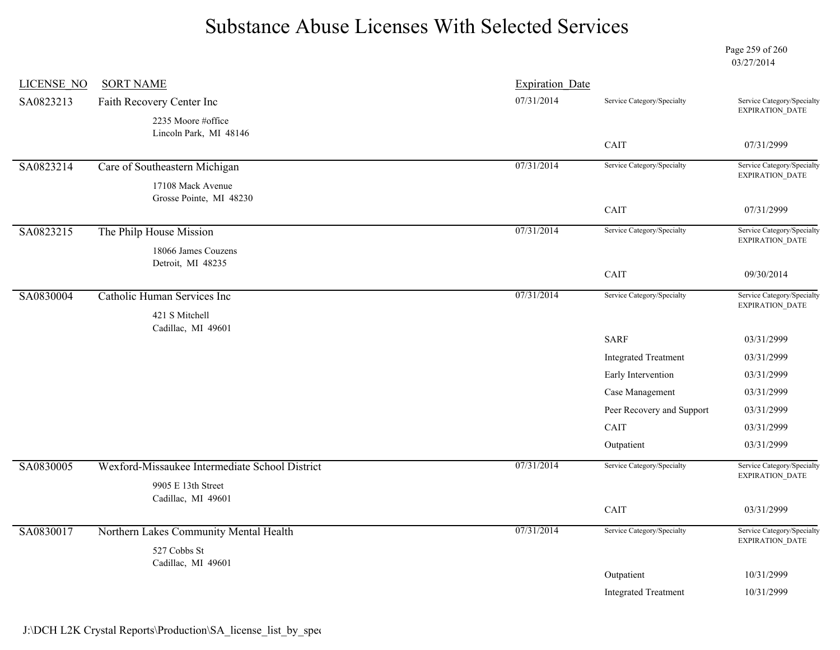Page 259 of 260 03/27/2014

| <b>LICENSE NO</b> | <b>SORT NAME</b>                               | <b>Expiration Date</b> |                             |                                                      |
|-------------------|------------------------------------------------|------------------------|-----------------------------|------------------------------------------------------|
| SA0823213         | Faith Recovery Center Inc                      | 07/31/2014             | Service Category/Specialty  | Service Category/Specialty<br>EXPIRATION_DATE        |
|                   | 2235 Moore #office                             |                        |                             |                                                      |
|                   | Lincoln Park, MI 48146                         |                        | CAIT                        | 07/31/2999                                           |
| SA0823214         | Care of Southeastern Michigan                  | 07/31/2014             | Service Category/Specialty  | Service Category/Specialty                           |
|                   | 17108 Mack Avenue<br>Grosse Pointe, MI 48230   |                        |                             | EXPIRATION_DATE                                      |
|                   |                                                |                        | CAIT                        | 07/31/2999                                           |
| SA0823215         | The Philp House Mission                        | 07/31/2014             | Service Category/Specialty  | Service Category/Specialty<br>EXPIRATION_DATE        |
|                   | 18066 James Couzens<br>Detroit, MI 48235       |                        |                             |                                                      |
|                   |                                                |                        | CAIT                        | 09/30/2014                                           |
| SA0830004         | Catholic Human Services Inc                    | 07/31/2014             | Service Category/Specialty  | Service Category/Specialty<br>EXPIRATION_DATE        |
|                   | 421 S Mitchell<br>Cadillac, MI 49601           |                        |                             |                                                      |
|                   |                                                |                        | <b>SARF</b>                 | 03/31/2999                                           |
|                   |                                                |                        | <b>Integrated Treatment</b> | 03/31/2999                                           |
|                   |                                                |                        | Early Intervention          | 03/31/2999                                           |
|                   |                                                |                        | Case Management             | 03/31/2999                                           |
|                   |                                                |                        | Peer Recovery and Support   | 03/31/2999                                           |
|                   |                                                |                        | CAIT                        | 03/31/2999                                           |
|                   |                                                |                        | Outpatient                  | 03/31/2999                                           |
| SA0830005         | Wexford-Missaukee Intermediate School District | 07/31/2014             | Service Category/Specialty  | Service Category/Specialty<br>EXPIRATION_DATE        |
|                   | 9905 E 13th Street<br>Cadillac, MI 49601       |                        |                             |                                                      |
|                   |                                                |                        | CAIT                        | 03/31/2999                                           |
| SA0830017         | Northern Lakes Community Mental Health         | 07/31/2014             | Service Category/Specialty  | Service Category/Specialty<br><b>EXPIRATION DATE</b> |
|                   | 527 Cobbs St                                   |                        |                             |                                                      |
|                   | Cadillac, MI 49601                             |                        | Outpatient                  | 10/31/2999                                           |
|                   |                                                |                        | <b>Integrated Treatment</b> | 10/31/2999                                           |